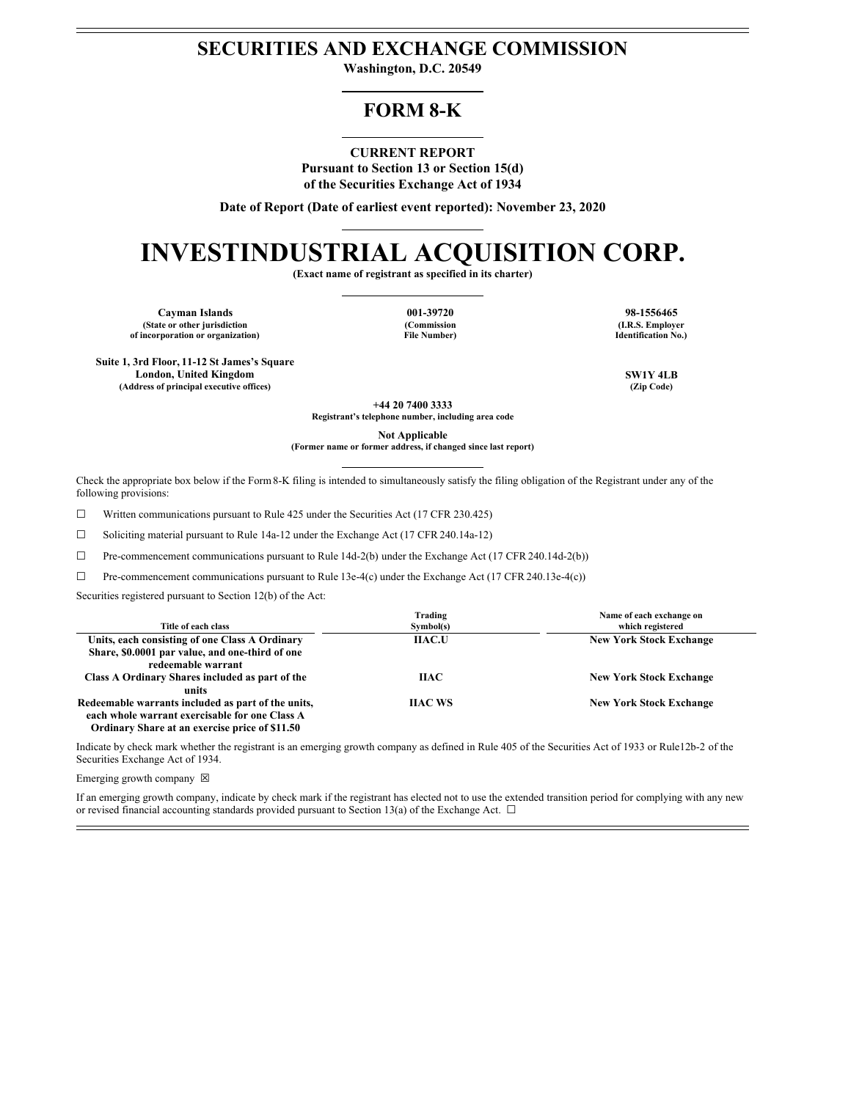# **SECURITIES AND EXCHANGE COMMISSION**

**Washington, D.C. 20549**

# **FORM 8-K**

#### **CURRENT REPORT**

**Pursuant to Section 13 or Section 15(d) of the Securities Exchange Act of 1934**

**Date of Report (Date of earliest event reported): November 23, 2020**

# **INVESTINDUSTRIAL ACQUISITION CORP.**

**(Exact name of registrant as specified in its charter)**

**Cayman Islands 001-39720 98-1556465 (State or other jurisdiction of incorporation or organization)**

**Suite 1, 3rd Floor, 11-12 St James's Square**

**(Commission File Number)**

**(I.R.S. Employer Identification No.)**

**London, United Kingdom SW1Y 4LB (Address of principal executive offices) (Zip Code)**

> **+44 20 7400 3333 Registrant's telephone number, including area code**

> > **Not Applicable**

**(Former name or former address, if changed since last report)**

Check the appropriate box below if the Form8-K filing is intended to simultaneously satisfy the filing obligation of the Registrant under any of the following provisions:

 $\Box$  Written communications pursuant to Rule 425 under the Securities Act (17 CFR 230.425)

☐ Soliciting material pursuant to Rule 14a-12 under the Exchange Act (17 CFR 240.14a-12)

☐ Pre-commencement communications pursuant to Rule 14d-2(b) under the Exchange Act (17 CFR 240.14d-2(b))

☐ Pre-commencement communications pursuant to Rule 13e-4(c) under the Exchange Act (17 CFR 240.13e-4(c))

Securities registered pursuant to Section 12(b) of the Act:

| Title of each class                                                                                                     | Trading<br>Symbol(s) | Name of each exchange on<br>which registered |
|-------------------------------------------------------------------------------------------------------------------------|----------------------|----------------------------------------------|
| Units, each consisting of one Class A Ordinary<br>Share, \$0.0001 par value, and one-third of one<br>redeemable warrant | <b>IIAC.U</b>        | <b>New York Stock Exchange</b>               |
| Class A Ordinary Shares included as part of the<br>units                                                                | ПАС                  | <b>New York Stock Exchange</b>               |
| Redeemable warrants included as part of the units,<br>each whole warrant exercisable for one Class A                    | <b>IIAC WS</b>       | <b>New York Stock Exchange</b>               |

**Ordinary Share at an exercise price of \$11.50**

Indicate by check mark whether the registrant is an emerging growth company as defined in Rule 405 of the Securities Act of 1933 or Rule12b-2 of the Securities Exchange Act of 1934.

Emerging growth company  $\boxtimes$ 

If an emerging growth company, indicate by check mark if the registrant has elected not to use the extended transition period for complying with any new or revised financial accounting standards provided pursuant to Section 13(a) of the Exchange Act.  $\Box$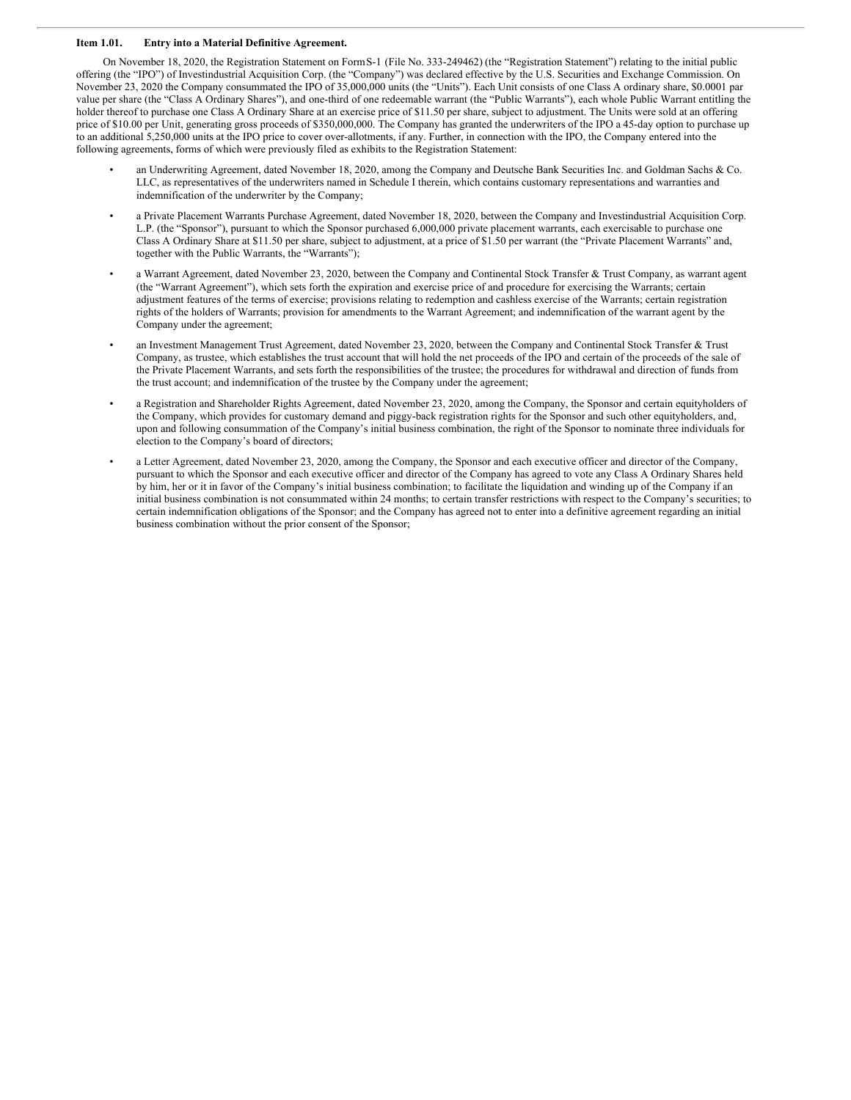#### **Item 1.01. Entry into a Material Definitive Agreement.**

On November 18, 2020, the Registration Statement on FormS-1 (File No. 333-249462) (the "Registration Statement") relating to the initial public offering (the "IPO") of Investindustrial Acquisition Corp. (the "Company") was declared effective by the U.S. Securities and Exchange Commission. On November 23, 2020 the Company consummated the IPO of 35,000,000 units (the "Units"). Each Unit consists of one Class A ordinary share, \$0.0001 par value per share (the "Class A Ordinary Shares"), and one-third of one redeemable warrant (the "Public Warrants"), each whole Public Warrant entitling the holder thereof to purchase one Class A Ordinary Share at an exercise price of \$11.50 per share, subject to adjustment. The Units were sold at an offering price of \$10.00 per Unit, generating gross proceeds of \$350,000,000. The Company has granted the underwriters of the IPO a 45-day option to purchase up to an additional 5,250,000 units at the IPO price to cover over-allotments, if any. Further, in connection with the IPO, the Company entered into the following agreements, forms of which were previously filed as exhibits to the Registration Statement:

- an Underwriting Agreement, dated November 18, 2020, among the Company and Deutsche Bank Securities Inc. and Goldman Sachs & Co. LLC, as representatives of the underwriters named in Schedule I therein, which contains customary representations and warranties and indemnification of the underwriter by the Company;
- a Private Placement Warrants Purchase Agreement, dated November 18, 2020, between the Company and Investindustrial Acquisition Corp. L.P. (the "Sponsor"), pursuant to which the Sponsor purchased 6,000,000 private placement warrants, each exercisable to purchase one Class A Ordinary Share at \$11.50 per share, subject to adjustment, at a price of \$1.50 per warrant (the "Private Placement Warrants" and, together with the Public Warrants, the "Warrants");
- a Warrant Agreement, dated November 23, 2020, between the Company and Continental Stock Transfer & Trust Company, as warrant agent (the "Warrant Agreement"), which sets forth the expiration and exercise price of and procedure for exercising the Warrants; certain adjustment features of the terms of exercise; provisions relating to redemption and cashless exercise of the Warrants; certain registration rights of the holders of Warrants; provision for amendments to the Warrant Agreement; and indemnification of the warrant agent by the Company under the agreement;
- an Investment Management Trust Agreement, dated November 23, 2020, between the Company and Continental Stock Transfer & Trust Company, as trustee, which establishes the trust account that will hold the net proceeds of the IPO and certain of the proceeds of the sale of the Private Placement Warrants, and sets forth the responsibilities of the trustee; the procedures for withdrawal and direction of funds from the trust account; and indemnification of the trustee by the Company under the agreement;
- a Registration and Shareholder Rights Agreement, dated November 23, 2020, among the Company, the Sponsor and certain equityholders of the Company, which provides for customary demand and piggy-back registration rights for the Sponsor and such other equityholders, and, upon and following consummation of the Company's initial business combination, the right of the Sponsor to nominate three individuals for election to the Company's board of directors;
- a Letter Agreement, dated November 23, 2020, among the Company, the Sponsor and each executive officer and director of the Company, pursuant to which the Sponsor and each executive officer and director of the Company has agreed to vote any Class A Ordinary Shares held by him, her or it in favor of the Company's initial business combination; to facilitate the liquidation and winding up of the Company if an initial business combination is not consummated within 24 months; to certain transfer restrictions with respect to the Company's securities; to certain indemnification obligations of the Sponsor; and the Company has agreed not to enter into a definitive agreement regarding an initial business combination without the prior consent of the Sponsor;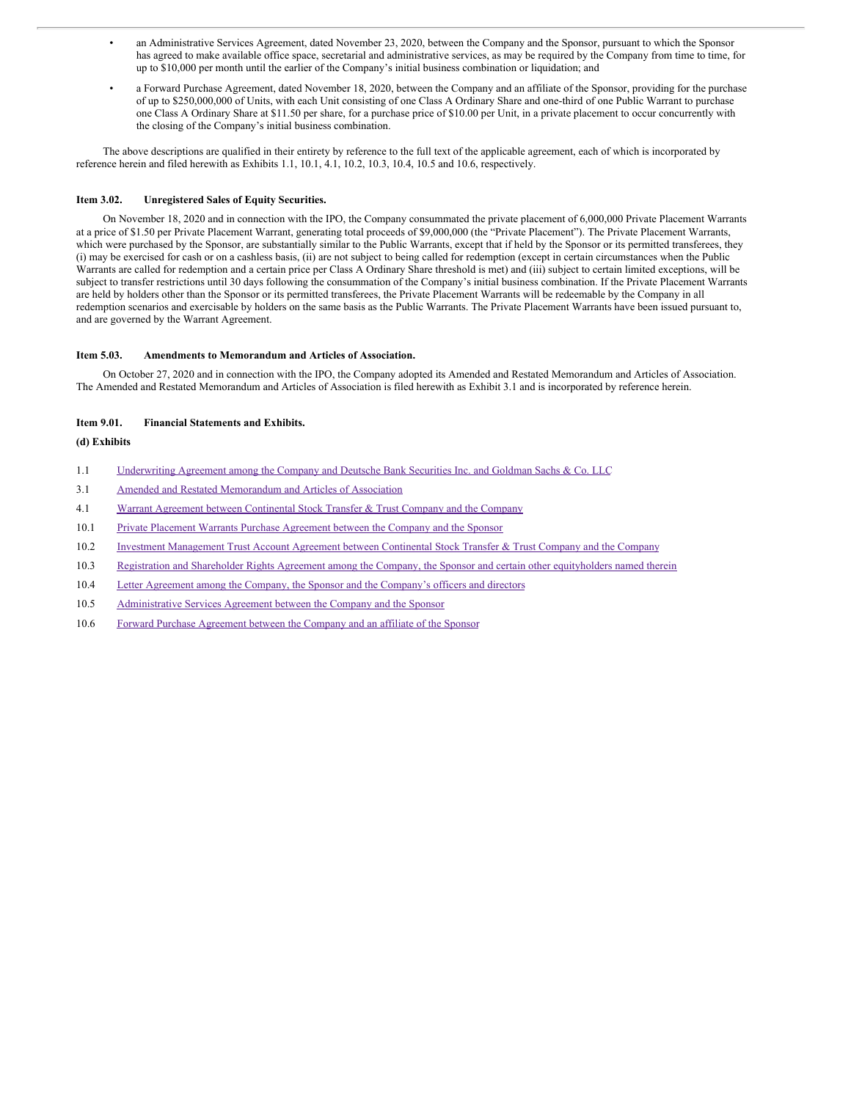- an Administrative Services Agreement, dated November 23, 2020, between the Company and the Sponsor, pursuant to which the Sponsor has agreed to make available office space, secretarial and administrative services, as may be required by the Company from time to time, for up to \$10,000 per month until the earlier of the Company's initial business combination or liquidation; and
- a Forward Purchase Agreement, dated November 18, 2020, between the Company and an affiliate of the Sponsor, providing for the purchase of up to \$250,000,000 of Units, with each Unit consisting of one Class A Ordinary Share and one-third of one Public Warrant to purchase one Class A Ordinary Share at \$11.50 per share, for a purchase price of \$10.00 per Unit, in a private placement to occur concurrently with the closing of the Company's initial business combination.

The above descriptions are qualified in their entirety by reference to the full text of the applicable agreement, each of which is incorporated by reference herein and filed herewith as Exhibits 1.1, 10.1, 4.1, 10.2, 10.3, 10.4, 10.5 and 10.6, respectively.

#### **Item 3.02. Unregistered Sales of Equity Securities.**

On November 18, 2020 and in connection with the IPO, the Company consummated the private placement of 6,000,000 Private Placement Warrants at a price of \$1.50 per Private Placement Warrant, generating total proceeds of \$9,000,000 (the "Private Placement"). The Private Placement Warrants, which were purchased by the Sponsor, are substantially similar to the Public Warrants, except that if held by the Sponsor or its permitted transferees, they (i) may be exercised for cash or on a cashless basis, (ii) are not subject to being called for redemption (except in certain circumstances when the Public Warrants are called for redemption and a certain price per Class A Ordinary Share threshold is met) and (iii) subject to certain limited exceptions, will be subject to transfer restrictions until 30 days following the consummation of the Company's initial business combination. If the Private Placement Warrants are held by holders other than the Sponsor or its permitted transferees, the Private Placement Warrants will be redeemable by the Company in all redemption scenarios and exercisable by holders on the same basis as the Public Warrants. The Private Placement Warrants have been issued pursuant to, and are governed by the Warrant Agreement.

#### **Item 5.03. Amendments to Memorandum and Articles of Association.**

On October 27, 2020 and in connection with the IPO, the Company adopted its Amended and Restated Memorandum and Articles of Association. The Amended and Restated Memorandum and Articles of Association is filed herewith as Exhibit 3.1 and is incorporated by reference herein.

#### **Item 9.01. Financial Statements and Exhibits.**

#### **(d) Exhibits**

- 1.1 [Underwriting](#page-25-0) Agreement among the Company and Deutsche Bank Securities Inc. and Goldman Sachs & Co. LLC
- 3.1 Amended and Restated [Memorandum](#page-66-0) and Articles of Association
- 4.1 Warrant Agreement between [Continental](#page-101-0) Stock Transfer & Trust Company and the Company
- 10.1 Private Placement Warrants Purchase [Agreement](#page-121-0) between the Company and the Sponsor
- 10.2 Investment [Management](#page-133-0) Trust Account Agreement between Continental Stock Transfer & Trust Company and the Company
- 10.3 Registration and Shareholder Rights Agreement among the Company, the Sponsor and certain other [equityholders](#page-152-0) named therein
- 10.4 Letter Agreement among the Company, the Sponsor and the [Company's](#page-171-0) officers and directors
- 10.5 [Administrative](#page-179-0) Services Agreement between the Company and the Sponsor
- 10.6 Forward Purchase [Agreement](#page-189-0) between the Company and an affiliate of the Sponsor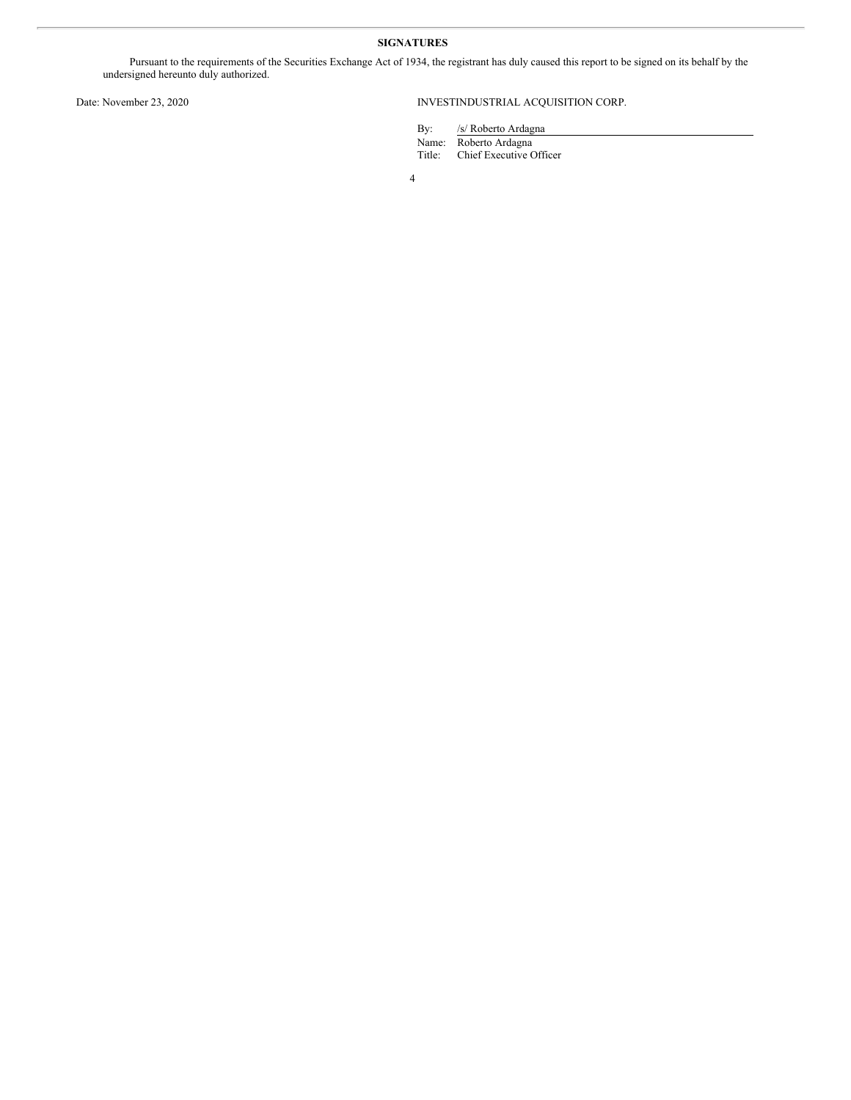## **SIGNATURES**

Pursuant to the requirements of the Securities Exchange Act of 1934, the registrant has duly caused this report to be signed on its behalf by the undersigned hereunto duly authorized.

## Date: November 23, 2020 INVESTINDUSTRIAL ACQUISITION CORP.

By: /s/ Roberto Ardagna

Name: Roberto Ardagna

Title: Chief Executive Officer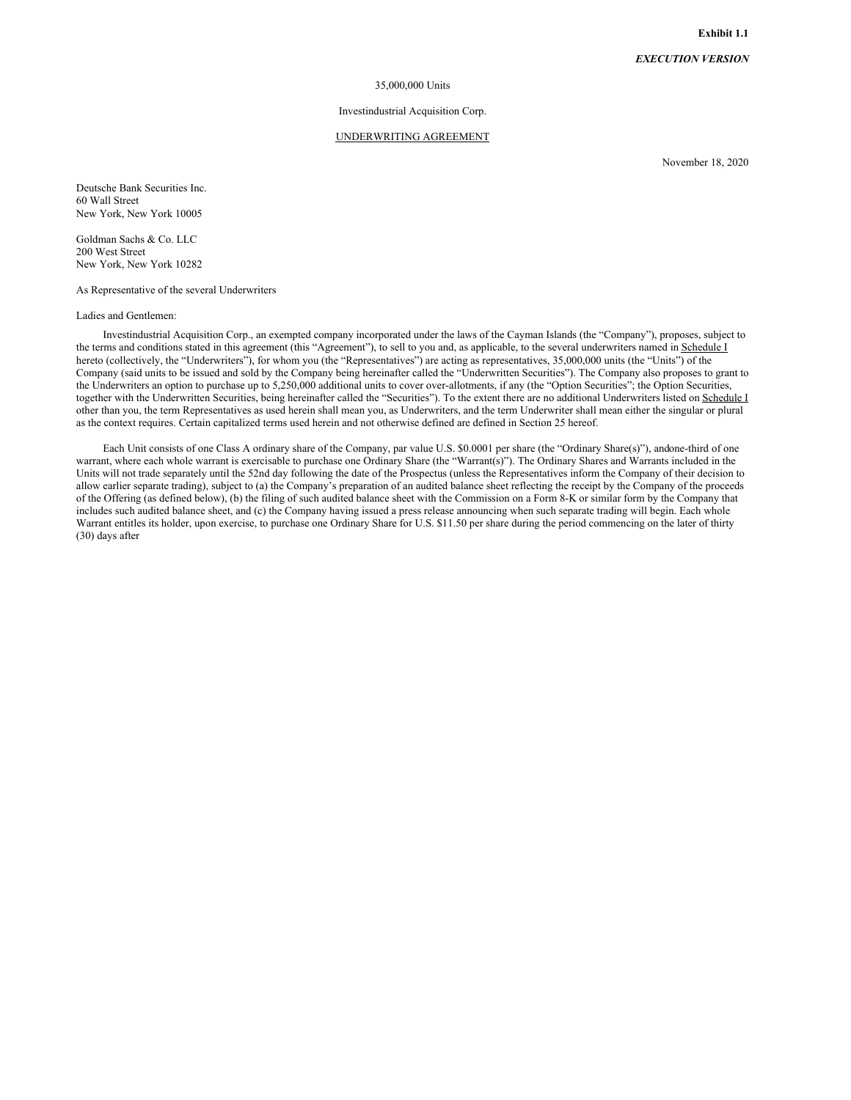#### *EXECUTION VERSION*

#### 35,000,000 Units

#### Investindustrial Acquisition Corp.

### UNDERWRITING AGREEMENT

November 18, 2020

Deutsche Bank Securities Inc. 60 Wall Street New York, New York 10005

Goldman Sachs & Co. LLC 200 West Street New York, New York 10282

As Representative of the several Underwriters

#### Ladies and Gentlemen:

Investindustrial Acquisition Corp., an exempted company incorporated under the laws of the Cayman Islands (the "Company"), proposes, subject to the terms and conditions stated in this agreement (this "Agreement"), to sell to you and, as applicable, to the several underwriters named in Schedule I hereto (collectively, the "Underwriters"), for whom you (the "Representatives") are acting as representatives, 35,000,000 units (the "Units") of the Company (said units to be issued and sold by the Company being hereinafter called the "Underwritten Securities"). The Company also proposes to grant to the Underwriters an option to purchase up to 5,250,000 additional units to cover over-allotments, if any (the "Option Securities"; the Option Securities, together with the Underwritten Securities, being hereinafter called the "Securities"). To the extent there are no additional Underwriters listed on Schedule I other than you, the term Representatives as used herein shall mean you, as Underwriters, and the term Underwriter shall mean either the singular or plural as the context requires. Certain capitalized terms used herein and not otherwise defined are defined in Section 25 hereof.

Each Unit consists of one Class A ordinary share of the Company, par value U.S. \$0.0001 per share (the "Ordinary Share(s)"), andone-third of one warrant, where each whole warrant is exercisable to purchase one Ordinary Share (the "Warrant(s)"). The Ordinary Shares and Warrants included in the Units will not trade separately until the 52nd day following the date of the Prospectus (unless the Representatives inform the Company of their decision to allow earlier separate trading), subject to (a) the Company's preparation of an audited balance sheet reflecting the receipt by the Company of the proceeds of the Offering (as defined below), (b) the filing of such audited balance sheet with the Commission on a Form 8-K or similar form by the Company that includes such audited balance sheet, and (c) the Company having issued a press release announcing when such separate trading will begin. Each whole Warrant entitles its holder, upon exercise, to purchase one Ordinary Share for U.S. \$11.50 per share during the period commencing on the later of thirty (30) days after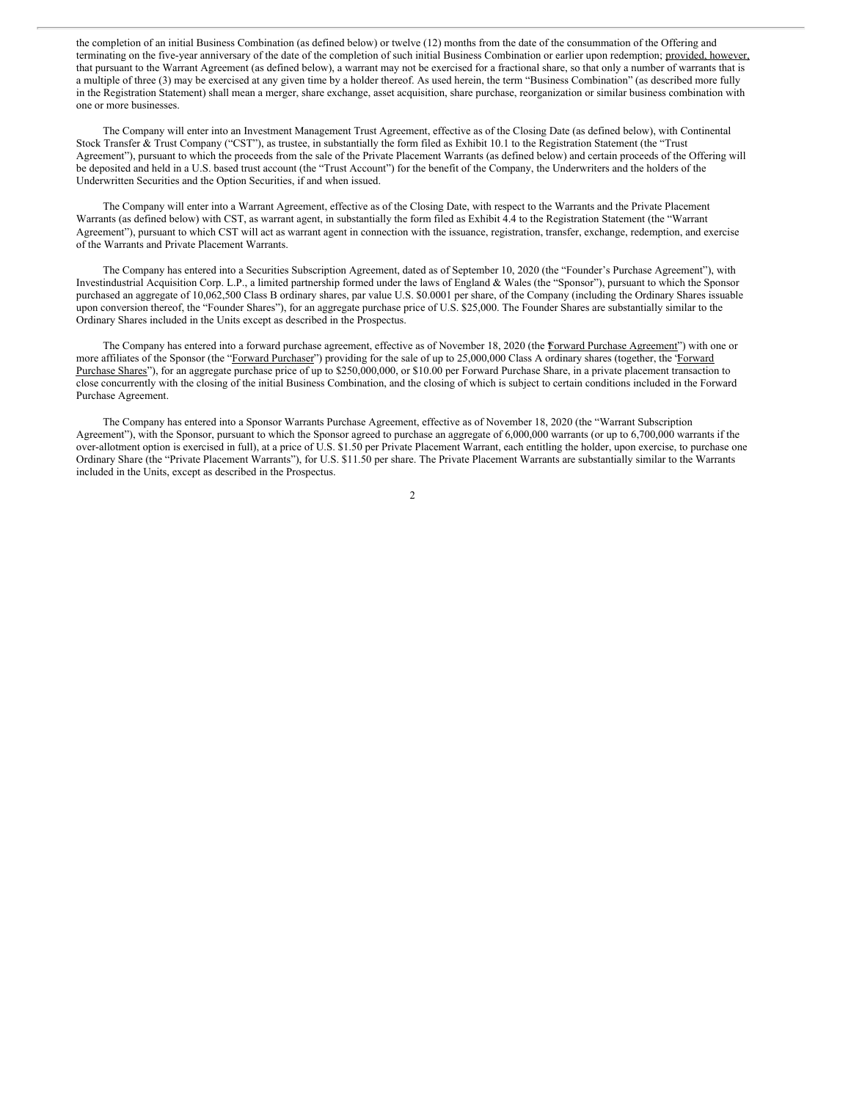the completion of an initial Business Combination (as defined below) or twelve (12) months from the date of the consummation of the Offering and terminating on the five-year anniversary of the date of the completion of such initial Business Combination or earlier upon redemption; provided, however, that pursuant to the Warrant Agreement (as defined below), a warrant may not be exercised for a fractional share, so that only a number of warrants that is a multiple of three (3) may be exercised at any given time by a holder thereof. As used herein, the term "Business Combination" (as described more fully in the Registration Statement) shall mean a merger, share exchange, asset acquisition, share purchase, reorganization or similar business combination with one or more businesses.

The Company will enter into an Investment Management Trust Agreement, effective as of the Closing Date (as defined below), with Continental Stock Transfer & Trust Company ("CST"), as trustee, in substantially the form filed as Exhibit 10.1 to the Registration Statement (the "Trust Agreement"), pursuant to which the proceeds from the sale of the Private Placement Warrants (as defined below) and certain proceeds of the Offering will be deposited and held in a U.S. based trust account (the "Trust Account") for the benefit of the Company, the Underwriters and the holders of the Underwritten Securities and the Option Securities, if and when issued.

The Company will enter into a Warrant Agreement, effective as of the Closing Date, with respect to the Warrants and the Private Placement Warrants (as defined below) with CST, as warrant agent, in substantially the form filed as Exhibit 4.4 to the Registration Statement (the "Warrant Agreement"), pursuant to which CST will act as warrant agent in connection with the issuance, registration, transfer, exchange, redemption, and exercise of the Warrants and Private Placement Warrants.

The Company has entered into a Securities Subscription Agreement, dated as of September 10, 2020 (the "Founder's Purchase Agreement"), with Investindustrial Acquisition Corp. L.P., a limited partnership formed under the laws of England & Wales (the "Sponsor"), pursuant to which the Sponsor purchased an aggregate of 10,062,500 Class B ordinary shares, par value U.S. \$0.0001 per share, of the Company (including the Ordinary Shares issuable upon conversion thereof, the "Founder Shares"), for an aggregate purchase price of U.S. \$25,000. The Founder Shares are substantially similar to the Ordinary Shares included in the Units except as described in the Prospectus.

The Company has entered into a forward purchase agreement, effective as of November 18, 2020 (the Forward Purchase Agreement") with one or more affiliates of the Sponsor (the "Forward Purchaser") providing for the sale of up to 25,000,000 Class A ordinary shares (together, the "Forward Purchase Shares"), for an aggregate purchase price of up to \$250,000,000, or \$10.00 per Forward Purchase Share, in a private placement transaction to close concurrently with the closing of the initial Business Combination, and the closing of which is subject to certain conditions included in the Forward Purchase Agreement.

The Company has entered into a Sponsor Warrants Purchase Agreement, effective as of November 18, 2020 (the "Warrant Subscription Agreement"), with the Sponsor, pursuant to which the Sponsor agreed to purchase an aggregate of 6,000,000 warrants (or up to 6,700,000 warrants if the over-allotment option is exercised in full), at a price of U.S. \$1.50 per Private Placement Warrant, each entitling the holder, upon exercise, to purchase one Ordinary Share (the "Private Placement Warrants"), for U.S. \$11.50 per share. The Private Placement Warrants are substantially similar to the Warrants included in the Units, except as described in the Prospectus.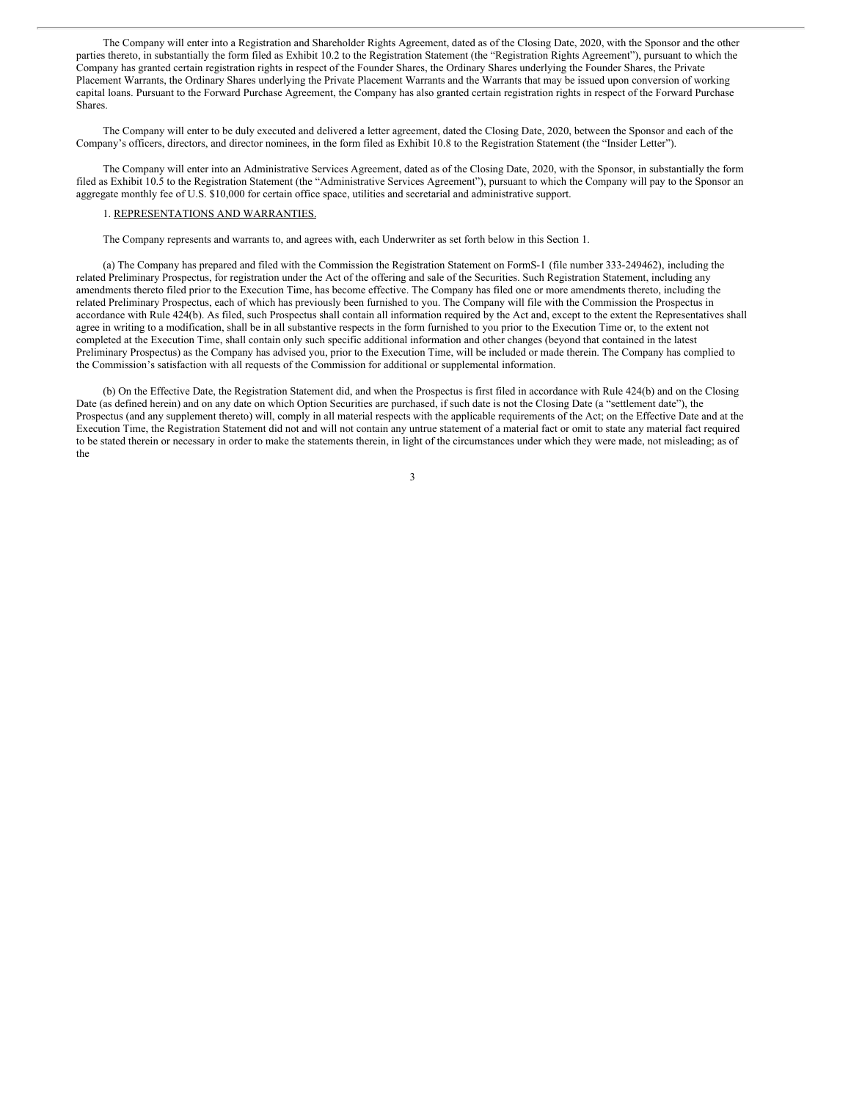The Company will enter into a Registration and Shareholder Rights Agreement, dated as of the Closing Date, 2020, with the Sponsor and the other parties thereto, in substantially the form filed as Exhibit 10.2 to the Registration Statement (the "Registration Rights Agreement"), pursuant to which the Company has granted certain registration rights in respect of the Founder Shares, the Ordinary Shares underlying the Founder Shares, the Private Placement Warrants, the Ordinary Shares underlying the Private Placement Warrants and the Warrants that may be issued upon conversion of working capital loans. Pursuant to the Forward Purchase Agreement, the Company has also granted certain registration rights in respect of the Forward Purchase Shares.

The Company will enter to be duly executed and delivered a letter agreement, dated the Closing Date, 2020, between the Sponsor and each of the Company's officers, directors, and director nominees, in the form filed as Exhibit 10.8 to the Registration Statement (the "Insider Letter").

The Company will enter into an Administrative Services Agreement, dated as of the Closing Date, 2020, with the Sponsor, in substantially the form filed as Exhibit 10.5 to the Registration Statement (the "Administrative Services Agreement"), pursuant to which the Company will pay to the Sponsor an aggregate monthly fee of U.S. \$10,000 for certain office space, utilities and secretarial and administrative support.

#### 1. REPRESENTATIONS AND WARRANTIES.

The Company represents and warrants to, and agrees with, each Underwriter as set forth below in this Section 1.

(a) The Company has prepared and filed with the Commission the Registration Statement on FormS-1 (file number 333-249462), including the related Preliminary Prospectus, for registration under the Act of the offering and sale of the Securities. Such Registration Statement, including any amendments thereto filed prior to the Execution Time, has become effective. The Company has filed one or more amendments thereto, including the related Preliminary Prospectus, each of which has previously been furnished to you. The Company will file with the Commission the Prospectus in accordance with Rule 424(b). As filed, such Prospectus shall contain all information required by the Act and, except to the extent the Representatives shall agree in writing to a modification, shall be in all substantive respects in the form furnished to you prior to the Execution Time or, to the extent not completed at the Execution Time, shall contain only such specific additional information and other changes (beyond that contained in the latest Preliminary Prospectus) as the Company has advised you, prior to the Execution Time, will be included or made therein. The Company has complied to the Commission's satisfaction with all requests of the Commission for additional or supplemental information.

(b) On the Effective Date, the Registration Statement did, and when the Prospectus is first filed in accordance with Rule 424(b) and on the Closing Date (as defined herein) and on any date on which Option Securities are purchased, if such date is not the Closing Date (a "settlement date"), the Prospectus (and any supplement thereto) will, comply in all material respects with the applicable requirements of the Act; on the Effective Date and at the Execution Time, the Registration Statement did not and will not contain any untrue statement of a material fact or omit to state any material fact required to be stated therein or necessary in order to make the statements therein, in light of the circumstances under which they were made, not misleading; as of the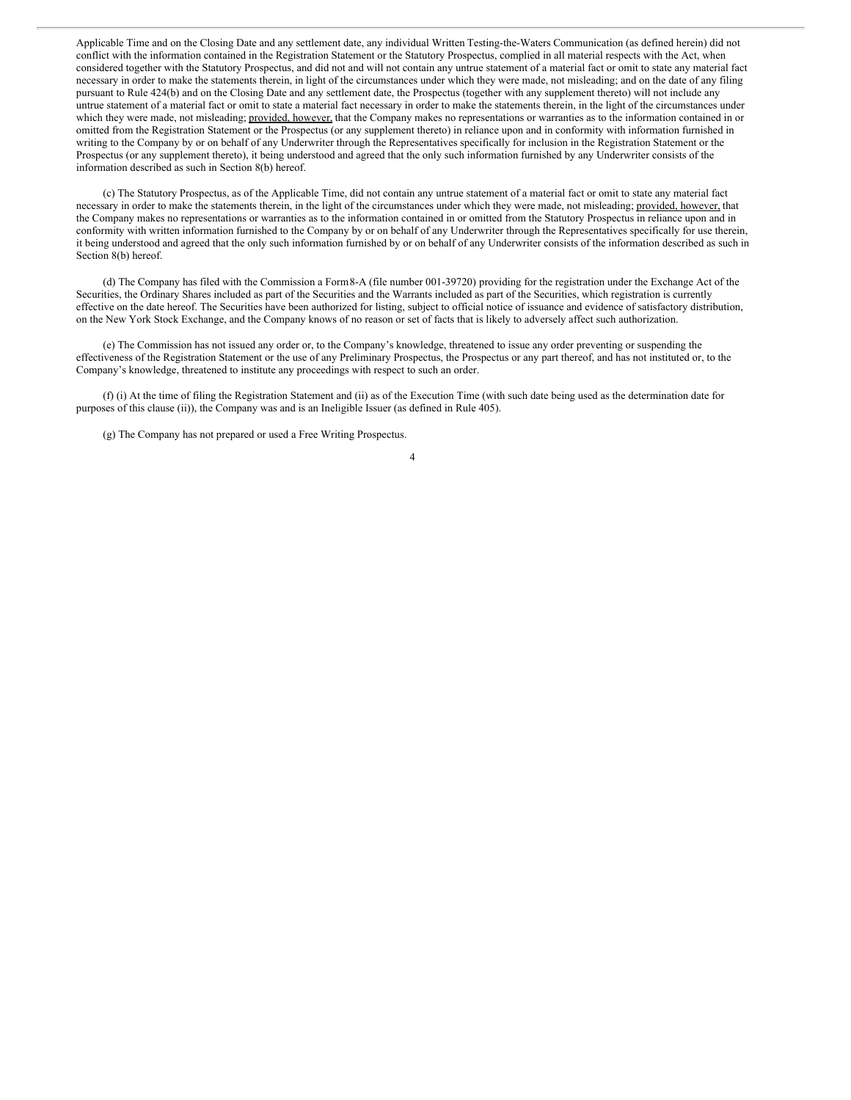Applicable Time and on the Closing Date and any settlement date, any individual Written Testing-the-Waters Communication (as defined herein) did not conflict with the information contained in the Registration Statement or the Statutory Prospectus, complied in all material respects with the Act, when considered together with the Statutory Prospectus, and did not and will not contain any untrue statement of a material fact or omit to state any material fact necessary in order to make the statements therein, in light of the circumstances under which they were made, not misleading; and on the date of any filing pursuant to Rule 424(b) and on the Closing Date and any settlement date, the Prospectus (together with any supplement thereto) will not include any untrue statement of a material fact or omit to state a material fact necessary in order to make the statements therein, in the light of the circumstances under which they were made, not misleading; provided, however, that the Company makes no representations or warranties as to the information contained in or omitted from the Registration Statement or the Prospectus (or any supplement thereto) in reliance upon and in conformity with information furnished in writing to the Company by or on behalf of any Underwriter through the Representatives specifically for inclusion in the Registration Statement or the Prospectus (or any supplement thereto), it being understood and agreed that the only such information furnished by any Underwriter consists of the information described as such in Section 8(b) hereof.

(c) The Statutory Prospectus, as of the Applicable Time, did not contain any untrue statement of a material fact or omit to state any material fact necessary in order to make the statements therein, in the light of the circumstances under which they were made, not misleading; provided, however, that the Company makes no representations or warranties as to the information contained in or omitted from the Statutory Prospectus in reliance upon and in conformity with written information furnished to the Company by or on behalf of any Underwriter through the Representatives specifically for use therein, it being understood and agreed that the only such information furnished by or on behalf of any Underwriter consists of the information described as such in Section 8(b) hereof.

(d) The Company has filed with the Commission a Form8-A (file number 001-39720) providing for the registration under the Exchange Act of the Securities, the Ordinary Shares included as part of the Securities and the Warrants included as part of the Securities, which registration is currently effective on the date hereof. The Securities have been authorized for listing, subject to official notice of issuance and evidence of satisfactory distribution, on the New York Stock Exchange, and the Company knows of no reason or set of facts that is likely to adversely affect such authorization.

(e) The Commission has not issued any order or, to the Company's knowledge, threatened to issue any order preventing or suspending the effectiveness of the Registration Statement or the use of any Preliminary Prospectus, the Prospectus or any part thereof, and has not instituted or, to the Company's knowledge, threatened to institute any proceedings with respect to such an order.

(f) (i) At the time of filing the Registration Statement and (ii) as of the Execution Time (with such date being used as the determination date for purposes of this clause (ii)), the Company was and is an Ineligible Issuer (as defined in Rule 405).

(g) The Company has not prepared or used a Free Writing Prospectus.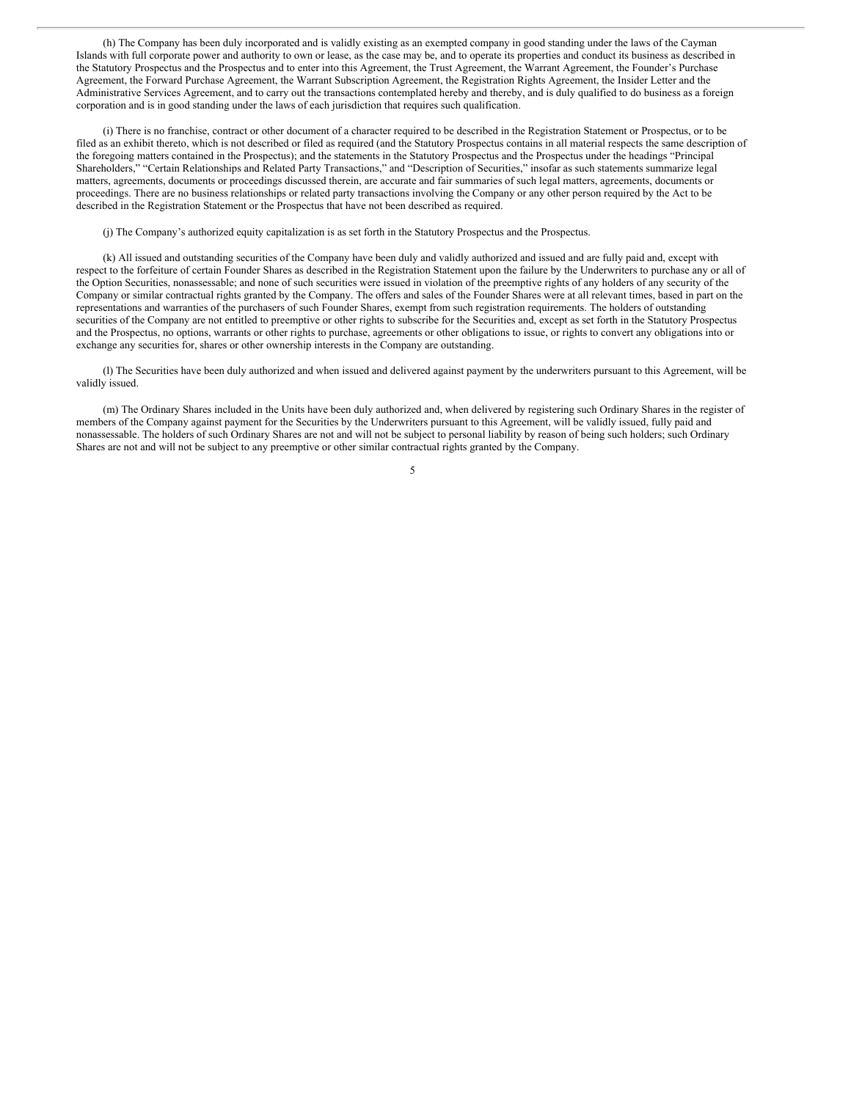(h) The Company has been duly incorporated and is validly existing as an exempted company in good standing under the laws of the Cayman Islands with full corporate power and authority to own or lease, as the case may be, and to operate its properties and conduct its business as described in the Statutory Prospectus and the Prospectus and to enter into this Agreement, the Trust Agreement, the Warrant Agreement, the Founder's Purchase Agreement, the Forward Purchase Agreement, the Warrant Subscription Agreement, the Registration Rights Agreement, the Insider Letter and the Administrative Services Agreement, and to carry out the transactions contemplated hereby and thereby, and is duly qualified to do business as a foreign corporation and is in good standing under the laws of each jurisdiction that requires such qualification.

(i) There is no franchise, contract or other document of a character required to be described in the Registration Statement or Prospectus, or to be filed as an exhibit thereto, which is not described or filed as required (and the Statutory Prospectus contains in all material respects the same description of the foregoing matters contained in the Prospectus); and the statements in the Statutory Prospectus and the Prospectus under the headings "Principal Shareholders," "Certain Relationships and Related Party Transactions," and "Description of Securities," insofar as such statements summarize legal matters, agreements, documents or proceedings discussed therein, are accurate and fair summaries of such legal matters, agreements, documents or proceedings. There are no business relationships or related party transactions involving the Company or any other person required by the Act to be described in the Registration Statement or the Prospectus that have not been described as required.

(j) The Company's authorized equity capitalization is as set forth in the Statutory Prospectus and the Prospectus.

(k) All issued and outstanding securities of the Company have been duly and validly authorized and issued and are fully paid and, except with respect to the forfeiture of certain Founder Shares as described in the Registration Statement upon the failure by the Underwriters to purchase any or all of the Option Securities, nonassessable; and none of such securities were issued in violation of the preemptive rights of any holders of any security of the Company or similar contractual rights granted by the Company. The offers and sales of the Founder Shares were at all relevant times, based in part on the representations and warranties of the purchasers of such Founder Shares, exempt from such registration requirements. The holders of outstanding securities of the Company are not entitled to preemptive or other rights to subscribe for the Securities and, except as set forth in the Statutory Prospectus and the Prospectus, no options, warrants or other rights to purchase, agreements or other obligations to issue, or rights to convert any obligations into or exchange any securities for, shares or other ownership interests in the Company are outstanding.

(l) The Securities have been duly authorized and when issued and delivered against payment by the underwriters pursuant to this Agreement, will be validly issued.

(m) The Ordinary Shares included in the Units have been duly authorized and, when delivered by registering such Ordinary Shares in the register of members of the Company against payment for the Securities by the Underwriters pursuant to this Agreement, will be validly issued, fully paid and nonassessable. The holders of such Ordinary Shares are not and will not be subject to personal liability by reason of being such holders; such Ordinary Shares are not and will not be subject to any preemptive or other similar contractual rights granted by the Company.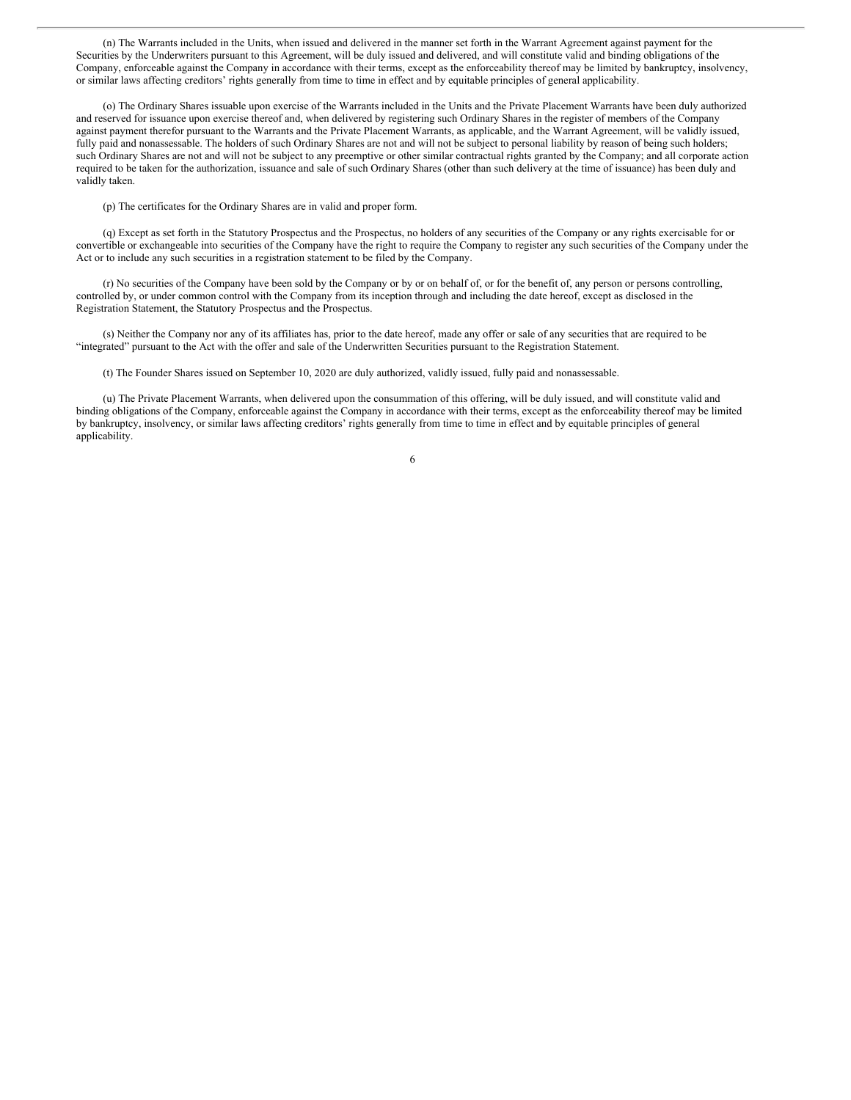(n) The Warrants included in the Units, when issued and delivered in the manner set forth in the Warrant Agreement against payment for the Securities by the Underwriters pursuant to this Agreement, will be duly issued and delivered, and will constitute valid and binding obligations of the Company, enforceable against the Company in accordance with their terms, except as the enforceability thereof may be limited by bankruptcy, insolvency, or similar laws affecting creditors' rights generally from time to time in effect and by equitable principles of general applicability.

(o) The Ordinary Shares issuable upon exercise of the Warrants included in the Units and the Private Placement Warrants have been duly authorized and reserved for issuance upon exercise thereof and, when delivered by registering such Ordinary Shares in the register of members of the Company against payment therefor pursuant to the Warrants and the Private Placement Warrants, as applicable, and the Warrant Agreement, will be validly issued, fully paid and nonassessable. The holders of such Ordinary Shares are not and will not be subject to personal liability by reason of being such holders; such Ordinary Shares are not and will not be subject to any preemptive or other similar contractual rights granted by the Company; and all corporate action required to be taken for the authorization, issuance and sale of such Ordinary Shares (other than such delivery at the time of issuance) has been duly and validly taken.

(p) The certificates for the Ordinary Shares are in valid and proper form.

(q) Except as set forth in the Statutory Prospectus and the Prospectus, no holders of any securities of the Company or any rights exercisable for or convertible or exchangeable into securities of the Company have the right to require the Company to register any such securities of the Company under the Act or to include any such securities in a registration statement to be filed by the Company.

(r) No securities of the Company have been sold by the Company or by or on behalf of, or for the benefit of, any person or persons controlling, controlled by, or under common control with the Company from its inception through and including the date hereof, except as disclosed in the Registration Statement, the Statutory Prospectus and the Prospectus.

(s) Neither the Company nor any of its affiliates has, prior to the date hereof, made any offer or sale of any securities that are required to be "integrated" pursuant to the Act with the offer and sale of the Underwritten Securities pursuant to the Registration Statement.

(t) The Founder Shares issued on September 10, 2020 are duly authorized, validly issued, fully paid and nonassessable.

(u) The Private Placement Warrants, when delivered upon the consummation of this offering, will be duly issued, and will constitute valid and binding obligations of the Company, enforceable against the Company in accordance with their terms, except as the enforceability thereof may be limited by bankruptcy, insolvency, or similar laws affecting creditors' rights generally from time to time in effect and by equitable principles of general applicability.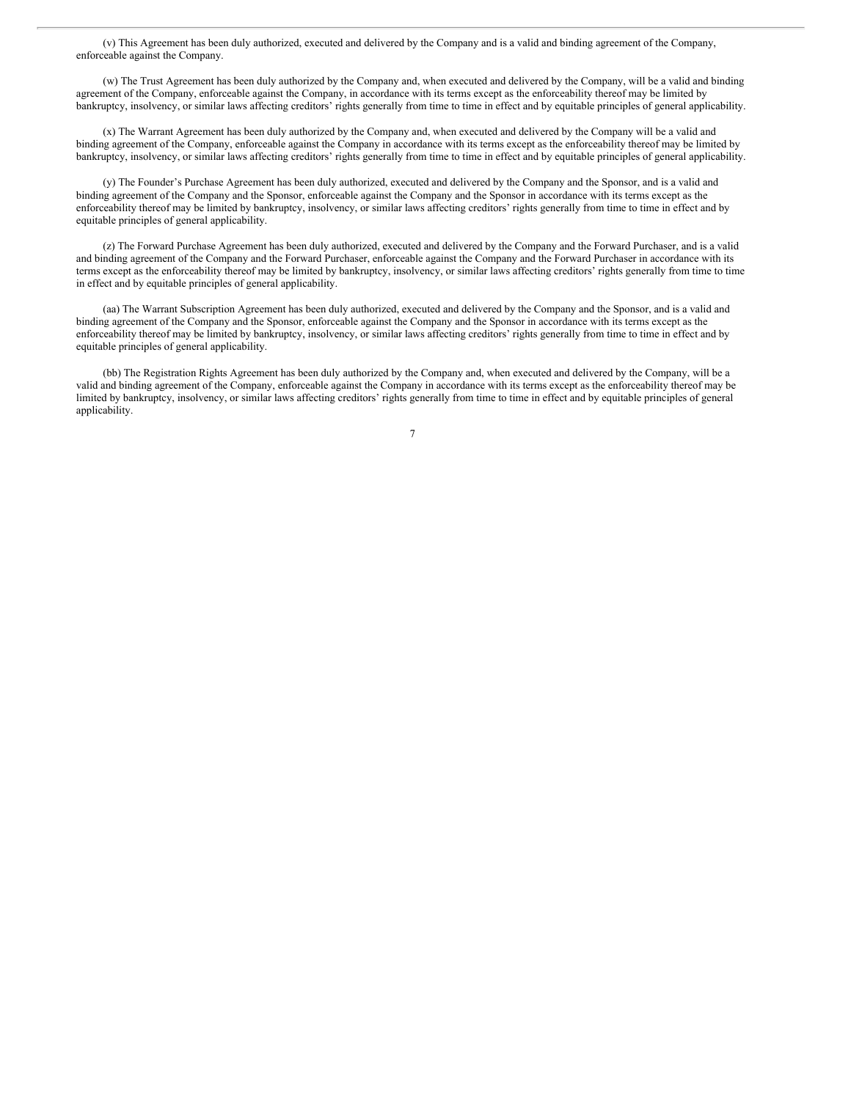(v) This Agreement has been duly authorized, executed and delivered by the Company and is a valid and binding agreement of the Company, enforceable against the Company.

(w) The Trust Agreement has been duly authorized by the Company and, when executed and delivered by the Company, will be a valid and binding agreement of the Company, enforceable against the Company, in accordance with its terms except as the enforceability thereof may be limited by bankruptcy, insolvency, or similar laws affecting creditors' rights generally from time to time in effect and by equitable principles of general applicability.

(x) The Warrant Agreement has been duly authorized by the Company and, when executed and delivered by the Company will be a valid and binding agreement of the Company, enforceable against the Company in accordance with its terms except as the enforceability thereof may be limited by bankruptcy, insolvency, or similar laws affecting creditors' rights generally from time to time in effect and by equitable principles of general applicability.

(y) The Founder's Purchase Agreement has been duly authorized, executed and delivered by the Company and the Sponsor, and is a valid and binding agreement of the Company and the Sponsor, enforceable against the Company and the Sponsor in accordance with its terms except as the enforceability thereof may be limited by bankruptcy, insolvency, or similar laws affecting creditors' rights generally from time to time in effect and by equitable principles of general applicability.

(z) The Forward Purchase Agreement has been duly authorized, executed and delivered by the Company and the Forward Purchaser, and is a valid and binding agreement of the Company and the Forward Purchaser, enforceable against the Company and the Forward Purchaser in accordance with its terms except as the enforceability thereof may be limited by bankruptcy, insolvency, or similar laws affecting creditors' rights generally from time to time in effect and by equitable principles of general applicability.

(aa) The Warrant Subscription Agreement has been duly authorized, executed and delivered by the Company and the Sponsor, and is a valid and binding agreement of the Company and the Sponsor, enforceable against the Company and the Sponsor in accordance with its terms except as the enforceability thereof may be limited by bankruptcy, insolvency, or similar laws affecting creditors' rights generally from time to time in effect and by equitable principles of general applicability.

(bb) The Registration Rights Agreement has been duly authorized by the Company and, when executed and delivered by the Company, will be a valid and binding agreement of the Company, enforceable against the Company in accordance with its terms except as the enforceability thereof may be limited by bankruptcy, insolvency, or similar laws affecting creditors' rights generally from time to time in effect and by equitable principles of general applicability.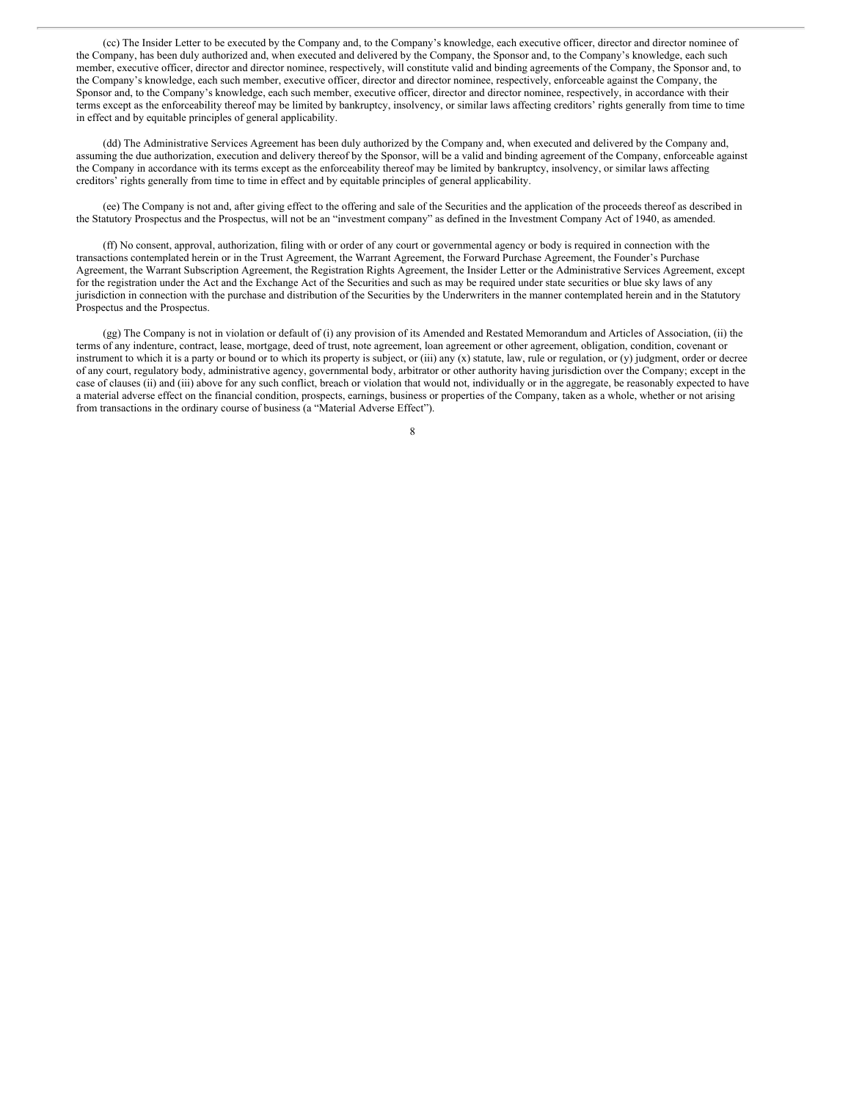(cc) The Insider Letter to be executed by the Company and, to the Company's knowledge, each executive officer, director and director nominee of the Company, has been duly authorized and, when executed and delivered by the Company, the Sponsor and, to the Company's knowledge, each such member, executive officer, director and director nominee, respectively, will constitute valid and binding agreements of the Company, the Sponsor and, to the Company's knowledge, each such member, executive officer, director and director nominee, respectively, enforceable against the Company, the Sponsor and, to the Company's knowledge, each such member, executive officer, director and director nominee, respectively, in accordance with their terms except as the enforceability thereof may be limited by bankruptcy, insolvency, or similar laws affecting creditors' rights generally from time to time in effect and by equitable principles of general applicability.

(dd) The Administrative Services Agreement has been duly authorized by the Company and, when executed and delivered by the Company and, assuming the due authorization, execution and delivery thereof by the Sponsor, will be a valid and binding agreement of the Company, enforceable against the Company in accordance with its terms except as the enforceability thereof may be limited by bankruptcy, insolvency, or similar laws affecting creditors' rights generally from time to time in effect and by equitable principles of general applicability.

(ee) The Company is not and, after giving effect to the offering and sale of the Securities and the application of the proceeds thereof as described in the Statutory Prospectus and the Prospectus, will not be an "investment company" as defined in the Investment Company Act of 1940, as amended.

(ff) No consent, approval, authorization, filing with or order of any court or governmental agency or body is required in connection with the transactions contemplated herein or in the Trust Agreement, the Warrant Agreement, the Forward Purchase Agreement, the Founder's Purchase Agreement, the Warrant Subscription Agreement, the Registration Rights Agreement, the Insider Letter or the Administrative Services Agreement, except for the registration under the Act and the Exchange Act of the Securities and such as may be required under state securities or blue sky laws of any jurisdiction in connection with the purchase and distribution of the Securities by the Underwriters in the manner contemplated herein and in the Statutory Prospectus and the Prospectus.

(gg) The Company is not in violation or default of (i) any provision of its Amended and Restated Memorandum and Articles of Association, (ii) the terms of any indenture, contract, lease, mortgage, deed of trust, note agreement, loan agreement or other agreement, obligation, condition, covenant or instrument to which it is a party or bound or to which its property is subject, or (iii) any (x) statute, law, rule or regulation, or (y) judgment, order or decree of any court, regulatory body, administrative agency, governmental body, arbitrator or other authority having jurisdiction over the Company; except in the case of clauses (ii) and (iii) above for any such conflict, breach or violation that would not, individually or in the aggregate, be reasonably expected to have a material adverse effect on the financial condition, prospects, earnings, business or properties of the Company, taken as a whole, whether or not arising from transactions in the ordinary course of business (a "Material Adverse Effect").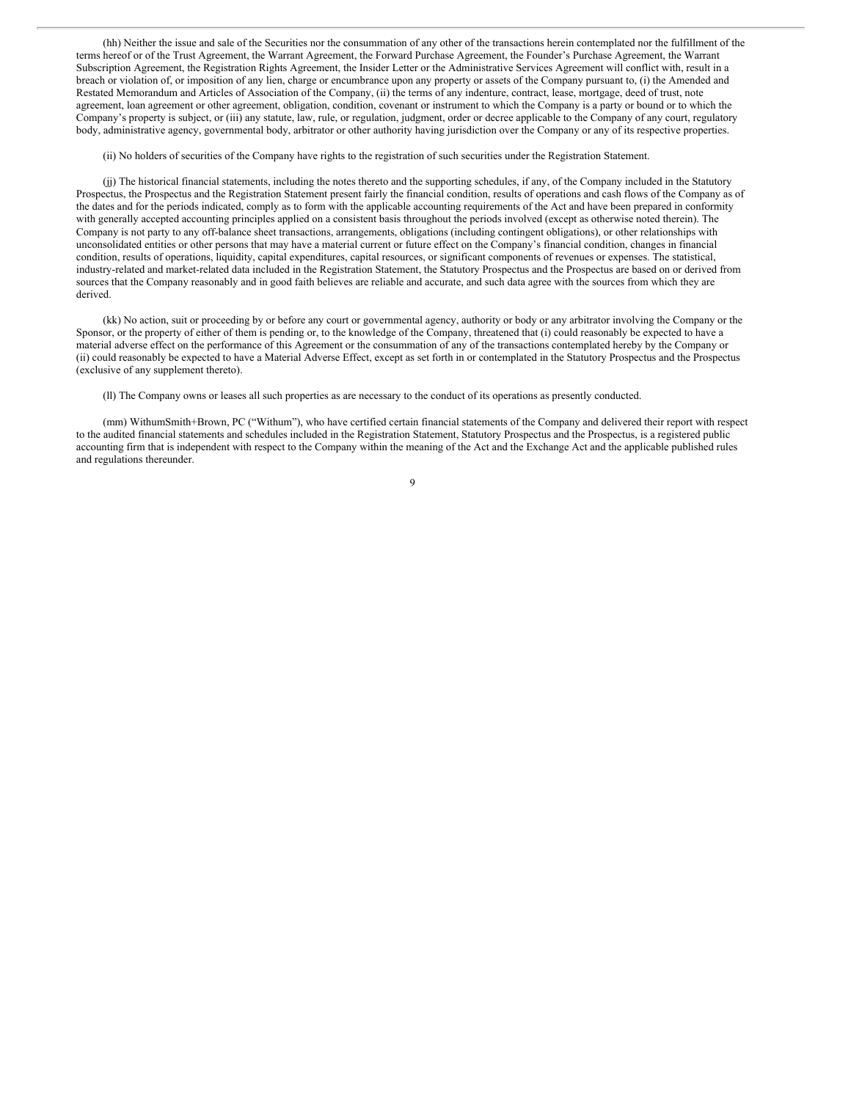(hh) Neither the issue and sale of the Securities nor the consummation of any other of the transactions herein contemplated nor the fulfillment of the terms hereof or of the Trust Agreement, the Warrant Agreement, the Forward Purchase Agreement, the Founder's Purchase Agreement, the Warrant Subscription Agreement, the Registration Rights Agreement, the Insider Letter or the Administrative Services Agreement will conflict with, result in a breach or violation of, or imposition of any lien, charge or encumbrance upon any property or assets of the Company pursuant to, (i) the Amended and Restated Memorandum and Articles of Association of the Company, (ii) the terms of any indenture, contract, lease, mortgage, deed of trust, note agreement, loan agreement or other agreement, obligation, condition, covenant or instrument to which the Company is a party or bound or to which the Company's property is subject, or (iii) any statute, law, rule, or regulation, judgment, order or decree applicable to the Company of any court, regulatory body, administrative agency, governmental body, arbitrator or other authority having jurisdiction over the Company or any of its respective properties.

(ii) No holders of securities of the Company have rights to the registration of such securities under the Registration Statement.

(jj) The historical financial statements, including the notes thereto and the supporting schedules, if any, of the Company included in the Statutory Prospectus, the Prospectus and the Registration Statement present fairly the financial condition, results of operations and cash flows of the Company as of the dates and for the periods indicated, comply as to form with the applicable accounting requirements of the Act and have been prepared in conformity with generally accepted accounting principles applied on a consistent basis throughout the periods involved (except as otherwise noted therein). The Company is not party to any off-balance sheet transactions, arrangements, obligations (including contingent obligations), or other relationships with unconsolidated entities or other persons that may have a material current or future effect on the Company's financial condition, changes in financial condition, results of operations, liquidity, capital expenditures, capital resources, or significant components of revenues or expenses. The statistical, industry-related and market-related data included in the Registration Statement, the Statutory Prospectus and the Prospectus are based on or derived from sources that the Company reasonably and in good faith believes are reliable and accurate, and such data agree with the sources from which they are derived.

(kk) No action, suit or proceeding by or before any court or governmental agency, authority or body or any arbitrator involving the Company or the Sponsor, or the property of either of them is pending or, to the knowledge of the Company, threatened that (i) could reasonably be expected to have a material adverse effect on the performance of this Agreement or the consummation of any of the transactions contemplated hereby by the Company or (ii) could reasonably be expected to have a Material Adverse Effect, except as set forth in or contemplated in the Statutory Prospectus and the Prospectus (exclusive of any supplement thereto).

(ll) The Company owns or leases all such properties as are necessary to the conduct of its operations as presently conducted.

(mm) WithumSmith+Brown, PC ("Withum"), who have certified certain financial statements of the Company and delivered their report with respect to the audited financial statements and schedules included in the Registration Statement, Statutory Prospectus and the Prospectus, is a registered public accounting firm that is independent with respect to the Company within the meaning of the Act and the Exchange Act and the applicable published rules and regulations thereunder.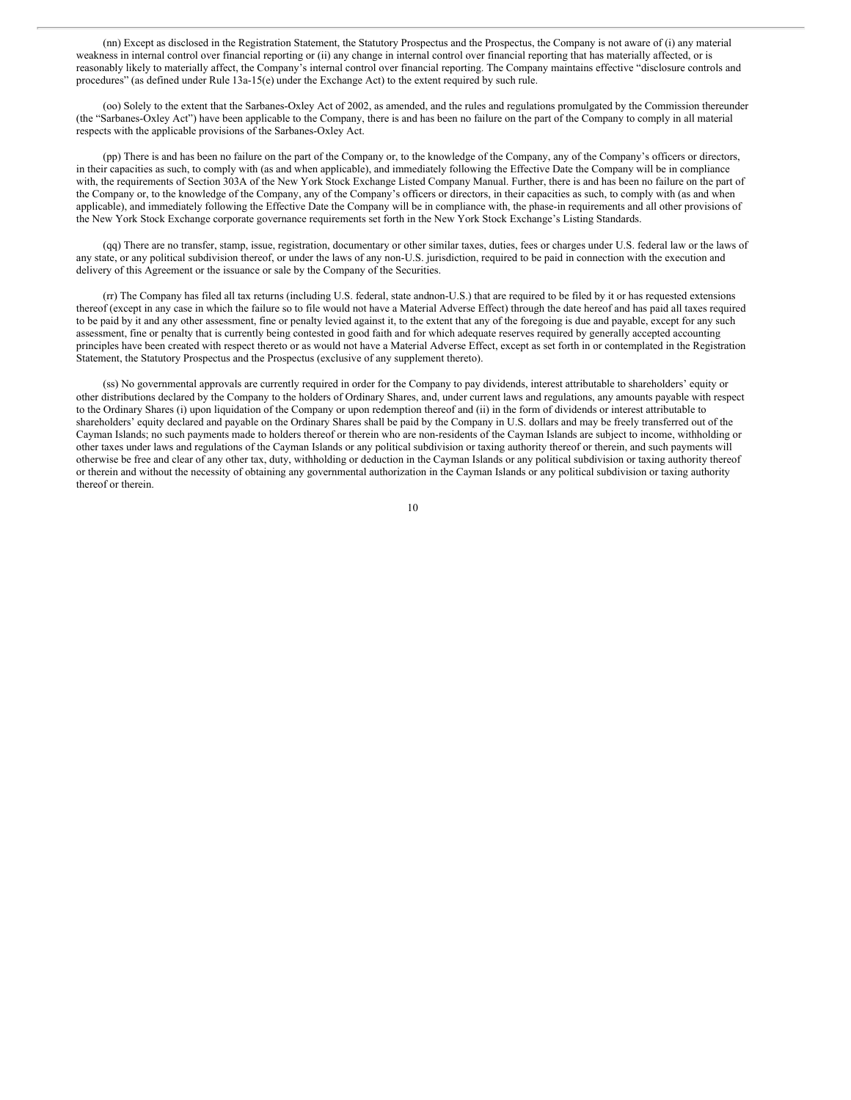(nn) Except as disclosed in the Registration Statement, the Statutory Prospectus and the Prospectus, the Company is not aware of (i) any material weakness in internal control over financial reporting or (ii) any change in internal control over financial reporting that has materially affected, or is reasonably likely to materially affect, the Company's internal control over financial reporting. The Company maintains effective "disclosure controls and procedures" (as defined under Rule 13a-15(e) under the Exchange Act) to the extent required by such rule.

(oo) Solely to the extent that the Sarbanes-Oxley Act of 2002, as amended, and the rules and regulations promulgated by the Commission thereunder (the "Sarbanes-Oxley Act") have been applicable to the Company, there is and has been no failure on the part of the Company to comply in all material respects with the applicable provisions of the Sarbanes-Oxley Act.

(pp) There is and has been no failure on the part of the Company or, to the knowledge of the Company, any of the Company's officers or directors, in their capacities as such, to comply with (as and when applicable), and immediately following the Effective Date the Company will be in compliance with, the requirements of Section 303A of the New York Stock Exchange Listed Company Manual. Further, there is and has been no failure on the part of the Company or, to the knowledge of the Company, any of the Company's officers or directors, in their capacities as such, to comply with (as and when applicable), and immediately following the Effective Date the Company will be in compliance with, the phase-in requirements and all other provisions of the New York Stock Exchange corporate governance requirements set forth in the New York Stock Exchange's Listing Standards.

(qq) There are no transfer, stamp, issue, registration, documentary or other similar taxes, duties, fees or charges under U.S. federal law or the laws of any state, or any political subdivision thereof, or under the laws of any non-U.S. jurisdiction, required to be paid in connection with the execution and delivery of this Agreement or the issuance or sale by the Company of the Securities.

(rr) The Company has filed all tax returns (including U.S. federal, state andnon-U.S.) that are required to be filed by it or has requested extensions thereof (except in any case in which the failure so to file would not have a Material Adverse Effect) through the date hereof and has paid all taxes required to be paid by it and any other assessment, fine or penalty levied against it, to the extent that any of the foregoing is due and payable, except for any such assessment, fine or penalty that is currently being contested in good faith and for which adequate reserves required by generally accepted accounting principles have been created with respect thereto or as would not have a Material Adverse Effect, except as set forth in or contemplated in the Registration Statement, the Statutory Prospectus and the Prospectus (exclusive of any supplement thereto).

(ss) No governmental approvals are currently required in order for the Company to pay dividends, interest attributable to shareholders' equity or other distributions declared by the Company to the holders of Ordinary Shares, and, under current laws and regulations, any amounts payable with respect to the Ordinary Shares (i) upon liquidation of the Company or upon redemption thereof and (ii) in the form of dividends or interest attributable to shareholders' equity declared and payable on the Ordinary Shares shall be paid by the Company in U.S. dollars and may be freely transferred out of the Cayman Islands; no such payments made to holders thereof or therein who are non-residents of the Cayman Islands are subject to income, withholding or other taxes under laws and regulations of the Cayman Islands or any political subdivision or taxing authority thereof or therein, and such payments will otherwise be free and clear of any other tax, duty, withholding or deduction in the Cayman Islands or any political subdivision or taxing authority thereof or therein and without the necessity of obtaining any governmental authorization in the Cayman Islands or any political subdivision or taxing authority thereof or therein.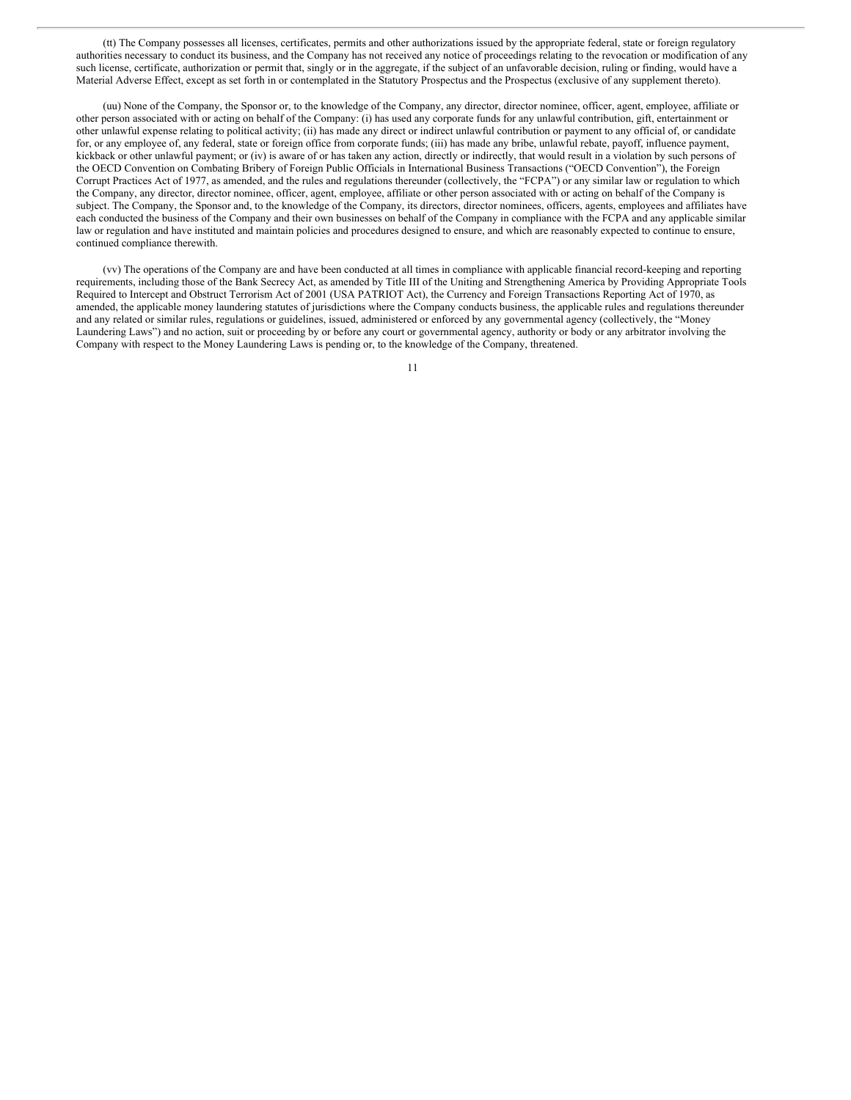(tt) The Company possesses all licenses, certificates, permits and other authorizations issued by the appropriate federal, state or foreign regulatory authorities necessary to conduct its business, and the Company has not received any notice of proceedings relating to the revocation or modification of any such license, certificate, authorization or permit that, singly or in the aggregate, if the subject of an unfavorable decision, ruling or finding, would have a Material Adverse Effect, except as set forth in or contemplated in the Statutory Prospectus and the Prospectus (exclusive of any supplement thereto).

(uu) None of the Company, the Sponsor or, to the knowledge of the Company, any director, director nominee, officer, agent, employee, affiliate or other person associated with or acting on behalf of the Company: (i) has used any corporate funds for any unlawful contribution, gift, entertainment or other unlawful expense relating to political activity; (ii) has made any direct or indirect unlawful contribution or payment to any official of, or candidate for, or any employee of, any federal, state or foreign office from corporate funds; (iii) has made any bribe, unlawful rebate, payoff, influence payment, kickback or other unlawful payment; or (iv) is aware of or has taken any action, directly or indirectly, that would result in a violation by such persons of the OECD Convention on Combating Bribery of Foreign Public Officials in International Business Transactions ("OECD Convention"), the Foreign Corrupt Practices Act of 1977, as amended, and the rules and regulations thereunder (collectively, the "FCPA") or any similar law or regulation to which the Company, any director, director nominee, officer, agent, employee, affiliate or other person associated with or acting on behalf of the Company is subject. The Company, the Sponsor and, to the knowledge of the Company, its directors, director nominees, officers, agents, employees and affiliates have each conducted the business of the Company and their own businesses on behalf of the Company in compliance with the FCPA and any applicable similar law or regulation and have instituted and maintain policies and procedures designed to ensure, and which are reasonably expected to continue to ensure, continued compliance therewith.

(vv) The operations of the Company are and have been conducted at all times in compliance with applicable financial record-keeping and reporting requirements, including those of the Bank Secrecy Act, as amended by Title III of the Uniting and Strengthening America by Providing Appropriate Tools Required to Intercept and Obstruct Terrorism Act of 2001 (USA PATRIOT Act), the Currency and Foreign Transactions Reporting Act of 1970, as amended, the applicable money laundering statutes of jurisdictions where the Company conducts business, the applicable rules and regulations thereunder and any related or similar rules, regulations or guidelines, issued, administered or enforced by any governmental agency (collectively, the "Money Laundering Laws") and no action, suit or proceeding by or before any court or governmental agency, authority or body or any arbitrator involving the Company with respect to the Money Laundering Laws is pending or, to the knowledge of the Company, threatened.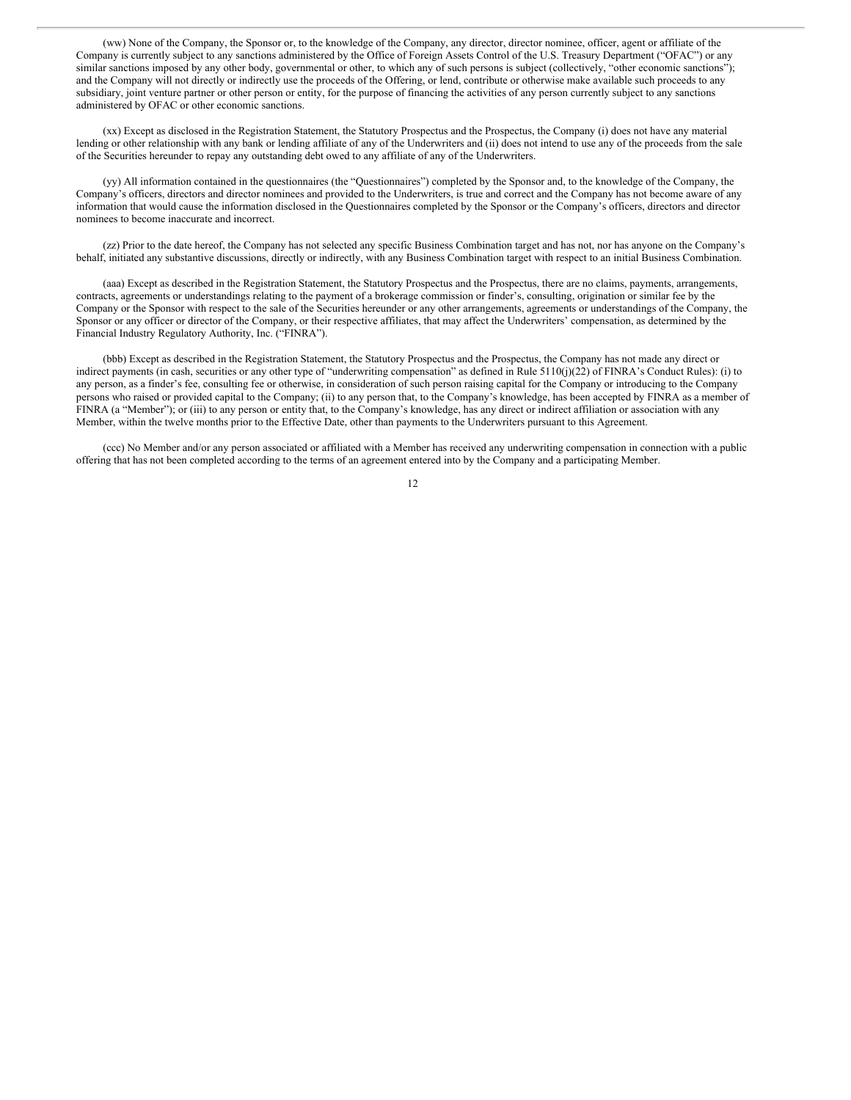(ww) None of the Company, the Sponsor or, to the knowledge of the Company, any director, director nominee, officer, agent or affiliate of the Company is currently subject to any sanctions administered by the Office of Foreign Assets Control of the U.S. Treasury Department ("OFAC") or any similar sanctions imposed by any other body, governmental or other, to which any of such persons is subject (collectively, "other economic sanctions"); and the Company will not directly or indirectly use the proceeds of the Offering, or lend, contribute or otherwise make available such proceeds to any subsidiary, joint venture partner or other person or entity, for the purpose of financing the activities of any person currently subject to any sanctions administered by OFAC or other economic sanctions.

(xx) Except as disclosed in the Registration Statement, the Statutory Prospectus and the Prospectus, the Company (i) does not have any material lending or other relationship with any bank or lending affiliate of any of the Underwriters and (ii) does not intend to use any of the proceeds from the sale of the Securities hereunder to repay any outstanding debt owed to any affiliate of any of the Underwriters.

(yy) All information contained in the questionnaires (the "Questionnaires") completed by the Sponsor and, to the knowledge of the Company, the Company's officers, directors and director nominees and provided to the Underwriters, is true and correct and the Company has not become aware of any information that would cause the information disclosed in the Questionnaires completed by the Sponsor or the Company's officers, directors and director nominees to become inaccurate and incorrect.

(zz) Prior to the date hereof, the Company has not selected any specific Business Combination target and has not, nor has anyone on the Company's behalf, initiated any substantive discussions, directly or indirectly, with any Business Combination target with respect to an initial Business Combination.

(aaa) Except as described in the Registration Statement, the Statutory Prospectus and the Prospectus, there are no claims, payments, arrangements, contracts, agreements or understandings relating to the payment of a brokerage commission or finder's, consulting, origination or similar fee by the Company or the Sponsor with respect to the sale of the Securities hereunder or any other arrangements, agreements or understandings of the Company, the Sponsor or any officer or director of the Company, or their respective affiliates, that may affect the Underwriters' compensation, as determined by the Financial Industry Regulatory Authority, Inc. ("FINRA").

(bbb) Except as described in the Registration Statement, the Statutory Prospectus and the Prospectus, the Company has not made any direct or indirect payments (in cash, securities or any other type of "underwriting compensation" as defined in Rule 5110(j)(22) of FINRA's Conduct Rules): (i) to any person, as a finder's fee, consulting fee or otherwise, in consideration of such person raising capital for the Company or introducing to the Company persons who raised or provided capital to the Company; (ii) to any person that, to the Company's knowledge, has been accepted by FINRA as a member of FINRA (a "Member"); or (iii) to any person or entity that, to the Company's knowledge, has any direct or indirect affiliation or association with any Member, within the twelve months prior to the Effective Date, other than payments to the Underwriters pursuant to this Agreement.

(ccc) No Member and/or any person associated or affiliated with a Member has received any underwriting compensation in connection with a public offering that has not been completed according to the terms of an agreement entered into by the Company and a participating Member.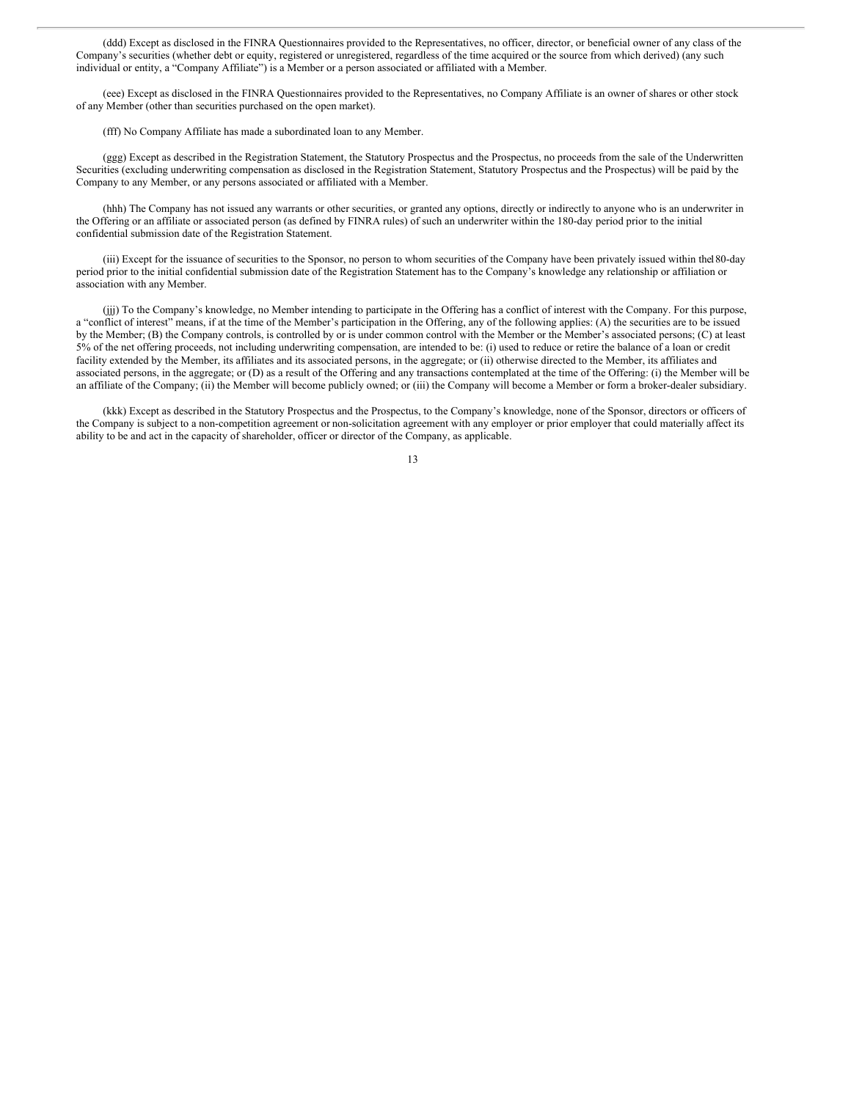(ddd) Except as disclosed in the FINRA Questionnaires provided to the Representatives, no officer, director, or beneficial owner of any class of the Company's securities (whether debt or equity, registered or unregistered, regardless of the time acquired or the source from which derived) (any such individual or entity, a "Company Affiliate") is a Member or a person associated or affiliated with a Member.

(eee) Except as disclosed in the FINRA Questionnaires provided to the Representatives, no Company Affiliate is an owner of shares or other stock of any Member (other than securities purchased on the open market).

(fff) No Company Affiliate has made a subordinated loan to any Member.

(ggg) Except as described in the Registration Statement, the Statutory Prospectus and the Prospectus, no proceeds from the sale of the Underwritten Securities (excluding underwriting compensation as disclosed in the Registration Statement, Statutory Prospectus and the Prospectus) will be paid by the Company to any Member, or any persons associated or affiliated with a Member.

(hhh) The Company has not issued any warrants or other securities, or granted any options, directly or indirectly to anyone who is an underwriter in the Offering or an affiliate or associated person (as defined by FINRA rules) of such an underwriter within the 180-day period prior to the initial confidential submission date of the Registration Statement.

(iii) Except for the issuance of securities to the Sponsor, no person to whom securities of the Company have been privately issued within the180-day period prior to the initial confidential submission date of the Registration Statement has to the Company's knowledge any relationship or affiliation or association with any Member.

(jjj) To the Company's knowledge, no Member intending to participate in the Offering has a conflict of interest with the Company. For this purpose, a "conflict of interest" means, if at the time of the Member's participation in the Offering, any of the following applies: (A) the securities are to be issued by the Member; (B) the Company controls, is controlled by or is under common control with the Member or the Member's associated persons; (C) at least 5% of the net offering proceeds, not including underwriting compensation, are intended to be: (i) used to reduce or retire the balance of a loan or credit facility extended by the Member, its affiliates and its associated persons, in the aggregate; or (ii) otherwise directed to the Member, its affiliates and associated persons, in the aggregate; or (D) as a result of the Offering and any transactions contemplated at the time of the Offering: (i) the Member will be an affiliate of the Company; (ii) the Member will become publicly owned; or (iii) the Company will become a Member or form a broker-dealer subsidiary.

(kkk) Except as described in the Statutory Prospectus and the Prospectus, to the Company's knowledge, none of the Sponsor, directors or officers of the Company is subject to a non-competition agreement or non-solicitation agreement with any employer or prior employer that could materially affect its ability to be and act in the capacity of shareholder, officer or director of the Company, as applicable.

<sup>13</sup>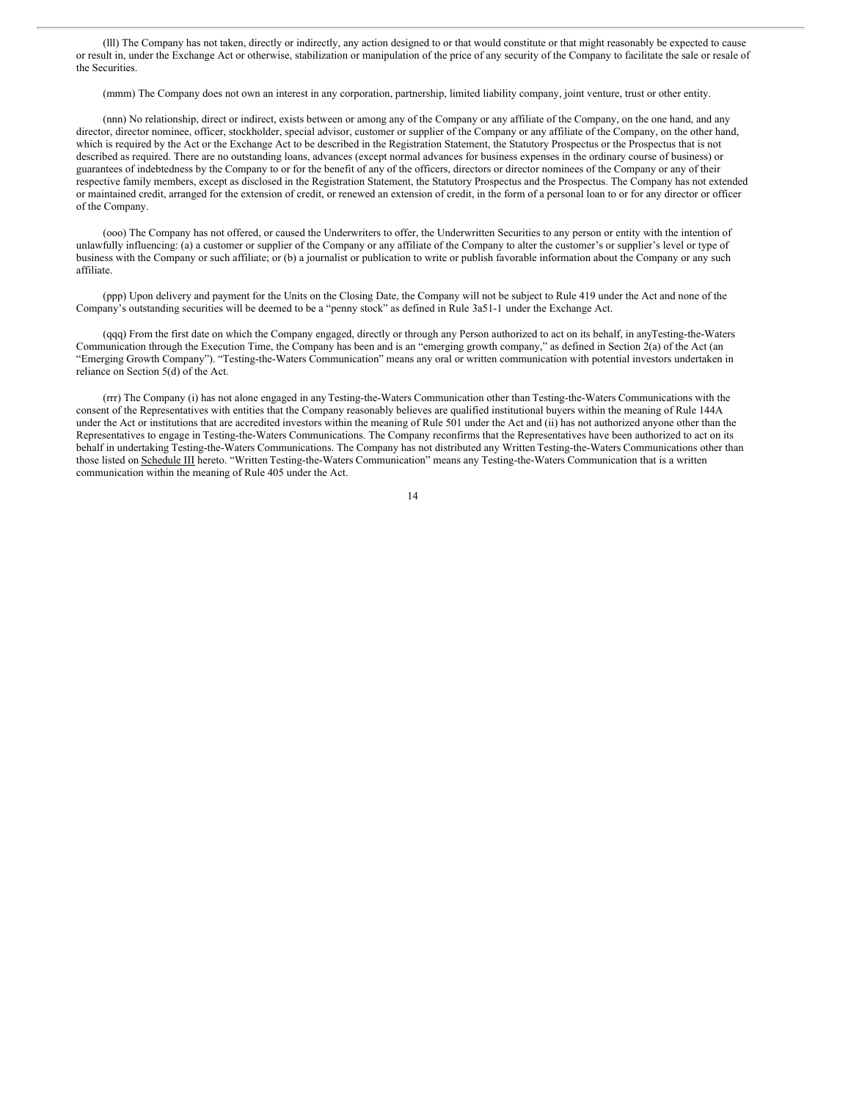(lll) The Company has not taken, directly or indirectly, any action designed to or that would constitute or that might reasonably be expected to cause or result in, under the Exchange Act or otherwise, stabilization or manipulation of the price of any security of the Company to facilitate the sale or resale of the Securities.

(mmm) The Company does not own an interest in any corporation, partnership, limited liability company, joint venture, trust or other entity.

(nnn) No relationship, direct or indirect, exists between or among any of the Company or any affiliate of the Company, on the one hand, and any director, director nominee, officer, stockholder, special advisor, customer or supplier of the Company or any affiliate of the Company, on the other hand, which is required by the Act or the Exchange Act to be described in the Registration Statement, the Statutory Prospectus or the Prospectus that is not described as required. There are no outstanding loans, advances (except normal advances for business expenses in the ordinary course of business) or guarantees of indebtedness by the Company to or for the benefit of any of the officers, directors or director nominees of the Company or any of their respective family members, except as disclosed in the Registration Statement, the Statutory Prospectus and the Prospectus. The Company has not extended or maintained credit, arranged for the extension of credit, or renewed an extension of credit, in the form of a personal loan to or for any director or officer of the Company.

(ooo) The Company has not offered, or caused the Underwriters to offer, the Underwritten Securities to any person or entity with the intention of unlawfully influencing: (a) a customer or supplier of the Company or any affiliate of the Company to alter the customer's or supplier's level or type of business with the Company or such affiliate; or (b) a journalist or publication to write or publish favorable information about the Company or any such affiliate.

(ppp) Upon delivery and payment for the Units on the Closing Date, the Company will not be subject to Rule 419 under the Act and none of the Company's outstanding securities will be deemed to be a "penny stock" as defined in Rule 3a51-1 under the Exchange Act.

(qqq) From the first date on which the Company engaged, directly or through any Person authorized to act on its behalf, in anyTesting-the-Waters Communication through the Execution Time, the Company has been and is an "emerging growth company," as defined in Section 2(a) of the Act (an "Emerging Growth Company"). "Testing-the-Waters Communication" means any oral or written communication with potential investors undertaken in reliance on Section 5(d) of the Act.

(rrr) The Company (i) has not alone engaged in anyTesting-the-Waters Communication other than Testing-the-Waters Communications with the consent of the Representatives with entities that the Company reasonably believes are qualified institutional buyers within the meaning of Rule 144A under the Act or institutions that are accredited investors within the meaning of Rule 501 under the Act and (ii) has not authorized anyone other than the Representatives to engage in Testing-the-Waters Communications. The Company reconfirms that the Representatives have been authorized to act on its behalf in undertaking Testing-the-Waters Communications. The Company has not distributed any Written Testing-the-Waters Communications other than those listed on Schedule III hereto. "Written Testing-the-Waters Communication" means any Testing-the-Waters Communication that is a written communication within the meaning of Rule 405 under the Act.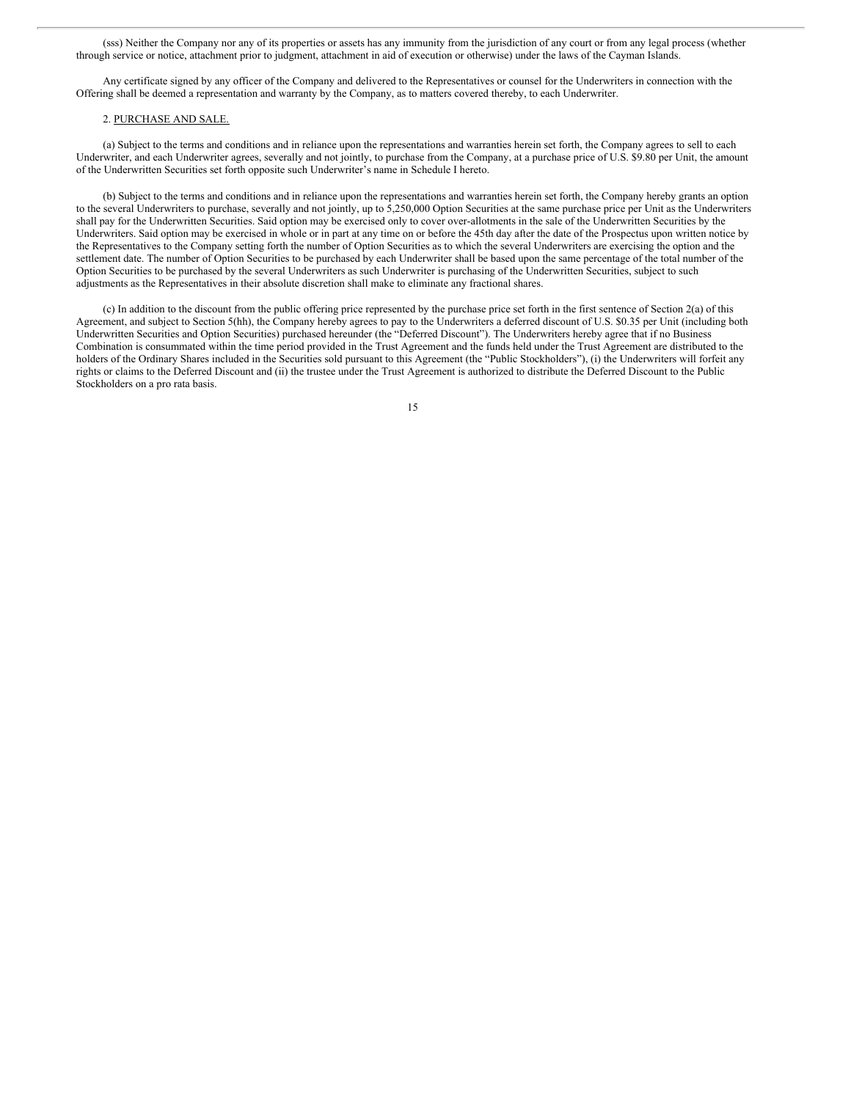(sss) Neither the Company nor any of its properties or assets has any immunity from the jurisdiction of any court or from any legal process (whether through service or notice, attachment prior to judgment, attachment in aid of execution or otherwise) under the laws of the Cayman Islands.

Any certificate signed by any officer of the Company and delivered to the Representatives or counsel for the Underwriters in connection with the Offering shall be deemed a representation and warranty by the Company, as to matters covered thereby, to each Underwriter.

#### 2. PURCHASE AND SALE.

(a) Subject to the terms and conditions and in reliance upon the representations and warranties herein set forth, the Company agrees to sell to each Underwriter, and each Underwriter agrees, severally and not jointly, to purchase from the Company, at a purchase price of U.S. \$9.80 per Unit, the amount of the Underwritten Securities set forth opposite such Underwriter's name in Schedule I hereto.

(b) Subject to the terms and conditions and in reliance upon the representations and warranties herein set forth, the Company hereby grants an option to the several Underwriters to purchase, severally and not jointly, up to 5,250,000 Option Securities at the same purchase price per Unit as the Underwriters shall pay for the Underwritten Securities. Said option may be exercised only to cover over-allotments in the sale of the Underwritten Securities by the Underwriters. Said option may be exercised in whole or in part at any time on or before the 45th day after the date of the Prospectus upon written notice by the Representatives to the Company setting forth the number of Option Securities as to which the several Underwriters are exercising the option and the settlement date. The number of Option Securities to be purchased by each Underwriter shall be based upon the same percentage of the total number of the Option Securities to be purchased by the several Underwriters as such Underwriter is purchasing of the Underwritten Securities, subject to such adjustments as the Representatives in their absolute discretion shall make to eliminate any fractional shares.

(c) In addition to the discount from the public offering price represented by the purchase price set forth in the first sentence of Section 2(a) of this Agreement, and subject to Section 5(hh), the Company hereby agrees to pay to the Underwriters a deferred discount of U.S. \$0.35 per Unit (including both Underwritten Securities and Option Securities) purchased hereunder (the "Deferred Discount"). The Underwriters hereby agree that if no Business Combination is consummated within the time period provided in the Trust Agreement and the funds held under the Trust Agreement are distributed to the holders of the Ordinary Shares included in the Securities sold pursuant to this Agreement (the "Public Stockholders"), (i) the Underwriters will forfeit any rights or claims to the Deferred Discount and (ii) the trustee under the Trust Agreement is authorized to distribute the Deferred Discount to the Public Stockholders on a pro rata basis.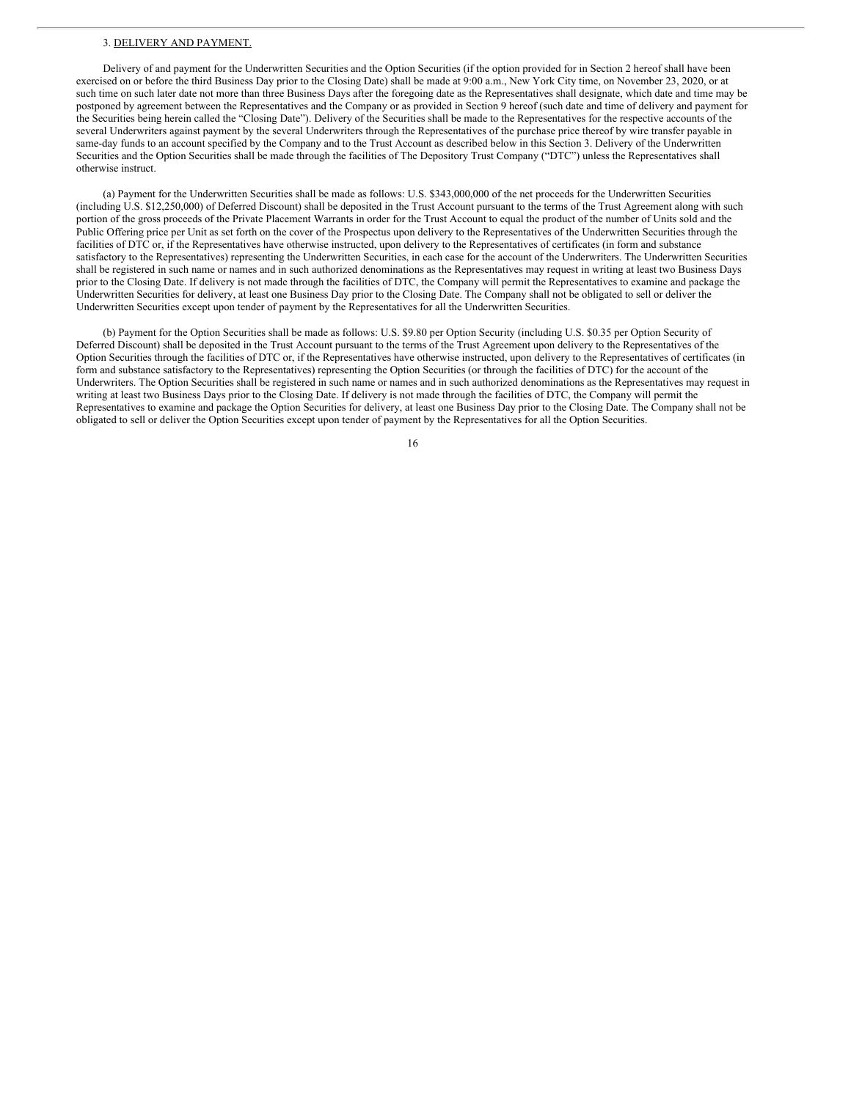#### 3. DELIVERY AND PAYMENT.

Delivery of and payment for the Underwritten Securities and the Option Securities (if the option provided for in Section 2 hereof shall have been exercised on or before the third Business Day prior to the Closing Date) shall be made at 9:00 a.m., New York City time, on November 23, 2020, or at such time on such later date not more than three Business Days after the foregoing date as the Representatives shall designate, which date and time may be postponed by agreement between the Representatives and the Company or as provided in Section 9 hereof (such date and time of delivery and payment for the Securities being herein called the "Closing Date"). Delivery of the Securities shall be made to the Representatives for the respective accounts of the several Underwriters against payment by the several Underwriters through the Representatives of the purchase price thereof by wire transfer payable in same-day funds to an account specified by the Company and to the Trust Account as described below in this Section 3. Delivery of the Underwritten Securities and the Option Securities shall be made through the facilities of The Depository Trust Company ("DTC") unless the Representatives shall otherwise instruct.

(a) Payment for the Underwritten Securities shall be made as follows: U.S. \$343,000,000 of the net proceeds for the Underwritten Securities (including U.S. \$12,250,000) of Deferred Discount) shall be deposited in the Trust Account pursuant to the terms of the Trust Agreement along with such portion of the gross proceeds of the Private Placement Warrants in order for the Trust Account to equal the product of the number of Units sold and the Public Offering price per Unit as set forth on the cover of the Prospectus upon delivery to the Representatives of the Underwritten Securities through the facilities of DTC or, if the Representatives have otherwise instructed, upon delivery to the Representatives of certificates (in form and substance satisfactory to the Representatives) representing the Underwritten Securities, in each case for the account of the Underwriters. The Underwritten Securities shall be registered in such name or names and in such authorized denominations as the Representatives may request in writing at least two Business Days prior to the Closing Date. If delivery is not made through the facilities of DTC, the Company will permit the Representatives to examine and package the Underwritten Securities for delivery, at least one Business Day prior to the Closing Date. The Company shall not be obligated to sell or deliver the Underwritten Securities except upon tender of payment by the Representatives for all the Underwritten Securities.

(b) Payment for the Option Securities shall be made as follows: U.S. \$9.80 per Option Security (including U.S. \$0.35 per Option Security of Deferred Discount) shall be deposited in the Trust Account pursuant to the terms of the Trust Agreement upon delivery to the Representatives of the Option Securities through the facilities of DTC or, if the Representatives have otherwise instructed, upon delivery to the Representatives of certificates (in form and substance satisfactory to the Representatives) representing the Option Securities (or through the facilities of DTC) for the account of the Underwriters. The Option Securities shall be registered in such name or names and in such authorized denominations as the Representatives may request in writing at least two Business Days prior to the Closing Date. If delivery is not made through the facilities of DTC, the Company will permit the Representatives to examine and package the Option Securities for delivery, at least one Business Day prior to the Closing Date. The Company shall not be obligated to sell or deliver the Option Securities except upon tender of payment by the Representatives for all the Option Securities.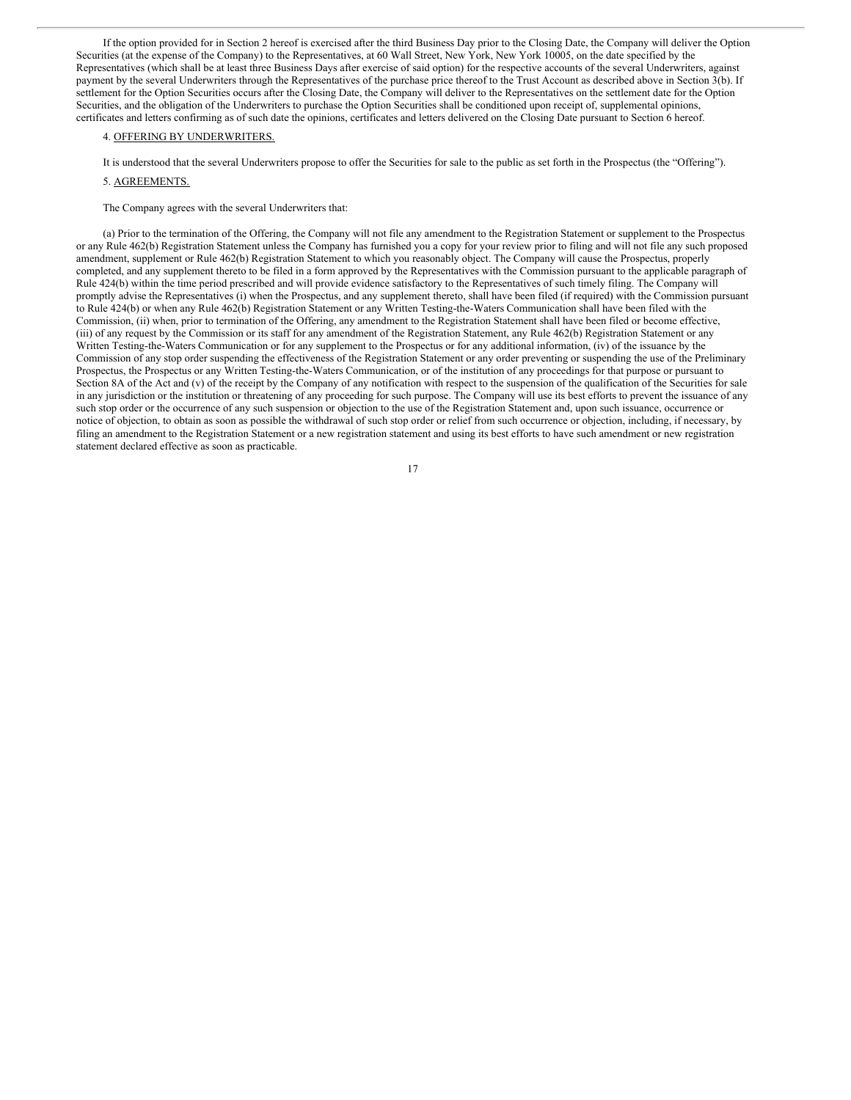If the option provided for in Section 2 hereof is exercised after the third Business Day prior to the Closing Date, the Company will deliver the Option Securities (at the expense of the Company) to the Representatives, at 60 Wall Street, New York, New York 10005, on the date specified by the Representatives (which shall be at least three Business Days after exercise of said option) for the respective accounts of the several Underwriters, against payment by the several Underwriters through the Representatives of the purchase price thereof to the Trust Account as described above in Section 3(b). If settlement for the Option Securities occurs after the Closing Date, the Company will deliver to the Representatives on the settlement date for the Option Securities, and the obligation of the Underwriters to purchase the Option Securities shall be conditioned upon receipt of, supplemental opinions, certificates and letters confirming as of such date the opinions, certificates and letters delivered on the Closing Date pursuant to Section 6 hereof.

#### 4. OFFERING BY UNDERWRITERS.

It is understood that the several Underwriters propose to offer the Securities for sale to the public as set forth in the Prospectus (the "Offering").

#### 5. AGREEMENTS.

The Company agrees with the several Underwriters that:

(a) Prior to the termination of the Offering, the Company will not file any amendment to the Registration Statement or supplement to the Prospectus or any Rule 462(b) Registration Statement unless the Company has furnished you a copy for your review prior to filing and will not file any such proposed amendment, supplement or Rule 462(b) Registration Statement to which you reasonably object. The Company will cause the Prospectus, properly completed, and any supplement thereto to be filed in a form approved by the Representatives with the Commission pursuant to the applicable paragraph of Rule 424(b) within the time period prescribed and will provide evidence satisfactory to the Representatives of such timely filing. The Company will promptly advise the Representatives (i) when the Prospectus, and any supplement thereto, shall have been filed (if required) with the Commission pursuant to Rule 424(b) or when any Rule 462(b) Registration Statement or any Written Testing-the-Waters Communication shall have been filed with the Commission, (ii) when, prior to termination of the Offering, any amendment to the Registration Statement shall have been filed or become effective, (iii) of any request by the Commission or its staff for any amendment of the Registration Statement, any Rule 462(b) Registration Statement or any Written Testing-the-Waters Communication or for any supplement to the Prospectus or for any additional information, (iv) of the issuance by the Commission of any stop order suspending the effectiveness of the Registration Statement or any order preventing or suspending the use of the Preliminary Prospectus, the Prospectus or any Written Testing-the-Waters Communication, or of the institution of any proceedings for that purpose or pursuant to Section 8A of the Act and (v) of the receipt by the Company of any notification with respect to the suspension of the qualification of the Securities for sale in any jurisdiction or the institution or threatening of any proceeding for such purpose. The Company will use its best efforts to prevent the issuance of any such stop order or the occurrence of any such suspension or objection to the use of the Registration Statement and, upon such issuance, occurrence or notice of objection, to obtain as soon as possible the withdrawal of such stop order or relief from such occurrence or objection, including, if necessary, by filing an amendment to the Registration Statement or a new registration statement and using its best efforts to have such amendment or new registration statement declared effective as soon as practicable.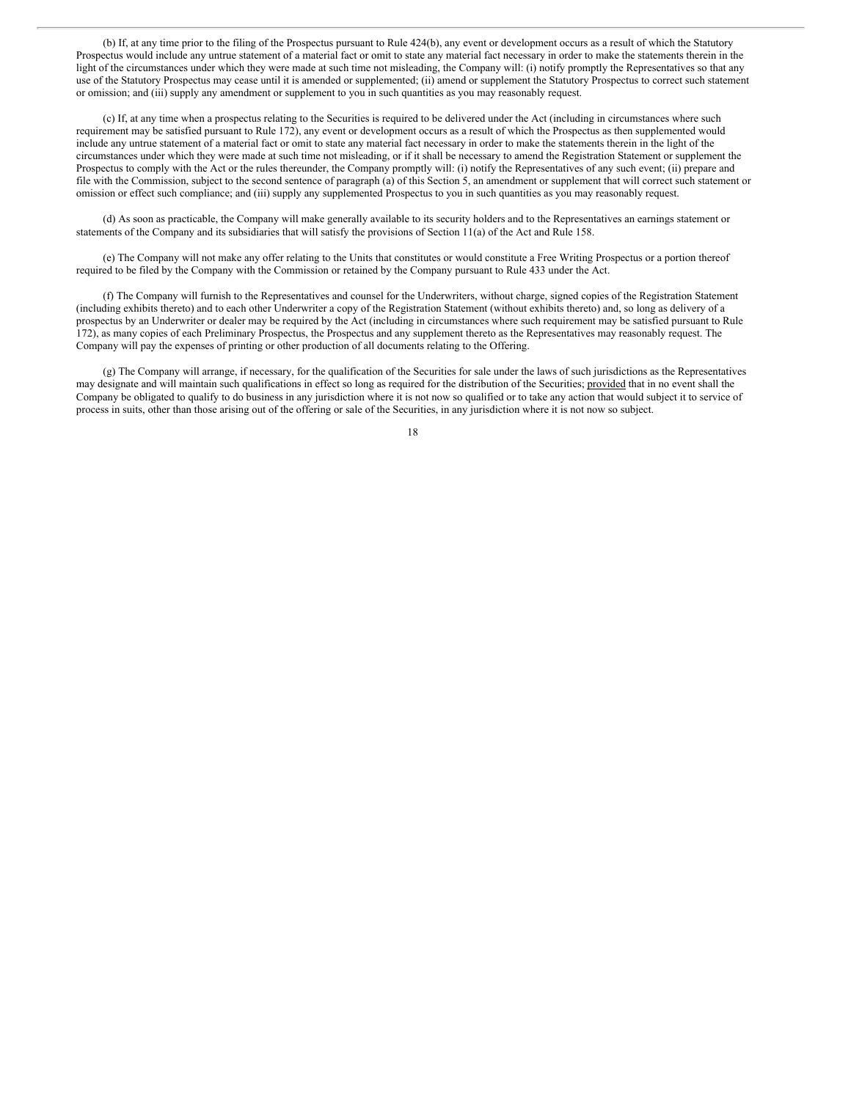(b) If, at any time prior to the filing of the Prospectus pursuant to Rule 424(b), any event or development occurs as a result of which the Statutory Prospectus would include any untrue statement of a material fact or omit to state any material fact necessary in order to make the statements therein in the light of the circumstances under which they were made at such time not misleading, the Company will: (i) notify promptly the Representatives so that any use of the Statutory Prospectus may cease until it is amended or supplemented; (ii) amend or supplement the Statutory Prospectus to correct such statement or omission; and (iii) supply any amendment or supplement to you in such quantities as you may reasonably request.

(c) If, at any time when a prospectus relating to the Securities is required to be delivered under the Act (including in circumstances where such requirement may be satisfied pursuant to Rule 172), any event or development occurs as a result of which the Prospectus as then supplemented would include any untrue statement of a material fact or omit to state any material fact necessary in order to make the statements therein in the light of the circumstances under which they were made at such time not misleading, or if it shall be necessary to amend the Registration Statement or supplement the Prospectus to comply with the Act or the rules thereunder, the Company promptly will: (i) notify the Representatives of any such event; (ii) prepare and file with the Commission, subject to the second sentence of paragraph (a) of this Section 5, an amendment or supplement that will correct such statement or omission or effect such compliance; and (iii) supply any supplemented Prospectus to you in such quantities as you may reasonably request.

(d) As soon as practicable, the Company will make generally available to its security holders and to the Representatives an earnings statement or statements of the Company and its subsidiaries that will satisfy the provisions of Section 11(a) of the Act and Rule 158.

(e) The Company will not make any offer relating to the Units that constitutes or would constitute a Free Writing Prospectus or a portion thereof required to be filed by the Company with the Commission or retained by the Company pursuant to Rule 433 under the Act.

(f) The Company will furnish to the Representatives and counsel for the Underwriters, without charge, signed copies of the Registration Statement (including exhibits thereto) and to each other Underwriter a copy of the Registration Statement (without exhibits thereto) and, so long as delivery of a prospectus by an Underwriter or dealer may be required by the Act (including in circumstances where such requirement may be satisfied pursuant to Rule 172), as many copies of each Preliminary Prospectus, the Prospectus and any supplement thereto as the Representatives may reasonably request. The Company will pay the expenses of printing or other production of all documents relating to the Offering.

(g) The Company will arrange, if necessary, for the qualification of the Securities for sale under the laws of such jurisdictions as the Representatives may designate and will maintain such qualifications in effect so long as required for the distribution of the Securities; provided that in no event shall the Company be obligated to qualify to do business in any jurisdiction where it is not now so qualified or to take any action that would subject it to service of process in suits, other than those arising out of the offering or sale of the Securities, in any jurisdiction where it is not now so subject.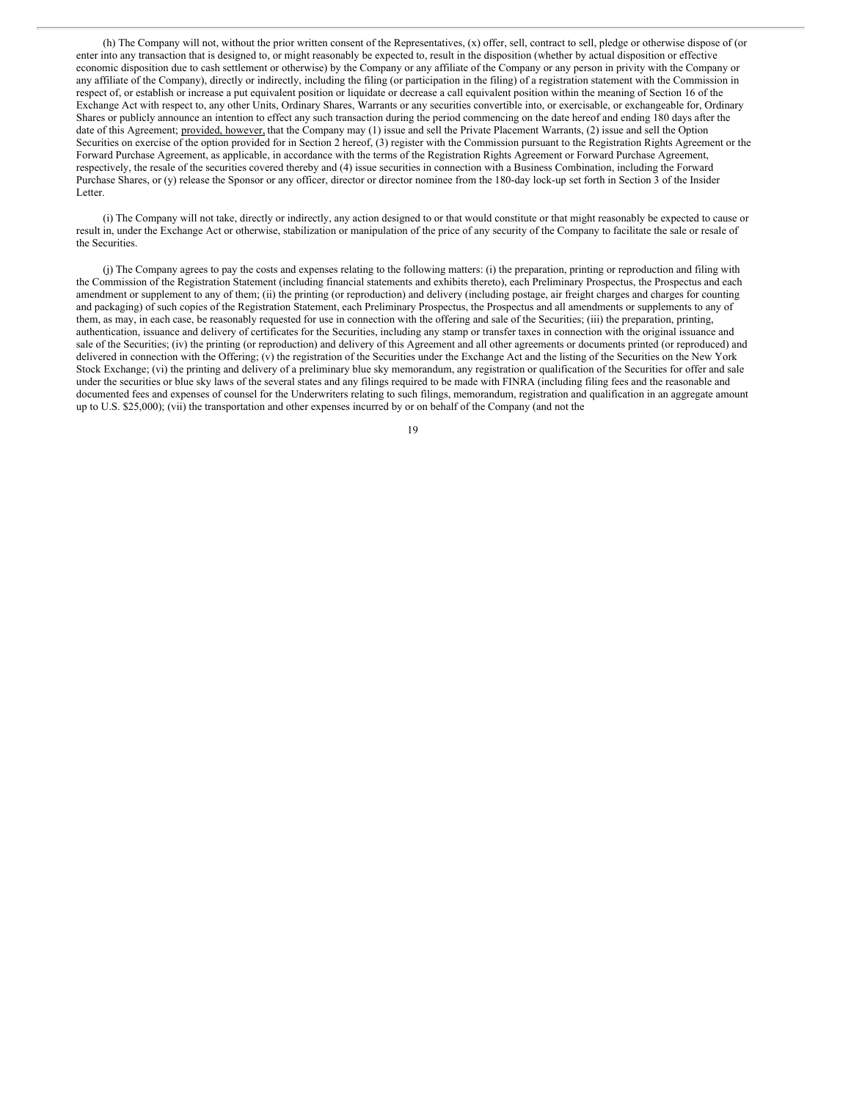(h) The Company will not, without the prior written consent of the Representatives, (x) offer, sell, contract to sell, pledge or otherwise dispose of (or enter into any transaction that is designed to, or might reasonably be expected to, result in the disposition (whether by actual disposition or effective economic disposition due to cash settlement or otherwise) by the Company or any affiliate of the Company or any person in privity with the Company or any affiliate of the Company), directly or indirectly, including the filing (or participation in the filing) of a registration statement with the Commission in respect of, or establish or increase a put equivalent position or liquidate or decrease a call equivalent position within the meaning of Section 16 of the Exchange Act with respect to, any other Units, Ordinary Shares, Warrants or any securities convertible into, or exercisable, or exchangeable for, Ordinary Shares or publicly announce an intention to effect any such transaction during the period commencing on the date hereof and ending 180 days after the date of this Agreement; provided, however, that the Company may (1) issue and sell the Private Placement Warrants, (2) issue and sell the Option Securities on exercise of the option provided for in Section 2 hereof, (3) register with the Commission pursuant to the Registration Rights Agreement or the Forward Purchase Agreement, as applicable, in accordance with the terms of the Registration Rights Agreement or Forward Purchase Agreement, respectively, the resale of the securities covered thereby and (4) issue securities in connection with a Business Combination, including the Forward Purchase Shares, or (y) release the Sponsor or any officer, director or director nominee from the 180-day lock-up set forth in Section 3 of the Insider Letter.

(i) The Company will not take, directly or indirectly, any action designed to or that would constitute or that might reasonably be expected to cause or result in, under the Exchange Act or otherwise, stabilization or manipulation of the price of any security of the Company to facilitate the sale or resale of the Securities.

(j) The Company agrees to pay the costs and expenses relating to the following matters: (i) the preparation, printing or reproduction and filing with the Commission of the Registration Statement (including financial statements and exhibits thereto), each Preliminary Prospectus, the Prospectus and each amendment or supplement to any of them; (ii) the printing (or reproduction) and delivery (including postage, air freight charges and charges for counting and packaging) of such copies of the Registration Statement, each Preliminary Prospectus, the Prospectus and all amendments or supplements to any of them, as may, in each case, be reasonably requested for use in connection with the offering and sale of the Securities; (iii) the preparation, printing, authentication, issuance and delivery of certificates for the Securities, including any stamp or transfer taxes in connection with the original issuance and sale of the Securities; (iv) the printing (or reproduction) and delivery of this Agreement and all other agreements or documents printed (or reproduced) and delivered in connection with the Offering; (v) the registration of the Securities under the Exchange Act and the listing of the Securities on the New York Stock Exchange; (vi) the printing and delivery of a preliminary blue sky memorandum, any registration or qualification of the Securities for offer and sale under the securities or blue sky laws of the several states and any filings required to be made with FINRA (including filing fees and the reasonable and documented fees and expenses of counsel for the Underwriters relating to such filings, memorandum, registration and qualification in an aggregate amount up to U.S. \$25,000); (vii) the transportation and other expenses incurred by or on behalf of the Company (and not the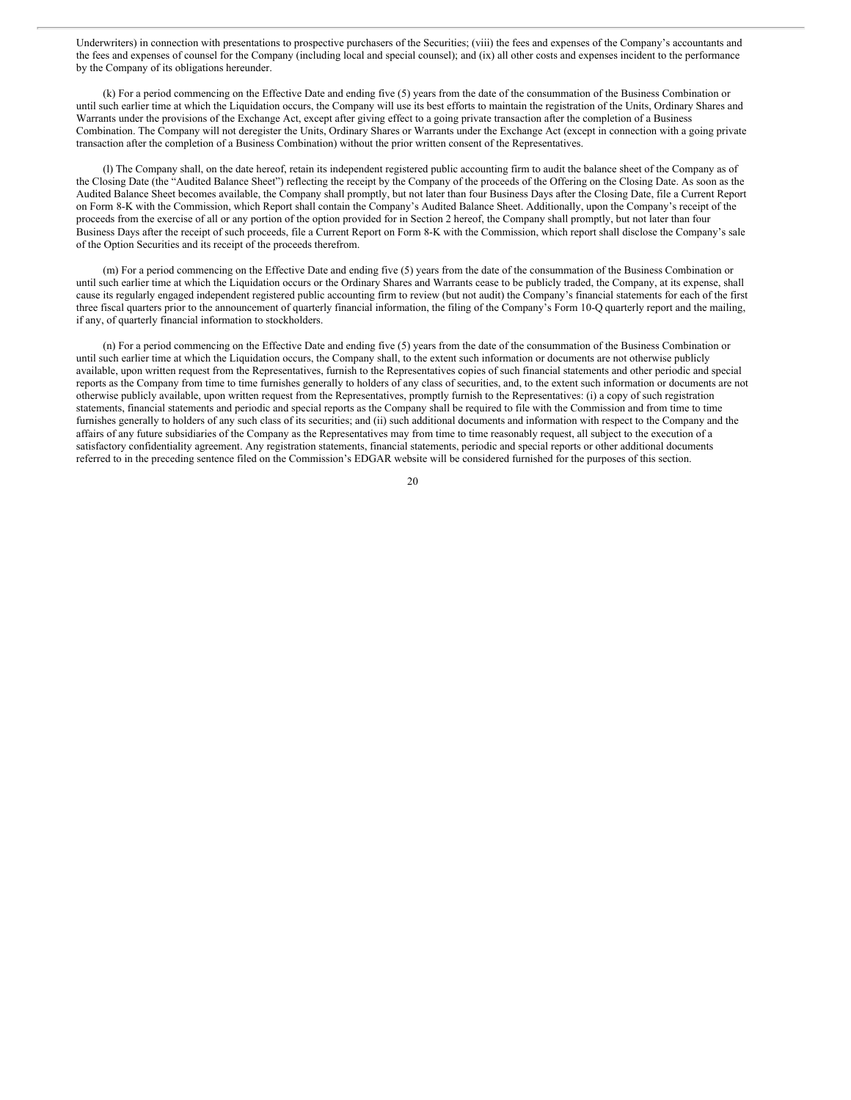Underwriters) in connection with presentations to prospective purchasers of the Securities; (viii) the fees and expenses of the Company's accountants and the fees and expenses of counsel for the Company (including local and special counsel); and (ix) all other costs and expenses incident to the performance by the Company of its obligations hereunder.

(k) For a period commencing on the Effective Date and ending five (5) years from the date of the consummation of the Business Combination or until such earlier time at which the Liquidation occurs, the Company will use its best efforts to maintain the registration of the Units, Ordinary Shares and Warrants under the provisions of the Exchange Act, except after giving effect to a going private transaction after the completion of a Business Combination. The Company will not deregister the Units, Ordinary Shares or Warrants under the Exchange Act (except in connection with a going private transaction after the completion of a Business Combination) without the prior written consent of the Representatives.

(l) The Company shall, on the date hereof, retain its independent registered public accounting firm to audit the balance sheet of the Company as of the Closing Date (the "Audited Balance Sheet") reflecting the receipt by the Company of the proceeds of the Offering on the Closing Date. As soon as the Audited Balance Sheet becomes available, the Company shall promptly, but not later than four Business Days after the Closing Date, file a Current Report on Form 8-K with the Commission, which Report shall contain the Company's Audited Balance Sheet. Additionally, upon the Company's receipt of the proceeds from the exercise of all or any portion of the option provided for in Section 2 hereof, the Company shall promptly, but not later than four Business Days after the receipt of such proceeds, file a Current Report on Form 8-K with the Commission, which report shall disclose the Company's sale of the Option Securities and its receipt of the proceeds therefrom.

(m) For a period commencing on the Effective Date and ending five (5) years from the date of the consummation of the Business Combination or until such earlier time at which the Liquidation occurs or the Ordinary Shares and Warrants cease to be publicly traded, the Company, at its expense, shall cause its regularly engaged independent registered public accounting firm to review (but not audit) the Company's financial statements for each of the first three fiscal quarters prior to the announcement of quarterly financial information, the filing of the Company's Form 10-Q quarterly report and the mailing, if any, of quarterly financial information to stockholders.

(n) For a period commencing on the Effective Date and ending five (5) years from the date of the consummation of the Business Combination or until such earlier time at which the Liquidation occurs, the Company shall, to the extent such information or documents are not otherwise publicly available, upon written request from the Representatives, furnish to the Representatives copies of such financial statements and other periodic and special reports as the Company from time to time furnishes generally to holders of any class of securities, and, to the extent such information or documents are not otherwise publicly available, upon written request from the Representatives, promptly furnish to the Representatives: (i) a copy of such registration statements, financial statements and periodic and special reports as the Company shall be required to file with the Commission and from time to time furnishes generally to holders of any such class of its securities; and (ii) such additional documents and information with respect to the Company and the affairs of any future subsidiaries of the Company as the Representatives may from time to time reasonably request, all subject to the execution of a satisfactory confidentiality agreement. Any registration statements, financial statements, periodic and special reports or other additional documents referred to in the preceding sentence filed on the Commission's EDGAR website will be considered furnished for the purposes of this section.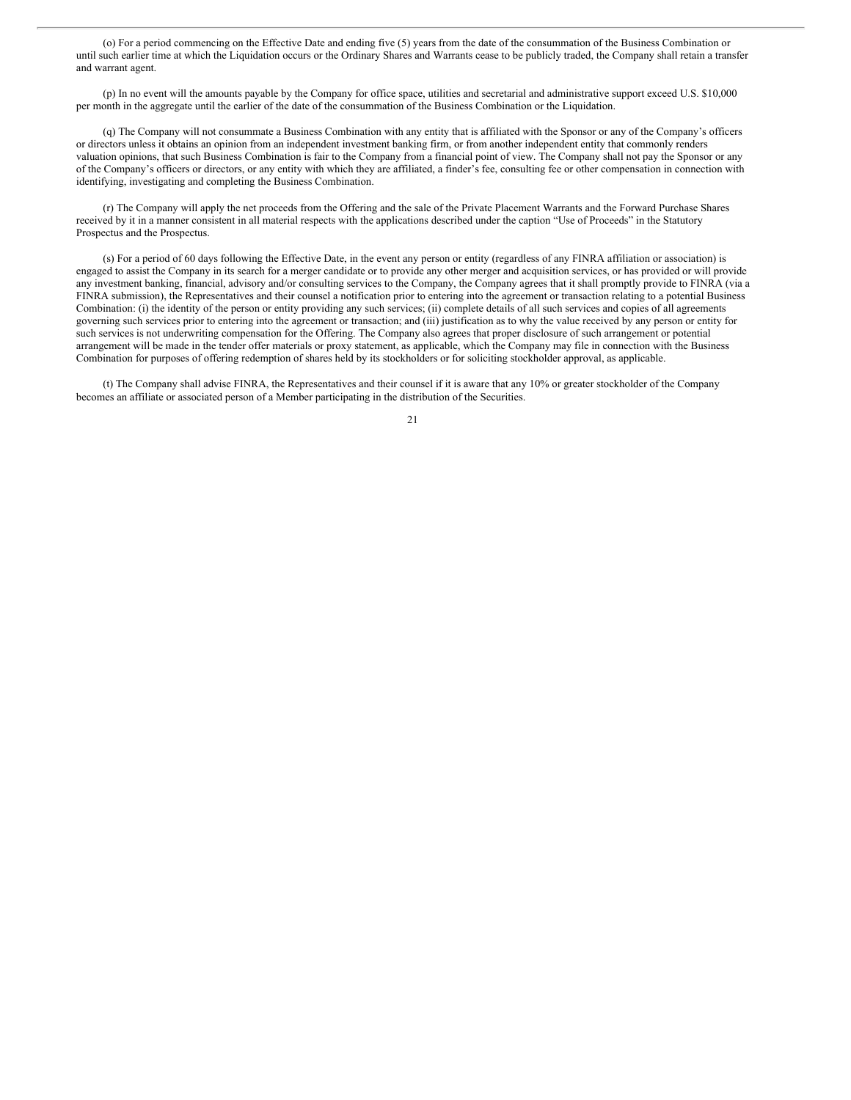(o) For a period commencing on the Effective Date and ending five (5) years from the date of the consummation of the Business Combination or until such earlier time at which the Liquidation occurs or the Ordinary Shares and Warrants cease to be publicly traded, the Company shall retain a transfer and warrant agent.

(p) In no event will the amounts payable by the Company for office space, utilities and secretarial and administrative support exceed U.S. \$10,000 per month in the aggregate until the earlier of the date of the consummation of the Business Combination or the Liquidation.

(q) The Company will not consummate a Business Combination with any entity that is affiliated with the Sponsor or any of the Company's officers or directors unless it obtains an opinion from an independent investment banking firm, or from another independent entity that commonly renders valuation opinions, that such Business Combination is fair to the Company from a financial point of view. The Company shall not pay the Sponsor or any of the Company's officers or directors, or any entity with which they are affiliated, a finder's fee, consulting fee or other compensation in connection with identifying, investigating and completing the Business Combination.

(r) The Company will apply the net proceeds from the Offering and the sale of the Private Placement Warrants and the Forward Purchase Shares received by it in a manner consistent in all material respects with the applications described under the caption "Use of Proceeds" in the Statutory Prospectus and the Prospectus.

(s) For a period of 60 days following the Effective Date, in the event any person or entity (regardless of any FINRA affiliation or association) is engaged to assist the Company in its search for a merger candidate or to provide any other merger and acquisition services, or has provided or will provide any investment banking, financial, advisory and/or consulting services to the Company, the Company agrees that it shall promptly provide to FINRA (via a FINRA submission), the Representatives and their counsel a notification prior to entering into the agreement or transaction relating to a potential Business Combination: (i) the identity of the person or entity providing any such services; (ii) complete details of all such services and copies of all agreements governing such services prior to entering into the agreement or transaction; and (iii) justification as to why the value received by any person or entity for such services is not underwriting compensation for the Offering. The Company also agrees that proper disclosure of such arrangement or potential arrangement will be made in the tender offer materials or proxy statement, as applicable, which the Company may file in connection with the Business Combination for purposes of offering redemption of shares held by its stockholders or for soliciting stockholder approval, as applicable.

(t) The Company shall advise FINRA, the Representatives and their counsel if it is aware that any 10% or greater stockholder of the Company becomes an affiliate or associated person of a Member participating in the distribution of the Securities.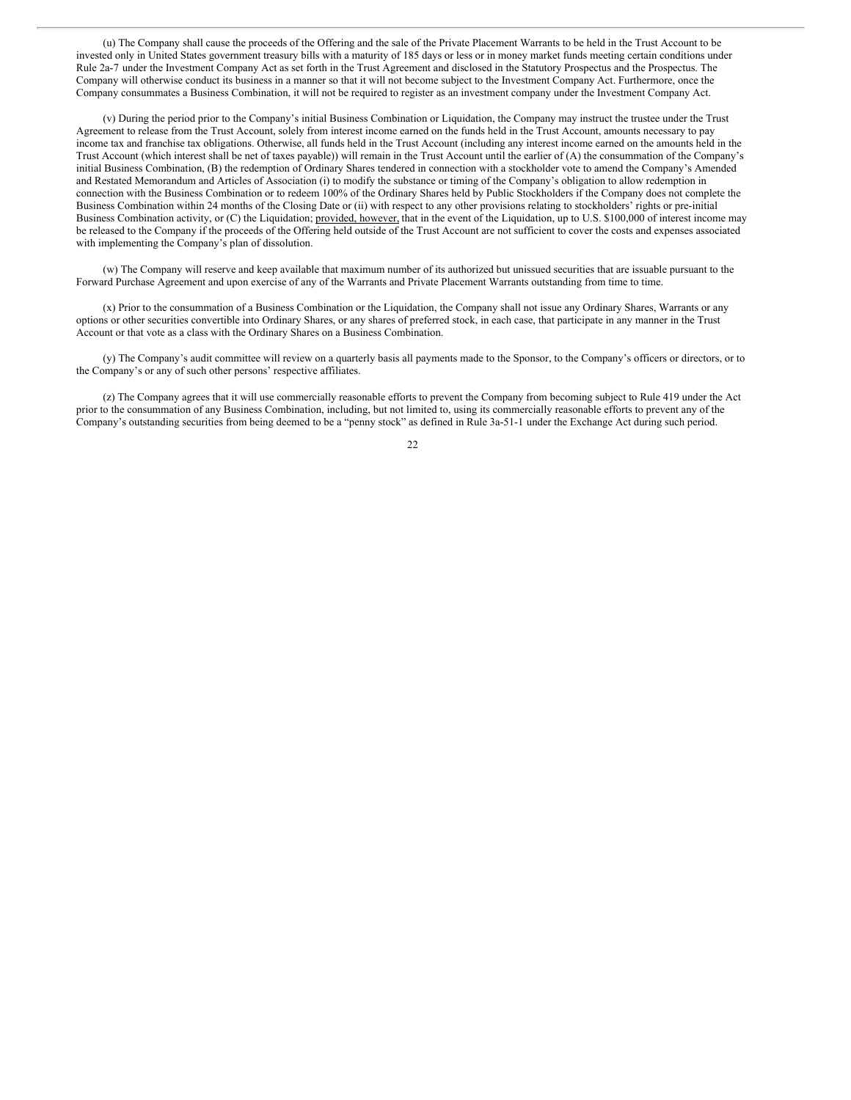<span id="page-25-0"></span>(u) The Company shall cause the proceeds of the Offering and the sale of the Private Placement Warrants to be held in the Trust Account to be invested only in United States government treasury bills with a maturity of 185 days or less or in money market funds meeting certain conditions under Rule 2a-7 under the Investment Company Act as set forth in the Trust Agreement and disclosed in the Statutory Prospectus and the Prospectus. The Company will otherwise conduct its business in a manner so that it will not become subject to the Investment Company Act. Furthermore, once the Company consummates a Business Combination, it will not be required to register as an investment company under the Investment Company Act.

(v) During the period prior to the Company's initial Business Combination or Liquidation, the Company may instruct the trustee under the Trust Agreement to release from the Trust Account, solely from interest income earned on the funds held in the Trust Account, amounts necessary to pay income tax and franchise tax obligations. Otherwise, all funds held in the Trust Account (including any interest income earned on the amounts held in the Trust Account (which interest shall be net of taxes payable)) will remain in the Trust Account until the earlier of (A) the consummation of the Company's initial Business Combination, (B) the redemption of Ordinary Shares tendered in connection with a stockholder vote to amend the Company's Amended and Restated Memorandum and Articles of Association (i) to modify the substance or timing of the Company's obligation to allow redemption in connection with the Business Combination or to redeem 100% of the Ordinary Shares held by Public Stockholders if the Company does not complete the Business Combination within 24 months of the Closing Date or (ii) with respect to any other provisions relating to stockholders' rights or pre-initial Business Combination activity, or (C) the Liquidation; provided, however, that in the event of the Liquidation, up to U.S. \$100,000 of interest income may be released to the Company if the proceeds of the Offering held outside of the Trust Account are not sufficient to cover the costs and expenses associated with implementing the Company's plan of dissolution.

(w) The Company will reserve and keep available that maximum number of its authorized but unissued securities that are issuable pursuant to the Forward Purchase Agreement and upon exercise of any of the Warrants and Private Placement Warrants outstanding from time to time.

(x) Prior to the consummation of a Business Combination or the Liquidation, the Company shall not issue any Ordinary Shares, Warrants or any options or other securities convertible into Ordinary Shares, or any shares of preferred stock, in each case, that participate in any manner in the Trust Account or that vote as a class with the Ordinary Shares on a Business Combination.

(y) The Company's audit committee will review on a quarterly basis all payments made to the Sponsor, to the Company's officers or directors, or to the Company's or any of such other persons' respective affiliates.

(z) The Company agrees that it will use commercially reasonable efforts to prevent the Company from becoming subject to Rule 419 under the Act prior to the consummation of any Business Combination, including, but not limited to, using its commercially reasonable efforts to prevent any of the Company's outstanding securities from being deemed to be a "penny stock" as defined in Rule 3a-51-1 under the Exchange Act during such period.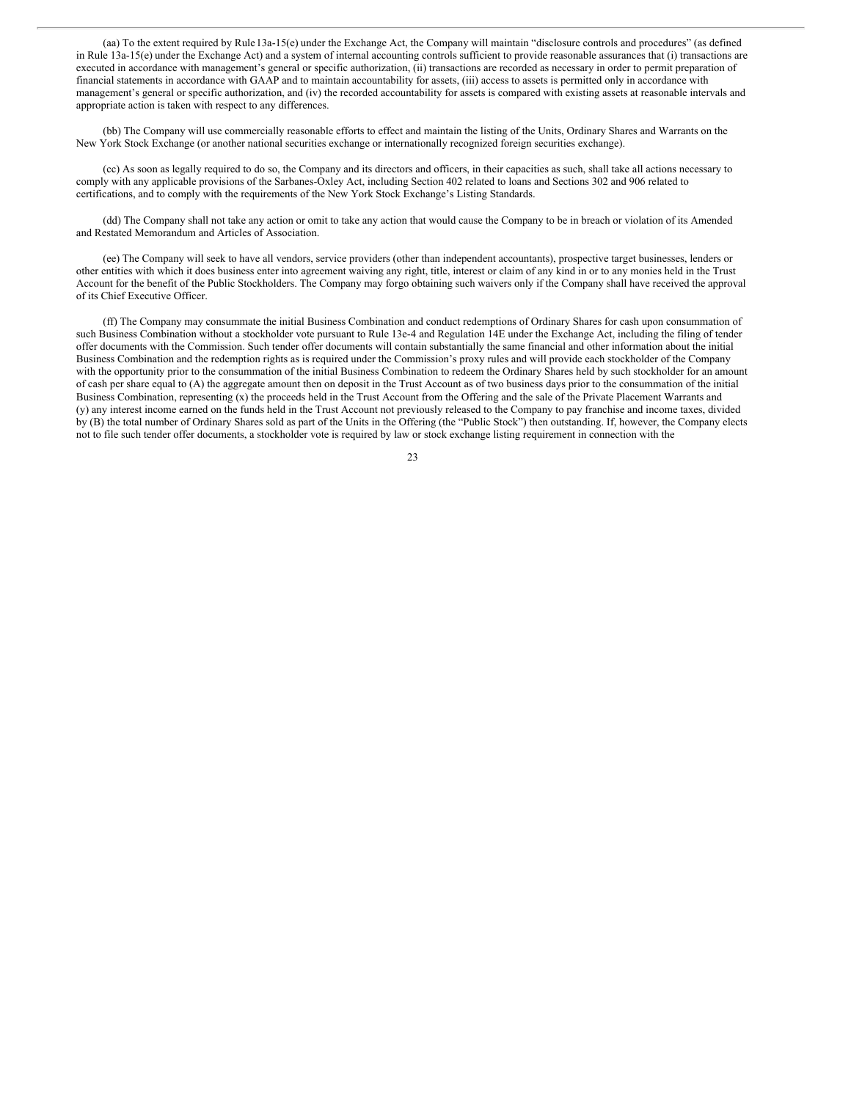(aa) To the extent required by Rule13a-15(e) under the Exchange Act, the Company will maintain "disclosure controls and procedures" (as defined in Rule 13a-15(e) under the Exchange Act) and a system of internal accounting controls sufficient to provide reasonable assurances that (i) transactions are executed in accordance with management's general or specific authorization, (ii) transactions are recorded as necessary in order to permit preparation of financial statements in accordance with GAAP and to maintain accountability for assets, (iii) access to assets is permitted only in accordance with management's general or specific authorization, and (iv) the recorded accountability for assets is compared with existing assets at reasonable intervals and appropriate action is taken with respect to any differences.

(bb) The Company will use commercially reasonable efforts to effect and maintain the listing of the Units, Ordinary Shares and Warrants on the New York Stock Exchange (or another national securities exchange or internationally recognized foreign securities exchange).

(cc) As soon as legally required to do so, the Company and its directors and officers, in their capacities as such, shall take all actions necessary to comply with any applicable provisions of the Sarbanes-Oxley Act, including Section 402 related to loans and Sections 302 and 906 related to certifications, and to comply with the requirements of the New York Stock Exchange's Listing Standards.

(dd) The Company shall not take any action or omit to take any action that would cause the Company to be in breach or violation of its Amended and Restated Memorandum and Articles of Association.

(ee) The Company will seek to have all vendors, service providers (other than independent accountants), prospective target businesses, lenders or other entities with which it does business enter into agreement waiving any right, title, interest or claim of any kind in or to any monies held in the Trust Account for the benefit of the Public Stockholders. The Company may forgo obtaining such waivers only if the Company shall have received the approval of its Chief Executive Officer.

(ff) The Company may consummate the initial Business Combination and conduct redemptions of Ordinary Shares for cash upon consummation of such Business Combination without a stockholder vote pursuant to Rule 13e-4 and Regulation 14E under the Exchange Act, including the filing of tender offer documents with the Commission. Such tender offer documents will contain substantially the same financial and other information about the initial Business Combination and the redemption rights as is required under the Commission's proxy rules and will provide each stockholder of the Company with the opportunity prior to the consummation of the initial Business Combination to redeem the Ordinary Shares held by such stockholder for an amount of cash per share equal to (A) the aggregate amount then on deposit in the Trust Account as of two business days prior to the consummation of the initial Business Combination, representing (x) the proceeds held in the Trust Account from the Offering and the sale of the Private Placement Warrants and (y) any interest income earned on the funds held in the Trust Account not previously released to the Company to pay franchise and income taxes, divided by (B) the total number of Ordinary Shares sold as part of the Units in the Offering (the "Public Stock") then outstanding. If, however, the Company elects not to file such tender offer documents, a stockholder vote is required by law or stock exchange listing requirement in connection with the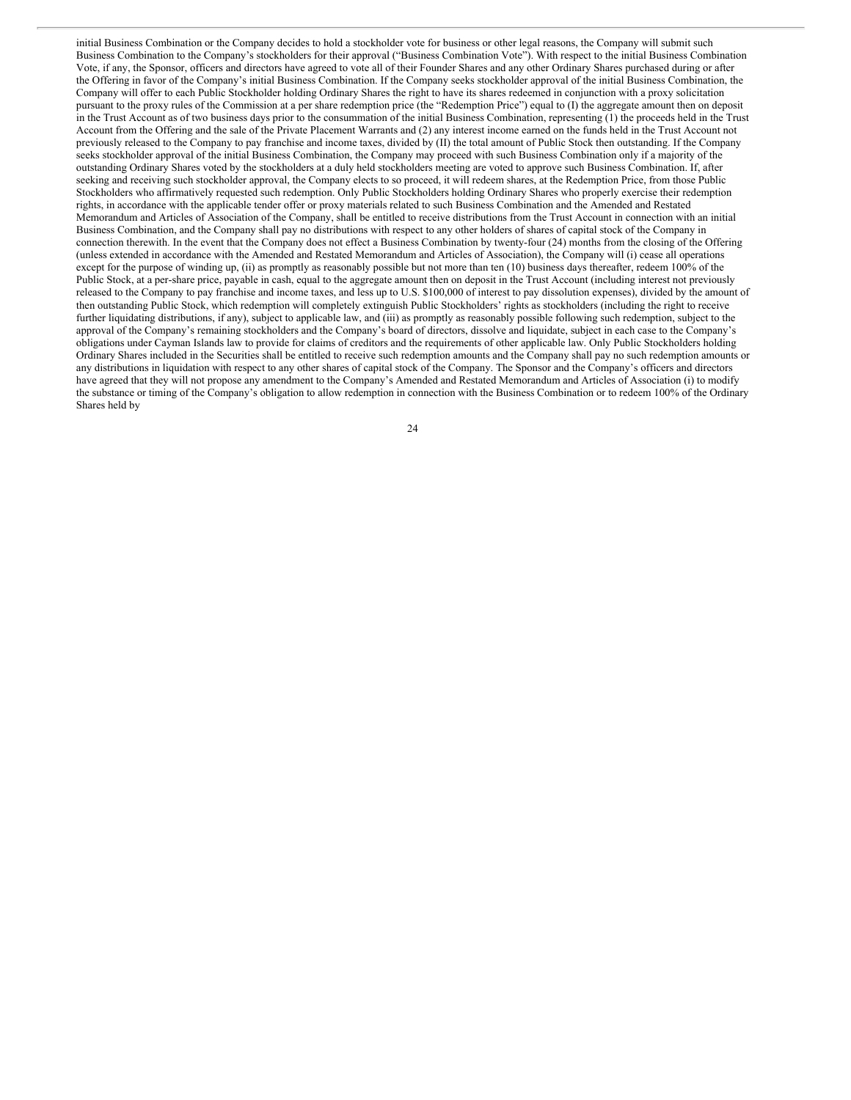initial Business Combination or the Company decides to hold a stockholder vote for business or other legal reasons, the Company will submit such Business Combination to the Company's stockholders for their approval ("Business Combination Vote"). With respect to the initial Business Combination Vote, if any, the Sponsor, officers and directors have agreed to vote all of their Founder Shares and any other Ordinary Shares purchased during or after the Offering in favor of the Company's initial Business Combination. If the Company seeks stockholder approval of the initial Business Combination, the Company will offer to each Public Stockholder holding Ordinary Shares the right to have its shares redeemed in conjunction with a proxy solicitation pursuant to the proxy rules of the Commission at a per share redemption price (the "Redemption Price") equal to (I) the aggregate amount then on deposit in the Trust Account as of two business days prior to the consummation of the initial Business Combination, representing (1) the proceeds held in the Trust Account from the Offering and the sale of the Private Placement Warrants and (2) any interest income earned on the funds held in the Trust Account not previously released to the Company to pay franchise and income taxes, divided by (II) the total amount of Public Stock then outstanding. If the Company seeks stockholder approval of the initial Business Combination, the Company may proceed with such Business Combination only if a majority of the outstanding Ordinary Shares voted by the stockholders at a duly held stockholders meeting are voted to approve such Business Combination. If, after seeking and receiving such stockholder approval, the Company elects to so proceed, it will redeem shares, at the Redemption Price, from those Public Stockholders who affirmatively requested such redemption. Only Public Stockholders holding Ordinary Shares who properly exercise their redemption rights, in accordance with the applicable tender offer or proxy materials related to such Business Combination and the Amended and Restated Memorandum and Articles of Association of the Company, shall be entitled to receive distributions from the Trust Account in connection with an initial Business Combination, and the Company shall pay no distributions with respect to any other holders of shares of capital stock of the Company in connection therewith. In the event that the Company does not effect a Business Combination by twenty-four (24) months from the closing of the Offering (unless extended in accordance with the Amended and Restated Memorandum and Articles of Association), the Company will (i) cease all operations except for the purpose of winding up, (ii) as promptly as reasonably possible but not more than ten (10) business days thereafter, redeem 100% of the Public Stock, at a per-share price, payable in cash, equal to the aggregate amount then on deposit in the Trust Account (including interest not previously released to the Company to pay franchise and income taxes, and less up to U.S. \$100,000 of interest to pay dissolution expenses), divided by the amount of then outstanding Public Stock, which redemption will completely extinguish Public Stockholders' rights as stockholders (including the right to receive further liquidating distributions, if any), subject to applicable law, and (iii) as promptly as reasonably possible following such redemption, subject to the approval of the Company's remaining stockholders and the Company's board of directors, dissolve and liquidate, subject in each case to the Company's obligations under Cayman Islands law to provide for claims of creditors and the requirements of other applicable law. Only Public Stockholders holding Ordinary Shares included in the Securities shall be entitled to receive such redemption amounts and the Company shall pay no such redemption amounts or any distributions in liquidation with respect to any other shares of capital stock of the Company. The Sponsor and the Company's officers and directors have agreed that they will not propose any amendment to the Company's Amended and Restated Memorandum and Articles of Association (i) to modify the substance or timing of the Company's obligation to allow redemption in connection with the Business Combination or to redeem 100% of the Ordinary Shares held by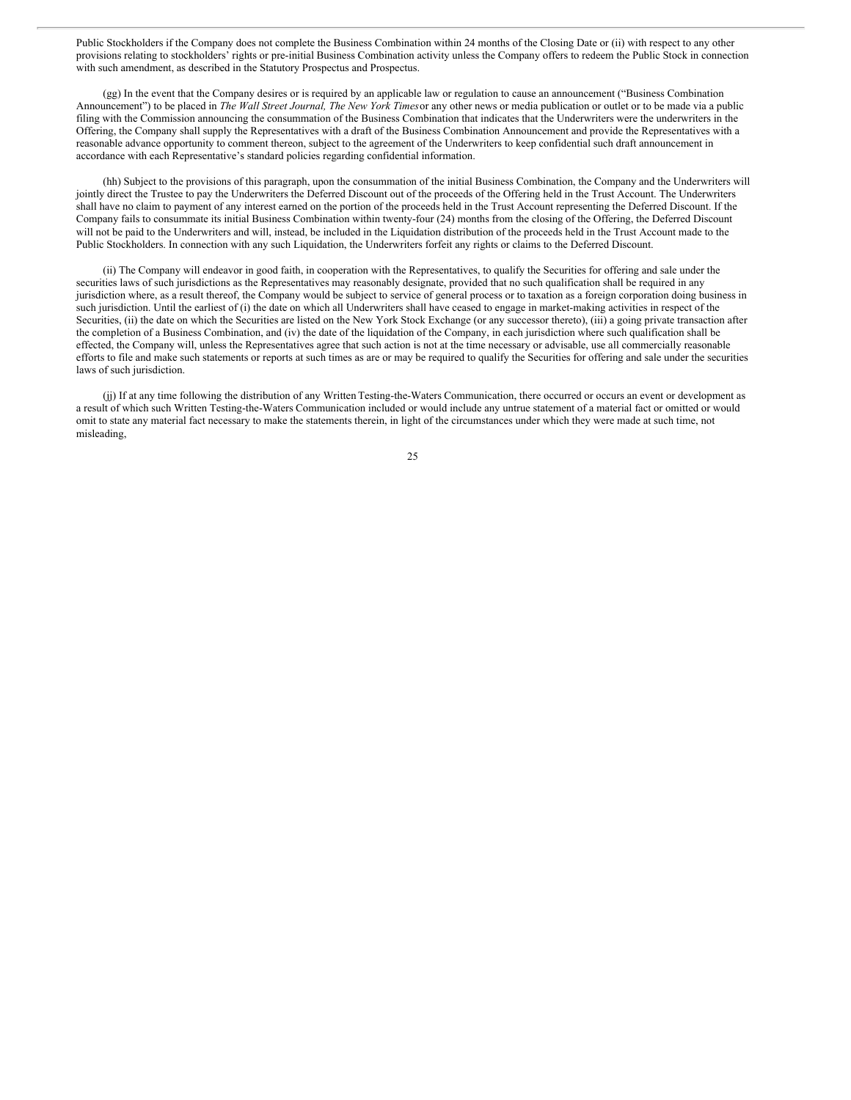Public Stockholders if the Company does not complete the Business Combination within 24 months of the Closing Date or (ii) with respect to any other provisions relating to stockholders' rights or pre-initial Business Combination activity unless the Company offers to redeem the Public Stock in connection with such amendment, as described in the Statutory Prospectus and Prospectus.

(gg) In the event that the Company desires or is required by an applicable law or regulation to cause an announcement ("Business Combination Announcement") to be placed in *The Wall Street Journal, The New York Times*or any other news or media publication or outlet or to be made via a public filing with the Commission announcing the consummation of the Business Combination that indicates that the Underwriters were the underwriters in the Offering, the Company shall supply the Representatives with a draft of the Business Combination Announcement and provide the Representatives with a reasonable advance opportunity to comment thereon, subject to the agreement of the Underwriters to keep confidential such draft announcement in accordance with each Representative's standard policies regarding confidential information.

(hh) Subject to the provisions of this paragraph, upon the consummation of the initial Business Combination, the Company and the Underwriters will jointly direct the Trustee to pay the Underwriters the Deferred Discount out of the proceeds of the Offering held in the Trust Account. The Underwriters shall have no claim to payment of any interest earned on the portion of the proceeds held in the Trust Account representing the Deferred Discount. If the Company fails to consummate its initial Business Combination within twenty-four (24) months from the closing of the Offering, the Deferred Discount will not be paid to the Underwriters and will, instead, be included in the Liquidation distribution of the proceeds held in the Trust Account made to the Public Stockholders. In connection with any such Liquidation, the Underwriters forfeit any rights or claims to the Deferred Discount.

(ii) The Company will endeavor in good faith, in cooperation with the Representatives, to qualify the Securities for offering and sale under the securities laws of such jurisdictions as the Representatives may reasonably designate, provided that no such qualification shall be required in any jurisdiction where, as a result thereof, the Company would be subject to service of general process or to taxation as a foreign corporation doing business in such jurisdiction. Until the earliest of (i) the date on which all Underwriters shall have ceased to engage in market-making activities in respect of the Securities, (ii) the date on which the Securities are listed on the New York Stock Exchange (or any successor thereto), (iii) a going private transaction after the completion of a Business Combination, and (iv) the date of the liquidation of the Company, in each jurisdiction where such qualification shall be effected, the Company will, unless the Representatives agree that such action is not at the time necessary or advisable, use all commercially reasonable efforts to file and make such statements or reports at such times as are or may be required to qualify the Securities for offering and sale under the securities laws of such jurisdiction.

(jj) If at any time following the distribution of any Written Testing-the-Waters Communication, there occurred or occurs an event or development as a result of which such Written Testing-the-Waters Communication included or would include any untrue statement of a material fact or omitted or would omit to state any material fact necessary to make the statements therein, in light of the circumstances under which they were made at such time, not misleading,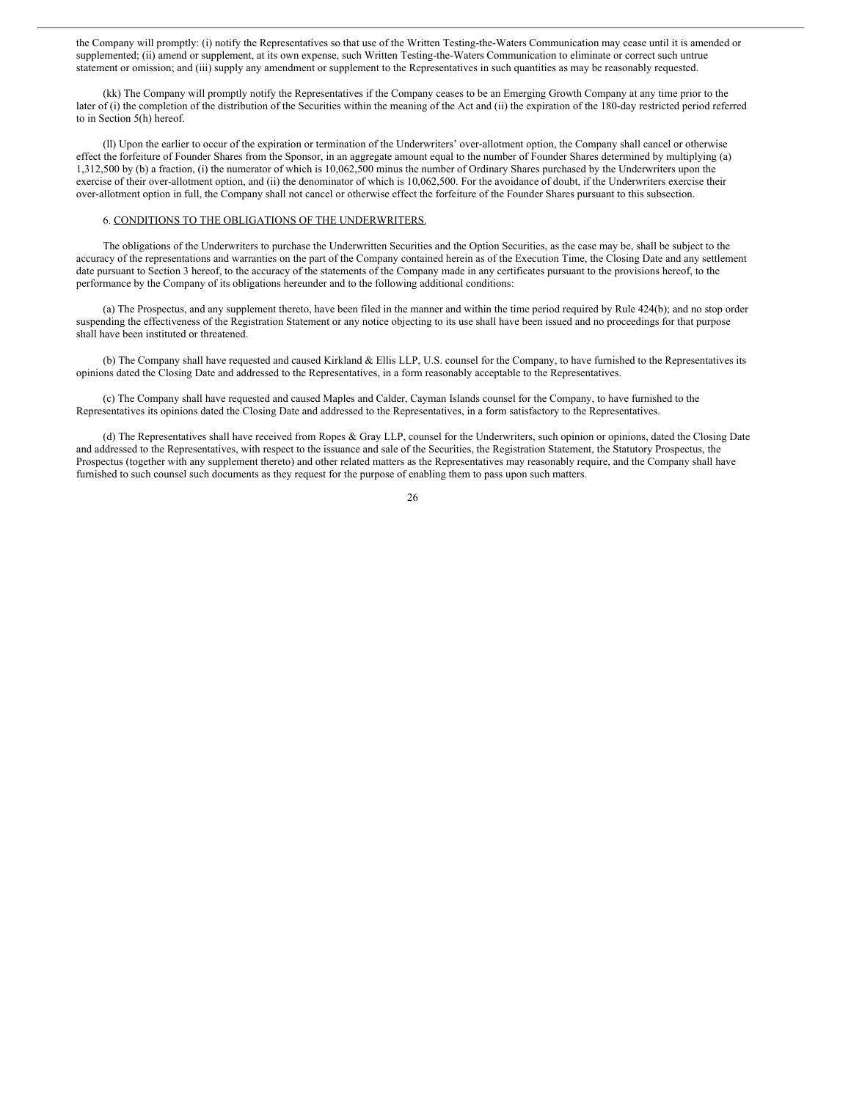the Company will promptly: (i) notify the Representatives so that use of the Written Testing-the-Waters Communication may cease until it is amended or supplemented; (ii) amend or supplement, at its own expense, such Written Testing-the-Waters Communication to eliminate or correct such untrue statement or omission; and (iii) supply any amendment or supplement to the Representatives in such quantities as may be reasonably requested.

(kk) The Company will promptly notify the Representatives if the Company ceases to be an Emerging Growth Company at any time prior to the later of (i) the completion of the distribution of the Securities within the meaning of the Act and (ii) the expiration of the 180-day restricted period referred to in Section 5(h) hereof.

(ll) Upon the earlier to occur of the expiration or termination of the Underwriters' over-allotment option, the Company shall cancel or otherwise effect the forfeiture of Founder Shares from the Sponsor, in an aggregate amount equal to the number of Founder Shares determined by multiplying (a) 1,312,500 by (b) a fraction, (i) the numerator of which is 10,062,500 minus the number of Ordinary Shares purchased by the Underwriters upon the exercise of their over-allotment option, and (ii) the denominator of which is 10,062,500. For the avoidance of doubt, if the Underwriters exercise their over-allotment option in full, the Company shall not cancel or otherwise effect the forfeiture of the Founder Shares pursuant to this subsection.

#### 6. CONDITIONS TO THE OBLIGATIONS OF THE UNDERWRITERS.

The obligations of the Underwriters to purchase the Underwritten Securities and the Option Securities, as the case may be, shall be subject to the accuracy of the representations and warranties on the part of the Company contained herein as of the Execution Time, the Closing Date and any settlement date pursuant to Section 3 hereof, to the accuracy of the statements of the Company made in any certificates pursuant to the provisions hereof, to the performance by the Company of its obligations hereunder and to the following additional conditions:

(a) The Prospectus, and any supplement thereto, have been filed in the manner and within the time period required by Rule 424(b); and no stop order suspending the effectiveness of the Registration Statement or any notice objecting to its use shall have been issued and no proceedings for that purpose shall have been instituted or threatened.

(b) The Company shall have requested and caused Kirkland & Ellis LLP, U.S. counsel for the Company, to have furnished to the Representatives its opinions dated the Closing Date and addressed to the Representatives, in a form reasonably acceptable to the Representatives.

(c) The Company shall have requested and caused Maples and Calder, Cayman Islands counsel for the Company, to have furnished to the Representatives its opinions dated the Closing Date and addressed to the Representatives, in a form satisfactory to the Representatives.

(d) The Representatives shall have received from Ropes & Gray LLP, counsel for the Underwriters, such opinion or opinions, dated the Closing Date and addressed to the Representatives, with respect to the issuance and sale of the Securities, the Registration Statement, the Statutory Prospectus, the Prospectus (together with any supplement thereto) and other related matters as the Representatives may reasonably require, and the Company shall have furnished to such counsel such documents as they request for the purpose of enabling them to pass upon such matters.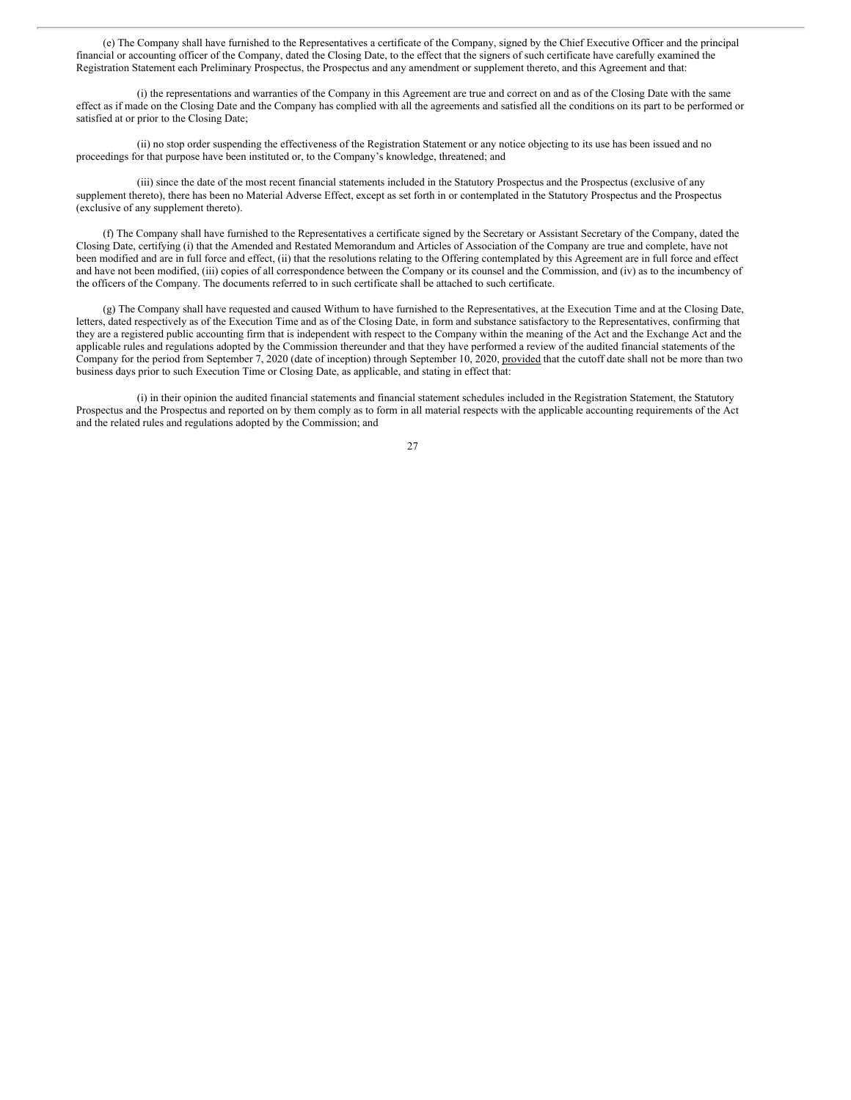(e) The Company shall have furnished to the Representatives a certificate of the Company, signed by the Chief Executive Officer and the principal financial or accounting officer of the Company, dated the Closing Date, to the effect that the signers of such certificate have carefully examined the Registration Statement each Preliminary Prospectus, the Prospectus and any amendment or supplement thereto, and this Agreement and that:

(i) the representations and warranties of the Company in this Agreement are true and correct on and as of the Closing Date with the same effect as if made on the Closing Date and the Company has complied with all the agreements and satisfied all the conditions on its part to be performed or satisfied at or prior to the Closing Date;

(ii) no stop order suspending the effectiveness of the Registration Statement or any notice objecting to its use has been issued and no proceedings for that purpose have been instituted or, to the Company's knowledge, threatened; and

(iii) since the date of the most recent financial statements included in the Statutory Prospectus and the Prospectus (exclusive of any supplement thereto), there has been no Material Adverse Effect, except as set forth in or contemplated in the Statutory Prospectus and the Prospectus (exclusive of any supplement thereto).

(f) The Company shall have furnished to the Representatives a certificate signed by the Secretary or Assistant Secretary of the Company, dated the Closing Date, certifying (i) that the Amended and Restated Memorandum and Articles of Association of the Company are true and complete, have not been modified and are in full force and effect, (ii) that the resolutions relating to the Offering contemplated by this Agreement are in full force and effect and have not been modified, (iii) copies of all correspondence between the Company or its counsel and the Commission, and (iv) as to the incumbency of the officers of the Company. The documents referred to in such certificate shall be attached to such certificate.

(g) The Company shall have requested and caused Withum to have furnished to the Representatives, at the Execution Time and at the Closing Date, letters, dated respectively as of the Execution Time and as of the Closing Date, in form and substance satisfactory to the Representatives, confirming that they are a registered public accounting firm that is independent with respect to the Company within the meaning of the Act and the Exchange Act and the applicable rules and regulations adopted by the Commission thereunder and that they have performed a review of the audited financial statements of the Company for the period from September 7, 2020 (date of inception) through September 10, 2020, provided that the cutoff date shall not be more than two business days prior to such Execution Time or Closing Date, as applicable, and stating in effect that:

(i) in their opinion the audited financial statements and financial statement schedules included in the Registration Statement, the Statutory Prospectus and the Prospectus and reported on by them comply as to form in all material respects with the applicable accounting requirements of the Act and the related rules and regulations adopted by the Commission; and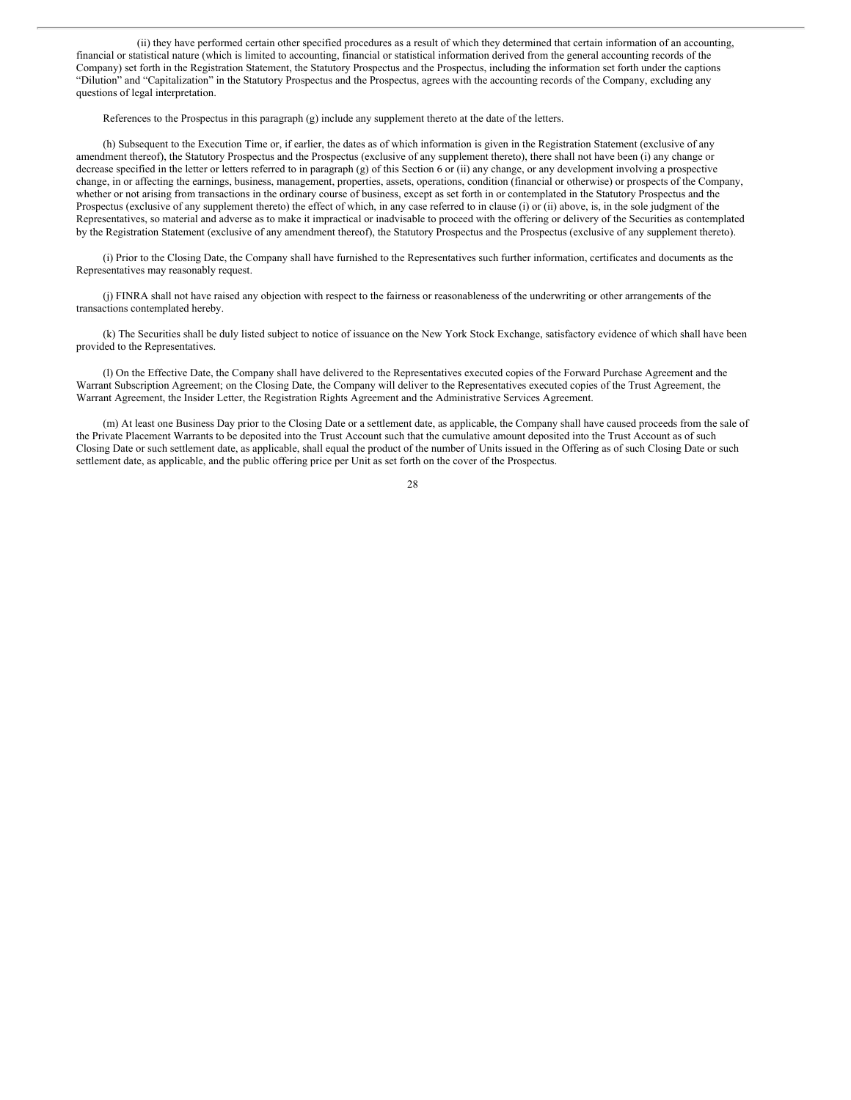(ii) they have performed certain other specified procedures as a result of which they determined that certain information of an accounting, financial or statistical nature (which is limited to accounting, financial or statistical information derived from the general accounting records of the Company) set forth in the Registration Statement, the Statutory Prospectus and the Prospectus, including the information set forth under the captions "Dilution" and "Capitalization" in the Statutory Prospectus and the Prospectus, agrees with the accounting records of the Company, excluding any questions of legal interpretation.

References to the Prospectus in this paragraph (g) include any supplement thereto at the date of the letters.

(h) Subsequent to the Execution Time or, if earlier, the dates as of which information is given in the Registration Statement (exclusive of any amendment thereof), the Statutory Prospectus and the Prospectus (exclusive of any supplement thereto), there shall not have been (i) any change or decrease specified in the letter or letters referred to in paragraph (g) of this Section 6 or (ii) any change, or any development involving a prospective change, in or affecting the earnings, business, management, properties, assets, operations, condition (financial or otherwise) or prospects of the Company, whether or not arising from transactions in the ordinary course of business, except as set forth in or contemplated in the Statutory Prospectus and the Prospectus (exclusive of any supplement thereto) the effect of which, in any case referred to in clause (i) or (ii) above, is, in the sole judgment of the Representatives, so material and adverse as to make it impractical or inadvisable to proceed with the offering or delivery of the Securities as contemplated by the Registration Statement (exclusive of any amendment thereof), the Statutory Prospectus and the Prospectus (exclusive of any supplement thereto).

(i) Prior to the Closing Date, the Company shall have furnished to the Representatives such further information, certificates and documents as the Representatives may reasonably request.

(j) FINRA shall not have raised any objection with respect to the fairness or reasonableness of the underwriting or other arrangements of the transactions contemplated hereby.

(k) The Securities shall be duly listed subject to notice of issuance on the New York Stock Exchange, satisfactory evidence of which shall have been provided to the Representatives.

(l) On the Effective Date, the Company shall have delivered to the Representatives executed copies of the Forward Purchase Agreement and the Warrant Subscription Agreement; on the Closing Date, the Company will deliver to the Representatives executed copies of the Trust Agreement, the Warrant Agreement, the Insider Letter, the Registration Rights Agreement and the Administrative Services Agreement.

(m) At least one Business Day prior to the Closing Date or a settlement date, as applicable, the Company shall have caused proceeds from the sale of the Private Placement Warrants to be deposited into the Trust Account such that the cumulative amount deposited into the Trust Account as of such Closing Date or such settlement date, as applicable, shall equal the product of the number of Units issued in the Offering as of such Closing Date or such settlement date, as applicable, and the public offering price per Unit as set forth on the cover of the Prospectus.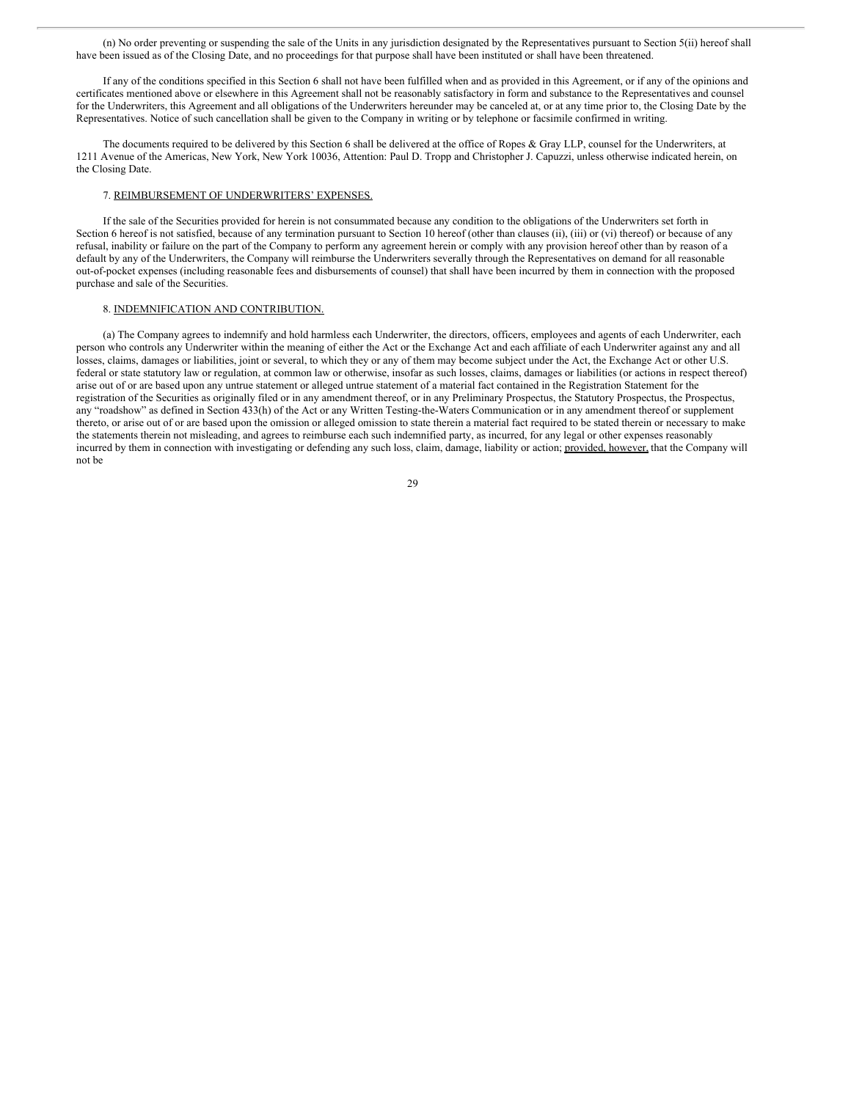(n) No order preventing or suspending the sale of the Units in any jurisdiction designated by the Representatives pursuant to Section 5(ii) hereof shall have been issued as of the Closing Date, and no proceedings for that purpose shall have been instituted or shall have been threatened.

If any of the conditions specified in this Section 6 shall not have been fulfilled when and as provided in this Agreement, or if any of the opinions and certificates mentioned above or elsewhere in this Agreement shall not be reasonably satisfactory in form and substance to the Representatives and counsel for the Underwriters, this Agreement and all obligations of the Underwriters hereunder may be canceled at, or at any time prior to, the Closing Date by the Representatives. Notice of such cancellation shall be given to the Company in writing or by telephone or facsimile confirmed in writing.

The documents required to be delivered by this Section 6 shall be delivered at the office of Ropes & Gray LLP, counsel for the Underwriters, at 1211 Avenue of the Americas, New York, New York 10036, Attention: Paul D. Tropp and Christopher J. Capuzzi, unless otherwise indicated herein, on the Closing Date.

#### 7. REIMBURSEMENT OF UNDERWRITERS' EXPENSES.

If the sale of the Securities provided for herein is not consummated because any condition to the obligations of the Underwriters set forth in Section 6 hereof is not satisfied, because of any termination pursuant to Section 10 hereof (other than clauses (ii), (iii) or (vi) thereof) or because of any refusal, inability or failure on the part of the Company to perform any agreement herein or comply with any provision hereof other than by reason of a default by any of the Underwriters, the Company will reimburse the Underwriters severally through the Representatives on demand for all reasonable out-of-pocket expenses (including reasonable fees and disbursements of counsel) that shall have been incurred by them in connection with the proposed purchase and sale of the Securities.

#### 8. INDEMNIFICATION AND CONTRIBUTION.

(a) The Company agrees to indemnify and hold harmless each Underwriter, the directors, officers, employees and agents of each Underwriter, each person who controls any Underwriter within the meaning of either the Act or the Exchange Act and each affiliate of each Underwriter against any and all losses, claims, damages or liabilities, joint or several, to which they or any of them may become subject under the Act, the Exchange Act or other U.S. federal or state statutory law or regulation, at common law or otherwise, insofar as such losses, claims, damages or liabilities (or actions in respect thereof) arise out of or are based upon any untrue statement or alleged untrue statement of a material fact contained in the Registration Statement for the registration of the Securities as originally filed or in any amendment thereof, or in any Preliminary Prospectus, the Statutory Prospectus, the Prospectus, any "roadshow" as defined in Section 433(h) of the Act or any Written Testing-the-Waters Communication or in any amendment thereof or supplement thereto, or arise out of or are based upon the omission or alleged omission to state therein a material fact required to be stated therein or necessary to make the statements therein not misleading, and agrees to reimburse each such indemnified party, as incurred, for any legal or other expenses reasonably incurred by them in connection with investigating or defending any such loss, claim, damage, liability or action; provided, however, that the Company will not be

29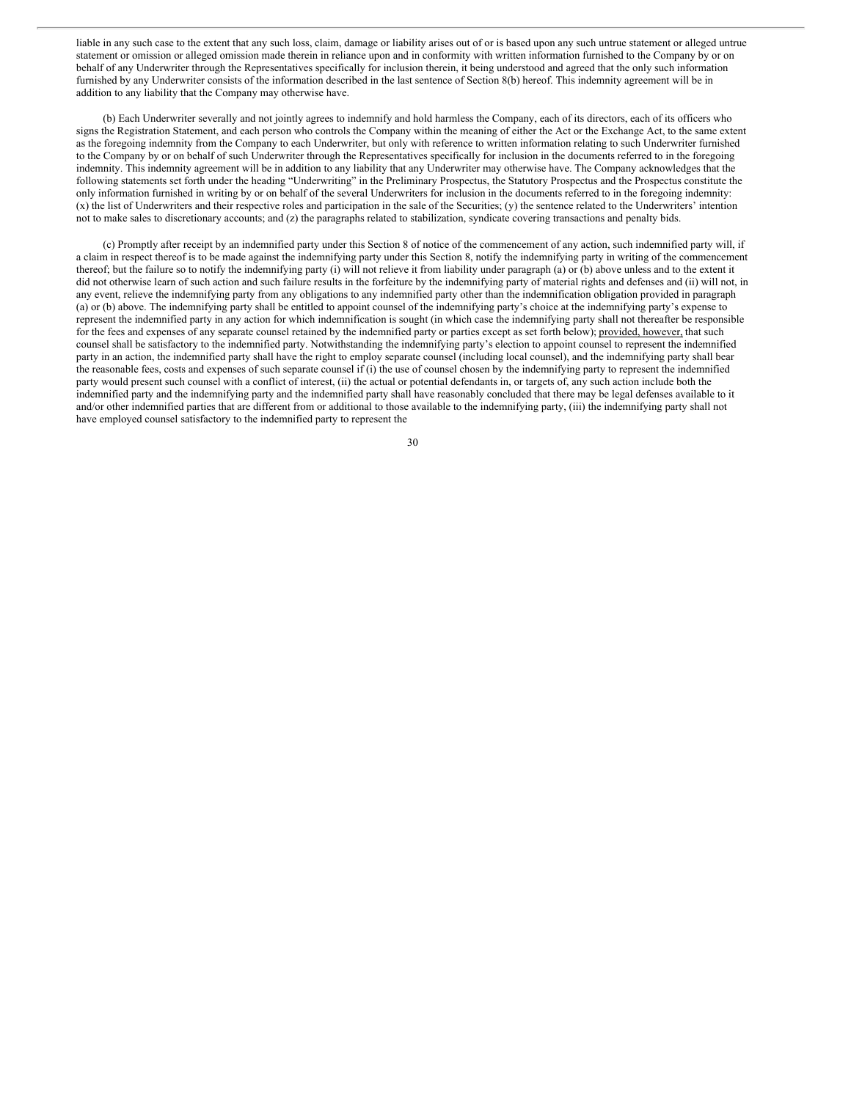liable in any such case to the extent that any such loss, claim, damage or liability arises out of or is based upon any such untrue statement or alleged untrue statement or omission or alleged omission made therein in reliance upon and in conformity with written information furnished to the Company by or on behalf of any Underwriter through the Representatives specifically for inclusion therein, it being understood and agreed that the only such information furnished by any Underwriter consists of the information described in the last sentence of Section 8(b) hereof. This indemnity agreement will be in addition to any liability that the Company may otherwise have.

(b) Each Underwriter severally and not jointly agrees to indemnify and hold harmless the Company, each of its directors, each of its officers who signs the Registration Statement, and each person who controls the Company within the meaning of either the Act or the Exchange Act, to the same extent as the foregoing indemnity from the Company to each Underwriter, but only with reference to written information relating to such Underwriter furnished to the Company by or on behalf of such Underwriter through the Representatives specifically for inclusion in the documents referred to in the foregoing indemnity. This indemnity agreement will be in addition to any liability that any Underwriter may otherwise have. The Company acknowledges that the following statements set forth under the heading "Underwriting" in the Preliminary Prospectus, the Statutory Prospectus and the Prospectus constitute the only information furnished in writing by or on behalf of the several Underwriters for inclusion in the documents referred to in the foregoing indemnity: (x) the list of Underwriters and their respective roles and participation in the sale of the Securities; (y) the sentence related to the Underwriters' intention not to make sales to discretionary accounts; and (z) the paragraphs related to stabilization, syndicate covering transactions and penalty bids.

(c) Promptly after receipt by an indemnified party under this Section 8 of notice of the commencement of any action, such indemnified party will, if a claim in respect thereof is to be made against the indemnifying party under this Section 8, notify the indemnifying party in writing of the commencement thereof; but the failure so to notify the indemnifying party (i) will not relieve it from liability under paragraph (a) or (b) above unless and to the extent it did not otherwise learn of such action and such failure results in the forfeiture by the indemnifying party of material rights and defenses and (ii) will not, in any event, relieve the indemnifying party from any obligations to any indemnified party other than the indemnification obligation provided in paragraph (a) or (b) above. The indemnifying party shall be entitled to appoint counsel of the indemnifying party's choice at the indemnifying party's expense to represent the indemnified party in any action for which indemnification is sought (in which case the indemnifying party shall not thereafter be responsible for the fees and expenses of any separate counsel retained by the indemnified party or parties except as set forth below); provided, however, that such counsel shall be satisfactory to the indemnified party. Notwithstanding the indemnifying party's election to appoint counsel to represent the indemnified party in an action, the indemnified party shall have the right to employ separate counsel (including local counsel), and the indemnifying party shall bear the reasonable fees, costs and expenses of such separate counsel if (i) the use of counsel chosen by the indemnifying party to represent the indemnified party would present such counsel with a conflict of interest, (ii) the actual or potential defendants in, or targets of, any such action include both the indemnified party and the indemnifying party and the indemnified party shall have reasonably concluded that there may be legal defenses available to it and/or other indemnified parties that are different from or additional to those available to the indemnifying party, (iii) the indemnifying party shall not have employed counsel satisfactory to the indemnified party to represent the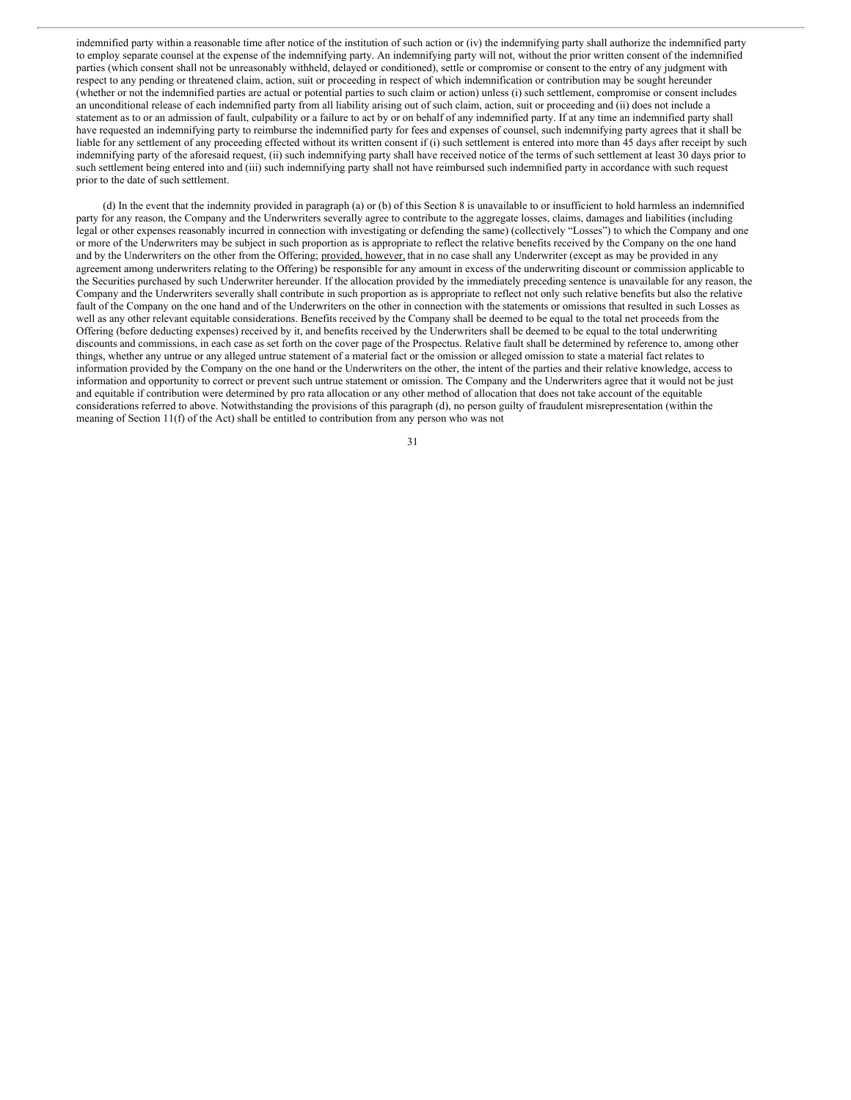indemnified party within a reasonable time after notice of the institution of such action or (iv) the indemnifying party shall authorize the indemnified party to employ separate counsel at the expense of the indemnifying party. An indemnifying party will not, without the prior written consent of the indemnified parties (which consent shall not be unreasonably withheld, delayed or conditioned), settle or compromise or consent to the entry of any judgment with respect to any pending or threatened claim, action, suit or proceeding in respect of which indemnification or contribution may be sought hereunder (whether or not the indemnified parties are actual or potential parties to such claim or action) unless (i) such settlement, compromise or consent includes an unconditional release of each indemnified party from all liability arising out of such claim, action, suit or proceeding and (ii) does not include a statement as to or an admission of fault, culpability or a failure to act by or on behalf of any indemnified party. If at any time an indemnified party shall have requested an indemnifying party to reimburse the indemnified party for fees and expenses of counsel, such indemnifying party agrees that it shall be liable for any settlement of any proceeding effected without its written consent if (i) such settlement is entered into more than 45 days after receipt by such indemnifying party of the aforesaid request, (ii) such indemnifying party shall have received notice of the terms of such settlement at least 30 days prior to such settlement being entered into and (iii) such indemnifying party shall not have reimbursed such indemnified party in accordance with such request prior to the date of such settlement.

(d) In the event that the indemnity provided in paragraph (a) or (b) of this Section 8 is unavailable to or insufficient to hold harmless an indemnified party for any reason, the Company and the Underwriters severally agree to contribute to the aggregate losses, claims, damages and liabilities (including legal or other expenses reasonably incurred in connection with investigating or defending the same) (collectively "Losses") to which the Company and one or more of the Underwriters may be subject in such proportion as is appropriate to reflect the relative benefits received by the Company on the one hand and by the Underwriters on the other from the Offering; provided, however, that in no case shall any Underwriter (except as may be provided in any agreement among underwriters relating to the Offering) be responsible for any amount in excess of the underwriting discount or commission applicable to the Securities purchased by such Underwriter hereunder. If the allocation provided by the immediately preceding sentence is unavailable for any reason, the Company and the Underwriters severally shall contribute in such proportion as is appropriate to reflect not only such relative benefits but also the relative fault of the Company on the one hand and of the Underwriters on the other in connection with the statements or omissions that resulted in such Losses as well as any other relevant equitable considerations. Benefits received by the Company shall be deemed to be equal to the total net proceeds from the Offering (before deducting expenses) received by it, and benefits received by the Underwriters shall be deemed to be equal to the total underwriting discounts and commissions, in each case as set forth on the cover page of the Prospectus. Relative fault shall be determined by reference to, among other things, whether any untrue or any alleged untrue statement of a material fact or the omission or alleged omission to state a material fact relates to information provided by the Company on the one hand or the Underwriters on the other, the intent of the parties and their relative knowledge, access to information and opportunity to correct or prevent such untrue statement or omission. The Company and the Underwriters agree that it would not be just and equitable if contribution were determined by pro rata allocation or any other method of allocation that does not take account of the equitable considerations referred to above. Notwithstanding the provisions of this paragraph (d), no person guilty of fraudulent misrepresentation (within the meaning of Section 11(f) of the Act) shall be entitled to contribution from any person who was not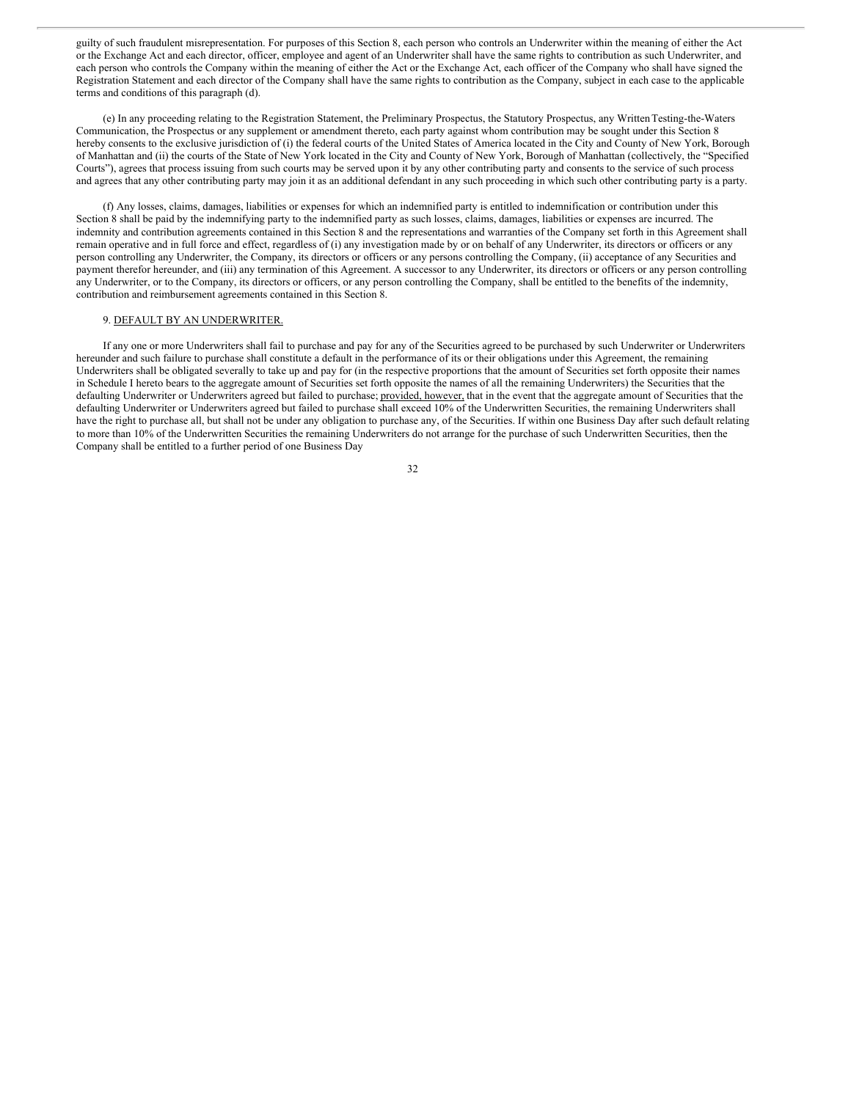guilty of such fraudulent misrepresentation. For purposes of this Section 8, each person who controls an Underwriter within the meaning of either the Act or the Exchange Act and each director, officer, employee and agent of an Underwriter shall have the same rights to contribution as such Underwriter, and each person who controls the Company within the meaning of either the Act or the Exchange Act, each officer of the Company who shall have signed the Registration Statement and each director of the Company shall have the same rights to contribution as the Company, subject in each case to the applicable terms and conditions of this paragraph (d).

(e) In any proceeding relating to the Registration Statement, the Preliminary Prospectus, the Statutory Prospectus, any WrittenTesting-the-Waters Communication, the Prospectus or any supplement or amendment thereto, each party against whom contribution may be sought under this Section 8 hereby consents to the exclusive jurisdiction of (i) the federal courts of the United States of America located in the City and County of New York, Borough of Manhattan and (ii) the courts of the State of New York located in the City and County of New York, Borough of Manhattan (collectively, the "Specified Courts"), agrees that process issuing from such courts may be served upon it by any other contributing party and consents to the service of such process and agrees that any other contributing party may join it as an additional defendant in any such proceeding in which such other contributing party is a party.

(f) Any losses, claims, damages, liabilities or expenses for which an indemnified party is entitled to indemnification or contribution under this Section 8 shall be paid by the indemnifying party to the indemnified party as such losses, claims, damages, liabilities or expenses are incurred. The indemnity and contribution agreements contained in this Section 8 and the representations and warranties of the Company set forth in this Agreement shall remain operative and in full force and effect, regardless of (i) any investigation made by or on behalf of any Underwriter, its directors or officers or any person controlling any Underwriter, the Company, its directors or officers or any persons controlling the Company, (ii) acceptance of any Securities and payment therefor hereunder, and (iii) any termination of this Agreement. A successor to any Underwriter, its directors or officers or any person controlling any Underwriter, or to the Company, its directors or officers, or any person controlling the Company, shall be entitled to the benefits of the indemnity, contribution and reimbursement agreements contained in this Section 8.

#### 9. DEFAULT BY AN UNDERWRITER.

If any one or more Underwriters shall fail to purchase and pay for any of the Securities agreed to be purchased by such Underwriter or Underwriters hereunder and such failure to purchase shall constitute a default in the performance of its or their obligations under this Agreement, the remaining Underwriters shall be obligated severally to take up and pay for (in the respective proportions that the amount of Securities set forth opposite their names in Schedule I hereto bears to the aggregate amount of Securities set forth opposite the names of all the remaining Underwriters) the Securities that the defaulting Underwriter or Underwriters agreed but failed to purchase; provided, however, that in the event that the aggregate amount of Securities that the defaulting Underwriter or Underwriters agreed but failed to purchase shall exceed 10% of the Underwritten Securities, the remaining Underwriters shall have the right to purchase all, but shall not be under any obligation to purchase any, of the Securities. If within one Business Day after such default relating to more than 10% of the Underwritten Securities the remaining Underwriters do not arrange for the purchase of such Underwritten Securities, then the Company shall be entitled to a further period of one Business Day

| I<br>×<br>۰. |  |
|--------------|--|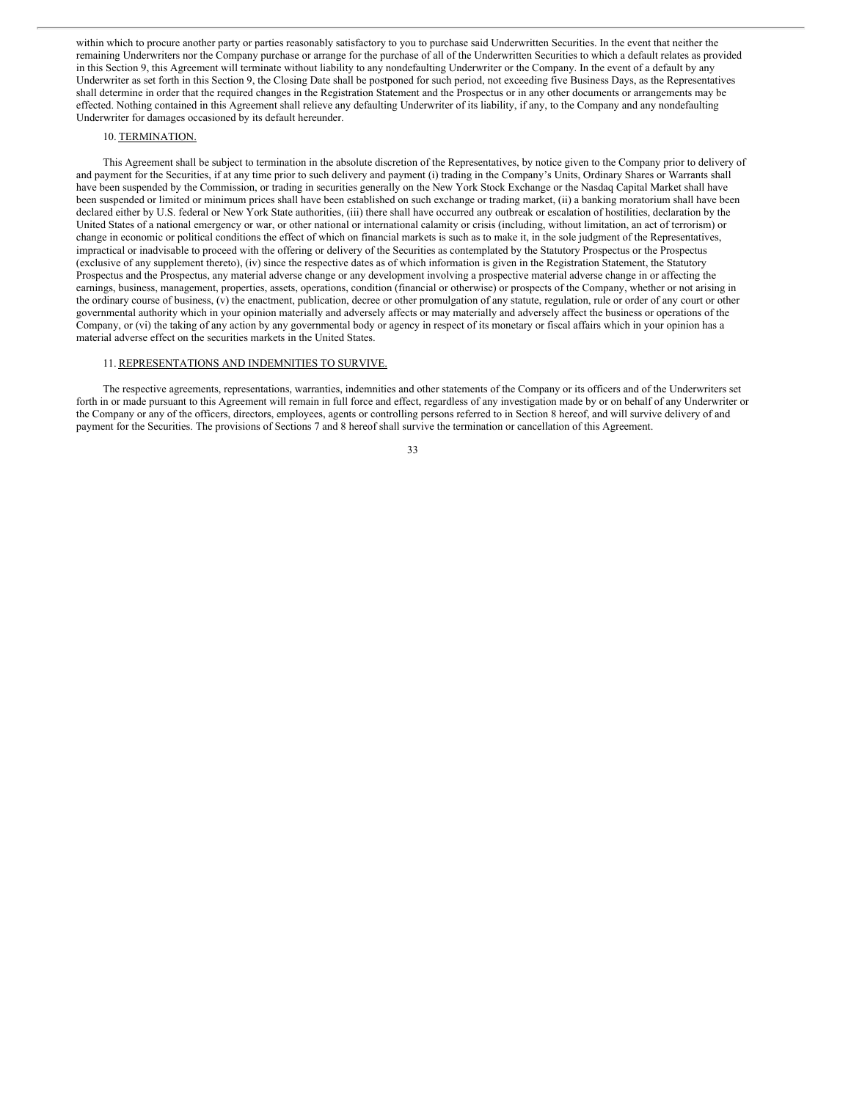within which to procure another party or parties reasonably satisfactory to you to purchase said Underwritten Securities. In the event that neither the remaining Underwriters nor the Company purchase or arrange for the purchase of all of the Underwritten Securities to which a default relates as provided in this Section 9, this Agreement will terminate without liability to any nondefaulting Underwriter or the Company. In the event of a default by any Underwriter as set forth in this Section 9, the Closing Date shall be postponed for such period, not exceeding five Business Days, as the Representatives shall determine in order that the required changes in the Registration Statement and the Prospectus or in any other documents or arrangements may be effected. Nothing contained in this Agreement shall relieve any defaulting Underwriter of its liability, if any, to the Company and any nondefaulting Underwriter for damages occasioned by its default hereunder.

# 10. TERMINATION.

This Agreement shall be subject to termination in the absolute discretion of the Representatives, by notice given to the Company prior to delivery of and payment for the Securities, if at any time prior to such delivery and payment (i) trading in the Company's Units, Ordinary Shares or Warrants shall have been suspended by the Commission, or trading in securities generally on the New York Stock Exchange or the Nasdaq Capital Market shall have been suspended or limited or minimum prices shall have been established on such exchange or trading market, (ii) a banking moratorium shall have been declared either by U.S. federal or New York State authorities, (iii) there shall have occurred any outbreak or escalation of hostilities, declaration by the United States of a national emergency or war, or other national or international calamity or crisis (including, without limitation, an act of terrorism) or change in economic or political conditions the effect of which on financial markets is such as to make it, in the sole judgment of the Representatives, impractical or inadvisable to proceed with the offering or delivery of the Securities as contemplated by the Statutory Prospectus or the Prospectus (exclusive of any supplement thereto), (iv) since the respective dates as of which information is given in the Registration Statement, the Statutory Prospectus and the Prospectus, any material adverse change or any development involving a prospective material adverse change in or affecting the earnings, business, management, properties, assets, operations, condition (financial or otherwise) or prospects of the Company, whether or not arising in the ordinary course of business, (v) the enactment, publication, decree or other promulgation of any statute, regulation, rule or order of any court or other governmental authority which in your opinion materially and adversely affects or may materially and adversely affect the business or operations of the Company, or (vi) the taking of any action by any governmental body or agency in respect of its monetary or fiscal affairs which in your opinion has a material adverse effect on the securities markets in the United States.

# 11. REPRESENTATIONS AND INDEMNITIES TO SURVIVE.

The respective agreements, representations, warranties, indemnities and other statements of the Company or its officers and of the Underwriters set forth in or made pursuant to this Agreement will remain in full force and effect, regardless of any investigation made by or on behalf of any Underwriter or the Company or any of the officers, directors, employees, agents or controlling persons referred to in Section 8 hereof, and will survive delivery of and payment for the Securities. The provisions of Sections 7 and 8 hereof shall survive the termination or cancellation of this Agreement.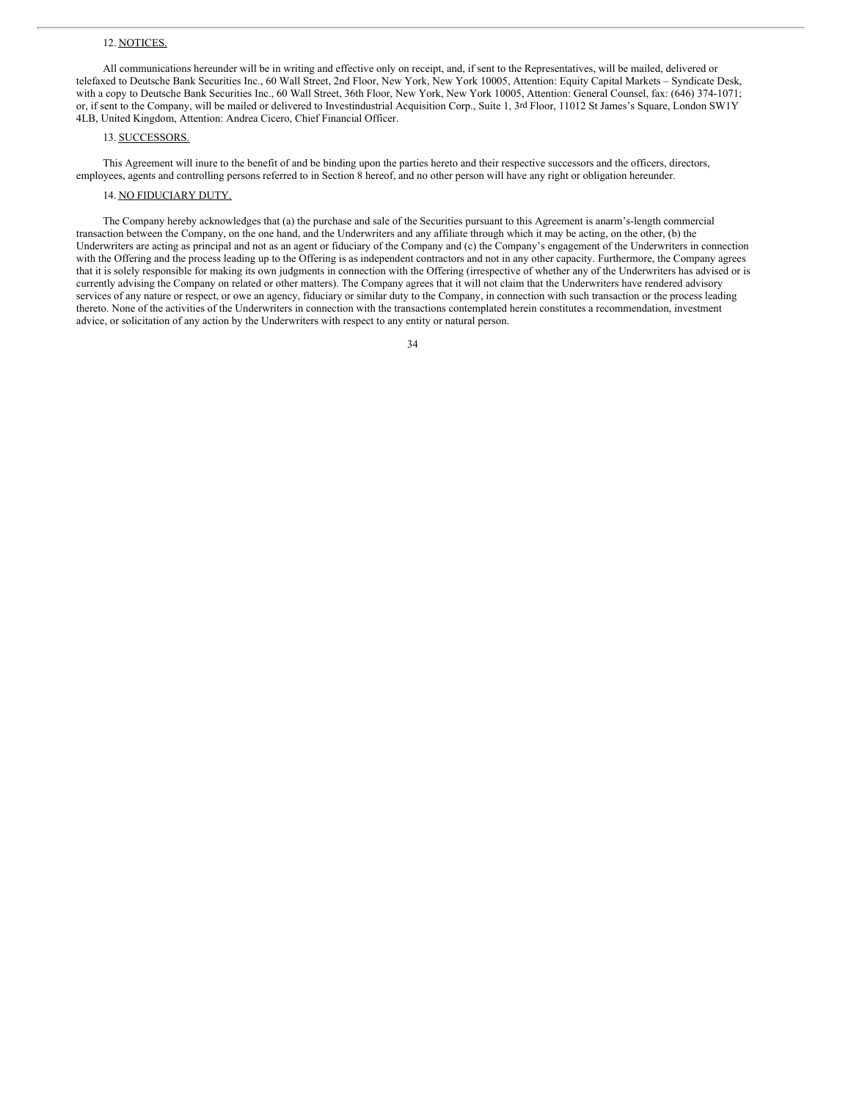# 12. NOTICES.

All communications hereunder will be in writing and effective only on receipt, and, if sent to the Representatives, will be mailed, delivered or telefaxed to Deutsche Bank Securities Inc., 60 Wall Street, 2nd Floor, New York, New York 10005, Attention: Equity Capital Markets – Syndicate Desk, with a copy to Deutsche Bank Securities Inc., 60 Wall Street, 36th Floor, New York, New York 10005, Attention: General Counsel, fax: (646) 374-1071; or, if sent to the Company, will be mailed or delivered to Investindustrial Acquisition Corp., Suite 1, 3rd Floor, 11012 St James's Square, London SW1Y 4LB, United Kingdom, Attention: Andrea Cicero, Chief Financial Officer.

## 13. SUCCESSORS.

This Agreement will inure to the benefit of and be binding upon the parties hereto and their respective successors and the officers, directors, employees, agents and controlling persons referred to in Section 8 hereof, and no other person will have any right or obligation hereunder.

# 14. NO FIDUCIARY DUTY.

The Company hereby acknowledges that (a) the purchase and sale of the Securities pursuant to this Agreement is anarm's-length commercial transaction between the Company, on the one hand, and the Underwriters and any affiliate through which it may be acting, on the other, (b) the Underwriters are acting as principal and not as an agent or fiduciary of the Company and (c) the Company's engagement of the Underwriters in connection with the Offering and the process leading up to the Offering is as independent contractors and not in any other capacity. Furthermore, the Company agrees that it is solely responsible for making its own judgments in connection with the Offering (irrespective of whether any of the Underwriters has advised or is currently advising the Company on related or other matters). The Company agrees that it will not claim that the Underwriters have rendered advisory services of any nature or respect, or owe an agency, fiduciary or similar duty to the Company, in connection with such transaction or the process leading thereto. None of the activities of the Underwriters in connection with the transactions contemplated herein constitutes a recommendation, investment advice, or solicitation of any action by the Underwriters with respect to any entity or natural person.

|                    | I |
|--------------------|---|
| ۰,<br>I<br>×<br>۰. |   |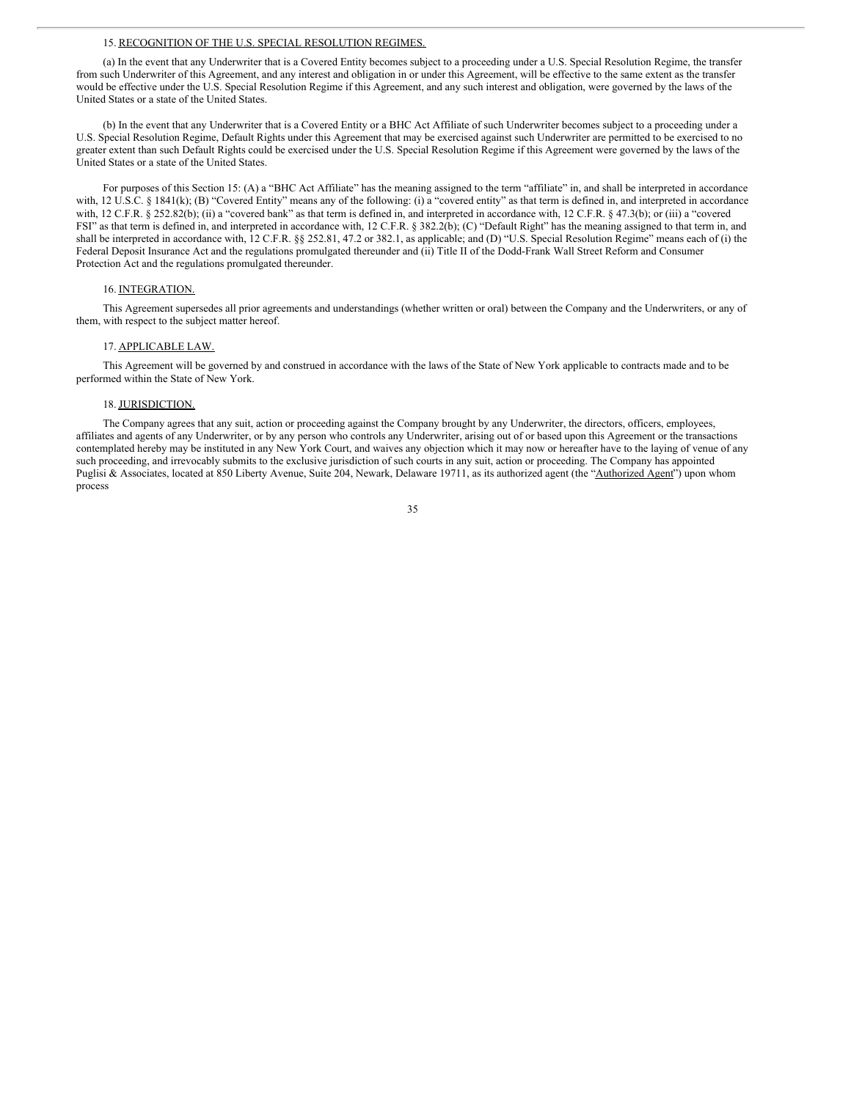#### 15. RECOGNITION OF THE U.S. SPECIAL RESOLUTION REGIMES.

(a) In the event that any Underwriter that is a Covered Entity becomes subject to a proceeding under a U.S. Special Resolution Regime, the transfer from such Underwriter of this Agreement, and any interest and obligation in or under this Agreement, will be effective to the same extent as the transfer would be effective under the U.S. Special Resolution Regime if this Agreement, and any such interest and obligation, were governed by the laws of the United States or a state of the United States.

(b) In the event that any Underwriter that is a Covered Entity or a BHC Act Affiliate of such Underwriter becomes subject to a proceeding under a U.S. Special Resolution Regime, Default Rights under this Agreement that may be exercised against such Underwriter are permitted to be exercised to no greater extent than such Default Rights could be exercised under the U.S. Special Resolution Regime if this Agreement were governed by the laws of the United States or a state of the United States.

For purposes of this Section 15: (A) a "BHC Act Affiliate" has the meaning assigned to the term "affiliate" in, and shall be interpreted in accordance with, 12 U.S.C. § 1841(k); (B) "Covered Entity" means any of the following: (i) a "covered entity" as that term is defined in, and interpreted in accordance with, 12 C.F.R. § 252.82(b); (ii) a "covered bank" as that term is defined in, and interpreted in accordance with, 12 C.F.R. § 47.3(b); or (iii) a "covered FSI" as that term is defined in, and interpreted in accordance with, 12 C.F.R. § 382.2(b); (C) "Default Right" has the meaning assigned to that term in, and shall be interpreted in accordance with, 12 C.F.R. §§ 252.81, 47.2 or 382.1, as applicable; and (D) "U.S. Special Resolution Regime" means each of (i) the Federal Deposit Insurance Act and the regulations promulgated thereunder and (ii) Title II of the Dodd-Frank Wall Street Reform and Consumer Protection Act and the regulations promulgated thereunder.

# 16. INTEGRATION.

This Agreement supersedes all prior agreements and understandings (whether written or oral) between the Company and the Underwriters, or any of them, with respect to the subject matter hereof.

#### 17. APPLICABLE LAW.

This Agreement will be governed by and construed in accordance with the laws of the State of New York applicable to contracts made and to be performed within the State of New York.

# 18. JURISDICTION.

The Company agrees that any suit, action or proceeding against the Company brought by any Underwriter, the directors, officers, employees, affiliates and agents of any Underwriter, or by any person who controls any Underwriter, arising out of or based upon this Agreement or the transactions contemplated hereby may be instituted in any New York Court, and waives any objection which it may now or hereafter have to the laying of venue of any such proceeding, and irrevocably submits to the exclusive jurisdiction of such courts in any suit, action or proceeding. The Company has appointed Puglisi & Associates, located at 850 Liberty Avenue, Suite 204, Newark, Delaware 19711, as its authorized agent (the "Authorized Agent") upon whom process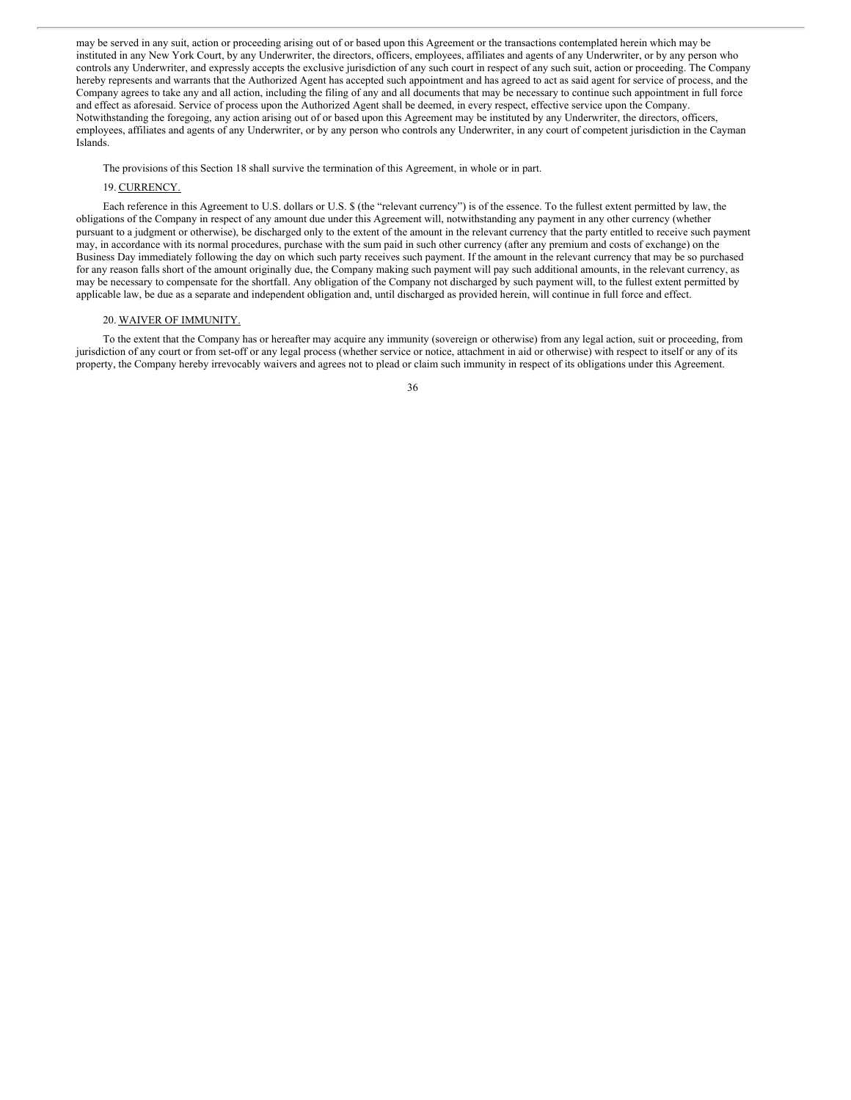may be served in any suit, action or proceeding arising out of or based upon this Agreement or the transactions contemplated herein which may be instituted in any New York Court, by any Underwriter, the directors, officers, employees, affiliates and agents of any Underwriter, or by any person who controls any Underwriter, and expressly accepts the exclusive jurisdiction of any such court in respect of any such suit, action or proceeding. The Company hereby represents and warrants that the Authorized Agent has accepted such appointment and has agreed to act as said agent for service of process, and the Company agrees to take any and all action, including the filing of any and all documents that may be necessary to continue such appointment in full force and effect as aforesaid. Service of process upon the Authorized Agent shall be deemed, in every respect, effective service upon the Company. Notwithstanding the foregoing, any action arising out of or based upon this Agreement may be instituted by any Underwriter, the directors, officers, employees, affiliates and agents of any Underwriter, or by any person who controls any Underwriter, in any court of competent jurisdiction in the Cayman Islands.

The provisions of this Section 18 shall survive the termination of this Agreement, in whole or in part.

# 19. CURRENCY.

Each reference in this Agreement to U.S. dollars or U.S. \$ (the "relevant currency") is of the essence. To the fullest extent permitted by law, the obligations of the Company in respect of any amount due under this Agreement will, notwithstanding any payment in any other currency (whether pursuant to a judgment or otherwise), be discharged only to the extent of the amount in the relevant currency that the party entitled to receive such payment may, in accordance with its normal procedures, purchase with the sum paid in such other currency (after any premium and costs of exchange) on the Business Day immediately following the day on which such party receives such payment. If the amount in the relevant currency that may be so purchased for any reason falls short of the amount originally due, the Company making such payment will pay such additional amounts, in the relevant currency, as may be necessary to compensate for the shortfall. Any obligation of the Company not discharged by such payment will, to the fullest extent permitted by applicable law, be due as a separate and independent obligation and, until discharged as provided herein, will continue in full force and effect.

#### 20. WAIVER OF IMMUNITY.

To the extent that the Company has or hereafter may acquire any immunity (sovereign or otherwise) from any legal action, suit or proceeding, from jurisdiction of any court or from set-off or any legal process (whether service or notice, attachment in aid or otherwise) with respect to itself or any of its property, the Company hereby irrevocably waivers and agrees not to plead or claim such immunity in respect of its obligations under this Agreement.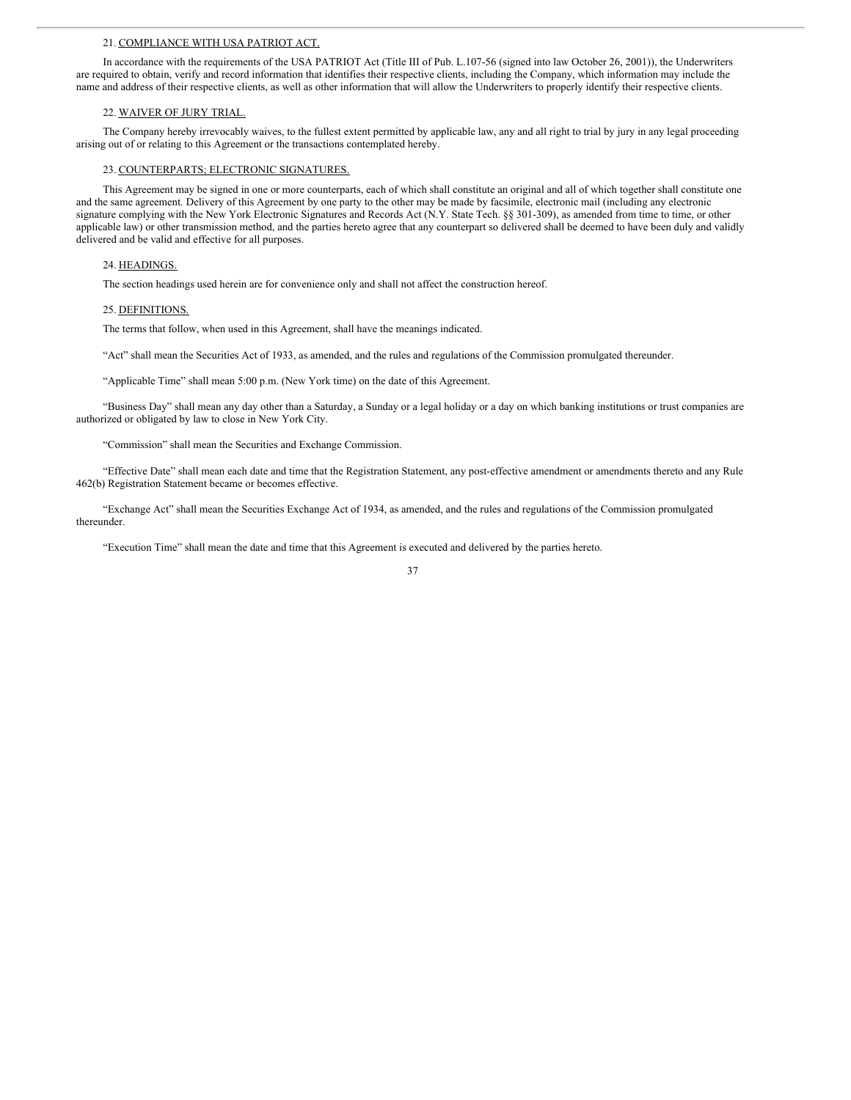#### 21. COMPLIANCE WITH USA PATRIOT ACT.

In accordance with the requirements of the USA PATRIOT Act (Title III of Pub. L.107-56 (signed into law October 26, 2001)), the Underwriters are required to obtain, verify and record information that identifies their respective clients, including the Company, which information may include the name and address of their respective clients, as well as other information that will allow the Underwriters to properly identify their respective clients.

# 22. WAIVER OF JURY TRIAL.

The Company hereby irrevocably waives, to the fullest extent permitted by applicable law, any and all right to trial by jury in any legal proceeding arising out of or relating to this Agreement or the transactions contemplated hereby.

#### 23. COUNTERPARTS; ELECTRONIC SIGNATURES.

This Agreement may be signed in one or more counterparts, each of which shall constitute an original and all of which together shall constitute one and the same agreement. Delivery of this Agreement by one party to the other may be made by facsimile, electronic mail (including any electronic signature complying with the New York Electronic Signatures and Records Act (N.Y. State Tech. §§ 301-309), as amended from time to time, or other applicable law) or other transmission method, and the parties hereto agree that any counterpart so delivered shall be deemed to have been duly and validly delivered and be valid and effective for all purposes.

#### 24. HEADINGS.

The section headings used herein are for convenience only and shall not affect the construction hereof.

#### 25. DEFINITIONS.

The terms that follow, when used in this Agreement, shall have the meanings indicated.

"Act" shall mean the Securities Act of 1933, as amended, and the rules and regulations of the Commission promulgated thereunder.

"Applicable Time" shall mean 5:00 p.m. (New York time) on the date of this Agreement.

"Business Day" shall mean any day other than a Saturday, a Sunday or a legal holiday or a day on which banking institutions or trust companies are authorized or obligated by law to close in New York City.

"Commission" shall mean the Securities and Exchange Commission.

"Effective Date" shall mean each date and time that the Registration Statement, any post-effective amendment or amendments thereto and any Rule 462(b) Registration Statement became or becomes effective.

"Exchange Act" shall mean the Securities Exchange Act of 1934, as amended, and the rules and regulations of the Commission promulgated thereunder.

"Execution Time" shall mean the date and time that this Agreement is executed and delivered by the parties hereto.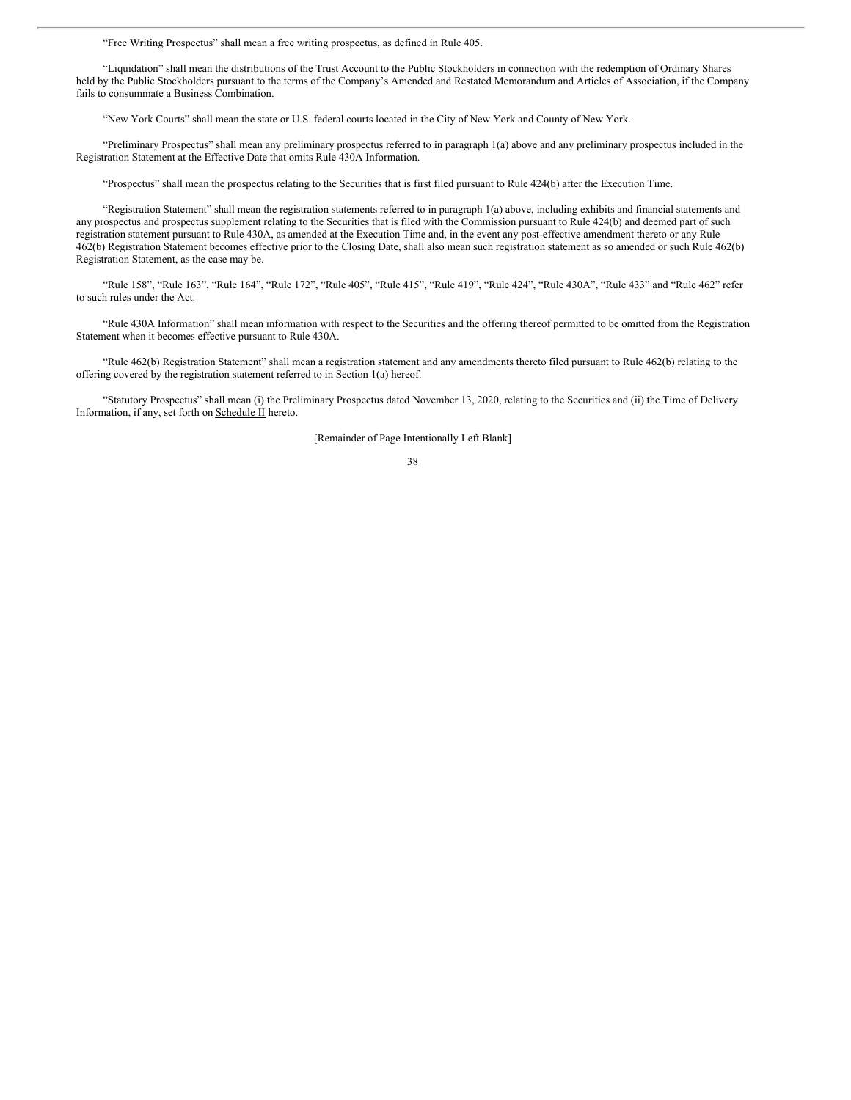"Free Writing Prospectus" shall mean a free writing prospectus, as defined in Rule 405.

"Liquidation" shall mean the distributions of the Trust Account to the Public Stockholders in connection with the redemption of Ordinary Shares held by the Public Stockholders pursuant to the terms of the Company's Amended and Restated Memorandum and Articles of Association, if the Company fails to consummate a Business Combination.

"New York Courts" shall mean the state or U.S. federal courts located in the City of New York and County of New York.

"Preliminary Prospectus" shall mean any preliminary prospectus referred to in paragraph 1(a) above and any preliminary prospectus included in the Registration Statement at the Effective Date that omits Rule 430A Information.

"Prospectus" shall mean the prospectus relating to the Securities that is first filed pursuant to Rule 424(b) after the Execution Time.

"Registration Statement" shall mean the registration statements referred to in paragraph 1(a) above, including exhibits and financial statements and any prospectus and prospectus supplement relating to the Securities that is filed with the Commission pursuant to Rule 424(b) and deemed part of such registration statement pursuant to Rule 430A, as amended at the Execution Time and, in the event any post-effective amendment thereto or any Rule 462(b) Registration Statement becomes effective prior to the Closing Date, shall also mean such registration statement as so amended or such Rule 462(b) Registration Statement, as the case may be.

"Rule 158", "Rule 163", "Rule 164", "Rule 172", "Rule 405", "Rule 415", "Rule 419", "Rule 424", "Rule 430A", "Rule 433" and "Rule 462" refer to such rules under the Act.

"Rule 430A Information" shall mean information with respect to the Securities and the offering thereof permitted to be omitted from the Registration Statement when it becomes effective pursuant to Rule 430A.

"Rule 462(b) Registration Statement" shall mean a registration statement and any amendments thereto filed pursuant to Rule 462(b) relating to the offering covered by the registration statement referred to in Section 1(a) hereof.

"Statutory Prospectus" shall mean (i) the Preliminary Prospectus dated November 13, 2020, relating to the Securities and (ii) the Time of Delivery Information, if any, set forth on Schedule II hereto.

[Remainder of Page Intentionally Left Blank]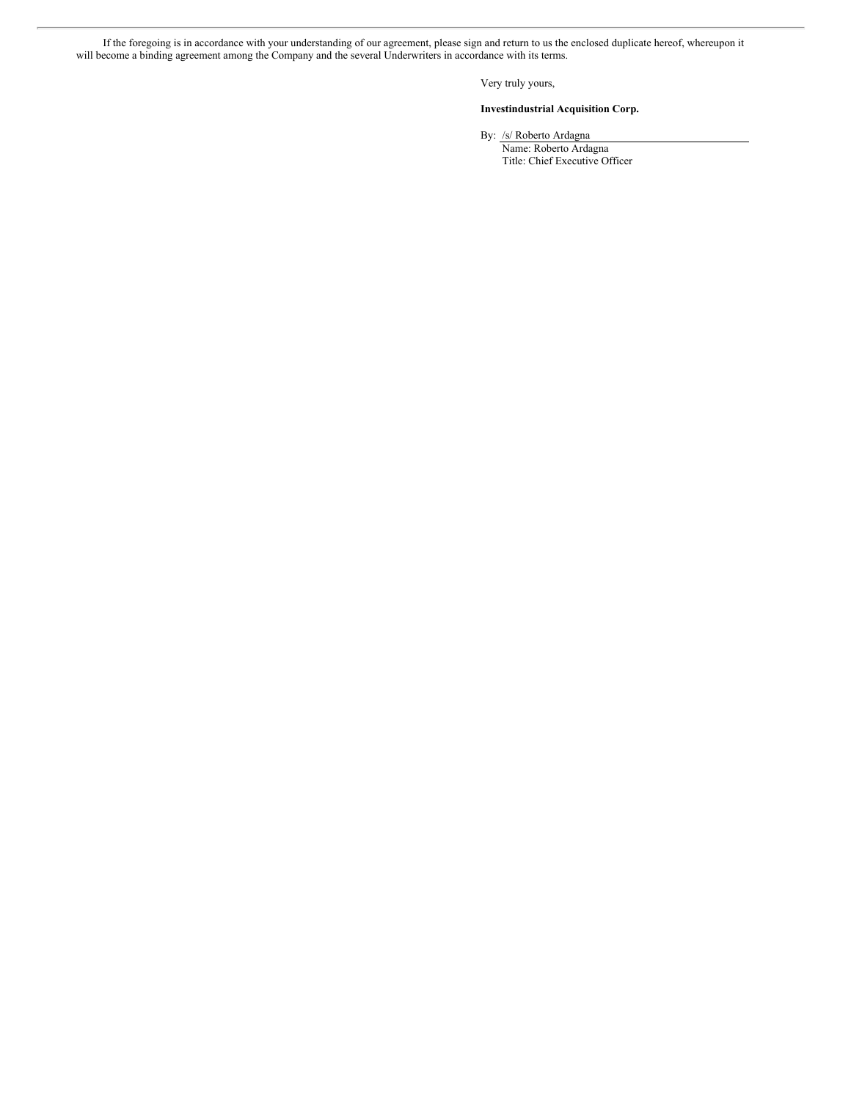If the foregoing is in accordance with your understanding of our agreement, please sign and return to us the enclosed duplicate hereof, whereupon it will become a binding agreement among the Company and the several Underwriters in accordance with its terms.

Very truly yours,

# **Investindustrial Acquisition Corp.**

By: /s/ Roberto Ardagna

Name: Roberto Ardagna Title: Chief Executive Officer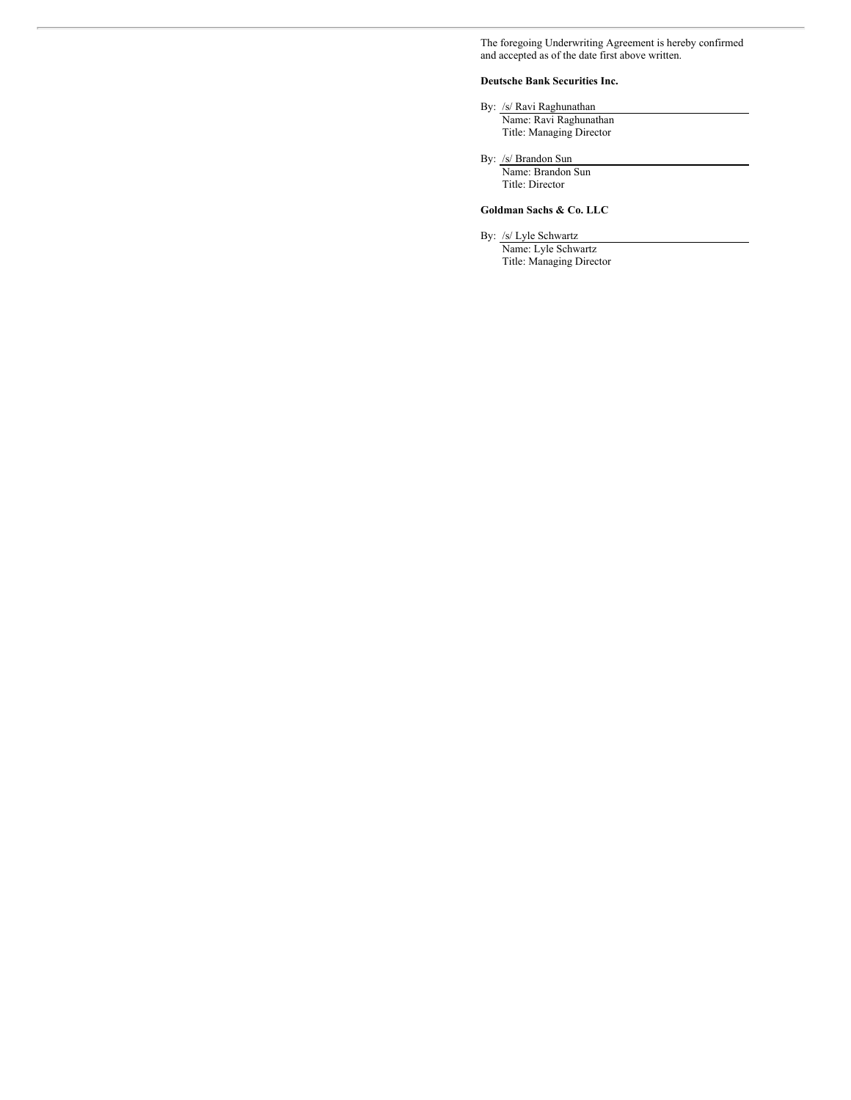The foregoing Underwriting Agreement is hereby confirmed and accepted as of the date first above written.

# **Deutsche Bank Securities Inc.**

By: /s/ Ravi Raghunathan Name: Ravi Raghunathan Title: Managing Director

By: /s/ Brandon Sun Name: Brandon Sun Title: Director

# **Goldman Sachs & Co. LLC**

By: /s/ Lyle Schwartz

Name: Lyle Schwartz Title: Managing Director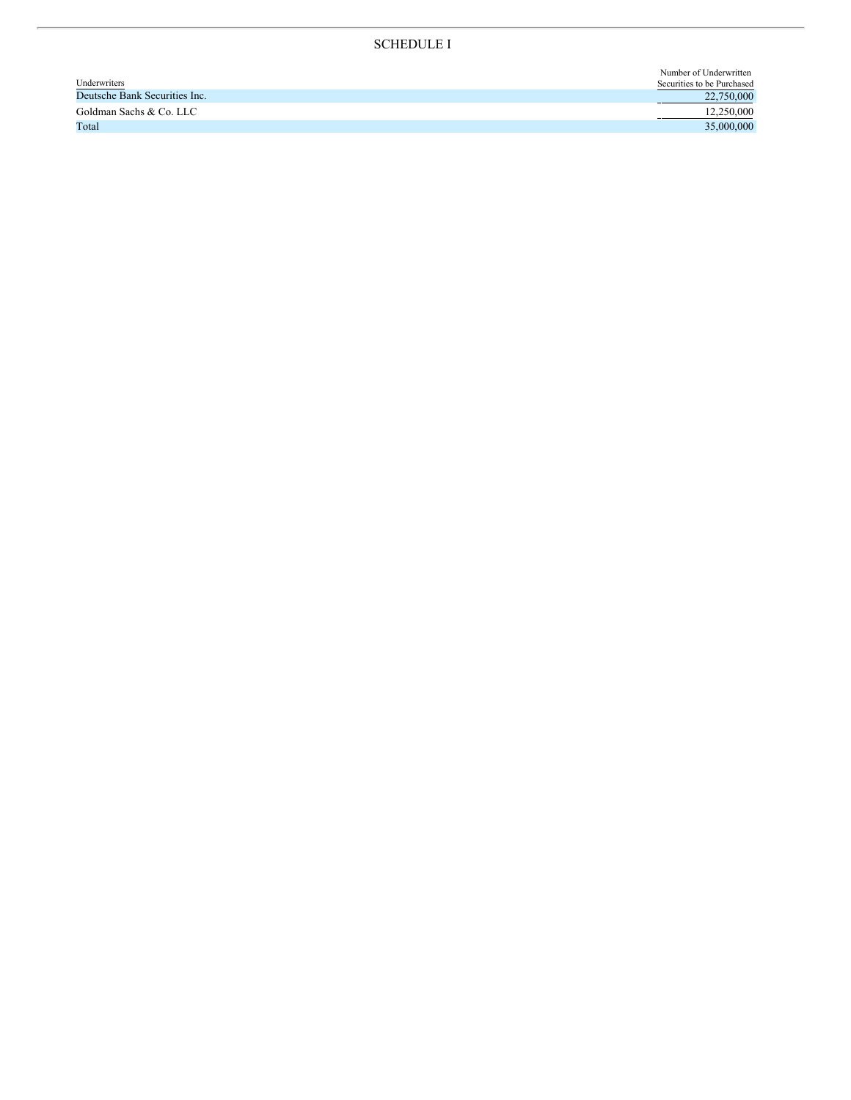# SCHEDULE I

|                               | Number of Underwritten     |
|-------------------------------|----------------------------|
| Underwriters                  | Securities to be Purchased |
| Deutsche Bank Securities Inc. | 22,750,000                 |
| Goldman Sachs & Co. LLC       | 12,250,000                 |
| Total                         | 35,000,000                 |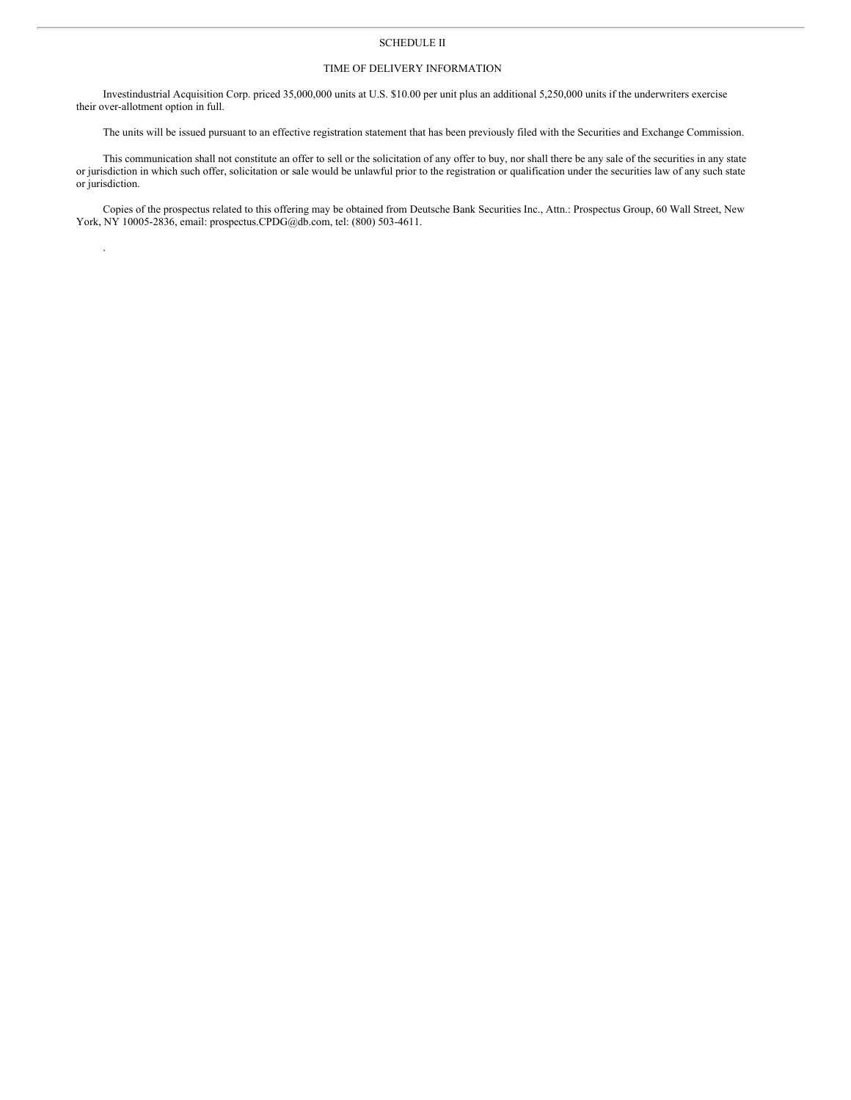# SCHEDULE II

# TIME OF DELIVERY INFORMATION

Investindustrial Acquisition Corp. priced 35,000,000 units at U.S. \$10.00 per unit plus an additional 5,250,000 units if the underwriters exercise their over-allotment option in full.

The units will be issued pursuant to an effective registration statement that has been previously filed with the Securities and Exchange Commission.

This communication shall not constitute an offer to sell or the solicitation of any offer to buy, nor shall there be any sale of the securities in any state or jurisdiction in which such offer, solicitation or sale would be unlawful prior to the registration or qualification under the securities law of any such state or jurisdiction.

Copies of the prospectus related to this offering may be obtained from Deutsche Bank Securities Inc., Attn.: Prospectus Group, 60 Wall Street, New York, NY 10005-2836, email: prospectus.CPDG@db.com, tel: (800) 503-4611.

.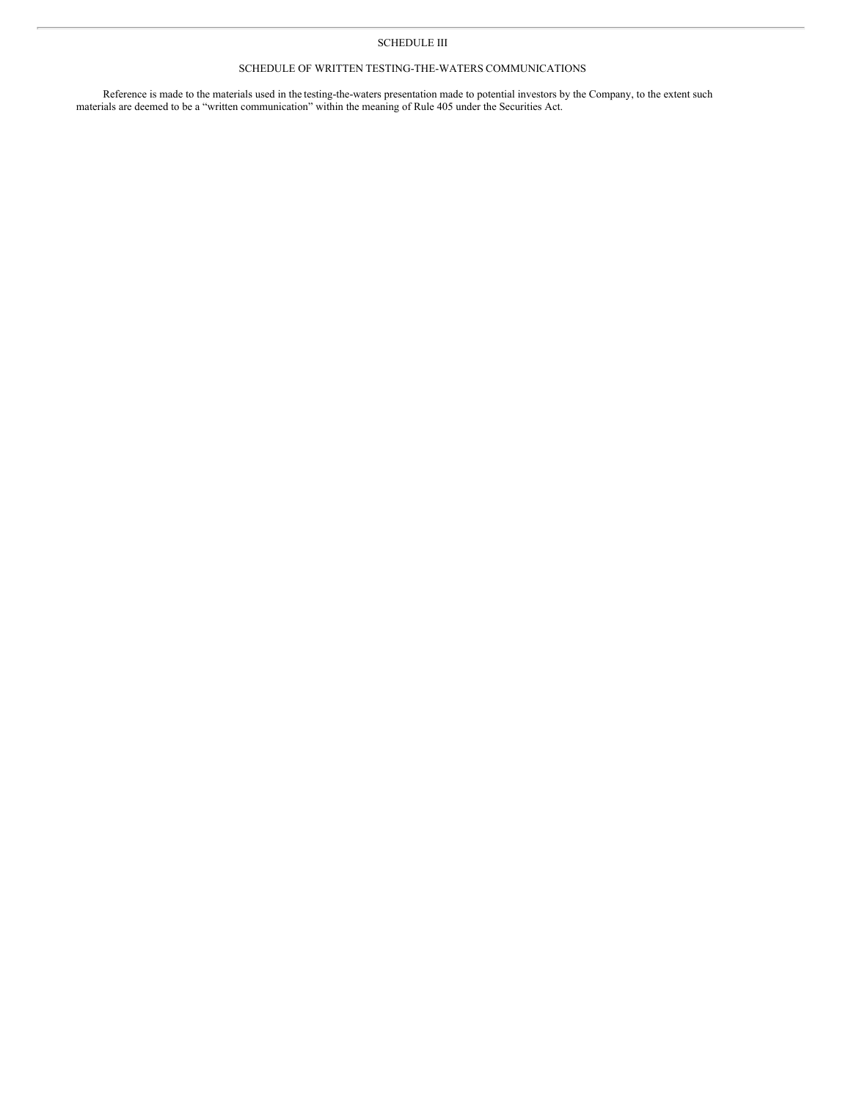# SCHEDULE III

# SCHEDULE OF WRITTEN TESTING-THE-WATERS COMMUNICATIONS

Reference is made to the materials used in the testing-the-waters presentation made to potential investors by the Company, to the extent such materials are deemed to be a "written communication" within the meaning of Rule 405 under the Securities Act.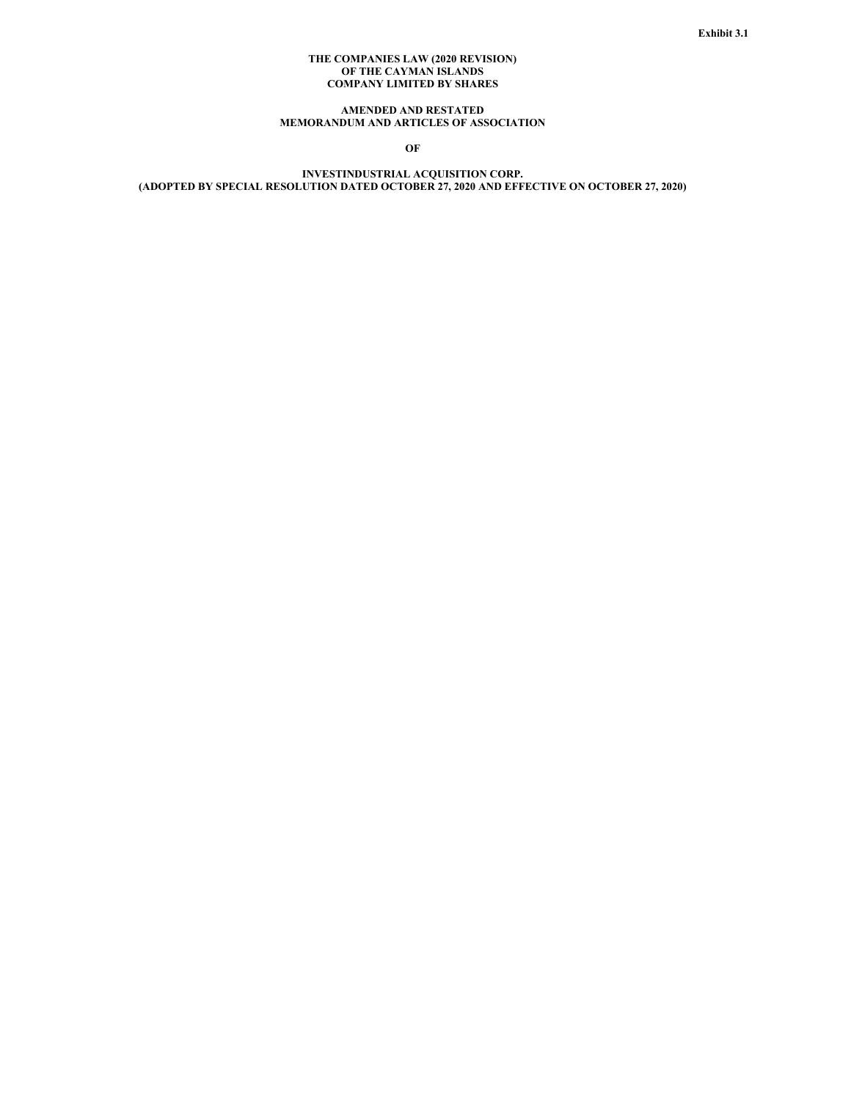# **THE COMPANIES LAW (2020 REVISION) OF THE CAYMAN ISLANDS COMPANY LIMITED BY SHARES**

# **AMENDED AND RESTATED MEMORANDUM AND ARTICLES OF ASSOCIATION**

**OF**

**INVESTINDUSTRIAL ACQUISITION CORP. (ADOPTED BY SPECIAL RESOLUTION DATED OCTOBER 27, 2020 AND EFFECTIVE ON OCTOBER 27, 2020)**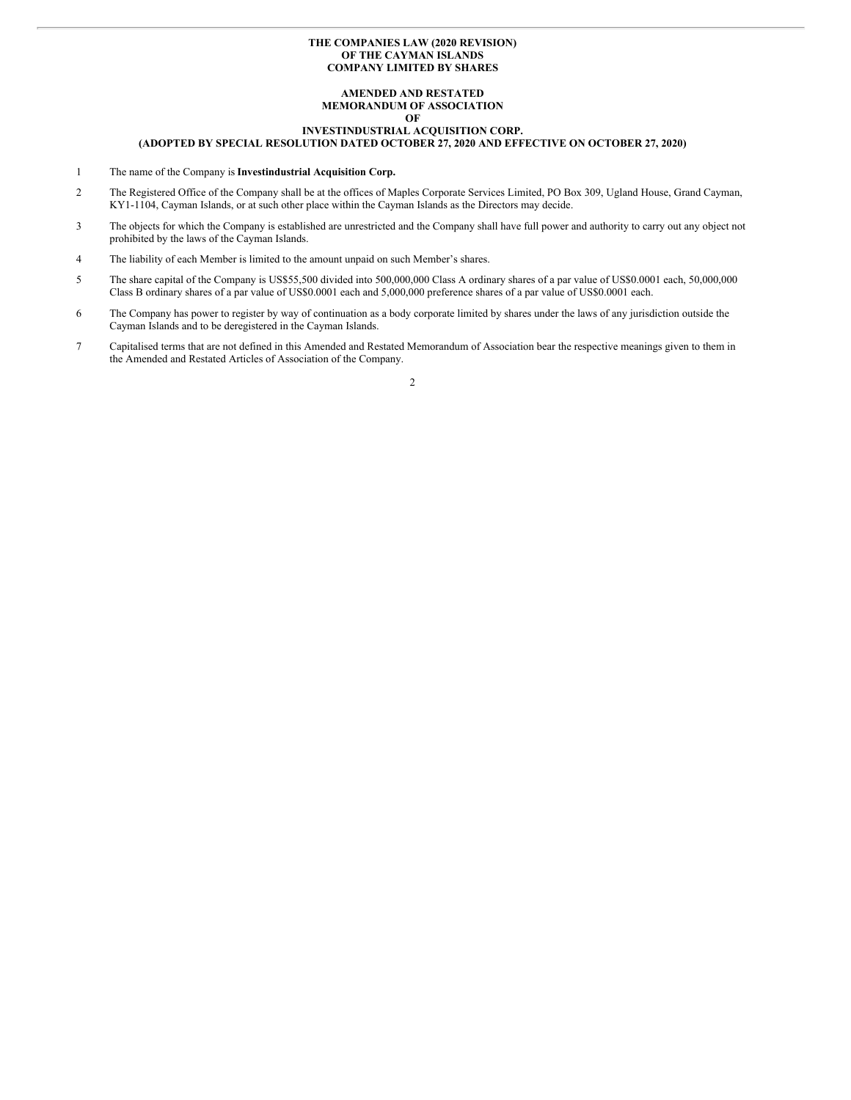### **THE COMPANIES LAW (2020 REVISION) OF THE CAYMAN ISLANDS COMPANY LIMITED BY SHARES**

#### **AMENDED AND RESTATED MEMORANDUM OF ASSOCIATION OF**

# **INVESTINDUSTRIAL ACQUISITION CORP.**

## **(ADOPTED BY SPECIAL RESOLUTION DATED OCTOBER 27, 2020 AND EFFECTIVE ON OCTOBER 27, 2020)**

- 1 The name of the Company is **Investindustrial Acquisition Corp.**
- 2 The Registered Office of the Company shall be at the offices of Maples Corporate Services Limited, PO Box 309, Ugland House, Grand Cayman, KY1-1104, Cayman Islands, or at such other place within the Cayman Islands as the Directors may decide.
- 3 The objects for which the Company is established are unrestricted and the Company shall have full power and authority to carry out any object not prohibited by the laws of the Cayman Islands.
- 4 The liability of each Member is limited to the amount unpaid on such Member's shares.
- 5 The share capital of the Company is US\$55,500 divided into 500,000,000 Class A ordinary shares of a par value of US\$0.0001 each, 50,000,000 Class B ordinary shares of a par value of US\$0.0001 each and 5,000,000 preference shares of a par value of US\$0.0001 each.
- 6 The Company has power to register by way of continuation as a body corporate limited by shares under the laws of any jurisdiction outside the Cayman Islands and to be deregistered in the Cayman Islands.
- 7 Capitalised terms that are not defined in this Amended and Restated Memorandum of Association bear the respective meanings given to them in the Amended and Restated Articles of Association of the Company.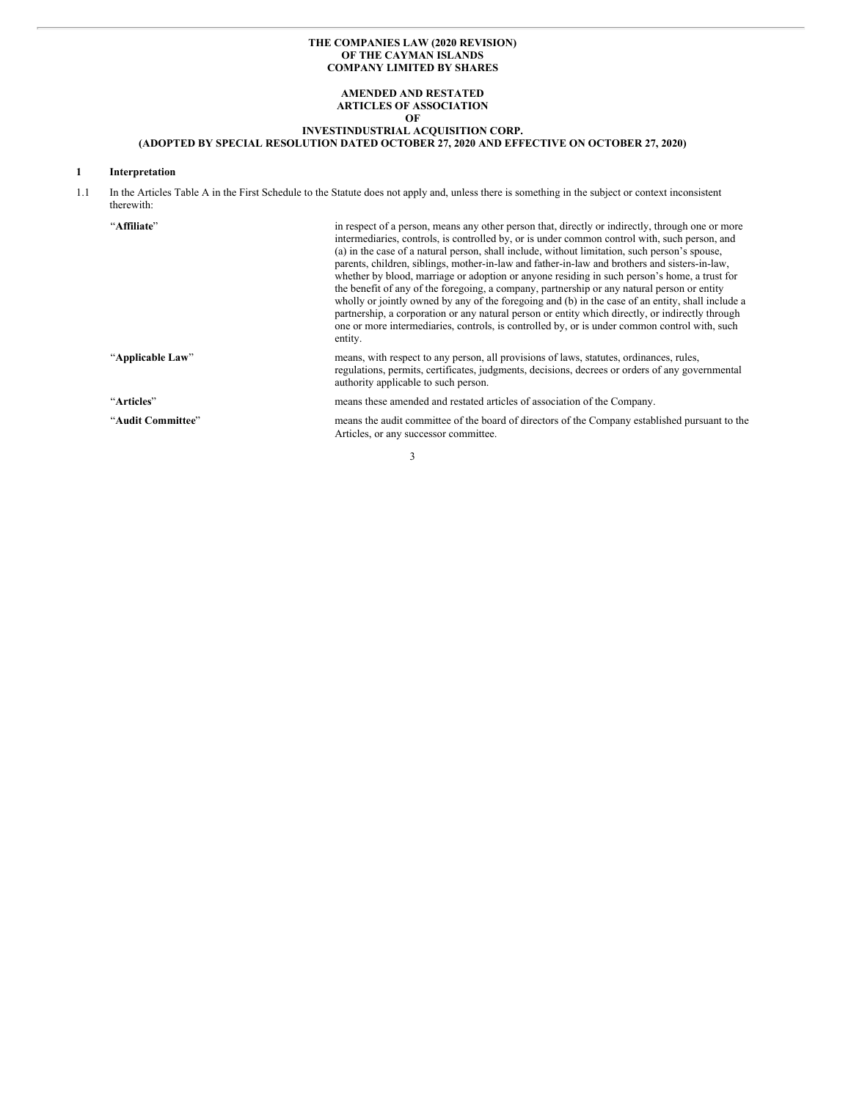# **THE COMPANIES LAW (2020 REVISION) OF THE CAYMAN ISLANDS COMPANY LIMITED BY SHARES**

# **AMENDED AND RESTATED ARTICLES OF ASSOCIATION OF**

## **INVESTINDUSTRIAL ACQUISITION CORP.**

#### **(ADOPTED BY SPECIAL RESOLUTION DATED OCTOBER 27, 2020 AND EFFECTIVE ON OCTOBER 27, 2020)**

# **1 Interpretation**

1.1 In the Articles Table A in the First Schedule to the Statute does not apply and, unless there is something in the subject or context inconsistent therewith:

| "Affiliate"       | in respect of a person, means any other person that, directly or indirectly, through one or more<br>intermediaries, controls, is controlled by, or is under common control with, such person, and<br>(a) in the case of a natural person, shall include, without limitation, such person's spouse,<br>parents, children, siblings, mother-in-law and father-in-law and brothers and sisters-in-law,<br>whether by blood, marriage or adoption or anyone residing in such person's home, a trust for<br>the benefit of any of the foregoing, a company, partnership or any natural person or entity<br>wholly or jointly owned by any of the foregoing and (b) in the case of an entity, shall include a<br>partnership, a corporation or any natural person or entity which directly, or indirectly through<br>one or more intermediaries, controls, is controlled by, or is under common control with, such<br>entity. |
|-------------------|-------------------------------------------------------------------------------------------------------------------------------------------------------------------------------------------------------------------------------------------------------------------------------------------------------------------------------------------------------------------------------------------------------------------------------------------------------------------------------------------------------------------------------------------------------------------------------------------------------------------------------------------------------------------------------------------------------------------------------------------------------------------------------------------------------------------------------------------------------------------------------------------------------------------------|
| "Applicable Law"  | means, with respect to any person, all provisions of laws, statutes, ordinances, rules,<br>regulations, permits, certificates, judgments, decisions, decrees or orders of any governmental<br>authority applicable to such person.                                                                                                                                                                                                                                                                                                                                                                                                                                                                                                                                                                                                                                                                                      |
| "Articles"        | means these amended and restated articles of association of the Company.                                                                                                                                                                                                                                                                                                                                                                                                                                                                                                                                                                                                                                                                                                                                                                                                                                                |
| "Audit Committee" | means the audit committee of the board of directors of the Company established pursuant to the<br>Articles, or any successor committee.                                                                                                                                                                                                                                                                                                                                                                                                                                                                                                                                                                                                                                                                                                                                                                                 |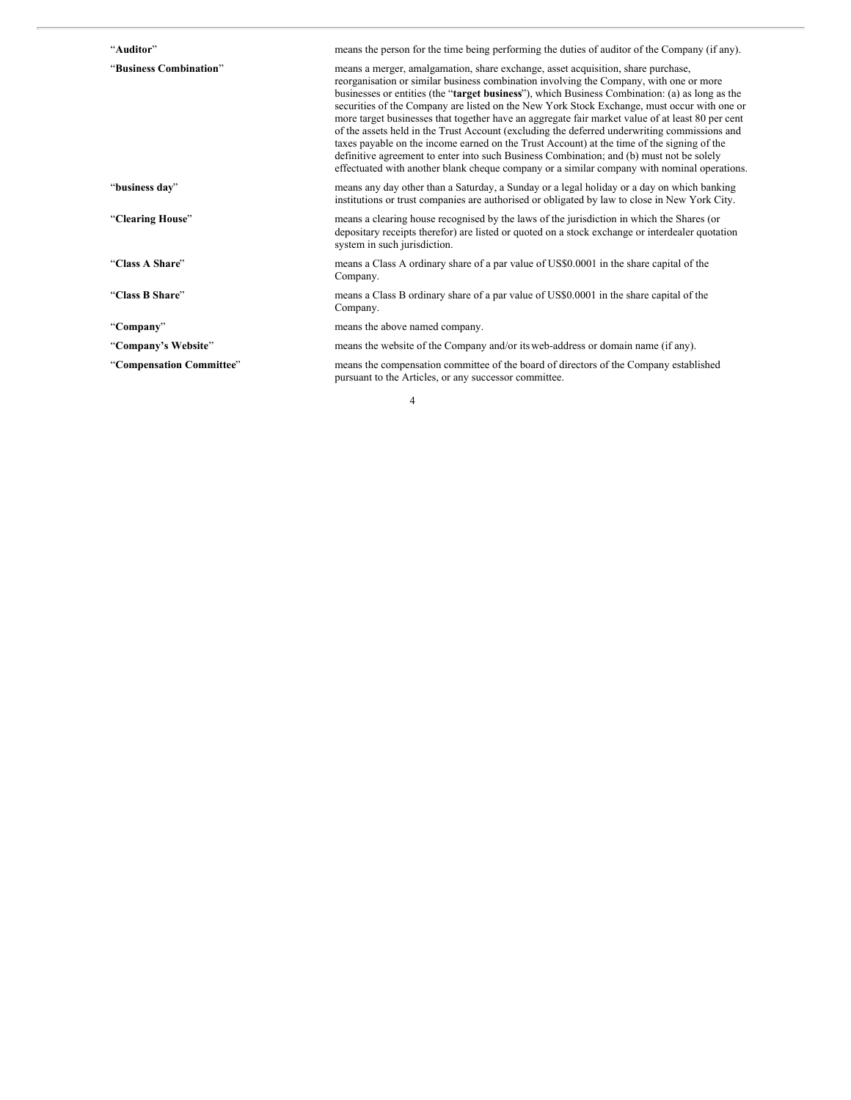| "Auditor"                | means the person for the time being performing the duties of auditor of the Company (if any).                                                                                                                                                                                                                                                                                                                                                                                                                                                                                                                                                                                                                                                                                                                                                                            |
|--------------------------|--------------------------------------------------------------------------------------------------------------------------------------------------------------------------------------------------------------------------------------------------------------------------------------------------------------------------------------------------------------------------------------------------------------------------------------------------------------------------------------------------------------------------------------------------------------------------------------------------------------------------------------------------------------------------------------------------------------------------------------------------------------------------------------------------------------------------------------------------------------------------|
| "Business Combination"   | means a merger, amalgamation, share exchange, asset acquisition, share purchase,<br>reorganisation or similar business combination involving the Company, with one or more<br>businesses or entities (the "target business"), which Business Combination: (a) as long as the<br>securities of the Company are listed on the New York Stock Exchange, must occur with one or<br>more target businesses that together have an aggregate fair market value of at least 80 per cent<br>of the assets held in the Trust Account (excluding the deferred underwriting commissions and<br>taxes payable on the income earned on the Trust Account) at the time of the signing of the<br>definitive agreement to enter into such Business Combination; and (b) must not be solely<br>effectuated with another blank cheque company or a similar company with nominal operations. |
| "business day"           | means any day other than a Saturday, a Sunday or a legal holiday or a day on which banking<br>institutions or trust companies are authorised or obligated by law to close in New York City.                                                                                                                                                                                                                                                                                                                                                                                                                                                                                                                                                                                                                                                                              |
| "Clearing House"         | means a clearing house recognised by the laws of the jurisdiction in which the Shares (or<br>depositary receipts therefor) are listed or quoted on a stock exchange or interdealer quotation<br>system in such jurisdiction.                                                                                                                                                                                                                                                                                                                                                                                                                                                                                                                                                                                                                                             |
| "Class A Share"          | means a Class A ordinary share of a par value of US\$0.0001 in the share capital of the<br>Company.                                                                                                                                                                                                                                                                                                                                                                                                                                                                                                                                                                                                                                                                                                                                                                      |
| "Class B Share"          | means a Class B ordinary share of a par value of US\$0.0001 in the share capital of the<br>Company.                                                                                                                                                                                                                                                                                                                                                                                                                                                                                                                                                                                                                                                                                                                                                                      |
| "Company"                | means the above named company.                                                                                                                                                                                                                                                                                                                                                                                                                                                                                                                                                                                                                                                                                                                                                                                                                                           |
| "Company's Website"      | means the website of the Company and/or its web-address or domain name (if any).                                                                                                                                                                                                                                                                                                                                                                                                                                                                                                                                                                                                                                                                                                                                                                                         |
| "Compensation Committee" | means the compensation committee of the board of directors of the Company established<br>pursuant to the Articles, or any successor committee.                                                                                                                                                                                                                                                                                                                                                                                                                                                                                                                                                                                                                                                                                                                           |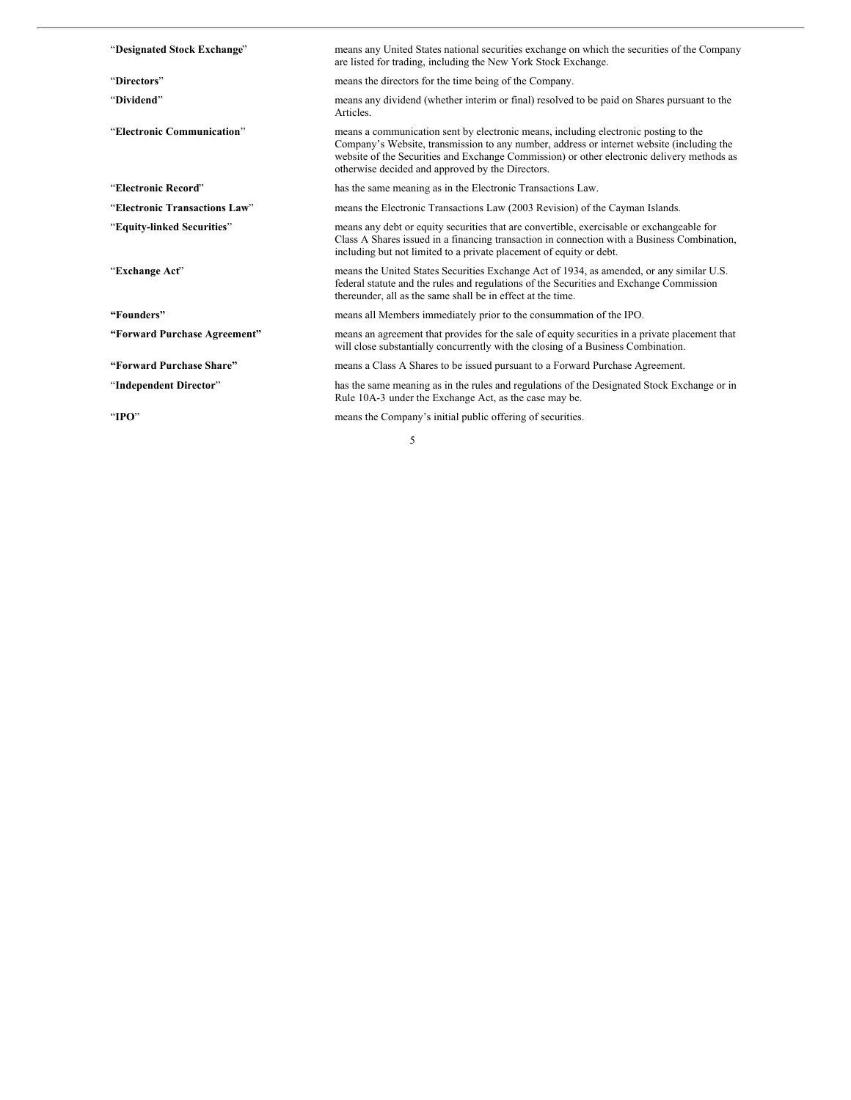| "Designated Stock Exchange"   | means any United States national securities exchange on which the securities of the Company<br>are listed for trading, including the New York Stock Exchange.                                                                                                                                                                      |
|-------------------------------|------------------------------------------------------------------------------------------------------------------------------------------------------------------------------------------------------------------------------------------------------------------------------------------------------------------------------------|
| "Directors"                   | means the directors for the time being of the Company.                                                                                                                                                                                                                                                                             |
| "Dividend"                    | means any dividend (whether interim or final) resolved to be paid on Shares pursuant to the<br>Articles.                                                                                                                                                                                                                           |
| "Electronic Communication"    | means a communication sent by electronic means, including electronic posting to the<br>Company's Website, transmission to any number, address or internet website (including the<br>website of the Securities and Exchange Commission) or other electronic delivery methods as<br>otherwise decided and approved by the Directors. |
| "Electronic Record"           | has the same meaning as in the Electronic Transactions Law.                                                                                                                                                                                                                                                                        |
| "Electronic Transactions Law" | means the Electronic Transactions Law (2003 Revision) of the Cayman Islands.                                                                                                                                                                                                                                                       |
| "Equity-linked Securities"    | means any debt or equity securities that are convertible, exercisable or exchangeable for<br>Class A Shares issued in a financing transaction in connection with a Business Combination,<br>including but not limited to a private placement of equity or debt.                                                                    |
| "Exchange Act"                | means the United States Securities Exchange Act of 1934, as amended, or any similar U.S.<br>federal statute and the rules and regulations of the Securities and Exchange Commission<br>thereunder, all as the same shall be in effect at the time.                                                                                 |
| "Founders"                    | means all Members immediately prior to the consummation of the IPO.                                                                                                                                                                                                                                                                |
| "Forward Purchase Agreement"  | means an agreement that provides for the sale of equity securities in a private placement that<br>will close substantially concurrently with the closing of a Business Combination.                                                                                                                                                |
| "Forward Purchase Share"      | means a Class A Shares to be issued pursuant to a Forward Purchase Agreement.                                                                                                                                                                                                                                                      |
| "Independent Director"        | has the same meaning as in the rules and regulations of the Designated Stock Exchange or in<br>Rule 10A-3 under the Exchange Act, as the case may be.                                                                                                                                                                              |
| "IPO $"$                      | means the Company's initial public offering of securities.                                                                                                                                                                                                                                                                         |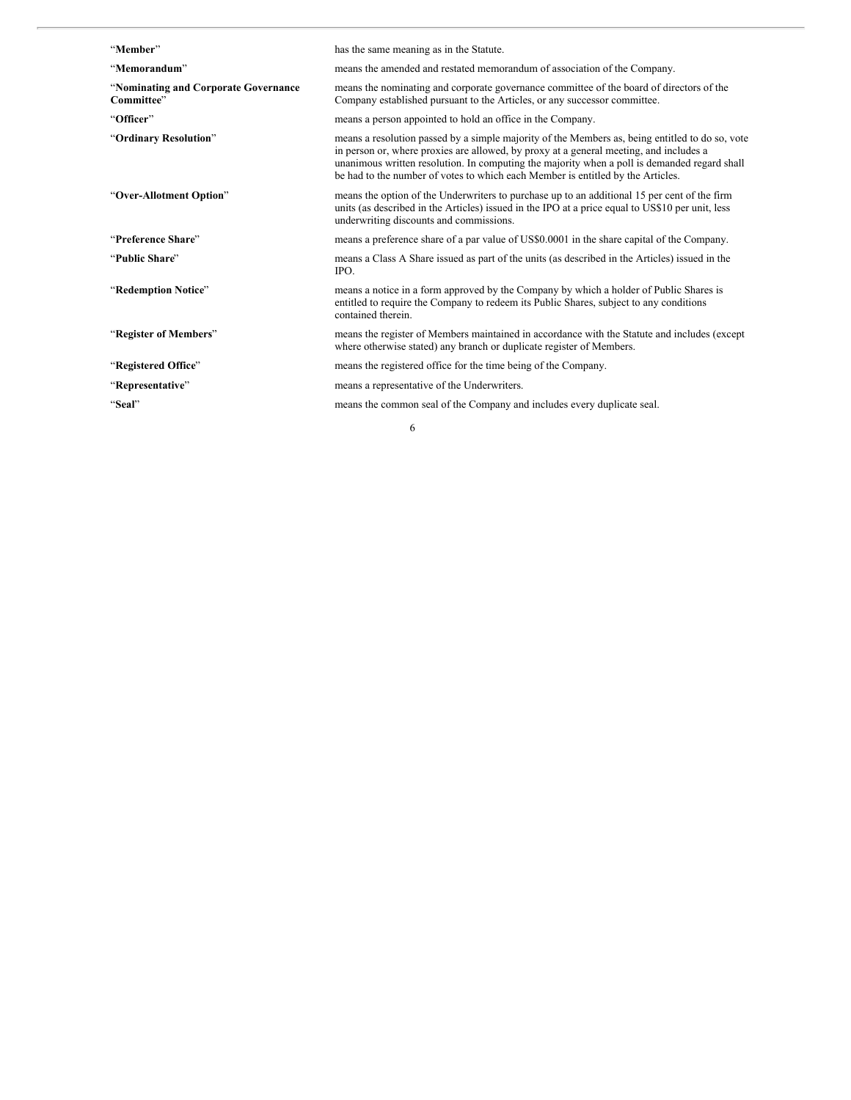| "Member"                                           | has the same meaning as in the Statute.                                                                                                                                                                                                                                                                                                                                      |
|----------------------------------------------------|------------------------------------------------------------------------------------------------------------------------------------------------------------------------------------------------------------------------------------------------------------------------------------------------------------------------------------------------------------------------------|
| "Memorandum"                                       | means the amended and restated memorandum of association of the Company.                                                                                                                                                                                                                                                                                                     |
| "Nominating and Corporate Governance<br>Committee" | means the nominating and corporate governance committee of the board of directors of the<br>Company established pursuant to the Articles, or any successor committee.                                                                                                                                                                                                        |
| "Officer"                                          | means a person appointed to hold an office in the Company.                                                                                                                                                                                                                                                                                                                   |
| "Ordinary Resolution"                              | means a resolution passed by a simple majority of the Members as, being entitled to do so, vote<br>in person or, where proxies are allowed, by proxy at a general meeting, and includes a<br>unanimous written resolution. In computing the majority when a poll is demanded regard shall<br>be had to the number of votes to which each Member is entitled by the Articles. |
| "Over-Allotment Option"                            | means the option of the Underwriters to purchase up to an additional 15 per cent of the firm<br>units (as described in the Articles) issued in the IPO at a price equal to US\$10 per unit, less<br>underwriting discounts and commissions.                                                                                                                                  |
| "Preference Share"                                 | means a preference share of a par value of US\$0.0001 in the share capital of the Company.                                                                                                                                                                                                                                                                                   |
| "Public Share"                                     | means a Class A Share issued as part of the units (as described in the Articles) issued in the<br>IPO.                                                                                                                                                                                                                                                                       |
| "Redemption Notice"                                | means a notice in a form approved by the Company by which a holder of Public Shares is<br>entitled to require the Company to redeem its Public Shares, subject to any conditions<br>contained therein.                                                                                                                                                                       |
| "Register of Members"                              | means the register of Members maintained in accordance with the Statute and includes (except<br>where otherwise stated) any branch or duplicate register of Members.                                                                                                                                                                                                         |
| "Registered Office"                                | means the registered office for the time being of the Company.                                                                                                                                                                                                                                                                                                               |
| "Representative"                                   | means a representative of the Underwriters.                                                                                                                                                                                                                                                                                                                                  |
| "Seal"                                             | means the common seal of the Company and includes every duplicate seal.                                                                                                                                                                                                                                                                                                      |
| 6                                                  |                                                                                                                                                                                                                                                                                                                                                                              |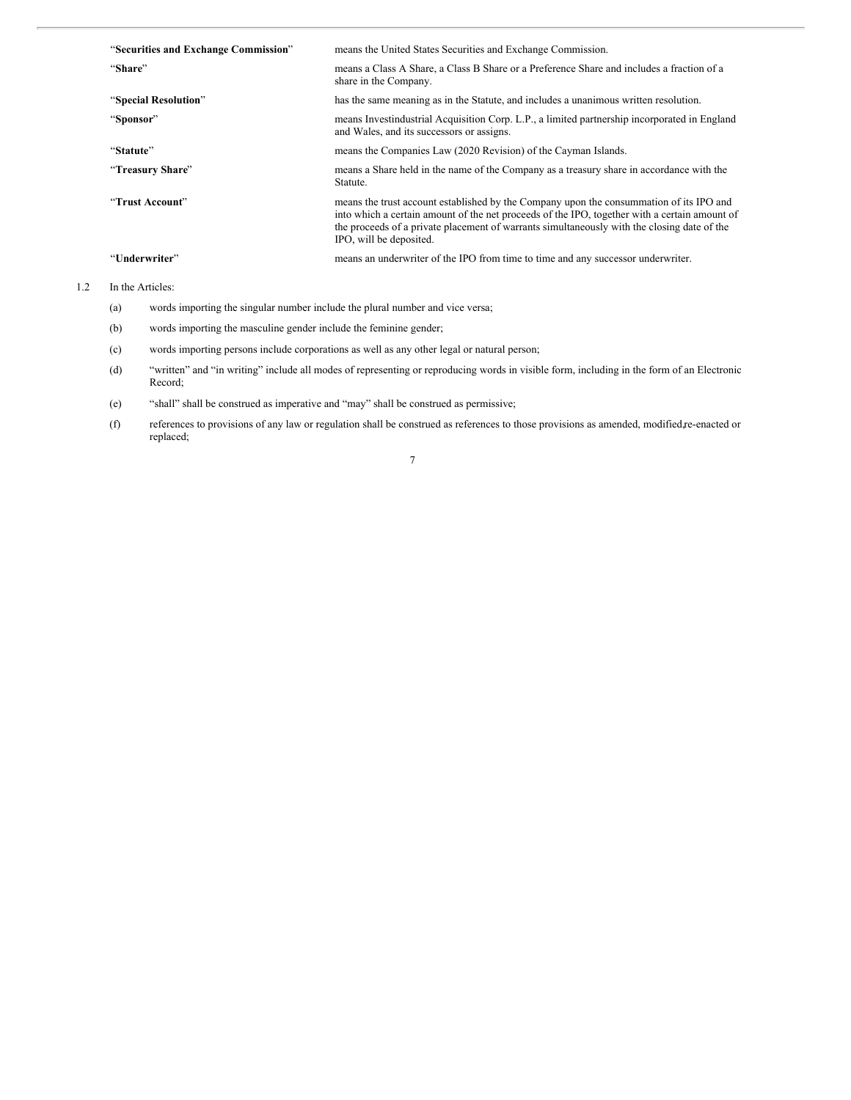| "Securities and Exchange Commission" | means the United States Securities and Exchange Commission.                                                                                                                                                                                                                                                        |
|--------------------------------------|--------------------------------------------------------------------------------------------------------------------------------------------------------------------------------------------------------------------------------------------------------------------------------------------------------------------|
| "Share"                              | means a Class A Share, a Class B Share or a Preference Share and includes a fraction of a<br>share in the Company.                                                                                                                                                                                                 |
| "Special Resolution"                 | has the same meaning as in the Statute, and includes a unanimous written resolution.                                                                                                                                                                                                                               |
| "Sponsor"                            | means Investindustrial Acquisition Corp. L.P., a limited partnership incorporated in England<br>and Wales, and its successors or assigns.                                                                                                                                                                          |
| "Statute"                            | means the Companies Law (2020 Revision) of the Cayman Islands.                                                                                                                                                                                                                                                     |
| "Treasury Share"                     | means a Share held in the name of the Company as a treasury share in accordance with the<br>Statute.                                                                                                                                                                                                               |
| "Trust Account"                      | means the trust account established by the Company upon the consummation of its IPO and<br>into which a certain amount of the net proceeds of the IPO, together with a certain amount of<br>the proceeds of a private placement of warrants simultaneously with the closing date of the<br>IPO, will be deposited. |
| "Underwriter"                        | means an underwriter of the IPO from time to time and any successor underwriter.                                                                                                                                                                                                                                   |

1.2 In the Articles:

- (a) words importing the singular number include the plural number and vice versa;
- (b) words importing the masculine gender include the feminine gender;
- (c) words importing persons include corporations as well as any other legal or natural person;
- (d) "written" and "in writing" include all modes of representing or reproducing words in visible form, including in the form of an Electronic Record;
- (e) "shall" shall be construed as imperative and "may" shall be construed as permissive;
- (f) references to provisions of any law or regulation shall be construed as references to those provisions as amended, modified,re-enacted or replaced;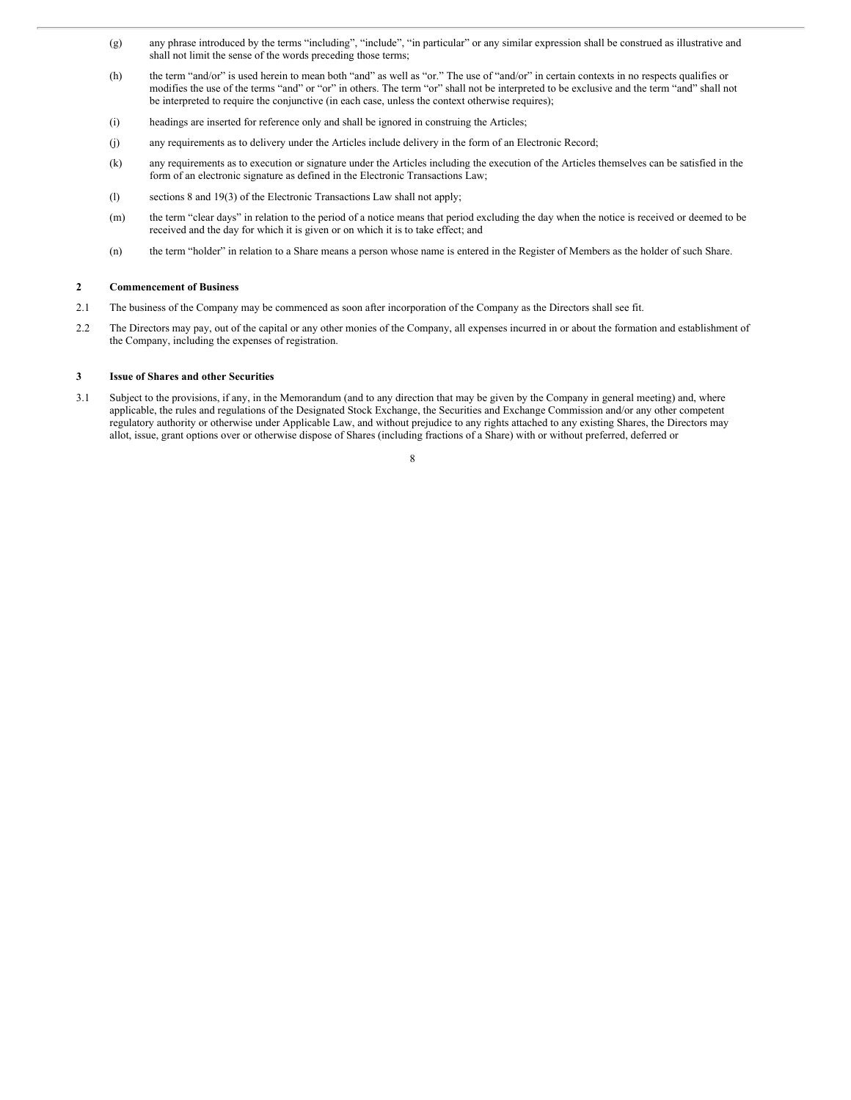- (g) any phrase introduced by the terms "including", "include", "in particular" or any similar expression shall be construed as illustrative and shall not limit the sense of the words preceding those terms;
- (h) the term "and/or" is used herein to mean both "and" as well as "or." The use of "and/or" in certain contexts in no respects qualifies or modifies the use of the terms "and" or "or" in others. The term "or" shall not be interpreted to be exclusive and the term "and" shall not be interpreted to require the conjunctive (in each case, unless the context otherwise requires);
- (i) headings are inserted for reference only and shall be ignored in construing the Articles;
- (j) any requirements as to delivery under the Articles include delivery in the form of an Electronic Record;
- (k) any requirements as to execution or signature under the Articles including the execution of the Articles themselves can be satisfied in the form of an electronic signature as defined in the Electronic Transactions Law;
- (l) sections 8 and 19(3) of the Electronic Transactions Law shall not apply;
- (m) the term "clear days" in relation to the period of a notice means that period excluding the day when the notice is received or deemed to be received and the day for which it is given or on which it is to take effect; and
- (n) the term "holder" in relation to a Share means a person whose name is entered in the Register of Members as the holder of such Share.

# **2 Commencement of Business**

- 2.1 The business of the Company may be commenced as soon after incorporation of the Company as the Directors shall see fit.
- 2.2 The Directors may pay, out of the capital or any other monies of the Company, all expenses incurred in or about the formation and establishment of the Company, including the expenses of registration.

#### **3 Issue of Shares and other Securities**

3.1 Subject to the provisions, if any, in the Memorandum (and to any direction that may be given by the Company in general meeting) and, where applicable, the rules and regulations of the Designated Stock Exchange, the Securities and Exchange Commission and/or any other competent regulatory authority or otherwise under Applicable Law, and without prejudice to any rights attached to any existing Shares, the Directors may allot, issue, grant options over or otherwise dispose of Shares (including fractions of a Share) with or without preferred, deferred or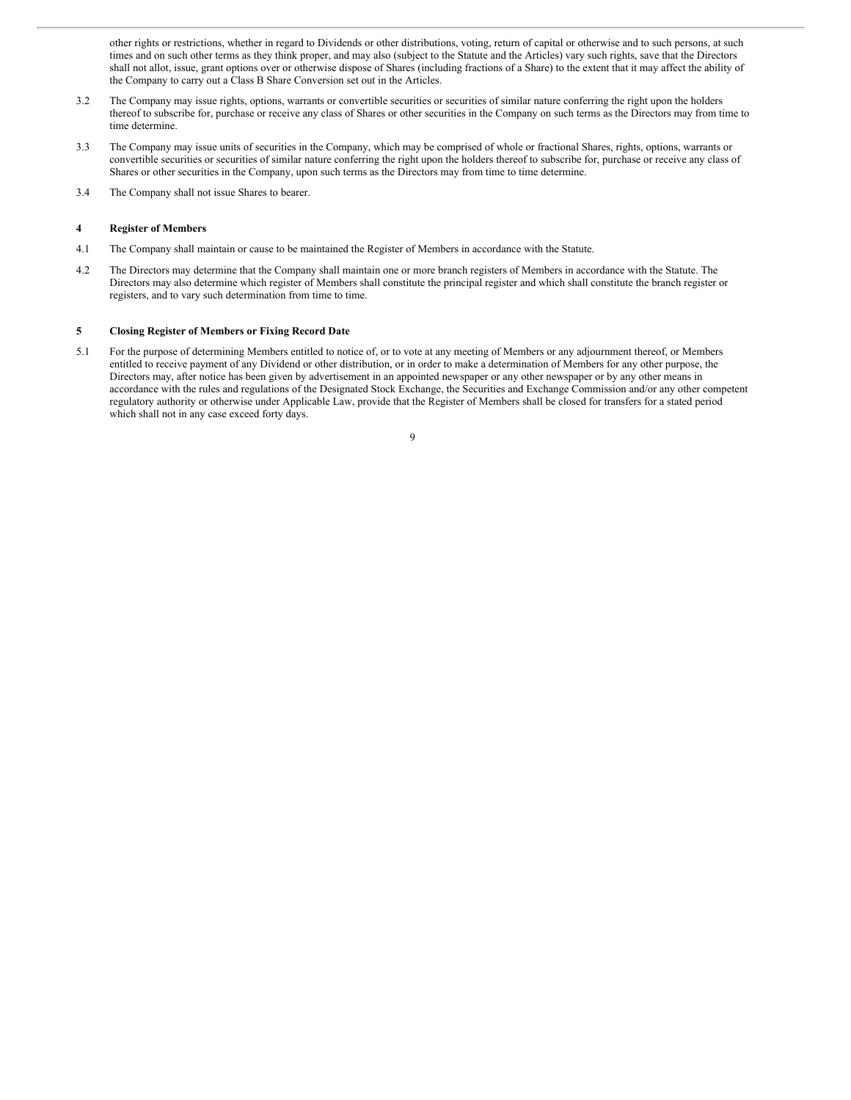other rights or restrictions, whether in regard to Dividends or other distributions, voting, return of capital or otherwise and to such persons, at such times and on such other terms as they think proper, and may also (subject to the Statute and the Articles) vary such rights, save that the Directors shall not allot, issue, grant options over or otherwise dispose of Shares (including fractions of a Share) to the extent that it may affect the ability of the Company to carry out a Class B Share Conversion set out in the Articles.

- 3.2 The Company may issue rights, options, warrants or convertible securities or securities of similar nature conferring the right upon the holders thereof to subscribe for, purchase or receive any class of Shares or other securities in the Company on such terms as the Directors may from time to time determine.
- 3.3 The Company may issue units of securities in the Company, which may be comprised of whole or fractional Shares, rights, options, warrants or convertible securities or securities of similar nature conferring the right upon the holders thereof to subscribe for, purchase or receive any class of Shares or other securities in the Company, upon such terms as the Directors may from time to time determine.
- 3.4 The Company shall not issue Shares to bearer.

# **4 Register of Members**

- 4.1 The Company shall maintain or cause to be maintained the Register of Members in accordance with the Statute.
- 4.2 The Directors may determine that the Company shall maintain one or more branch registers of Members in accordance with the Statute. The Directors may also determine which register of Members shall constitute the principal register and which shall constitute the branch register or registers, and to vary such determination from time to time.

#### **5 Closing Register of Members or Fixing Record Date**

5.1 For the purpose of determining Members entitled to notice of, or to vote at any meeting of Members or any adjournment thereof, or Members entitled to receive payment of any Dividend or other distribution, or in order to make a determination of Members for any other purpose, the Directors may, after notice has been given by advertisement in an appointed newspaper or any other newspaper or by any other means in accordance with the rules and regulations of the Designated Stock Exchange, the Securities and Exchange Commission and/or any other competent regulatory authority or otherwise under Applicable Law, provide that the Register of Members shall be closed for transfers for a stated period which shall not in any case exceed forty days.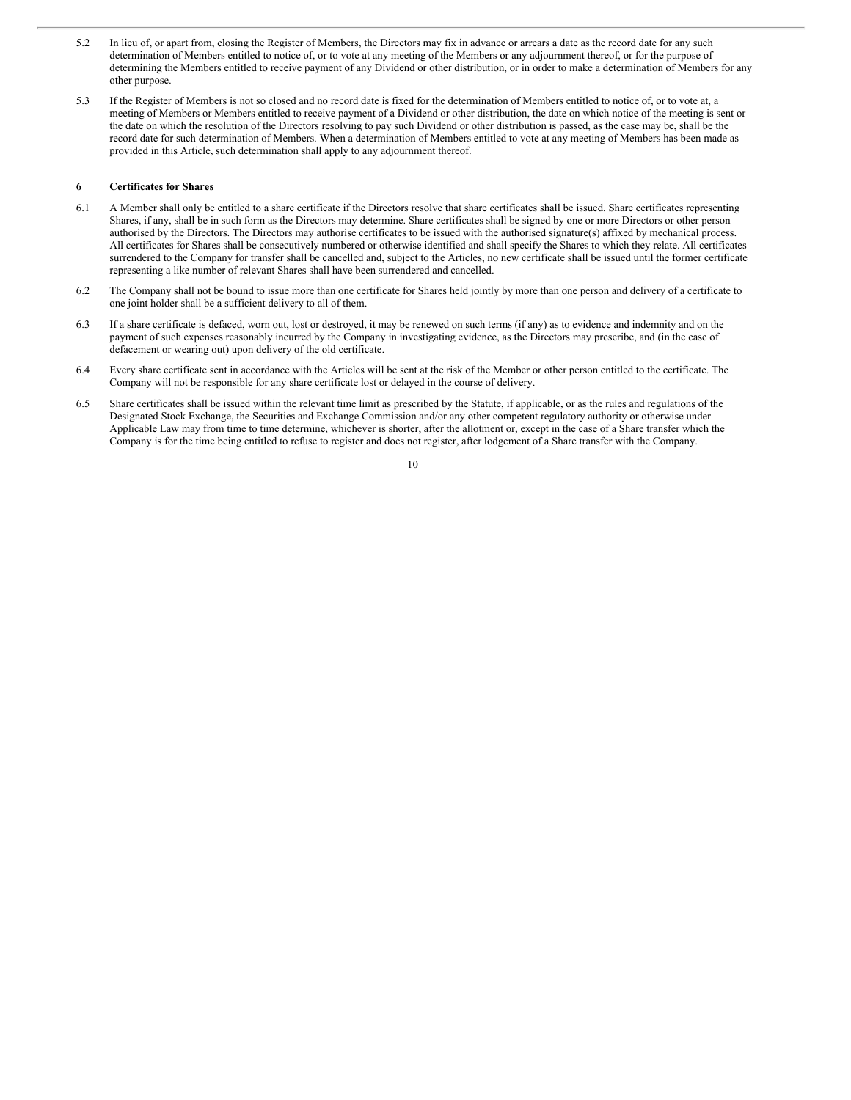- 5.2 In lieu of, or apart from, closing the Register of Members, the Directors may fix in advance or arrears a date as the record date for any such determination of Members entitled to notice of, or to vote at any meeting of the Members or any adjournment thereof, or for the purpose of determining the Members entitled to receive payment of any Dividend or other distribution, or in order to make a determination of Members for any other purpose.
- 5.3 If the Register of Members is not so closed and no record date is fixed for the determination of Members entitled to notice of, or to vote at, a meeting of Members or Members entitled to receive payment of a Dividend or other distribution, the date on which notice of the meeting is sent or the date on which the resolution of the Directors resolving to pay such Dividend or other distribution is passed, as the case may be, shall be the record date for such determination of Members. When a determination of Members entitled to vote at any meeting of Members has been made as provided in this Article, such determination shall apply to any adjournment thereof.

## **6 Certificates for Shares**

- 6.1 A Member shall only be entitled to a share certificate if the Directors resolve that share certificates shall be issued. Share certificates representing Shares, if any, shall be in such form as the Directors may determine. Share certificates shall be signed by one or more Directors or other person authorised by the Directors. The Directors may authorise certificates to be issued with the authorised signature(s) affixed by mechanical process. All certificates for Shares shall be consecutively numbered or otherwise identified and shall specify the Shares to which they relate. All certificates surrendered to the Company for transfer shall be cancelled and, subject to the Articles, no new certificate shall be issued until the former certificate representing a like number of relevant Shares shall have been surrendered and cancelled.
- 6.2 The Company shall not be bound to issue more than one certificate for Shares held jointly by more than one person and delivery of a certificate to one joint holder shall be a sufficient delivery to all of them.
- 6.3 If a share certificate is defaced, worn out, lost or destroyed, it may be renewed on such terms (if any) as to evidence and indemnity and on the payment of such expenses reasonably incurred by the Company in investigating evidence, as the Directors may prescribe, and (in the case of defacement or wearing out) upon delivery of the old certificate.
- 6.4 Every share certificate sent in accordance with the Articles will be sent at the risk of the Member or other person entitled to the certificate. The Company will not be responsible for any share certificate lost or delayed in the course of delivery.
- 6.5 Share certificates shall be issued within the relevant time limit as prescribed by the Statute, if applicable, or as the rules and regulations of the Designated Stock Exchange, the Securities and Exchange Commission and/or any other competent regulatory authority or otherwise under Applicable Law may from time to time determine, whichever is shorter, after the allotment or, except in the case of a Share transfer which the Company is for the time being entitled to refuse to register and does not register, after lodgement of a Share transfer with the Company.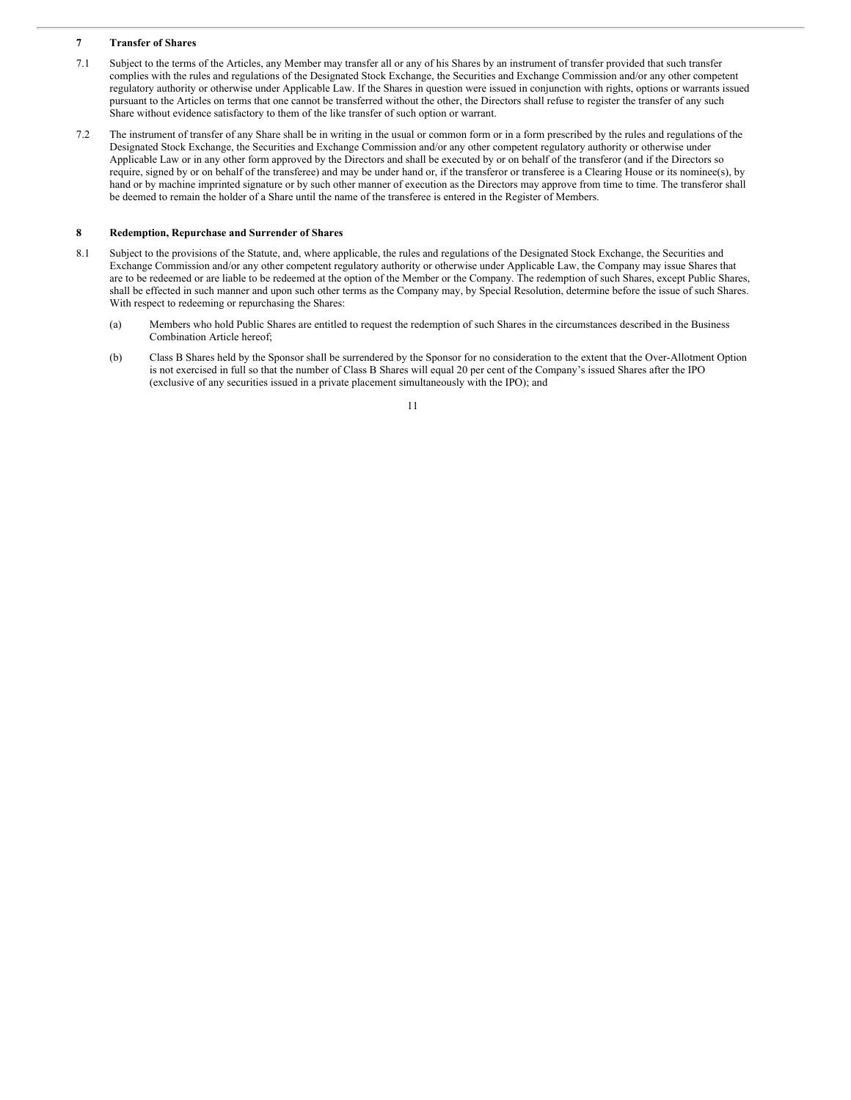# **7 Transfer of Shares**

- 7.1 Subject to the terms of the Articles, any Member may transfer all or any of his Shares by an instrument of transfer provided that such transfer complies with the rules and regulations of the Designated Stock Exchange, the Securities and Exchange Commission and/or any other competent regulatory authority or otherwise under Applicable Law. If the Shares in question were issued in conjunction with rights, options or warrants issued pursuant to the Articles on terms that one cannot be transferred without the other, the Directors shall refuse to register the transfer of any such Share without evidence satisfactory to them of the like transfer of such option or warrant.
- 7.2 The instrument of transfer of any Share shall be in writing in the usual or common form or in a form prescribed by the rules and regulations of the Designated Stock Exchange, the Securities and Exchange Commission and/or any other competent regulatory authority or otherwise under Applicable Law or in any other form approved by the Directors and shall be executed by or on behalf of the transferor (and if the Directors so require, signed by or on behalf of the transferee) and may be under hand or, if the transferor or transferee is a Clearing House or its nominee(s), by hand or by machine imprinted signature or by such other manner of execution as the Directors may approve from time to time. The transferor shall be deemed to remain the holder of a Share until the name of the transferee is entered in the Register of Members.

# **8 Redemption, Repurchase and Surrender of Shares**

- 8.1 Subject to the provisions of the Statute, and, where applicable, the rules and regulations of the Designated Stock Exchange, the Securities and Exchange Commission and/or any other competent regulatory authority or otherwise under Applicable Law, the Company may issue Shares that are to be redeemed or are liable to be redeemed at the option of the Member or the Company. The redemption of such Shares, except Public Shares, shall be effected in such manner and upon such other terms as the Company may, by Special Resolution, determine before the issue of such Shares. With respect to redeeming or repurchasing the Shares:
	- (a) Members who hold Public Shares are entitled to request the redemption of such Shares in the circumstances described in the Business Combination Article hereof;
	- (b) Class B Shares held by the Sponsor shall be surrendered by the Sponsor for no consideration to the extent that the Over-Allotment Option is not exercised in full so that the number of Class B Shares will equal 20 per cent of the Company's issued Shares after the IPO (exclusive of any securities issued in a private placement simultaneously with the IPO); and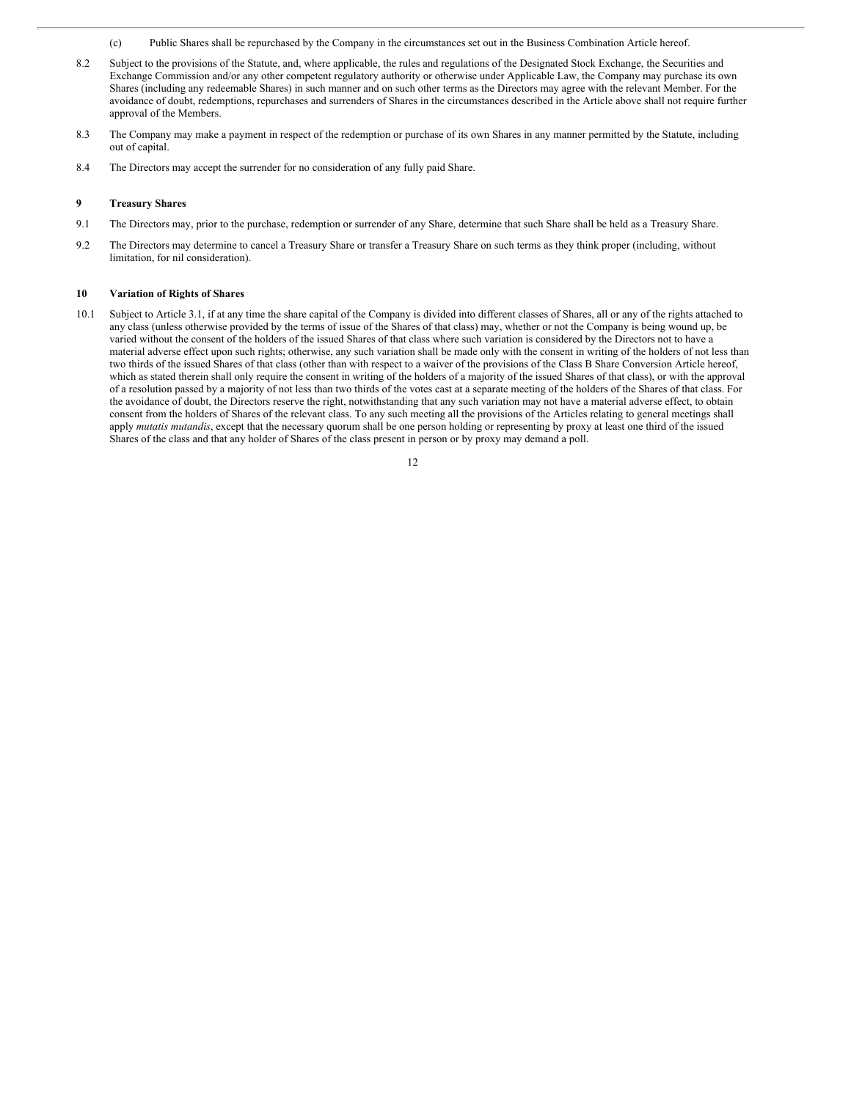- (c) Public Shares shall be repurchased by the Company in the circumstances set out in the Business Combination Article hereof.
- 8.2 Subject to the provisions of the Statute, and, where applicable, the rules and regulations of the Designated Stock Exchange, the Securities and Exchange Commission and/or any other competent regulatory authority or otherwise under Applicable Law, the Company may purchase its own Shares (including any redeemable Shares) in such manner and on such other terms as the Directors may agree with the relevant Member. For the avoidance of doubt, redemptions, repurchases and surrenders of Shares in the circumstances described in the Article above shall not require further approval of the Members.
- 8.3 The Company may make a payment in respect of the redemption or purchase of its own Shares in any manner permitted by the Statute, including out of capital.
- 8.4 The Directors may accept the surrender for no consideration of any fully paid Share.

#### **9 Treasury Shares**

- 9.1 The Directors may, prior to the purchase, redemption or surrender of any Share, determine that such Share shall be held as a Treasury Share.
- 9.2 The Directors may determine to cancel a Treasury Share or transfer a Treasury Share on such terms as they think proper (including, without limitation, for nil consideration).

#### **10 Variation of Rights of Shares**

10.1 Subject to Article 3.1, if at any time the share capital of the Company is divided into different classes of Shares, all or any of the rights attached to any class (unless otherwise provided by the terms of issue of the Shares of that class) may, whether or not the Company is being wound up, be varied without the consent of the holders of the issued Shares of that class where such variation is considered by the Directors not to have a material adverse effect upon such rights; otherwise, any such variation shall be made only with the consent in writing of the holders of not less than two thirds of the issued Shares of that class (other than with respect to a waiver of the provisions of the Class B Share Conversion Article hereof, which as stated therein shall only require the consent in writing of the holders of a majority of the issued Shares of that class), or with the approval of a resolution passed by a majority of not less than two thirds of the votes cast at a separate meeting of the holders of the Shares of that class. For the avoidance of doubt, the Directors reserve the right, notwithstanding that any such variation may not have a material adverse effect, to obtain consent from the holders of Shares of the relevant class. To any such meeting all the provisions of the Articles relating to general meetings shall apply *mutatis mutandis*, except that the necessary quorum shall be one person holding or representing by proxy at least one third of the issued Shares of the class and that any holder of Shares of the class present in person or by proxy may demand a poll.

| v |
|---|
|   |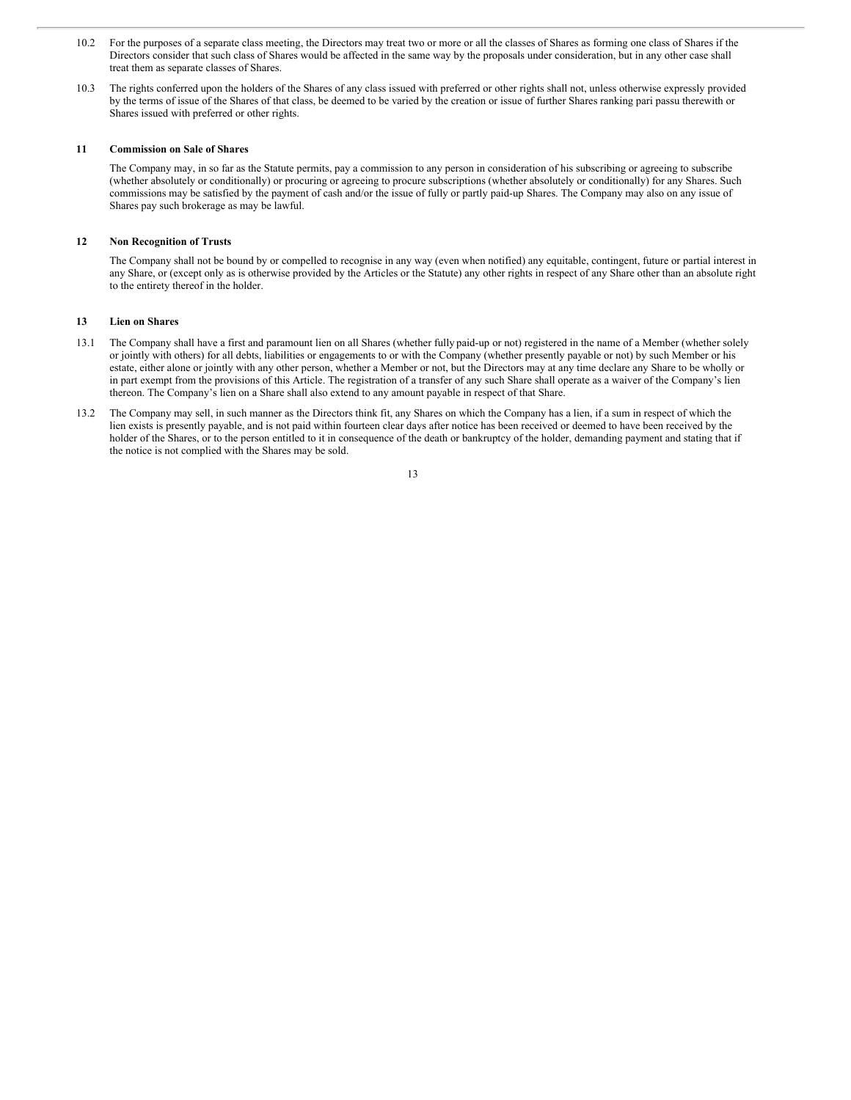- 10.2 For the purposes of a separate class meeting, the Directors may treat two or more or all the classes of Shares as forming one class of Shares if the Directors consider that such class of Shares would be affected in the same way by the proposals under consideration, but in any other case shall treat them as separate classes of Shares.
- 10.3 The rights conferred upon the holders of the Shares of any class issued with preferred or other rights shall not, unless otherwise expressly provided by the terms of issue of the Shares of that class, be deemed to be varied by the creation or issue of further Shares ranking pari passu therewith or Shares issued with preferred or other rights.

#### **11 Commission on Sale of Shares**

The Company may, in so far as the Statute permits, pay a commission to any person in consideration of his subscribing or agreeing to subscribe (whether absolutely or conditionally) or procuring or agreeing to procure subscriptions (whether absolutely or conditionally) for any Shares. Such commissions may be satisfied by the payment of cash and/or the issue of fully or partly paid-up Shares. The Company may also on any issue of Shares pay such brokerage as may be lawful.

# **12 Non Recognition of Trusts**

The Company shall not be bound by or compelled to recognise in any way (even when notified) any equitable, contingent, future or partial interest in any Share, or (except only as is otherwise provided by the Articles or the Statute) any other rights in respect of any Share other than an absolute right to the entirety thereof in the holder.

#### **13 Lien on Shares**

- 13.1 The Company shall have a first and paramount lien on all Shares (whether fully paid-up or not) registered in the name of a Member (whether solely or jointly with others) for all debts, liabilities or engagements to or with the Company (whether presently payable or not) by such Member or his estate, either alone or jointly with any other person, whether a Member or not, but the Directors may at any time declare any Share to be wholly or in part exempt from the provisions of this Article. The registration of a transfer of any such Share shall operate as a waiver of the Company's lien thereon. The Company's lien on a Share shall also extend to any amount payable in respect of that Share.
- 13.2 The Company may sell, in such manner as the Directors think fit, any Shares on which the Company has a lien, if a sum in respect of which the lien exists is presently payable, and is not paid within fourteen clear days after notice has been received or deemed to have been received by the holder of the Shares, or to the person entitled to it in consequence of the death or bankruptcy of the holder, demanding payment and stating that if the notice is not complied with the Shares may be sold.

| ı      |
|--------|
| ı<br>× |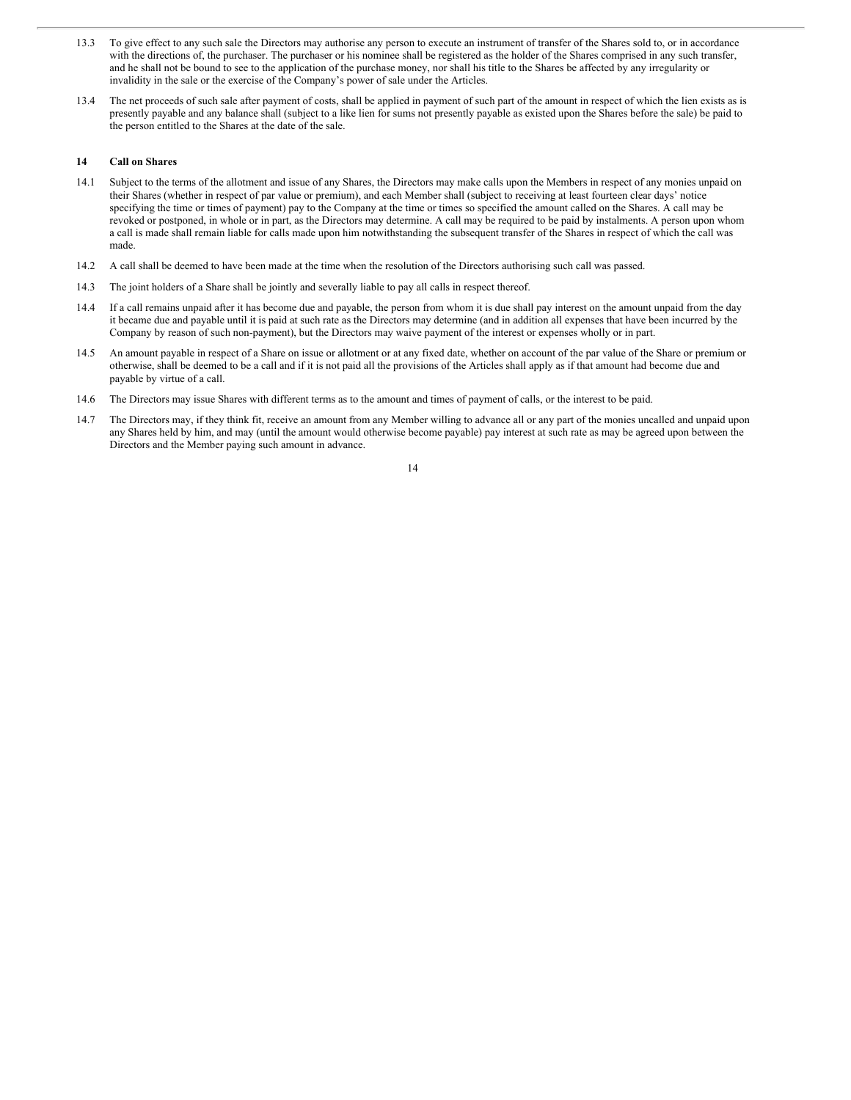- 13.3 To give effect to any such sale the Directors may authorise any person to execute an instrument of transfer of the Shares sold to, or in accordance with the directions of, the purchaser. The purchaser or his nominee shall be registered as the holder of the Shares comprised in any such transfer, and he shall not be bound to see to the application of the purchase money, nor shall his title to the Shares be affected by any irregularity or invalidity in the sale or the exercise of the Company's power of sale under the Articles.
- 13.4 The net proceeds of such sale after payment of costs, shall be applied in payment of such part of the amount in respect of which the lien exists as is presently payable and any balance shall (subject to a like lien for sums not presently payable as existed upon the Shares before the sale) be paid to the person entitled to the Shares at the date of the sale.

# **14 Call on Shares**

- 14.1 Subject to the terms of the allotment and issue of any Shares, the Directors may make calls upon the Members in respect of any monies unpaid on their Shares (whether in respect of par value or premium), and each Member shall (subject to receiving at least fourteen clear days' notice specifying the time or times of payment) pay to the Company at the time or times so specified the amount called on the Shares. A call may be revoked or postponed, in whole or in part, as the Directors may determine. A call may be required to be paid by instalments. A person upon whom a call is made shall remain liable for calls made upon him notwithstanding the subsequent transfer of the Shares in respect of which the call was made.
- 14.2 A call shall be deemed to have been made at the time when the resolution of the Directors authorising such call was passed.
- 14.3 The joint holders of a Share shall be jointly and severally liable to pay all calls in respect thereof.
- 14.4 If a call remains unpaid after it has become due and payable, the person from whom it is due shall pay interest on the amount unpaid from the day it became due and payable until it is paid at such rate as the Directors may determine (and in addition all expenses that have been incurred by the Company by reason of such non-payment), but the Directors may waive payment of the interest or expenses wholly or in part.
- 14.5 An amount payable in respect of a Share on issue or allotment or at any fixed date, whether on account of the par value of the Share or premium or otherwise, shall be deemed to be a call and if it is not paid all the provisions of the Articles shall apply as if that amount had become due and payable by virtue of a call.
- 14.6 The Directors may issue Shares with different terms as to the amount and times of payment of calls, or the interest to be paid.
- 14.7 The Directors may, if they think fit, receive an amount from any Member willing to advance all or any part of the monies uncalled and unpaid upon any Shares held by him, and may (until the amount would otherwise become payable) pay interest at such rate as may be agreed upon between the Directors and the Member paying such amount in advance.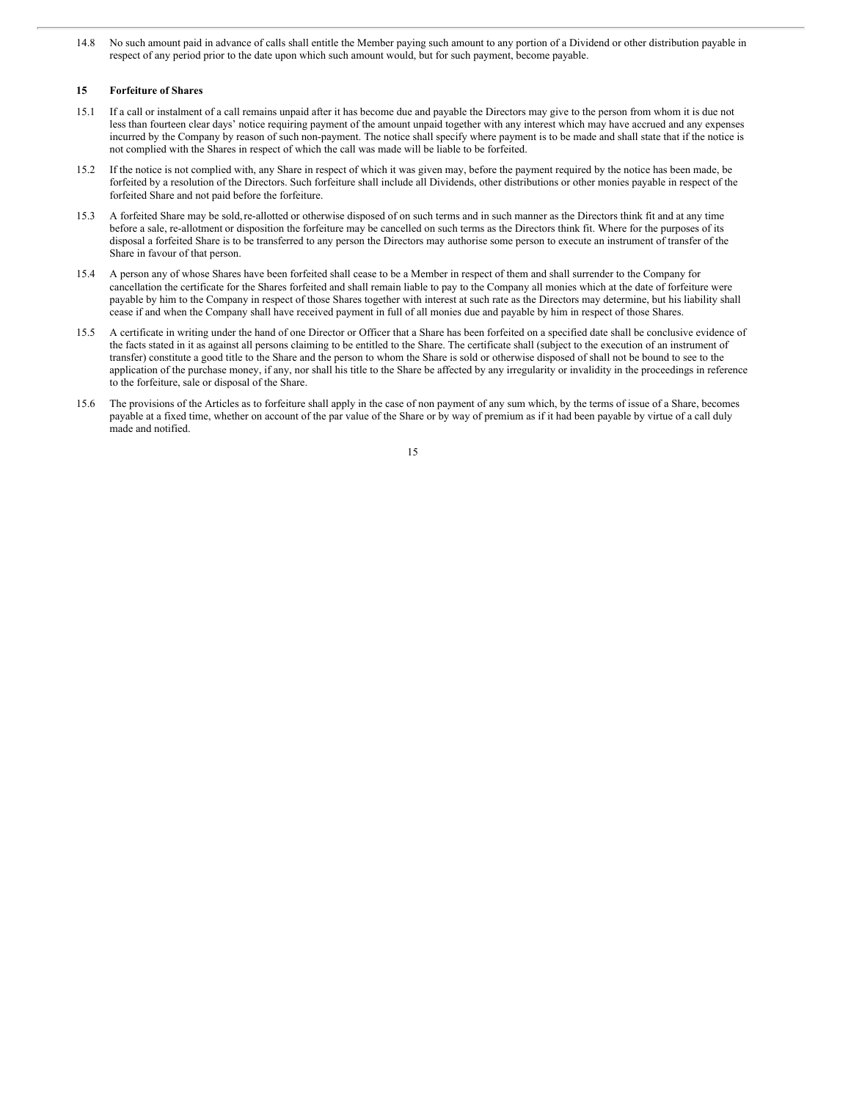14.8 No such amount paid in advance of calls shall entitle the Member paying such amount to any portion of a Dividend or other distribution payable in respect of any period prior to the date upon which such amount would, but for such payment, become payable.

# **15 Forfeiture of Shares**

- 15.1 If a call or instalment of a call remains unpaid after it has become due and payable the Directors may give to the person from whom it is due not less than fourteen clear days' notice requiring payment of the amount unpaid together with any interest which may have accrued and any expenses incurred by the Company by reason of such non-payment. The notice shall specify where payment is to be made and shall state that if the notice is not complied with the Shares in respect of which the call was made will be liable to be forfeited.
- 15.2 If the notice is not complied with, any Share in respect of which it was given may, before the payment required by the notice has been made, be forfeited by a resolution of the Directors. Such forfeiture shall include all Dividends, other distributions or other monies payable in respect of the forfeited Share and not paid before the forfeiture.
- 15.3 A forfeited Share may be sold,re-allotted or otherwise disposed of on such terms and in such manner as the Directors think fit and at any time before a sale, re-allotment or disposition the forfeiture may be cancelled on such terms as the Directors think fit. Where for the purposes of its disposal a forfeited Share is to be transferred to any person the Directors may authorise some person to execute an instrument of transfer of the Share in favour of that person.
- 15.4 A person any of whose Shares have been forfeited shall cease to be a Member in respect of them and shall surrender to the Company for cancellation the certificate for the Shares forfeited and shall remain liable to pay to the Company all monies which at the date of forfeiture were payable by him to the Company in respect of those Shares together with interest at such rate as the Directors may determine, but his liability shall cease if and when the Company shall have received payment in full of all monies due and payable by him in respect of those Shares.
- 15.5 A certificate in writing under the hand of one Director or Officer that a Share has been forfeited on a specified date shall be conclusive evidence of the facts stated in it as against all persons claiming to be entitled to the Share. The certificate shall (subject to the execution of an instrument of transfer) constitute a good title to the Share and the person to whom the Share is sold or otherwise disposed of shall not be bound to see to the application of the purchase money, if any, nor shall his title to the Share be affected by any irregularity or invalidity in the proceedings in reference to the forfeiture, sale or disposal of the Share.
- 15.6 The provisions of the Articles as to forfeiture shall apply in the case of non payment of any sum which, by the terms of issue of a Share, becomes payable at a fixed time, whether on account of the par value of the Share or by way of premium as if it had been payable by virtue of a call duly made and notified.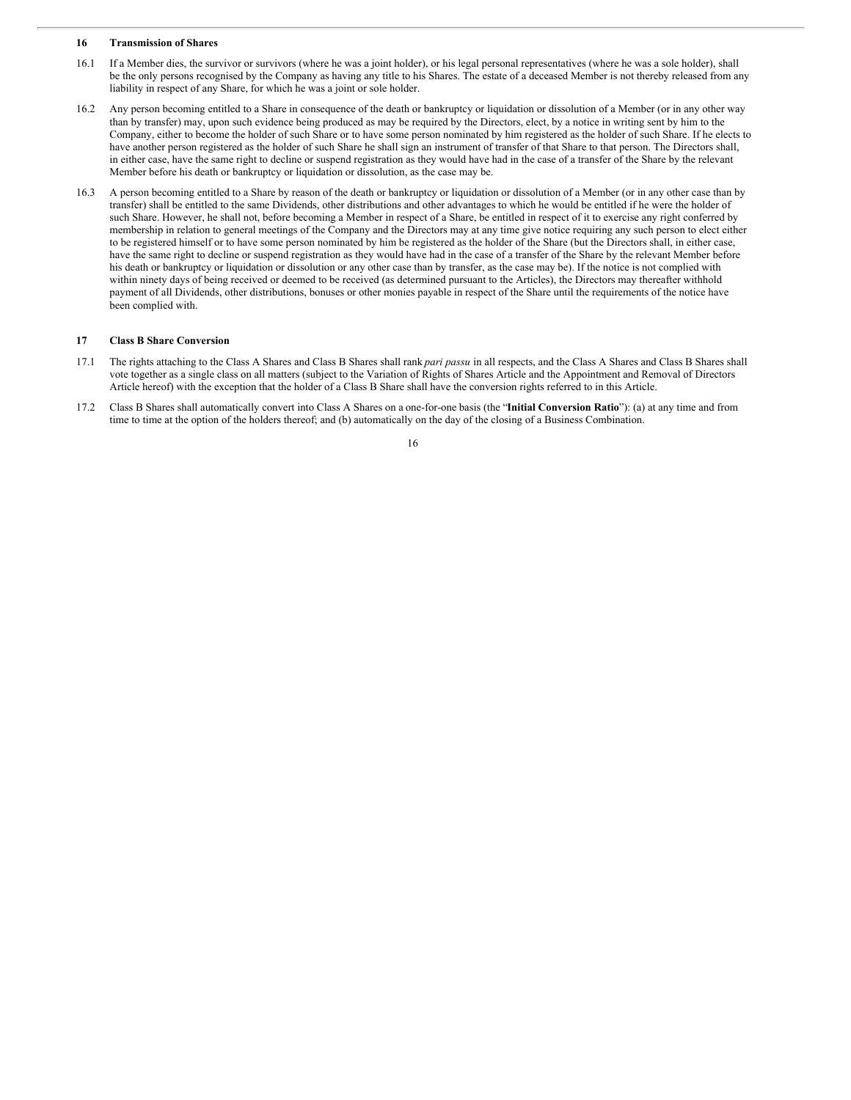#### **16 Transmission of Shares**

- 16.1 If a Member dies, the survivor or survivors (where he was a joint holder), or his legal personal representatives (where he was a sole holder), shall be the only persons recognised by the Company as having any title to his Shares. The estate of a deceased Member is not thereby released from any liability in respect of any Share, for which he was a joint or sole holder.
- 16.2 Any person becoming entitled to a Share in consequence of the death or bankruptcy or liquidation or dissolution of a Member (or in any other way than by transfer) may, upon such evidence being produced as may be required by the Directors, elect, by a notice in writing sent by him to the Company, either to become the holder of such Share or to have some person nominated by him registered as the holder of such Share. If he elects to have another person registered as the holder of such Share he shall sign an instrument of transfer of that Share to that person. The Directors shall, in either case, have the same right to decline or suspend registration as they would have had in the case of a transfer of the Share by the relevant Member before his death or bankruptcy or liquidation or dissolution, as the case may be.
- 16.3 A person becoming entitled to a Share by reason of the death or bankruptcy or liquidation or dissolution of a Member (or in any other case than by transfer) shall be entitled to the same Dividends, other distributions and other advantages to which he would be entitled if he were the holder of such Share. However, he shall not, before becoming a Member in respect of a Share, be entitled in respect of it to exercise any right conferred by membership in relation to general meetings of the Company and the Directors may at any time give notice requiring any such person to elect either to be registered himself or to have some person nominated by him be registered as the holder of the Share (but the Directors shall, in either case, have the same right to decline or suspend registration as they would have had in the case of a transfer of the Share by the relevant Member before his death or bankruptcy or liquidation or dissolution or any other case than by transfer, as the case may be). If the notice is not complied with within ninety days of being received or deemed to be received (as determined pursuant to the Articles), the Directors may thereafter withhold payment of all Dividends, other distributions, bonuses or other monies payable in respect of the Share until the requirements of the notice have been complied with.

# **17 Class B Share Conversion**

- 17.1 The rights attaching to the Class A Shares and Class B Shares shall rank *pari passu* in all respects, and the Class A Shares and Class B Shares shall vote together as a single class on all matters (subject to the Variation of Rights of Shares Article and the Appointment and Removal of Directors Article hereof) with the exception that the holder of a Class B Share shall have the conversion rights referred to in this Article.
- 17.2 Class B Shares shall automatically convert into Class A Shares on a one-for-one basis (the "**Initial Conversion Ratio**"): (a) at any time and from time to time at the option of the holders thereof; and (b) automatically on the day of the closing of a Business Combination.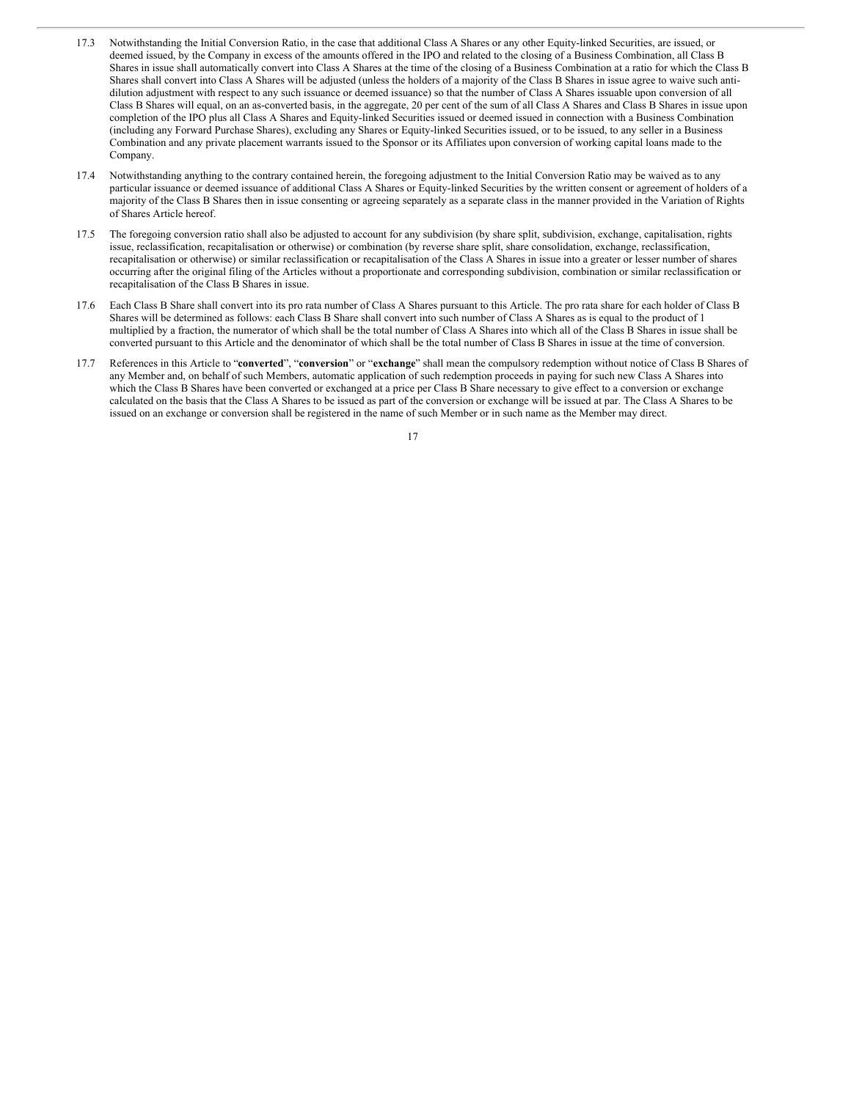- 17.3 Notwithstanding the Initial Conversion Ratio, in the case that additional Class A Shares or any other Equity-linked Securities, are issued, or deemed issued, by the Company in excess of the amounts offered in the IPO and related to the closing of a Business Combination, all Class B Shares in issue shall automatically convert into Class A Shares at the time of the closing of a Business Combination at a ratio for which the Class B Shares shall convert into Class A Shares will be adjusted (unless the holders of a majority of the Class B Shares in issue agree to waive such antidilution adjustment with respect to any such issuance or deemed issuance) so that the number of Class A Shares issuable upon conversion of all Class B Shares will equal, on an as-converted basis, in the aggregate, 20 per cent of the sum of all Class A Shares and Class B Shares in issue upon completion of the IPO plus all Class A Shares and Equity-linked Securities issued or deemed issued in connection with a Business Combination (including any Forward Purchase Shares), excluding any Shares or Equity-linked Securities issued, or to be issued, to any seller in a Business Combination and any private placement warrants issued to the Sponsor or its Affiliates upon conversion of working capital loans made to the Company.
- 17.4 Notwithstanding anything to the contrary contained herein, the foregoing adjustment to the Initial Conversion Ratio may be waived as to any particular issuance or deemed issuance of additional Class A Shares or Equity-linked Securities by the written consent or agreement of holders of a majority of the Class B Shares then in issue consenting or agreeing separately as a separate class in the manner provided in the Variation of Rights of Shares Article hereof.
- 17.5 The foregoing conversion ratio shall also be adjusted to account for any subdivision (by share split, subdivision, exchange, capitalisation, rights issue, reclassification, recapitalisation or otherwise) or combination (by reverse share split, share consolidation, exchange, reclassification, recapitalisation or otherwise) or similar reclassification or recapitalisation of the Class A Shares in issue into a greater or lesser number of shares occurring after the original filing of the Articles without a proportionate and corresponding subdivision, combination or similar reclassification or recapitalisation of the Class B Shares in issue.
- 17.6 Each Class B Share shall convert into its pro rata number of Class A Shares pursuant to this Article. The pro rata share for each holder of Class B Shares will be determined as follows: each Class B Share shall convert into such number of Class A Shares as is equal to the product of 1 multiplied by a fraction, the numerator of which shall be the total number of Class A Shares into which all of the Class B Shares in issue shall be converted pursuant to this Article and the denominator of which shall be the total number of Class B Shares in issue at the time of conversion.
- 17.7 References in this Article to "**converted**", "**conversion**" or "**exchange**" shall mean the compulsory redemption without notice of Class B Shares of any Member and, on behalf of such Members, automatic application of such redemption proceeds in paying for such new Class A Shares into which the Class B Shares have been converted or exchanged at a price per Class B Share necessary to give effect to a conversion or exchange calculated on the basis that the Class A Shares to be issued as part of the conversion or exchange will be issued at par. The Class A Shares to be issued on an exchange or conversion shall be registered in the name of such Member or in such name as the Member may direct.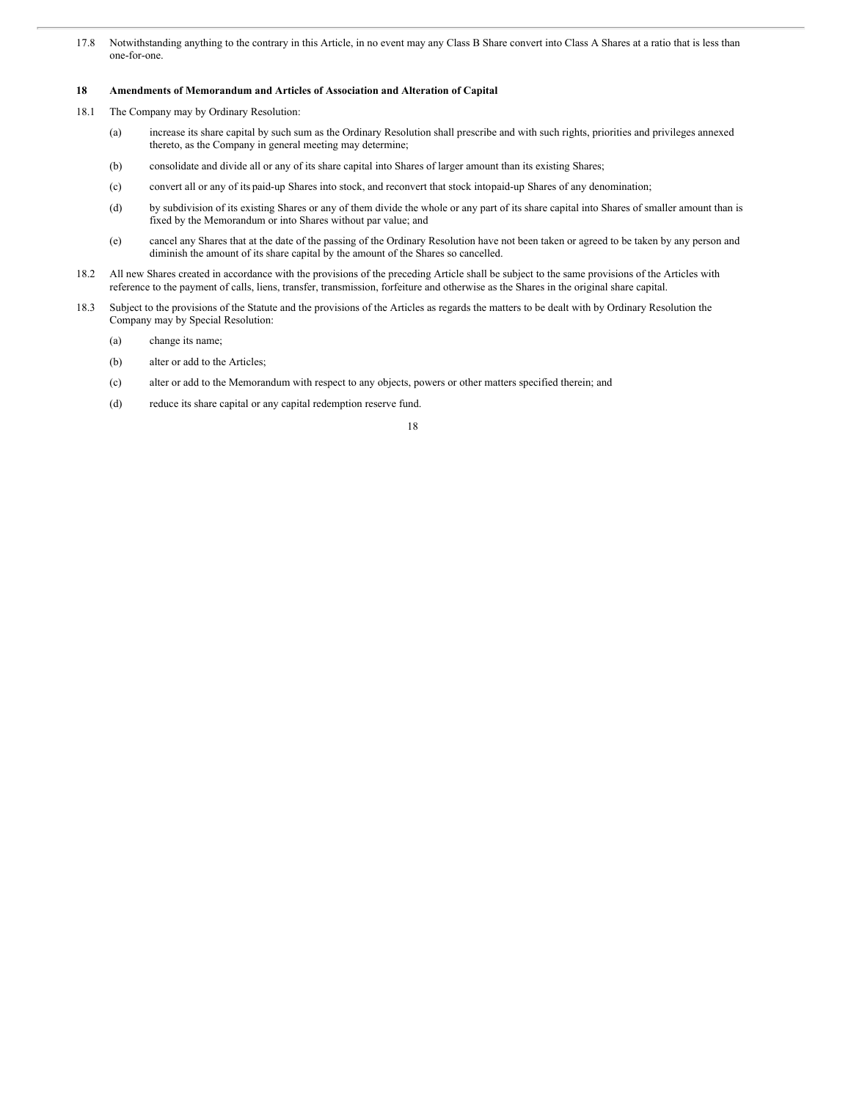17.8 Notwithstanding anything to the contrary in this Article, in no event may any Class B Share convert into Class A Shares at a ratio that is less than one-for-one.

## **18 Amendments of Memorandum and Articles of Association and Alteration of Capital**

- 18.1 The Company may by Ordinary Resolution:
	- (a) increase its share capital by such sum as the Ordinary Resolution shall prescribe and with such rights, priorities and privileges annexed thereto, as the Company in general meeting may determine;
	- (b) consolidate and divide all or any of its share capital into Shares of larger amount than its existing Shares;
	- (c) convert all or any of its paid-up Shares into stock, and reconvert that stock intopaid-up Shares of any denomination;
	- (d) by subdivision of its existing Shares or any of them divide the whole or any part of its share capital into Shares of smaller amount than is fixed by the Memorandum or into Shares without par value; and
	- (e) cancel any Shares that at the date of the passing of the Ordinary Resolution have not been taken or agreed to be taken by any person and diminish the amount of its share capital by the amount of the Shares so cancelled.
- 18.2 All new Shares created in accordance with the provisions of the preceding Article shall be subject to the same provisions of the Articles with reference to the payment of calls, liens, transfer, transmission, forfeiture and otherwise as the Shares in the original share capital.
- 18.3 Subject to the provisions of the Statute and the provisions of the Articles as regards the matters to be dealt with by Ordinary Resolution the Company may by Special Resolution:
	- (a) change its name;
	- (b) alter or add to the Articles;
	- (c) alter or add to the Memorandum with respect to any objects, powers or other matters specified therein; and
	- (d) reduce its share capital or any capital redemption reserve fund.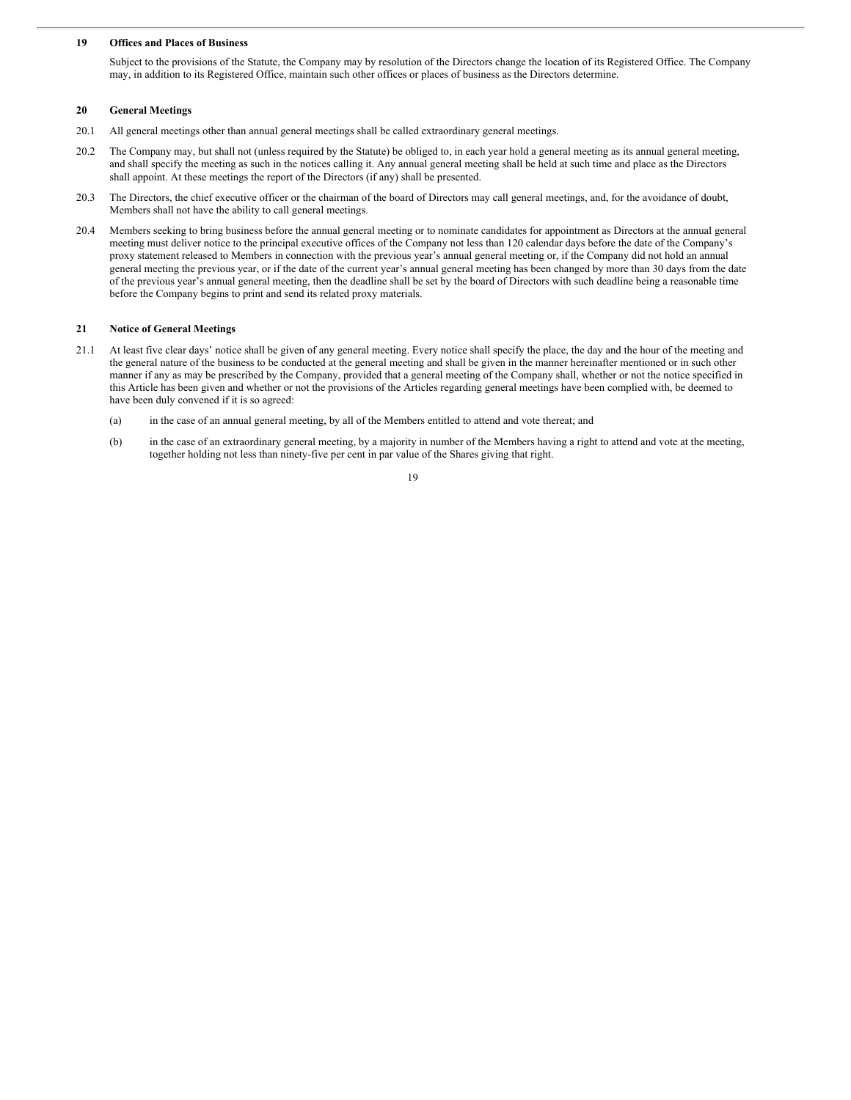#### **19 Offices and Places of Business**

Subject to the provisions of the Statute, the Company may by resolution of the Directors change the location of its Registered Office. The Company may, in addition to its Registered Office, maintain such other offices or places of business as the Directors determine.

#### **20 General Meetings**

- 20.1 All general meetings other than annual general meetings shall be called extraordinary general meetings.
- 20.2 The Company may, but shall not (unless required by the Statute) be obliged to, in each year hold a general meeting as its annual general meeting, and shall specify the meeting as such in the notices calling it. Any annual general meeting shall be held at such time and place as the Directors shall appoint. At these meetings the report of the Directors (if any) shall be presented.
- 20.3 The Directors, the chief executive officer or the chairman of the board of Directors may call general meetings, and, for the avoidance of doubt, Members shall not have the ability to call general meetings.
- 20.4 Members seeking to bring business before the annual general meeting or to nominate candidates for appointment as Directors at the annual general meeting must deliver notice to the principal executive offices of the Company not less than 120 calendar days before the date of the Company's proxy statement released to Members in connection with the previous year's annual general meeting or, if the Company did not hold an annual general meeting the previous year, or if the date of the current year's annual general meeting has been changed by more than 30 days from the date of the previous year's annual general meeting, then the deadline shall be set by the board of Directors with such deadline being a reasonable time before the Company begins to print and send its related proxy materials.

## **21 Notice of General Meetings**

- 21.1 At least five clear days' notice shall be given of any general meeting. Every notice shall specify the place, the day and the hour of the meeting and the general nature of the business to be conducted at the general meeting and shall be given in the manner hereinafter mentioned or in such other manner if any as may be prescribed by the Company, provided that a general meeting of the Company shall, whether or not the notice specified in this Article has been given and whether or not the provisions of the Articles regarding general meetings have been complied with, be deemed to have been duly convened if it is so agreed:
	- (a) in the case of an annual general meeting, by all of the Members entitled to attend and vote thereat; and
	- (b) in the case of an extraordinary general meeting, by a majority in number of the Members having a right to attend and vote at the meeting, together holding not less than ninety-five per cent in par value of the Shares giving that right.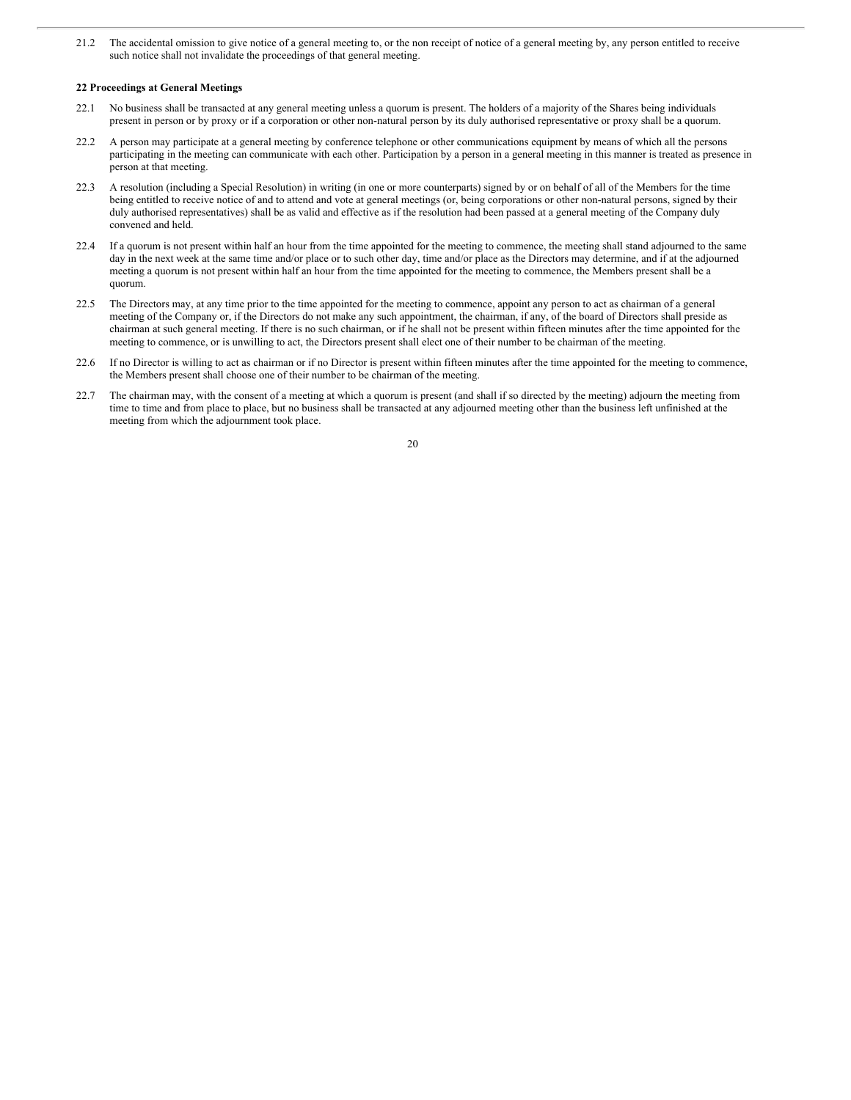21.2 The accidental omission to give notice of a general meeting to, or the non receipt of notice of a general meeting by, any person entitled to receive such notice shall not invalidate the proceedings of that general meeting.

#### **22 Proceedings at General Meetings**

- 22.1 No business shall be transacted at any general meeting unless a quorum is present. The holders of a majority of the Shares being individuals present in person or by proxy or if a corporation or other non-natural person by its duly authorised representative or proxy shall be a quorum.
- 22.2 A person may participate at a general meeting by conference telephone or other communications equipment by means of which all the persons participating in the meeting can communicate with each other. Participation by a person in a general meeting in this manner is treated as presence in person at that meeting.
- 22.3 A resolution (including a Special Resolution) in writing (in one or more counterparts) signed by or on behalf of all of the Members for the time being entitled to receive notice of and to attend and vote at general meetings (or, being corporations or other non-natural persons, signed by their duly authorised representatives) shall be as valid and effective as if the resolution had been passed at a general meeting of the Company duly convened and held.
- 22.4 If a quorum is not present within half an hour from the time appointed for the meeting to commence, the meeting shall stand adjourned to the same day in the next week at the same time and/or place or to such other day, time and/or place as the Directors may determine, and if at the adjourned meeting a quorum is not present within half an hour from the time appointed for the meeting to commence, the Members present shall be a quorum.
- 22.5 The Directors may, at any time prior to the time appointed for the meeting to commence, appoint any person to act as chairman of a general meeting of the Company or, if the Directors do not make any such appointment, the chairman, if any, of the board of Directors shall preside as chairman at such general meeting. If there is no such chairman, or if he shall not be present within fifteen minutes after the time appointed for the meeting to commence, or is unwilling to act, the Directors present shall elect one of their number to be chairman of the meeting.
- 22.6 If no Director is willing to act as chairman or if no Director is present within fifteen minutes after the time appointed for the meeting to commence, the Members present shall choose one of their number to be chairman of the meeting.
- 22.7 The chairman may, with the consent of a meeting at which a quorum is present (and shall if so directed by the meeting) adjourn the meeting from time to time and from place to place, but no business shall be transacted at any adjourned meeting other than the business left unfinished at the meeting from which the adjournment took place.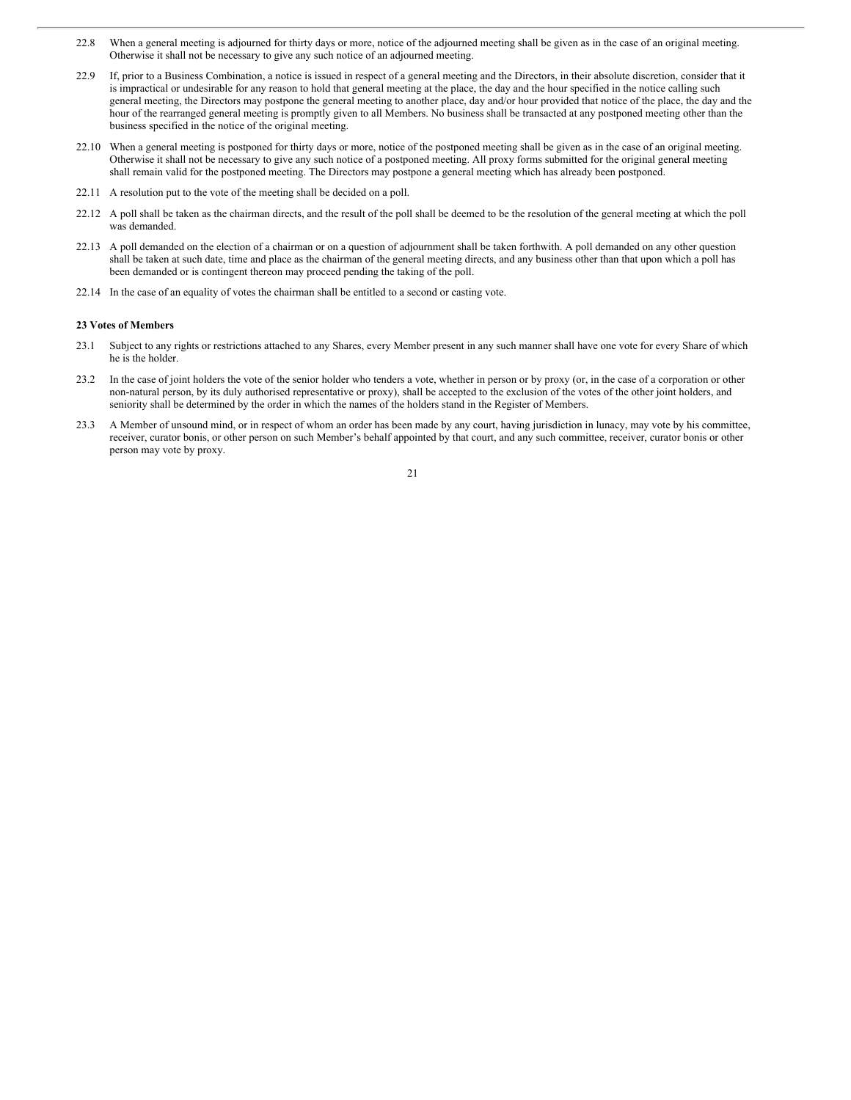- 22.8 When a general meeting is adjourned for thirty days or more, notice of the adjourned meeting shall be given as in the case of an original meeting. Otherwise it shall not be necessary to give any such notice of an adjourned meeting.
- 22.9 If, prior to a Business Combination, a notice is issued in respect of a general meeting and the Directors, in their absolute discretion, consider that it is impractical or undesirable for any reason to hold that general meeting at the place, the day and the hour specified in the notice calling such general meeting, the Directors may postpone the general meeting to another place, day and/or hour provided that notice of the place, the day and the hour of the rearranged general meeting is promptly given to all Members. No business shall be transacted at any postponed meeting other than the business specified in the notice of the original meeting.
- 22.10 When a general meeting is postponed for thirty days or more, notice of the postponed meeting shall be given as in the case of an original meeting. Otherwise it shall not be necessary to give any such notice of a postponed meeting. All proxy forms submitted for the original general meeting shall remain valid for the postponed meeting. The Directors may postpone a general meeting which has already been postponed.
- 22.11 A resolution put to the vote of the meeting shall be decided on a poll.
- 22.12 A poll shall be taken as the chairman directs, and the result of the poll shall be deemed to be the resolution of the general meeting at which the poll was demanded.
- 22.13 A poll demanded on the election of a chairman or on a question of adjournment shall be taken forthwith. A poll demanded on any other question shall be taken at such date, time and place as the chairman of the general meeting directs, and any business other than that upon which a poll has been demanded or is contingent thereon may proceed pending the taking of the poll.
- 22.14 In the case of an equality of votes the chairman shall be entitled to a second or casting vote.

#### **23 Votes of Members**

- 23.1 Subject to any rights or restrictions attached to any Shares, every Member present in any such manner shall have one vote for every Share of which he is the holder.
- 23.2 In the case of joint holders the vote of the senior holder who tenders a vote, whether in person or by proxy (or, in the case of a corporation or other non-natural person, by its duly authorised representative or proxy), shall be accepted to the exclusion of the votes of the other joint holders, and seniority shall be determined by the order in which the names of the holders stand in the Register of Members.
- 23.3 A Member of unsound mind, or in respect of whom an order has been made by any court, having jurisdiction in lunacy, may vote by his committee, receiver, curator bonis, or other person on such Member's behalf appointed by that court, and any such committee, receiver, curator bonis or other person may vote by proxy.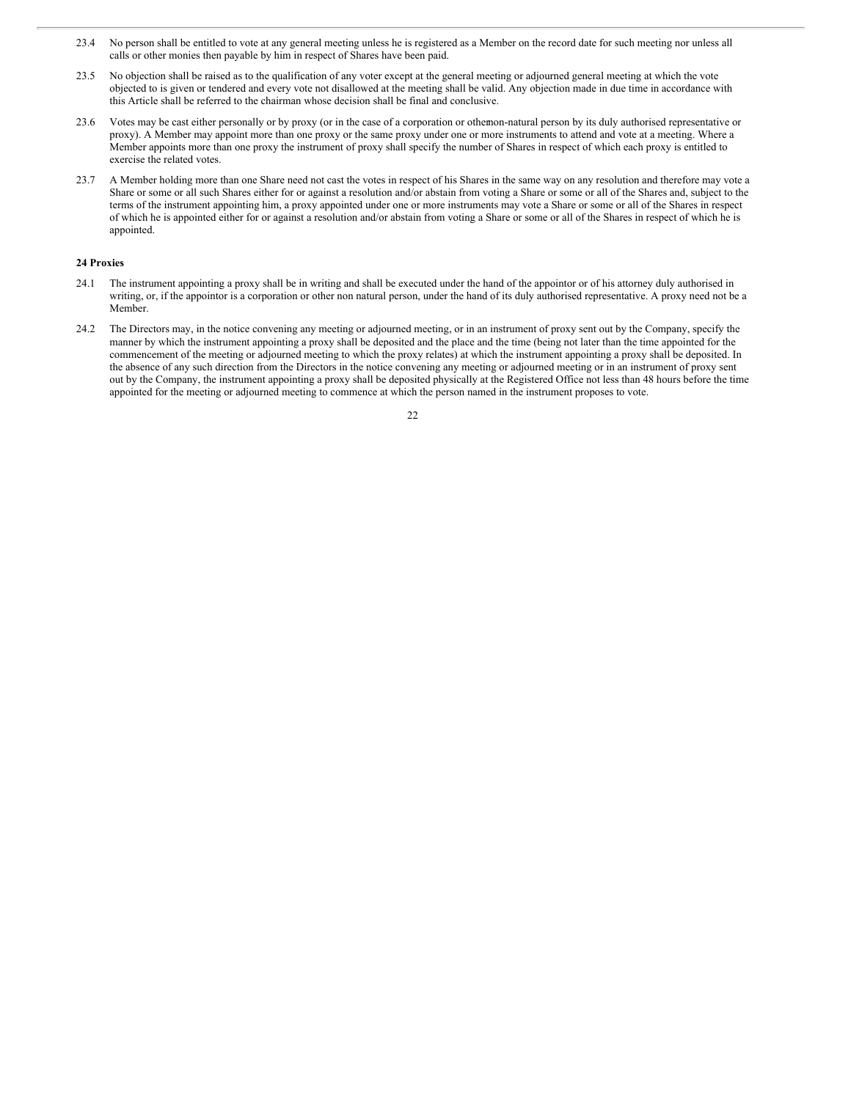- 23.4 No person shall be entitled to vote at any general meeting unless he is registered as a Member on the record date for such meeting nor unless all calls or other monies then payable by him in respect of Shares have been paid.
- 23.5 No objection shall be raised as to the qualification of any voter except at the general meeting or adjourned general meeting at which the vote objected to is given or tendered and every vote not disallowed at the meeting shall be valid. Any objection made in due time in accordance with this Article shall be referred to the chairman whose decision shall be final and conclusive.
- 23.6 Votes may be cast either personally or by proxy (or in the case of a corporation or othernon-natural person by its duly authorised representative or proxy). A Member may appoint more than one proxy or the same proxy under one or more instruments to attend and vote at a meeting. Where a Member appoints more than one proxy the instrument of proxy shall specify the number of Shares in respect of which each proxy is entitled to exercise the related votes.
- 23.7 A Member holding more than one Share need not cast the votes in respect of his Shares in the same way on any resolution and therefore may vote a Share or some or all such Shares either for or against a resolution and/or abstain from voting a Share or some or all of the Shares and, subject to the terms of the instrument appointing him, a proxy appointed under one or more instruments may vote a Share or some or all of the Shares in respect of which he is appointed either for or against a resolution and/or abstain from voting a Share or some or all of the Shares in respect of which he is appointed.

#### **24 Proxies**

- 24.1 The instrument appointing a proxy shall be in writing and shall be executed under the hand of the appointor or of his attorney duly authorised in writing, or, if the appointor is a corporation or other non natural person, under the hand of its duly authorised representative. A proxy need not be a Member.
- 24.2 The Directors may, in the notice convening any meeting or adjourned meeting, or in an instrument of proxy sent out by the Company, specify the manner by which the instrument appointing a proxy shall be deposited and the place and the time (being not later than the time appointed for the commencement of the meeting or adjourned meeting to which the proxy relates) at which the instrument appointing a proxy shall be deposited. In the absence of any such direction from the Directors in the notice convening any meeting or adjourned meeting or in an instrument of proxy sent out by the Company, the instrument appointing a proxy shall be deposited physically at the Registered Office not less than 48 hours before the time appointed for the meeting or adjourned meeting to commence at which the person named in the instrument proposes to vote.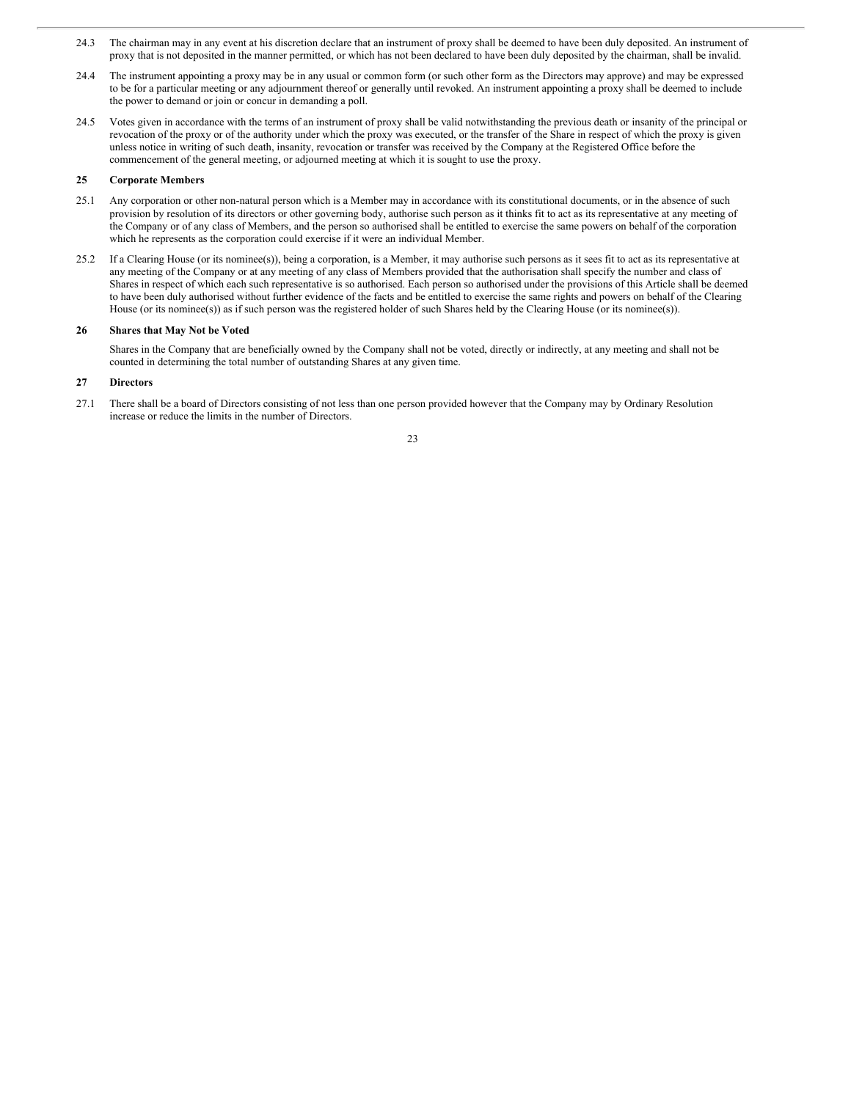- 24.3 The chairman may in any event at his discretion declare that an instrument of proxy shall be deemed to have been duly deposited. An instrument of proxy that is not deposited in the manner permitted, or which has not been declared to have been duly deposited by the chairman, shall be invalid.
- 24.4 The instrument appointing a proxy may be in any usual or common form (or such other form as the Directors may approve) and may be expressed to be for a particular meeting or any adjournment thereof or generally until revoked. An instrument appointing a proxy shall be deemed to include the power to demand or join or concur in demanding a poll.
- 24.5 Votes given in accordance with the terms of an instrument of proxy shall be valid notwithstanding the previous death or insanity of the principal or revocation of the proxy or of the authority under which the proxy was executed, or the transfer of the Share in respect of which the proxy is given unless notice in writing of such death, insanity, revocation or transfer was received by the Company at the Registered Office before the commencement of the general meeting, or adjourned meeting at which it is sought to use the proxy.

#### **25 Corporate Members**

- 25.1 Any corporation or other non-natural person which is a Member may in accordance with its constitutional documents, or in the absence of such provision by resolution of its directors or other governing body, authorise such person as it thinks fit to act as its representative at any meeting of the Company or of any class of Members, and the person so authorised shall be entitled to exercise the same powers on behalf of the corporation which he represents as the corporation could exercise if it were an individual Member.
- 25.2 If a Clearing House (or its nominee(s)), being a corporation, is a Member, it may authorise such persons as it sees fit to act as its representative at any meeting of the Company or at any meeting of any class of Members provided that the authorisation shall specify the number and class of Shares in respect of which each such representative is so authorised. Each person so authorised under the provisions of this Article shall be deemed to have been duly authorised without further evidence of the facts and be entitled to exercise the same rights and powers on behalf of the Clearing House (or its nominee(s)) as if such person was the registered holder of such Shares held by the Clearing House (or its nominee(s)).

# **26 Shares that May Not be Voted**

Shares in the Company that are beneficially owned by the Company shall not be voted, directly or indirectly, at any meeting and shall not be counted in determining the total number of outstanding Shares at any given time.

#### **27 Directors**

27.1 There shall be a board of Directors consisting of not less than one person provided however that the Company may by Ordinary Resolution increase or reduce the limits in the number of Directors.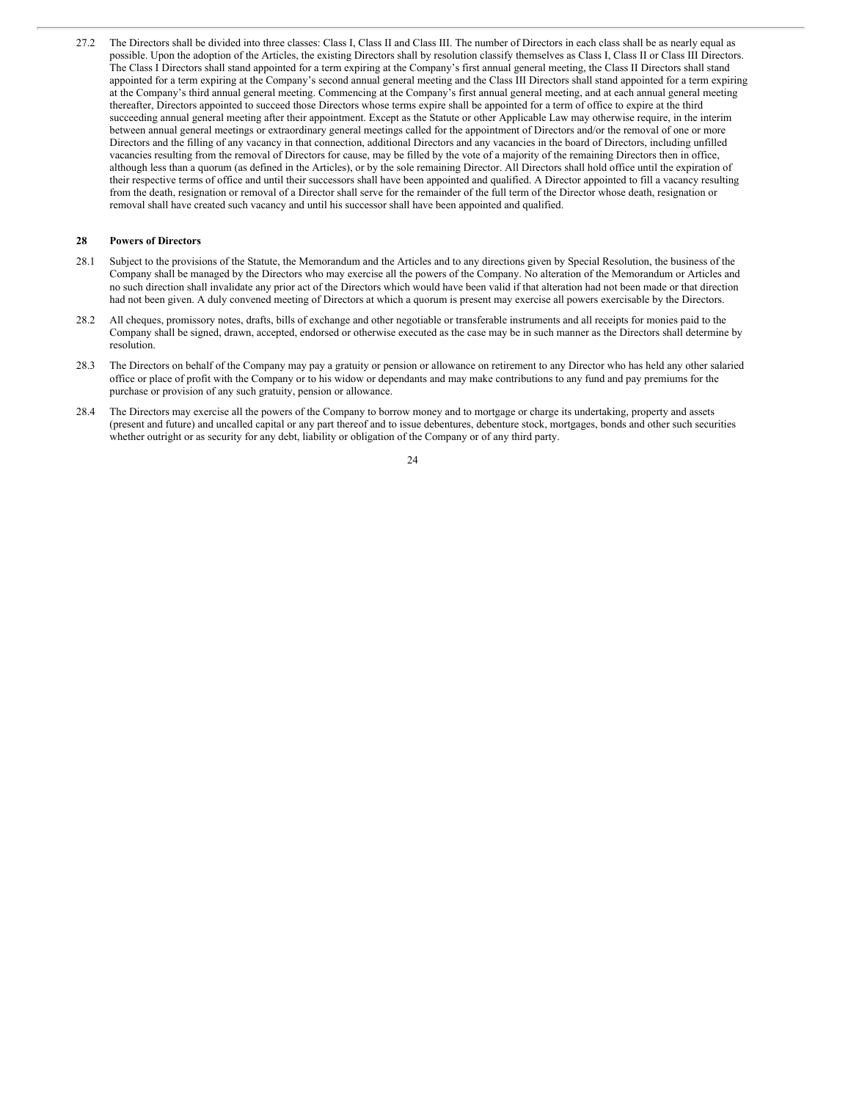27.2 The Directors shall be divided into three classes: Class I, Class II and Class III. The number of Directors in each class shall be as nearly equal as possible. Upon the adoption of the Articles, the existing Directors shall by resolution classify themselves as Class I, Class II or Class III Directors. The Class I Directors shall stand appointed for a term expiring at the Company's first annual general meeting, the Class II Directors shall stand appointed for a term expiring at the Company's second annual general meeting and the Class III Directors shall stand appointed for a term expiring at the Company's third annual general meeting. Commencing at the Company's first annual general meeting, and at each annual general meeting thereafter, Directors appointed to succeed those Directors whose terms expire shall be appointed for a term of office to expire at the third succeeding annual general meeting after their appointment. Except as the Statute or other Applicable Law may otherwise require, in the interim between annual general meetings or extraordinary general meetings called for the appointment of Directors and/or the removal of one or more Directors and the filling of any vacancy in that connection, additional Directors and any vacancies in the board of Directors, including unfilled vacancies resulting from the removal of Directors for cause, may be filled by the vote of a majority of the remaining Directors then in office, although less than a quorum (as defined in the Articles), or by the sole remaining Director. All Directors shall hold office until the expiration of their respective terms of office and until their successors shall have been appointed and qualified. A Director appointed to fill a vacancy resulting from the death, resignation or removal of a Director shall serve for the remainder of the full term of the Director whose death, resignation or removal shall have created such vacancy and until his successor shall have been appointed and qualified.

#### **28 Powers of Directors**

- 28.1 Subject to the provisions of the Statute, the Memorandum and the Articles and to any directions given by Special Resolution, the business of the Company shall be managed by the Directors who may exercise all the powers of the Company. No alteration of the Memorandum or Articles and no such direction shall invalidate any prior act of the Directors which would have been valid if that alteration had not been made or that direction had not been given. A duly convened meeting of Directors at which a quorum is present may exercise all powers exercisable by the Directors.
- 28.2 All cheques, promissory notes, drafts, bills of exchange and other negotiable or transferable instruments and all receipts for monies paid to the Company shall be signed, drawn, accepted, endorsed or otherwise executed as the case may be in such manner as the Directors shall determine by resolution.
- 28.3 The Directors on behalf of the Company may pay a gratuity or pension or allowance on retirement to any Director who has held any other salaried office or place of profit with the Company or to his widow or dependants and may make contributions to any fund and pay premiums for the purchase or provision of any such gratuity, pension or allowance.
- 28.4 The Directors may exercise all the powers of the Company to borrow money and to mortgage or charge its undertaking, property and assets (present and future) and uncalled capital or any part thereof and to issue debentures, debenture stock, mortgages, bonds and other such securities whether outright or as security for any debt, liability or obligation of the Company or of any third party.

<sup>24</sup>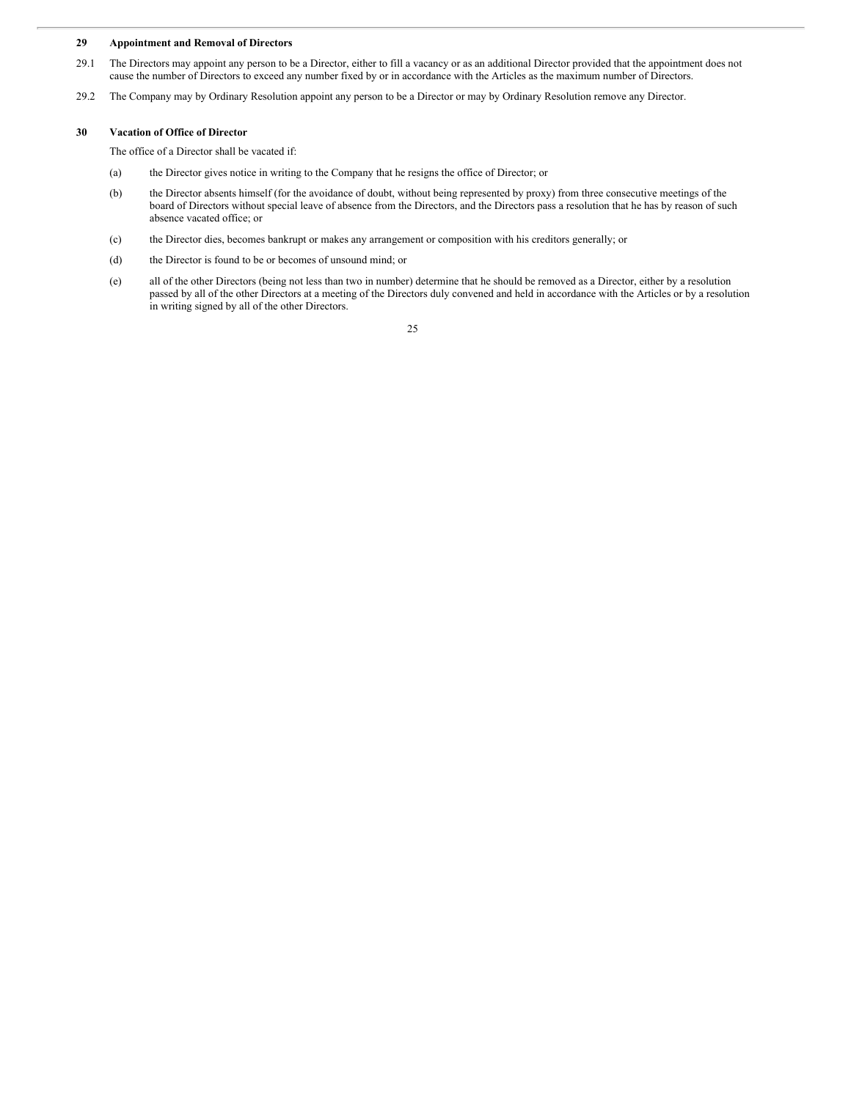#### **29 Appointment and Removal of Directors**

- 29.1 The Directors may appoint any person to be a Director, either to fill a vacancy or as an additional Director provided that the appointment does not cause the number of Directors to exceed any number fixed by or in accordance with the Articles as the maximum number of Directors.
- 29.2 The Company may by Ordinary Resolution appoint any person to be a Director or may by Ordinary Resolution remove any Director.

# **30 Vacation of Office of Director**

The office of a Director shall be vacated if:

- (a) the Director gives notice in writing to the Company that he resigns the office of Director; or
- (b) the Director absents himself (for the avoidance of doubt, without being represented by proxy) from three consecutive meetings of the board of Directors without special leave of absence from the Directors, and the Directors pass a resolution that he has by reason of such absence vacated office; or
- (c) the Director dies, becomes bankrupt or makes any arrangement or composition with his creditors generally; or
- (d) the Director is found to be or becomes of unsound mind; or
- (e) all of the other Directors (being not less than two in number) determine that he should be removed as a Director, either by a resolution passed by all of the other Directors at a meeting of the Directors duly convened and held in accordance with the Articles or by a resolution in writing signed by all of the other Directors.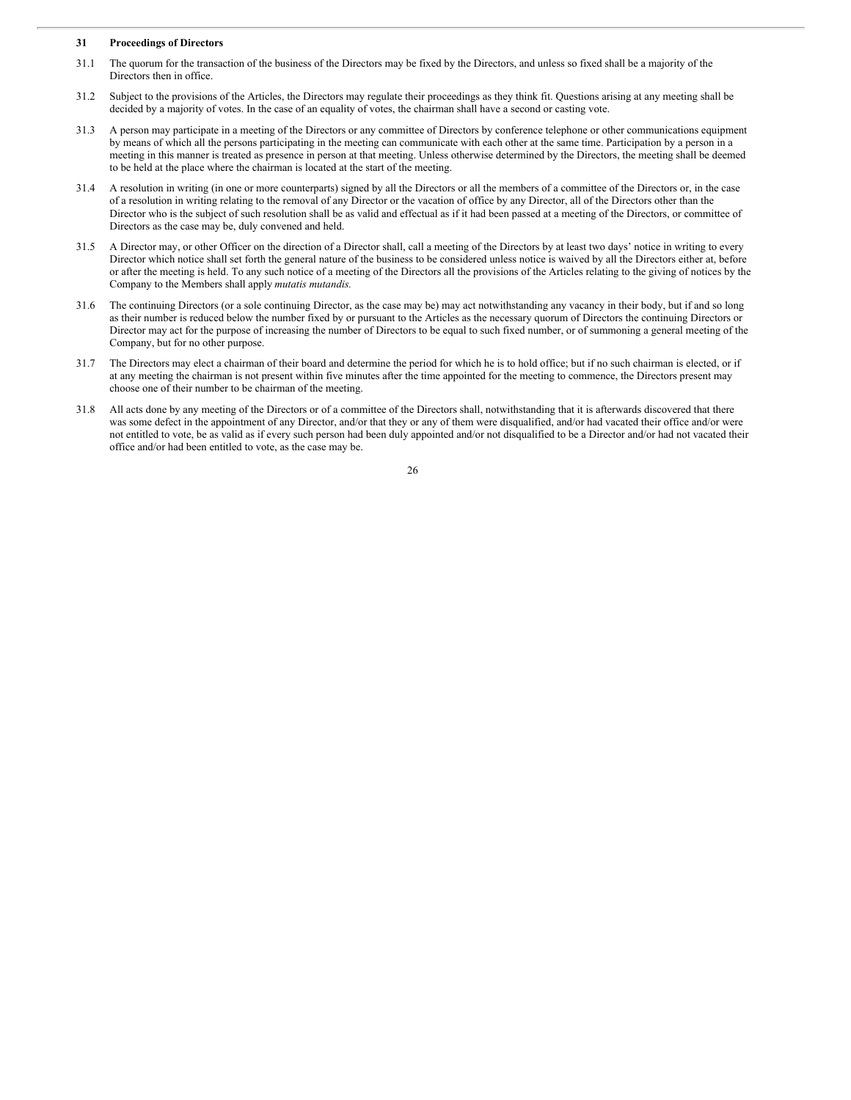# **31 Proceedings of Directors**

- 31.1 The quorum for the transaction of the business of the Directors may be fixed by the Directors, and unless so fixed shall be a majority of the Directors then in office.
- 31.2 Subject to the provisions of the Articles, the Directors may regulate their proceedings as they think fit. Questions arising at any meeting shall be decided by a majority of votes. In the case of an equality of votes, the chairman shall have a second or casting vote.
- 31.3 A person may participate in a meeting of the Directors or any committee of Directors by conference telephone or other communications equipment by means of which all the persons participating in the meeting can communicate with each other at the same time. Participation by a person in a meeting in this manner is treated as presence in person at that meeting. Unless otherwise determined by the Directors, the meeting shall be deemed to be held at the place where the chairman is located at the start of the meeting.
- 31.4 A resolution in writing (in one or more counterparts) signed by all the Directors or all the members of a committee of the Directors or, in the case of a resolution in writing relating to the removal of any Director or the vacation of office by any Director, all of the Directors other than the Director who is the subject of such resolution shall be as valid and effectual as if it had been passed at a meeting of the Directors, or committee of Directors as the case may be, duly convened and held.
- 31.5 A Director may, or other Officer on the direction of a Director shall, call a meeting of the Directors by at least two days' notice in writing to every Director which notice shall set forth the general nature of the business to be considered unless notice is waived by all the Directors either at, before or after the meeting is held. To any such notice of a meeting of the Directors all the provisions of the Articles relating to the giving of notices by the Company to the Members shall apply *mutatis mutandis.*
- 31.6 The continuing Directors (or a sole continuing Director, as the case may be) may act notwithstanding any vacancy in their body, but if and so long as their number is reduced below the number fixed by or pursuant to the Articles as the necessary quorum of Directors the continuing Directors or Director may act for the purpose of increasing the number of Directors to be equal to such fixed number, or of summoning a general meeting of the Company, but for no other purpose.
- 31.7 The Directors may elect a chairman of their board and determine the period for which he is to hold office; but if no such chairman is elected, or if at any meeting the chairman is not present within five minutes after the time appointed for the meeting to commence, the Directors present may choose one of their number to be chairman of the meeting.
- 31.8 All acts done by any meeting of the Directors or of a committee of the Directors shall, notwithstanding that it is afterwards discovered that there was some defect in the appointment of any Director, and/or that they or any of them were disqualified, and/or had vacated their office and/or were not entitled to vote, be as valid as if every such person had been duly appointed and/or not disqualified to be a Director and/or had not vacated their office and/or had been entitled to vote, as the case may be.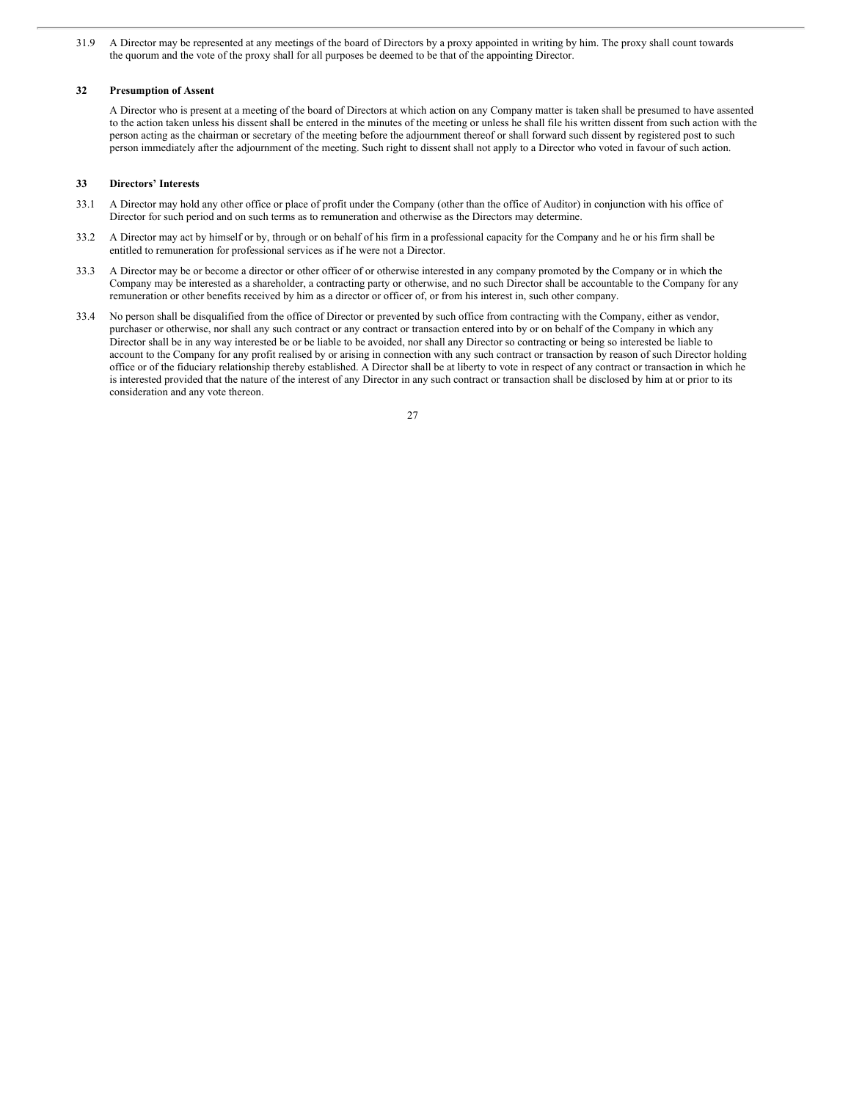31.9 A Director may be represented at any meetings of the board of Directors by a proxy appointed in writing by him. The proxy shall count towards the quorum and the vote of the proxy shall for all purposes be deemed to be that of the appointing Director.

### **32 Presumption of Assent**

A Director who is present at a meeting of the board of Directors at which action on any Company matter is taken shall be presumed to have assented to the action taken unless his dissent shall be entered in the minutes of the meeting or unless he shall file his written dissent from such action with the person acting as the chairman or secretary of the meeting before the adjournment thereof or shall forward such dissent by registered post to such person immediately after the adjournment of the meeting. Such right to dissent shall not apply to a Director who voted in favour of such action.

## **33 Directors' Interests**

- 33.1 A Director may hold any other office or place of profit under the Company (other than the office of Auditor) in conjunction with his office of Director for such period and on such terms as to remuneration and otherwise as the Directors may determine.
- 33.2 A Director may act by himself or by, through or on behalf of his firm in a professional capacity for the Company and he or his firm shall be entitled to remuneration for professional services as if he were not a Director.
- 33.3 A Director may be or become a director or other officer of or otherwise interested in any company promoted by the Company or in which the Company may be interested as a shareholder, a contracting party or otherwise, and no such Director shall be accountable to the Company for any remuneration or other benefits received by him as a director or officer of, or from his interest in, such other company.
- 33.4 No person shall be disqualified from the office of Director or prevented by such office from contracting with the Company, either as vendor, purchaser or otherwise, nor shall any such contract or any contract or transaction entered into by or on behalf of the Company in which any Director shall be in any way interested be or be liable to be avoided, nor shall any Director so contracting or being so interested be liable to account to the Company for any profit realised by or arising in connection with any such contract or transaction by reason of such Director holding office or of the fiduciary relationship thereby established. A Director shall be at liberty to vote in respect of any contract or transaction in which he is interested provided that the nature of the interest of any Director in any such contract or transaction shall be disclosed by him at or prior to its consideration and any vote thereon.

| - |
|---|
|   |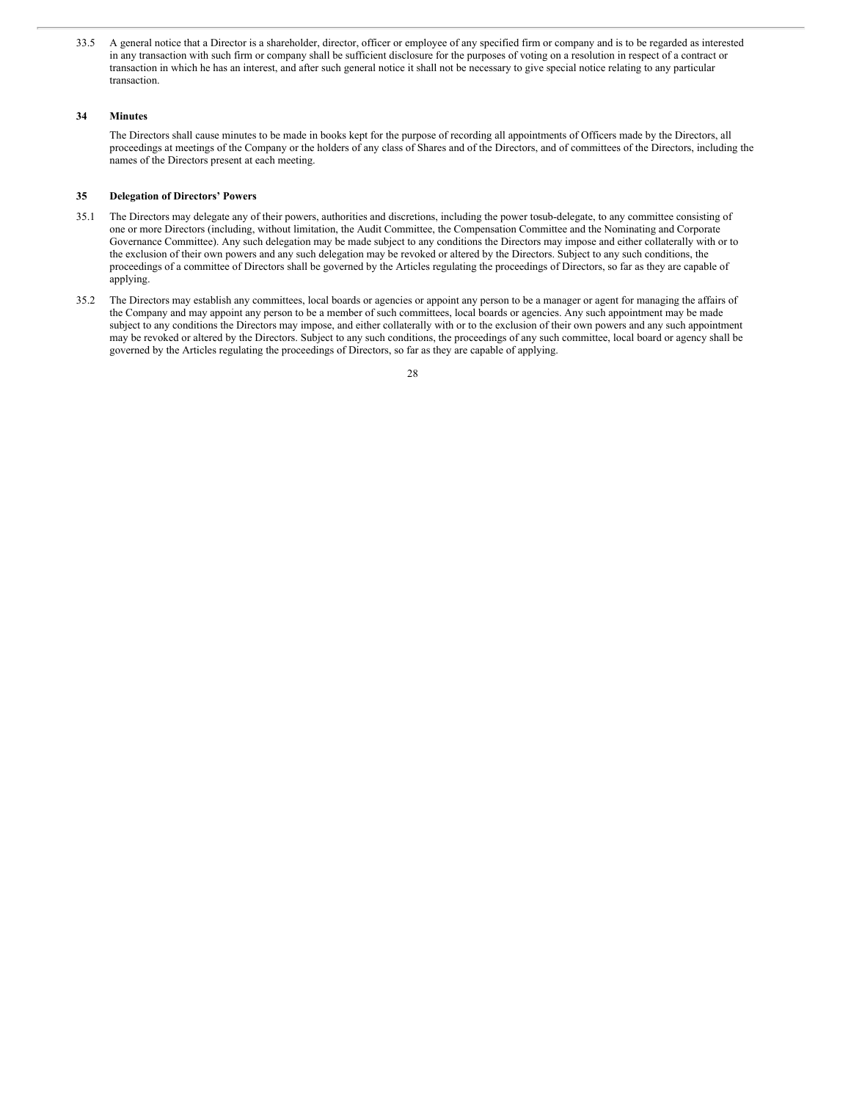33.5 A general notice that a Director is a shareholder, director, officer or employee of any specified firm or company and is to be regarded as interested in any transaction with such firm or company shall be sufficient disclosure for the purposes of voting on a resolution in respect of a contract or transaction in which he has an interest, and after such general notice it shall not be necessary to give special notice relating to any particular transaction.

## **34 Minutes**

The Directors shall cause minutes to be made in books kept for the purpose of recording all appointments of Officers made by the Directors, all proceedings at meetings of the Company or the holders of any class of Shares and of the Directors, and of committees of the Directors, including the names of the Directors present at each meeting.

## **35 Delegation of Directors' Powers**

- 35.1 The Directors may delegate any of their powers, authorities and discretions, including the power tosub-delegate, to any committee consisting of one or more Directors (including, without limitation, the Audit Committee, the Compensation Committee and the Nominating and Corporate Governance Committee). Any such delegation may be made subject to any conditions the Directors may impose and either collaterally with or to the exclusion of their own powers and any such delegation may be revoked or altered by the Directors. Subject to any such conditions, the proceedings of a committee of Directors shall be governed by the Articles regulating the proceedings of Directors, so far as they are capable of applying.
- 35.2 The Directors may establish any committees, local boards or agencies or appoint any person to be a manager or agent for managing the affairs of the Company and may appoint any person to be a member of such committees, local boards or agencies. Any such appointment may be made subject to any conditions the Directors may impose, and either collaterally with or to the exclusion of their own powers and any such appointment may be revoked or altered by the Directors. Subject to any such conditions, the proceedings of any such committee, local board or agency shall be governed by the Articles regulating the proceedings of Directors, so far as they are capable of applying.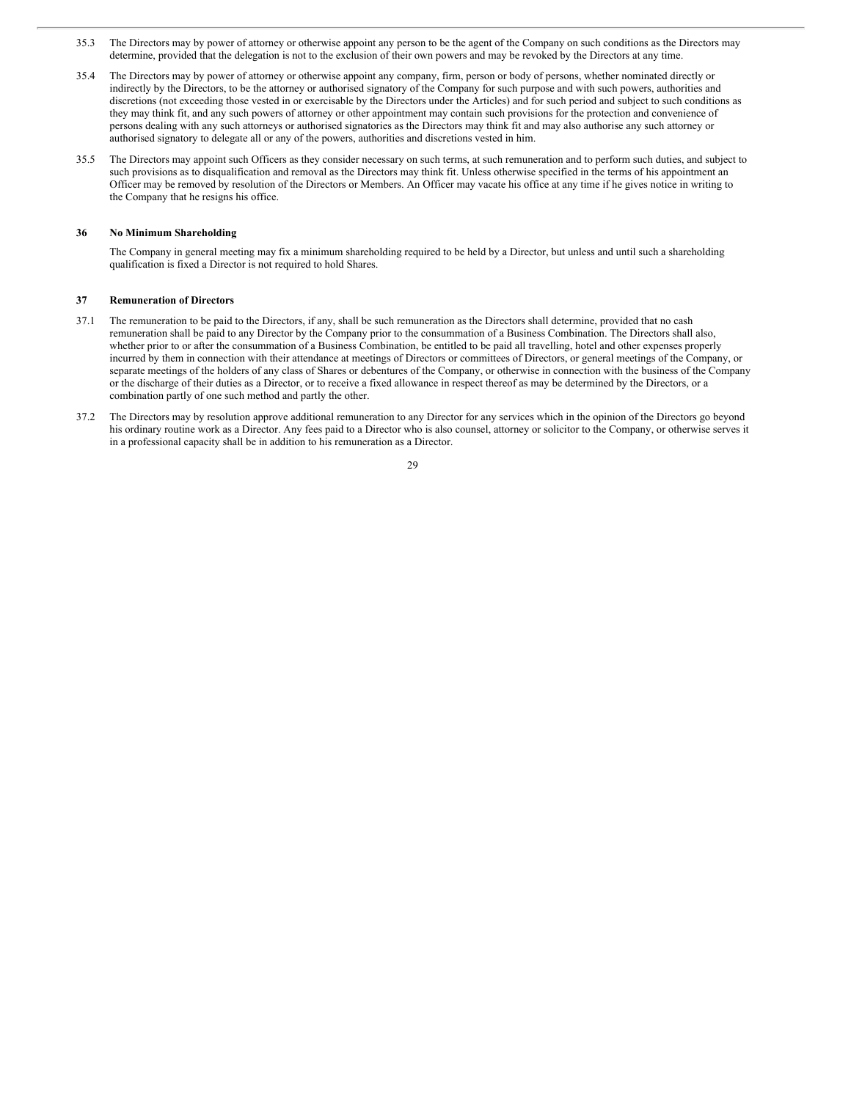- 35.3 The Directors may by power of attorney or otherwise appoint any person to be the agent of the Company on such conditions as the Directors may determine, provided that the delegation is not to the exclusion of their own powers and may be revoked by the Directors at any time.
- 35.4 The Directors may by power of attorney or otherwise appoint any company, firm, person or body of persons, whether nominated directly or indirectly by the Directors, to be the attorney or authorised signatory of the Company for such purpose and with such powers, authorities and discretions (not exceeding those vested in or exercisable by the Directors under the Articles) and for such period and subject to such conditions as they may think fit, and any such powers of attorney or other appointment may contain such provisions for the protection and convenience of persons dealing with any such attorneys or authorised signatories as the Directors may think fit and may also authorise any such attorney or authorised signatory to delegate all or any of the powers, authorities and discretions vested in him.
- 35.5 The Directors may appoint such Officers as they consider necessary on such terms, at such remuneration and to perform such duties, and subject to such provisions as to disqualification and removal as the Directors may think fit. Unless otherwise specified in the terms of his appointment an Officer may be removed by resolution of the Directors or Members. An Officer may vacate his office at any time if he gives notice in writing to the Company that he resigns his office.

#### **36 No Minimum Shareholding**

The Company in general meeting may fix a minimum shareholding required to be held by a Director, but unless and until such a shareholding qualification is fixed a Director is not required to hold Shares.

### **37 Remuneration of Directors**

- 37.1 The remuneration to be paid to the Directors, if any, shall be such remuneration as the Directors shall determine, provided that no cash remuneration shall be paid to any Director by the Company prior to the consummation of a Business Combination. The Directors shall also, whether prior to or after the consummation of a Business Combination, be entitled to be paid all travelling, hotel and other expenses properly incurred by them in connection with their attendance at meetings of Directors or committees of Directors, or general meetings of the Company, or separate meetings of the holders of any class of Shares or debentures of the Company, or otherwise in connection with the business of the Company or the discharge of their duties as a Director, or to receive a fixed allowance in respect thereof as may be determined by the Directors, or a combination partly of one such method and partly the other.
- 37.2 The Directors may by resolution approve additional remuneration to any Director for any services which in the opinion of the Directors go beyond his ordinary routine work as a Director. Any fees paid to a Director who is also counsel, attorney or solicitor to the Company, or otherwise serves it in a professional capacity shall be in addition to his remuneration as a Director.

<sup>29</sup>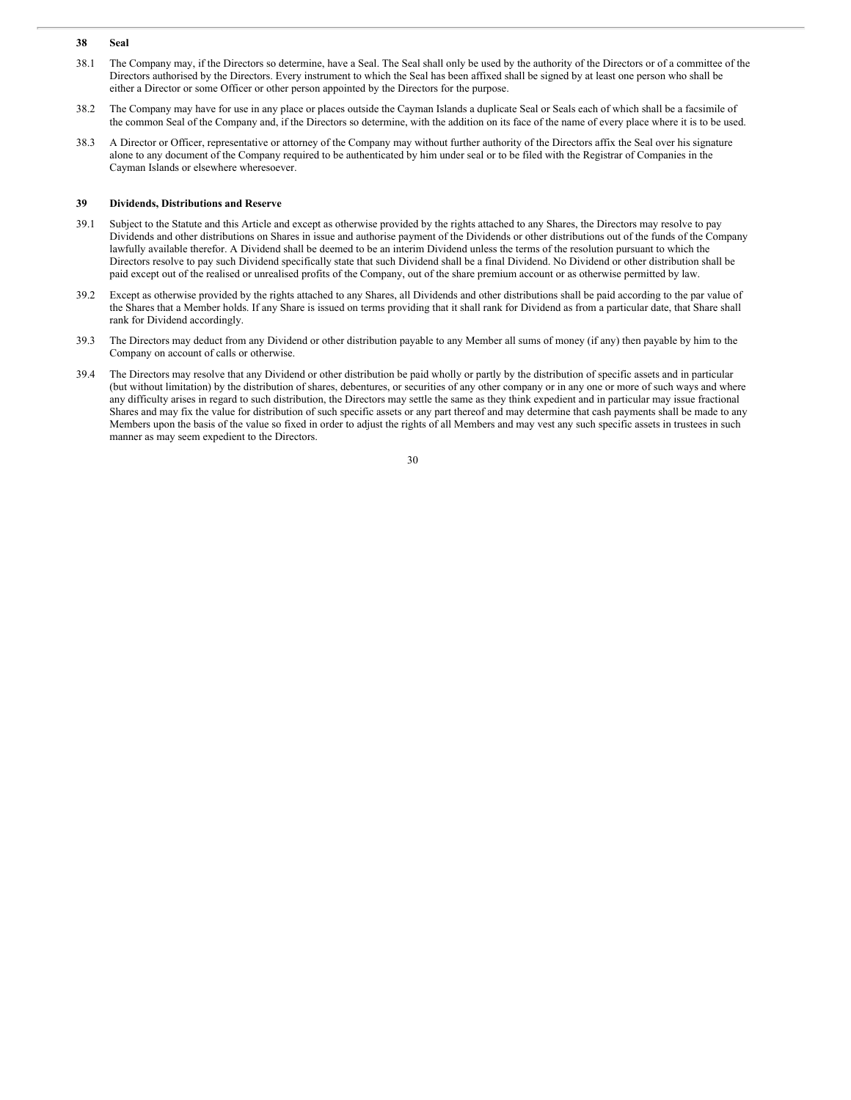- **38 Seal**
- 38.1 The Company may, if the Directors so determine, have a Seal. The Seal shall only be used by the authority of the Directors or of a committee of the Directors authorised by the Directors. Every instrument to which the Seal has been affixed shall be signed by at least one person who shall be either a Director or some Officer or other person appointed by the Directors for the purpose.
- 38.2 The Company may have for use in any place or places outside the Cayman Islands a duplicate Seal or Seals each of which shall be a facsimile of the common Seal of the Company and, if the Directors so determine, with the addition on its face of the name of every place where it is to be used.
- 38.3 A Director or Officer, representative or attorney of the Company may without further authority of the Directors affix the Seal over his signature alone to any document of the Company required to be authenticated by him under seal or to be filed with the Registrar of Companies in the Cayman Islands or elsewhere wheresoever.

### **39 Dividends, Distributions and Reserve**

- 39.1 Subject to the Statute and this Article and except as otherwise provided by the rights attached to any Shares, the Directors may resolve to pay Dividends and other distributions on Shares in issue and authorise payment of the Dividends or other distributions out of the funds of the Company lawfully available therefor. A Dividend shall be deemed to be an interim Dividend unless the terms of the resolution pursuant to which the Directors resolve to pay such Dividend specifically state that such Dividend shall be a final Dividend. No Dividend or other distribution shall be paid except out of the realised or unrealised profits of the Company, out of the share premium account or as otherwise permitted by law.
- 39.2 Except as otherwise provided by the rights attached to any Shares, all Dividends and other distributions shall be paid according to the par value of the Shares that a Member holds. If any Share is issued on terms providing that it shall rank for Dividend as from a particular date, that Share shall rank for Dividend accordingly.
- 39.3 The Directors may deduct from any Dividend or other distribution payable to any Member all sums of money (if any) then payable by him to the Company on account of calls or otherwise.
- 39.4 The Directors may resolve that any Dividend or other distribution be paid wholly or partly by the distribution of specific assets and in particular (but without limitation) by the distribution of shares, debentures, or securities of any other company or in any one or more of such ways and where any difficulty arises in regard to such distribution, the Directors may settle the same as they think expedient and in particular may issue fractional Shares and may fix the value for distribution of such specific assets or any part thereof and may determine that cash payments shall be made to any Members upon the basis of the value so fixed in order to adjust the rights of all Members and may vest any such specific assets in trustees in such manner as may seem expedient to the Directors.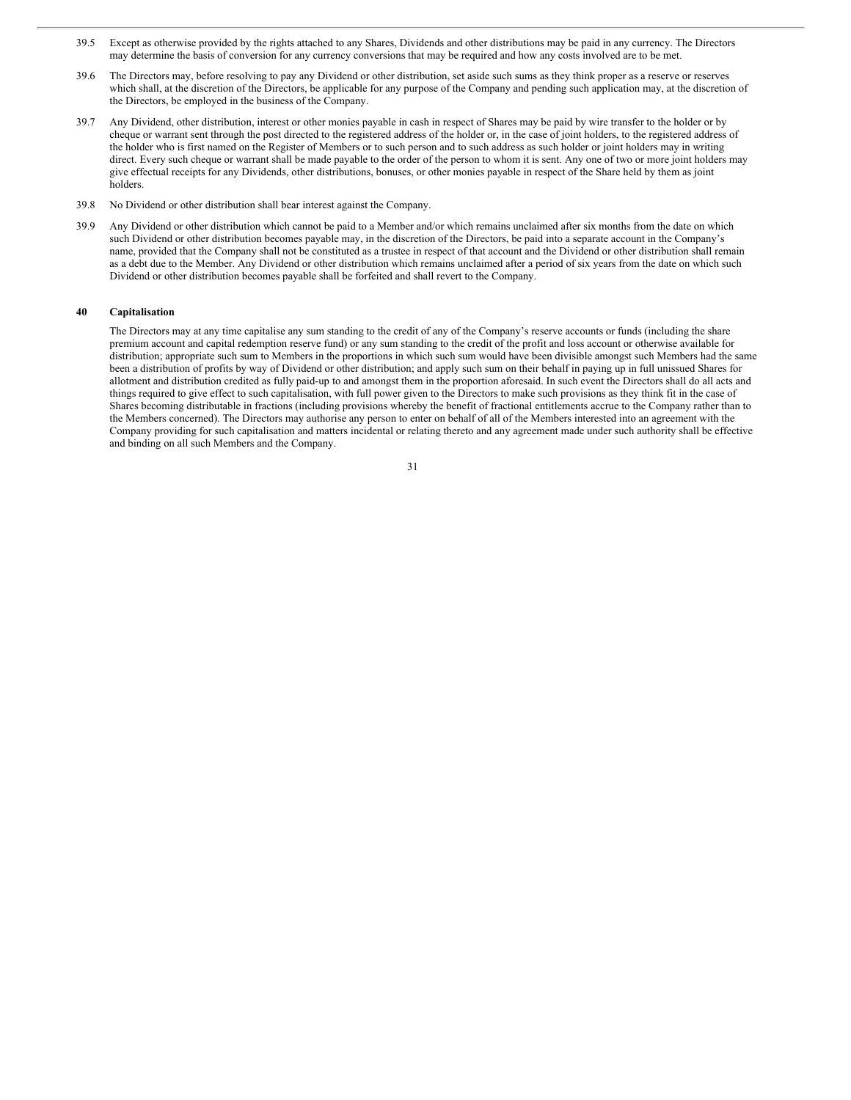- 39.5 Except as otherwise provided by the rights attached to any Shares, Dividends and other distributions may be paid in any currency. The Directors may determine the basis of conversion for any currency conversions that may be required and how any costs involved are to be met.
- 39.6 The Directors may, before resolving to pay any Dividend or other distribution, set aside such sums as they think proper as a reserve or reserves which shall, at the discretion of the Directors, be applicable for any purpose of the Company and pending such application may, at the discretion of the Directors, be employed in the business of the Company.
- 39.7 Any Dividend, other distribution, interest or other monies payable in cash in respect of Shares may be paid by wire transfer to the holder or by cheque or warrant sent through the post directed to the registered address of the holder or, in the case of joint holders, to the registered address of the holder who is first named on the Register of Members or to such person and to such address as such holder or joint holders may in writing direct. Every such cheque or warrant shall be made payable to the order of the person to whom it is sent. Any one of two or more joint holders may give effectual receipts for any Dividends, other distributions, bonuses, or other monies payable in respect of the Share held by them as joint holders.
- 39.8 No Dividend or other distribution shall bear interest against the Company.
- 39.9 Any Dividend or other distribution which cannot be paid to a Member and/or which remains unclaimed after six months from the date on which such Dividend or other distribution becomes payable may, in the discretion of the Directors, be paid into a separate account in the Company's name, provided that the Company shall not be constituted as a trustee in respect of that account and the Dividend or other distribution shall remain as a debt due to the Member. Any Dividend or other distribution which remains unclaimed after a period of six years from the date on which such Dividend or other distribution becomes payable shall be forfeited and shall revert to the Company.

### **40 Capitalisation**

The Directors may at any time capitalise any sum standing to the credit of any of the Company's reserve accounts or funds (including the share premium account and capital redemption reserve fund) or any sum standing to the credit of the profit and loss account or otherwise available for distribution; appropriate such sum to Members in the proportions in which such sum would have been divisible amongst such Members had the same been a distribution of profits by way of Dividend or other distribution; and apply such sum on their behalf in paying up in full unissued Shares for allotment and distribution credited as fully paid-up to and amongst them in the proportion aforesaid. In such event the Directors shall do all acts and things required to give effect to such capitalisation, with full power given to the Directors to make such provisions as they think fit in the case of Shares becoming distributable in fractions (including provisions whereby the benefit of fractional entitlements accrue to the Company rather than to the Members concerned). The Directors may authorise any person to enter on behalf of all of the Members interested into an agreement with the Company providing for such capitalisation and matters incidental or relating thereto and any agreement made under such authority shall be effective and binding on all such Members and the Company.

| I<br>I<br>i<br>۰. |  |
|-------------------|--|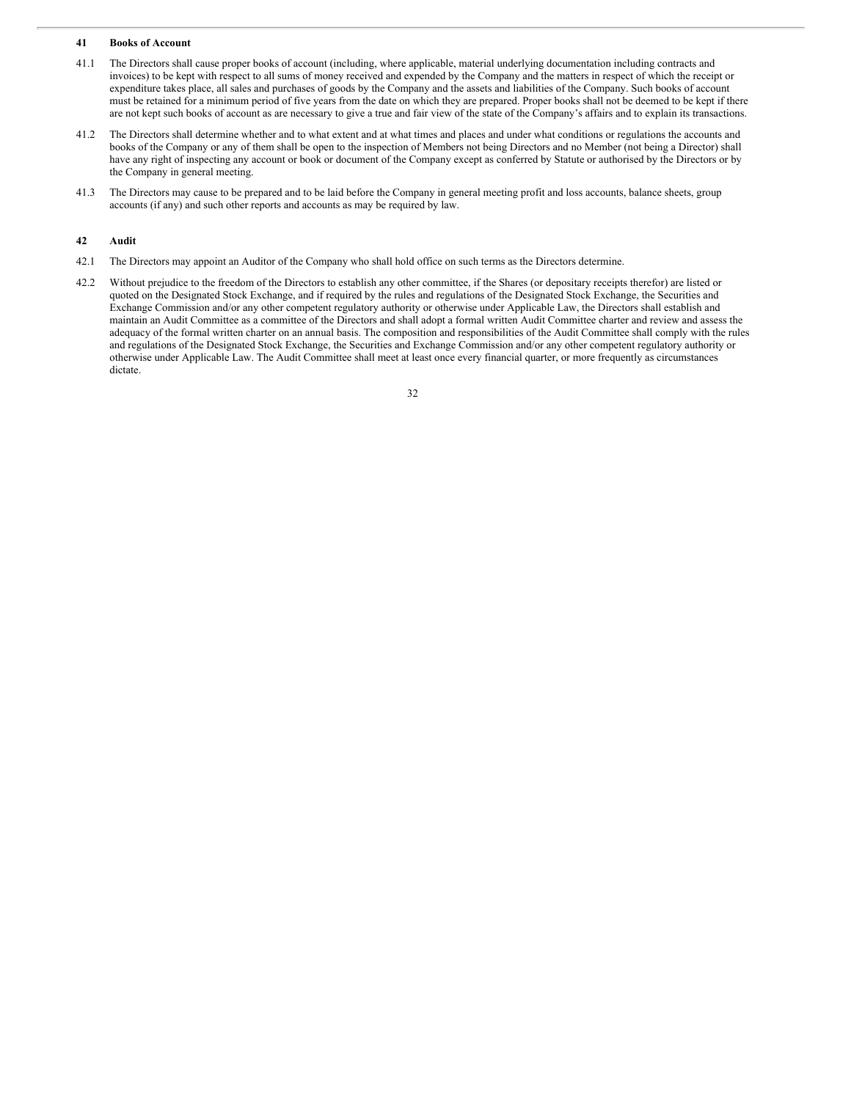### **41 Books of Account**

- 41.1 The Directors shall cause proper books of account (including, where applicable, material underlying documentation including contracts and invoices) to be kept with respect to all sums of money received and expended by the Company and the matters in respect of which the receipt or expenditure takes place, all sales and purchases of goods by the Company and the assets and liabilities of the Company. Such books of account must be retained for a minimum period of five years from the date on which they are prepared. Proper books shall not be deemed to be kept if there are not kept such books of account as are necessary to give a true and fair view of the state of the Company's affairs and to explain its transactions.
- 41.2 The Directors shall determine whether and to what extent and at what times and places and under what conditions or regulations the accounts and books of the Company or any of them shall be open to the inspection of Members not being Directors and no Member (not being a Director) shall have any right of inspecting any account or book or document of the Company except as conferred by Statute or authorised by the Directors or by the Company in general meeting.
- 41.3 The Directors may cause to be prepared and to be laid before the Company in general meeting profit and loss accounts, balance sheets, group accounts (if any) and such other reports and accounts as may be required by law.

### **42 Audit**

- 42.1 The Directors may appoint an Auditor of the Company who shall hold office on such terms as the Directors determine.
- 42.2 Without prejudice to the freedom of the Directors to establish any other committee, if the Shares (or depositary receipts therefor) are listed or quoted on the Designated Stock Exchange, and if required by the rules and regulations of the Designated Stock Exchange, the Securities and Exchange Commission and/or any other competent regulatory authority or otherwise under Applicable Law, the Directors shall establish and maintain an Audit Committee as a committee of the Directors and shall adopt a formal written Audit Committee charter and review and assess the adequacy of the formal written charter on an annual basis. The composition and responsibilities of the Audit Committee shall comply with the rules and regulations of the Designated Stock Exchange, the Securities and Exchange Commission and/or any other competent regulatory authority or otherwise under Applicable Law. The Audit Committee shall meet at least once every financial quarter, or more frequently as circumstances dictate.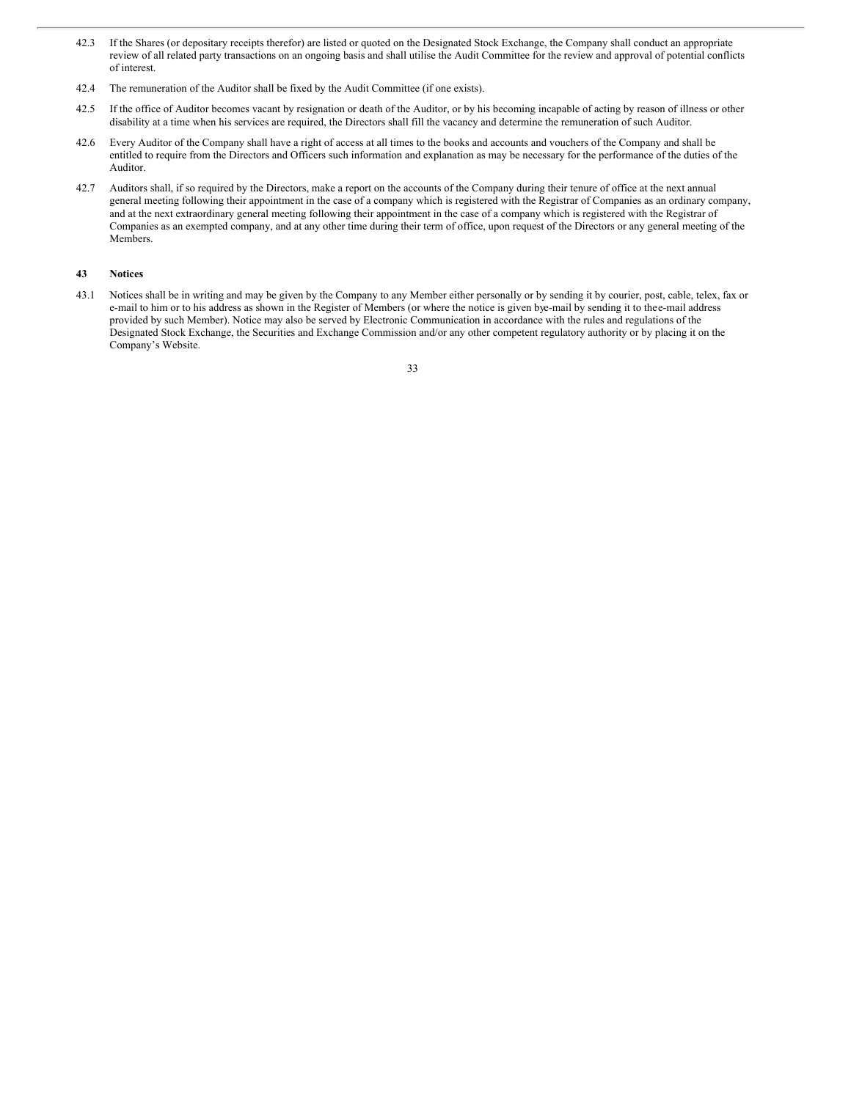- 42.3 If the Shares (or depositary receipts therefor) are listed or quoted on the Designated Stock Exchange, the Company shall conduct an appropriate review of all related party transactions on an ongoing basis and shall utilise the Audit Committee for the review and approval of potential conflicts of interest.
- 42.4 The remuneration of the Auditor shall be fixed by the Audit Committee (if one exists).
- 42.5 If the office of Auditor becomes vacant by resignation or death of the Auditor, or by his becoming incapable of acting by reason of illness or other disability at a time when his services are required, the Directors shall fill the vacancy and determine the remuneration of such Auditor.
- 42.6 Every Auditor of the Company shall have a right of access at all times to the books and accounts and vouchers of the Company and shall be entitled to require from the Directors and Officers such information and explanation as may be necessary for the performance of the duties of the Auditor.
- 42.7 Auditors shall, if so required by the Directors, make a report on the accounts of the Company during their tenure of office at the next annual general meeting following their appointment in the case of a company which is registered with the Registrar of Companies as an ordinary company, and at the next extraordinary general meeting following their appointment in the case of a company which is registered with the Registrar of Companies as an exempted company, and at any other time during their term of office, upon request of the Directors or any general meeting of the Members.

## **43 Notices**

43.1 Notices shall be in writing and may be given by the Company to any Member either personally or by sending it by courier, post, cable, telex, fax or e-mail to him or to his address as shown in the Register of Members (or where the notice is given bye-mail by sending it to thee-mail address provided by such Member). Notice may also be served by Electronic Communication in accordance with the rules and regulations of the Designated Stock Exchange, the Securities and Exchange Commission and/or any other competent regulatory authority or by placing it on the Company's Website.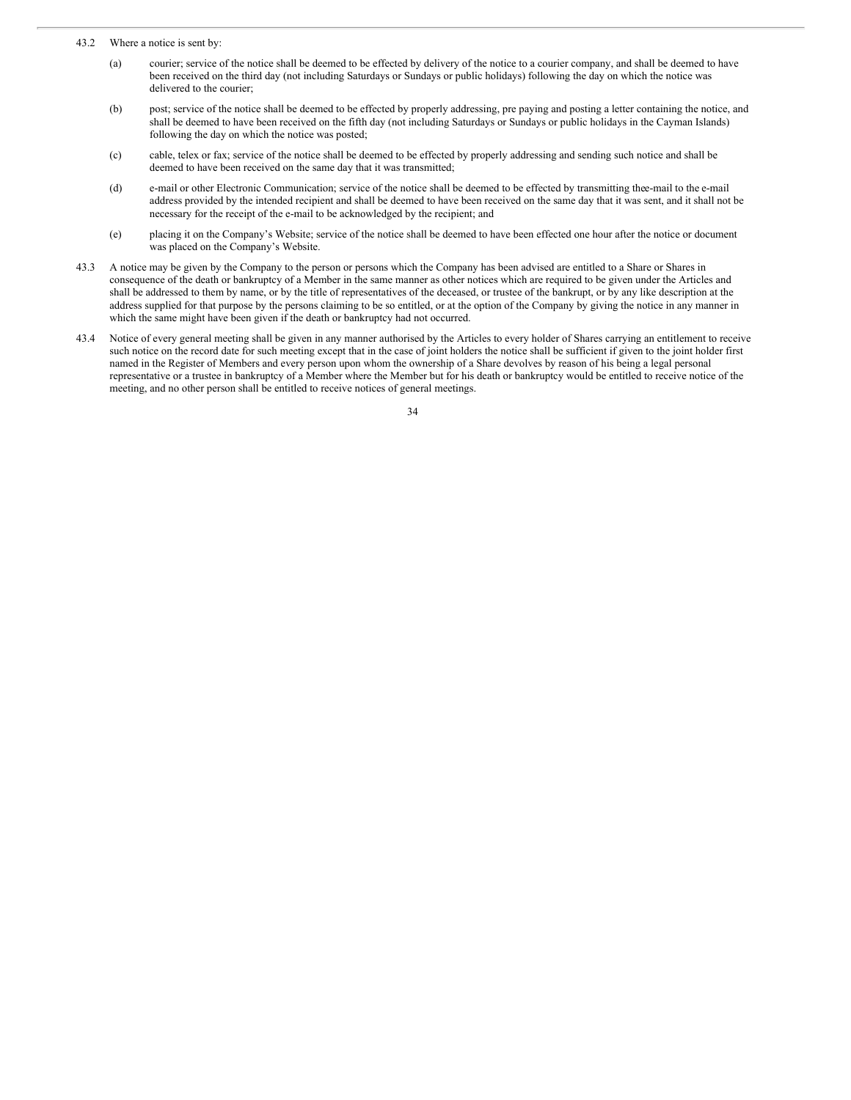43.2 Where a notice is sent by:

- (a) courier; service of the notice shall be deemed to be effected by delivery of the notice to a courier company, and shall be deemed to have been received on the third day (not including Saturdays or Sundays or public holidays) following the day on which the notice was delivered to the courier;
- (b) post; service of the notice shall be deemed to be effected by properly addressing, pre paying and posting a letter containing the notice, and shall be deemed to have been received on the fifth day (not including Saturdays or Sundays or public holidays in the Cayman Islands) following the day on which the notice was posted;
- (c) cable, telex or fax; service of the notice shall be deemed to be effected by properly addressing and sending such notice and shall be deemed to have been received on the same day that it was transmitted;
- (d) e-mail or other Electronic Communication; service of the notice shall be deemed to be effected by transmitting thee-mail to the e-mail address provided by the intended recipient and shall be deemed to have been received on the same day that it was sent, and it shall not be necessary for the receipt of the e-mail to be acknowledged by the recipient; and
- (e) placing it on the Company's Website; service of the notice shall be deemed to have been effected one hour after the notice or document was placed on the Company's Website.
- 43.3 A notice may be given by the Company to the person or persons which the Company has been advised are entitled to a Share or Shares in consequence of the death or bankruptcy of a Member in the same manner as other notices which are required to be given under the Articles and shall be addressed to them by name, or by the title of representatives of the deceased, or trustee of the bankrupt, or by any like description at the address supplied for that purpose by the persons claiming to be so entitled, or at the option of the Company by giving the notice in any manner in which the same might have been given if the death or bankruptcy had not occurred.
- 43.4 Notice of every general meeting shall be given in any manner authorised by the Articles to every holder of Shares carrying an entitlement to receive such notice on the record date for such meeting except that in the case of joint holders the notice shall be sufficient if given to the joint holder first named in the Register of Members and every person upon whom the ownership of a Share devolves by reason of his being a legal personal representative or a trustee in bankruptcy of a Member where the Member but for his death or bankruptcy would be entitled to receive notice of the meeting, and no other person shall be entitled to receive notices of general meetings.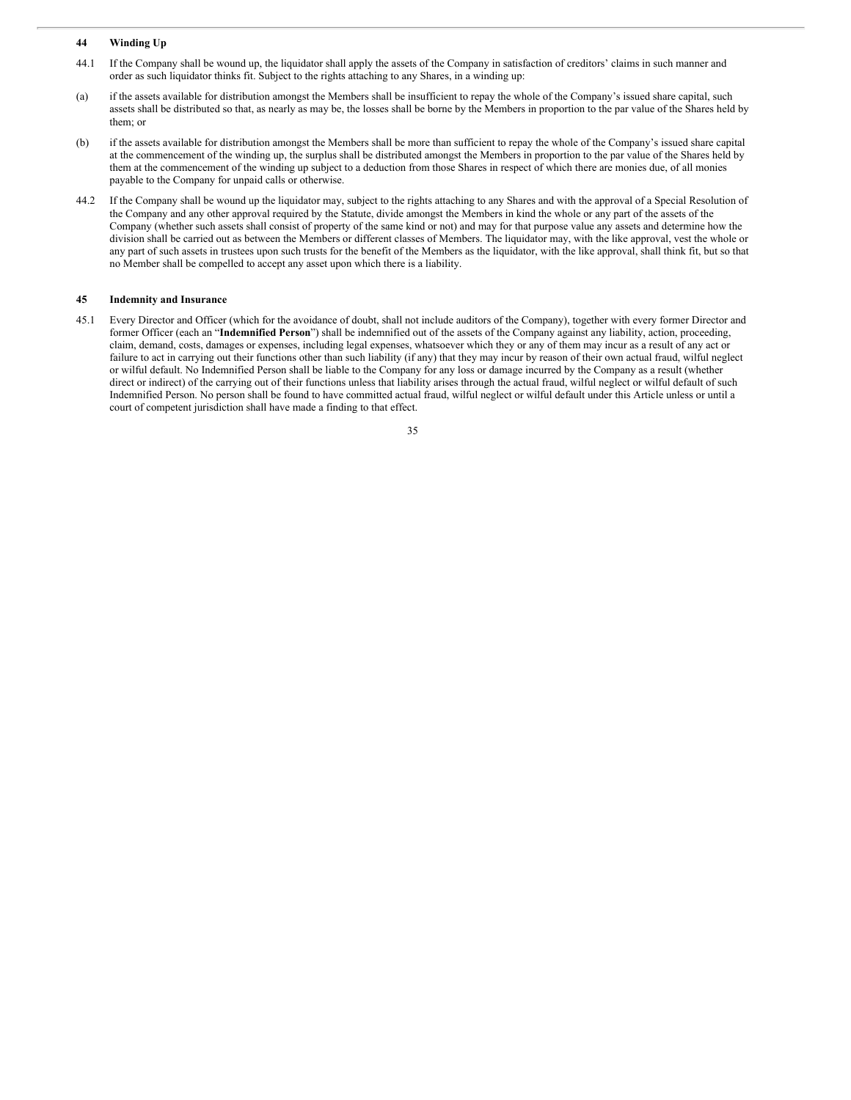### **44 Winding Up**

- 44.1 If the Company shall be wound up, the liquidator shall apply the assets of the Company in satisfaction of creditors' claims in such manner and order as such liquidator thinks fit. Subject to the rights attaching to any Shares, in a winding up:
- (a) if the assets available for distribution amongst the Members shall be insufficient to repay the whole of the Company's issued share capital, such assets shall be distributed so that, as nearly as may be, the losses shall be borne by the Members in proportion to the par value of the Shares held by them; or
- (b) if the assets available for distribution amongst the Members shall be more than sufficient to repay the whole of the Company's issued share capital at the commencement of the winding up, the surplus shall be distributed amongst the Members in proportion to the par value of the Shares held by them at the commencement of the winding up subject to a deduction from those Shares in respect of which there are monies due, of all monies payable to the Company for unpaid calls or otherwise.
- 44.2 If the Company shall be wound up the liquidator may, subject to the rights attaching to any Shares and with the approval of a Special Resolution of the Company and any other approval required by the Statute, divide amongst the Members in kind the whole or any part of the assets of the Company (whether such assets shall consist of property of the same kind or not) and may for that purpose value any assets and determine how the division shall be carried out as between the Members or different classes of Members. The liquidator may, with the like approval, vest the whole or any part of such assets in trustees upon such trusts for the benefit of the Members as the liquidator, with the like approval, shall think fit, but so that no Member shall be compelled to accept any asset upon which there is a liability.

#### **45 Indemnity and Insurance**

45.1 Every Director and Officer (which for the avoidance of doubt, shall not include auditors of the Company), together with every former Director and former Officer (each an "**Indemnified Person**") shall be indemnified out of the assets of the Company against any liability, action, proceeding, claim, demand, costs, damages or expenses, including legal expenses, whatsoever which they or any of them may incur as a result of any act or failure to act in carrying out their functions other than such liability (if any) that they may incur by reason of their own actual fraud, wilful neglect or wilful default. No Indemnified Person shall be liable to the Company for any loss or damage incurred by the Company as a result (whether direct or indirect) of the carrying out of their functions unless that liability arises through the actual fraud, wilful neglect or wilful default of such Indemnified Person. No person shall be found to have committed actual fraud, wilful neglect or wilful default under this Article unless or until a court of competent jurisdiction shall have made a finding to that effect.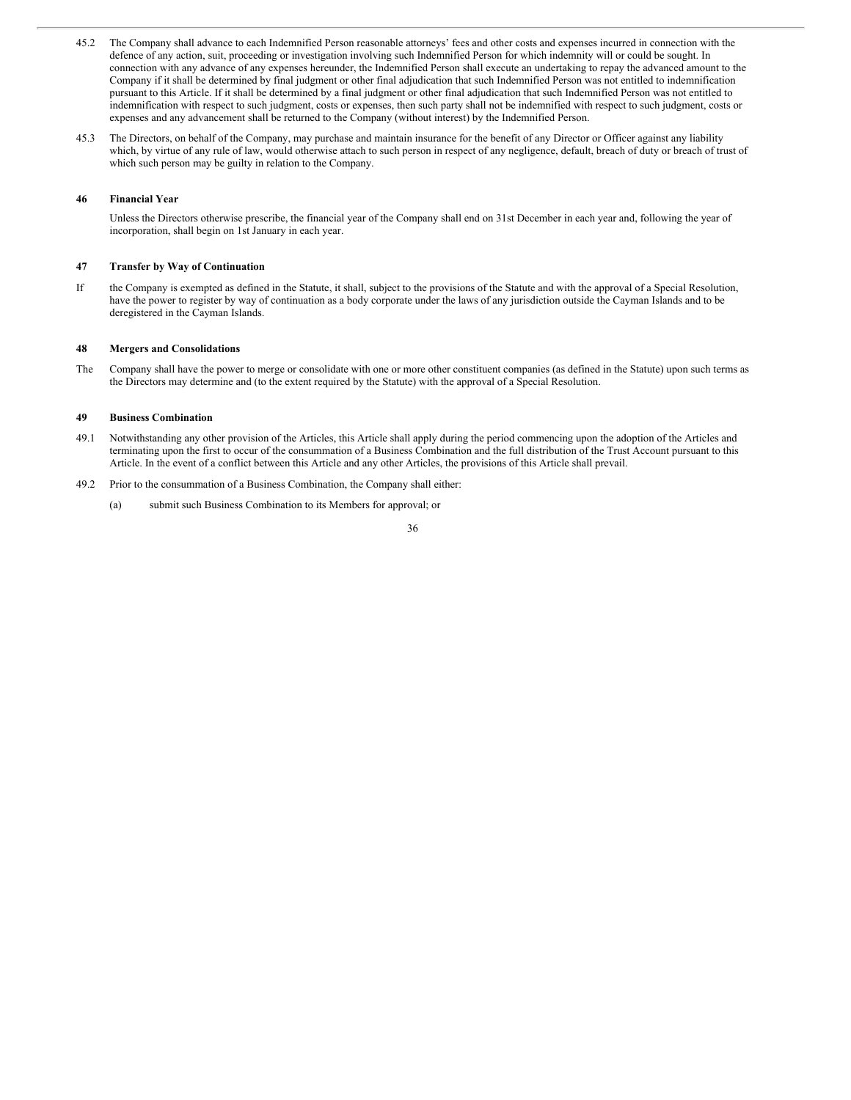- 45.2 The Company shall advance to each Indemnified Person reasonable attorneys' fees and other costs and expenses incurred in connection with the defence of any action, suit, proceeding or investigation involving such Indemnified Person for which indemnity will or could be sought. In connection with any advance of any expenses hereunder, the Indemnified Person shall execute an undertaking to repay the advanced amount to the Company if it shall be determined by final judgment or other final adjudication that such Indemnified Person was not entitled to indemnification pursuant to this Article. If it shall be determined by a final judgment or other final adjudication that such Indemnified Person was not entitled to indemnification with respect to such judgment, costs or expenses, then such party shall not be indemnified with respect to such judgment, costs or expenses and any advancement shall be returned to the Company (without interest) by the Indemnified Person.
- 45.3 The Directors, on behalf of the Company, may purchase and maintain insurance for the benefit of any Director or Officer against any liability which, by virtue of any rule of law, would otherwise attach to such person in respect of any negligence, default, breach of duty or breach of trust of which such person may be guilty in relation to the Company.

### **46 Financial Year**

Unless the Directors otherwise prescribe, the financial year of the Company shall end on 31st December in each year and, following the year of incorporation, shall begin on 1st January in each year.

## **47 Transfer by Way of Continuation**

If the Company is exempted as defined in the Statute, it shall, subject to the provisions of the Statute and with the approval of a Special Resolution, have the power to register by way of continuation as a body corporate under the laws of any jurisdiction outside the Cayman Islands and to be deregistered in the Cayman Islands.

#### **48 Mergers and Consolidations**

The Company shall have the power to merge or consolidate with one or more other constituent companies (as defined in the Statute) upon such terms as the Directors may determine and (to the extent required by the Statute) with the approval of a Special Resolution.

#### **49 Business Combination**

- 49.1 Notwithstanding any other provision of the Articles, this Article shall apply during the period commencing upon the adoption of the Articles and terminating upon the first to occur of the consummation of a Business Combination and the full distribution of the Trust Account pursuant to this Article. In the event of a conflict between this Article and any other Articles, the provisions of this Article shall prevail.
- 49.2 Prior to the consummation of a Business Combination, the Company shall either:
	- (a) submit such Business Combination to its Members for approval; or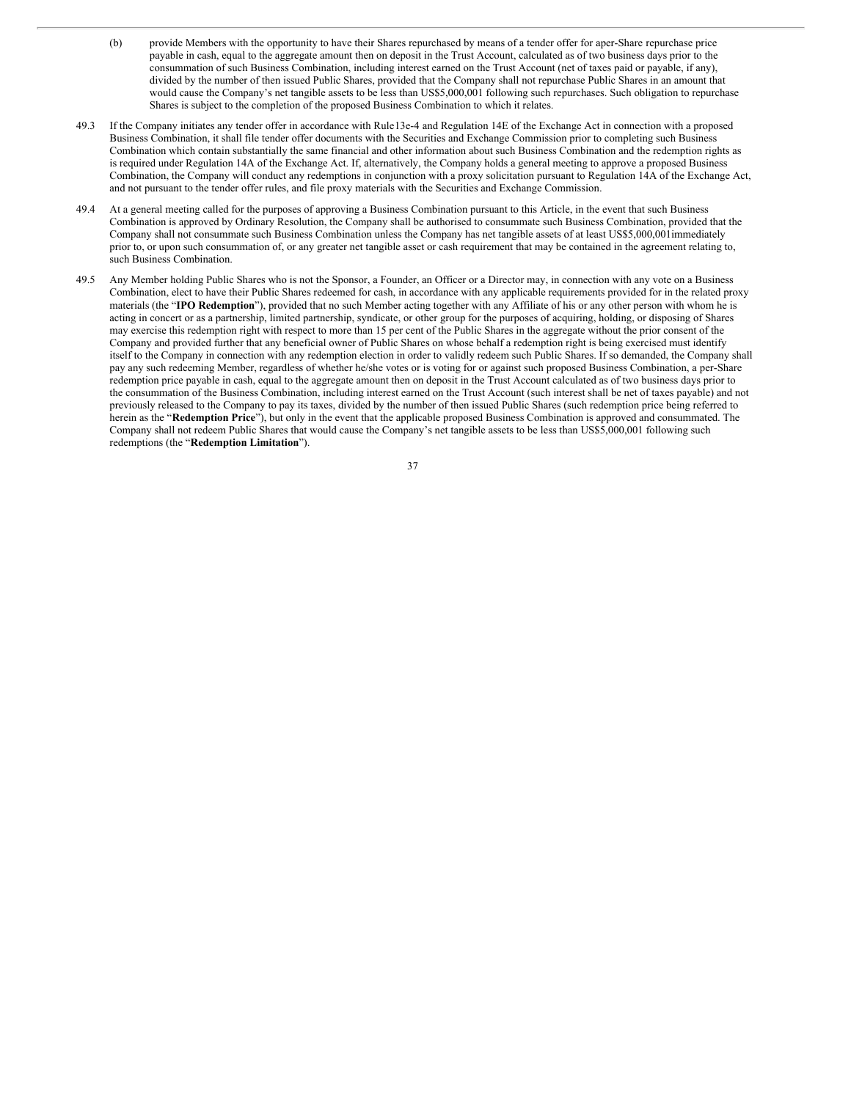- (b) provide Members with the opportunity to have their Shares repurchased by means of a tender offer for aper-Share repurchase price payable in cash, equal to the aggregate amount then on deposit in the Trust Account, calculated as of two business days prior to the consummation of such Business Combination, including interest earned on the Trust Account (net of taxes paid or payable, if any), divided by the number of then issued Public Shares, provided that the Company shall not repurchase Public Shares in an amount that would cause the Company's net tangible assets to be less than US\$5,000,001 following such repurchases. Such obligation to repurchase Shares is subject to the completion of the proposed Business Combination to which it relates.
- 49.3 If the Company initiates any tender offer in accordance with Rule13e-4 and Regulation 14E of the Exchange Act in connection with a proposed Business Combination, it shall file tender offer documents with the Securities and Exchange Commission prior to completing such Business Combination which contain substantially the same financial and other information about such Business Combination and the redemption rights as is required under Regulation 14A of the Exchange Act. If, alternatively, the Company holds a general meeting to approve a proposed Business Combination, the Company will conduct any redemptions in conjunction with a proxy solicitation pursuant to Regulation 14A of the Exchange Act, and not pursuant to the tender offer rules, and file proxy materials with the Securities and Exchange Commission.
- 49.4 At a general meeting called for the purposes of approving a Business Combination pursuant to this Article, in the event that such Business Combination is approved by Ordinary Resolution, the Company shall be authorised to consummate such Business Combination, provided that the Company shall not consummate such Business Combination unless the Company has net tangible assets of at least US\$5,000,001immediately prior to, or upon such consummation of, or any greater net tangible asset or cash requirement that may be contained in the agreement relating to, such Business Combination.
- 49.5 Any Member holding Public Shares who is not the Sponsor, a Founder, an Officer or a Director may, in connection with any vote on a Business Combination, elect to have their Public Shares redeemed for cash, in accordance with any applicable requirements provided for in the related proxy materials (the "**IPO Redemption**"), provided that no such Member acting together with any Affiliate of his or any other person with whom he is acting in concert or as a partnership, limited partnership, syndicate, or other group for the purposes of acquiring, holding, or disposing of Shares may exercise this redemption right with respect to more than 15 per cent of the Public Shares in the aggregate without the prior consent of the Company and provided further that any beneficial owner of Public Shares on whose behalf a redemption right is being exercised must identify itself to the Company in connection with any redemption election in order to validly redeem such Public Shares. If so demanded, the Company shall pay any such redeeming Member, regardless of whether he/she votes or is voting for or against such proposed Business Combination, a per-Share redemption price payable in cash, equal to the aggregate amount then on deposit in the Trust Account calculated as of two business days prior to the consummation of the Business Combination, including interest earned on the Trust Account (such interest shall be net of taxes payable) and not previously released to the Company to pay its taxes, divided by the number of then issued Public Shares (such redemption price being referred to herein as the "**Redemption Price**"), but only in the event that the applicable proposed Business Combination is approved and consummated. The Company shall not redeem Public Shares that would cause the Company's net tangible assets to be less than US\$5,000,001 following such redemptions (the "**Redemption Limitation**").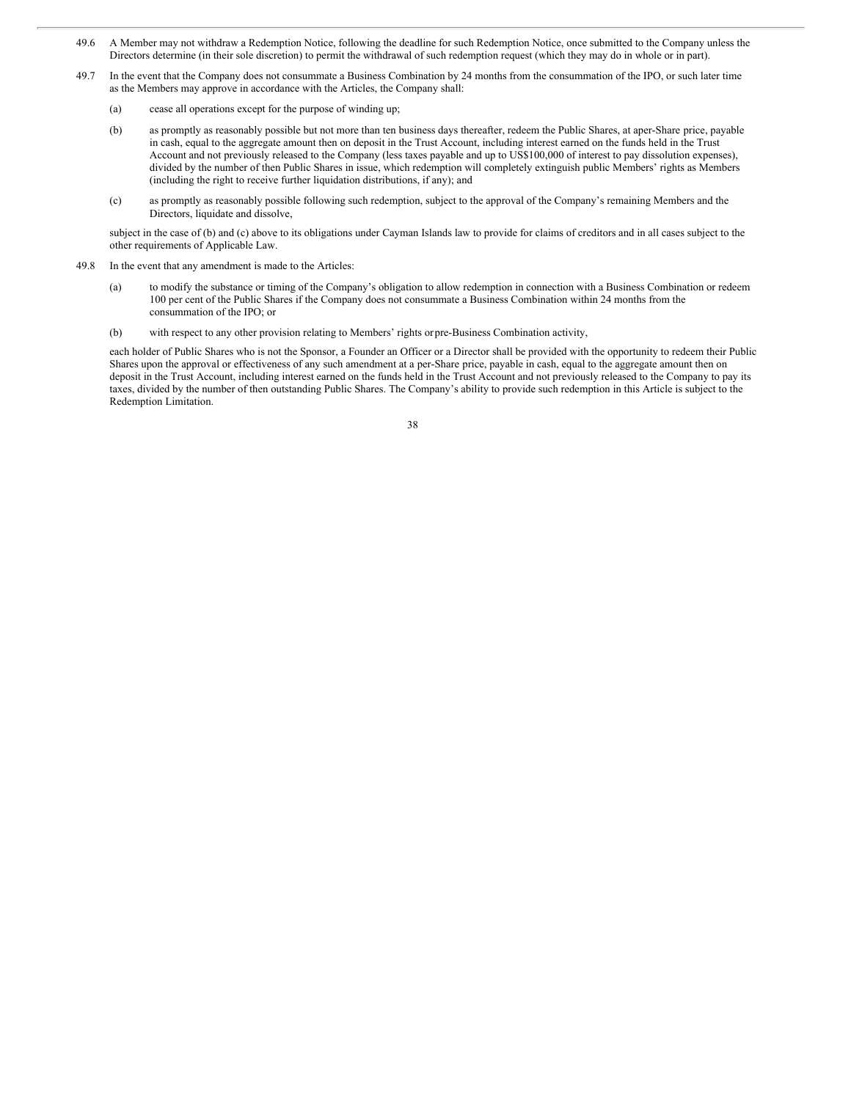- 49.6 A Member may not withdraw a Redemption Notice, following the deadline for such Redemption Notice, once submitted to the Company unless the Directors determine (in their sole discretion) to permit the withdrawal of such redemption request (which they may do in whole or in part).
- 49.7 In the event that the Company does not consummate a Business Combination by 24 months from the consummation of the IPO, or such later time as the Members may approve in accordance with the Articles, the Company shall:
	- (a) cease all operations except for the purpose of winding up;
	- (b) as promptly as reasonably possible but not more than ten business days thereafter, redeem the Public Shares, at aper-Share price, payable in cash, equal to the aggregate amount then on deposit in the Trust Account, including interest earned on the funds held in the Trust Account and not previously released to the Company (less taxes payable and up to US\$100,000 of interest to pay dissolution expenses), divided by the number of then Public Shares in issue, which redemption will completely extinguish public Members' rights as Members (including the right to receive further liquidation distributions, if any); and
	- (c) as promptly as reasonably possible following such redemption, subject to the approval of the Company's remaining Members and the Directors, liquidate and dissolve,

subject in the case of (b) and (c) above to its obligations under Cayman Islands law to provide for claims of creditors and in all cases subject to the other requirements of Applicable Law.

- 49.8 In the event that any amendment is made to the Articles:
	- (a) to modify the substance or timing of the Company's obligation to allow redemption in connection with a Business Combination or redeem 100 per cent of the Public Shares if the Company does not consummate a Business Combination within 24 months from the consummation of the IPO; or
	- (b) with respect to any other provision relating to Members' rights orpre-Business Combination activity,

each holder of Public Shares who is not the Sponsor, a Founder an Officer or a Director shall be provided with the opportunity to redeem their Public Shares upon the approval or effectiveness of any such amendment at a per-Share price, payable in cash, equal to the aggregate amount then on deposit in the Trust Account, including interest earned on the funds held in the Trust Account and not previously released to the Company to pay its taxes, divided by the number of then outstanding Public Shares. The Company's ability to provide such redemption in this Article is subject to the Redemption Limitation.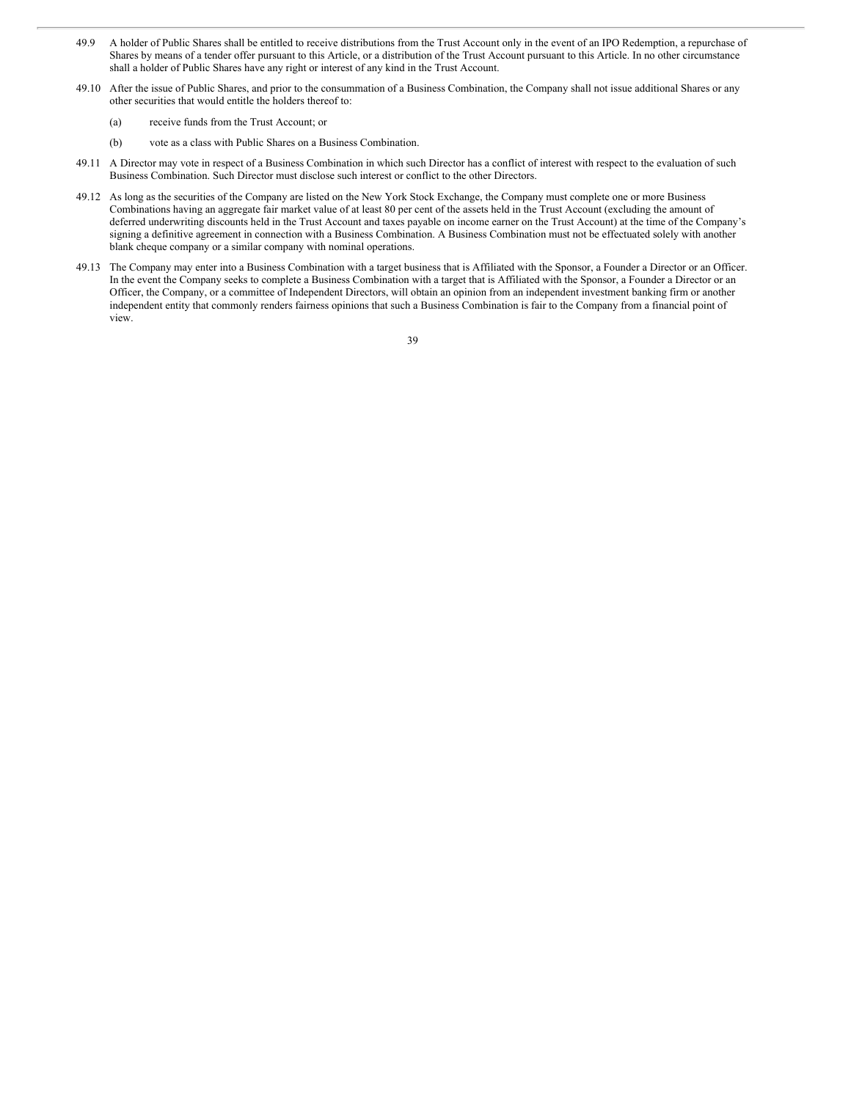- 49.9 A holder of Public Shares shall be entitled to receive distributions from the Trust Account only in the event of an IPO Redemption, a repurchase of Shares by means of a tender offer pursuant to this Article, or a distribution of the Trust Account pursuant to this Article. In no other circumstance shall a holder of Public Shares have any right or interest of any kind in the Trust Account.
- 49.10 After the issue of Public Shares, and prior to the consummation of a Business Combination, the Company shall not issue additional Shares or any other securities that would entitle the holders thereof to:
	- (a) receive funds from the Trust Account; or
	- (b) vote as a class with Public Shares on a Business Combination.
- 49.11 A Director may vote in respect of a Business Combination in which such Director has a conflict of interest with respect to the evaluation of such Business Combination. Such Director must disclose such interest or conflict to the other Directors.
- 49.12 As long as the securities of the Company are listed on the New York Stock Exchange, the Company must complete one or more Business Combinations having an aggregate fair market value of at least 80 per cent of the assets held in the Trust Account (excluding the amount of deferred underwriting discounts held in the Trust Account and taxes payable on income earner on the Trust Account) at the time of the Company's signing a definitive agreement in connection with a Business Combination. A Business Combination must not be effectuated solely with another blank cheque company or a similar company with nominal operations.
- 49.13 The Company may enter into a Business Combination with a target business that is Affiliated with the Sponsor, a Founder a Director or an Officer. In the event the Company seeks to complete a Business Combination with a target that is Affiliated with the Sponsor, a Founder a Director or an Officer, the Company, or a committee of Independent Directors, will obtain an opinion from an independent investment banking firm or another independent entity that commonly renders fairness opinions that such a Business Combination is fair to the Company from a financial point of view.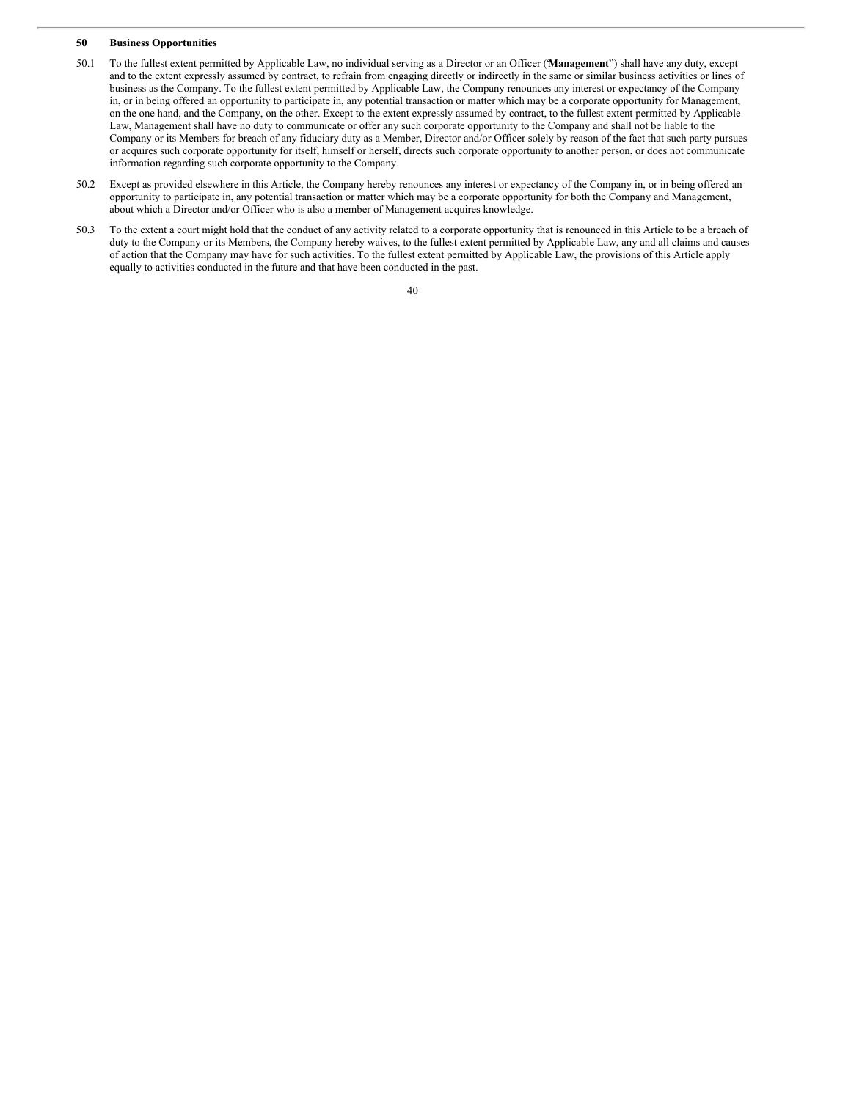#### **50 Business Opportunities**

- 50.1 To the fullest extent permitted by Applicable Law, no individual serving as a Director or an Officer ("**Management**") shall have any duty, except and to the extent expressly assumed by contract, to refrain from engaging directly or indirectly in the same or similar business activities or lines of business as the Company. To the fullest extent permitted by Applicable Law, the Company renounces any interest or expectancy of the Company in, or in being offered an opportunity to participate in, any potential transaction or matter which may be a corporate opportunity for Management, on the one hand, and the Company, on the other. Except to the extent expressly assumed by contract, to the fullest extent permitted by Applicable Law, Management shall have no duty to communicate or offer any such corporate opportunity to the Company and shall not be liable to the Company or its Members for breach of any fiduciary duty as a Member, Director and/or Officer solely by reason of the fact that such party pursues or acquires such corporate opportunity for itself, himself or herself, directs such corporate opportunity to another person, or does not communicate information regarding such corporate opportunity to the Company.
- 50.2 Except as provided elsewhere in this Article, the Company hereby renounces any interest or expectancy of the Company in, or in being offered an opportunity to participate in, any potential transaction or matter which may be a corporate opportunity for both the Company and Management, about which a Director and/or Officer who is also a member of Management acquires knowledge.
- 50.3 To the extent a court might hold that the conduct of any activity related to a corporate opportunity that is renounced in this Article to be a breach of duty to the Company or its Members, the Company hereby waives, to the fullest extent permitted by Applicable Law, any and all claims and causes of action that the Company may have for such activities. To the fullest extent permitted by Applicable Law, the provisions of this Article apply equally to activities conducted in the future and that have been conducted in the past.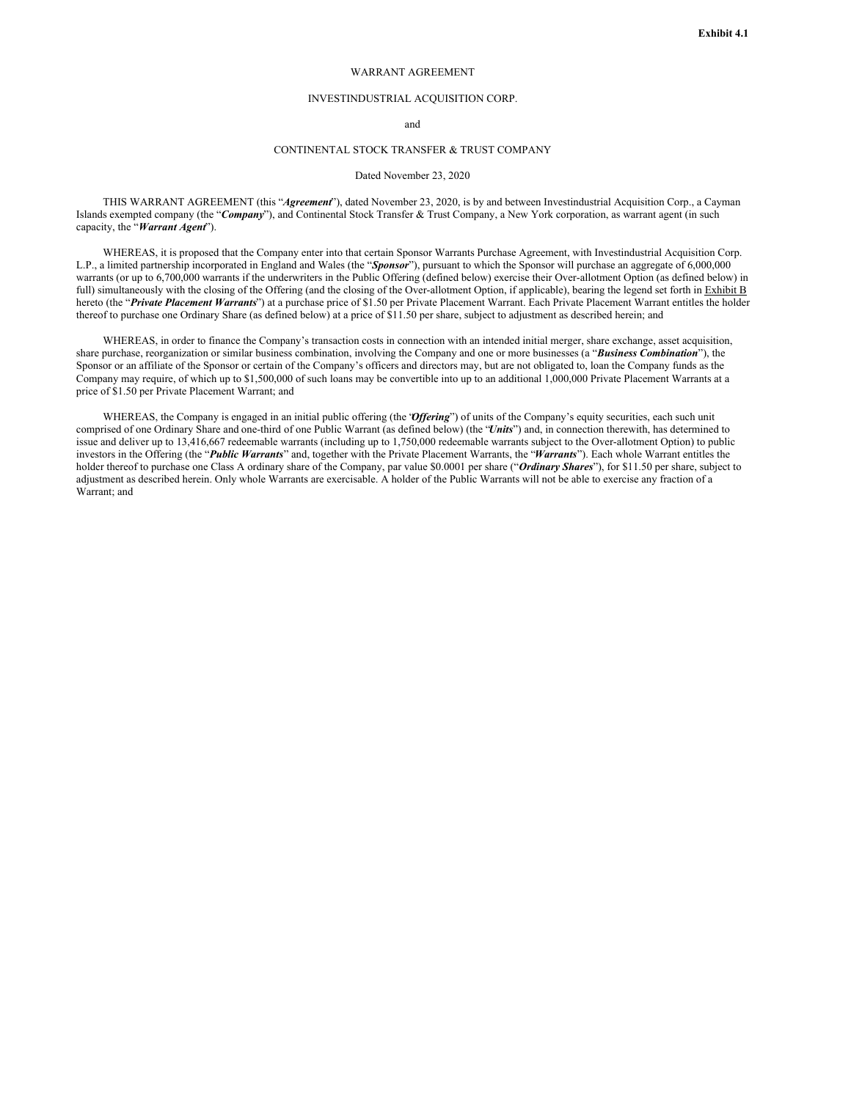### WARRANT AGREEMENT

### INVESTINDUSTRIAL ACQUISITION CORP.

and

## CONTINENTAL STOCK TRANSFER & TRUST COMPANY

### Dated November 23, 2020

THIS WARRANT AGREEMENT (this "*Agreement*"), dated November 23, 2020, is by and between Investindustrial Acquisition Corp., a Cayman Islands exempted company (the "*Company*"), and Continental Stock Transfer & Trust Company, a New York corporation, as warrant agent (in such capacity, the "*Warrant Agent*").

WHEREAS, it is proposed that the Company enter into that certain Sponsor Warrants Purchase Agreement, with Investindustrial Acquisition Corp. L.P., a limited partnership incorporated in England and Wales (the "*Sponsor*"), pursuant to which the Sponsor will purchase an aggregate of 6,000,000 warrants (or up to 6,700,000 warrants if the underwriters in the Public Offering (defined below) exercise their Over-allotment Option (as defined below) in full) simultaneously with the closing of the Offering (and the closing of the Over-allotment Option, if applicable), bearing the legend set forth in Exhibit B hereto (the "*Private Placement Warrants*") at a purchase price of \$1.50 per Private Placement Warrant. Each Private Placement Warrant entitles the holder thereof to purchase one Ordinary Share (as defined below) at a price of \$11.50 per share, subject to adjustment as described herein; and

WHEREAS, in order to finance the Company's transaction costs in connection with an intended initial merger, share exchange, asset acquisition, share purchase, reorganization or similar business combination, involving the Company and one or more businesses (a "*Business Combination*"), the Sponsor or an affiliate of the Sponsor or certain of the Company's officers and directors may, but are not obligated to, loan the Company funds as the Company may require, of which up to \$1,500,000 of such loans may be convertible into up to an additional 1,000,000 Private Placement Warrants at a price of \$1.50 per Private Placement Warrant; and

WHEREAS, the Company is engaged in an initial public offering (the 'Offering') of units of the Company's equity securities, each such unit comprised of one Ordinary Share and one-third of one Public Warrant (as defined below) (the "*Units*") and, in connection therewith, has determined to issue and deliver up to 13,416,667 redeemable warrants (including up to 1,750,000 redeemable warrants subject to the Over-allotment Option) to public investors in the Offering (the "*Public Warrants*" and, together with the Private Placement Warrants, the "*Warrants*"). Each whole Warrant entitles the holder thereof to purchase one Class A ordinary share of the Company, par value \$0.0001 per share ("*Ordinary Shares*"), for \$11.50 per share, subject to adjustment as described herein. Only whole Warrants are exercisable. A holder of the Public Warrants will not be able to exercise any fraction of a Warrant; and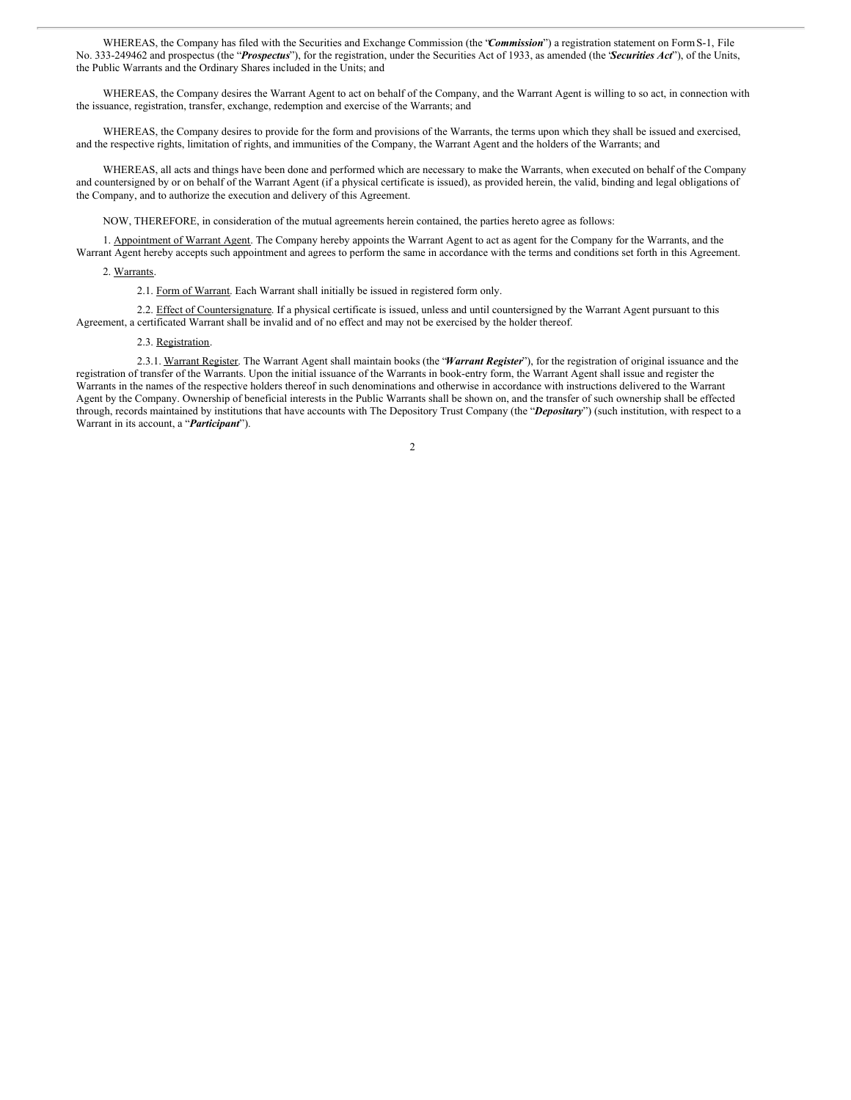WHEREAS, the Company has filed with the Securities and Exchange Commission (the "*Commission*") a registration statement on FormS-1, File No. 333-249462 and prospectus (the "*Prospectus*"), for the registration, under the Securities Act of 1933, as amended (the "*Securities Act*"), of the Units, the Public Warrants and the Ordinary Shares included in the Units; and

WHEREAS, the Company desires the Warrant Agent to act on behalf of the Company, and the Warrant Agent is willing to so act, in connection with the issuance, registration, transfer, exchange, redemption and exercise of the Warrants; and

WHEREAS, the Company desires to provide for the form and provisions of the Warrants, the terms upon which they shall be issued and exercised, and the respective rights, limitation of rights, and immunities of the Company, the Warrant Agent and the holders of the Warrants; and

WHEREAS, all acts and things have been done and performed which are necessary to make the Warrants, when executed on behalf of the Company and countersigned by or on behalf of the Warrant Agent (if a physical certificate is issued), as provided herein, the valid, binding and legal obligations of the Company, and to authorize the execution and delivery of this Agreement.

NOW, THEREFORE, in consideration of the mutual agreements herein contained, the parties hereto agree as follows:

1. Appointment of Warrant Agent. The Company hereby appoints the Warrant Agent to act as agent for the Company for the Warrants, and the Warrant Agent hereby accepts such appointment and agrees to perform the same in accordance with the terms and conditions set forth in this Agreement.

## 2. Warrants.

2.1. Form of Warrant. Each Warrant shall initially be issued in registered form only.

2.2. Effect of Countersignature. If a physical certificate is issued, unless and until countersigned by the Warrant Agent pursuant to this Agreement, a certificated Warrant shall be invalid and of no effect and may not be exercised by the holder thereof.

#### 2.3. Registration.

2.3.1. Warrant Register. The Warrant Agent shall maintain books (the "*Warrant Register*"), for the registration of original issuance and the registration of transfer of the Warrants. Upon the initial issuance of the Warrants in book-entry form, the Warrant Agent shall issue and register the Warrants in the names of the respective holders thereof in such denominations and otherwise in accordance with instructions delivered to the Warrant Agent by the Company. Ownership of beneficial interests in the Public Warrants shall be shown on, and the transfer of such ownership shall be effected through, records maintained by institutions that have accounts with The Depository Trust Company (the "*Depositary*") (such institution, with respect to a Warrant in its account, a "*Participant*").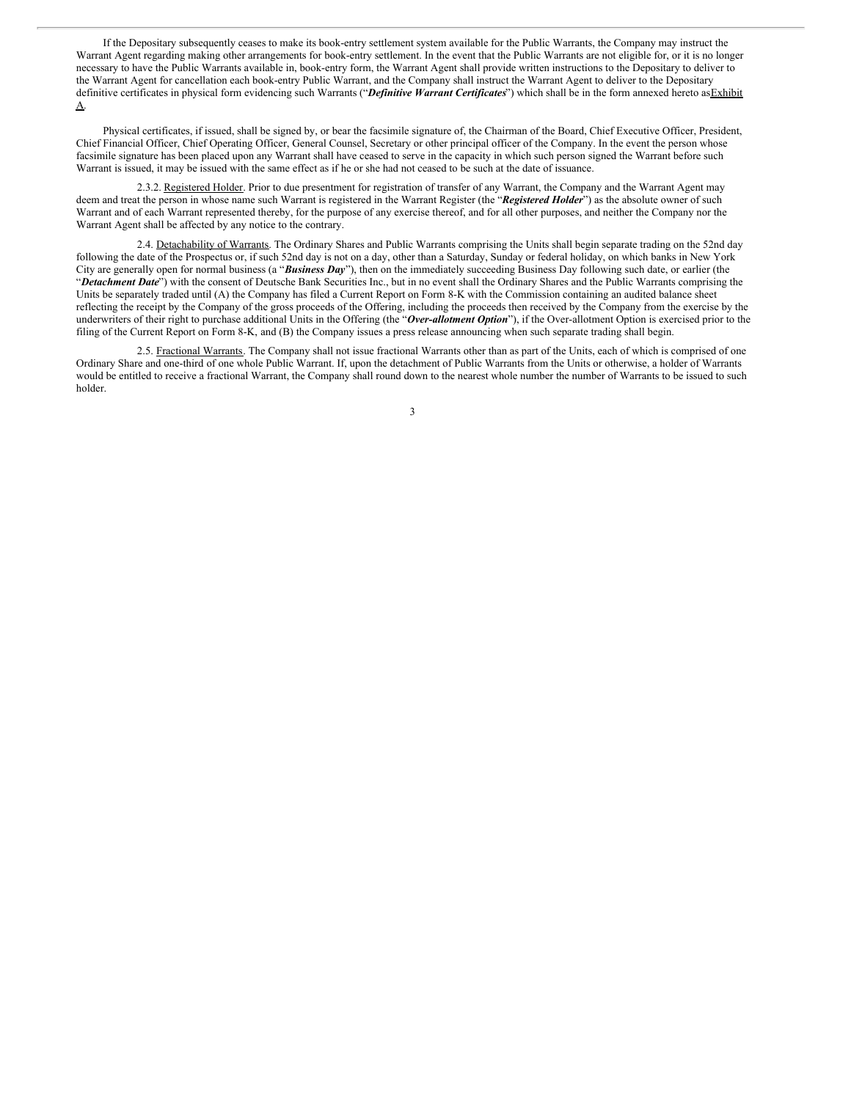If the Depositary subsequently ceases to make its book-entry settlement system available for the Public Warrants, the Company may instruct the Warrant Agent regarding making other arrangements for book-entry settlement. In the event that the Public Warrants are not eligible for, or it is no longer necessary to have the Public Warrants available in, book-entry form, the Warrant Agent shall provide written instructions to the Depositary to deliver to the Warrant Agent for cancellation each book-entry Public Warrant, and the Company shall instruct the Warrant Agent to deliver to the Depositary definitive certificates in physical form evidencing such Warrants ("*Definitive Warrant Certificates*") which shall be in the form annexed hereto asExhibit A.

Physical certificates, if issued, shall be signed by, or bear the facsimile signature of, the Chairman of the Board, Chief Executive Officer, President, Chief Financial Officer, Chief Operating Officer, General Counsel, Secretary or other principal officer of the Company. In the event the person whose facsimile signature has been placed upon any Warrant shall have ceased to serve in the capacity in which such person signed the Warrant before such Warrant is issued, it may be issued with the same effect as if he or she had not ceased to be such at the date of issuance.

2.3.2. Registered Holder. Prior to due presentment for registration of transfer of any Warrant, the Company and the Warrant Agent may deem and treat the person in whose name such Warrant is registered in the Warrant Register (the "*Registered Holder*") as the absolute owner of such Warrant and of each Warrant represented thereby, for the purpose of any exercise thereof, and for all other purposes, and neither the Company nor the Warrant Agent shall be affected by any notice to the contrary.

2.4. Detachability of Warrants. The Ordinary Shares and Public Warrants comprising the Units shall begin separate trading on the 52nd day following the date of the Prospectus or, if such 52nd day is not on a day, other than a Saturday, Sunday or federal holiday, on which banks in New York City are generally open for normal business (a "*Business Day*"), then on the immediately succeeding Business Day following such date, or earlier (the "*Detachment Date*") with the consent of Deutsche Bank Securities Inc., but in no event shall the Ordinary Shares and the Public Warrants comprising the Units be separately traded until (A) the Company has filed a Current Report on Form 8-K with the Commission containing an audited balance sheet reflecting the receipt by the Company of the gross proceeds of the Offering, including the proceeds then received by the Company from the exercise by the underwriters of their right to purchase additional Units in the Offering (the "*Over-allotment Option*"), if the Over-allotment Option is exercised prior to the filing of the Current Report on Form 8-K, and (B) the Company issues a press release announcing when such separate trading shall begin.

2.5. Fractional Warrants. The Company shall not issue fractional Warrants other than as part of the Units, each of which is comprised of one Ordinary Share and one-third of one whole Public Warrant. If, upon the detachment of Public Warrants from the Units or otherwise, a holder of Warrants would be entitled to receive a fractional Warrant, the Company shall round down to the nearest whole number the number of Warrants to be issued to such holder.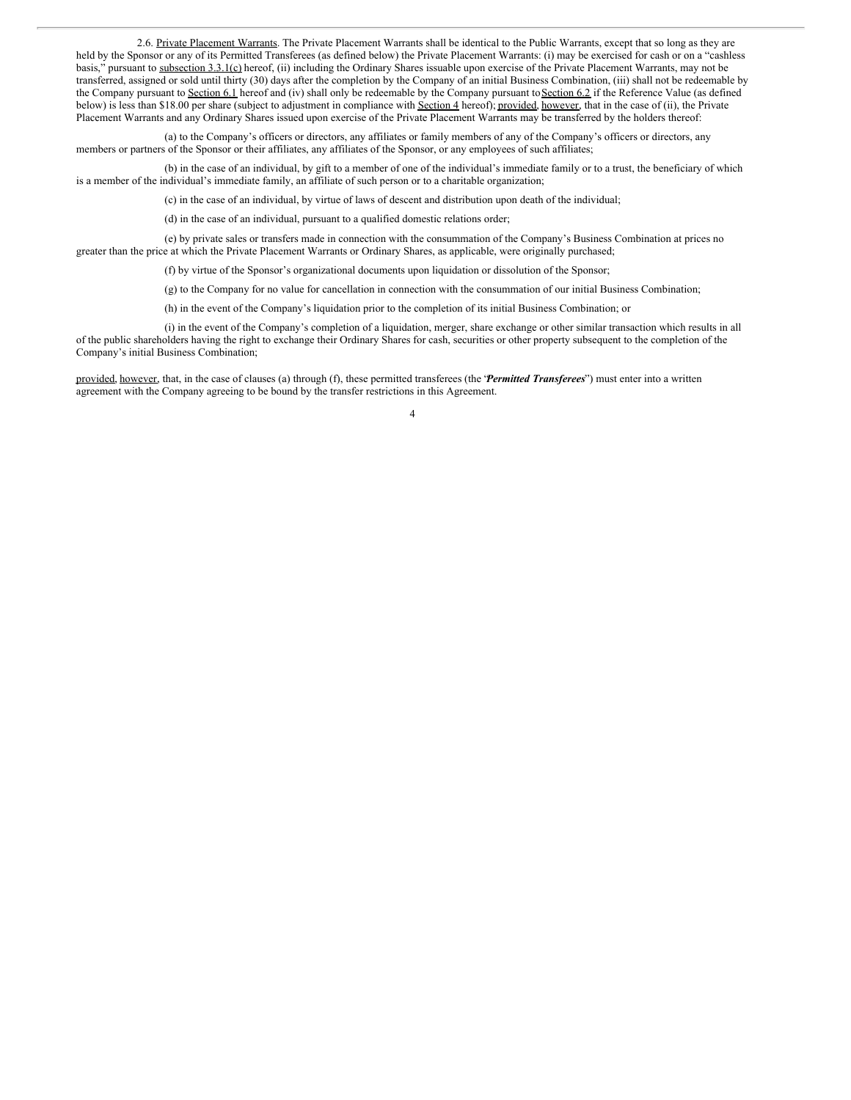2.6. Private Placement Warrants. The Private Placement Warrants shall be identical to the Public Warrants, except that so long as they are held by the Sponsor or any of its Permitted Transferees (as defined below) the Private Placement Warrants: (i) may be exercised for cash or on a "cashless basis," pursuant to subsection 3.3.1(c) hereof, (ii) including the Ordinary Shares issuable upon exercise of the Private Placement Warrants, may not be transferred, assigned or sold until thirty (30) days after the completion by the Company of an initial Business Combination, (iii) shall not be redeemable by the Company pursuant to Section 6.1 hereof and (iv) shall only be redeemable by the Company pursuant to Section 6.2 if the Reference Value (as defined below) is less than \$18.00 per share (subject to adjustment in compliance with Section 4 hereof); provided, however, that in the case of (ii), the Private Placement Warrants and any Ordinary Shares issued upon exercise of the Private Placement Warrants may be transferred by the holders thereof:

(a) to the Company's officers or directors, any affiliates or family members of any of the Company's officers or directors, any members or partners of the Sponsor or their affiliates, any affiliates of the Sponsor, or any employees of such affiliates;

(b) in the case of an individual, by gift to a member of one of the individual's immediate family or to a trust, the beneficiary of which is a member of the individual's immediate family, an affiliate of such person or to a charitable organization;

(c) in the case of an individual, by virtue of laws of descent and distribution upon death of the individual;

(d) in the case of an individual, pursuant to a qualified domestic relations order;

(e) by private sales or transfers made in connection with the consummation of the Company's Business Combination at prices no greater than the price at which the Private Placement Warrants or Ordinary Shares, as applicable, were originally purchased;

(f) by virtue of the Sponsor's organizational documents upon liquidation or dissolution of the Sponsor;

(g) to the Company for no value for cancellation in connection with the consummation of our initial Business Combination;

(h) in the event of the Company's liquidation prior to the completion of its initial Business Combination; or

(i) in the event of the Company's completion of a liquidation, merger, share exchange or other similar transaction which results in all of the public shareholders having the right to exchange their Ordinary Shares for cash, securities or other property subsequent to the completion of the Company's initial Business Combination;

provided, however, that, in the case of clauses (a) through (f), these permitted transferees (the *'Permitted Transferees*') must enter into a written agreement with the Company agreeing to be bound by the transfer restrictions in this Agreement.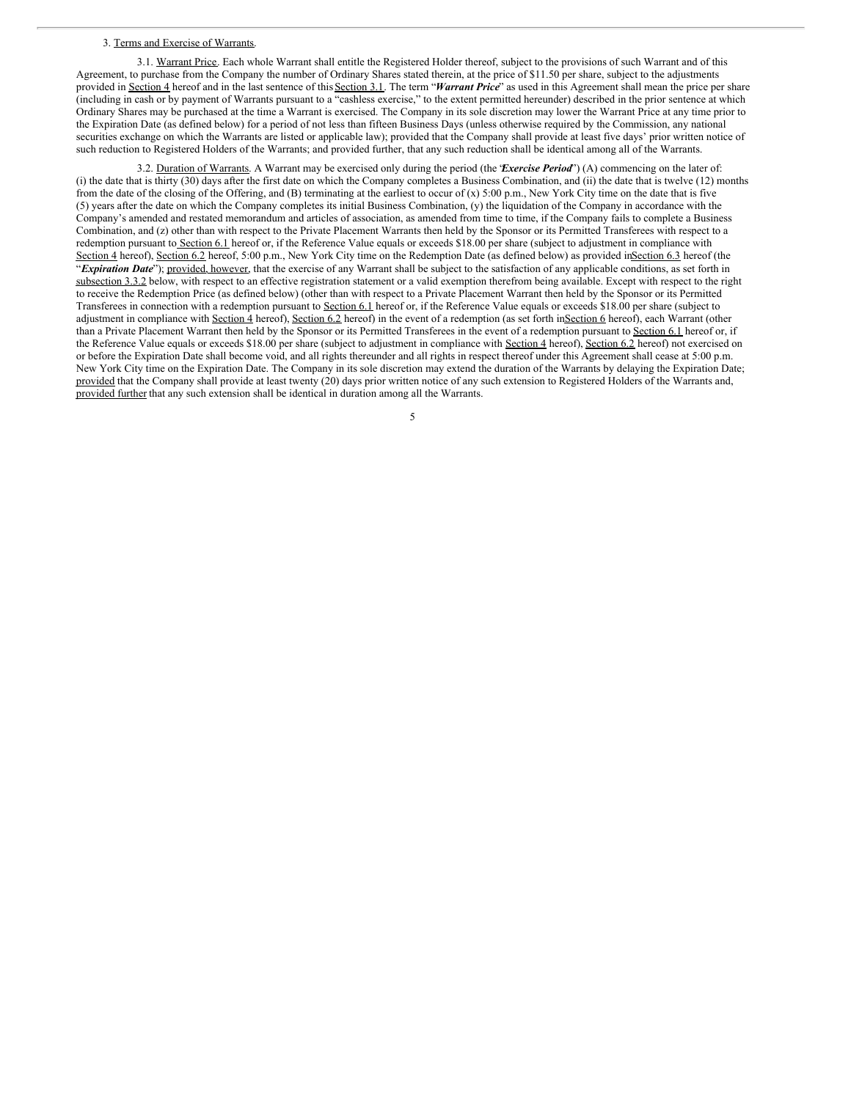#### 3. Terms and Exercise of Warrants.

3.1. Warrant Price. Each whole Warrant shall entitle the Registered Holder thereof, subject to the provisions of such Warrant and of this Agreement, to purchase from the Company the number of Ordinary Shares stated therein, at the price of \$11.50 per share, subject to the adjustments provided in Section 4 hereof and in the last sentence of this Section 3.1. The term "*Warrant Price*" as used in this Agreement shall mean the price per share (including in cash or by payment of Warrants pursuant to a "cashless exercise," to the extent permitted hereunder) described in the prior sentence at which Ordinary Shares may be purchased at the time a Warrant is exercised. The Company in its sole discretion may lower the Warrant Price at any time prior to the Expiration Date (as defined below) for a period of not less than fifteen Business Days (unless otherwise required by the Commission, any national securities exchange on which the Warrants are listed or applicable law); provided that the Company shall provide at least five days' prior written notice of such reduction to Registered Holders of the Warrants; and provided further, that any such reduction shall be identical among all of the Warrants.

3.2. Duration of Warrants. A Warrant may be exercised only during the period (the "*Exercise Period*") (A) commencing on the later of: (i) the date that is thirty (30) days after the first date on which the Company completes a Business Combination, and (ii) the date that is twelve (12) months from the date of the closing of the Offering, and (B) terminating at the earliest to occur of (x) 5:00 p.m., New York City time on the date that is five (5) years after the date on which the Company completes its initial Business Combination, (y) the liquidation of the Company in accordance with the Company's amended and restated memorandum and articles of association, as amended from time to time, if the Company fails to complete a Business Combination, and (z) other than with respect to the Private Placement Warrants then held by the Sponsor or its Permitted Transferees with respect to a redemption pursuant to Section 6.1 hereof or, if the Reference Value equals or exceeds \$18.00 per share (subject to adjustment in compliance with Section 4 hereof), Section 6.2 hereof, 5:00 p.m., New York City time on the Redemption Date (as defined below) as provided inSection 6.3 hereof (the "*Expiration Date*"); provided, however, that the exercise of any Warrant shall be subject to the satisfaction of any applicable conditions, as set forth in subsection 3.3.2 below, with respect to an effective registration statement or a valid exemption therefrom being available. Except with respect to the right to receive the Redemption Price (as defined below) (other than with respect to a Private Placement Warrant then held by the Sponsor or its Permitted Transferees in connection with a redemption pursuant to Section 6.1 hereof or, if the Reference Value equals or exceeds \$18.00 per share (subject to adjustment in compliance with Section 4 hereof), Section 6.2 hereof) in the event of a redemption (as set forth inSection 6 hereof), each Warrant (other than a Private Placement Warrant then held by the Sponsor or its Permitted Transferees in the event of a redemption pursuant to Section 6.1 hereof or, if the Reference Value equals or exceeds \$18.00 per share (subject to adjustment in compliance with Section 4 hereof), Section 6.2 hereof) not exercised on or before the Expiration Date shall become void, and all rights thereunder and all rights in respect thereof under this Agreement shall cease at 5:00 p.m. New York City time on the Expiration Date. The Company in its sole discretion may extend the duration of the Warrants by delaying the Expiration Date; provided that the Company shall provide at least twenty (20) days prior written notice of any such extension to Registered Holders of the Warrants and, provided further that any such extension shall be identical in duration among all the Warrants.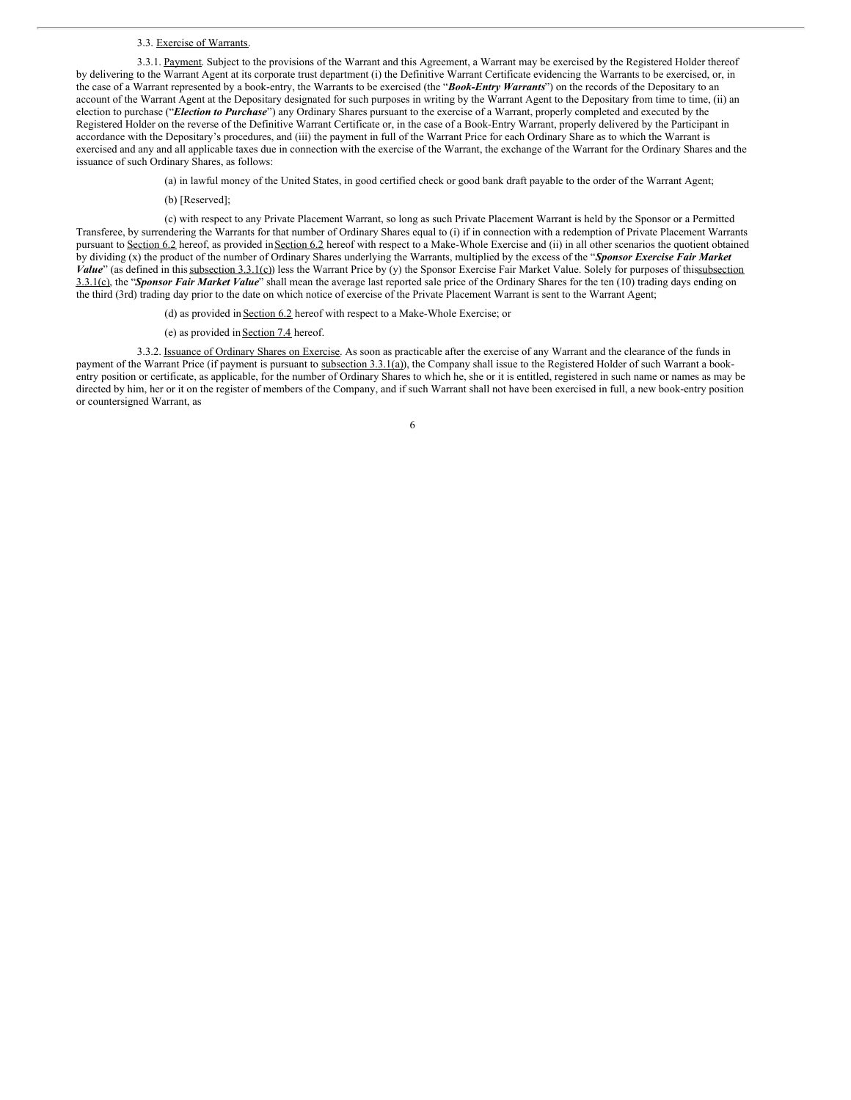#### 3.3. Exercise of Warrants.

3.3.1. Payment. Subject to the provisions of the Warrant and this Agreement, a Warrant may be exercised by the Registered Holder thereof by delivering to the Warrant Agent at its corporate trust department (i) the Definitive Warrant Certificate evidencing the Warrants to be exercised, or, in the case of a Warrant represented by a book-entry, the Warrants to be exercised (the "*Book-Entry Warrants*") on the records of the Depositary to an account of the Warrant Agent at the Depositary designated for such purposes in writing by the Warrant Agent to the Depositary from time to time, (ii) an election to purchase ("*Election to Purchase*") any Ordinary Shares pursuant to the exercise of a Warrant, properly completed and executed by the Registered Holder on the reverse of the Definitive Warrant Certificate or, in the case of a Book-Entry Warrant, properly delivered by the Participant in accordance with the Depositary's procedures, and (iii) the payment in full of the Warrant Price for each Ordinary Share as to which the Warrant is exercised and any and all applicable taxes due in connection with the exercise of the Warrant, the exchange of the Warrant for the Ordinary Shares and the issuance of such Ordinary Shares, as follows:

- (a) in lawful money of the United States, in good certified check or good bank draft payable to the order of the Warrant Agent;
- (b) [Reserved];

(c) with respect to any Private Placement Warrant, so long as such Private Placement Warrant is held by the Sponsor or a Permitted Transferee, by surrendering the Warrants for that number of Ordinary Shares equal to (i) if in connection with a redemption of Private Placement Warrants pursuant to Section 6.2 hereof, as provided in Section 6.2 hereof with respect to a Make-Whole Exercise and (ii) in all other scenarios the quotient obtained by dividing (x) the product of the number of Ordinary Shares underlying the Warrants, multiplied by the excess of the "*Sponsor Exercise Fair Market Value*" (as defined in thissubsection 3.3.1(c)) less the Warrant Price by (y) the Sponsor Exercise Fair Market Value. Solely for purposes of thissubsection 3.3.1(c), the "*Sponsor Fair Market Value*" shall mean the average last reported sale price of the Ordinary Shares for the ten (10) trading days ending on the third (3rd) trading day prior to the date on which notice of exercise of the Private Placement Warrant is sent to the Warrant Agent;

- (d) as provided in Section 6.2 hereof with respect to a Make-Whole Exercise; or
- (e) as provided inSection 7.4 hereof.

3.3.2. Issuance of Ordinary Shares on Exercise. As soon as practicable after the exercise of any Warrant and the clearance of the funds in payment of the Warrant Price (if payment is pursuant to subsection 3.3.1(a)), the Company shall issue to the Registered Holder of such Warrant a bookentry position or certificate, as applicable, for the number of Ordinary Shares to which he, she or it is entitled, registered in such name or names as may be directed by him, her or it on the register of members of the Company, and if such Warrant shall not have been exercised in full, a new book-entry position or countersigned Warrant, as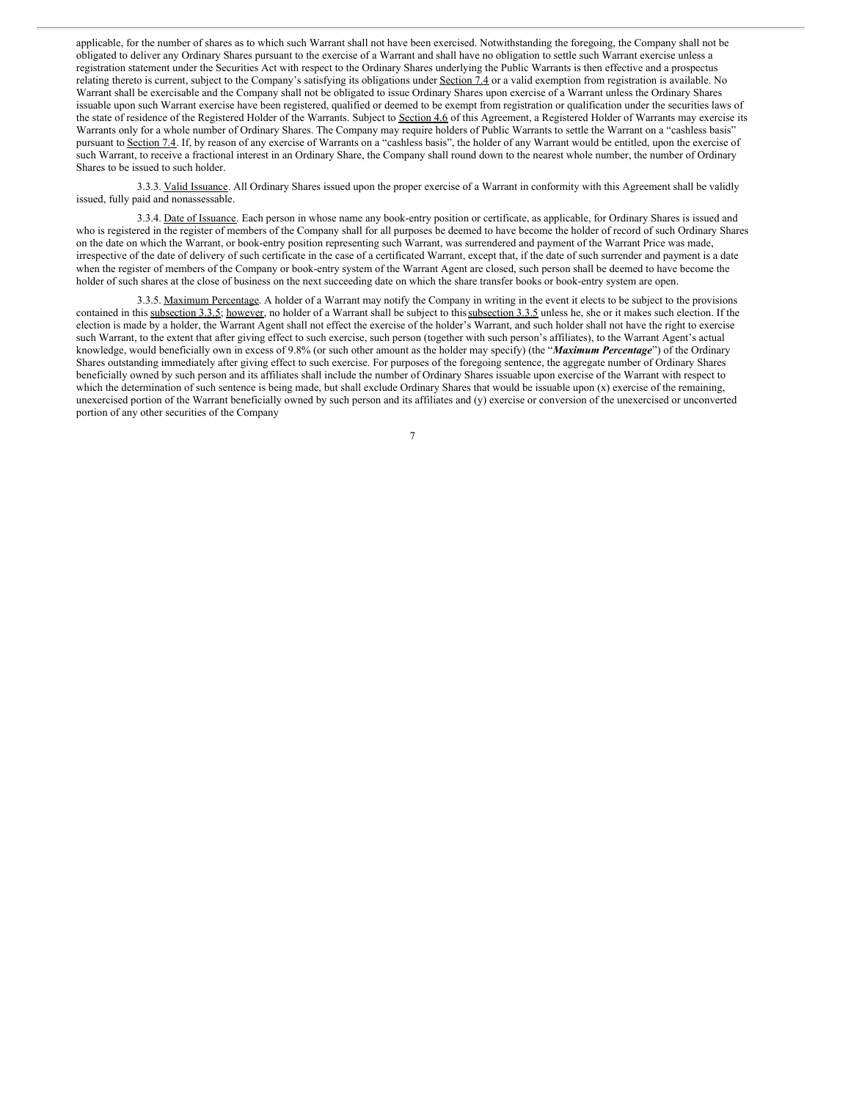applicable, for the number of shares as to which such Warrant shall not have been exercised. Notwithstanding the foregoing, the Company shall not be obligated to deliver any Ordinary Shares pursuant to the exercise of a Warrant and shall have no obligation to settle such Warrant exercise unless a registration statement under the Securities Act with respect to the Ordinary Shares underlying the Public Warrants is then effective and a prospectus relating thereto is current, subject to the Company's satisfying its obligations under Section 7.4 or a valid exemption from registration is available. No Warrant shall be exercisable and the Company shall not be obligated to issue Ordinary Shares upon exercise of a Warrant unless the Ordinary Shares issuable upon such Warrant exercise have been registered, qualified or deemed to be exempt from registration or qualification under the securities laws of the state of residence of the Registered Holder of the Warrants. Subject to Section 4.6 of this Agreement, a Registered Holder of Warrants may exercise its Warrants only for a whole number of Ordinary Shares. The Company may require holders of Public Warrants to settle the Warrant on a "cashless basis" pursuant to Section 7.4. If, by reason of any exercise of Warrants on a "cashless basis", the holder of any Warrant would be entitled, upon the exercise of such Warrant, to receive a fractional interest in an Ordinary Share, the Company shall round down to the nearest whole number, the number of Ordinary Shares to be issued to such holder.

3.3.3. Valid Issuance. All Ordinary Shares issued upon the proper exercise of a Warrant in conformity with this Agreement shall be validly issued, fully paid and nonassessable.

3.3.4. Date of Issuance. Each person in whose name any book-entry position or certificate, as applicable, for Ordinary Shares is issued and who is registered in the register of members of the Company shall for all purposes be deemed to have become the holder of record of such Ordinary Shares on the date on which the Warrant, or book-entry position representing such Warrant, was surrendered and payment of the Warrant Price was made, irrespective of the date of delivery of such certificate in the case of a certificated Warrant, except that, if the date of such surrender and payment is a date when the register of members of the Company or book-entry system of the Warrant Agent are closed, such person shall be deemed to have become the holder of such shares at the close of business on the next succeeding date on which the share transfer books or book-entry system are open.

3.3.5. Maximum Percentage. A holder of a Warrant may notify the Company in writing in the event it elects to be subject to the provisions contained in this subsection 3.3.5; however, no holder of a Warrant shall be subject to this subsection 3.3.5 unless he, she or it makes such election. If the election is made by a holder, the Warrant Agent shall not effect the exercise of the holder's Warrant, and such holder shall not have the right to exercise such Warrant, to the extent that after giving effect to such exercise, such person (together with such person's affiliates), to the Warrant Agent's actual knowledge, would beneficially own in excess of 9.8% (or such other amount as the holder may specify) (the "*Maximum Percentage*") of the Ordinary Shares outstanding immediately after giving effect to such exercise. For purposes of the foregoing sentence, the aggregate number of Ordinary Shares beneficially owned by such person and its affiliates shall include the number of Ordinary Shares issuable upon exercise of the Warrant with respect to which the determination of such sentence is being made, but shall exclude Ordinary Shares that would be issuable upon (x) exercise of the remaining, unexercised portion of the Warrant beneficially owned by such person and its affiliates and (y) exercise or conversion of the unexercised or unconverted portion of any other securities of the Company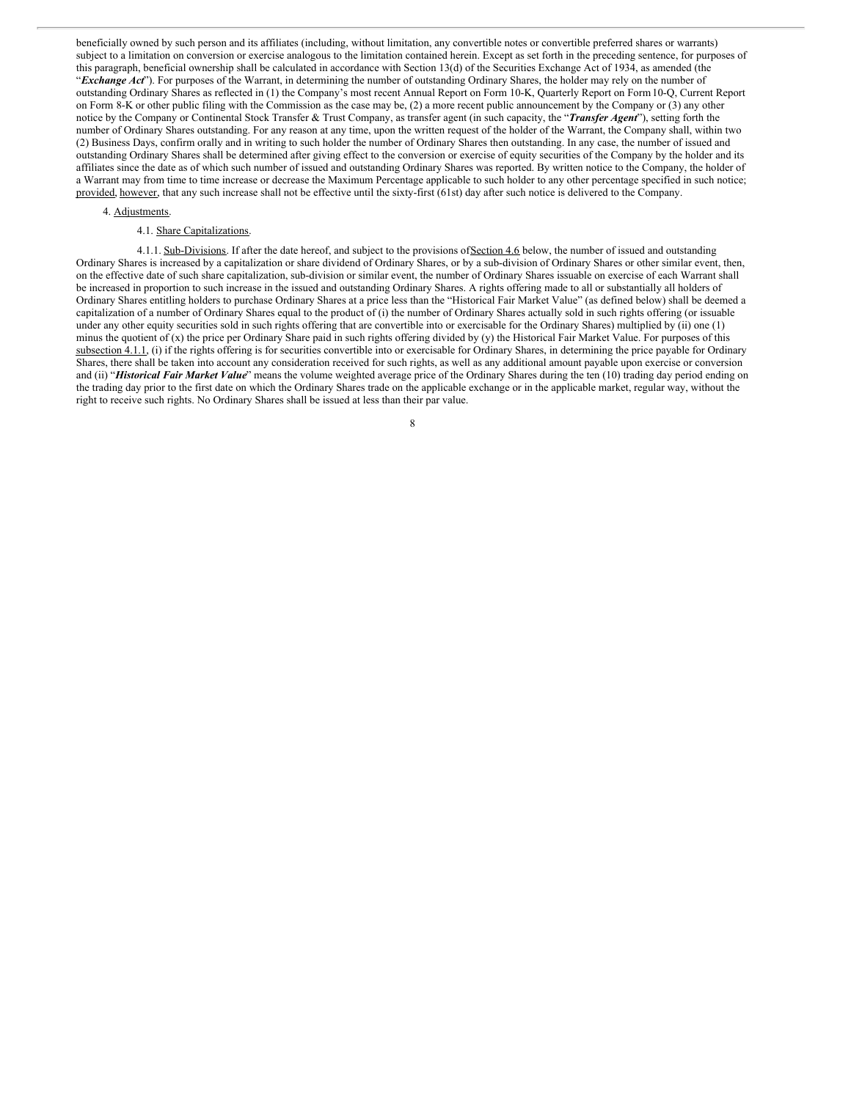beneficially owned by such person and its affiliates (including, without limitation, any convertible notes or convertible preferred shares or warrants) subject to a limitation on conversion or exercise analogous to the limitation contained herein. Except as set forth in the preceding sentence, for purposes of this paragraph, beneficial ownership shall be calculated in accordance with Section 13(d) of the Securities Exchange Act of 1934, as amended (the "*Exchange Act*"). For purposes of the Warrant, in determining the number of outstanding Ordinary Shares, the holder may rely on the number of outstanding Ordinary Shares as reflected in (1) the Company's most recent Annual Report on Form 10-K, Quarterly Report on Form10-Q, Current Report on Form 8-K or other public filing with the Commission as the case may be, (2) a more recent public announcement by the Company or (3) any other notice by the Company or Continental Stock Transfer & Trust Company, as transfer agent (in such capacity, the "*Transfer Agent*"), setting forth the number of Ordinary Shares outstanding. For any reason at any time, upon the written request of the holder of the Warrant, the Company shall, within two (2) Business Days, confirm orally and in writing to such holder the number of Ordinary Shares then outstanding. In any case, the number of issued and outstanding Ordinary Shares shall be determined after giving effect to the conversion or exercise of equity securities of the Company by the holder and its affiliates since the date as of which such number of issued and outstanding Ordinary Shares was reported. By written notice to the Company, the holder of a Warrant may from time to time increase or decrease the Maximum Percentage applicable to such holder to any other percentage specified in such notice; provided, however, that any such increase shall not be effective until the sixty-first (61st) day after such notice is delivered to the Company.

## 4. Adjustments.

## 4.1. Share Capitalizations.

4.1.1. Sub-Divisions. If after the date hereof, and subject to the provisions of Section 4.6 below, the number of issued and outstanding Ordinary Shares is increased by a capitalization or share dividend of Ordinary Shares, or by a sub-division of Ordinary Shares or other similar event, then, on the effective date of such share capitalization, sub-division or similar event, the number of Ordinary Shares issuable on exercise of each Warrant shall be increased in proportion to such increase in the issued and outstanding Ordinary Shares. A rights offering made to all or substantially all holders of Ordinary Shares entitling holders to purchase Ordinary Shares at a price less than the "Historical Fair Market Value" (as defined below) shall be deemed a capitalization of a number of Ordinary Shares equal to the product of (i) the number of Ordinary Shares actually sold in such rights offering (or issuable under any other equity securities sold in such rights offering that are convertible into or exercisable for the Ordinary Shares) multiplied by (ii) one (1) minus the quotient of (x) the price per Ordinary Share paid in such rights offering divided by (y) the Historical Fair Market Value. For purposes of this subsection 4.1.1, (i) if the rights offering is for securities convertible into or exercisable for Ordinary Shares, in determining the price payable for Ordinary Shares, there shall be taken into account any consideration received for such rights, as well as any additional amount payable upon exercise or conversion and (ii) "Historical Fair Market Value" means the volume weighted average price of the Ordinary Shares during the ten (10) trading day period ending on the trading day prior to the first date on which the Ordinary Shares trade on the applicable exchange or in the applicable market, regular way, without the right to receive such rights. No Ordinary Shares shall be issued at less than their par value.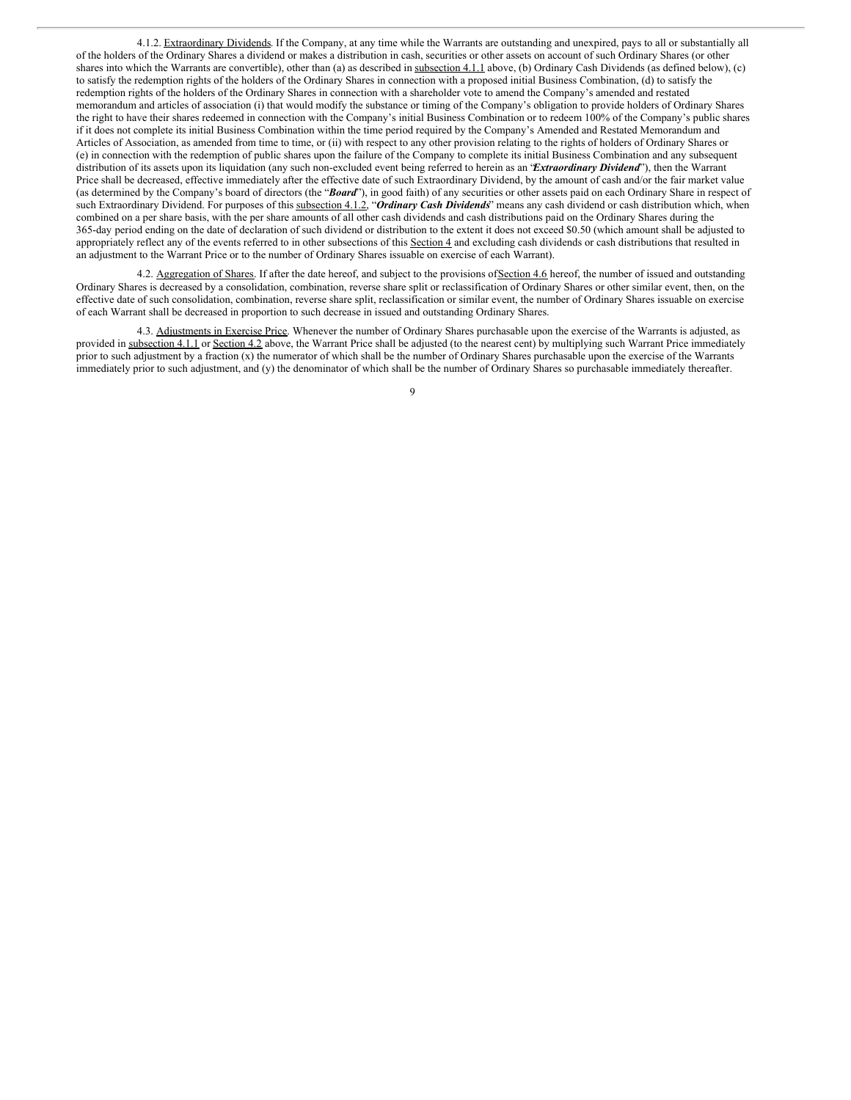4.1.2. Extraordinary Dividends. If the Company, at any time while the Warrants are outstanding and unexpired, pays to all or substantially all of the holders of the Ordinary Shares a dividend or makes a distribution in cash, securities or other assets on account of such Ordinary Shares (or other shares into which the Warrants are convertible), other than (a) as described in subsection 4.1.1 above, (b) Ordinary Cash Dividends (as defined below), (c) to satisfy the redemption rights of the holders of the Ordinary Shares in connection with a proposed initial Business Combination, (d) to satisfy the redemption rights of the holders of the Ordinary Shares in connection with a shareholder vote to amend the Company's amended and restated memorandum and articles of association (i) that would modify the substance or timing of the Company's obligation to provide holders of Ordinary Shares the right to have their shares redeemed in connection with the Company's initial Business Combination or to redeem 100% of the Company's public shares if it does not complete its initial Business Combination within the time period required by the Company's Amended and Restated Memorandum and Articles of Association, as amended from time to time, or (ii) with respect to any other provision relating to the rights of holders of Ordinary Shares or (e) in connection with the redemption of public shares upon the failure of the Company to complete its initial Business Combination and any subsequent distribution of its assets upon its liquidation (any such non-excluded event being referred to herein as an "*Extraordinary Dividend*"), then the Warrant Price shall be decreased, effective immediately after the effective date of such Extraordinary Dividend, by the amount of cash and/or the fair market value (as determined by the Company's board of directors (the "Board"), in good faith) of any securities or other assets paid on each Ordinary Share in respect of such Extraordinary Dividend. For purposes of this subsection 4.1.2, "Ordinary Cash Dividends" means any cash dividend or cash distribution which, when combined on a per share basis, with the per share amounts of all other cash dividends and cash distributions paid on the Ordinary Shares during the 365-day period ending on the date of declaration of such dividend or distribution to the extent it does not exceed \$0.50 (which amount shall be adjusted to appropriately reflect any of the events referred to in other subsections of this Section 4 and excluding cash dividends or cash distributions that resulted in an adjustment to the Warrant Price or to the number of Ordinary Shares issuable on exercise of each Warrant).

4.2. Aggregation of Shares. If after the date hereof, and subject to the provisions of Section 4.6 hereof, the number of issued and outstanding Ordinary Shares is decreased by a consolidation, combination, reverse share split or reclassification of Ordinary Shares or other similar event, then, on the effective date of such consolidation, combination, reverse share split, reclassification or similar event, the number of Ordinary Shares issuable on exercise of each Warrant shall be decreased in proportion to such decrease in issued and outstanding Ordinary Shares.

4.3. Adjustments in Exercise Price. Whenever the number of Ordinary Shares purchasable upon the exercise of the Warrants is adjusted, as provided in subsection 4.1.1 or Section 4.2 above, the Warrant Price shall be adjusted (to the nearest cent) by multiplying such Warrant Price immediately prior to such adjustment by a fraction (x) the numerator of which shall be the number of Ordinary Shares purchasable upon the exercise of the Warrants immediately prior to such adjustment, and (y) the denominator of which shall be the number of Ordinary Shares so purchasable immediately thereafter.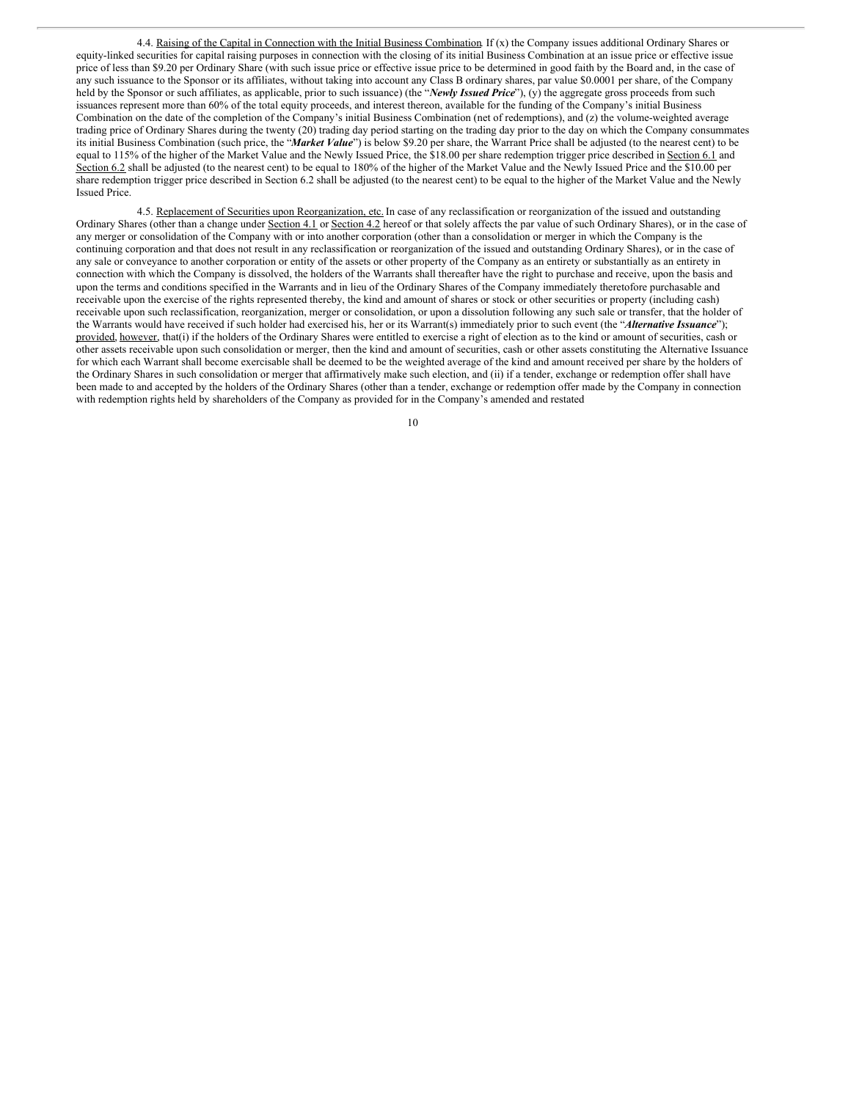4.4. Raising of the Capital in Connection with the Initial Business Combination. If (x) the Company issues additional Ordinary Shares or equity-linked securities for capital raising purposes in connection with the closing of its initial Business Combination at an issue price or effective issue price of less than \$9.20 per Ordinary Share (with such issue price or effective issue price to be determined in good faith by the Board and, in the case of any such issuance to the Sponsor or its affiliates, without taking into account any Class B ordinary shares, par value \$0.0001 per share, of the Company held by the Sponsor or such affiliates, as applicable, prior to such issuance) (the "*Newly Issued Price*"), (y) the aggregate gross proceeds from such issuances represent more than 60% of the total equity proceeds, and interest thereon, available for the funding of the Company's initial Business Combination on the date of the completion of the Company's initial Business Combination (net of redemptions), and (z) the volume-weighted average trading price of Ordinary Shares during the twenty (20) trading day period starting on the trading day prior to the day on which the Company consummates its initial Business Combination (such price, the "*Market Value*") is below \$9.20 per share, the Warrant Price shall be adjusted (to the nearest cent) to be equal to 115% of the higher of the Market Value and the Newly Issued Price, the \$18.00 per share redemption trigger price described in Section 6.1 and Section 6.2 shall be adjusted (to the nearest cent) to be equal to 180% of the higher of the Market Value and the Newly Issued Price and the \$10.00 per share redemption trigger price described in Section 6.2 shall be adjusted (to the nearest cent) to be equal to the higher of the Market Value and the Newly Issued Price.

4.5. Replacement of Securities upon Reorganization, etc. In case of any reclassification or reorganization of the issued and outstanding Ordinary Shares (other than a change under Section 4.1 or Section 4.2 hereof or that solely affects the par value of such Ordinary Shares), or in the case of any merger or consolidation of the Company with or into another corporation (other than a consolidation or merger in which the Company is the continuing corporation and that does not result in any reclassification or reorganization of the issued and outstanding Ordinary Shares), or in the case of any sale or conveyance to another corporation or entity of the assets or other property of the Company as an entirety or substantially as an entirety in connection with which the Company is dissolved, the holders of the Warrants shall thereafter have the right to purchase and receive, upon the basis and upon the terms and conditions specified in the Warrants and in lieu of the Ordinary Shares of the Company immediately theretofore purchasable and receivable upon the exercise of the rights represented thereby, the kind and amount of shares or stock or other securities or property (including cash) receivable upon such reclassification, reorganization, merger or consolidation, or upon a dissolution following any such sale or transfer, that the holder of the Warrants would have received if such holder had exercised his, her or its Warrant(s) immediately prior to such event (the "*Alternative Issuance*"); provided, however, that(i) if the holders of the Ordinary Shares were entitled to exercise a right of election as to the kind or amount of securities, cash or other assets receivable upon such consolidation or merger, then the kind and amount of securities, cash or other assets constituting the Alternative Issuance for which each Warrant shall become exercisable shall be deemed to be the weighted average of the kind and amount received per share by the holders of the Ordinary Shares in such consolidation or merger that affirmatively make such election, and (ii) if a tender, exchange or redemption offer shall have been made to and accepted by the holders of the Ordinary Shares (other than a tender, exchange or redemption offer made by the Company in connection with redemption rights held by shareholders of the Company as provided for in the Company's amended and restated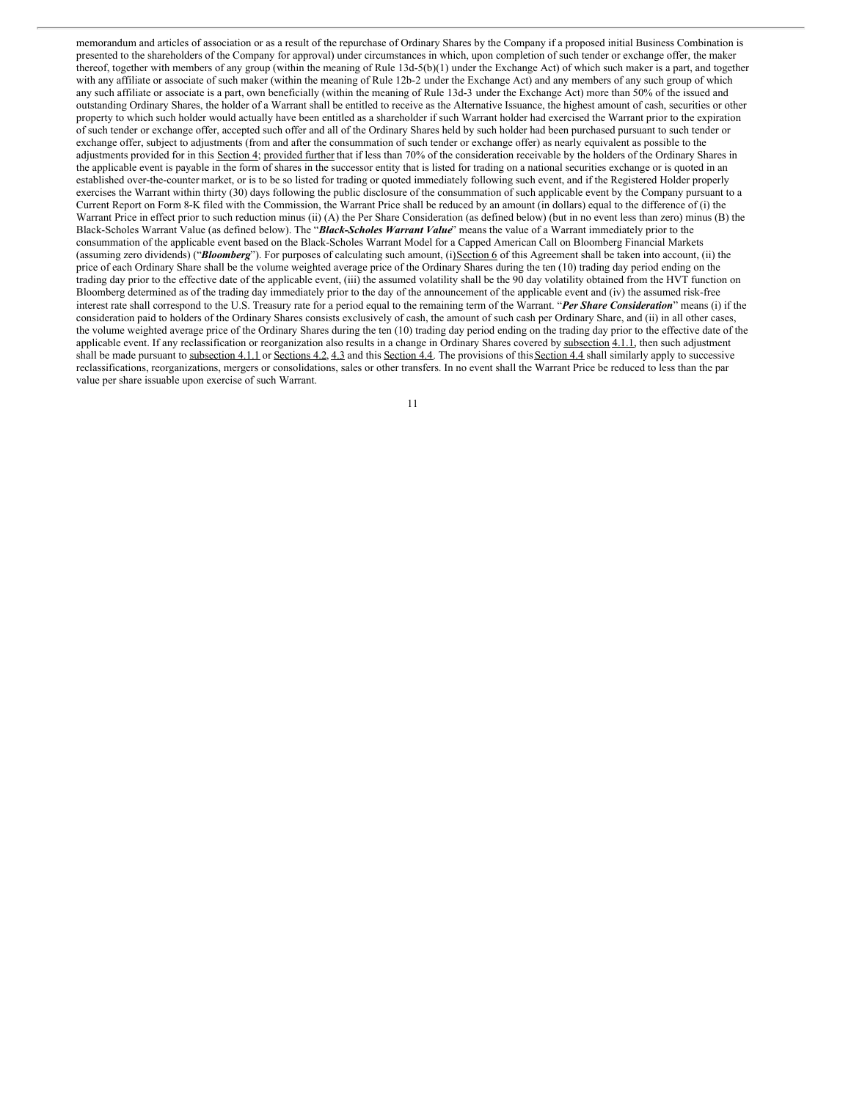memorandum and articles of association or as a result of the repurchase of Ordinary Shares by the Company if a proposed initial Business Combination is presented to the shareholders of the Company for approval) under circumstances in which, upon completion of such tender or exchange offer, the maker thereof, together with members of any group (within the meaning of Rule 13d-5(b)(1) under the Exchange Act) of which such maker is a part, and together with any affiliate or associate of such maker (within the meaning of Rule 12b-2 under the Exchange Act) and any members of any such group of which any such affiliate or associate is a part, own beneficially (within the meaning of Rule 13d-3 under the Exchange Act) more than 50% of the issued and outstanding Ordinary Shares, the holder of a Warrant shall be entitled to receive as the Alternative Issuance, the highest amount of cash, securities or other property to which such holder would actually have been entitled as a shareholder if such Warrant holder had exercised the Warrant prior to the expiration of such tender or exchange offer, accepted such offer and all of the Ordinary Shares held by such holder had been purchased pursuant to such tender or exchange offer, subject to adjustments (from and after the consummation of such tender or exchange offer) as nearly equivalent as possible to the adjustments provided for in this Section 4; provided further that if less than 70% of the consideration receivable by the holders of the Ordinary Shares in the applicable event is payable in the form of shares in the successor entity that is listed for trading on a national securities exchange or is quoted in an established over-the-counter market, or is to be so listed for trading or quoted immediately following such event, and if the Registered Holder properly exercises the Warrant within thirty (30) days following the public disclosure of the consummation of such applicable event by the Company pursuant to a Current Report on Form 8-K filed with the Commission, the Warrant Price shall be reduced by an amount (in dollars) equal to the difference of (i) the Warrant Price in effect prior to such reduction minus (ii) (A) the Per Share Consideration (as defined below) (but in no event less than zero) minus (B) the Black-Scholes Warrant Value (as defined below). The "*Black-Scholes Warrant Value*" means the value of a Warrant immediately prior to the consummation of the applicable event based on the Black-Scholes Warrant Model for a Capped American Call on Bloomberg Financial Markets (assuming zero dividends) ("*Bloomberg*"). For purposes of calculating such amount, (i)Section 6 of this Agreement shall be taken into account, (ii) the price of each Ordinary Share shall be the volume weighted average price of the Ordinary Shares during the ten (10) trading day period ending on the trading day prior to the effective date of the applicable event, (iii) the assumed volatility shall be the 90 day volatility obtained from the HVT function on Bloomberg determined as of the trading day immediately prior to the day of the announcement of the applicable event and (iv) the assumed risk-free interest rate shall correspond to the U.S. Treasury rate for a period equal to the remaining term of the Warrant. "*Per Share Consideration*" means (i) if the consideration paid to holders of the Ordinary Shares consists exclusively of cash, the amount of such cash per Ordinary Share, and (ii) in all other cases, the volume weighted average price of the Ordinary Shares during the ten (10) trading day period ending on the trading day prior to the effective date of the applicable event. If any reclassification or reorganization also results in a change in Ordinary Shares covered by subsection 4.1.1, then such adjustment shall be made pursuant to subsection 4.1.1 or Sections 4.2, 4.3 and this Section 4.4. The provisions of this Section 4.4 shall similarly apply to successive reclassifications, reorganizations, mergers or consolidations, sales or other transfers. In no event shall the Warrant Price be reduced to less than the par value per share issuable upon exercise of such Warrant.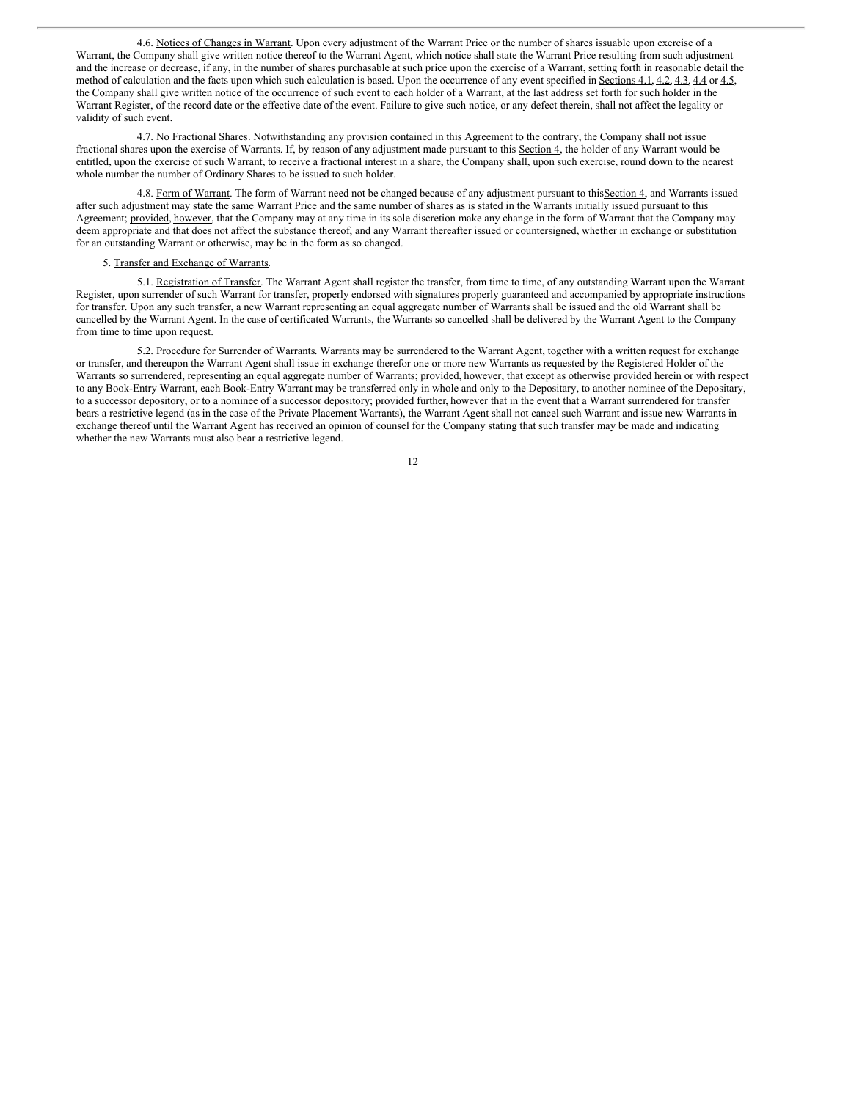4.6. Notices of Changes in Warrant. Upon every adjustment of the Warrant Price or the number of shares issuable upon exercise of a Warrant, the Company shall give written notice thereof to the Warrant Agent, which notice shall state the Warrant Price resulting from such adjustment and the increase or decrease, if any, in the number of shares purchasable at such price upon the exercise of a Warrant, setting forth in reasonable detail the method of calculation and the facts upon which such calculation is based. Upon the occurrence of any event specified in Sections 4.1, 4.2, 4.3, 4.4 or 4.5, the Company shall give written notice of the occurrence of such event to each holder of a Warrant, at the last address set forth for such holder in the Warrant Register, of the record date or the effective date of the event. Failure to give such notice, or any defect therein, shall not affect the legality or validity of such event.

4.7. No Fractional Shares. Notwithstanding any provision contained in this Agreement to the contrary, the Company shall not issue fractional shares upon the exercise of Warrants. If, by reason of any adjustment made pursuant to this Section 4, the holder of any Warrant would be entitled, upon the exercise of such Warrant, to receive a fractional interest in a share, the Company shall, upon such exercise, round down to the nearest whole number the number of Ordinary Shares to be issued to such holder.

4.8. Form of Warrant. The form of Warrant need not be changed because of any adjustment pursuant to this Section 4, and Warrants issued after such adjustment may state the same Warrant Price and the same number of shares as is stated in the Warrants initially issued pursuant to this Agreement; provided, however, that the Company may at any time in its sole discretion make any change in the form of Warrant that the Company may deem appropriate and that does not affect the substance thereof, and any Warrant thereafter issued or countersigned, whether in exchange or substitution for an outstanding Warrant or otherwise, may be in the form as so changed.

#### 5. Transfer and Exchange of Warrants.

5.1. Registration of Transfer. The Warrant Agent shall register the transfer, from time to time, of any outstanding Warrant upon the Warrant Register, upon surrender of such Warrant for transfer, properly endorsed with signatures properly guaranteed and accompanied by appropriate instructions for transfer. Upon any such transfer, a new Warrant representing an equal aggregate number of Warrants shall be issued and the old Warrant shall be cancelled by the Warrant Agent. In the case of certificated Warrants, the Warrants so cancelled shall be delivered by the Warrant Agent to the Company from time to time upon request.

5.2. Procedure for Surrender of Warrants. Warrants may be surrendered to the Warrant Agent, together with a written request for exchange or transfer, and thereupon the Warrant Agent shall issue in exchange therefor one or more new Warrants as requested by the Registered Holder of the Warrants so surrendered, representing an equal aggregate number of Warrants; provided, however, that except as otherwise provided herein or with respect to any Book-Entry Warrant, each Book-Entry Warrant may be transferred only in whole and only to the Depositary, to another nominee of the Depositary, to a successor depository, or to a nominee of a successor depository; provided further, however that in the event that a Warrant surrendered for transfer bears a restrictive legend (as in the case of the Private Placement Warrants), the Warrant Agent shall not cancel such Warrant and issue new Warrants in exchange thereof until the Warrant Agent has received an opinion of counsel for the Company stating that such transfer may be made and indicating whether the new Warrants must also bear a restrictive legend.

| v |
|---|
|   |
|   |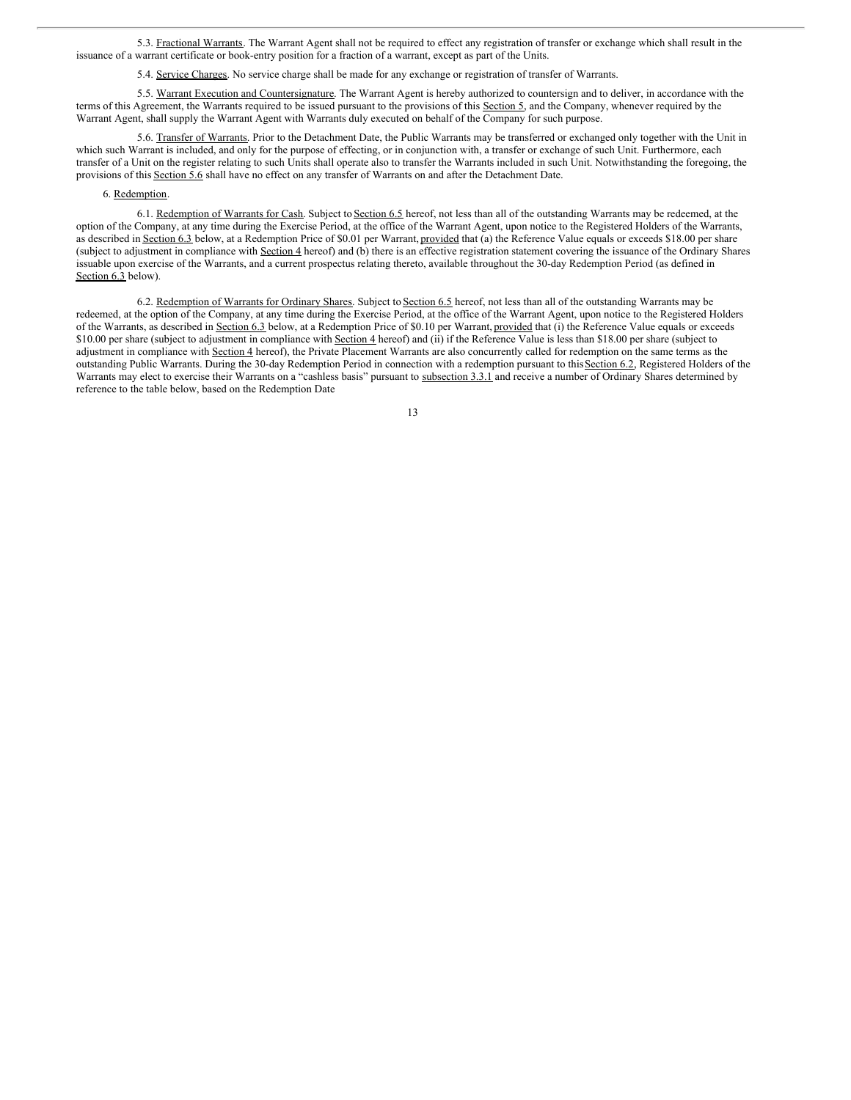5.3. Fractional Warrants. The Warrant Agent shall not be required to effect any registration of transfer or exchange which shall result in the issuance of a warrant certificate or book-entry position for a fraction of a warrant, except as part of the Units.

5.4. Service Charges. No service charge shall be made for any exchange or registration of transfer of Warrants.

5.5. Warrant Execution and Countersignature. The Warrant Agent is hereby authorized to countersign and to deliver, in accordance with the terms of this Agreement, the Warrants required to be issued pursuant to the provisions of this Section 5, and the Company, whenever required by the Warrant Agent, shall supply the Warrant Agent with Warrants duly executed on behalf of the Company for such purpose.

5.6. Transfer of Warrants. Prior to the Detachment Date, the Public Warrants may be transferred or exchanged only together with the Unit in which such Warrant is included, and only for the purpose of effecting, or in conjunction with, a transfer or exchange of such Unit. Furthermore, each transfer of a Unit on the register relating to such Units shall operate also to transfer the Warrants included in such Unit. Notwithstanding the foregoing, the provisions of this Section 5.6 shall have no effect on any transfer of Warrants on and after the Detachment Date.

## 6. Redemption.

6.1. Redemption of Warrants for Cash. Subject to Section 6.5 hereof, not less than all of the outstanding Warrants may be redeemed, at the option of the Company, at any time during the Exercise Period, at the office of the Warrant Agent, upon notice to the Registered Holders of the Warrants, as described in Section 6.3 below, at a Redemption Price of \$0.01 per Warrant, provided that (a) the Reference Value equals or exceeds \$18.00 per share (subject to adjustment in compliance with Section 4 hereof) and (b) there is an effective registration statement covering the issuance of the Ordinary Shares issuable upon exercise of the Warrants, and a current prospectus relating thereto, available throughout the 30-day Redemption Period (as defined in Section 6.3 below).

6.2. Redemption of Warrants for Ordinary Shares. Subject to Section 6.5 hereof, not less than all of the outstanding Warrants may be redeemed, at the option of the Company, at any time during the Exercise Period, at the office of the Warrant Agent, upon notice to the Registered Holders of the Warrants, as described in Section 6.3 below, at a Redemption Price of \$0.10 per Warrant, provided that (i) the Reference Value equals or exceeds \$10.00 per share (subject to adjustment in compliance with Section 4 hereof) and (ii) if the Reference Value is less than \$18.00 per share (subject to adjustment in compliance with Section 4 hereof), the Private Placement Warrants are also concurrently called for redemption on the same terms as the outstanding Public Warrants. During the 30-day Redemption Period in connection with a redemption pursuant to this Section 6.2, Registered Holders of the Warrants may elect to exercise their Warrants on a "cashless basis" pursuant to subsection 3.3.1 and receive a number of Ordinary Shares determined by reference to the table below, based on the Redemption Date

| I<br>I<br>×<br>v |
|------------------|
|                  |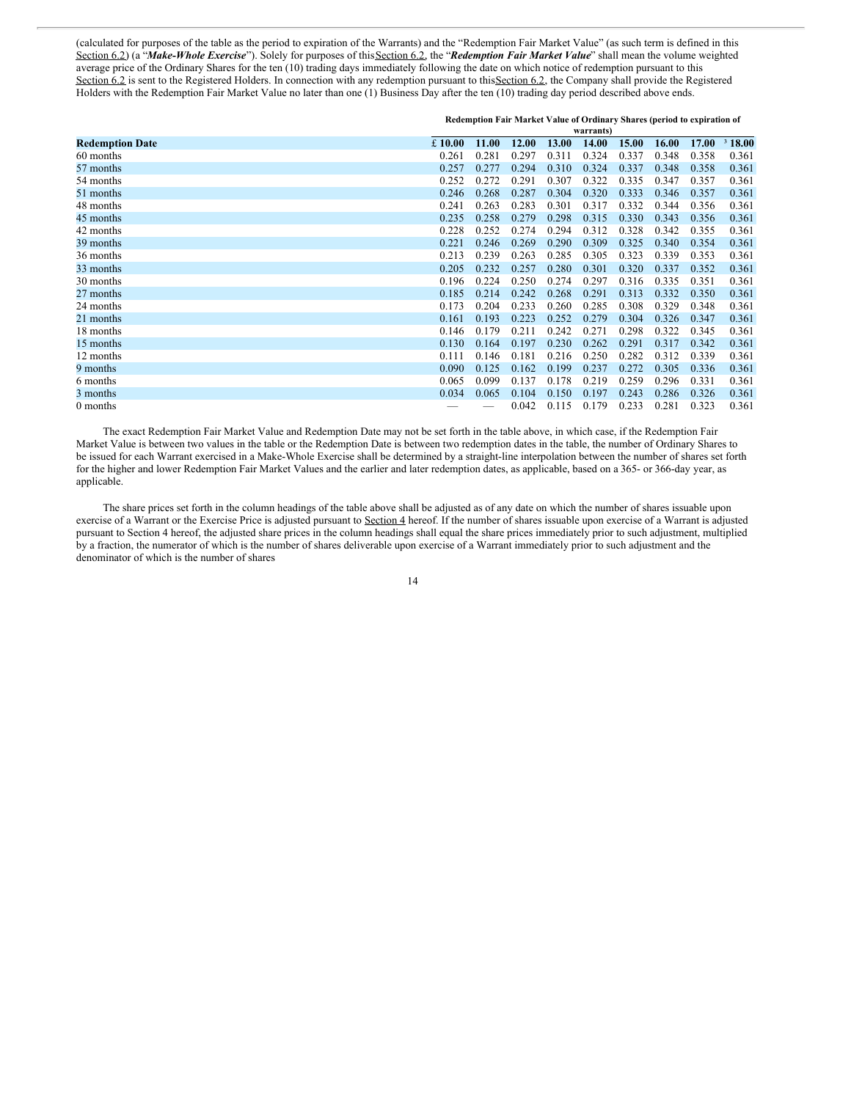(calculated for purposes of the table as the period to expiration of the Warrants) and the "Redemption Fair Market Value" (as such term is defined in this Section 6.2) (a "*Make-Whole Exercise*"). Solely for purposes of thisSection 6.2, the "*Redemption Fair Market Value*" shall mean the volume weighted average price of the Ordinary Shares for the ten (10) trading days immediately following the date on which notice of redemption pursuant to this Section 6.2 is sent to the Registered Holders. In connection with any redemption pursuant to this Section 6.2, the Company shall provide the Registered Holders with the Redemption Fair Market Value no later than one (1) Business Day after the ten (10) trading day period described above ends.

|                        | Redemption Fair Market Value of Ordinary Shares (period to expiration of<br>warrants) |       |       |       |       |       |       |       |        |
|------------------------|---------------------------------------------------------------------------------------|-------|-------|-------|-------|-------|-------|-------|--------|
| <b>Redemption Date</b> | £10.00                                                                                | 11.00 | 12.00 | 13.00 | 14.00 | 15.00 | 16.00 | 17.00 | 318.00 |
| 60 months              | 0.261                                                                                 | 0.281 | 0.297 | 0.311 | 0.324 | 0.337 | 0.348 | 0.358 | 0.361  |
| 57 months              | 0.257                                                                                 | 0.277 | 0.294 | 0.310 | 0.324 | 0.337 | 0.348 | 0.358 | 0.361  |
| 54 months              | 0.252                                                                                 | 0.272 | 0.291 | 0.307 | 0.322 | 0.335 | 0.347 | 0.357 | 0.361  |
| 51 months              | 0.246                                                                                 | 0.268 | 0.287 | 0.304 | 0.320 | 0.333 | 0.346 | 0.357 | 0.361  |
| 48 months              | 0.241                                                                                 | 0.263 | 0.283 | 0.301 | 0.317 | 0.332 | 0.344 | 0.356 | 0.361  |
| 45 months              | 0.235                                                                                 | 0.258 | 0.279 | 0.298 | 0.315 | 0.330 | 0.343 | 0.356 | 0.361  |
| 42 months              | 0.228                                                                                 | 0.252 | 0.274 | 0.294 | 0.312 | 0.328 | 0.342 | 0.355 | 0.361  |
| 39 months              | 0.221                                                                                 | 0.246 | 0.269 | 0.290 | 0.309 | 0.325 | 0.340 | 0.354 | 0.361  |
| 36 months              | 0.213                                                                                 | 0.239 | 0.263 | 0.285 | 0.305 | 0.323 | 0.339 | 0.353 | 0.361  |
| 33 months              | 0.205                                                                                 | 0.232 | 0.257 | 0.280 | 0.301 | 0.320 | 0.337 | 0.352 | 0.361  |
| 30 months              | 0.196                                                                                 | 0.224 | 0.250 | 0.274 | 0.297 | 0.316 | 0.335 | 0.351 | 0.361  |
| 27 months              | 0.185                                                                                 | 0.214 | 0.242 | 0.268 | 0.291 | 0.313 | 0.332 | 0.350 | 0.361  |
| 24 months              | 0.173                                                                                 | 0.204 | 0.233 | 0.260 | 0.285 | 0.308 | 0.329 | 0.348 | 0.361  |
| 21 months              | 0.161                                                                                 | 0.193 | 0.223 | 0.252 | 0.279 | 0.304 | 0.326 | 0.347 | 0.361  |
| 18 months              | 0.146                                                                                 | 0.179 | 0.211 | 0.242 | 0.271 | 0.298 | 0.322 | 0.345 | 0.361  |
| 15 months              | 0.130                                                                                 | 0.164 | 0.197 | 0.230 | 0.262 | 0.291 | 0.317 | 0.342 | 0.361  |
| 12 months              | 0.111                                                                                 | 0.146 | 0.181 | 0.216 | 0.250 | 0.282 | 0.312 | 0.339 | 0.361  |
| 9 months               | 0.090                                                                                 | 0.125 | 0.162 | 0.199 | 0.237 | 0.272 | 0.305 | 0.336 | 0.361  |
| 6 months               | 0.065                                                                                 | 0.099 | 0.137 | 0.178 | 0.219 | 0.259 | 0.296 | 0.331 | 0.361  |
| 3 months               | 0.034                                                                                 | 0.065 | 0.104 | 0.150 | 0.197 | 0.243 | 0.286 | 0.326 | 0.361  |
| 0 months               |                                                                                       |       | 0.042 | 0.115 | 0.179 | 0.233 | 0.281 | 0.323 | 0.361  |

The exact Redemption Fair Market Value and Redemption Date may not be set forth in the table above, in which case, if the Redemption Fair Market Value is between two values in the table or the Redemption Date is between two redemption dates in the table, the number of Ordinary Shares to be issued for each Warrant exercised in a Make-Whole Exercise shall be determined by a straight-line interpolation between the number of shares set forth for the higher and lower Redemption Fair Market Values and the earlier and later redemption dates, as applicable, based on a 365- or 366-day year, as applicable.

The share prices set forth in the column headings of the table above shall be adjusted as of any date on which the number of shares issuable upon exercise of a Warrant or the Exercise Price is adjusted pursuant to Section 4 hereof. If the number of shares issuable upon exercise of a Warrant is adjusted pursuant to Section 4 hereof, the adjusted share prices in the column headings shall equal the share prices immediately prior to such adjustment, multiplied by a fraction, the numerator of which is the number of shares deliverable upon exercise of a Warrant immediately prior to such adjustment and the denominator of which is the number of shares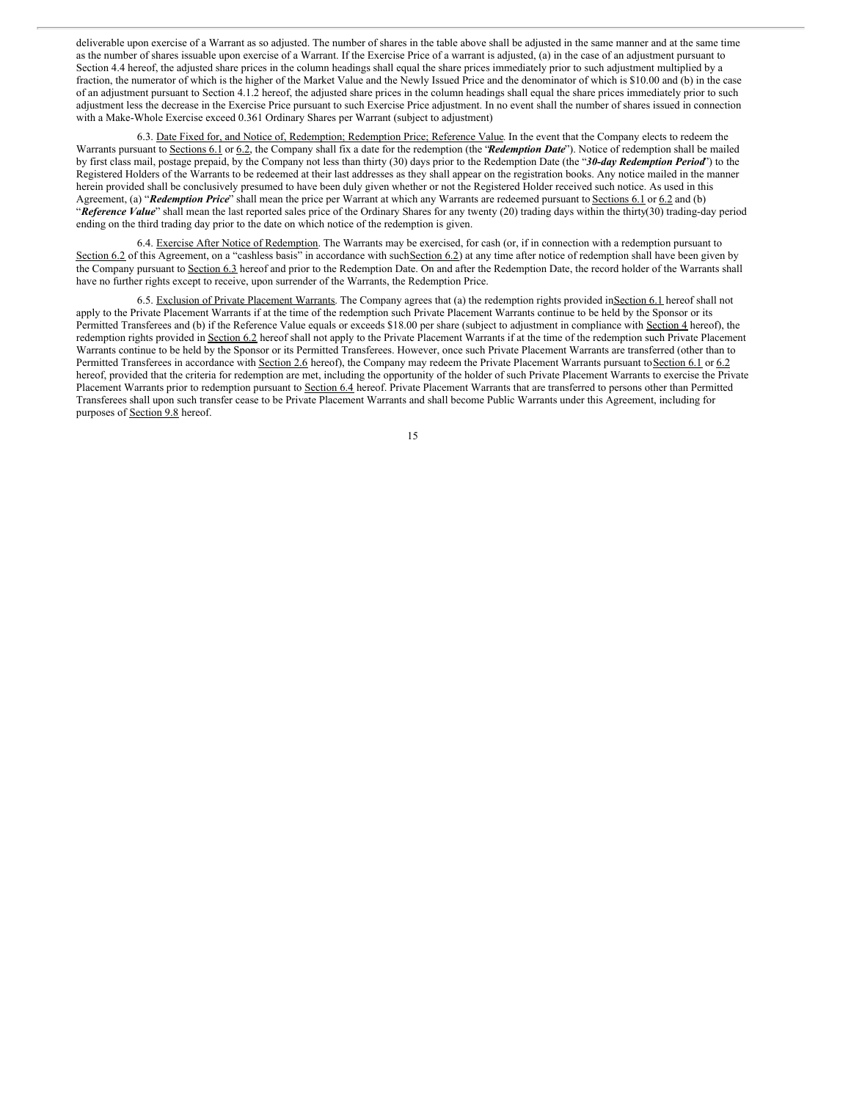deliverable upon exercise of a Warrant as so adjusted. The number of shares in the table above shall be adjusted in the same manner and at the same time as the number of shares issuable upon exercise of a Warrant. If the Exercise Price of a warrant is adjusted, (a) in the case of an adjustment pursuant to Section 4.4 hereof, the adjusted share prices in the column headings shall equal the share prices immediately prior to such adjustment multiplied by a fraction, the numerator of which is the higher of the Market Value and the Newly Issued Price and the denominator of which is \$10.00 and (b) in the case of an adjustment pursuant to Section 4.1.2 hereof, the adjusted share prices in the column headings shall equal the share prices immediately prior to such adjustment less the decrease in the Exercise Price pursuant to such Exercise Price adjustment. In no event shall the number of shares issued in connection with a Make-Whole Exercise exceed 0.361 Ordinary Shares per Warrant (subject to adjustment)

6.3. Date Fixed for, and Notice of, Redemption; Redemption Price; Reference Value. In the event that the Company elects to redeem the Warrants pursuant to Sections 6.1 or 6.2, the Company shall fix a date for the redemption (the "*Redemption Date*"). Notice of redemption shall be mailed by first class mail, postage prepaid, by the Company not less than thirty (30) days prior to the Redemption Date (the "*30-day Redemption Period*") to the Registered Holders of the Warrants to be redeemed at their last addresses as they shall appear on the registration books. Any notice mailed in the manner herein provided shall be conclusively presumed to have been duly given whether or not the Registered Holder received such notice. As used in this Agreement, (a) "*Redemption Price*" shall mean the price per Warrant at which any Warrants are redeemed pursuant to Sections 6.1 or 6.2 and (b) "*Reference Value*" shall mean the last reported sales price of the Ordinary Shares for any twenty (20) trading days within the thirty(30) trading-day period ending on the third trading day prior to the date on which notice of the redemption is given.

6.4. Exercise After Notice of Redemption. The Warrants may be exercised, for cash (or, if in connection with a redemption pursuant to Section 6.2 of this Agreement, on a "cashless basis" in accordance with such Section 6.2) at any time after notice of redemption shall have been given by the Company pursuant to Section 6.3 hereof and prior to the Redemption Date. On and after the Redemption Date, the record holder of the Warrants shall have no further rights except to receive, upon surrender of the Warrants, the Redemption Price.

6.5. Exclusion of Private Placement Warrants. The Company agrees that (a) the redemption rights provided in Section 6.1 hereof shall not apply to the Private Placement Warrants if at the time of the redemption such Private Placement Warrants continue to be held by the Sponsor or its Permitted Transferees and (b) if the Reference Value equals or exceeds \$18.00 per share (subject to adjustment in compliance with Section 4 hereof), the redemption rights provided in Section 6.2 hereof shall not apply to the Private Placement Warrants if at the time of the redemption such Private Placement Warrants continue to be held by the Sponsor or its Permitted Transferees. However, once such Private Placement Warrants are transferred (other than to Permitted Transferees in accordance with Section 2.6 hereof), the Company may redeem the Private Placement Warrants pursuant to Section 6.1 or 6.2 hereof, provided that the criteria for redemption are met, including the opportunity of the holder of such Private Placement Warrants to exercise the Private Placement Warrants prior to redemption pursuant to Section 6.4 hereof. Private Placement Warrants that are transferred to persons other than Permitted Transferees shall upon such transfer cease to be Private Placement Warrants and shall become Public Warrants under this Agreement, including for purposes of Section 9.8 hereof.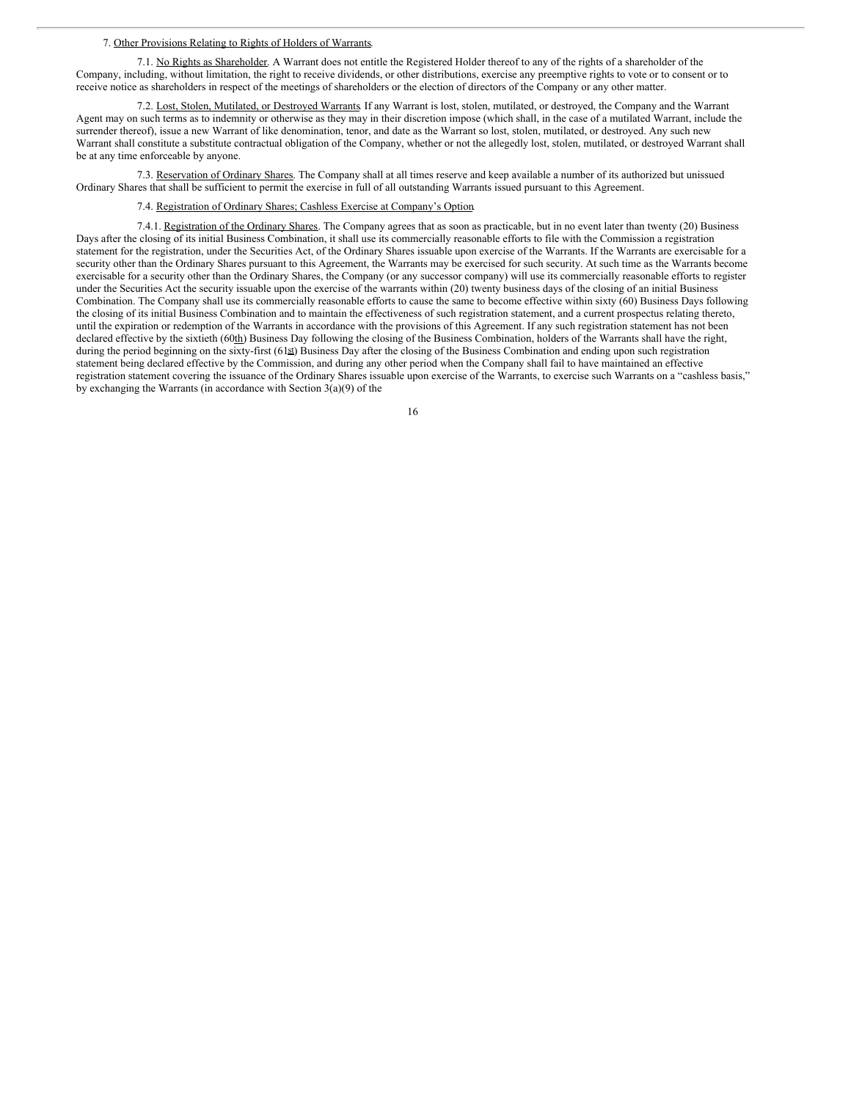#### 7. Other Provisions Relating to Rights of Holders of Warrants.

7.1. No Rights as Shareholder. A Warrant does not entitle the Registered Holder thereof to any of the rights of a shareholder of the Company, including, without limitation, the right to receive dividends, or other distributions, exercise any preemptive rights to vote or to consent or to receive notice as shareholders in respect of the meetings of shareholders or the election of directors of the Company or any other matter.

7.2. Lost, Stolen, Mutilated, or Destroyed Warrants. If any Warrant is lost, stolen, mutilated, or destroyed, the Company and the Warrant Agent may on such terms as to indemnity or otherwise as they may in their discretion impose (which shall, in the case of a mutilated Warrant, include the surrender thereof), issue a new Warrant of like denomination, tenor, and date as the Warrant so lost, stolen, mutilated, or destroyed. Any such new Warrant shall constitute a substitute contractual obligation of the Company, whether or not the allegedly lost, stolen, mutilated, or destroyed Warrant shall be at any time enforceable by anyone.

7.3. Reservation of Ordinary Shares. The Company shall at all times reserve and keep available a number of its authorized but unissued Ordinary Shares that shall be sufficient to permit the exercise in full of all outstanding Warrants issued pursuant to this Agreement.

7.4. Registration of Ordinary Shares; Cashless Exercise at Company's Option.

7.4.1. Registration of the Ordinary Shares. The Company agrees that as soon as practicable, but in no event later than twenty (20) Business Days after the closing of its initial Business Combination, it shall use its commercially reasonable efforts to file with the Commission a registration statement for the registration, under the Securities Act, of the Ordinary Shares issuable upon exercise of the Warrants. If the Warrants are exercisable for a security other than the Ordinary Shares pursuant to this Agreement, the Warrants may be exercised for such security. At such time as the Warrants become exercisable for a security other than the Ordinary Shares, the Company (or any successor company) will use its commercially reasonable efforts to register under the Securities Act the security issuable upon the exercise of the warrants within (20) twenty business days of the closing of an initial Business Combination. The Company shall use its commercially reasonable efforts to cause the same to become effective within sixty (60) Business Days following the closing of its initial Business Combination and to maintain the effectiveness of such registration statement, and a current prospectus relating thereto, until the expiration or redemption of the Warrants in accordance with the provisions of this Agreement. If any such registration statement has not been declared effective by the sixtieth (60th) Business Day following the closing of the Business Combination, holders of the Warrants shall have the right, during the period beginning on the sixty-first (61st) Business Day after the closing of the Business Combination and ending upon such registration statement being declared effective by the Commission, and during any other period when the Company shall fail to have maintained an effective registration statement covering the issuance of the Ordinary Shares issuable upon exercise of the Warrants, to exercise such Warrants on a "cashless basis," by exchanging the Warrants (in accordance with Section  $3(a)(9)$  of the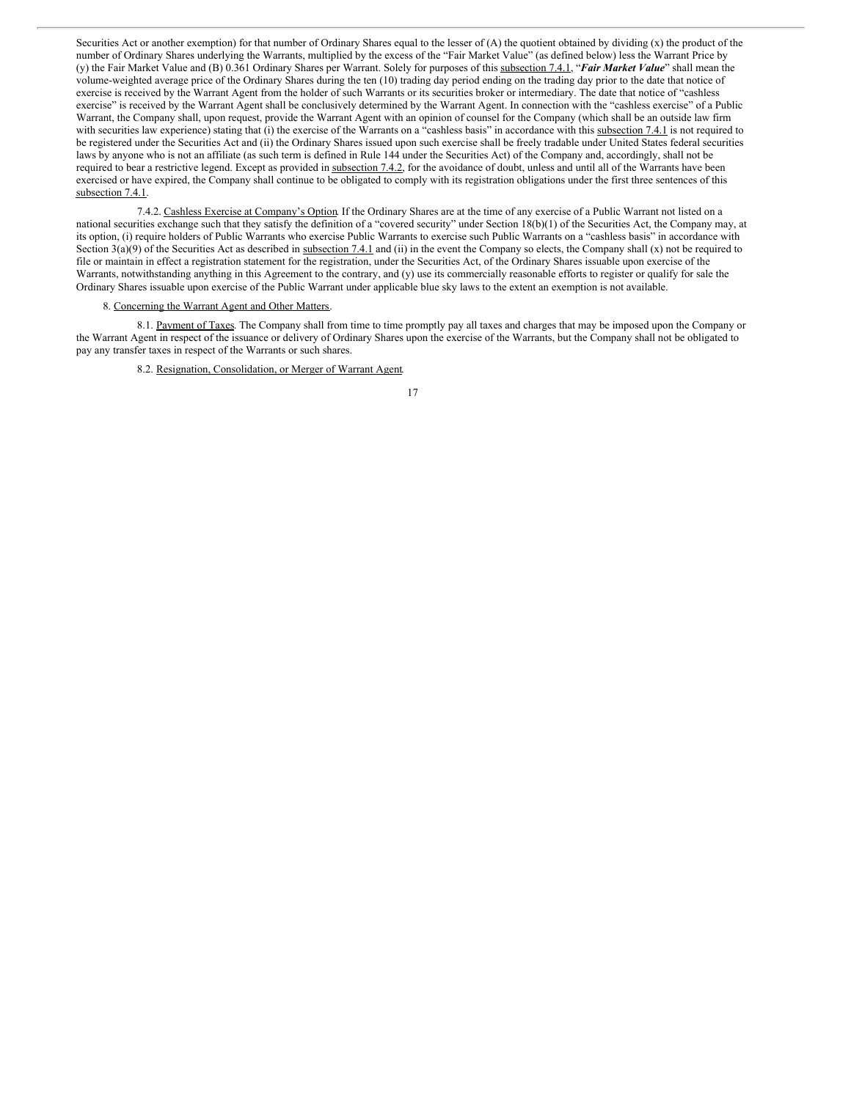Securities Act or another exemption) for that number of Ordinary Shares equal to the lesser of (A) the quotient obtained by dividing (x) the product of the number of Ordinary Shares underlying the Warrants, multiplied by the excess of the "Fair Market Value" (as defined below) less the Warrant Price by (y) the Fair Market Value and (B) 0.361 Ordinary Shares per Warrant. Solely for purposes of this subsection 7.4.1, "*Fair Market Value*" shall mean the volume-weighted average price of the Ordinary Shares during the ten (10) trading day period ending on the trading day prior to the date that notice of exercise is received by the Warrant Agent from the holder of such Warrants or its securities broker or intermediary. The date that notice of "cashless exercise" is received by the Warrant Agent shall be conclusively determined by the Warrant Agent. In connection with the "cashless exercise" of a Public Warrant, the Company shall, upon request, provide the Warrant Agent with an opinion of counsel for the Company (which shall be an outside law firm with securities law experience) stating that (i) the exercise of the Warrants on a "cashless basis" in accordance with this subsection 7.4.1 is not required to be registered under the Securities Act and (ii) the Ordinary Shares issued upon such exercise shall be freely tradable under United States federal securities laws by anyone who is not an affiliate (as such term is defined in Rule 144 under the Securities Act) of the Company and, accordingly, shall not be required to bear a restrictive legend. Except as provided in subsection 7.4.2, for the avoidance of doubt, unless and until all of the Warrants have been exercised or have expired, the Company shall continue to be obligated to comply with its registration obligations under the first three sentences of this subsection 7.4.1.

7.4.2. Cashless Exercise at Company's Option. If the Ordinary Shares are at the time of any exercise of a Public Warrant not listed on a national securities exchange such that they satisfy the definition of a "covered security" under Section 18(b)(1) of the Securities Act, the Company may, at its option, (i) require holders of Public Warrants who exercise Public Warrants to exercise such Public Warrants on a "cashless basis" in accordance with Section  $3(a)(9)$  of the Securities Act as described in subsection 7.4.1 and (ii) in the event the Company so elects, the Company shall (x) not be required to file or maintain in effect a registration statement for the registration, under the Securities Act, of the Ordinary Shares issuable upon exercise of the Warrants, notwithstanding anything in this Agreement to the contrary, and (y) use its commercially reasonable efforts to register or qualify for sale the Ordinary Shares issuable upon exercise of the Public Warrant under applicable blue sky laws to the extent an exemption is not available.

## 8. Concerning the Warrant Agent and Other Matters.

8.1. Payment of Taxes. The Company shall from time to time promptly pay all taxes and charges that may be imposed upon the Company or the Warrant Agent in respect of the issuance or delivery of Ordinary Shares upon the exercise of the Warrants, but the Company shall not be obligated to pay any transfer taxes in respect of the Warrants or such shares.

8.2. Resignation, Consolidation, or Merger of Warrant Agent.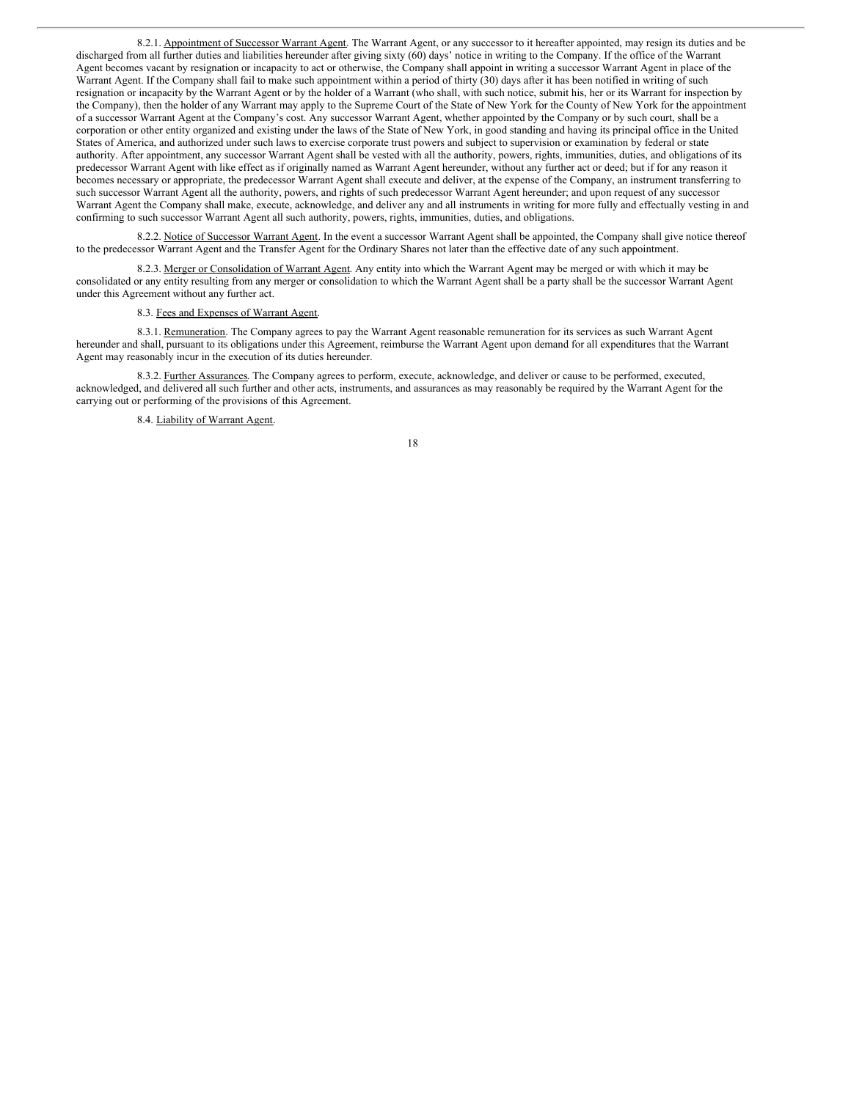8.2.1. Appointment of Successor Warrant Agent. The Warrant Agent, or any successor to it hereafter appointed, may resign its duties and be discharged from all further duties and liabilities hereunder after giving sixty (60) days' notice in writing to the Company. If the office of the Warrant Agent becomes vacant by resignation or incapacity to act or otherwise, the Company shall appoint in writing a successor Warrant Agent in place of the Warrant Agent. If the Company shall fail to make such appointment within a period of thirty (30) days after it has been notified in writing of such resignation or incapacity by the Warrant Agent or by the holder of a Warrant (who shall, with such notice, submit his, her or its Warrant for inspection by the Company), then the holder of any Warrant may apply to the Supreme Court of the State of New York for the County of New York for the appointment of a successor Warrant Agent at the Company's cost. Any successor Warrant Agent, whether appointed by the Company or by such court, shall be a corporation or other entity organized and existing under the laws of the State of New York, in good standing and having its principal office in the United States of America, and authorized under such laws to exercise corporate trust powers and subject to supervision or examination by federal or state authority. After appointment, any successor Warrant Agent shall be vested with all the authority, powers, rights, immunities, duties, and obligations of its predecessor Warrant Agent with like effect as if originally named as Warrant Agent hereunder, without any further act or deed; but if for any reason it becomes necessary or appropriate, the predecessor Warrant Agent shall execute and deliver, at the expense of the Company, an instrument transferring to such successor Warrant Agent all the authority, powers, and rights of such predecessor Warrant Agent hereunder; and upon request of any successor Warrant Agent the Company shall make, execute, acknowledge, and deliver any and all instruments in writing for more fully and effectually vesting in and confirming to such successor Warrant Agent all such authority, powers, rights, immunities, duties, and obligations.

8.2.2. Notice of Successor Warrant Agent. In the event a successor Warrant Agent shall be appointed, the Company shall give notice thereof to the predecessor Warrant Agent and the Transfer Agent for the Ordinary Shares not later than the effective date of any such appointment.

8.2.3. Merger or Consolidation of Warrant Agent. Any entity into which the Warrant Agent may be merged or with which it may be consolidated or any entity resulting from any merger or consolidation to which the Warrant Agent shall be a party shall be the successor Warrant Agent under this Agreement without any further act.

# 8.3. Fees and Expenses of Warrant Agent.

8.3.1. Remuneration. The Company agrees to pay the Warrant Agent reasonable remuneration for its services as such Warrant Agent hereunder and shall, pursuant to its obligations under this Agreement, reimburse the Warrant Agent upon demand for all expenditures that the Warrant Agent may reasonably incur in the execution of its duties hereunder.

8.3.2. Further Assurances. The Company agrees to perform, execute, acknowledge, and deliver or cause to be performed, executed, acknowledged, and delivered all such further and other acts, instruments, and assurances as may reasonably be required by the Warrant Agent for the carrying out or performing of the provisions of this Agreement.

8.4. Liability of Warrant Agent.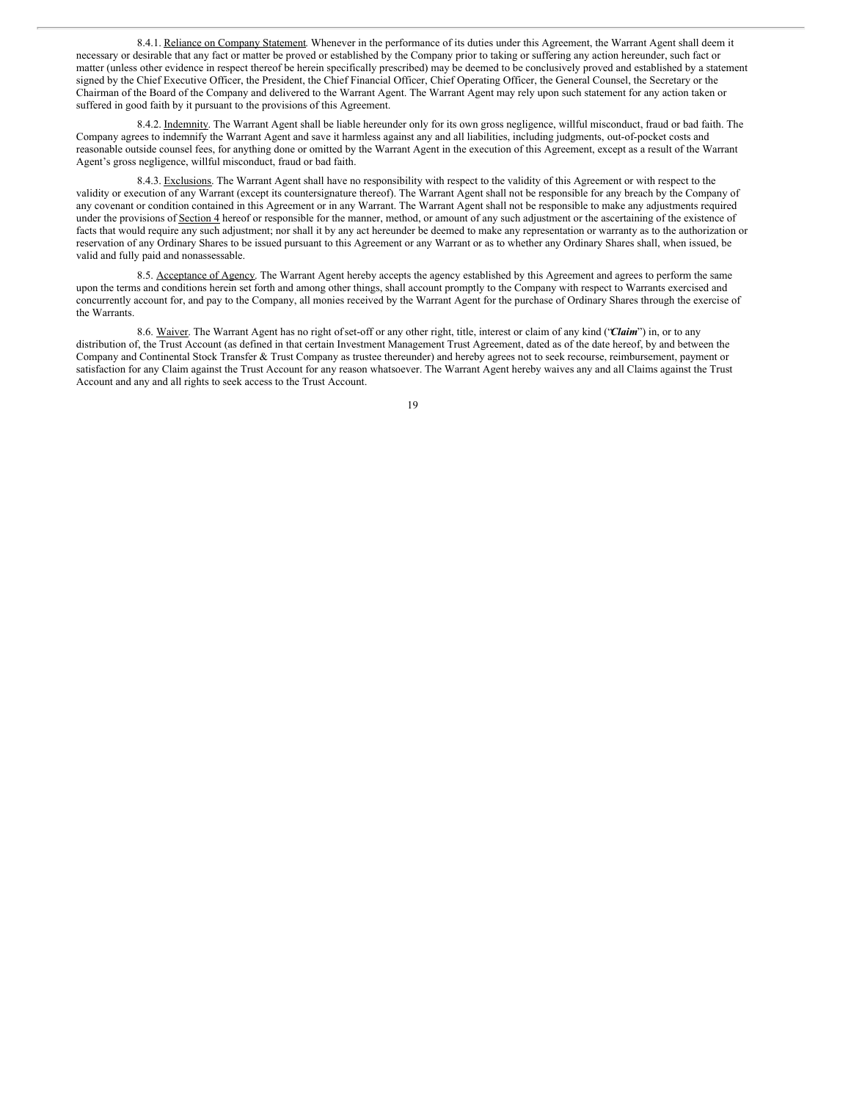8.4.1. Reliance on Company Statement. Whenever in the performance of its duties under this Agreement, the Warrant Agent shall deem it necessary or desirable that any fact or matter be proved or established by the Company prior to taking or suffering any action hereunder, such fact or matter (unless other evidence in respect thereof be herein specifically prescribed) may be deemed to be conclusively proved and established by a statement signed by the Chief Executive Officer, the President, the Chief Financial Officer, Chief Operating Officer, the General Counsel, the Secretary or the Chairman of the Board of the Company and delivered to the Warrant Agent. The Warrant Agent may rely upon such statement for any action taken or suffered in good faith by it pursuant to the provisions of this Agreement.

8.4.2. Indemnity. The Warrant Agent shall be liable hereunder only for its own gross negligence, willful misconduct, fraud or bad faith. The Company agrees to indemnify the Warrant Agent and save it harmless against any and all liabilities, including judgments, out-of-pocket costs and reasonable outside counsel fees, for anything done or omitted by the Warrant Agent in the execution of this Agreement, except as a result of the Warrant Agent's gross negligence, willful misconduct, fraud or bad faith.

8.4.3. Exclusions. The Warrant Agent shall have no responsibility with respect to the validity of this Agreement or with respect to the validity or execution of any Warrant (except its countersignature thereof). The Warrant Agent shall not be responsible for any breach by the Company of any covenant or condition contained in this Agreement or in any Warrant. The Warrant Agent shall not be responsible to make any adjustments required under the provisions of Section 4 hereof or responsible for the manner, method, or amount of any such adjustment or the ascertaining of the existence of facts that would require any such adjustment; nor shall it by any act hereunder be deemed to make any representation or warranty as to the authorization or reservation of any Ordinary Shares to be issued pursuant to this Agreement or any Warrant or as to whether any Ordinary Shares shall, when issued, be valid and fully paid and nonassessable.

8.5. Acceptance of Agency. The Warrant Agent hereby accepts the agency established by this Agreement and agrees to perform the same upon the terms and conditions herein set forth and among other things, shall account promptly to the Company with respect to Warrants exercised and concurrently account for, and pay to the Company, all monies received by the Warrant Agent for the purchase of Ordinary Shares through the exercise of the Warrants.

8.6. Waiver. The Warrant Agent has no right ofset-off or any other right, title, interest or claim of any kind ("*Claim*") in, or to any distribution of, the Trust Account (as defined in that certain Investment Management Trust Agreement, dated as of the date hereof, by and between the Company and Continental Stock Transfer & Trust Company as trustee thereunder) and hereby agrees not to seek recourse, reimbursement, payment or satisfaction for any Claim against the Trust Account for any reason whatsoever. The Warrant Agent hereby waives any and all Claims against the Trust Account and any and all rights to seek access to the Trust Account.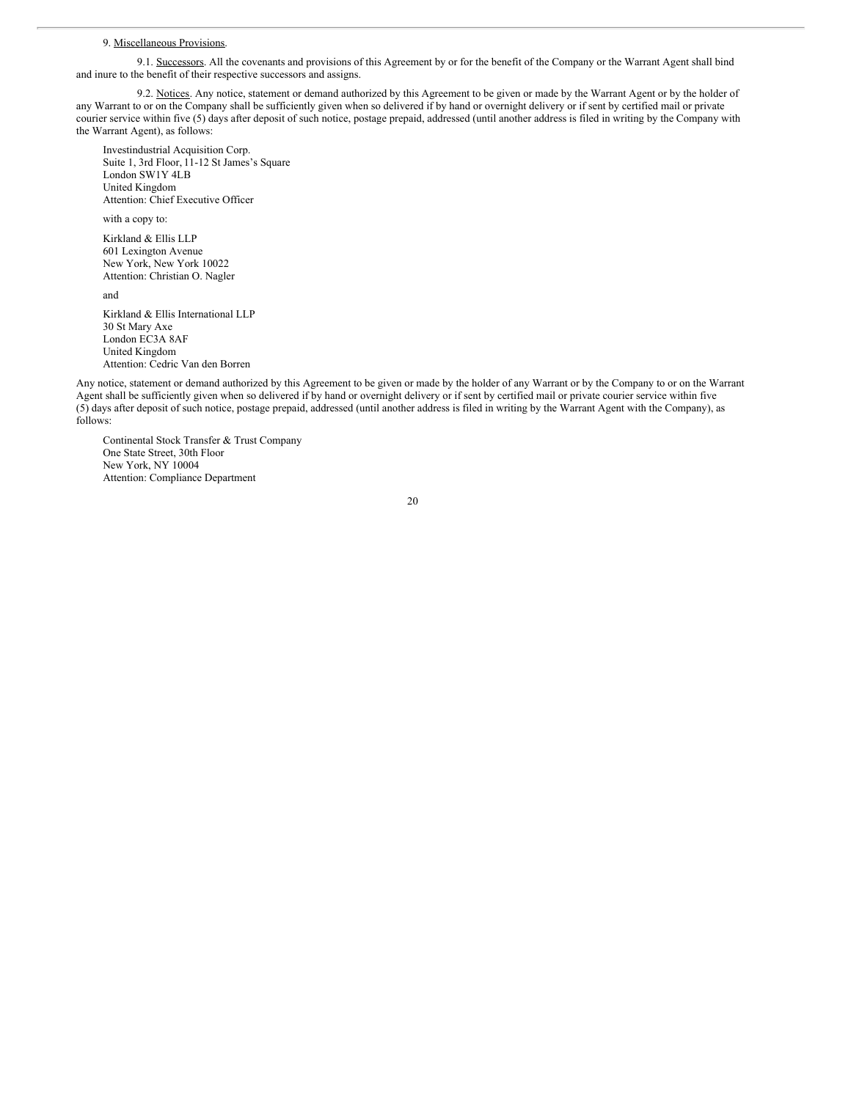#### 9. Miscellaneous Provisions.

9.1. Successors. All the covenants and provisions of this Agreement by or for the benefit of the Company or the Warrant Agent shall bind and inure to the benefit of their respective successors and assigns.

9.2. Notices. Any notice, statement or demand authorized by this Agreement to be given or made by the Warrant Agent or by the holder of any Warrant to or on the Company shall be sufficiently given when so delivered if by hand or overnight delivery or if sent by certified mail or private courier service within five (5) days after deposit of such notice, postage prepaid, addressed (until another address is filed in writing by the Company with the Warrant Agent), as follows:

Investindustrial Acquisition Corp. Suite 1, 3rd Floor, 11-12 St James's Square London SW1Y 4LB United Kingdom Attention: Chief Executive Officer

with a copy to:

Kirkland & Ellis LLP 601 Lexington Avenue New York, New York 10022 Attention: Christian O. Nagler

and

Kirkland & Ellis International LLP 30 St Mary Axe London EC3A 8AF United Kingdom Attention: Cedric Van den Borren

Any notice, statement or demand authorized by this Agreement to be given or made by the holder of any Warrant or by the Company to or on the Warrant Agent shall be sufficiently given when so delivered if by hand or overnight delivery or if sent by certified mail or private courier service within five (5) days after deposit of such notice, postage prepaid, addressed (until another address is filed in writing by the Warrant Agent with the Company), as follows:

Continental Stock Transfer & Trust Company One State Street, 30th Floor New York, NY 10004 Attention: Compliance Department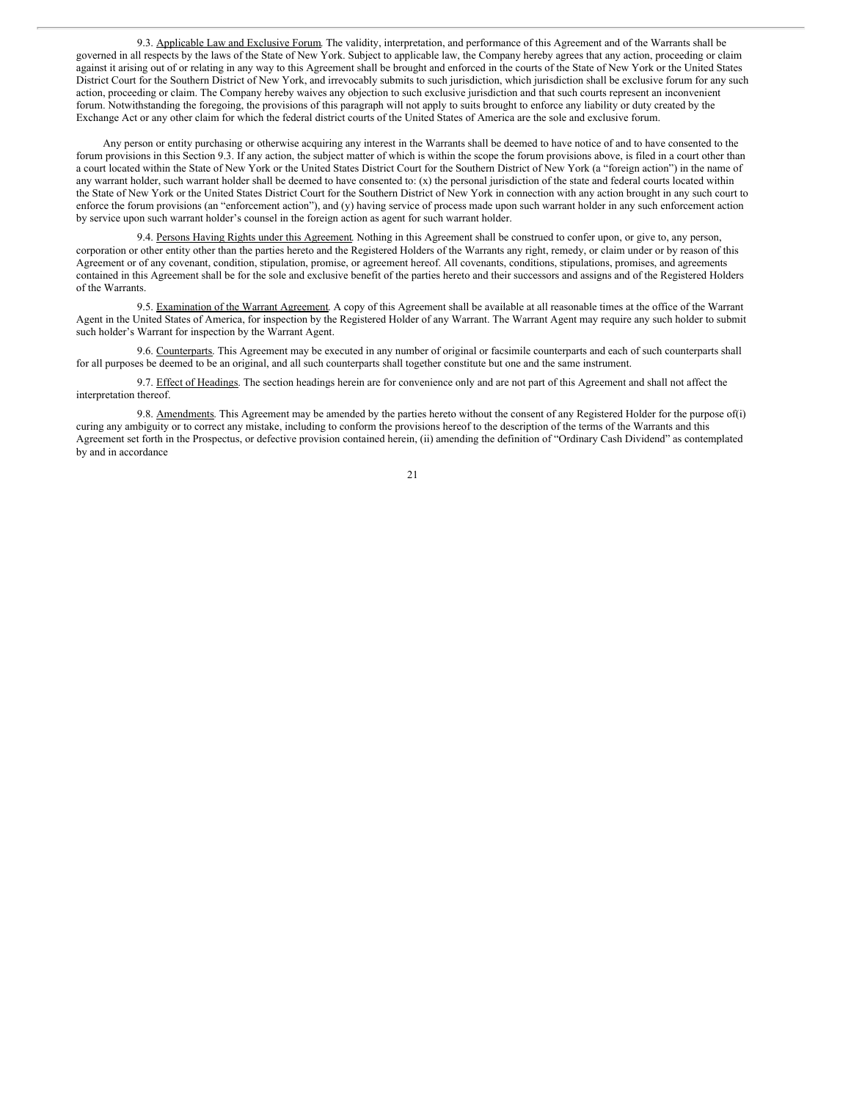9.3. Applicable Law and Exclusive Forum. The validity, interpretation, and performance of this Agreement and of the Warrants shall be governed in all respects by the laws of the State of New York. Subject to applicable law, the Company hereby agrees that any action, proceeding or claim against it arising out of or relating in any way to this Agreement shall be brought and enforced in the courts of the State of New York or the United States District Court for the Southern District of New York, and irrevocably submits to such jurisdiction, which jurisdiction shall be exclusive forum for any such action, proceeding or claim. The Company hereby waives any objection to such exclusive jurisdiction and that such courts represent an inconvenient forum. Notwithstanding the foregoing, the provisions of this paragraph will not apply to suits brought to enforce any liability or duty created by the Exchange Act or any other claim for which the federal district courts of the United States of America are the sole and exclusive forum.

Any person or entity purchasing or otherwise acquiring any interest in the Warrants shall be deemed to have notice of and to have consented to the forum provisions in this Section 9.3. If any action, the subject matter of which is within the scope the forum provisions above, is filed in a court other than a court located within the State of New York or the United States District Court for the Southern District of New York (a "foreign action") in the name of any warrant holder, such warrant holder shall be deemed to have consented to:  $(x)$  the personal jurisdiction of the state and federal courts located within the State of New York or the United States District Court for the Southern District of New York in connection with any action brought in any such court to enforce the forum provisions (an "enforcement action"), and (y) having service of process made upon such warrant holder in any such enforcement action by service upon such warrant holder's counsel in the foreign action as agent for such warrant holder.

9.4. Persons Having Rights under this Agreement. Nothing in this Agreement shall be construed to confer upon, or give to, any person, corporation or other entity other than the parties hereto and the Registered Holders of the Warrants any right, remedy, or claim under or by reason of this Agreement or of any covenant, condition, stipulation, promise, or agreement hereof. All covenants, conditions, stipulations, promises, and agreements contained in this Agreement shall be for the sole and exclusive benefit of the parties hereto and their successors and assigns and of the Registered Holders of the Warrants.

9.5. Examination of the Warrant Agreement. A copy of this Agreement shall be available at all reasonable times at the office of the Warrant Agent in the United States of America, for inspection by the Registered Holder of any Warrant. The Warrant Agent may require any such holder to submit such holder's Warrant for inspection by the Warrant Agent.

9.6. Counterparts. This Agreement may be executed in any number of original or facsimile counterparts and each of such counterparts shall for all purposes be deemed to be an original, and all such counterparts shall together constitute but one and the same instrument.

9.7. Effect of Headings. The section headings herein are for convenience only and are not part of this Agreement and shall not affect the interpretation thereof.

9.8. Amendments. This Agreement may be amended by the parties hereto without the consent of any Registered Holder for the purpose of(i) curing any ambiguity or to correct any mistake, including to conform the provisions hereof to the description of the terms of the Warrants and this Agreement set forth in the Prospectus, or defective provision contained herein, (ii) amending the definition of "Ordinary Cash Dividend" as contemplated by and in accordance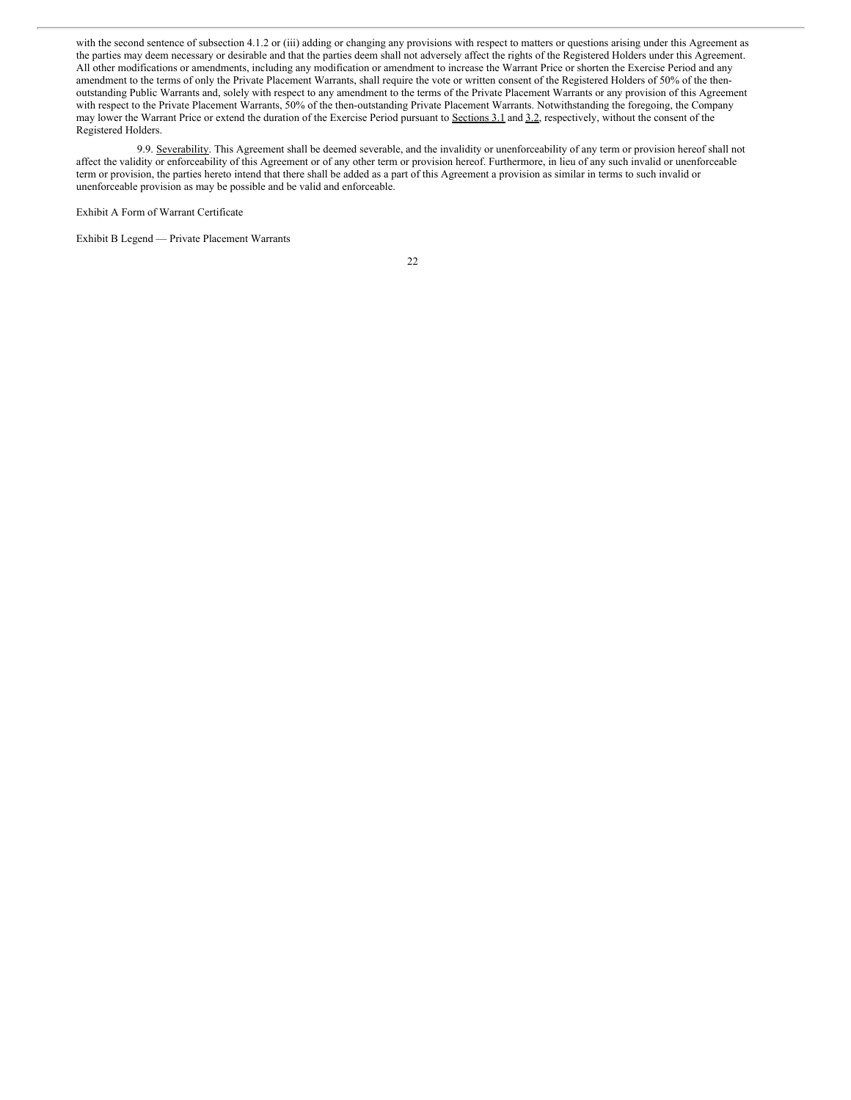with the second sentence of subsection 4.1.2 or (iii) adding or changing any provisions with respect to matters or questions arising under this Agreement as the parties may deem necessary or desirable and that the parties deem shall not adversely affect the rights of the Registered Holders under this Agreement. All other modifications or amendments, including any modification or amendment to increase the Warrant Price or shorten the Exercise Period and any amendment to the terms of only the Private Placement Warrants, shall require the vote or written consent of the Registered Holders of 50% of the thenoutstanding Public Warrants and, solely with respect to any amendment to the terms of the Private Placement Warrants or any provision of this Agreement with respect to the Private Placement Warrants, 50% of the then-outstanding Private Placement Warrants. Notwithstanding the foregoing, the Company may lower the Warrant Price or extend the duration of the Exercise Period pursuant to Sections 3.1 and 3.2, respectively, without the consent of the Registered Holders.

9.9. Severability. This Agreement shall be deemed severable, and the invalidity or unenforceability of any term or provision hereof shall not affect the validity or enforceability of this Agreement or of any other term or provision hereof. Furthermore, in lieu of any such invalid or unenforceable term or provision, the parties hereto intend that there shall be added as a part of this Agreement a provision as similar in terms to such invalid or unenforceable provision as may be possible and be valid and enforceable.

Exhibit A Form of Warrant Certificate

Exhibit B Legend — Private Placement Warrants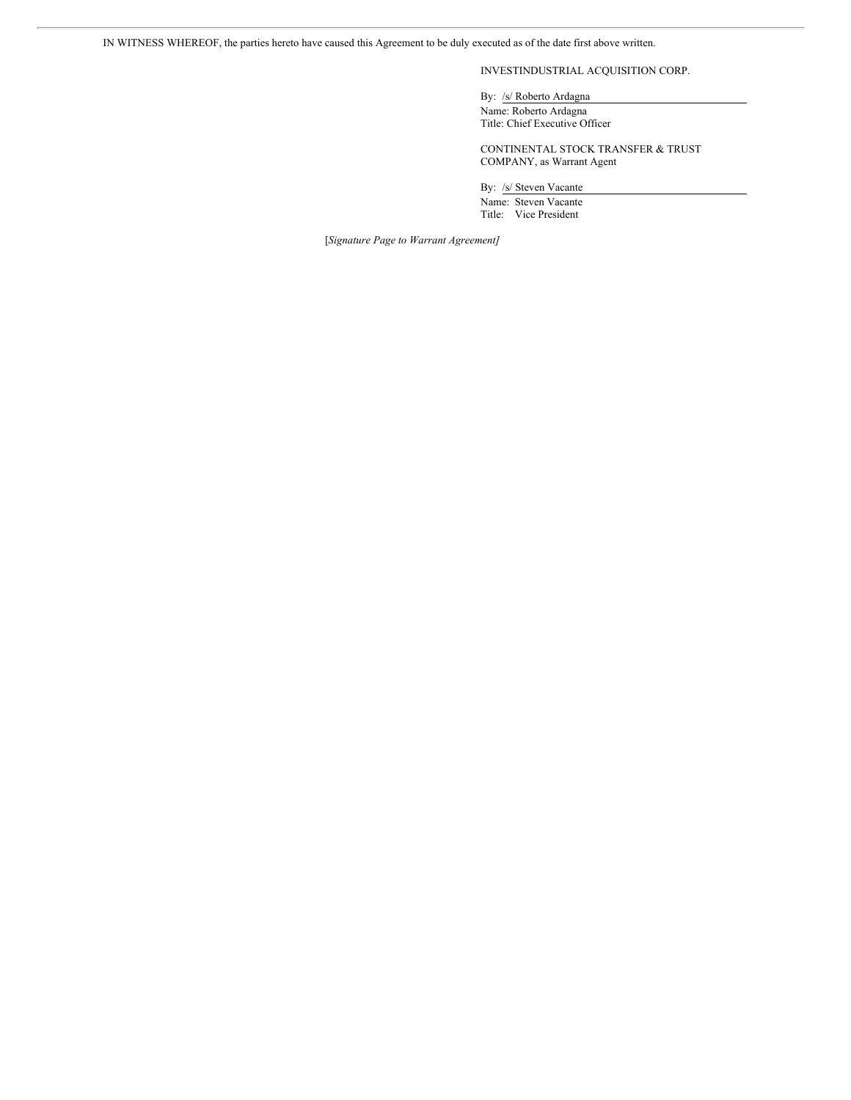IN WITNESS WHEREOF, the parties hereto have caused this Agreement to be duly executed as of the date first above written.

# INVESTINDUSTRIAL ACQUISITION CORP.

By: /s/ Roberto Ardagna Name: Roberto Ardagna Title: Chief Executive Officer

CONTINENTAL STOCK TRANSFER & TRUST COMPANY, as Warrant Agent

By: /s/ Steven Vacante

Name: Steven Vacante Title: Vice President

[*Signature Page to Warrant Agreement]*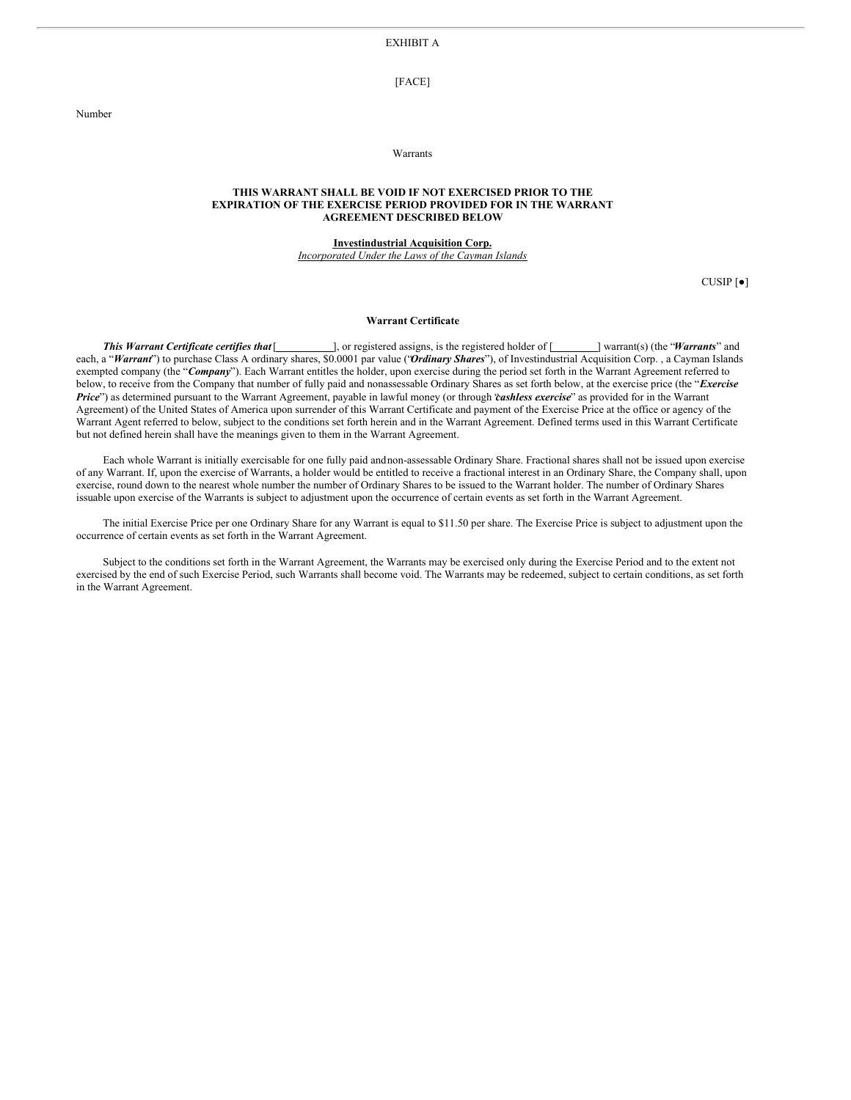EXHIBIT A

[FACE]

Warrants

### **THIS WARRANT SHALL BE VOID IF NOT EXERCISED PRIOR TO THE EXPIRATION OF THE EXERCISE PERIOD PROVIDED FOR IN THE WARRANT AGREEMENT DESCRIBED BELOW**

**Investindustrial Acquisition Corp.**

*Incorporated Under the Laws of the Cayman Islands*

CUSIP [●]

#### **Warrant Certificate**

*This Warrant Certificate certifies that* [  $\qquad \qquad$ ], or registered assigns, is the registered holder of [  $\qquad \qquad$  ] warrant(s) (the "*Warrants*" and each, a "Warrant") to purchase Class A ordinary shares, \$0.0001 par value ("Ordinary Shares"), of Investindustrial Acquisition Corp., a Cayman Islands exempted company (the "*Company*"). Each Warrant entitles the holder, upon exercise during the period set forth in the Warrant Agreement referred to below, to receive from the Company that number of fully paid and nonassessable Ordinary Shares as set forth below, at the exercise price (the "*Exercise Price*") as determined pursuant to the Warrant Agreement, payable in lawful money (or through "*cashless exercise*" as provided for in the Warrant Agreement) of the United States of America upon surrender of this Warrant Certificate and payment of the Exercise Price at the office or agency of the Warrant Agent referred to below, subject to the conditions set forth herein and in the Warrant Agreement. Defined terms used in this Warrant Certificate but not defined herein shall have the meanings given to them in the Warrant Agreement.

Each whole Warrant is initially exercisable for one fully paid andnon-assessable Ordinary Share. Fractional shares shall not be issued upon exercise of any Warrant. If, upon the exercise of Warrants, a holder would be entitled to receive a fractional interest in an Ordinary Share, the Company shall, upon exercise, round down to the nearest whole number the number of Ordinary Shares to be issued to the Warrant holder. The number of Ordinary Shares issuable upon exercise of the Warrants is subject to adjustment upon the occurrence of certain events as set forth in the Warrant Agreement.

The initial Exercise Price per one Ordinary Share for any Warrant is equal to \$11.50 per share. The Exercise Price is subject to adjustment upon the occurrence of certain events as set forth in the Warrant Agreement.

Subject to the conditions set forth in the Warrant Agreement, the Warrants may be exercised only during the Exercise Period and to the extent not exercised by the end of such Exercise Period, such Warrants shall become void. The Warrants may be redeemed, subject to certain conditions, as set forth in the Warrant Agreement.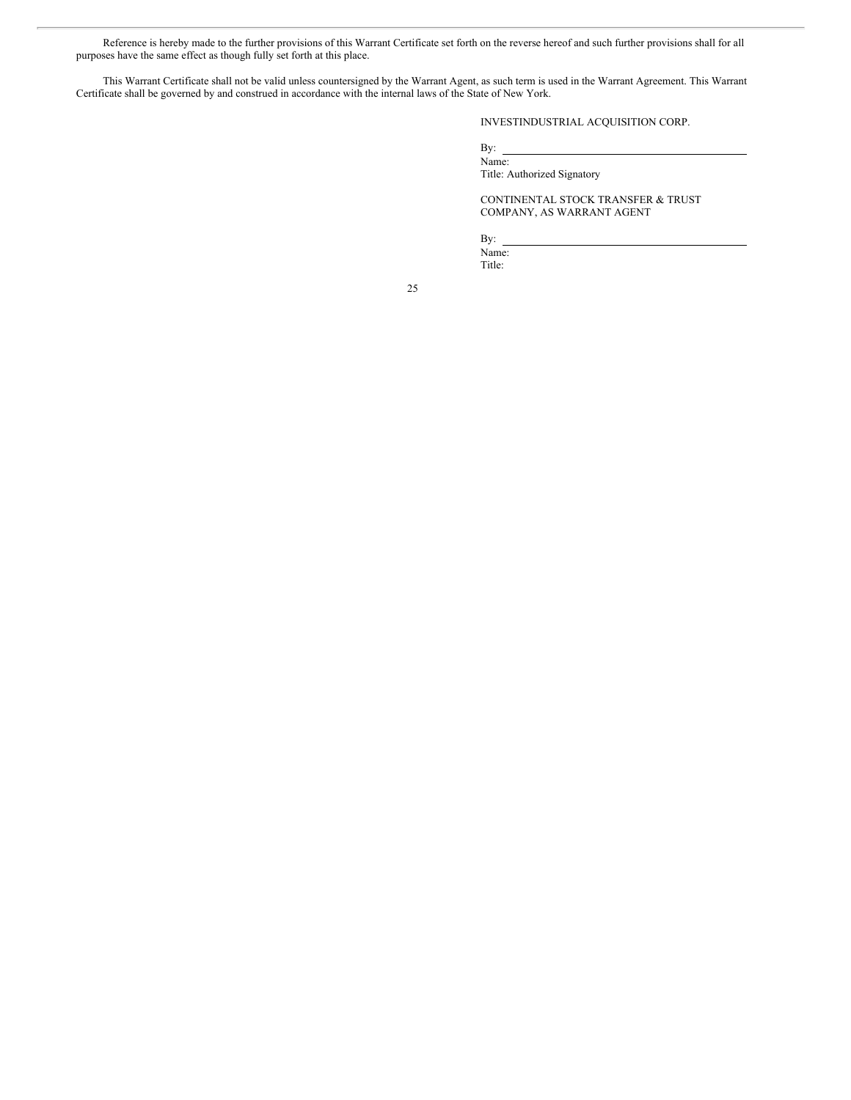Reference is hereby made to the further provisions of this Warrant Certificate set forth on the reverse hereof and such further provisions shall for all purposes have the same effect as though fully set forth at this place.

This Warrant Certificate shall not be valid unless countersigned by the Warrant Agent, as such term is used in the Warrant Agreement. This Warrant Certificate shall be governed by and construed in accordance with the internal laws of the State of New York.

INVESTINDUSTRIAL ACQUISITION CORP.

By:

Name: Title: Authorized Signatory

CONTINENTAL STOCK TRANSFER & TRUST COMPANY, AS WARRANT AGENT

By:

Name: Title: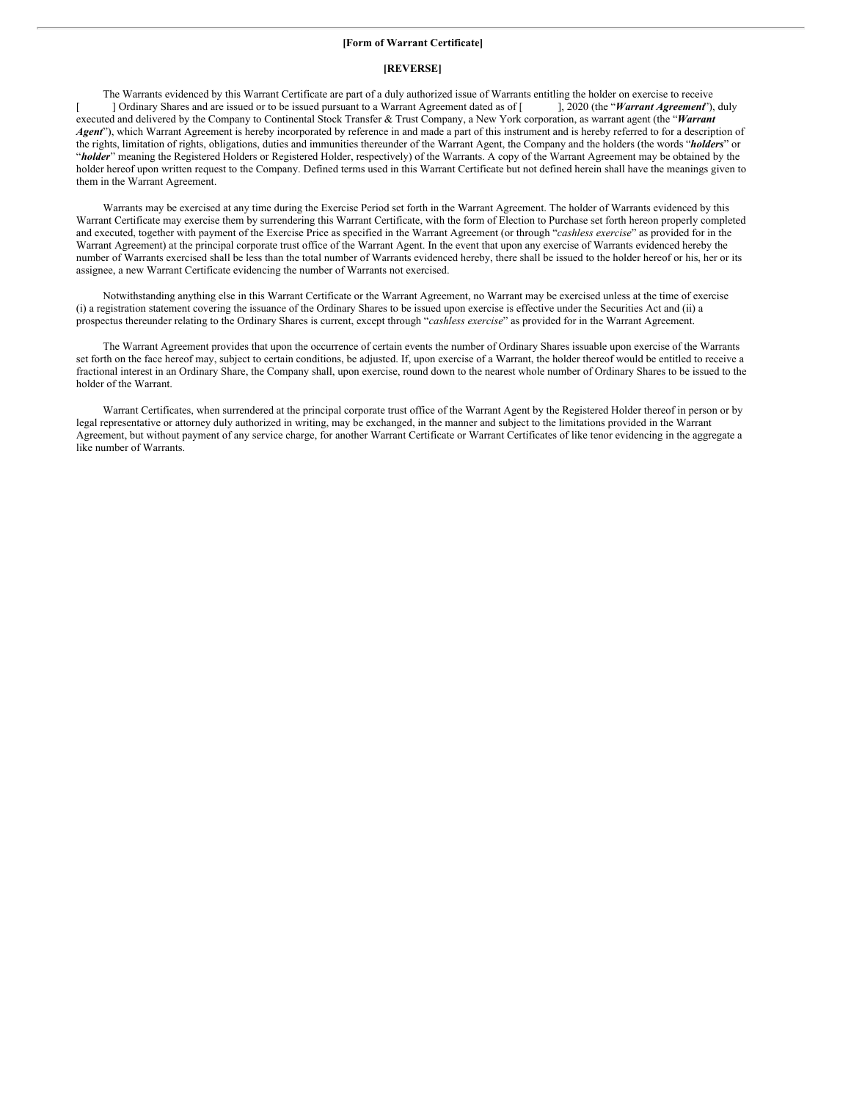### **[Form of Warrant Certificate]**

### **[REVERSE]**

The Warrants evidenced by this Warrant Certificate are part of a duly authorized issue of Warrants entitling the holder on exercise to receive<br>1 Ordinary Shares and are issued or to be issued pursuant to a Warrant Agreemen [  $\Box$  ] Ordinary Shares and are issued or to be issued pursuant to a Warrant Agreement dated as of [ executed and delivered by the Company to Continental Stock Transfer & Trust Company, a New York corporation, as warrant agent (the "*Warrant Agent*"), which Warrant Agreement is hereby incorporated by reference in and made a part of this instrument and is hereby referred to for a description of the rights, limitation of rights, obligations, duties and immunities thereunder of the Warrant Agent, the Company and the holders (the words "*holders*" or "*holder*" meaning the Registered Holders or Registered Holder, respectively) of the Warrants. A copy of the Warrant Agreement may be obtained by the holder hereof upon written request to the Company. Defined terms used in this Warrant Certificate but not defined herein shall have the meanings given to them in the Warrant Agreement.

Warrants may be exercised at any time during the Exercise Period set forth in the Warrant Agreement. The holder of Warrants evidenced by this Warrant Certificate may exercise them by surrendering this Warrant Certificate, with the form of Election to Purchase set forth hereon properly completed and executed, together with payment of the Exercise Price as specified in the Warrant Agreement (or through "*cashless exercise*" as provided for in the Warrant Agreement) at the principal corporate trust office of the Warrant Agent. In the event that upon any exercise of Warrants evidenced hereby the number of Warrants exercised shall be less than the total number of Warrants evidenced hereby, there shall be issued to the holder hereof or his, her or its assignee, a new Warrant Certificate evidencing the number of Warrants not exercised.

Notwithstanding anything else in this Warrant Certificate or the Warrant Agreement, no Warrant may be exercised unless at the time of exercise (i) a registration statement covering the issuance of the Ordinary Shares to be issued upon exercise is effective under the Securities Act and (ii) a prospectus thereunder relating to the Ordinary Shares is current, except through "*cashless exercise*" as provided for in the Warrant Agreement.

The Warrant Agreement provides that upon the occurrence of certain events the number of Ordinary Shares issuable upon exercise of the Warrants set forth on the face hereof may, subject to certain conditions, be adjusted. If, upon exercise of a Warrant, the holder thereof would be entitled to receive a fractional interest in an Ordinary Share, the Company shall, upon exercise, round down to the nearest whole number of Ordinary Shares to be issued to the holder of the Warrant.

Warrant Certificates, when surrendered at the principal corporate trust office of the Warrant Agent by the Registered Holder thereof in person or by legal representative or attorney duly authorized in writing, may be exchanged, in the manner and subject to the limitations provided in the Warrant Agreement, but without payment of any service charge, for another Warrant Certificate or Warrant Certificates of like tenor evidencing in the aggregate a like number of Warrants.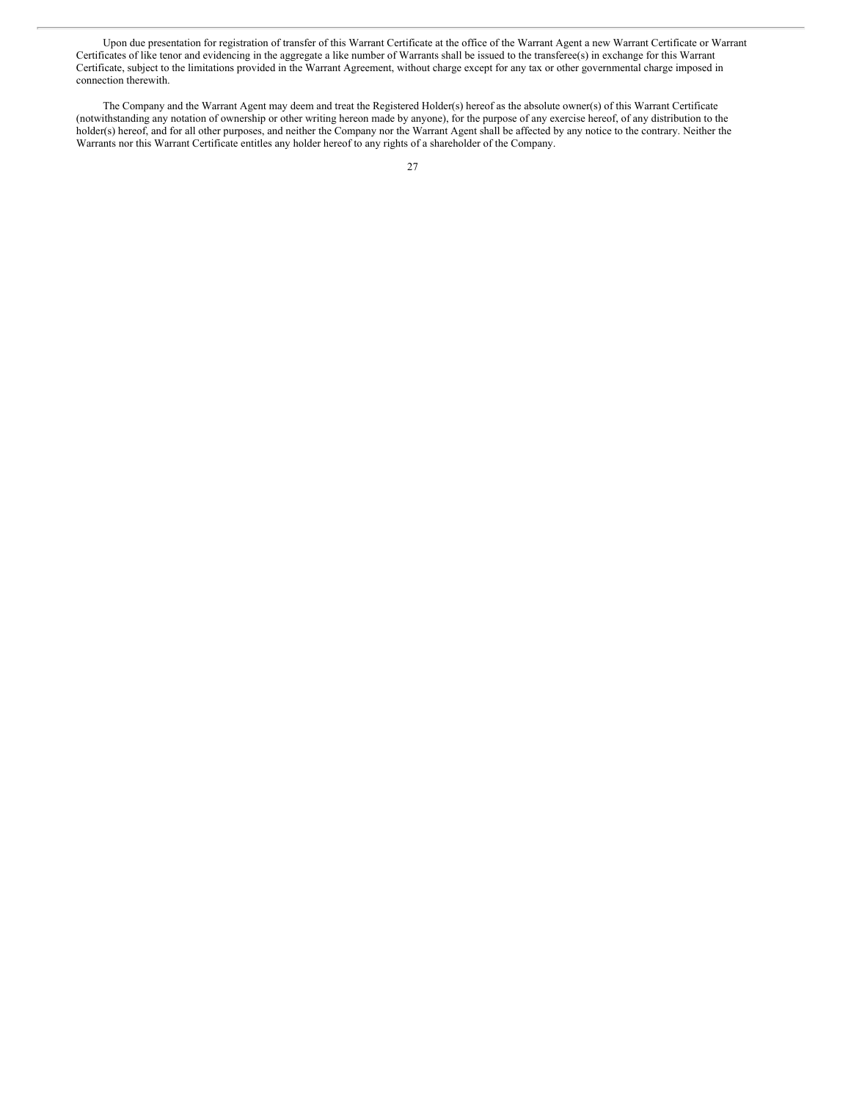Upon due presentation for registration of transfer of this Warrant Certificate at the office of the Warrant Agent a new Warrant Certificate or Warrant Certificates of like tenor and evidencing in the aggregate a like number of Warrants shall be issued to the transferee(s) in exchange for this Warrant Certificate, subject to the limitations provided in the Warrant Agreement, without charge except for any tax or other governmental charge imposed in connection therewith.

The Company and the Warrant Agent may deem and treat the Registered Holder(s) hereof as the absolute owner(s) of this Warrant Certificate (notwithstanding any notation of ownership or other writing hereon made by anyone), for the purpose of any exercise hereof, of any distribution to the holder(s) hereof, and for all other purposes, and neither the Company nor the Warrant Agent shall be affected by any notice to the contrary. Neither the Warrants nor this Warrant Certificate entitles any holder hereof to any rights of a shareholder of the Company.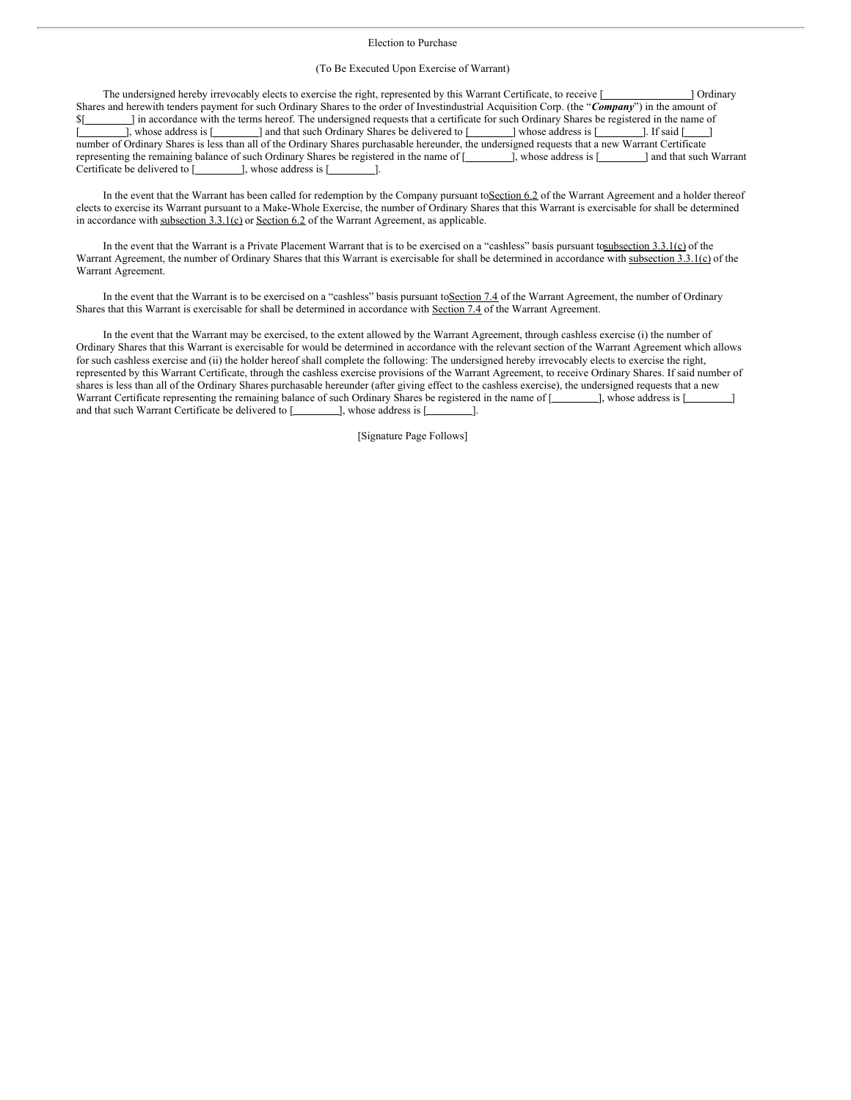#### Election to Purchase

#### (To Be Executed Upon Exercise of Warrant)

The undersigned hereby irrevocably elects to exercise the right, represented by this Warrant Certificate, to receive [  $\Box$  ] Ordinary Shares and herewith tenders payment for such Ordinary Shares to the order of Investindustrial Acquisition Corp. (the "*Company*") in the amount of \$[ ] in accordance with the terms hereof. The undersigned requests that a certificate for such Ordinary Shares be registered in the name of [ ], whose address is [ ] and that such Ordinary Shares be delivered to [ ] whose address is [ ]. If said [ number of Ordinary Shares is less than all of the Ordinary Shares purchasable hereunder, the undersigned requests that a new Warrant Certificate representing the remaining balance of such Ordinary Shares be registered in the name of [  $\qquad \qquad$ ], whose address is [  $\qquad \qquad$  and that such Warrant Certificate be delivered to  $[$   $]$ , whose address is  $[$   $]$ .

In the event that the Warrant has been called for redemption by the Company pursuant to**Section 6.2** of the Warrant Agreement and a holder thereof elects to exercise its Warrant pursuant to a Make-Whole Exercise, the number of Ordinary Shares that this Warrant is exercisable for shall be determined in accordance with subsection 3.3.1(c) or Section 6.2 of the Warrant Agreement, as applicable.

In the event that the Warrant is a Private Placement Warrant that is to be exercised on a "cashless" basis pursuant tosubsection 3.3.1(c) of the Warrant Agreement, the number of Ordinary Shares that this Warrant is exercisable for shall be determined in accordance with subsection 3.3.1(c) of the Warrant Agreement.

In the event that the Warrant is to be exercised on a "cashless" basis pursuant to Section 7.4 of the Warrant Agreement, the number of Ordinary Shares that this Warrant is exercisable for shall be determined in accordance with Section 7.4 of the Warrant Agreement.

In the event that the Warrant may be exercised, to the extent allowed by the Warrant Agreement, through cashless exercise (i) the number of Ordinary Shares that this Warrant is exercisable for would be determined in accordance with the relevant section of the Warrant Agreement which allows for such cashless exercise and (ii) the holder hereof shall complete the following: The undersigned hereby irrevocably elects to exercise the right, represented by this Warrant Certificate, through the cashless exercise provisions of the Warrant Agreement, to receive Ordinary Shares. If said number of shares is less than all of the Ordinary Shares purchasable hereunder (after giving effect to the cashless exercise), the undersigned requests that a new Warrant Certificate representing the remaining balance of such Ordinary Shares be registered in the name of [  $\qquad$  ], whose address is [ and that such Warrant Certificate be delivered to [ ], whose address is [ ].

[Signature Page Follows]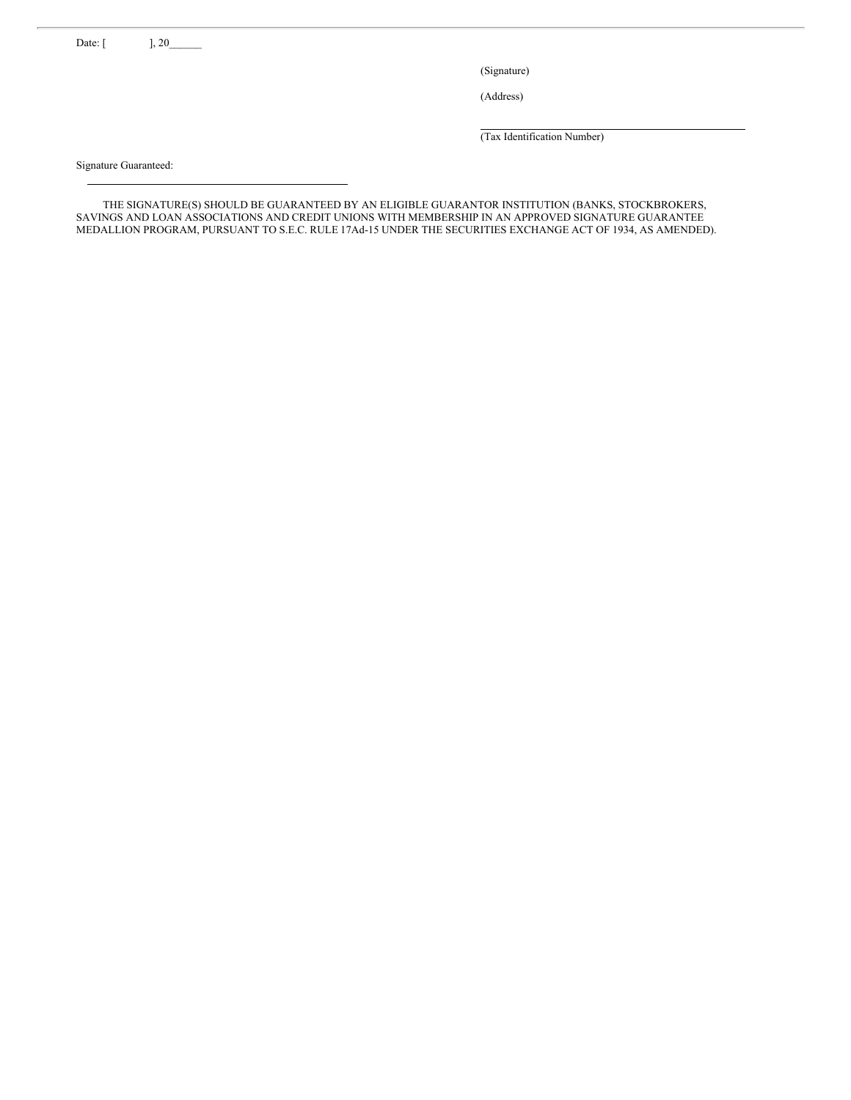Date: [ ], 20\_

(Signature)

(Address)

(Tax Identification Number)

Signature Guaranteed:

THE SIGNATURE(S) SHOULD BE GUARANTEED BY AN ELIGIBLE GUARANTOR INSTITUTION (BANKS, STOCKBROKERS, SAVINGS AND LOAN ASSOCIATIONS AND CREDIT UNIONS WITH MEMBERSHIP IN AN APPROVED SIGNATURE GUARANTEE MEDALLION PROGRAM, PURSUANT TO S.E.C. RULE 17Ad-15 UNDER THE SECURITIES EXCHANGE ACT OF 1934, AS AMENDED).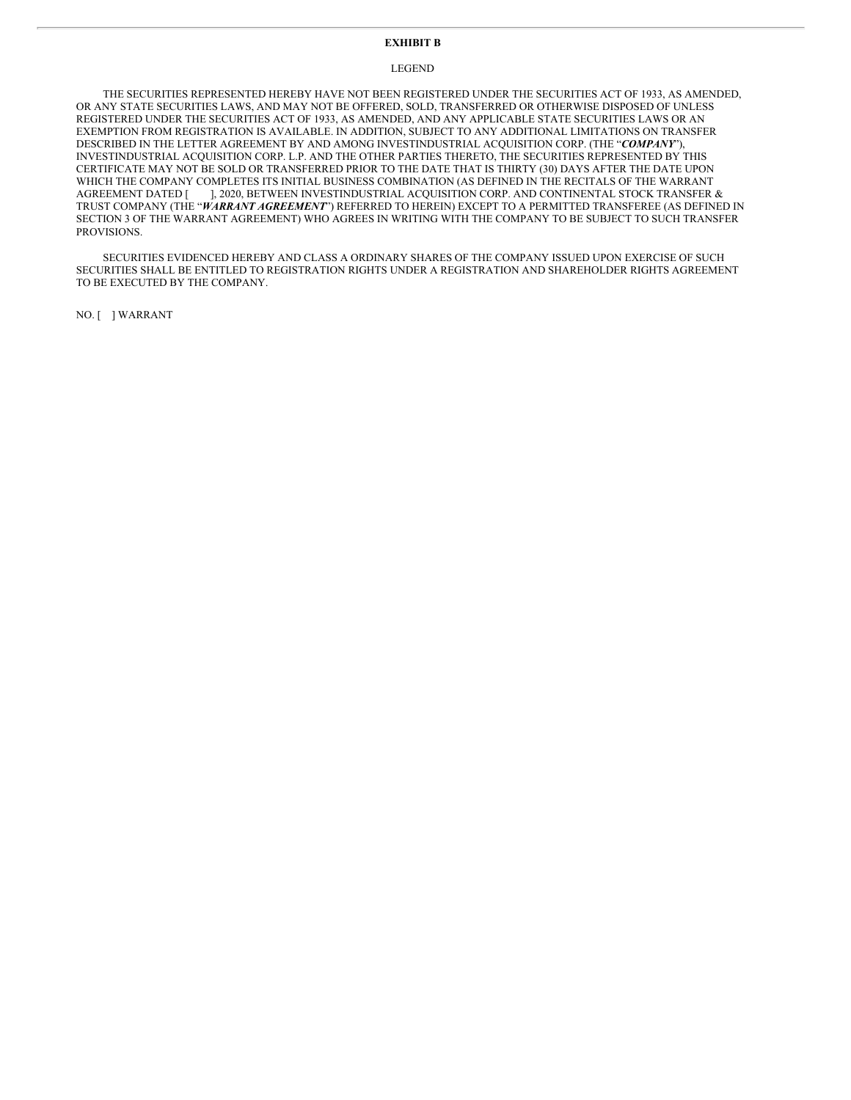# **EXHIBIT B**

### LEGEND

THE SECURITIES REPRESENTED HEREBY HAVE NOT BEEN REGISTERED UNDER THE SECURITIES ACT OF 1933, AS AMENDED, OR ANY STATE SECURITIES LAWS, AND MAY NOT BE OFFERED, SOLD, TRANSFERRED OR OTHERWISE DISPOSED OF UNLESS REGISTERED UNDER THE SECURITIES ACT OF 1933, AS AMENDED, AND ANY APPLICABLE STATE SECURITIES LAWS OR AN EXEMPTION FROM REGISTRATION IS AVAILABLE. IN ADDITION, SUBJECT TO ANY ADDITIONAL LIMITATIONS ON TRANSFER DESCRIBED IN THE LETTER AGREEMENT BY AND AMONG INVESTINDUSTRIAL ACQUISITION CORP. (THE "*COMPANY*"), INVESTINDUSTRIAL ACQUISITION CORP. L.P. AND THE OTHER PARTIES THERETO, THE SECURITIES REPRESENTED BY THIS CERTIFICATE MAY NOT BE SOLD OR TRANSFERRED PRIOR TO THE DATE THAT IS THIRTY (30) DAYS AFTER THE DATE UPON WHICH THE COMPANY COMPLETES ITS INITIAL BUSINESS COMBINATION (AS DEFINED IN THE RECITALS OF THE WARRANT AGREEMENT DATED [ ], 2020, BETWEEN INVESTINDUSTRIAL ACQUISITION CORP. AND CONTINENTAL STOCK TRANSFER & TRUST COMPANY (THE "*WARRANT AGREEMENT*") REFERRED TO HEREIN) EXCEPT TO A PERMITTED TRANSFEREE (AS DEFINED IN SECTION 3 OF THE WARRANT AGREEMENT) WHO AGREES IN WRITING WITH THE COMPANY TO BE SUBJECT TO SUCH TRANSFER PROVISIONS.

SECURITIES EVIDENCED HEREBY AND CLASS A ORDINARY SHARES OF THE COMPANY ISSUED UPON EXERCISE OF SUCH SECURITIES SHALL BE ENTITLED TO REGISTRATION RIGHTS UNDER A REGISTRATION AND SHAREHOLDER RIGHTS AGREEMENT TO BE EXECUTED BY THE COMPANY.

NO. [ ] WARRANT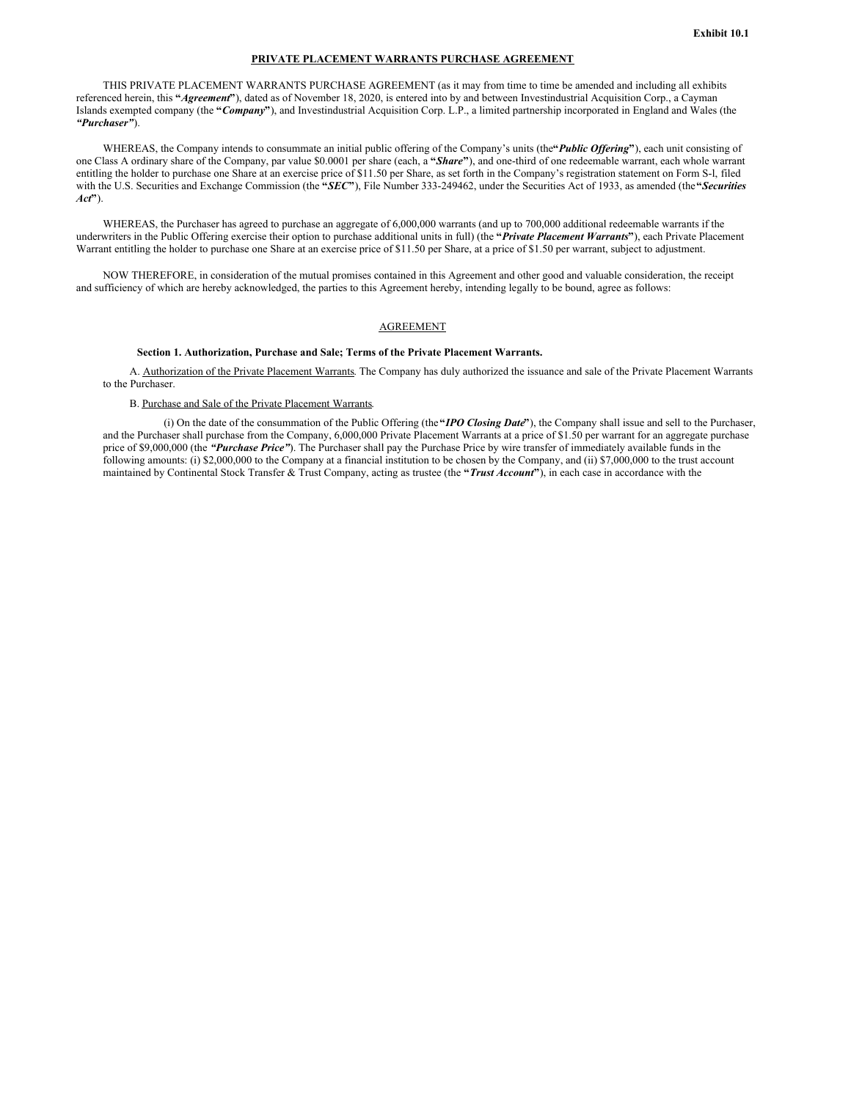## **PRIVATE PLACEMENT WARRANTS PURCHASE AGREEMENT**

THIS PRIVATE PLACEMENT WARRANTS PURCHASE AGREEMENT (as it may from time to time be amended and including all exhibits referenced herein, this **"***Agreement***"**), dated as of November 18, 2020, is entered into by and between Investindustrial Acquisition Corp., a Cayman Islands exempted company (the **"***Company***"**), and Investindustrial Acquisition Corp. L.P., a limited partnership incorporated in England and Wales (the *"Purchaser"*).

WHEREAS, the Company intends to consummate an initial public offering of the Company's units (the"*Public Offering*"), each unit consisting of one Class A ordinary share of the Company, par value \$0.0001 per share (each, a **"***Share***"**), and one-third of one redeemable warrant, each whole warrant entitling the holder to purchase one Share at an exercise price of \$11.50 per Share, as set forth in the Company's registration statement on Form S-l, filed with the U.S. Securities and Exchange Commission (the **"***SEC***"**), File Number 333-249462, under the Securities Act of 1933, as amended (the**"***Securities Act***"**).

WHEREAS, the Purchaser has agreed to purchase an aggregate of 6,000,000 warrants (and up to 700,000 additional redeemable warrants if the underwriters in the Public Offering exercise their option to purchase additional units in full) (the **"***Private Placement Warrants***"**), each Private Placement Warrant entitling the holder to purchase one Share at an exercise price of \$11.50 per Share, at a price of \$1.50 per warrant, subject to adjustment.

NOW THEREFORE, in consideration of the mutual promises contained in this Agreement and other good and valuable consideration, the receipt and sufficiency of which are hereby acknowledged, the parties to this Agreement hereby, intending legally to be bound, agree as follows:

# AGREEMENT

### **Section 1. Authorization, Purchase and Sale; Terms of the Private Placement Warrants.**

A. Authorization of the Private Placement Warrants. The Company has duly authorized the issuance and sale of the Private Placement Warrants to the Purchaser.

## B. Purchase and Sale of the Private Placement Warrants.

(i) On the date of the consummation of the Public Offering (the**"***IPO Closing Date***"**), the Company shall issue and sell to the Purchaser, and the Purchaser shall purchase from the Company, 6,000,000 Private Placement Warrants at a price of \$1.50 per warrant for an aggregate purchase price of \$9,000,000 (the *"Purchase Price"*). The Purchaser shall pay the Purchase Price by wire transfer of immediately available funds in the following amounts: (i) \$2,000,000 to the Company at a financial institution to be chosen by the Company, and (ii) \$7,000,000 to the trust account maintained by Continental Stock Transfer & Trust Company, acting as trustee (the **"***Trust Account***"**), in each case in accordance with the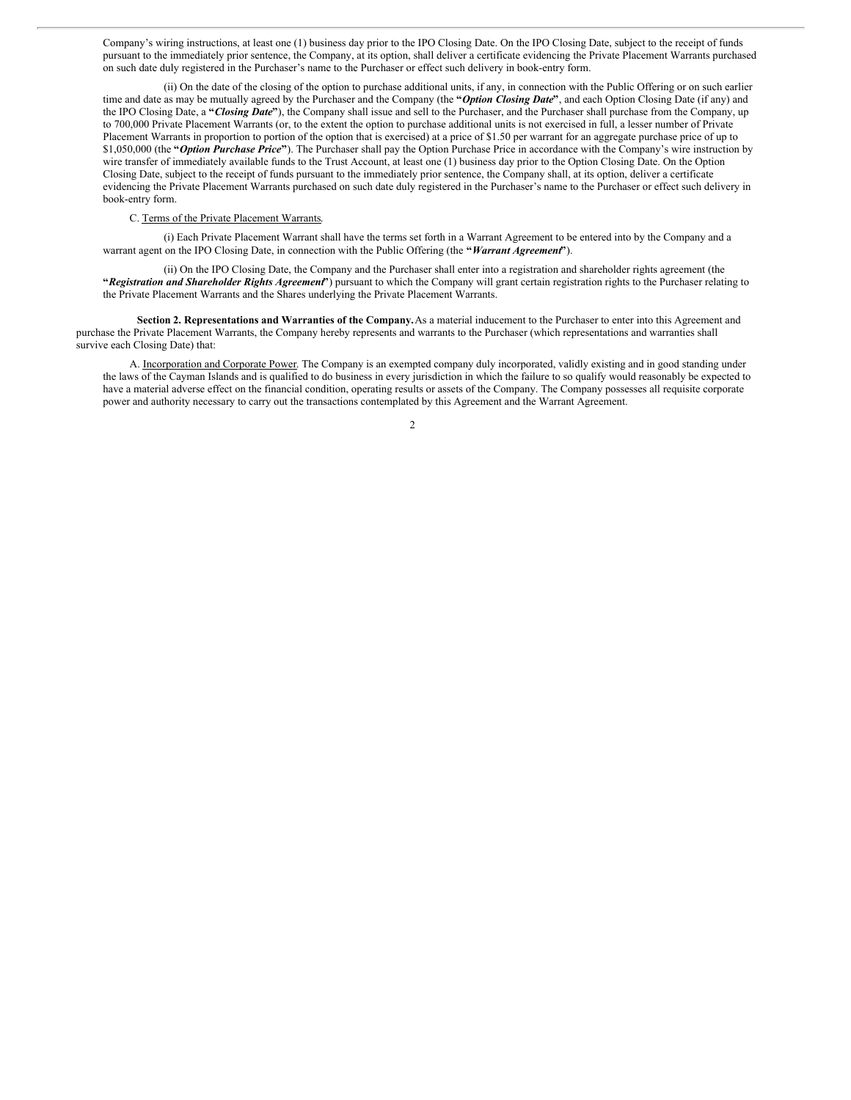Company's wiring instructions, at least one (1) business day prior to the IPO Closing Date. On the IPO Closing Date, subject to the receipt of funds pursuant to the immediately prior sentence, the Company, at its option, shall deliver a certificate evidencing the Private Placement Warrants purchased on such date duly registered in the Purchaser's name to the Purchaser or effect such delivery in book-entry form.

(ii) On the date of the closing of the option to purchase additional units, if any, in connection with the Public Offering or on such earlier time and date as may be mutually agreed by the Purchaser and the Company (the **"***Option Closing Date***"**, and each Option Closing Date (if any) and the IPO Closing Date, a **"***Closing Date***"**), the Company shall issue and sell to the Purchaser, and the Purchaser shall purchase from the Company, up to 700,000 Private Placement Warrants (or, to the extent the option to purchase additional units is not exercised in full, a lesser number of Private Placement Warrants in proportion to portion of the option that is exercised) at a price of \$1.50 per warrant for an aggregate purchase price of up to \$1,050,000 (the **"***Option Purchase Price***"**). The Purchaser shall pay the Option Purchase Price in accordance with the Company's wire instruction by wire transfer of immediately available funds to the Trust Account, at least one (1) business day prior to the Option Closing Date. On the Option Closing Date, subject to the receipt of funds pursuant to the immediately prior sentence, the Company shall, at its option, deliver a certificate evidencing the Private Placement Warrants purchased on such date duly registered in the Purchaser's name to the Purchaser or effect such delivery in book-entry form.

### C. Terms of the Private Placement Warrants.

(i) Each Private Placement Warrant shall have the terms set forth in a Warrant Agreement to be entered into by the Company and a warrant agent on the IPO Closing Date, in connection with the Public Offering (the **"***Warrant Agreement***"**).

(ii) On the IPO Closing Date, the Company and the Purchaser shall enter into a registration and shareholder rights agreement (the **"***Registration and Shareholder Rights Agreement***"**) pursuant to which the Company will grant certain registration rights to the Purchaser relating to the Private Placement Warrants and the Shares underlying the Private Placement Warrants.

**Section 2. Representations and Warranties of the Company.**As a material inducement to the Purchaser to enter into this Agreement and purchase the Private Placement Warrants, the Company hereby represents and warrants to the Purchaser (which representations and warranties shall survive each Closing Date) that:

A. Incorporation and Corporate Power. The Company is an exempted company duly incorporated, validly existing and in good standing under the laws of the Cayman Islands and is qualified to do business in every jurisdiction in which the failure to so qualify would reasonably be expected to have a material adverse effect on the financial condition, operating results or assets of the Company. The Company possesses all requisite corporate power and authority necessary to carry out the transactions contemplated by this Agreement and the Warrant Agreement.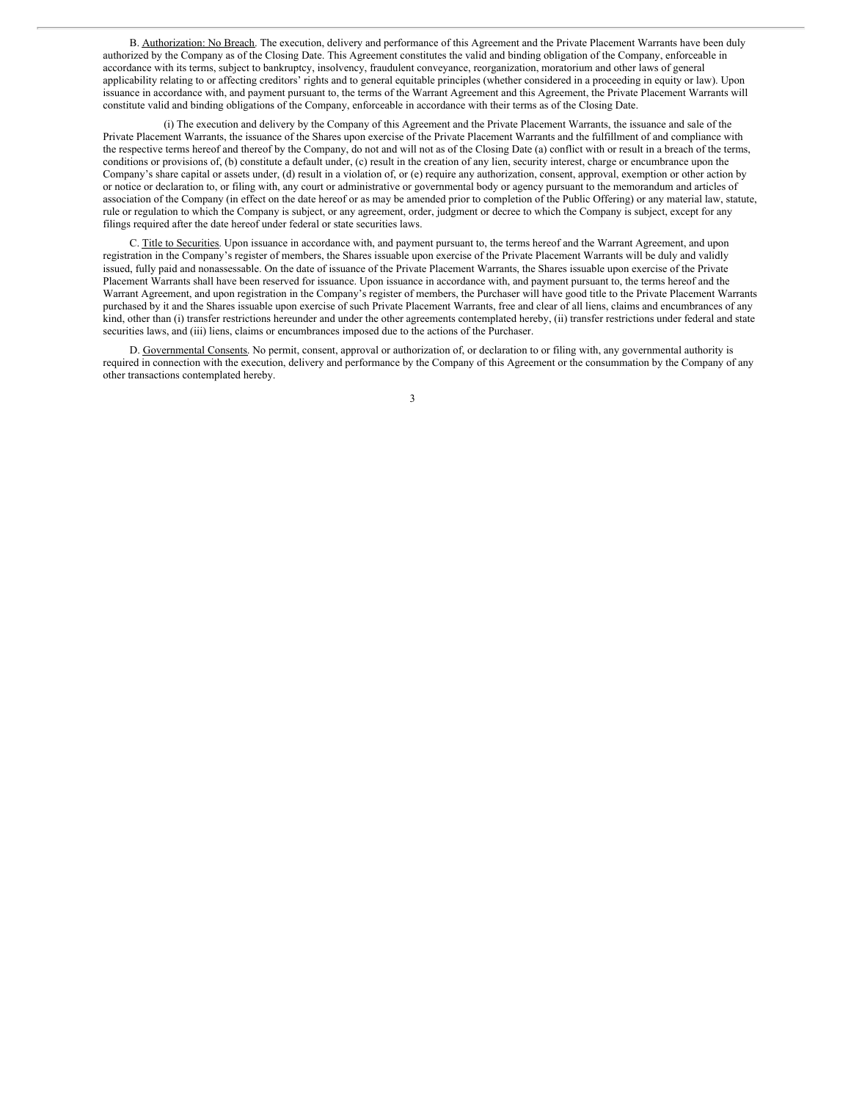B. Authorization: No Breach. The execution, delivery and performance of this Agreement and the Private Placement Warrants have been duly authorized by the Company as of the Closing Date. This Agreement constitutes the valid and binding obligation of the Company, enforceable in accordance with its terms, subject to bankruptcy, insolvency, fraudulent conveyance, reorganization, moratorium and other laws of general applicability relating to or affecting creditors' rights and to general equitable principles (whether considered in a proceeding in equity or law). Upon issuance in accordance with, and payment pursuant to, the terms of the Warrant Agreement and this Agreement, the Private Placement Warrants will constitute valid and binding obligations of the Company, enforceable in accordance with their terms as of the Closing Date.

(i) The execution and delivery by the Company of this Agreement and the Private Placement Warrants, the issuance and sale of the Private Placement Warrants, the issuance of the Shares upon exercise of the Private Placement Warrants and the fulfillment of and compliance with the respective terms hereof and thereof by the Company, do not and will not as of the Closing Date (a) conflict with or result in a breach of the terms, conditions or provisions of, (b) constitute a default under, (c) result in the creation of any lien, security interest, charge or encumbrance upon the Company's share capital or assets under, (d) result in a violation of, or (e) require any authorization, consent, approval, exemption or other action by or notice or declaration to, or filing with, any court or administrative or governmental body or agency pursuant to the memorandum and articles of association of the Company (in effect on the date hereof or as may be amended prior to completion of the Public Offering) or any material law, statute, rule or regulation to which the Company is subject, or any agreement, order, judgment or decree to which the Company is subject, except for any filings required after the date hereof under federal or state securities laws.

C. Title to Securities. Upon issuance in accordance with, and payment pursuant to, the terms hereof and the Warrant Agreement, and upon registration in the Company's register of members, the Shares issuable upon exercise of the Private Placement Warrants will be duly and validly issued, fully paid and nonassessable. On the date of issuance of the Private Placement Warrants, the Shares issuable upon exercise of the Private Placement Warrants shall have been reserved for issuance. Upon issuance in accordance with, and payment pursuant to, the terms hereof and the Warrant Agreement, and upon registration in the Company's register of members, the Purchaser will have good title to the Private Placement Warrants purchased by it and the Shares issuable upon exercise of such Private Placement Warrants, free and clear of all liens, claims and encumbrances of any kind, other than (i) transfer restrictions hereunder and under the other agreements contemplated hereby, (ii) transfer restrictions under federal and state securities laws, and (iii) liens, claims or encumbrances imposed due to the actions of the Purchaser.

D. Governmental Consents. No permit, consent, approval or authorization of, or declaration to or filing with, any governmental authority is required in connection with the execution, delivery and performance by the Company of this Agreement or the consummation by the Company of any other transactions contemplated hereby.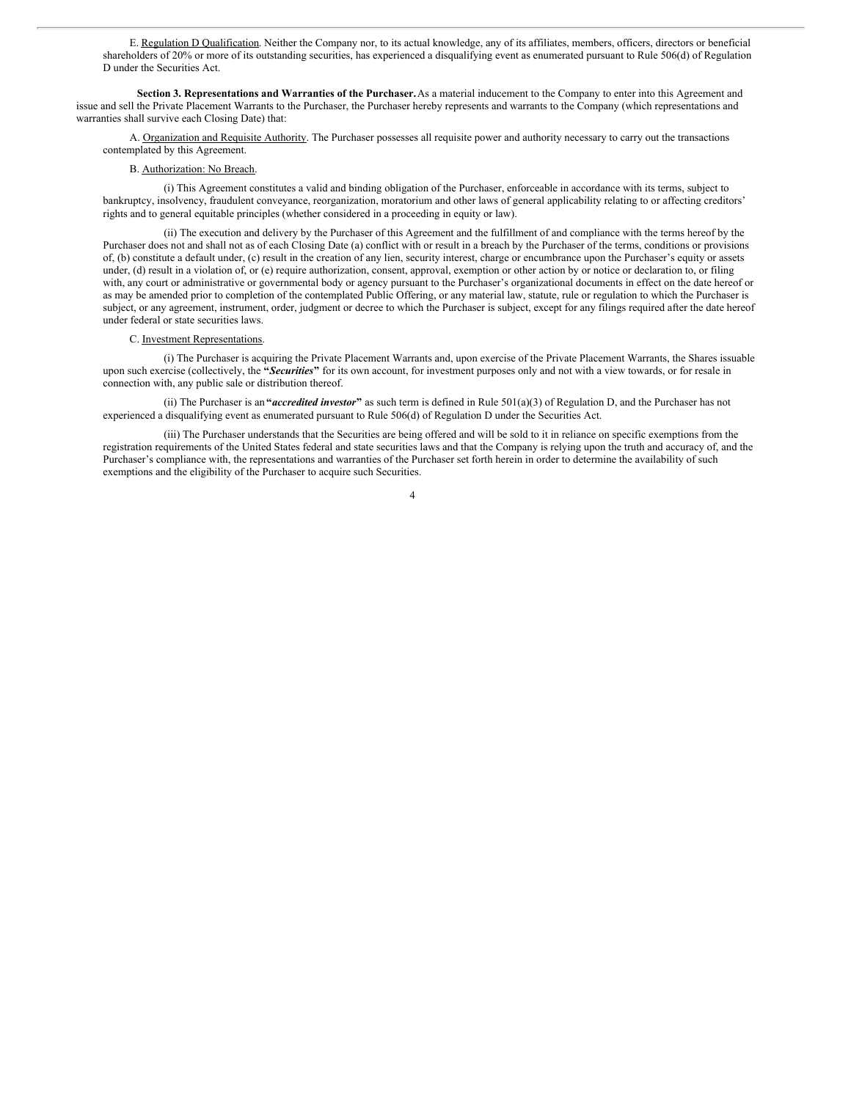E. Regulation D Qualification. Neither the Company nor, to its actual knowledge, any of its affiliates, members, officers, directors or beneficial shareholders of 20% or more of its outstanding securities, has experienced a disqualifying event as enumerated pursuant to Rule 506(d) of Regulation D under the Securities Act.

**Section 3. Representations and Warranties of the Purchaser.**As a material inducement to the Company to enter into this Agreement and issue and sell the Private Placement Warrants to the Purchaser, the Purchaser hereby represents and warrants to the Company (which representations and warranties shall survive each Closing Date) that:

A. Organization and Requisite Authority. The Purchaser possesses all requisite power and authority necessary to carry out the transactions contemplated by this Agreement.

### B. Authorization: No Breach.

(i) This Agreement constitutes a valid and binding obligation of the Purchaser, enforceable in accordance with its terms, subject to bankruptcy, insolvency, fraudulent conveyance, reorganization, moratorium and other laws of general applicability relating to or affecting creditors' rights and to general equitable principles (whether considered in a proceeding in equity or law).

(ii) The execution and delivery by the Purchaser of this Agreement and the fulfillment of and compliance with the terms hereof by the Purchaser does not and shall not as of each Closing Date (a) conflict with or result in a breach by the Purchaser of the terms, conditions or provisions of, (b) constitute a default under, (c) result in the creation of any lien, security interest, charge or encumbrance upon the Purchaser's equity or assets under, (d) result in a violation of, or (e) require authorization, consent, approval, exemption or other action by or notice or declaration to, or filing with, any court or administrative or governmental body or agency pursuant to the Purchaser's organizational documents in effect on the date hereof or as may be amended prior to completion of the contemplated Public Offering, or any material law, statute, rule or regulation to which the Purchaser is subject, or any agreement, instrument, order, judgment or decree to which the Purchaser is subject, except for any filings required after the date hereof under federal or state securities laws.

### C. Investment Representations.

(i) The Purchaser is acquiring the Private Placement Warrants and, upon exercise of the Private Placement Warrants, the Shares issuable upon such exercise (collectively, the **"***Securities***"** for its own account, for investment purposes only and not with a view towards, or for resale in connection with, any public sale or distribution thereof.

(ii) The Purchaser is an **"***accredited investor***"** as such term is defined in Rule 501(a)(3) of Regulation D, and the Purchaser has not experienced a disqualifying event as enumerated pursuant to Rule 506(d) of Regulation D under the Securities Act.

(iii) The Purchaser understands that the Securities are being offered and will be sold to it in reliance on specific exemptions from the registration requirements of the United States federal and state securities laws and that the Company is relying upon the truth and accuracy of, and the Purchaser's compliance with, the representations and warranties of the Purchaser set forth herein in order to determine the availability of such exemptions and the eligibility of the Purchaser to acquire such Securities.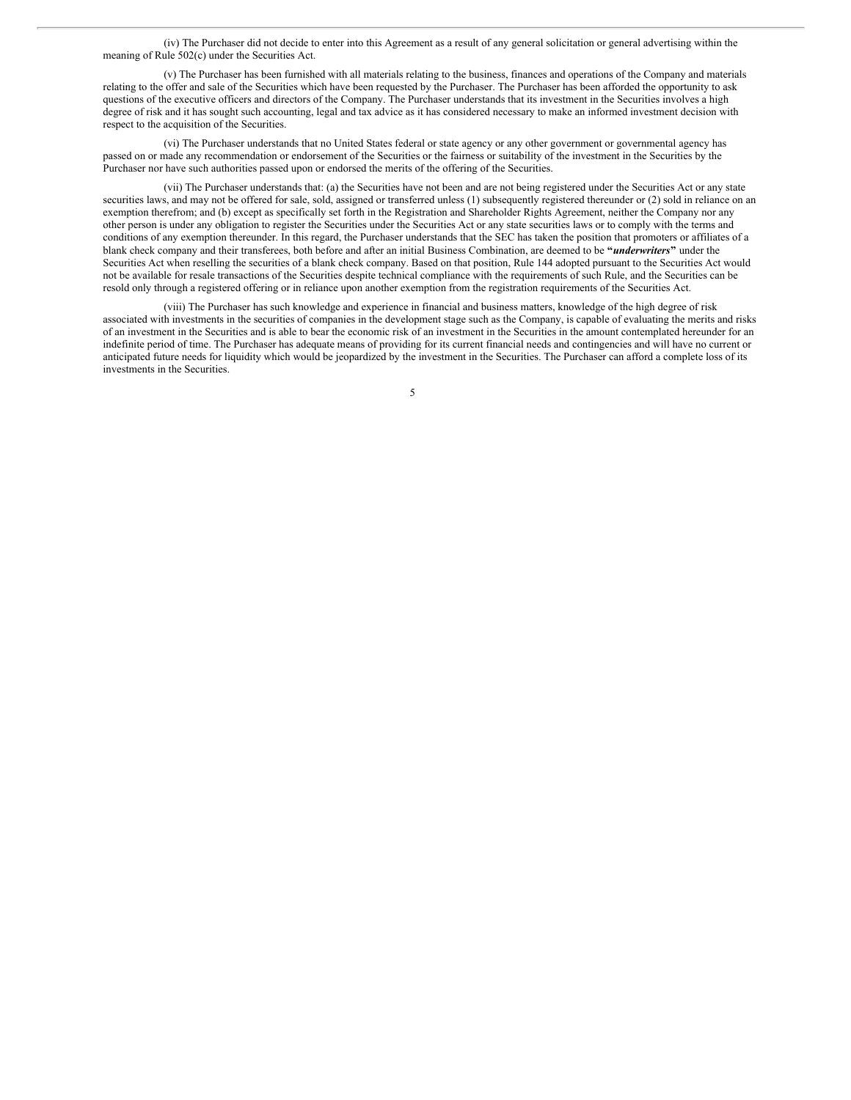(iv) The Purchaser did not decide to enter into this Agreement as a result of any general solicitation or general advertising within the meaning of Rule 502(c) under the Securities Act.

(v) The Purchaser has been furnished with all materials relating to the business, finances and operations of the Company and materials relating to the offer and sale of the Securities which have been requested by the Purchaser. The Purchaser has been afforded the opportunity to ask questions of the executive officers and directors of the Company. The Purchaser understands that its investment in the Securities involves a high degree of risk and it has sought such accounting, legal and tax advice as it has considered necessary to make an informed investment decision with respect to the acquisition of the Securities.

(vi) The Purchaser understands that no United States federal or state agency or any other government or governmental agency has passed on or made any recommendation or endorsement of the Securities or the fairness or suitability of the investment in the Securities by the Purchaser nor have such authorities passed upon or endorsed the merits of the offering of the Securities.

(vii) The Purchaser understands that: (a) the Securities have not been and are not being registered under the Securities Act or any state securities laws, and may not be offered for sale, sold, assigned or transferred unless (1) subsequently registered thereunder or (2) sold in reliance on an exemption therefrom; and (b) except as specifically set forth in the Registration and Shareholder Rights Agreement, neither the Company nor any other person is under any obligation to register the Securities under the Securities Act or any state securities laws or to comply with the terms and conditions of any exemption thereunder. In this regard, the Purchaser understands that the SEC has taken the position that promoters or affiliates of a blank check company and their transferees, both before and after an initial Business Combination, are deemed to be **"***underwriters***"** under the Securities Act when reselling the securities of a blank check company. Based on that position, Rule 144 adopted pursuant to the Securities Act would not be available for resale transactions of the Securities despite technical compliance with the requirements of such Rule, and the Securities can be resold only through a registered offering or in reliance upon another exemption from the registration requirements of the Securities Act.

(viii) The Purchaser has such knowledge and experience in financial and business matters, knowledge of the high degree of risk associated with investments in the securities of companies in the development stage such as the Company, is capable of evaluating the merits and risks of an investment in the Securities and is able to bear the economic risk of an investment in the Securities in the amount contemplated hereunder for an indefinite period of time. The Purchaser has adequate means of providing for its current financial needs and contingencies and will have no current or anticipated future needs for liquidity which would be jeopardized by the investment in the Securities. The Purchaser can afford a complete loss of its investments in the Securities.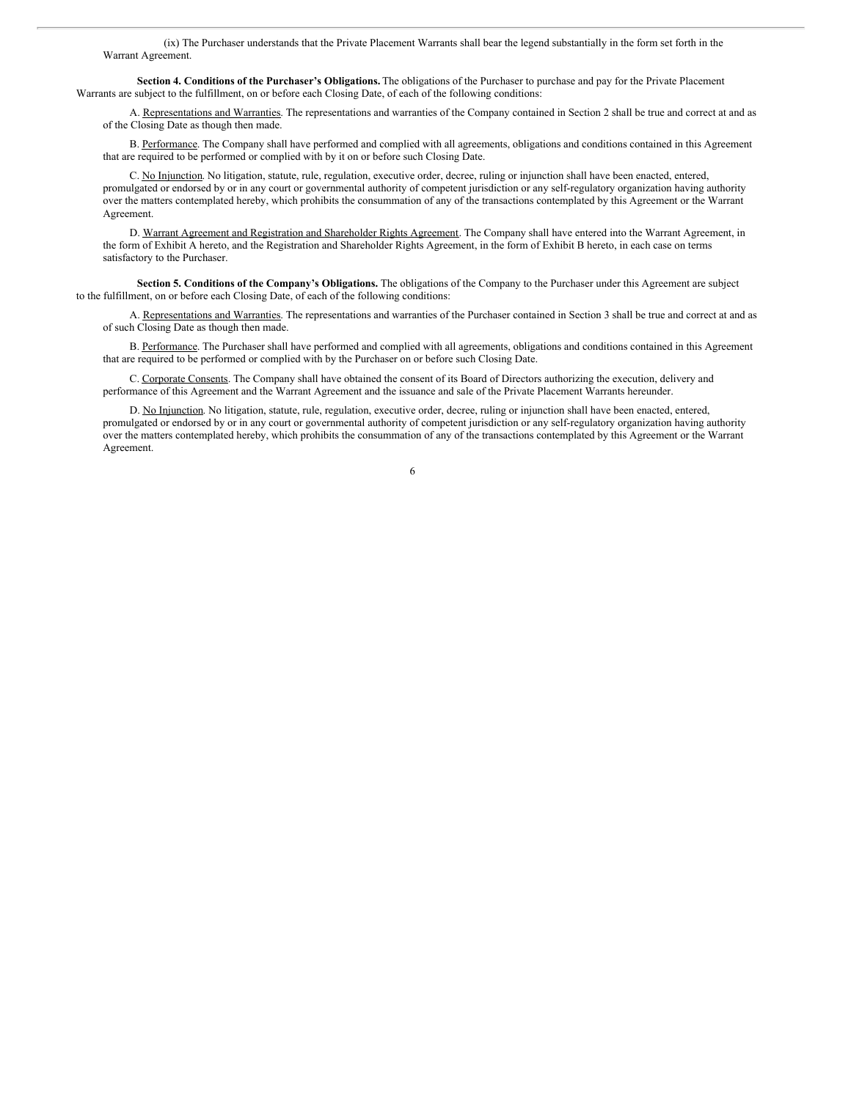(ix) The Purchaser understands that the Private Placement Warrants shall bear the legend substantially in the form set forth in the Warrant Agreement.

**Section 4. Conditions of the Purchaser's Obligations.** The obligations of the Purchaser to purchase and pay for the Private Placement Warrants are subject to the fulfillment, on or before each Closing Date, of each of the following conditions:

A. Representations and Warranties. The representations and warranties of the Company contained in Section 2 shall be true and correct at and as of the Closing Date as though then made.

B. Performance. The Company shall have performed and complied with all agreements, obligations and conditions contained in this Agreement that are required to be performed or complied with by it on or before such Closing Date.

C. No Injunction. No litigation, statute, rule, regulation, executive order, decree, ruling or injunction shall have been enacted, entered, promulgated or endorsed by or in any court or governmental authority of competent jurisdiction or any self-regulatory organization having authority over the matters contemplated hereby, which prohibits the consummation of any of the transactions contemplated by this Agreement or the Warrant Agreement.

D. Warrant Agreement and Registration and Shareholder Rights Agreement. The Company shall have entered into the Warrant Agreement, in the form of Exhibit A hereto, and the Registration and Shareholder Rights Agreement, in the form of Exhibit B hereto, in each case on terms satisfactory to the Purchaser.

**Section 5. Conditions of the Company's Obligations.** The obligations of the Company to the Purchaser under this Agreement are subject to the fulfillment, on or before each Closing Date, of each of the following conditions:

A. Representations and Warranties. The representations and warranties of the Purchaser contained in Section 3 shall be true and correct at and as of such Closing Date as though then made.

B. Performance. The Purchaser shall have performed and complied with all agreements, obligations and conditions contained in this Agreement that are required to be performed or complied with by the Purchaser on or before such Closing Date.

C. Corporate Consents. The Company shall have obtained the consent of its Board of Directors authorizing the execution, delivery and performance of this Agreement and the Warrant Agreement and the issuance and sale of the Private Placement Warrants hereunder.

D. No Injunction. No litigation, statute, rule, regulation, executive order, decree, ruling or injunction shall have been enacted, entered, promulgated or endorsed by or in any court or governmental authority of competent jurisdiction or any self-regulatory organization having authority over the matters contemplated hereby, which prohibits the consummation of any of the transactions contemplated by this Agreement or the Warrant Agreement.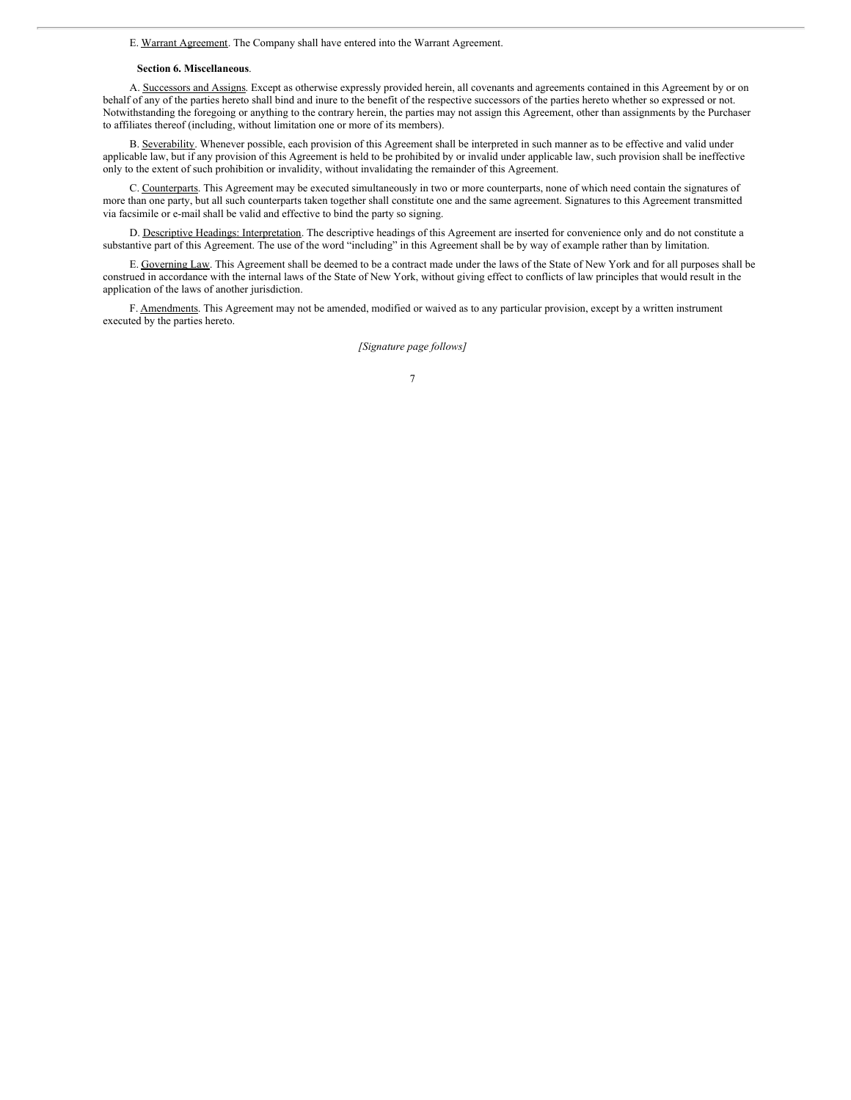### E. Warrant Agreement. The Company shall have entered into the Warrant Agreement.

#### **Section 6. Miscellaneous**.

A. Successors and Assigns. Except as otherwise expressly provided herein, all covenants and agreements contained in this Agreement by or on behalf of any of the parties hereto shall bind and inure to the benefit of the respective successors of the parties hereto whether so expressed or not. Notwithstanding the foregoing or anything to the contrary herein, the parties may not assign this Agreement, other than assignments by the Purchaser to affiliates thereof (including, without limitation one or more of its members).

B. Severability. Whenever possible, each provision of this Agreement shall be interpreted in such manner as to be effective and valid under applicable law, but if any provision of this Agreement is held to be prohibited by or invalid under applicable law, such provision shall be ineffective only to the extent of such prohibition or invalidity, without invalidating the remainder of this Agreement.

C. Counterparts. This Agreement may be executed simultaneously in two or more counterparts, none of which need contain the signatures of more than one party, but all such counterparts taken together shall constitute one and the same agreement. Signatures to this Agreement transmitted via facsimile or e-mail shall be valid and effective to bind the party so signing.

D. Descriptive Headings: Interpretation. The descriptive headings of this Agreement are inserted for convenience only and do not constitute a substantive part of this Agreement. The use of the word "including" in this Agreement shall be by way of example rather than by limitation.

E. Governing Law. This Agreement shall be deemed to be a contract made under the laws of the State of New York and for all purposes shall be construed in accordance with the internal laws of the State of New York, without giving effect to conflicts of law principles that would result in the application of the laws of another jurisdiction.

F. Amendments. This Agreement may not be amended, modified or waived as to any particular provision, except by a written instrument executed by the parties hereto.

*[Signature page follows]*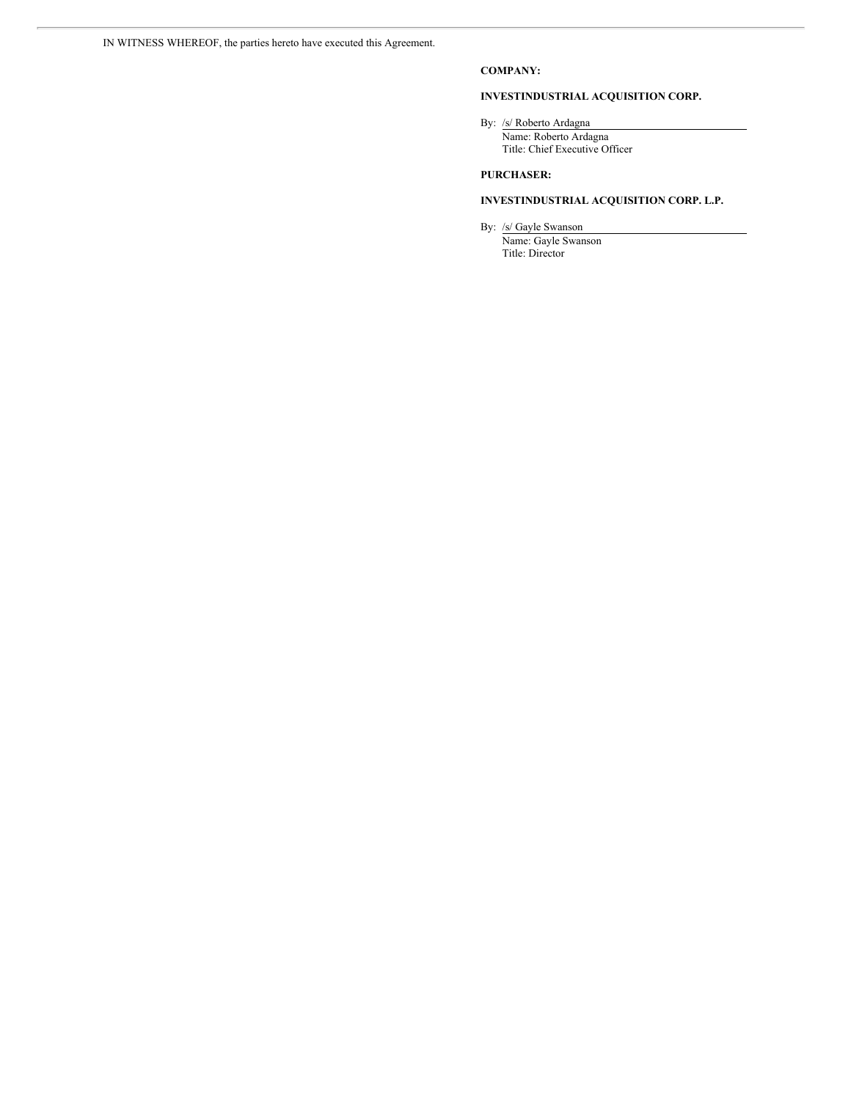# **COMPANY:**

# **INVESTINDUSTRIAL ACQUISITION CORP.**

By: /s/ Roberto Ardagna

Name: Roberto Ardagna Title: Chief Executive Officer

# **PURCHASER:**

# **INVESTINDUSTRIAL ACQUISITION CORP. L.P.**

By: /s/ Gayle Swanson

Name: Gayle Swanson Title: Director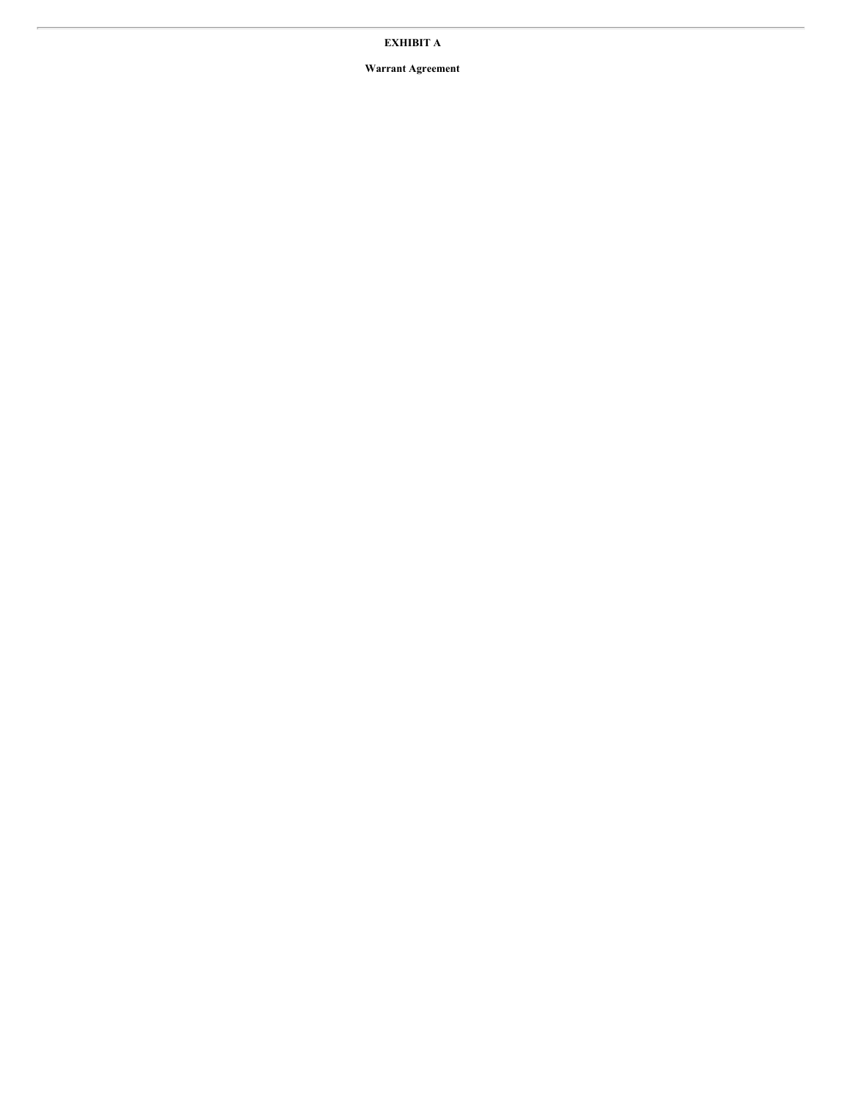# **EXHIBIT A**

**Warrant Agreement**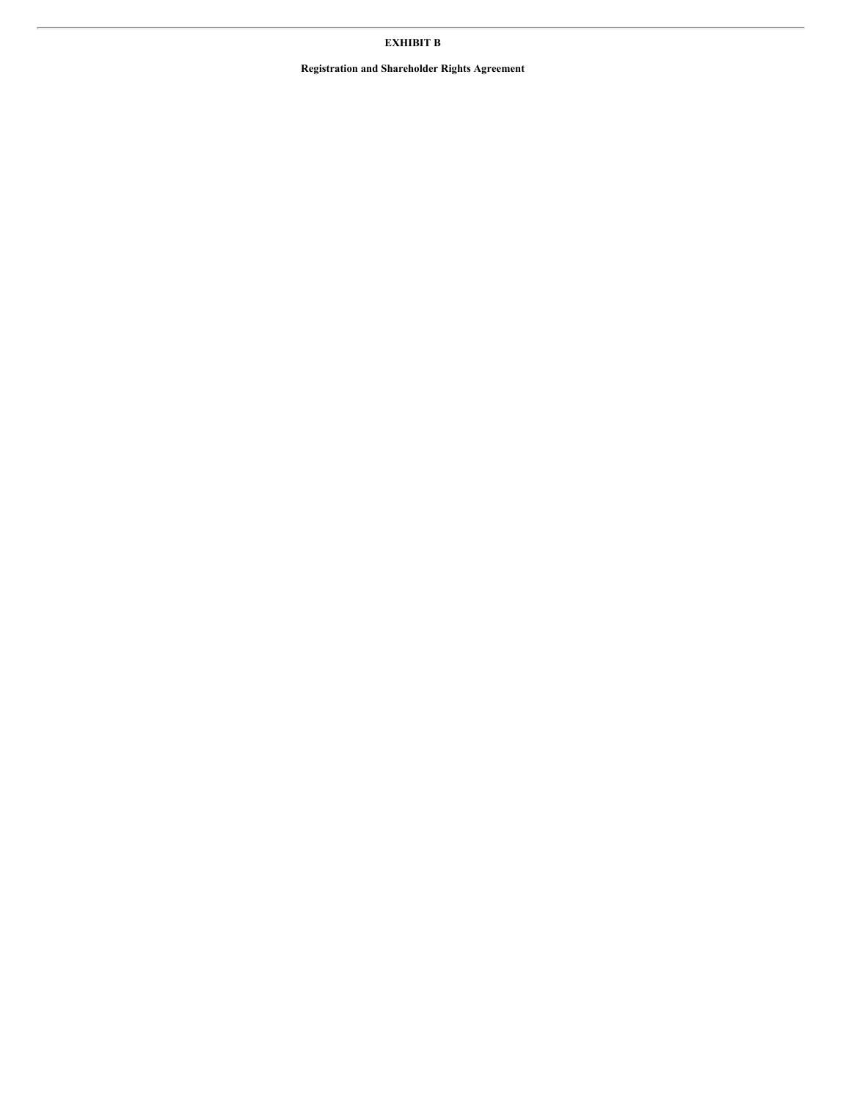# **EXHIBIT B**

**Registration and Shareholder Rights Agreement**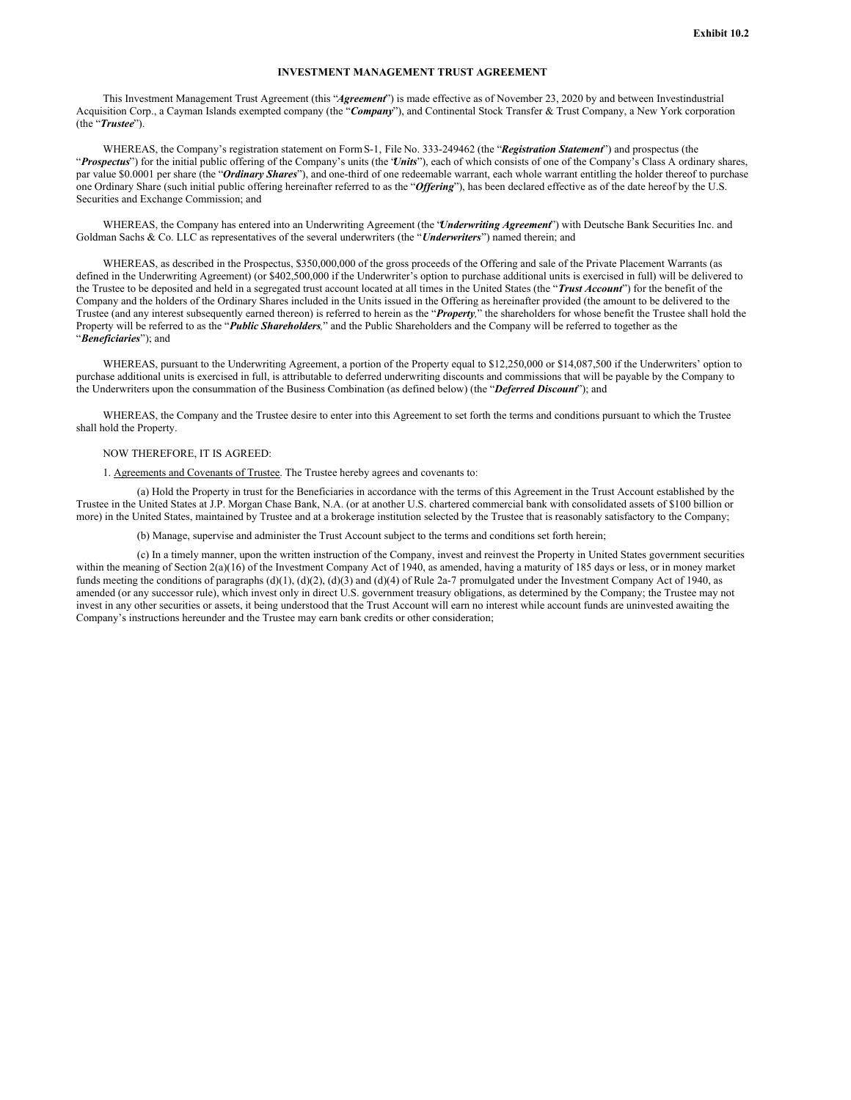#### **INVESTMENT MANAGEMENT TRUST AGREEMENT**

This Investment Management Trust Agreement (this "*Agreement*") is made effective as of November 23, 2020 by and between Investindustrial Acquisition Corp., a Cayman Islands exempted company (the "*Company*"), and Continental Stock Transfer & Trust Company, a New York corporation (the "*Trustee*").

WHEREAS, the Company's registration statement on FormS-1, File No. 333-249462 (the "*Registration Statement*") and prospectus (the "*Prospectus*") for the initial public offering of the Company's units (the "*Units*"), each of which consists of one of the Company's Class A ordinary shares, par value \$0.0001 per share (the "Ordinary Shares"), and one-third of one redeemable warrant, each whole warrant entitling the holder thereof to purchase one Ordinary Share (such initial public offering hereinafter referred to as the "*Of ering*"), has been declared effective as of the date hereof by the U.S. Securities and Exchange Commission; and

WHEREAS, the Company has entered into an Underwriting Agreement (the "*Underwriting Agreement*") with Deutsche Bank Securities Inc. and Goldman Sachs & Co. LLC as representatives of the several underwriters (the "*Underwriters*") named therein; and

WHEREAS, as described in the Prospectus, \$350,000,000 of the gross proceeds of the Offering and sale of the Private Placement Warrants (as defined in the Underwriting Agreement) (or \$402,500,000 if the Underwriter's option to purchase additional units is exercised in full) will be delivered to the Trustee to be deposited and held in a segregated trust account located at all times in the United States (the "*Trust Account*") for the benefit of the Company and the holders of the Ordinary Shares included in the Units issued in the Offering as hereinafter provided (the amount to be delivered to the Trustee (and any interest subsequently earned thereon) is referred to herein as the "*Property,*" the shareholders for whose benefit the Trustee shall hold the Property will be referred to as the "*Public Shareholders,*" and the Public Shareholders and the Company will be referred to together as the "*Beneficiaries*"); and

WHEREAS, pursuant to the Underwriting Agreement, a portion of the Property equal to \$12,250,000 or \$14,087,500 if the Underwriters' option to purchase additional units is exercised in full, is attributable to deferred underwriting discounts and commissions that will be payable by the Company to the Underwriters upon the consummation of the Business Combination (as defined below) (the "*Deferred Discount*"); and

WHEREAS, the Company and the Trustee desire to enter into this Agreement to set forth the terms and conditions pursuant to which the Trustee shall hold the Property.

### NOW THEREFORE, IT IS AGREED:

### 1. Agreements and Covenants of Trustee. The Trustee hereby agrees and covenants to:

(a) Hold the Property in trust for the Beneficiaries in accordance with the terms of this Agreement in the Trust Account established by the Trustee in the United States at J.P. Morgan Chase Bank, N.A. (or at another U.S. chartered commercial bank with consolidated assets of \$100 billion or more) in the United States, maintained by Trustee and at a brokerage institution selected by the Trustee that is reasonably satisfactory to the Company;

(b) Manage, supervise and administer the Trust Account subject to the terms and conditions set forth herein;

(c) In a timely manner, upon the written instruction of the Company, invest and reinvest the Property in United States government securities within the meaning of Section 2(a)(16) of the Investment Company Act of 1940, as amended, having a maturity of 185 days or less, or in money market funds meeting the conditions of paragraphs (d)(1), (d)(2), (d)(3) and (d)(4) of Rule 2a-7 promulgated under the Investment Company Act of 1940, as amended (or any successor rule), which invest only in direct U.S. government treasury obligations, as determined by the Company; the Trustee may not invest in any other securities or assets, it being understood that the Trust Account will earn no interest while account funds are uninvested awaiting the Company's instructions hereunder and the Trustee may earn bank credits or other consideration;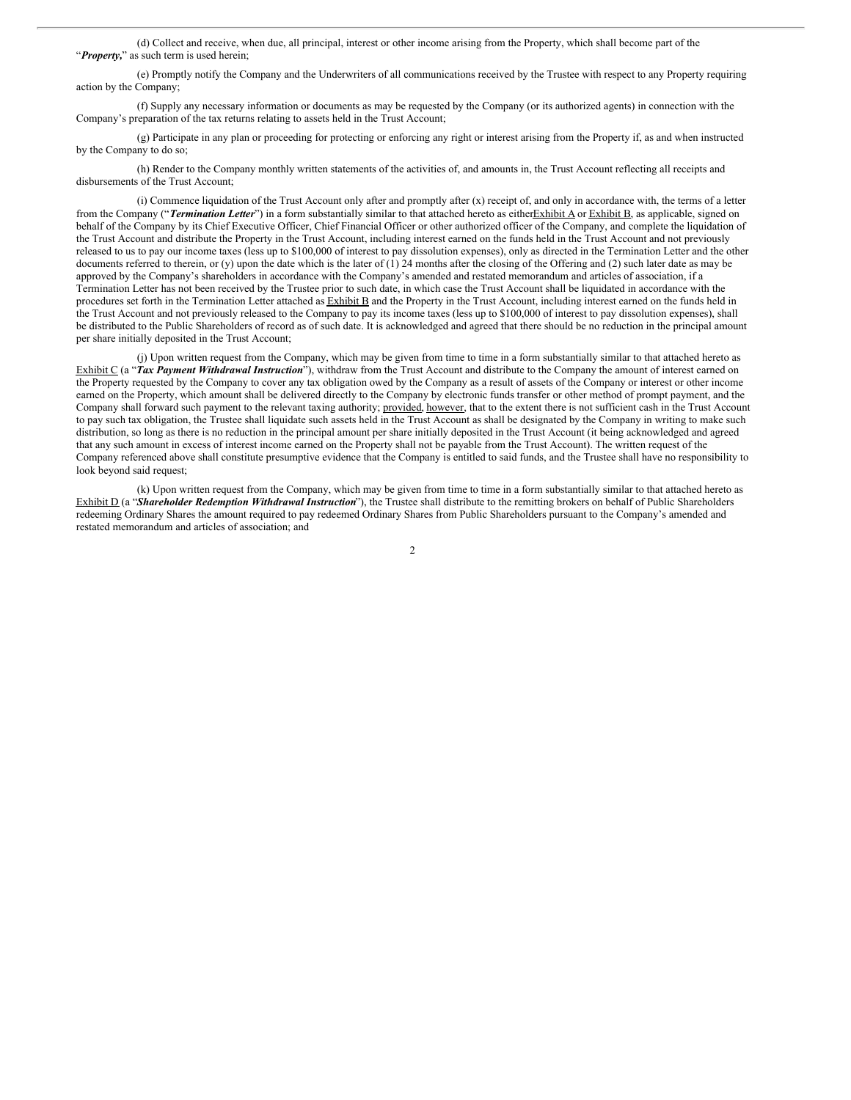(d) Collect and receive, when due, all principal, interest or other income arising from the Property, which shall become part of the "**Property**," as such term is used herein;

(e) Promptly notify the Company and the Underwriters of all communications received by the Trustee with respect to any Property requiring action by the Company;

(f) Supply any necessary information or documents as may be requested by the Company (or its authorized agents) in connection with the Company's preparation of the tax returns relating to assets held in the Trust Account;

(g) Participate in any plan or proceeding for protecting or enforcing any right or interest arising from the Property if, as and when instructed by the Company to do so;

(h) Render to the Company monthly written statements of the activities of, and amounts in, the Trust Account reflecting all receipts and disbursements of the Trust Account;

(i) Commence liquidation of the Trust Account only after and promptly after (x) receipt of, and only in accordance with, the terms of a letter from the Company ("*Termination Letter*") in a form substantially similar to that attached hereto as eitherExhibit A or Exhibit B, as applicable, signed on behalf of the Company by its Chief Executive Officer, Chief Financial Officer or other authorized officer of the Company, and complete the liquidation of the Trust Account and distribute the Property in the Trust Account, including interest earned on the funds held in the Trust Account and not previously released to us to pay our income taxes (less up to \$100,000 of interest to pay dissolution expenses), only as directed in the Termination Letter and the other documents referred to therein, or (y) upon the date which is the later of  $(1)$  24 months after the closing of the Offering and  $(2)$  such later date as may be approved by the Company's shareholders in accordance with the Company's amended and restated memorandum and articles of association, if a Termination Letter has not been received by the Trustee prior to such date, in which case the Trust Account shall be liquidated in accordance with the procedures set forth in the Termination Letter attached as Exhibit B and the Property in the Trust Account, including interest earned on the funds held in the Trust Account and not previously released to the Company to pay its income taxes (less up to \$100,000 of interest to pay dissolution expenses), shall be distributed to the Public Shareholders of record as of such date. It is acknowledged and agreed that there should be no reduction in the principal amount per share initially deposited in the Trust Account;

(j) Upon written request from the Company, which may be given from time to time in a form substantially similar to that attached hereto as Exhibit C (a "Tax Payment Withdrawal Instruction"), withdraw from the Trust Account and distribute to the Company the amount of interest earned on the Property requested by the Company to cover any tax obligation owed by the Company as a result of assets of the Company or interest or other income earned on the Property, which amount shall be delivered directly to the Company by electronic funds transfer or other method of prompt payment, and the Company shall forward such payment to the relevant taxing authority; provided, however, that to the extent there is not sufficient cash in the Trust Account to pay such tax obligation, the Trustee shall liquidate such assets held in the Trust Account as shall be designated by the Company in writing to make such distribution, so long as there is no reduction in the principal amount per share initially deposited in the Trust Account (it being acknowledged and agreed that any such amount in excess of interest income earned on the Property shall not be payable from the Trust Account). The written request of the Company referenced above shall constitute presumptive evidence that the Company is entitled to said funds, and the Trustee shall have no responsibility to look beyond said request;

(k) Upon written request from the Company, which may be given from time to time in a form substantially similar to that attached hereto as Exhibit D (a "*Shareholder Redemption Withdrawal Instruction*"), the Trustee shall distribute to the remitting brokers on behalf of Public Shareholders redeeming Ordinary Shares the amount required to pay redeemed Ordinary Shares from Public Shareholders pursuant to the Company's amended and restated memorandum and articles of association; and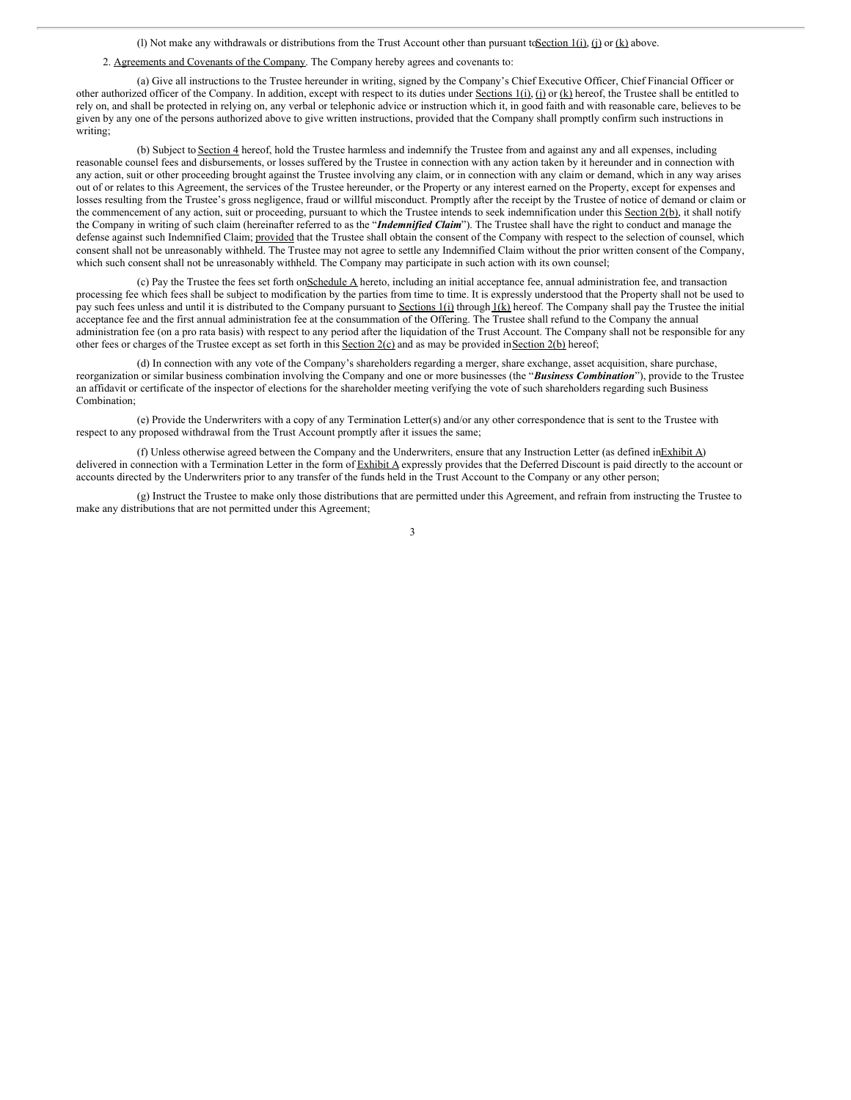(l) Not make any withdrawals or distributions from the Trust Account other than pursuant toSection 1(i), (j) or (k) above.

## 2. Agreements and Covenants of the Company. The Company hereby agrees and covenants to:

(a) Give all instructions to the Trustee hereunder in writing, signed by the Company's Chief Executive Officer, Chief Financial Officer or other authorized officer of the Company. In addition, except with respect to its duties under Sections  $1(i)$ ,  $(i)$  or  $(k)$  hereof, the Trustee shall be entitled to rely on, and shall be protected in relying on, any verbal or telephonic advice or instruction which it, in good faith and with reasonable care, believes to be given by any one of the persons authorized above to give written instructions, provided that the Company shall promptly confirm such instructions in writing;

(b) Subject to Section 4 hereof, hold the Trustee harmless and indemnify the Trustee from and against any and all expenses, including reasonable counsel fees and disbursements, or losses suffered by the Trustee in connection with any action taken by it hereunder and in connection with any action, suit or other proceeding brought against the Trustee involving any claim, or in connection with any claim or demand, which in any way arises out of or relates to this Agreement, the services of the Trustee hereunder, or the Property or any interest earned on the Property, except for expenses and losses resulting from the Trustee's gross negligence, fraud or willful misconduct. Promptly after the receipt by the Trustee of notice of demand or claim or the commencement of any action, suit or proceeding, pursuant to which the Trustee intends to seek indemnification under this Section 2(b), it shall notify the Company in writing of such claim (hereinafter referred to as the "*Indemnified Claim*"). The Trustee shall have the right to conduct and manage the defense against such Indemnified Claim; provided that the Trustee shall obtain the consent of the Company with respect to the selection of counsel, which consent shall not be unreasonably withheld. The Trustee may not agree to settle any Indemnified Claim without the prior written consent of the Company, which such consent shall not be unreasonably withheld. The Company may participate in such action with its own counsel;

(c) Pay the Trustee the fees set forth onSchedule A hereto, including an initial acceptance fee, annual administration fee, and transaction processing fee which fees shall be subject to modification by the parties from time to time. It is expressly understood that the Property shall not be used to pay such fees unless and until it is distributed to the Company pursuant to Sections 1(i) through 1(k) hereof. The Company shall pay the Trustee the initial acceptance fee and the first annual administration fee at the consummation of the Offering. The Trustee shall refund to the Company the annual administration fee (on a pro rata basis) with respect to any period after the liquidation of the Trust Account. The Company shall not be responsible for any other fees or charges of the Trustee except as set forth in this Section 2(c) and as may be provided in Section 2(b) hereof;

(d) In connection with any vote of the Company's shareholders regarding a merger, share exchange, asset acquisition, share purchase, reorganization or similar business combination involving the Company and one or more businesses (the "*Business Combination*"), provide to the Trustee an affidavit or certificate of the inspector of elections for the shareholder meeting verifying the vote of such shareholders regarding such Business Combination;

(e) Provide the Underwriters with a copy of any Termination Letter(s) and/or any other correspondence that is sent to the Trustee with respect to any proposed withdrawal from the Trust Account promptly after it issues the same;

(f) Unless otherwise agreed between the Company and the Underwriters, ensure that any Instruction Letter (as defined inExhibit A) delivered in connection with a Termination Letter in the form of Exhibit A expressly provides that the Deferred Discount is paid directly to the account or accounts directed by the Underwriters prior to any transfer of the funds held in the Trust Account to the Company or any other person;

(g) Instruct the Trustee to make only those distributions that are permitted under this Agreement, and refrain from instructing the Trustee to make any distributions that are not permitted under this Agreement;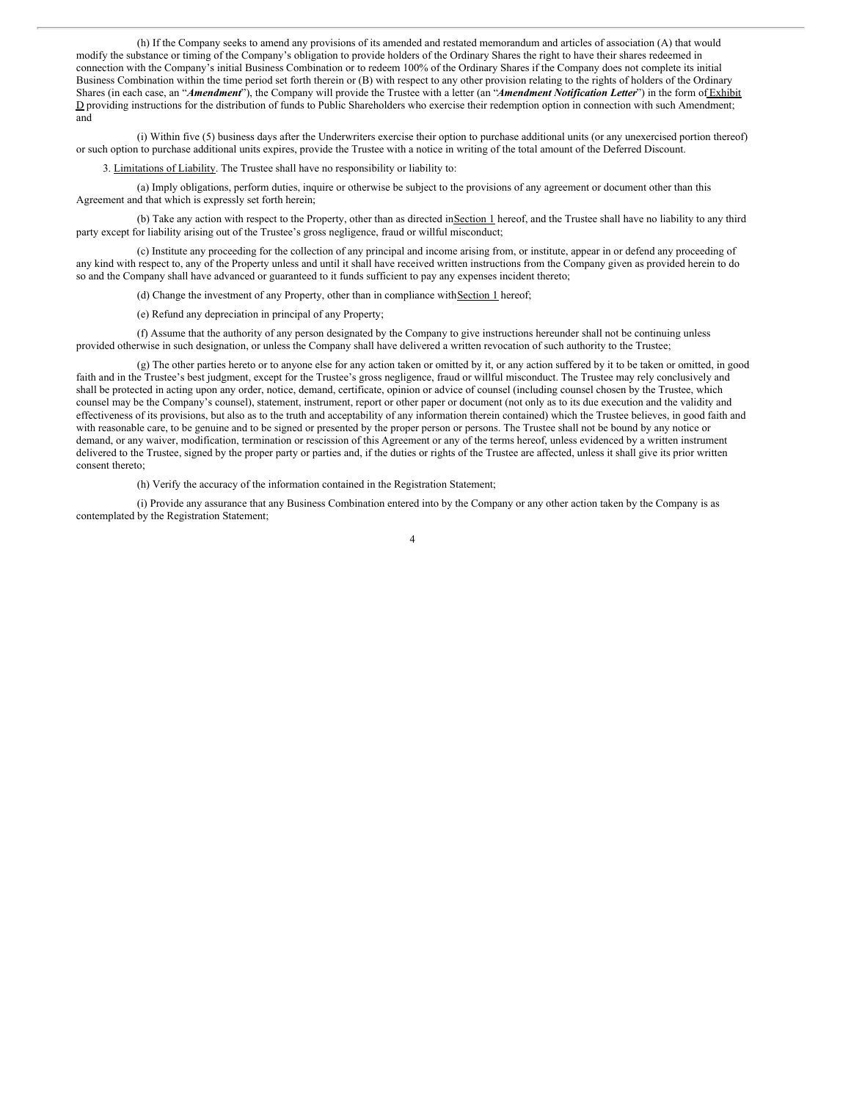(h) If the Company seeks to amend any provisions of its amended and restated memorandum and articles of association (A) that would modify the substance or timing of the Company's obligation to provide holders of the Ordinary Shares the right to have their shares redeemed in connection with the Company's initial Business Combination or to redeem 100% of the Ordinary Shares if the Company does not complete its initial Business Combination within the time period set forth therein or (B) with respect to any other provision relating to the rights of holders of the Ordinary Shares (in each case, an "*Amendment*"), the Company will provide the Trustee with a letter (an "*Amendment Notification Letter*") in the form of Exhibit D providing instructions for the distribution of funds to Public Shareholders who exercise their redemption option in connection with such Amendment; and

(i) Within five (5) business days after the Underwriters exercise their option to purchase additional units (or any unexercised portion thereof) or such option to purchase additional units expires, provide the Trustee with a notice in writing of the total amount of the Deferred Discount.

3. Limitations of Liability. The Trustee shall have no responsibility or liability to:

(a) Imply obligations, perform duties, inquire or otherwise be subject to the provisions of any agreement or document other than this Agreement and that which is expressly set forth herein;

(b) Take any action with respect to the Property, other than as directed in Section 1 hereof, and the Trustee shall have no liability to any third party except for liability arising out of the Trustee's gross negligence, fraud or willful misconduct;

(c) Institute any proceeding for the collection of any principal and income arising from, or institute, appear in or defend any proceeding of any kind with respect to, any of the Property unless and until it shall have received written instructions from the Company given as provided herein to do so and the Company shall have advanced or guaranteed to it funds sufficient to pay any expenses incident thereto;

(d) Change the investment of any Property, other than in compliance with Section 1 hereof;

(e) Refund any depreciation in principal of any Property;

(f) Assume that the authority of any person designated by the Company to give instructions hereunder shall not be continuing unless provided otherwise in such designation, or unless the Company shall have delivered a written revocation of such authority to the Trustee;

(g) The other parties hereto or to anyone else for any action taken or omitted by it, or any action suffered by it to be taken or omitted, in good faith and in the Trustee's best judgment, except for the Trustee's gross negligence, fraud or willful misconduct. The Trustee may rely conclusively and shall be protected in acting upon any order, notice, demand, certificate, opinion or advice of counsel (including counsel chosen by the Trustee, which counsel may be the Company's counsel), statement, instrument, report or other paper or document (not only as to its due execution and the validity and effectiveness of its provisions, but also as to the truth and acceptability of any information therein contained) which the Trustee believes, in good faith and with reasonable care, to be genuine and to be signed or presented by the proper person or persons. The Trustee shall not be bound by any notice or demand, or any waiver, modification, termination or rescission of this Agreement or any of the terms hereof, unless evidenced by a written instrument delivered to the Trustee, signed by the proper party or parties and, if the duties or rights of the Trustee are affected, unless it shall give its prior written consent thereto;

(h) Verify the accuracy of the information contained in the Registration Statement;

(i) Provide any assurance that any Business Combination entered into by the Company or any other action taken by the Company is as contemplated by the Registration Statement;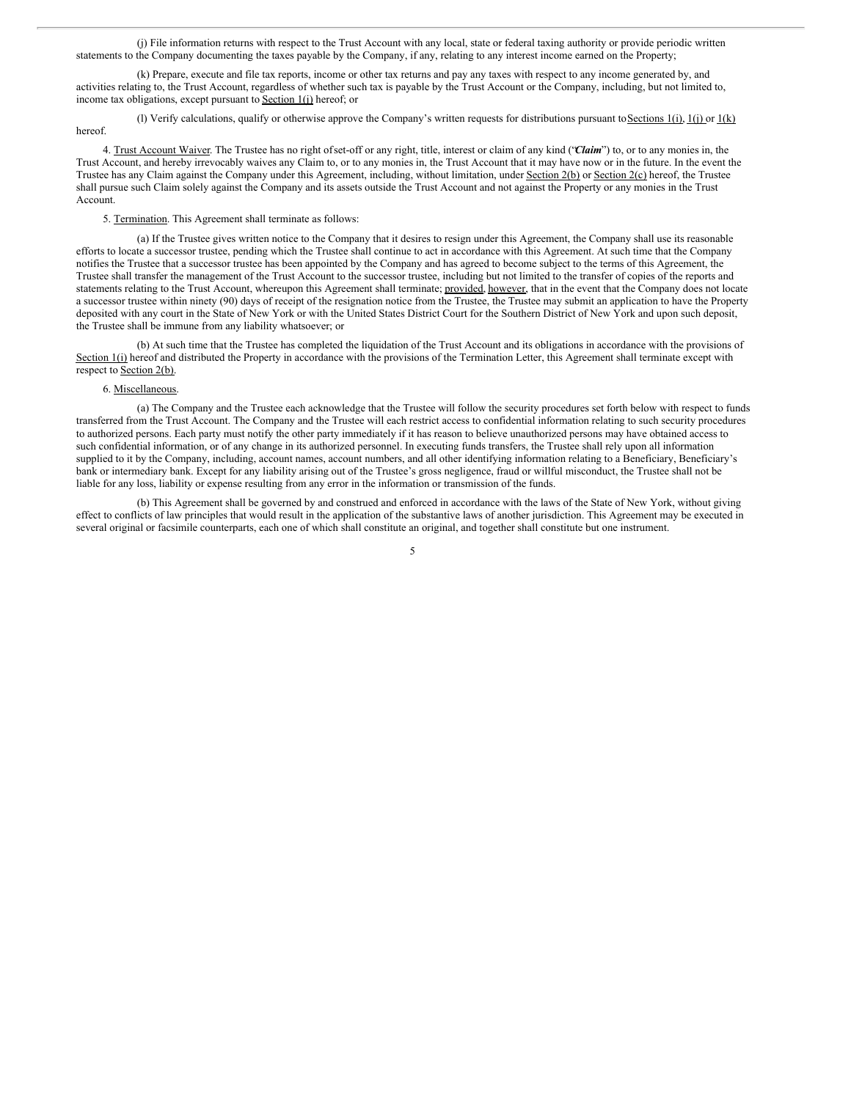(j) File information returns with respect to the Trust Account with any local, state or federal taxing authority or provide periodic written statements to the Company documenting the taxes payable by the Company, if any, relating to any interest income earned on the Property;

(k) Prepare, execute and file tax reports, income or other tax returns and pay any taxes with respect to any income generated by, and activities relating to, the Trust Account, regardless of whether such tax is payable by the Trust Account or the Company, including, but not limited to, income tax obligations, except pursuant to Section 1(j) hereof; or

(l) Verify calculations, qualify or otherwise approve the Company's written requests for distributions pursuant toSections 1(i), 1(j) or 1(k) hereof.

4. Trust Account Waiver. The Trustee has no right ofset-off or any right, title, interest or claim of any kind ("*Claim*") to, or to any monies in, the Trust Account, and hereby irrevocably waives any Claim to, or to any monies in, the Trust Account that it may have now or in the future. In the event the Trustee has any Claim against the Company under this Agreement, including, without limitation, under Section 2(b) or Section 2(c) hereof, the Trustee shall pursue such Claim solely against the Company and its assets outside the Trust Account and not against the Property or any monies in the Trust Account.

5. Termination. This Agreement shall terminate as follows:

(a) If the Trustee gives written notice to the Company that it desires to resign under this Agreement, the Company shall use its reasonable efforts to locate a successor trustee, pending which the Trustee shall continue to act in accordance with this Agreement. At such time that the Company notifies the Trustee that a successor trustee has been appointed by the Company and has agreed to become subject to the terms of this Agreement, the Trustee shall transfer the management of the Trust Account to the successor trustee, including but not limited to the transfer of copies of the reports and statements relating to the Trust Account, whereupon this Agreement shall terminate; provided, however, that in the event that the Company does not locate a successor trustee within ninety (90) days of receipt of the resignation notice from the Trustee, the Trustee may submit an application to have the Property deposited with any court in the State of New York or with the United States District Court for the Southern District of New York and upon such deposit, the Trustee shall be immune from any liability whatsoever; or

(b) At such time that the Trustee has completed the liquidation of the Trust Account and its obligations in accordance with the provisions of Section 1(i) hereof and distributed the Property in accordance with the provisions of the Termination Letter, this Agreement shall terminate except with respect to Section 2(b).

### 6. Miscellaneous.

(a) The Company and the Trustee each acknowledge that the Trustee will follow the security procedures set forth below with respect to funds transferred from the Trust Account. The Company and the Trustee will each restrict access to confidential information relating to such security procedures to authorized persons. Each party must notify the other party immediately if it has reason to believe unauthorized persons may have obtained access to such confidential information, or of any change in its authorized personnel. In executing funds transfers, the Trustee shall rely upon all information supplied to it by the Company, including, account names, account numbers, and all other identifying information relating to a Beneficiary, Beneficiary's bank or intermediary bank. Except for any liability arising out of the Trustee's gross negligence, fraud or willful misconduct, the Trustee shall not be liable for any loss, liability or expense resulting from any error in the information or transmission of the funds.

(b) This Agreement shall be governed by and construed and enforced in accordance with the laws of the State of New York, without giving effect to conflicts of law principles that would result in the application of the substantive laws of another jurisdiction. This Agreement may be executed in several original or facsimile counterparts, each one of which shall constitute an original, and together shall constitute but one instrument.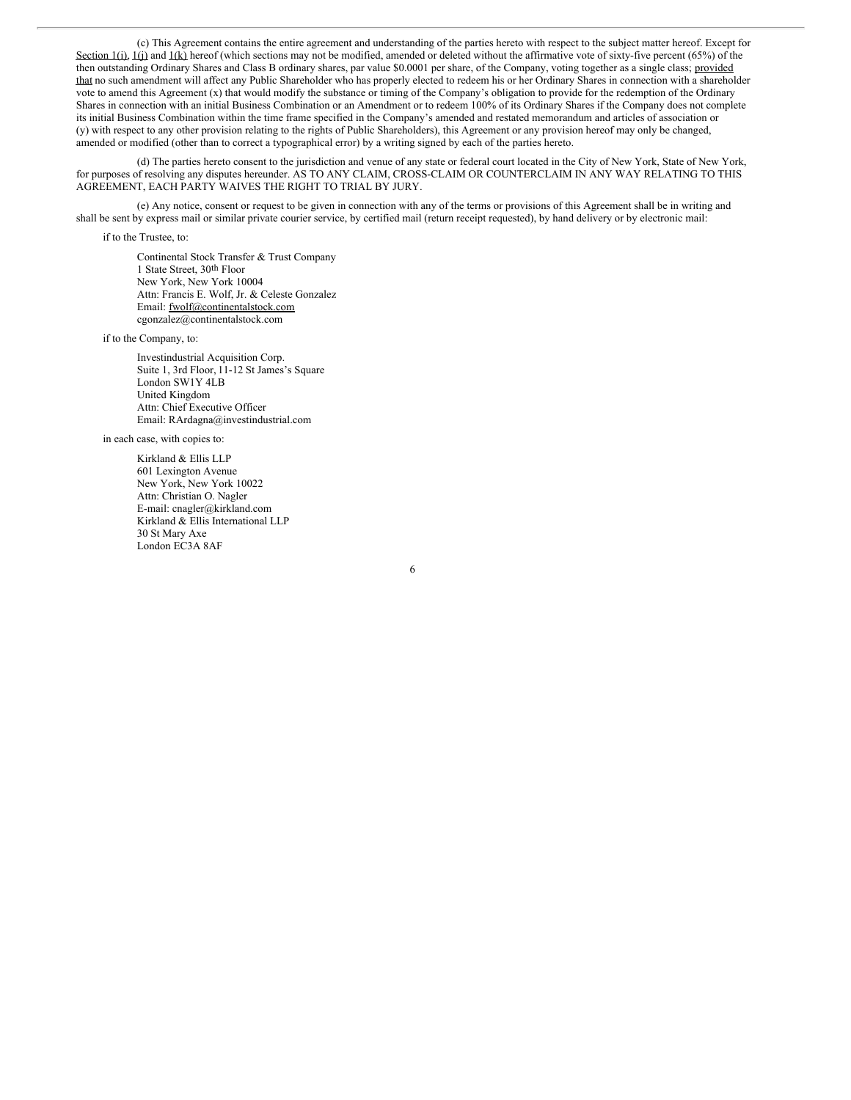(c) This Agreement contains the entire agreement and understanding of the parties hereto with respect to the subject matter hereof. Except for Section 1(i), 1(j) and 1(k) hereof (which sections may not be modified, amended or deleted without the affirmative vote of sixty-five percent (65%) of the then outstanding Ordinary Shares and Class B ordinary shares, par value \$0.0001 per share, of the Company, voting together as a single class; provided that no such amendment will affect any Public Shareholder who has properly elected to redeem his or her Ordinary Shares in connection with a shareholder vote to amend this Agreement (x) that would modify the substance or timing of the Company's obligation to provide for the redemption of the Ordinary Shares in connection with an initial Business Combination or an Amendment or to redeem 100% of its Ordinary Shares if the Company does not complete its initial Business Combination within the time frame specified in the Company's amended and restated memorandum and articles of association or (y) with respect to any other provision relating to the rights of Public Shareholders), this Agreement or any provision hereof may only be changed, amended or modified (other than to correct a typographical error) by a writing signed by each of the parties hereto.

(d) The parties hereto consent to the jurisdiction and venue of any state or federal court located in the City of New York, State of New York, for purposes of resolving any disputes hereunder. AS TO ANY CLAIM, CROSS-CLAIM OR COUNTERCLAIM IN ANY WAY RELATING TO THIS AGREEMENT, EACH PARTY WAIVES THE RIGHT TO TRIAL BY JURY.

(e) Any notice, consent or request to be given in connection with any of the terms or provisions of this Agreement shall be in writing and shall be sent by express mail or similar private courier service, by certified mail (return receipt requested), by hand delivery or by electronic mail:

6

if to the Trustee, to:

Continental Stock Transfer & Trust Company 1 State Street, 30th Floor New York, New York 10004 Attn: Francis E. Wolf, Jr. & Celeste Gonzalez Email: fwolf@continentalstock.com cgonzalez@continentalstock.com

if to the Company, to:

Investindustrial Acquisition Corp. Suite 1, 3rd Floor, 11-12 St James's Square London SW1Y 4LB United Kingdom Attn: Chief Executive Officer Email: RArdagna@investindustrial.com

in each case, with copies to:

Kirkland & Ellis LLP 601 Lexington Avenue New York, New York 10022 Attn: Christian O. Nagler E-mail: cnagler@kirkland.com Kirkland & Ellis International LLP 30 St Mary Axe London EC3A 8AF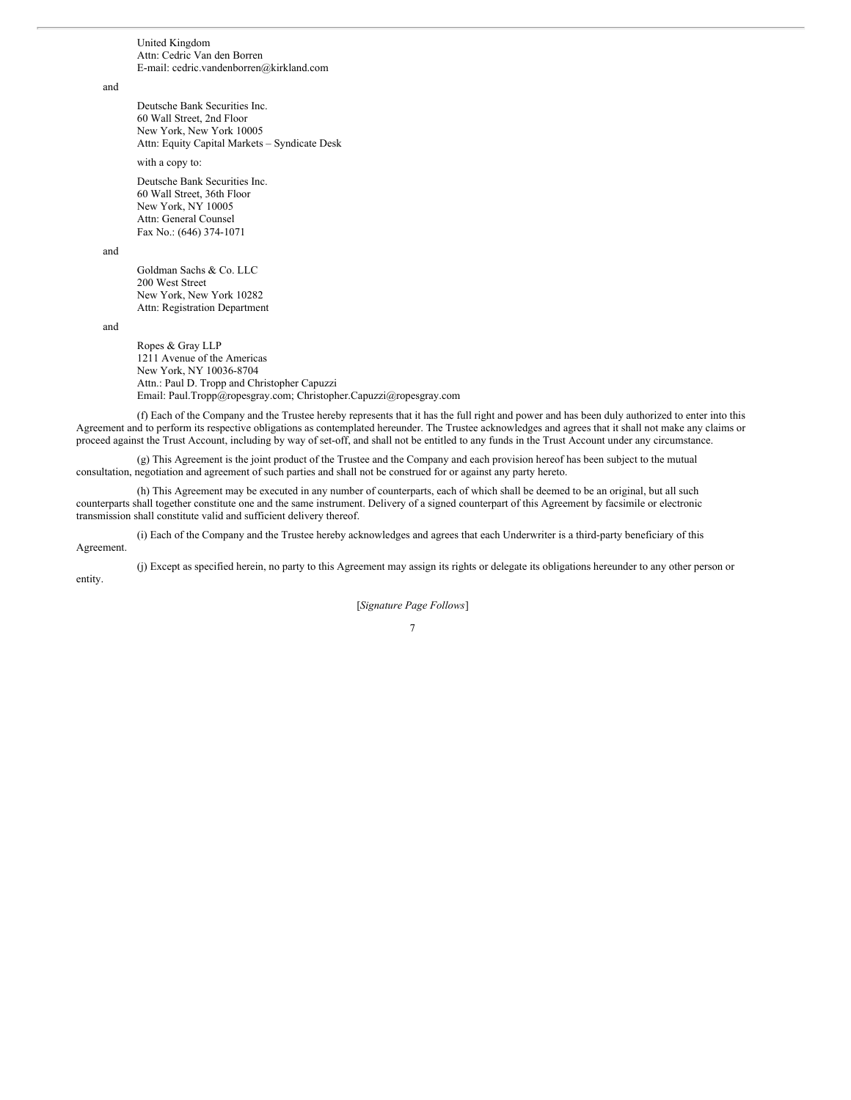United Kingdom Attn: Cedric Van den Borren E-mail: cedric.vandenborren@kirkland.com

and

Deutsche Bank Securities Inc. 60 Wall Street, 2nd Floor New York, New York 10005 Attn: Equity Capital Markets – Syndicate Desk

with a copy to:

Deutsche Bank Securities Inc. 60 Wall Street, 36th Floor New York, NY 10005 Attn: General Counsel Fax No.: (646) 374-1071

and

Goldman Sachs & Co. LLC 200 West Street New York, New York 10282 Attn: Registration Department

and

Ropes & Gray LLP 1211 Avenue of the Americas New York, NY 10036-8704 Attn.: Paul D. Tropp and Christopher Capuzzi Email: Paul.Tropp@ropesgray.com; Christopher.Capuzzi@ropesgray.com

(f) Each of the Company and the Trustee hereby represents that it has the full right and power and has been duly authorized to enter into this Agreement and to perform its respective obligations as contemplated hereunder. The Trustee acknowledges and agrees that it shall not make any claims or proceed against the Trust Account, including by way of set-off, and shall not be entitled to any funds in the Trust Account under any circumstance.

(g) This Agreement is the joint product of the Trustee and the Company and each provision hereof has been subject to the mutual consultation, negotiation and agreement of such parties and shall not be construed for or against any party hereto.

(h) This Agreement may be executed in any number of counterparts, each of which shall be deemed to be an original, but all such counterparts shall together constitute one and the same instrument. Delivery of a signed counterpart of this Agreement by facsimile or electronic transmission shall constitute valid and sufficient delivery thereof.

(i) Each of the Company and the Trustee hereby acknowledges and agrees that each Underwriter is a third-party beneficiary of this Agreement.

(j) Except as specified herein, no party to this Agreement may assign its rights or delegate its obligations hereunder to any other person or entity.

[*Signature Page Follows*]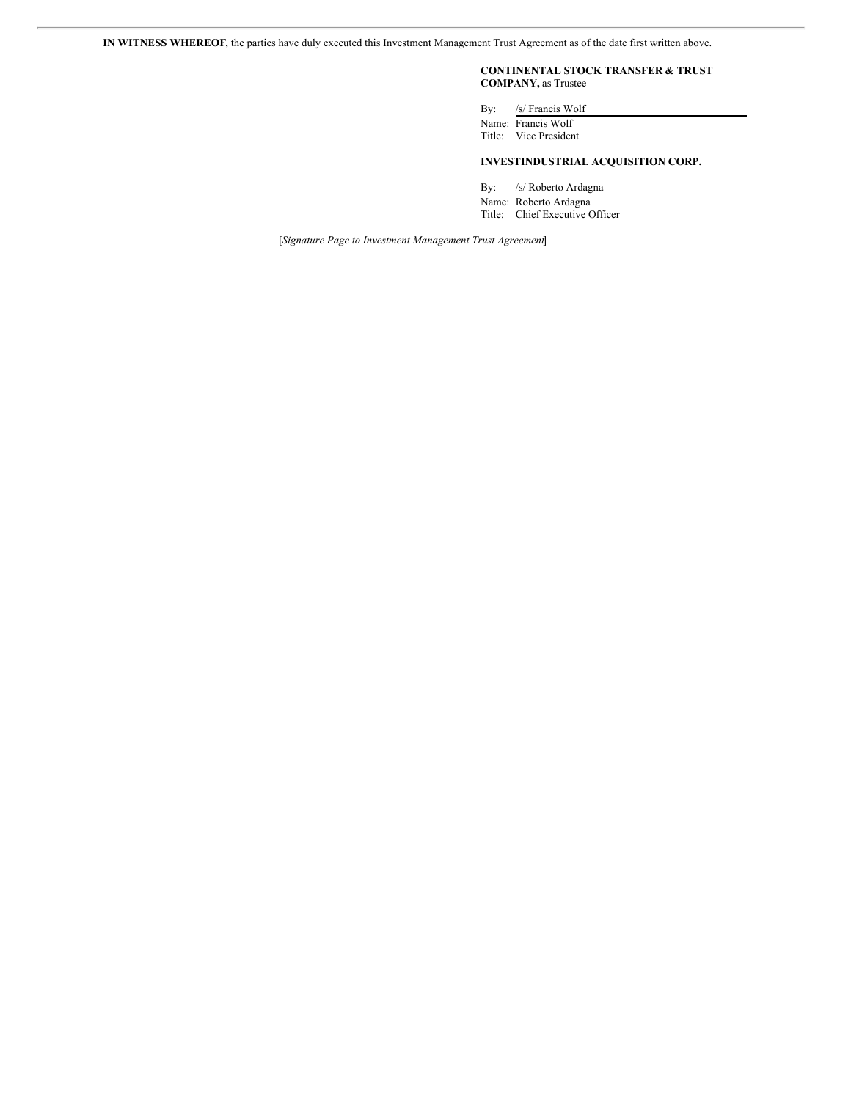**IN WITNESS WHEREOF**, the parties have duly executed this Investment Management Trust Agreement as of the date first written above.

# **CONTINENTAL STOCK TRANSFER & TRUST COMPANY,** as Trustee

By: /s/ Francis Wolf Name: Francis Wolf

Title: Vice President

# **INVESTINDUSTRIAL ACQUISITION CORP.**

By: /s/ Roberto Ardagna Name: Roberto Ardagna

Title: Chief Executive Officer

[*Signature Page to Investment Management Trust Agreement*]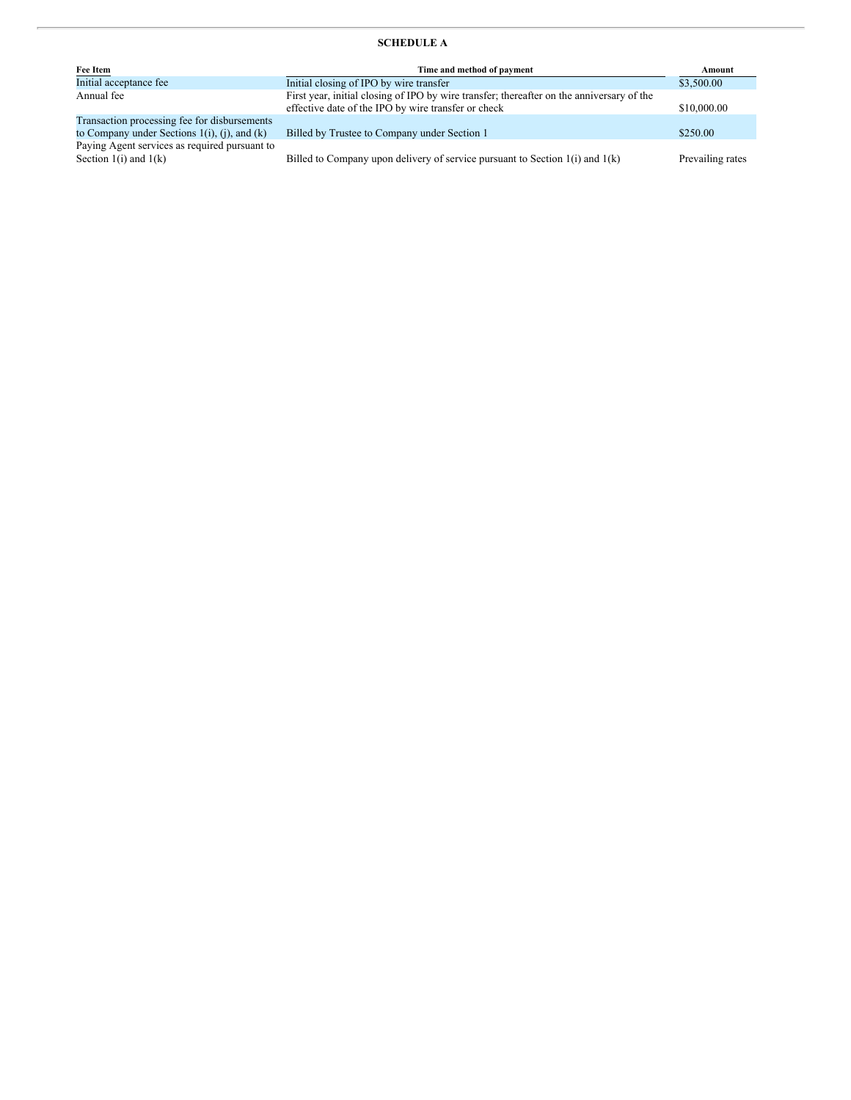# **SCHEDULE A**

| Fee Item                                                                                             | Time and method of payment                                                                                                                       | Amount           |
|------------------------------------------------------------------------------------------------------|--------------------------------------------------------------------------------------------------------------------------------------------------|------------------|
| Initial acceptance fee                                                                               | Initial closing of IPO by wire transfer                                                                                                          | \$3,500.00       |
| Annual fee                                                                                           | First year, initial closing of IPO by wire transfer; thereafter on the anniversary of the<br>effective date of the IPO by wire transfer or check | \$10,000.00      |
| Transaction processing fee for disbursements<br>to Company under Sections $1(i)$ , $(i)$ , and $(k)$ | Billed by Trustee to Company under Section 1                                                                                                     | \$250.00         |
| Paying Agent services as required pursuant to<br>Section $1(i)$ and $1(k)$                           | Billed to Company upon delivery of service pursuant to Section $1(i)$ and $1(k)$                                                                 | Prevailing rates |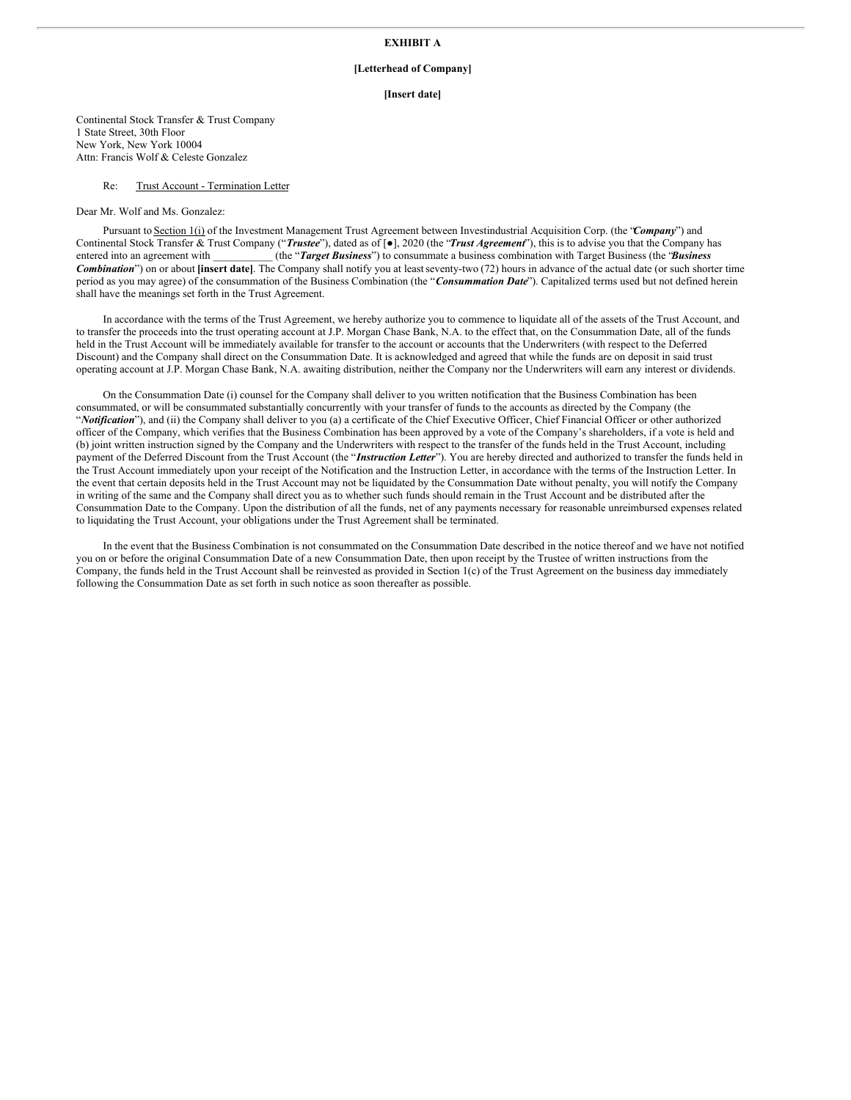# **EXHIBIT A**

#### **[Letterhead of Company]**

### **[Insert date]**

Continental Stock Transfer & Trust Company 1 State Street, 30th Floor New York, New York 10004 Attn: Francis Wolf & Celeste Gonzalez

#### Re: Trust Account - Termination Letter

### Dear Mr. Wolf and Ms. Gonzalez:

Pursuant to Section 1(i) of the Investment Management Trust Agreement between Investindustrial Acquisition Corp. (the "*Company*") and Continental Stock Transfer & Trust Company ("*Trustee*"), dated as of [●], 2020 (the "*Trust Agreement*"), this is to advise you that the Company has entered into an agreement with  $(the "Target Business")$  to consummate a business combination with Target Business (the *'Business'*) *Combination*") on or about **[insert date]**. The Company shall notify you at leastseventy-two (72) hours in advance of the actual date (or such shorter time period as you may agree) of the consummation of the Business Combination (the "*Consummation Date*"). Capitalized terms used but not defined herein shall have the meanings set forth in the Trust Agreement.

In accordance with the terms of the Trust Agreement, we hereby authorize you to commence to liquidate all of the assets of the Trust Account, and to transfer the proceeds into the trust operating account at J.P. Morgan Chase Bank, N.A. to the effect that, on the Consummation Date, all of the funds held in the Trust Account will be immediately available for transfer to the account or accounts that the Underwriters (with respect to the Deferred Discount) and the Company shall direct on the Consummation Date. It is acknowledged and agreed that while the funds are on deposit in said trust operating account at J.P. Morgan Chase Bank, N.A. awaiting distribution, neither the Company nor the Underwriters will earn any interest or dividends.

On the Consummation Date (i) counsel for the Company shall deliver to you written notification that the Business Combination has been consummated, or will be consummated substantially concurrently with your transfer of funds to the accounts as directed by the Company (the "*Notification*"), and (ii) the Company shall deliver to you (a) a certificate of the Chief Executive Officer, Chief Financial Officer or other authorized officer of the Company, which verifies that the Business Combination has been approved by a vote of the Company's shareholders, if a vote is held and (b) joint written instruction signed by the Company and the Underwriters with respect to the transfer of the funds held in the Trust Account, including payment of the Deferred Discount from the Trust Account (the "*Instruction Letter*"). You are hereby directed and authorized to transfer the funds held in the Trust Account immediately upon your receipt of the Notification and the Instruction Letter, in accordance with the terms of the Instruction Letter. In the event that certain deposits held in the Trust Account may not be liquidated by the Consummation Date without penalty, you will notify the Company in writing of the same and the Company shall direct you as to whether such funds should remain in the Trust Account and be distributed after the Consummation Date to the Company. Upon the distribution of all the funds, net of any payments necessary for reasonable unreimbursed expenses related to liquidating the Trust Account, your obligations under the Trust Agreement shall be terminated.

In the event that the Business Combination is not consummated on the Consummation Date described in the notice thereof and we have not notified you on or before the original Consummation Date of a new Consummation Date, then upon receipt by the Trustee of written instructions from the Company, the funds held in the Trust Account shall be reinvested as provided in Section 1(c) of the Trust Agreement on the business day immediately following the Consummation Date as set forth in such notice as soon thereafter as possible.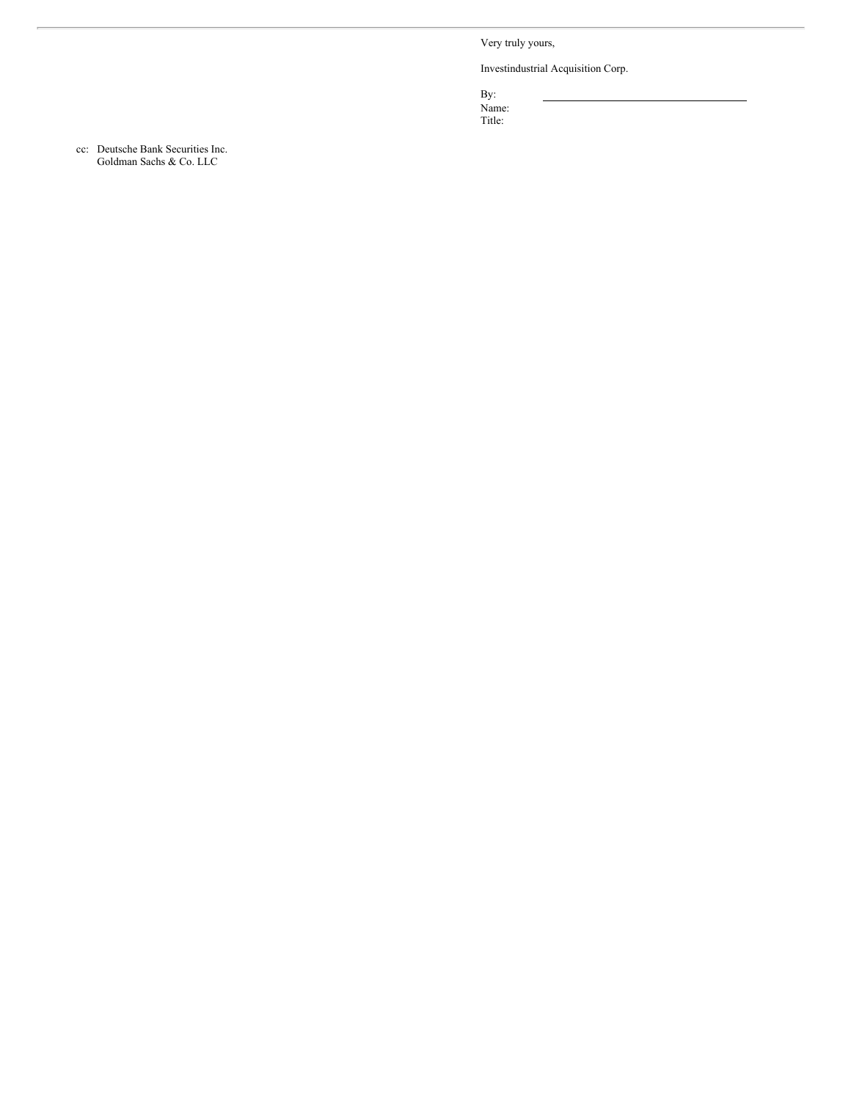Very truly yours,

Investindustrial Acquisition Corp.

By: Name: Title: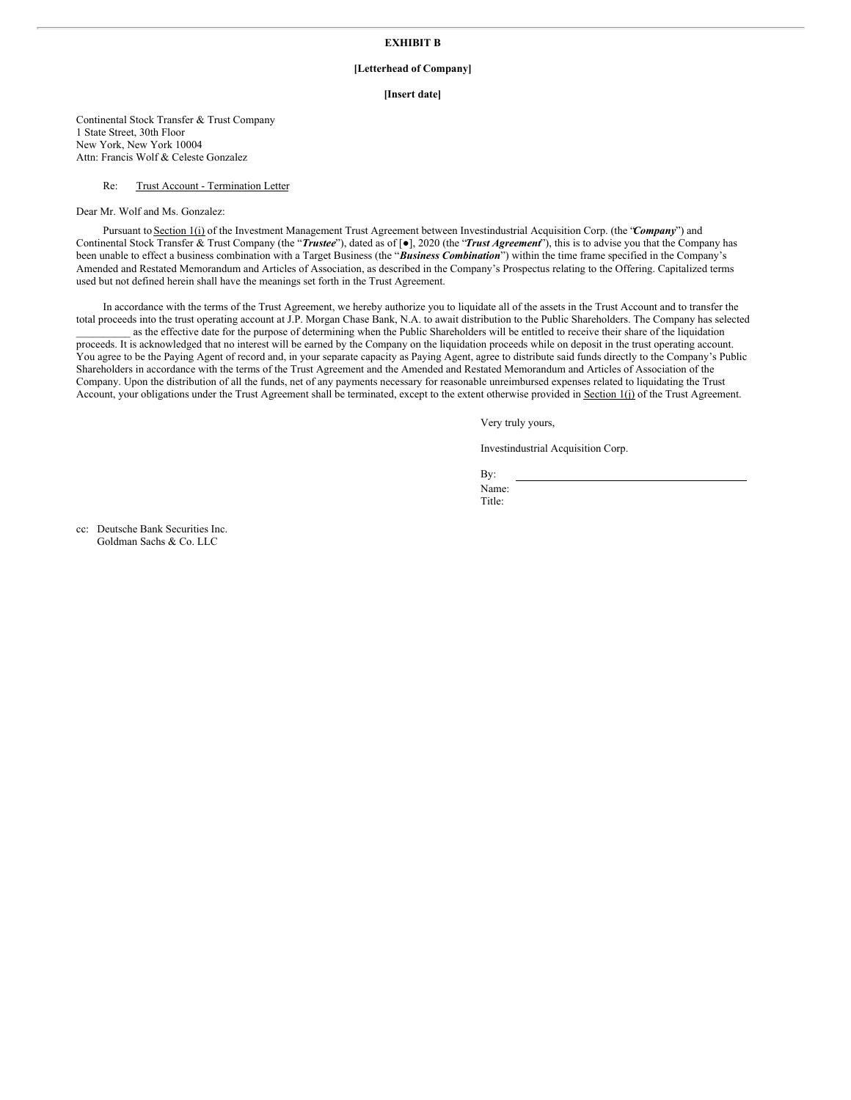# **EXHIBIT B**

### **[Letterhead of Company]**

### **[Insert date]**

Continental Stock Transfer & Trust Company 1 State Street, 30th Floor New York, New York 10004 Attn: Francis Wolf & Celeste Gonzalez

### Re: Trust Account - Termination Letter

Dear Mr. Wolf and Ms. Gonzalez:

Pursuant to Section 1(i) of the Investment Management Trust Agreement between Investindustrial Acquisition Corp. (the "*Company*") and Continental Stock Transfer & Trust Company (the "*Trustee*"), dated as of [●], 2020 (the "*Trust Agreement*"), this is to advise you that the Company has been unable to effect a business combination with a Target Business (the "*Business Combination*") within the time frame specified in the Company's Amended and Restated Memorandum and Articles of Association, as described in the Company's Prospectus relating to the Offering. Capitalized terms used but not defined herein shall have the meanings set forth in the Trust Agreement.

In accordance with the terms of the Trust Agreement, we hereby authorize you to liquidate all of the assets in the Trust Account and to transfer the total proceeds into the trust operating account at J.P. Morgan Chase Bank, N.A. to await distribution to the Public Shareholders. The Company has selected as the effective date for the purpose of determining when the Public Shareholders will be entitled to receive their share of the liquidation

proceeds. It is acknowledged that no interest will be earned by the Company on the liquidation proceeds while on deposit in the trust operating account. You agree to be the Paying Agent of record and, in your separate capacity as Paying Agent, agree to distribute said funds directly to the Company's Public Shareholders in accordance with the terms of the Trust Agreement and the Amended and Restated Memorandum and Articles of Association of the Company. Upon the distribution of all the funds, net of any payments necessary for reasonable unreimbursed expenses related to liquidating the Trust Account, your obligations under the Trust Agreement shall be terminated, except to the extent otherwise provided in Section 1(j) of the Trust Agreement.

Very truly yours,

Investindustrial Acquisition Corp.

By: Name: Title: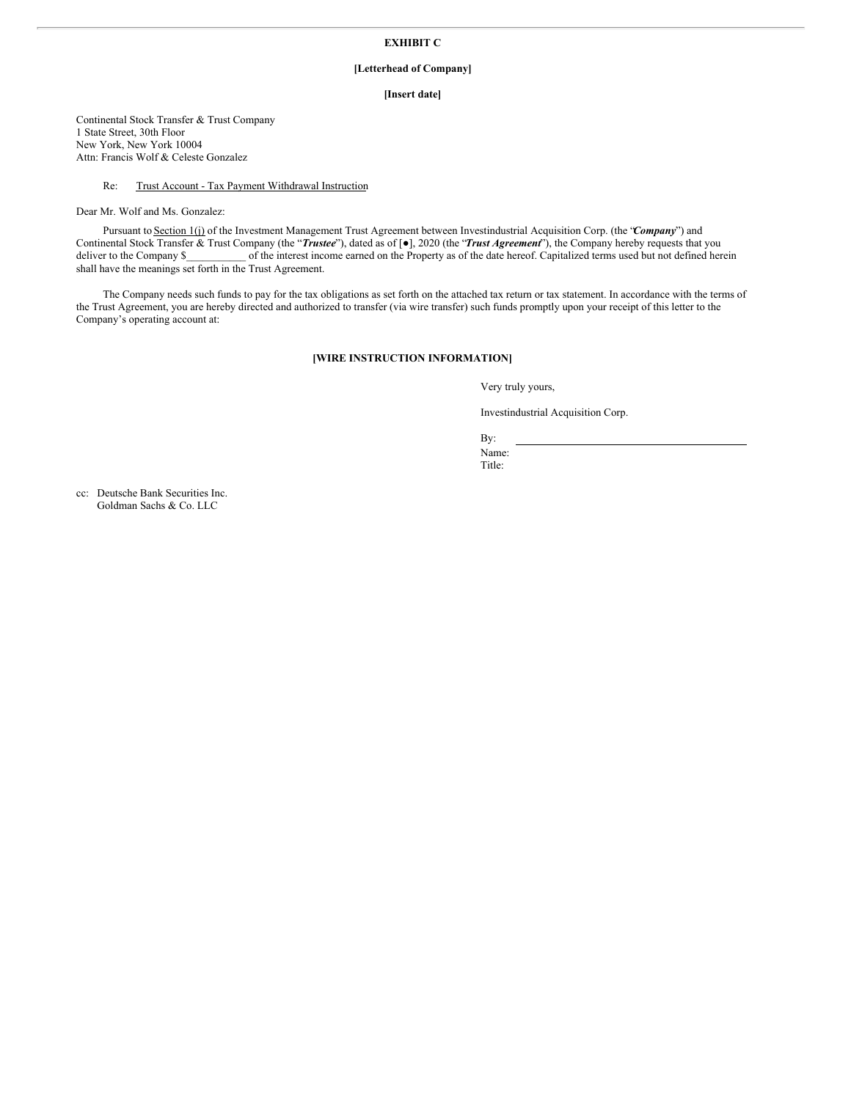# **EXHIBIT C**

## **[Letterhead of Company]**

### **[Insert date]**

Continental Stock Transfer & Trust Company 1 State Street, 30th Floor New York, New York 10004 Attn: Francis Wolf & Celeste Gonzalez

### Re: Trust Account - Tax Payment Withdrawal Instruction

Dear Mr. Wolf and Ms. Gonzalez:

Pursuant to Section 1(j) of the Investment Management Trust Agreement between Investindustrial Acquisition Corp. (the "*Company*") and Continental Stock Transfer & Trust Company (the "*Trustee*"), dated as of [●], 2020 (the "*Trust Agreement*"), the Company hereby requests that you deliver to the Company \$\_\_\_\_\_\_\_\_\_\_\_\_ of the interest income earned on the Property as of the date hereof. Capitalized terms used but not defined herein shall have the meanings set forth in the Trust Agreement.

The Company needs such funds to pay for the tax obligations as set forth on the attached tax return or tax statement. In accordance with the terms of the Trust Agreement, you are hereby directed and authorized to transfer (via wire transfer) such funds promptly upon your receipt of this letter to the Company's operating account at:

## **[WIRE INSTRUCTION INFORMATION]**

Very truly yours,

Investindustrial Acquisition Corp.

By: Name: Title: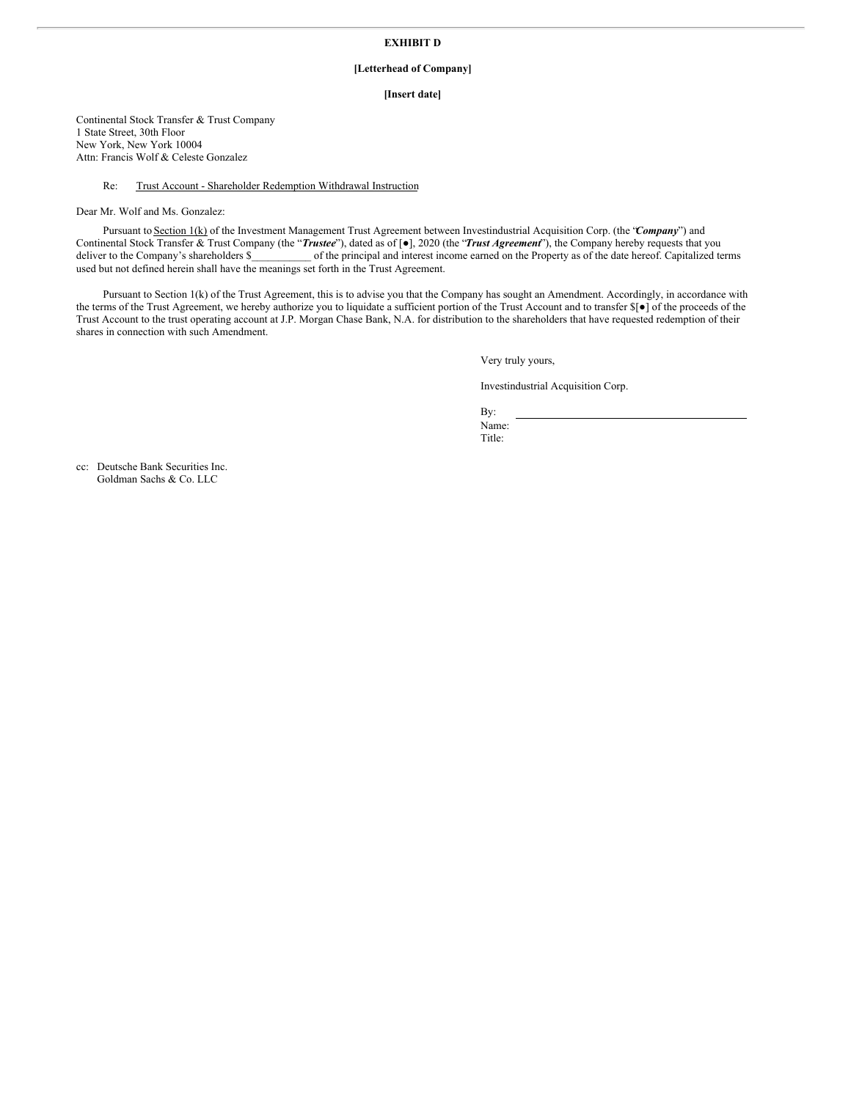# **EXHIBIT D**

## **[Letterhead of Company]**

#### **[Insert date]**

Continental Stock Transfer & Trust Company 1 State Street, 30th Floor New York, New York 10004 Attn: Francis Wolf & Celeste Gonzalez

### Re: Trust Account - Shareholder Redemption Withdrawal Instruction

Dear Mr. Wolf and Ms. Gonzalez:

Pursuant to Section 1(k) of the Investment Management Trust Agreement between Investindustrial Acquisition Corp. (the "*Company*") and Continental Stock Transfer & Trust Company (the "*Trustee*"), dated as of [●], 2020 (the "*Trust Agreement*"), the Company hereby requests that you deliver to the Company's shareholders \$\_\_\_\_\_\_\_\_\_\_\_\_ of the principal and interest income earned on the Property as of the date hereof. Capitalized terms used but not defined herein shall have the meanings set forth in the Trust Agreement.

Pursuant to Section 1(k) of the Trust Agreement, this is to advise you that the Company has sought an Amendment. Accordingly, in accordance with the terms of the Trust Agreement, we hereby authorize you to liquidate a sufficient portion of the Trust Account and to transfer \$[●] of the proceeds of the Trust Account to the trust operating account at J.P. Morgan Chase Bank, N.A. for distribution to the shareholders that have requested redemption of their shares in connection with such Amendment.

Very truly yours,

Investindustrial Acquisition Corp.

By: Name: Title: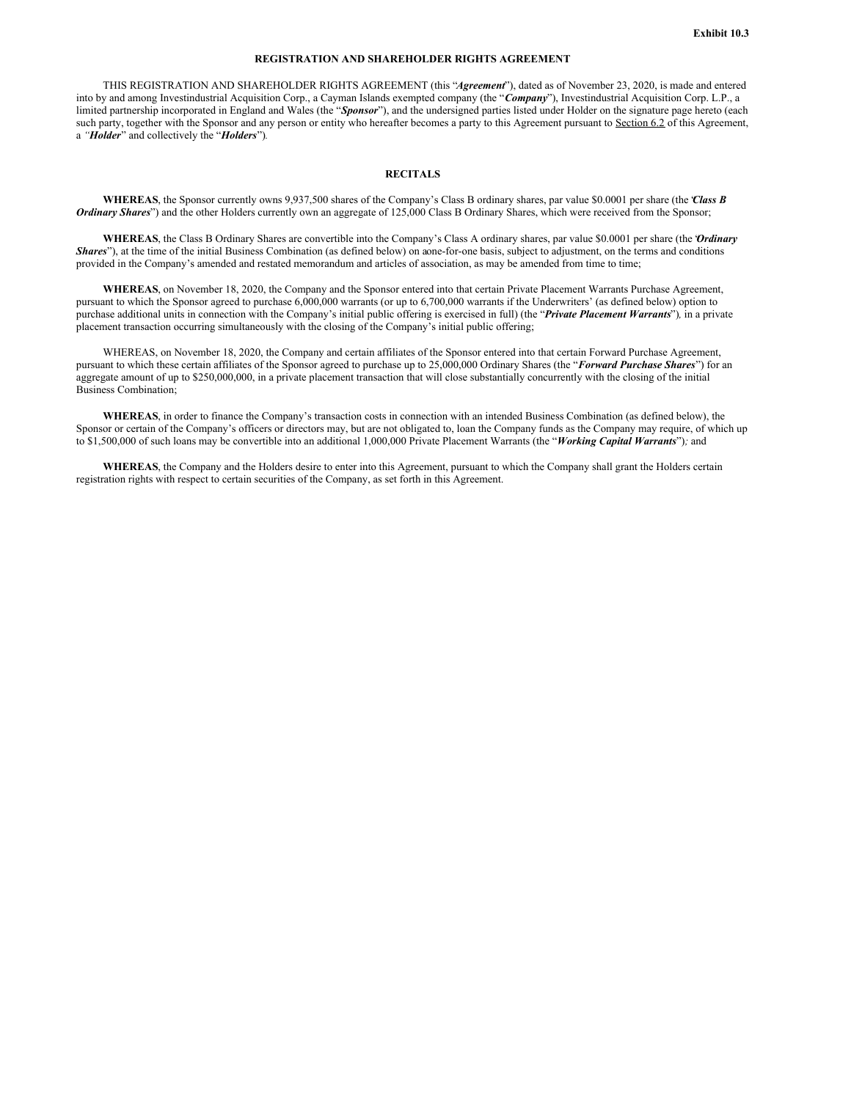### **REGISTRATION AND SHAREHOLDER RIGHTS AGREEMENT**

THIS REGISTRATION AND SHAREHOLDER RIGHTS AGREEMENT (this "*Agreement*"), dated as of November 23, 2020, is made and entered into by and among Investindustrial Acquisition Corp., a Cayman Islands exempted company (the "*Company*"), Investindustrial Acquisition Corp. L.P., a limited partnership incorporated in England and Wales (the "*Sponsor*"), and the undersigned parties listed under Holder on the signature page hereto (each such party, together with the Sponsor and any person or entity who hereafter becomes a party to this Agreement pursuant to Section 6.2 of this Agreement, a *"Holder*" and collectively the "*Holders*")*.*

### **RECITALS**

**WHEREAS**, the Sponsor currently owns 9,937,500 shares of the Company's Class B ordinary shares, par value \$0.0001 per share (the "*Class B Ordinary Shares*") and the other Holders currently own an aggregate of 125,000 Class B Ordinary Shares, which were received from the Sponsor;

**WHEREAS**, the Class B Ordinary Shares are convertible into the Company's Class A ordinary shares, par value \$0.0001 per share (the "*Ordinary Shares*"), at the time of the initial Business Combination (as defined below) on aone-for-one basis, subject to adjustment, on the terms and conditions provided in the Company's amended and restated memorandum and articles of association, as may be amended from time to time;

**WHEREAS**, on November 18, 2020, the Company and the Sponsor entered into that certain Private Placement Warrants Purchase Agreement, pursuant to which the Sponsor agreed to purchase 6,000,000 warrants (or up to 6,700,000 warrants if the Underwriters' (as defined below) option to purchase additional units in connection with the Company's initial public offering is exercised in full) (the "*Private Placement Warrants*")*,* in a private placement transaction occurring simultaneously with the closing of the Company's initial public offering;

WHEREAS, on November 18, 2020, the Company and certain affiliates of the Sponsor entered into that certain Forward Purchase Agreement, pursuant to which these certain affiliates of the Sponsor agreed to purchase up to 25,000,000 Ordinary Shares (the "*Forward Purchase Shares*") for an aggregate amount of up to \$250,000,000, in a private placement transaction that will close substantially concurrently with the closing of the initial Business Combination;

**WHEREAS**, in order to finance the Company's transaction costs in connection with an intended Business Combination (as defined below), the Sponsor or certain of the Company's officers or directors may, but are not obligated to, loan the Company funds as the Company may require, of which up to \$1,500,000 of such loans may be convertible into an additional 1,000,000 Private Placement Warrants (the "*Working Capital Warrants*")*;* and

**WHEREAS**, the Company and the Holders desire to enter into this Agreement, pursuant to which the Company shall grant the Holders certain registration rights with respect to certain securities of the Company, as set forth in this Agreement.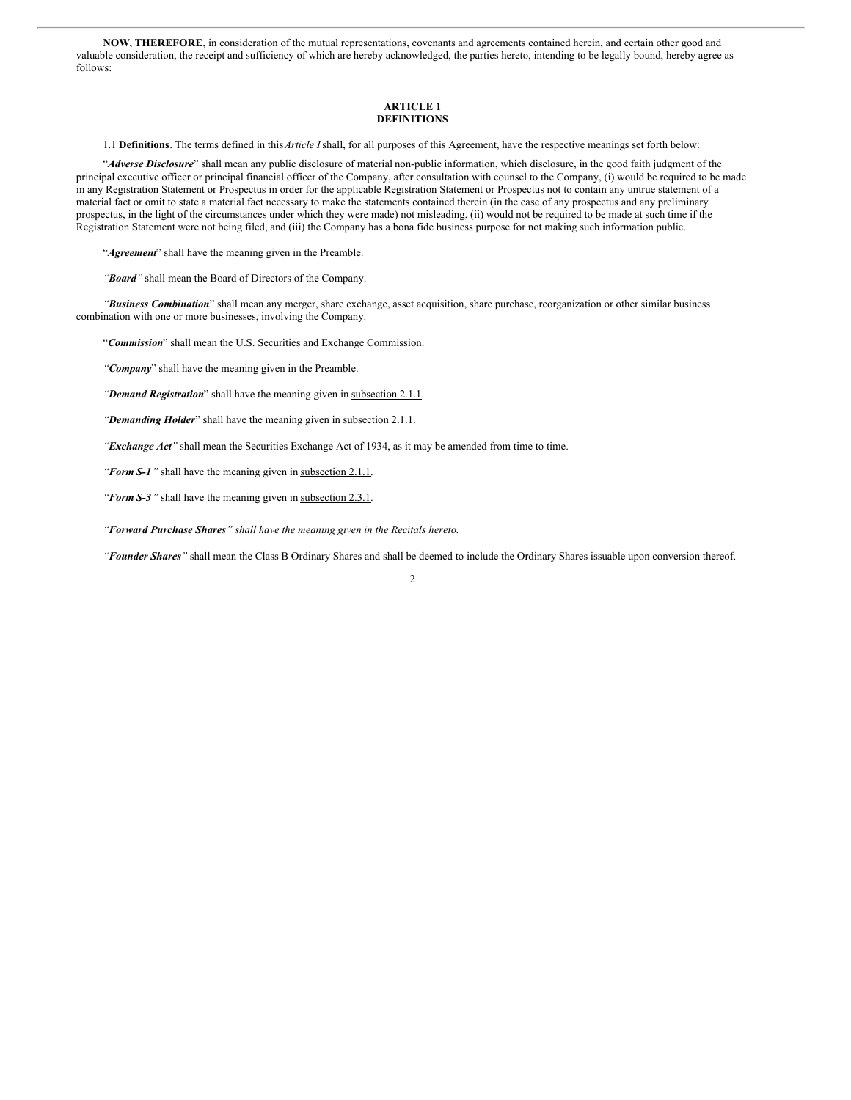**NOW**, **THEREFORE**, in consideration of the mutual representations, covenants and agreements contained herein, and certain other good and valuable consideration, the receipt and sufficiency of which are hereby acknowledged, the parties hereto, intending to be legally bound, hereby agree as follows:

### **ARTICLE 1 DEFINITIONS**

1.1 **Definitions**. The terms defined in this*Article I*shall, for all purposes of this Agreement, have the respective meanings set forth below:

"*Adverse Disclosure*" shall mean any public disclosure of material non-public information, which disclosure, in the good faith judgment of the principal executive officer or principal financial officer of the Company, after consultation with counsel to the Company, (i) would be required to be made in any Registration Statement or Prospectus in order for the applicable Registration Statement or Prospectus not to contain any untrue statement of a material fact or omit to state a material fact necessary to make the statements contained therein (in the case of any prospectus and any preliminary prospectus, in the light of the circumstances under which they were made) not misleading, (ii) would not be required to be made at such time if the Registration Statement were not being filed, and (iii) the Company has a bona fide business purpose for not making such information public.

"*Agreement*" shall have the meaning given in the Preamble.

*"Board"* shall mean the Board of Directors of the Company.

*"Business Combination*" shall mean any merger, share exchange, asset acquisition, share purchase, reorganization or other similar business combination with one or more businesses, involving the Company.

"*Commission*" shall mean the U.S. Securities and Exchange Commission.

*"Company*" shall have the meaning given in the Preamble.

*"Demand Registration*" shall have the meaning given in subsection 2.1.1.

*"Demanding Holder*" shall have the meaning given in subsection 2.1.1.

*"Exchange Act"* shall mean the Securities Exchange Act of 1934, as it may be amended from time to time.

*"Form S-1"* shall have the meaning given in subsection 2.1.1.

*"Form S-3"* shall have the meaning given in subsection 2.3.1.

*"Forward Purchase Shares" shall have the meaning given in the Recitals hereto.*

*"Founder Shares"* shall mean the Class B Ordinary Shares and shall be deemed to include the Ordinary Shares issuable upon conversion thereof.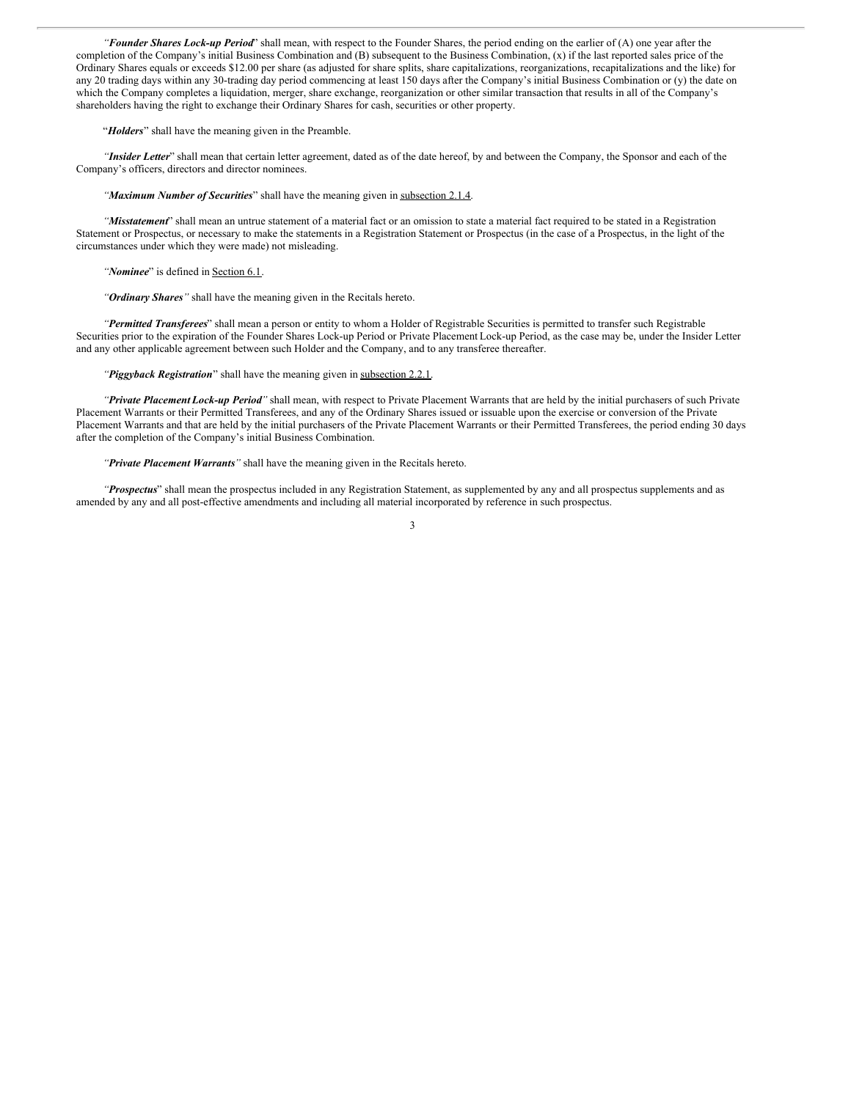*"Founder Shares Lock-up Period*" shall mean, with respect to the Founder Shares, the period ending on the earlier of (A) one year after the completion of the Company's initial Business Combination and (B) subsequent to the Business Combination, (x) if the last reported sales price of the Ordinary Shares equals or exceeds \$12.00 per share (as adjusted for share splits, share capitalizations, reorganizations, recapitalizations and the like) for any 20 trading days within any 30-trading day period commencing at least 150 days after the Company's initial Business Combination or (y) the date on which the Company completes a liquidation, merger, share exchange, reorganization or other similar transaction that results in all of the Company's shareholders having the right to exchange their Ordinary Shares for cash, securities or other property.

"*Holders*" shall have the meaning given in the Preamble.

*"Insider Letter*" shall mean that certain letter agreement, dated as of the date hereof, by and between the Company, the Sponsor and each of the Company's officers, directors and director nominees.

*"Maximum Number of Securities*" shall have the meaning given in subsection 2.1.4.

*"Misstatement*" shall mean an untrue statement of a material fact or an omission to state a material fact required to be stated in a Registration Statement or Prospectus, or necessary to make the statements in a Registration Statement or Prospectus (in the case of a Prospectus, in the light of the circumstances under which they were made) not misleading.

*"Nominee*" is defined in Section 6.1.

*"Ordinary Shares"* shall have the meaning given in the Recitals hereto.

*"Permitted Transferees*" shall mean a person or entity to whom a Holder of Registrable Securities is permitted to transfer such Registrable Securities prior to the expiration of the Founder Shares Lock-up Period or Private Placement Lock-up Period, as the case may be, under the Insider Letter and any other applicable agreement between such Holder and the Company, and to any transferee thereafter.

*"Piggyback Registration*" shall have the meaning given in subsection 2.2.1.

*"Private Placement Lock-up Period"* shall mean, with respect to Private Placement Warrants that are held by the initial purchasers of such Private Placement Warrants or their Permitted Transferees, and any of the Ordinary Shares issued or issuable upon the exercise or conversion of the Private Placement Warrants and that are held by the initial purchasers of the Private Placement Warrants or their Permitted Transferees, the period ending 30 days after the completion of the Company's initial Business Combination.

*"Private Placement Warrants"* shall have the meaning given in the Recitals hereto.

*"Prospectus*" shall mean the prospectus included in any Registration Statement, as supplemented by any and all prospectus supplements and as amended by any and all post-effective amendments and including all material incorporated by reference in such prospectus.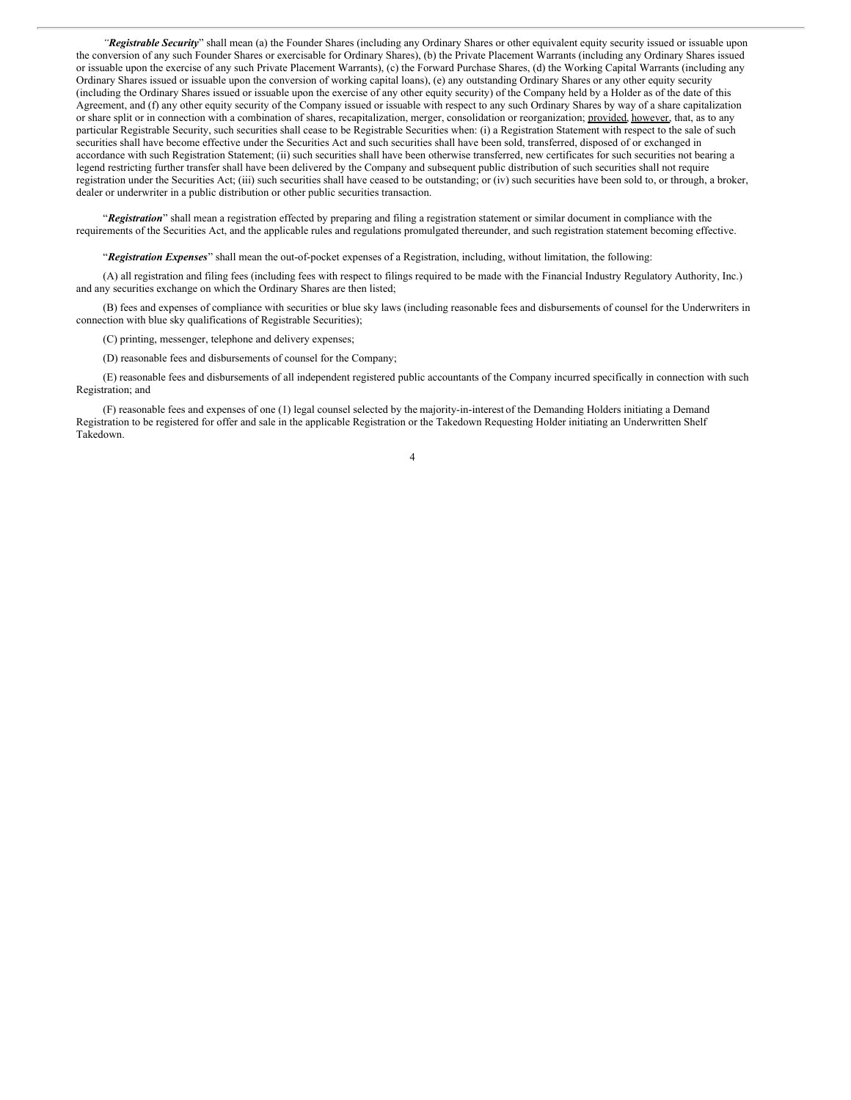*"Registrable Security*" shall mean (a) the Founder Shares (including any Ordinary Shares or other equivalent equity security issued or issuable upon the conversion of any such Founder Shares or exercisable for Ordinary Shares), (b) the Private Placement Warrants (including any Ordinary Shares issued or issuable upon the exercise of any such Private Placement Warrants), (c) the Forward Purchase Shares, (d) the Working Capital Warrants (including any Ordinary Shares issued or issuable upon the conversion of working capital loans), (e) any outstanding Ordinary Shares or any other equity security (including the Ordinary Shares issued or issuable upon the exercise of any other equity security) of the Company held by a Holder as of the date of this Agreement, and (f) any other equity security of the Company issued or issuable with respect to any such Ordinary Shares by way of a share capitalization or share split or in connection with a combination of shares, recapitalization, merger, consolidation or reorganization; provided, however, that, as to any particular Registrable Security, such securities shall cease to be Registrable Securities when: (i) a Registration Statement with respect to the sale of such securities shall have become effective under the Securities Act and such securities shall have been sold, transferred, disposed of or exchanged in accordance with such Registration Statement; (ii) such securities shall have been otherwise transferred, new certificates for such securities not bearing a legend restricting further transfer shall have been delivered by the Company and subsequent public distribution of such securities shall not require registration under the Securities Act; (iii) such securities shall have ceased to be outstanding; or (iv) such securities have been sold to, or through, a broker, dealer or underwriter in a public distribution or other public securities transaction.

"*Registration*" shall mean a registration effected by preparing and filing a registration statement or similar document in compliance with the requirements of the Securities Act, and the applicable rules and regulations promulgated thereunder, and such registration statement becoming effective.

"*Registration Expenses*" shall mean the out-of-pocket expenses of a Registration, including, without limitation, the following:

(A) all registration and filing fees (including fees with respect to filings required to be made with the Financial Industry Regulatory Authority, Inc.) and any securities exchange on which the Ordinary Shares are then listed;

(B) fees and expenses of compliance with securities or blue sky laws (including reasonable fees and disbursements of counsel for the Underwriters in connection with blue sky qualifications of Registrable Securities);

(C) printing, messenger, telephone and delivery expenses;

(D) reasonable fees and disbursements of counsel for the Company;

(E) reasonable fees and disbursements of all independent registered public accountants of the Company incurred specifically in connection with such Registration; and

(F) reasonable fees and expenses of one (1) legal counsel selected by the majority-in-interest of the Demanding Holders initiating a Demand Registration to be registered for offer and sale in the applicable Registration or the Takedown Requesting Holder initiating an Underwritten Shelf Takedown.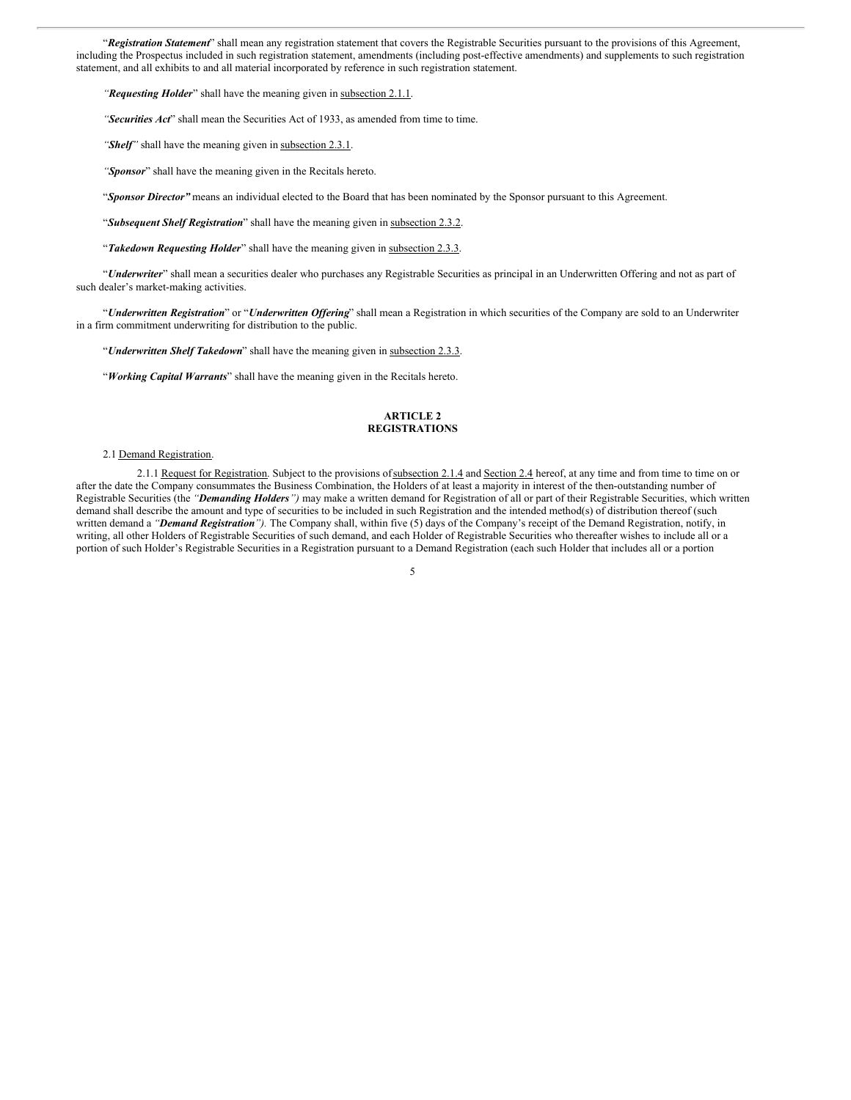"*Registration Statement*" shall mean any registration statement that covers the Registrable Securities pursuant to the provisions of this Agreement, including the Prospectus included in such registration statement, amendments (including post-effective amendments) and supplements to such registration statement, and all exhibits to and all material incorporated by reference in such registration statement.

*"Requesting Holder*" shall have the meaning given in subsection 2.1.1.

*"Securities Act*" shall mean the Securities Act of 1933, as amended from time to time.

*"Shelf"* shall have the meaning given in subsection 2.3.1.

*"Sponsor*" shall have the meaning given in the Recitals hereto.

"*Sponsor Director"* means an individual elected to the Board that has been nominated by the Sponsor pursuant to this Agreement.

"*Subsequent Shelf Registration*" shall have the meaning given in subsection 2.3.2.

"*Takedown Requesting Holder*" shall have the meaning given in subsection 2.3.3.

"*Underwriter*" shall mean a securities dealer who purchases any Registrable Securities as principal in an Underwritten Offering and not as part of such dealer's market-making activities.

"*Underwritten Registration*" or "*Underwritten Of ering*" shall mean a Registration in which securities of the Company are sold to an Underwriter in a firm commitment underwriting for distribution to the public.

"*Underwritten Shelf Takedown*" shall have the meaning given in subsection 2.3.3.

"*Working Capital Warrants*" shall have the meaning given in the Recitals hereto.

### **ARTICLE 2 REGISTRATIONS**

#### 2.1 Demand Registration.

2.1.1 Request for Registration. Subject to the provisions of subsection 2.1.4 and Section 2.4 hereof, at any time and from time to time on or after the date the Company consummates the Business Combination, the Holders of at least a majority in interest of the then-outstanding number of Registrable Securities (the *"Demanding Holders")* may make a written demand for Registration of all or part of their Registrable Securities, which written demand shall describe the amount and type of securities to be included in such Registration and the intended method(s) of distribution thereof (such written demand a *"Demand Registration").* The Company shall, within five (5) days of the Company's receipt of the Demand Registration, notify, in writing, all other Holders of Registrable Securities of such demand, and each Holder of Registrable Securities who thereafter wishes to include all or a portion of such Holder's Registrable Securities in a Registration pursuant to a Demand Registration (each such Holder that includes all or a portion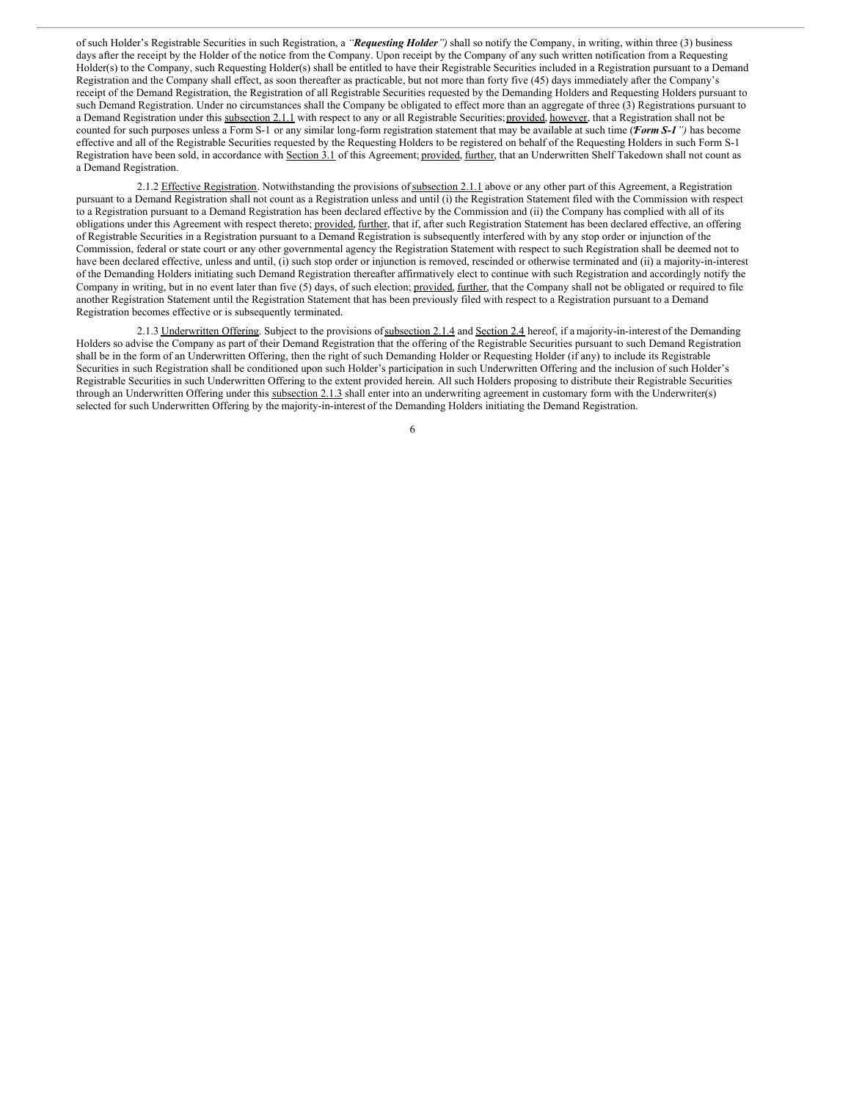of such Holder's Registrable Securities in such Registration, a *"Requesting Holder")* shall so notify the Company, in writing, within three (3) business days after the receipt by the Holder of the notice from the Company. Upon receipt by the Company of any such written notification from a Requesting Holder(s) to the Company, such Requesting Holder(s) shall be entitled to have their Registrable Securities included in a Registration pursuant to a Demand Registration and the Company shall effect, as soon thereafter as practicable, but not more than forty five (45) days immediately after the Company's receipt of the Demand Registration, the Registration of all Registrable Securities requested by the Demanding Holders and Requesting Holders pursuant to such Demand Registration. Under no circumstances shall the Company be obligated to effect more than an aggregate of three (3) Registrations pursuant to a Demand Registration under this subsection 2.1.1 with respect to any or all Registrable Securities; provided, however, that a Registration shall not be counted for such purposes unless a Form S-1 or any similar long-form registration statement that may be available at such time ("*Form S-1")* has become effective and all of the Registrable Securities requested by the Requesting Holders to be registered on behalf of the Requesting Holders in such Form S-1 Registration have been sold, in accordance with Section 3.1 of this Agreement; provided, further, that an Underwritten Shelf Takedown shall not count as a Demand Registration.

2.1.2 Effective Registration. Notwithstanding the provisions of subsection 2.1.1 above or any other part of this Agreement, a Registration pursuant to a Demand Registration shall not count as a Registration unless and until (i) the Registration Statement filed with the Commission with respect to a Registration pursuant to a Demand Registration has been declared effective by the Commission and (ii) the Company has complied with all of its obligations under this Agreement with respect thereto; provided, further, that if, after such Registration Statement has been declared effective, an offering of Registrable Securities in a Registration pursuant to a Demand Registration is subsequently interfered with by any stop order or injunction of the Commission, federal or state court or any other governmental agency the Registration Statement with respect to such Registration shall be deemed not to have been declared effective, unless and until, (i) such stop order or injunction is removed, rescinded or otherwise terminated and (ii) a majority-in-interest of the Demanding Holders initiating such Demand Registration thereafter affirmatively elect to continue with such Registration and accordingly notify the Company in writing, but in no event later than five (5) days, of such election; provided, further, that the Company shall not be obligated or required to file another Registration Statement until the Registration Statement that has been previously filed with respect to a Registration pursuant to a Demand Registration becomes effective or is subsequently terminated.

2.1.3 Underwritten Offering. Subject to the provisions of subsection 2.1.4 and Section 2.4 hereof, if a majority-in-interest of the Demanding Holders so advise the Company as part of their Demand Registration that the offering of the Registrable Securities pursuant to such Demand Registration shall be in the form of an Underwritten Offering, then the right of such Demanding Holder or Requesting Holder (if any) to include its Registrable Securities in such Registration shall be conditioned upon such Holder's participation in such Underwritten Offering and the inclusion of such Holder's Registrable Securities in such Underwritten Offering to the extent provided herein. All such Holders proposing to distribute their Registrable Securities through an Underwritten Offering under this subsection 2.1.3 shall enter into an underwriting agreement in customary form with the Underwriter(s) selected for such Underwritten Offering by the majority-in-interest of the Demanding Holders initiating the Demand Registration.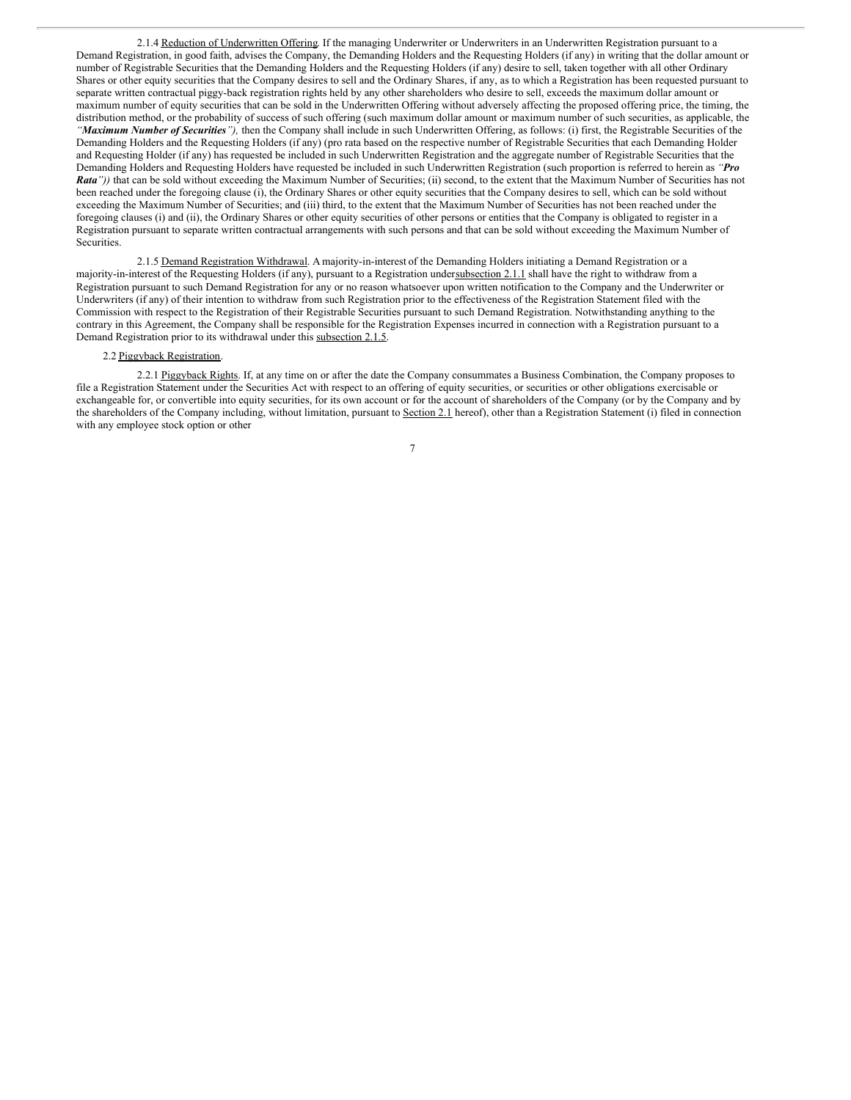2.1.4 Reduction of Underwritten Offering. If the managing Underwriter or Underwriters in an Underwritten Registration pursuant to a Demand Registration, in good faith, advises the Company, the Demanding Holders and the Requesting Holders (if any) in writing that the dollar amount or number of Registrable Securities that the Demanding Holders and the Requesting Holders (if any) desire to sell, taken together with all other Ordinary Shares or other equity securities that the Company desires to sell and the Ordinary Shares, if any, as to which a Registration has been requested pursuant to separate written contractual piggy-back registration rights held by any other shareholders who desire to sell, exceeds the maximum dollar amount or maximum number of equity securities that can be sold in the Underwritten Offering without adversely affecting the proposed offering price, the timing, the distribution method, or the probability of success of such offering (such maximum dollar amount or maximum number of such securities, as applicable, the *"Maximum Number of Securities"),* then the Company shall include in such Underwritten Offering, as follows: (i) first, the Registrable Securities of the Demanding Holders and the Requesting Holders (if any) (pro rata based on the respective number of Registrable Securities that each Demanding Holder and Requesting Holder (if any) has requested be included in such Underwritten Registration and the aggregate number of Registrable Securities that the Demanding Holders and Requesting Holders have requested be included in such Underwritten Registration (such proportion is referred to herein as *"Pro Rata"))* that can be sold without exceeding the Maximum Number of Securities; (ii) second, to the extent that the Maximum Number of Securities has not been reached under the foregoing clause (i), the Ordinary Shares or other equity securities that the Company desires to sell, which can be sold without exceeding the Maximum Number of Securities; and (iii) third, to the extent that the Maximum Number of Securities has not been reached under the foregoing clauses (i) and (ii), the Ordinary Shares or other equity securities of other persons or entities that the Company is obligated to register in a Registration pursuant to separate written contractual arrangements with such persons and that can be sold without exceeding the Maximum Number of Securities.

2.1.5 Demand Registration Withdrawal. A majority-in-interest of the Demanding Holders initiating a Demand Registration or a majority-in-interest of the Requesting Holders (if any), pursuant to a Registration undersubsection 2.1.1 shall have the right to withdraw from a Registration pursuant to such Demand Registration for any or no reason whatsoever upon written notification to the Company and the Underwriter or Underwriters (if any) of their intention to withdraw from such Registration prior to the effectiveness of the Registration Statement filed with the Commission with respect to the Registration of their Registrable Securities pursuant to such Demand Registration. Notwithstanding anything to the contrary in this Agreement, the Company shall be responsible for the Registration Expenses incurred in connection with a Registration pursuant to a Demand Registration prior to its withdrawal under this subsection 2.1.5.

### 2.2 Piggyback Registration.

2.2.1 Piggyback Rights. If, at any time on or after the date the Company consummates a Business Combination, the Company proposes to file a Registration Statement under the Securities Act with respect to an offering of equity securities, or securities or other obligations exercisable or exchangeable for, or convertible into equity securities, for its own account or for the account of shareholders of the Company (or by the Company and by the shareholders of the Company including, without limitation, pursuant to Section 2.1 hereof), other than a Registration Statement (i) filed in connection with any employee stock option or other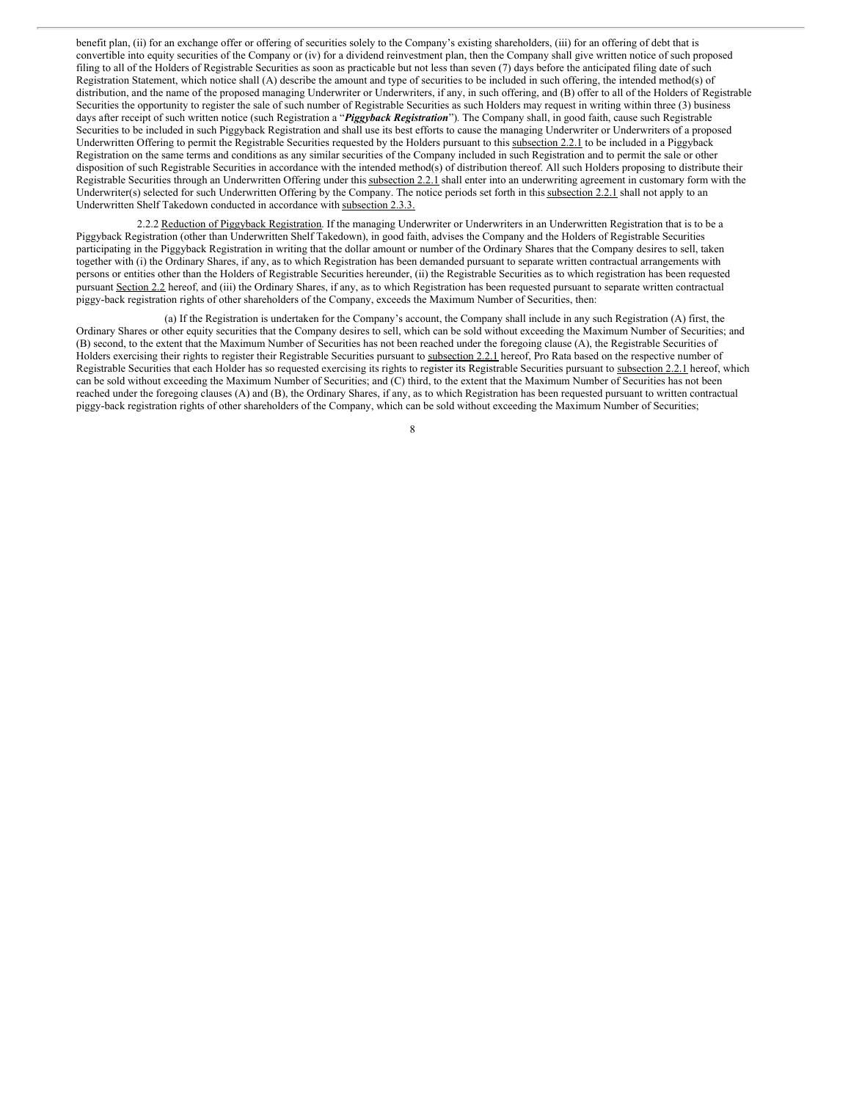benefit plan, (ii) for an exchange offer or offering of securities solely to the Company's existing shareholders, (iii) for an offering of debt that is convertible into equity securities of the Company or (iv) for a dividend reinvestment plan, then the Company shall give written notice of such proposed filing to all of the Holders of Registrable Securities as soon as practicable but not less than seven (7) days before the anticipated filing date of such Registration Statement, which notice shall (A) describe the amount and type of securities to be included in such offering, the intended method(s) of distribution, and the name of the proposed managing Underwriter or Underwriters, if any, in such offering, and (B) offer to all of the Holders of Registrable Securities the opportunity to register the sale of such number of Registrable Securities as such Holders may request in writing within three (3) business days after receipt of such written notice (such Registration a "*Piggyback Registration*")*.* The Company shall, in good faith, cause such Registrable Securities to be included in such Piggyback Registration and shall use its best efforts to cause the managing Underwriter or Underwriters of a proposed Underwritten Offering to permit the Registrable Securities requested by the Holders pursuant to this subsection 2.2.1 to be included in a Piggyback Registration on the same terms and conditions as any similar securities of the Company included in such Registration and to permit the sale or other disposition of such Registrable Securities in accordance with the intended method(s) of distribution thereof. All such Holders proposing to distribute their Registrable Securities through an Underwritten Offering under this subsection 2.2.1 shall enter into an underwriting agreement in customary form with the Underwriter(s) selected for such Underwritten Offering by the Company. The notice periods set forth in this subsection 2.2.1 shall not apply to an Underwritten Shelf Takedown conducted in accordance with subsection 2.3.3.

2.2.2 Reduction of Piggyback Registration. If the managing Underwriter or Underwriters in an Underwritten Registration that is to be a Piggyback Registration (other than Underwritten Shelf Takedown), in good faith, advises the Company and the Holders of Registrable Securities participating in the Piggyback Registration in writing that the dollar amount or number of the Ordinary Shares that the Company desires to sell, taken together with (i) the Ordinary Shares, if any, as to which Registration has been demanded pursuant to separate written contractual arrangements with persons or entities other than the Holders of Registrable Securities hereunder, (ii) the Registrable Securities as to which registration has been requested pursuant Section 2.2 hereof, and (iii) the Ordinary Shares, if any, as to which Registration has been requested pursuant to separate written contractual piggy-back registration rights of other shareholders of the Company, exceeds the Maximum Number of Securities, then:

(a) If the Registration is undertaken for the Company's account, the Company shall include in any such Registration (A) first, the Ordinary Shares or other equity securities that the Company desires to sell, which can be sold without exceeding the Maximum Number of Securities; and (B) second, to the extent that the Maximum Number of Securities has not been reached under the foregoing clause (A), the Registrable Securities of Holders exercising their rights to register their Registrable Securities pursuant to subsection 2.2.1 hereof, Pro Rata based on the respective number of Registrable Securities that each Holder has so requested exercising its rights to register its Registrable Securities pursuant to subsection 2.2.1 hereof, which can be sold without exceeding the Maximum Number of Securities; and (C) third, to the extent that the Maximum Number of Securities has not been reached under the foregoing clauses (A) and (B), the Ordinary Shares, if any, as to which Registration has been requested pursuant to written contractual piggy-back registration rights of other shareholders of the Company, which can be sold without exceeding the Maximum Number of Securities;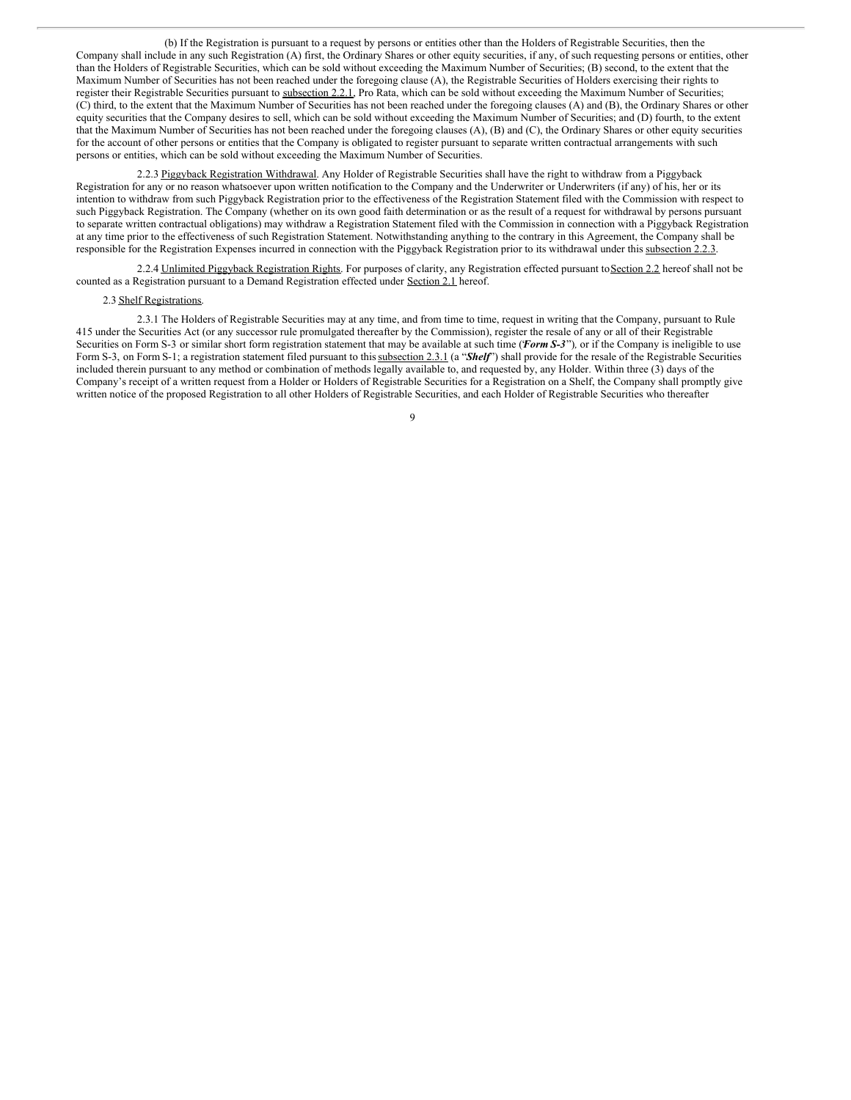(b) If the Registration is pursuant to a request by persons or entities other than the Holders of Registrable Securities, then the Company shall include in any such Registration (A) first, the Ordinary Shares or other equity securities, if any, of such requesting persons or entities, other than the Holders of Registrable Securities, which can be sold without exceeding the Maximum Number of Securities; (B) second, to the extent that the Maximum Number of Securities has not been reached under the foregoing clause (A), the Registrable Securities of Holders exercising their rights to register their Registrable Securities pursuant to subsection 2.2.1, Pro Rata, which can be sold without exceeding the Maximum Number of Securities; (C) third, to the extent that the Maximum Number of Securities has not been reached under the foregoing clauses (A) and (B), the Ordinary Shares or other equity securities that the Company desires to sell, which can be sold without exceeding the Maximum Number of Securities; and (D) fourth, to the extent that the Maximum Number of Securities has not been reached under the foregoing clauses (A), (B) and (C), the Ordinary Shares or other equity securities for the account of other persons or entities that the Company is obligated to register pursuant to separate written contractual arrangements with such persons or entities, which can be sold without exceeding the Maximum Number of Securities.

2.2.3 Piggyback Registration Withdrawal. Any Holder of Registrable Securities shall have the right to withdraw from a Piggyback Registration for any or no reason whatsoever upon written notification to the Company and the Underwriter or Underwriters (if any) of his, her or its intention to withdraw from such Piggyback Registration prior to the effectiveness of the Registration Statement filed with the Commission with respect to such Piggyback Registration. The Company (whether on its own good faith determination or as the result of a request for withdrawal by persons pursuant to separate written contractual obligations) may withdraw a Registration Statement filed with the Commission in connection with a Piggyback Registration at any time prior to the effectiveness of such Registration Statement. Notwithstanding anything to the contrary in this Agreement, the Company shall be responsible for the Registration Expenses incurred in connection with the Piggyback Registration prior to its withdrawal under this subsection 2.2.3.

2.2.4 Unlimited Piggyback Registration Rights. For purposes of clarity, any Registration effected pursuant to Section 2.2 hereof shall not be counted as a Registration pursuant to a Demand Registration effected under Section 2.1 hereof.

#### 2.3 Shelf Registrations.

2.3.1 The Holders of Registrable Securities may at any time, and from time to time, request in writing that the Company, pursuant to Rule 415 under the Securities Act (or any successor rule promulgated thereafter by the Commission), register the resale of any or all of their Registrable Securities on Form S-3 or similar short form registration statement that may be available at such time (*Form S-3*"), or if the Company is ineligible to use Form S-3, on Form S-1; a registration statement filed pursuant to this subsection 2.3.1 (a "Shelf") shall provide for the resale of the Registrable Securities included therein pursuant to any method or combination of methods legally available to, and requested by, any Holder. Within three (3) days of the Company's receipt of a written request from a Holder or Holders of Registrable Securities for a Registration on a Shelf, the Company shall promptly give written notice of the proposed Registration to all other Holders of Registrable Securities, and each Holder of Registrable Securities who thereafter

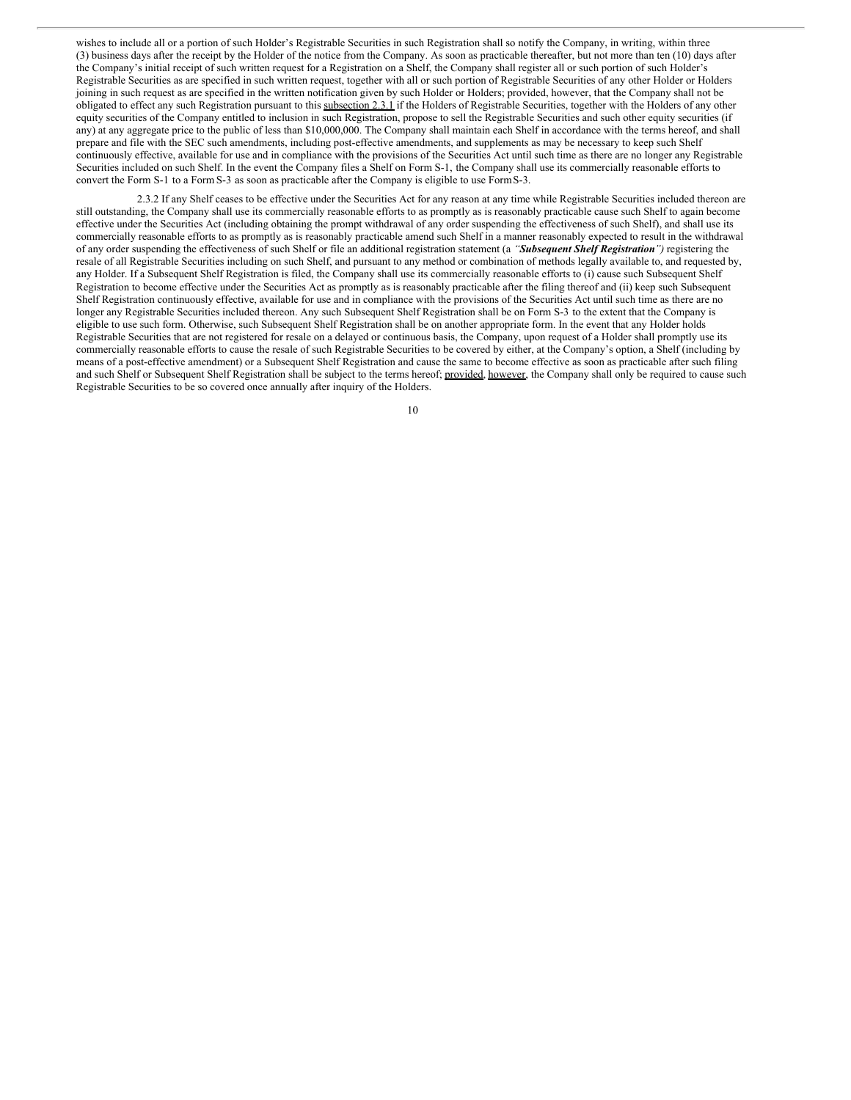wishes to include all or a portion of such Holder's Registrable Securities in such Registration shall so notify the Company, in writing, within three (3) business days after the receipt by the Holder of the notice from the Company. As soon as practicable thereafter, but not more than ten (10) days after the Company's initial receipt of such written request for a Registration on a Shelf, the Company shall register all or such portion of such Holder's Registrable Securities as are specified in such written request, together with all or such portion of Registrable Securities of any other Holder or Holders joining in such request as are specified in the written notification given by such Holder or Holders; provided, however, that the Company shall not be obligated to effect any such Registration pursuant to this subsection 2.3.1 if the Holders of Registrable Securities, together with the Holders of any other equity securities of the Company entitled to inclusion in such Registration, propose to sell the Registrable Securities and such other equity securities (if any) at any aggregate price to the public of less than \$10,000,000. The Company shall maintain each Shelf in accordance with the terms hereof, and shall prepare and file with the SEC such amendments, including post-effective amendments, and supplements as may be necessary to keep such Shelf continuously effective, available for use and in compliance with the provisions of the Securities Act until such time as there are no longer any Registrable Securities included on such Shelf. In the event the Company files a Shelf on Form S-1, the Company shall use its commercially reasonable efforts to convert the Form S-1 to a Form S-3 as soon as practicable after the Company is eligible to use FormS-3.

2.3.2 If any Shelf ceases to be effective under the Securities Act for any reason at any time while Registrable Securities included thereon are still outstanding, the Company shall use its commercially reasonable efforts to as promptly as is reasonably practicable cause such Shelf to again become effective under the Securities Act (including obtaining the prompt withdrawal of any order suspending the effectiveness of such Shelf), and shall use its commercially reasonable efforts to as promptly as is reasonably practicable amend such Shelf in a manner reasonably expected to result in the withdrawal of any order suspending the effectiveness of such Shelf or file an additional registration statement (a *"Subsequent Shelf Registration")* registering the resale of all Registrable Securities including on such Shelf, and pursuant to any method or combination of methods legally available to, and requested by, any Holder. If a Subsequent Shelf Registration is filed, the Company shall use its commercially reasonable efforts to (i) cause such Subsequent Shelf Registration to become effective under the Securities Act as promptly as is reasonably practicable after the filing thereof and (ii) keep such Subsequent Shelf Registration continuously effective, available for use and in compliance with the provisions of the Securities Act until such time as there are no longer any Registrable Securities included thereon. Any such Subsequent Shelf Registration shall be on Form S-3 to the extent that the Company is eligible to use such form. Otherwise, such Subsequent Shelf Registration shall be on another appropriate form. In the event that any Holder holds Registrable Securities that are not registered for resale on a delayed or continuous basis, the Company, upon request of a Holder shall promptly use its commercially reasonable efforts to cause the resale of such Registrable Securities to be covered by either, at the Company's option, a Shelf (including by means of a post-effective amendment) or a Subsequent Shelf Registration and cause the same to become effective as soon as practicable after such filing and such Shelf or Subsequent Shelf Registration shall be subject to the terms hereof; provided, however, the Company shall only be required to cause such Registrable Securities to be so covered once annually after inquiry of the Holders.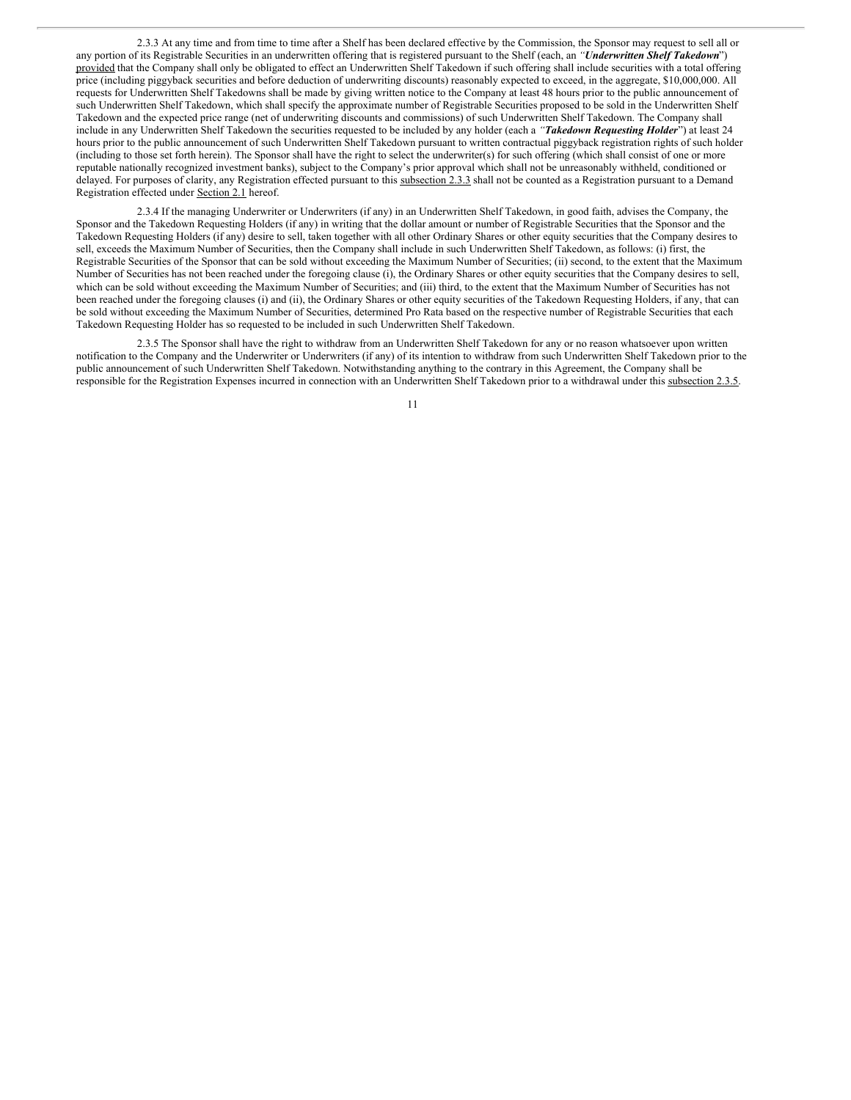2.3.3 At any time and from time to time after a Shelf has been declared effective by the Commission, the Sponsor may request to sell all or any portion of its Registrable Securities in an underwritten offering that is registered pursuant to the Shelf (each, an *"Underwritten Shelf Takedown*") provided that the Company shall only be obligated to effect an Underwritten Shelf Takedown if such offering shall include securities with a total offering price (including piggyback securities and before deduction of underwriting discounts) reasonably expected to exceed, in the aggregate, \$10,000,000. All requests for Underwritten Shelf Takedowns shall be made by giving written notice to the Company at least 48 hours prior to the public announcement of such Underwritten Shelf Takedown, which shall specify the approximate number of Registrable Securities proposed to be sold in the Underwritten Shelf Takedown and the expected price range (net of underwriting discounts and commissions) of such Underwritten Shelf Takedown. The Company shall include in any Underwritten Shelf Takedown the securities requested to be included by any holder (each a *"Takedown Requesting Holder*") at least 24 hours prior to the public announcement of such Underwritten Shelf Takedown pursuant to written contractual piggyback registration rights of such holder (including to those set forth herein). The Sponsor shall have the right to select the underwriter(s) for such offering (which shall consist of one or more reputable nationally recognized investment banks), subject to the Company's prior approval which shall not be unreasonably withheld, conditioned or delayed. For purposes of clarity, any Registration effected pursuant to this subsection 2.3.3 shall not be counted as a Registration pursuant to a Demand Registration effected under Section 2.1 hereof.

2.3.4 If the managing Underwriter or Underwriters (if any) in an Underwritten Shelf Takedown, in good faith, advises the Company, the Sponsor and the Takedown Requesting Holders (if any) in writing that the dollar amount or number of Registrable Securities that the Sponsor and the Takedown Requesting Holders (if any) desire to sell, taken together with all other Ordinary Shares or other equity securities that the Company desires to sell, exceeds the Maximum Number of Securities, then the Company shall include in such Underwritten Shelf Takedown, as follows: (i) first, the Registrable Securities of the Sponsor that can be sold without exceeding the Maximum Number of Securities; (ii) second, to the extent that the Maximum Number of Securities has not been reached under the foregoing clause (i), the Ordinary Shares or other equity securities that the Company desires to sell, which can be sold without exceeding the Maximum Number of Securities; and (iii) third, to the extent that the Maximum Number of Securities has not been reached under the foregoing clauses (i) and (ii), the Ordinary Shares or other equity securities of the Takedown Requesting Holders, if any, that can be sold without exceeding the Maximum Number of Securities, determined Pro Rata based on the respective number of Registrable Securities that each Takedown Requesting Holder has so requested to be included in such Underwritten Shelf Takedown.

2.3.5 The Sponsor shall have the right to withdraw from an Underwritten Shelf Takedown for any or no reason whatsoever upon written notification to the Company and the Underwriter or Underwriters (if any) of its intention to withdraw from such Underwritten Shelf Takedown prior to the public announcement of such Underwritten Shelf Takedown. Notwithstanding anything to the contrary in this Agreement, the Company shall be responsible for the Registration Expenses incurred in connection with an Underwritten Shelf Takedown prior to a withdrawal under this subsection 2.3.5.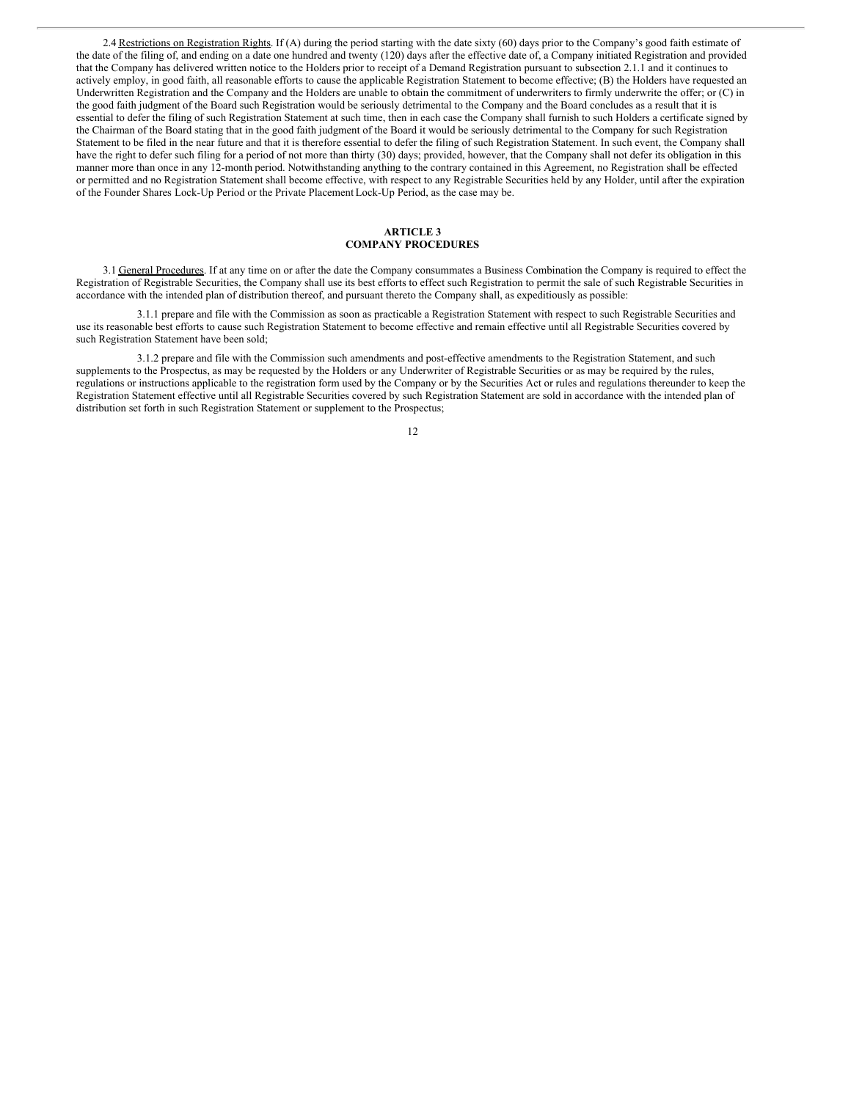2.4 Restrictions on Registration Rights. If (A) during the period starting with the date sixty (60) days prior to the Company's good faith estimate of the date of the filing of, and ending on a date one hundred and twenty (120) days after the effective date of, a Company initiated Registration and provided that the Company has delivered written notice to the Holders prior to receipt of a Demand Registration pursuant to subsection 2.1.1 and it continues to actively employ, in good faith, all reasonable efforts to cause the applicable Registration Statement to become effective; (B) the Holders have requested an Underwritten Registration and the Company and the Holders are unable to obtain the commitment of underwriters to firmly underwrite the offer; or (C) in the good faith judgment of the Board such Registration would be seriously detrimental to the Company and the Board concludes as a result that it is essential to defer the filing of such Registration Statement at such time, then in each case the Company shall furnish to such Holders a certificate signed by the Chairman of the Board stating that in the good faith judgment of the Board it would be seriously detrimental to the Company for such Registration Statement to be filed in the near future and that it is therefore essential to defer the filing of such Registration Statement. In such event, the Company shall have the right to defer such filing for a period of not more than thirty (30) days; provided, however, that the Company shall not defer its obligation in this manner more than once in any 12-month period. Notwithstanding anything to the contrary contained in this Agreement, no Registration shall be effected or permitted and no Registration Statement shall become effective, with respect to any Registrable Securities held by any Holder, until after the expiration of the Founder Shares Lock-Up Period or the Private Placement Lock-Up Period, as the case may be.

### **ARTICLE 3 COMPANY PROCEDURES**

3.1 General Procedures. If at any time on or after the date the Company consummates a Business Combination the Company is required to effect the Registration of Registrable Securities, the Company shall use its best efforts to effect such Registration to permit the sale of such Registrable Securities in accordance with the intended plan of distribution thereof, and pursuant thereto the Company shall, as expeditiously as possible:

3.1.1 prepare and file with the Commission as soon as practicable a Registration Statement with respect to such Registrable Securities and use its reasonable best efforts to cause such Registration Statement to become effective and remain effective until all Registrable Securities covered by such Registration Statement have been sold;

3.1.2 prepare and file with the Commission such amendments and post-effective amendments to the Registration Statement, and such supplements to the Prospectus, as may be requested by the Holders or any Underwriter of Registrable Securities or as may be required by the rules, regulations or instructions applicable to the registration form used by the Company or by the Securities Act or rules and regulations thereunder to keep the Registration Statement effective until all Registrable Securities covered by such Registration Statement are sold in accordance with the intended plan of distribution set forth in such Registration Statement or supplement to the Prospectus;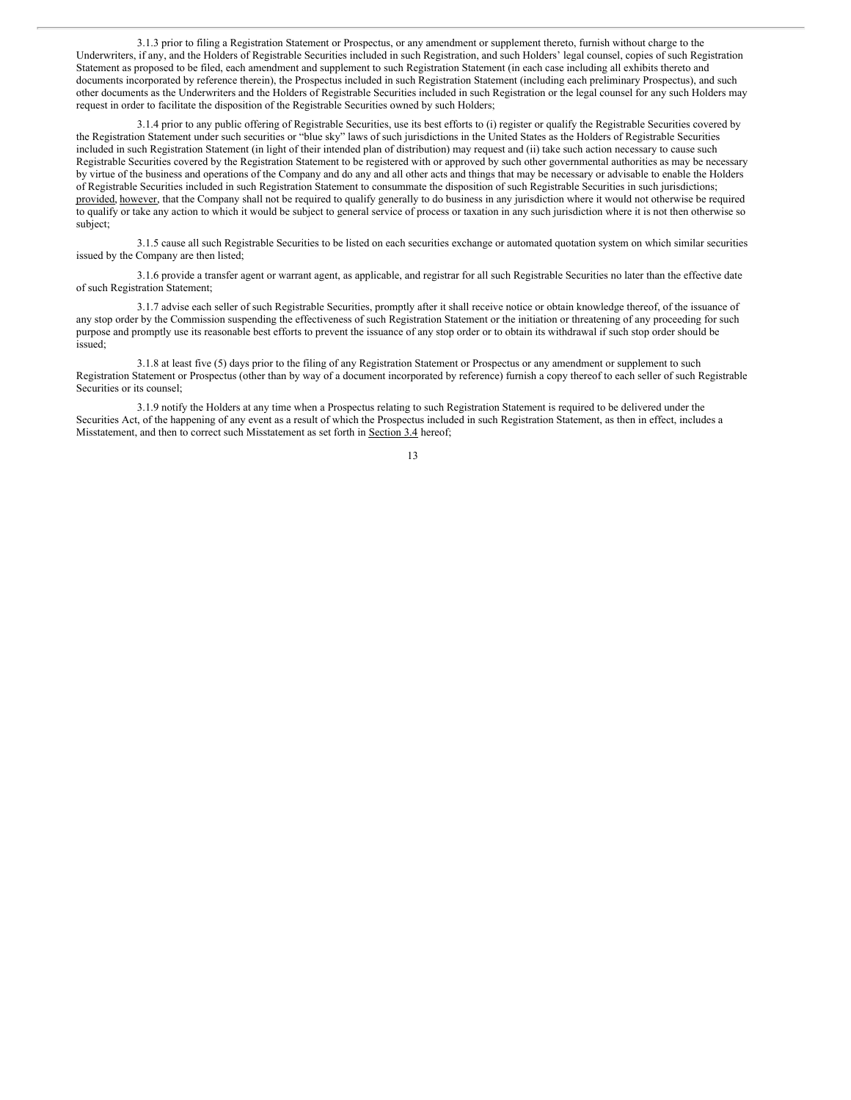3.1.3 prior to filing a Registration Statement or Prospectus, or any amendment or supplement thereto, furnish without charge to the Underwriters, if any, and the Holders of Registrable Securities included in such Registration, and such Holders' legal counsel, copies of such Registration Statement as proposed to be filed, each amendment and supplement to such Registration Statement (in each case including all exhibits thereto and documents incorporated by reference therein), the Prospectus included in such Registration Statement (including each preliminary Prospectus), and such other documents as the Underwriters and the Holders of Registrable Securities included in such Registration or the legal counsel for any such Holders may request in order to facilitate the disposition of the Registrable Securities owned by such Holders;

3.1.4 prior to any public offering of Registrable Securities, use its best efforts to (i) register or qualify the Registrable Securities covered by the Registration Statement under such securities or "blue sky" laws of such jurisdictions in the United States as the Holders of Registrable Securities included in such Registration Statement (in light of their intended plan of distribution) may request and (ii) take such action necessary to cause such Registrable Securities covered by the Registration Statement to be registered with or approved by such other governmental authorities as may be necessary by virtue of the business and operations of the Company and do any and all other acts and things that may be necessary or advisable to enable the Holders of Registrable Securities included in such Registration Statement to consummate the disposition of such Registrable Securities in such jurisdictions; provided, however, that the Company shall not be required to qualify generally to do business in any jurisdiction where it would not otherwise be required to qualify or take any action to which it would be subject to general service of process or taxation in any such jurisdiction where it is not then otherwise so subject;

3.1.5 cause all such Registrable Securities to be listed on each securities exchange or automated quotation system on which similar securities issued by the Company are then listed;

3.1.6 provide a transfer agent or warrant agent, as applicable, and registrar for all such Registrable Securities no later than the effective date of such Registration Statement;

3.1.7 advise each seller of such Registrable Securities, promptly after it shall receive notice or obtain knowledge thereof, of the issuance of any stop order by the Commission suspending the effectiveness of such Registration Statement or the initiation or threatening of any proceeding for such purpose and promptly use its reasonable best efforts to prevent the issuance of any stop order or to obtain its withdrawal if such stop order should be issued;

3.1.8 at least five (5) days prior to the filing of any Registration Statement or Prospectus or any amendment or supplement to such Registration Statement or Prospectus (other than by way of a document incorporated by reference) furnish a copy thereof to each seller of such Registrable Securities or its counsel;

3.1.9 notify the Holders at any time when a Prospectus relating to such Registration Statement is required to be delivered under the Securities Act, of the happening of any event as a result of which the Prospectus included in such Registration Statement, as then in effect, includes a Misstatement, and then to correct such Misstatement as set forth in Section 3.4 hereof;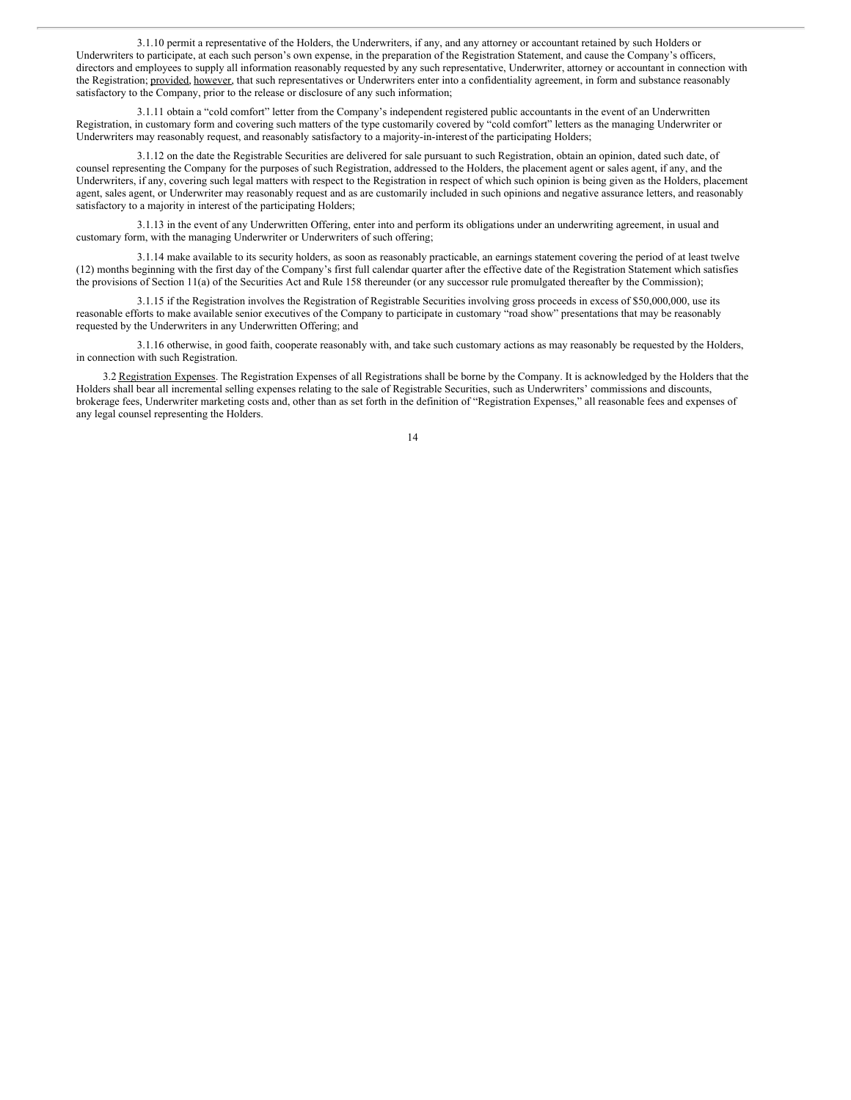3.1.10 permit a representative of the Holders, the Underwriters, if any, and any attorney or accountant retained by such Holders or Underwriters to participate, at each such person's own expense, in the preparation of the Registration Statement, and cause the Company's officers, directors and employees to supply all information reasonably requested by any such representative, Underwriter, attorney or accountant in connection with the Registration; provided, however, that such representatives or Underwriters enter into a confidentiality agreement, in form and substance reasonably satisfactory to the Company, prior to the release or disclosure of any such information;

3.1.11 obtain a "cold comfort" letter from the Company's independent registered public accountants in the event of an Underwritten Registration, in customary form and covering such matters of the type customarily covered by "cold comfort" letters as the managing Underwriter or Underwriters may reasonably request, and reasonably satisfactory to a majority-in-interest of the participating Holders;

3.1.12 on the date the Registrable Securities are delivered for sale pursuant to such Registration, obtain an opinion, dated such date, of counsel representing the Company for the purposes of such Registration, addressed to the Holders, the placement agent or sales agent, if any, and the Underwriters, if any, covering such legal matters with respect to the Registration in respect of which such opinion is being given as the Holders, placement agent, sales agent, or Underwriter may reasonably request and as are customarily included in such opinions and negative assurance letters, and reasonably satisfactory to a majority in interest of the participating Holders;

3.1.13 in the event of any Underwritten Offering, enter into and perform its obligations under an underwriting agreement, in usual and customary form, with the managing Underwriter or Underwriters of such offering;

3.1.14 make available to its security holders, as soon as reasonably practicable, an earnings statement covering the period of at least twelve (12) months beginning with the first day of the Company's first full calendar quarter after the effective date of the Registration Statement which satisfies the provisions of Section 11(a) of the Securities Act and Rule 158 thereunder (or any successor rule promulgated thereafter by the Commission);

3.1.15 if the Registration involves the Registration of Registrable Securities involving gross proceeds in excess of \$50,000,000, use its reasonable efforts to make available senior executives of the Company to participate in customary "road show" presentations that may be reasonably requested by the Underwriters in any Underwritten Offering; and

3.1.16 otherwise, in good faith, cooperate reasonably with, and take such customary actions as may reasonably be requested by the Holders, in connection with such Registration.

3.2 Registration Expenses. The Registration Expenses of all Registrations shall be borne by the Company. It is acknowledged by the Holders that the Holders shall bear all incremental selling expenses relating to the sale of Registrable Securities, such as Underwriters' commissions and discounts, brokerage fees, Underwriter marketing costs and, other than as set forth in the definition of "Registration Expenses," all reasonable fees and expenses of any legal counsel representing the Holders.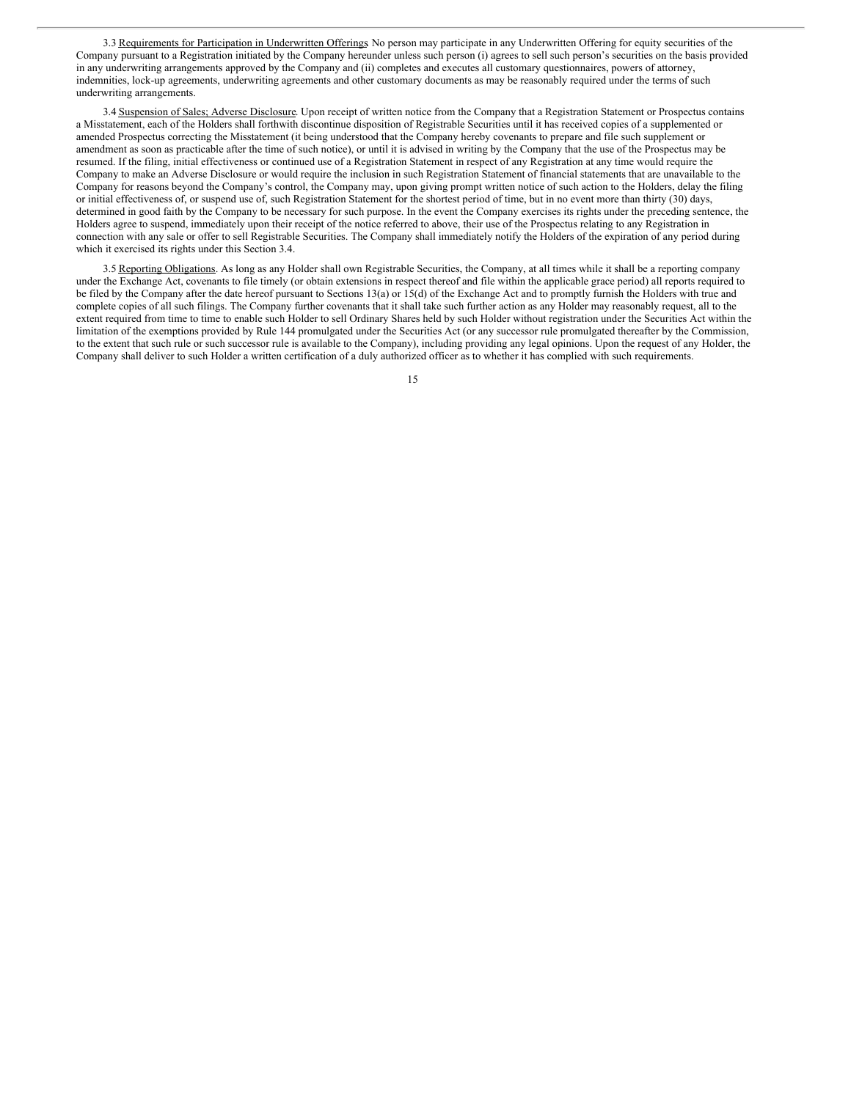3.3 Requirements for Participation in Underwritten Offerings No person may participate in any Underwritten Offering for equity securities of the Company pursuant to a Registration initiated by the Company hereunder unless such person (i) agrees to sell such person's securities on the basis provided in any underwriting arrangements approved by the Company and (ii) completes and executes all customary questionnaires, powers of attorney, indemnities, lock-up agreements, underwriting agreements and other customary documents as may be reasonably required under the terms of such underwriting arrangements.

3.4 Suspension of Sales; Adverse Disclosure. Upon receipt of written notice from the Company that a Registration Statement or Prospectus contains a Misstatement, each of the Holders shall forthwith discontinue disposition of Registrable Securities until it has received copies of a supplemented or amended Prospectus correcting the Misstatement (it being understood that the Company hereby covenants to prepare and file such supplement or amendment as soon as practicable after the time of such notice), or until it is advised in writing by the Company that the use of the Prospectus may be resumed. If the filing, initial effectiveness or continued use of a Registration Statement in respect of any Registration at any time would require the Company to make an Adverse Disclosure or would require the inclusion in such Registration Statement of financial statements that are unavailable to the Company for reasons beyond the Company's control, the Company may, upon giving prompt written notice of such action to the Holders, delay the filing or initial effectiveness of, or suspend use of, such Registration Statement for the shortest period of time, but in no event more than thirty (30) days, determined in good faith by the Company to be necessary for such purpose. In the event the Company exercises its rights under the preceding sentence, the Holders agree to suspend, immediately upon their receipt of the notice referred to above, their use of the Prospectus relating to any Registration in connection with any sale or offer to sell Registrable Securities. The Company shall immediately notify the Holders of the expiration of any period during which it exercised its rights under this Section 3.4.

3.5 Reporting Obligations. As long as any Holder shall own Registrable Securities, the Company, at all times while it shall be a reporting company under the Exchange Act, covenants to file timely (or obtain extensions in respect thereof and file within the applicable grace period) all reports required to be filed by the Company after the date hereof pursuant to Sections 13(a) or 15(d) of the Exchange Act and to promptly furnish the Holders with true and complete copies of all such filings. The Company further covenants that it shall take such further action as any Holder may reasonably request, all to the extent required from time to time to enable such Holder to sell Ordinary Shares held by such Holder without registration under the Securities Act within the limitation of the exemptions provided by Rule 144 promulgated under the Securities Act (or any successor rule promulgated thereafter by the Commission, to the extent that such rule or such successor rule is available to the Company), including providing any legal opinions. Upon the request of any Holder, the Company shall deliver to such Holder a written certification of a duly authorized officer as to whether it has complied with such requirements.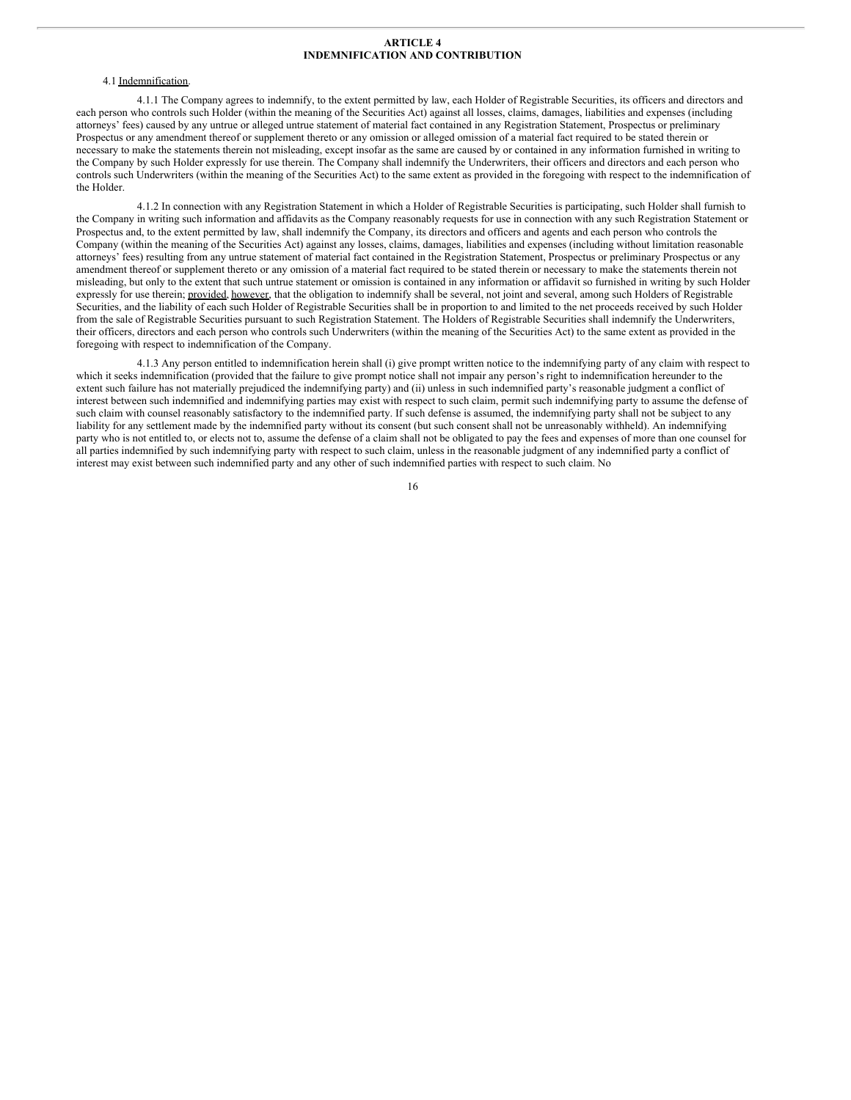### **ARTICLE 4 INDEMNIFICATION AND CONTRIBUTION**

## 4.1 Indemnification.

4.1.1 The Company agrees to indemnify, to the extent permitted by law, each Holder of Registrable Securities, its officers and directors and each person who controls such Holder (within the meaning of the Securities Act) against all losses, claims, damages, liabilities and expenses (including attorneys' fees) caused by any untrue or alleged untrue statement of material fact contained in any Registration Statement, Prospectus or preliminary Prospectus or any amendment thereof or supplement thereto or any omission or alleged omission of a material fact required to be stated therein or necessary to make the statements therein not misleading, except insofar as the same are caused by or contained in any information furnished in writing to the Company by such Holder expressly for use therein. The Company shall indemnify the Underwriters, their officers and directors and each person who controls such Underwriters (within the meaning of the Securities Act) to the same extent as provided in the foregoing with respect to the indemnification of the Holder.

4.1.2 In connection with any Registration Statement in which a Holder of Registrable Securities is participating, such Holder shall furnish to the Company in writing such information and affidavits as the Company reasonably requests for use in connection with any such Registration Statement or Prospectus and, to the extent permitted by law, shall indemnify the Company, its directors and officers and agents and each person who controls the Company (within the meaning of the Securities Act) against any losses, claims, damages, liabilities and expenses (including without limitation reasonable attorneys' fees) resulting from any untrue statement of material fact contained in the Registration Statement, Prospectus or preliminary Prospectus or any amendment thereof or supplement thereto or any omission of a material fact required to be stated therein or necessary to make the statements therein not misleading, but only to the extent that such untrue statement or omission is contained in any information or affidavit so furnished in writing by such Holder expressly for use therein; provided, however, that the obligation to indemnify shall be several, not joint and several, among such Holders of Registrable Securities, and the liability of each such Holder of Registrable Securities shall be in proportion to and limited to the net proceeds received by such Holder from the sale of Registrable Securities pursuant to such Registration Statement. The Holders of Registrable Securities shall indemnify the Underwriters, their officers, directors and each person who controls such Underwriters (within the meaning of the Securities Act) to the same extent as provided in the foregoing with respect to indemnification of the Company.

4.1.3 Any person entitled to indemnification herein shall (i) give prompt written notice to the indemnifying party of any claim with respect to which it seeks indemnification (provided that the failure to give prompt notice shall not impair any person's right to indemnification hereunder to the extent such failure has not materially prejudiced the indemnifying party) and (ii) unless in such indemnified party's reasonable judgment a conflict of interest between such indemnified and indemnifying parties may exist with respect to such claim, permit such indemnifying party to assume the defense of such claim with counsel reasonably satisfactory to the indemnified party. If such defense is assumed, the indemnifying party shall not be subject to any liability for any settlement made by the indemnified party without its consent (but such consent shall not be unreasonably withheld). An indemnifying party who is not entitled to, or elects not to, assume the defense of a claim shall not be obligated to pay the fees and expenses of more than one counsel for all parties indemnified by such indemnifying party with respect to such claim, unless in the reasonable judgment of any indemnified party a conflict of interest may exist between such indemnified party and any other of such indemnified parties with respect to such claim. No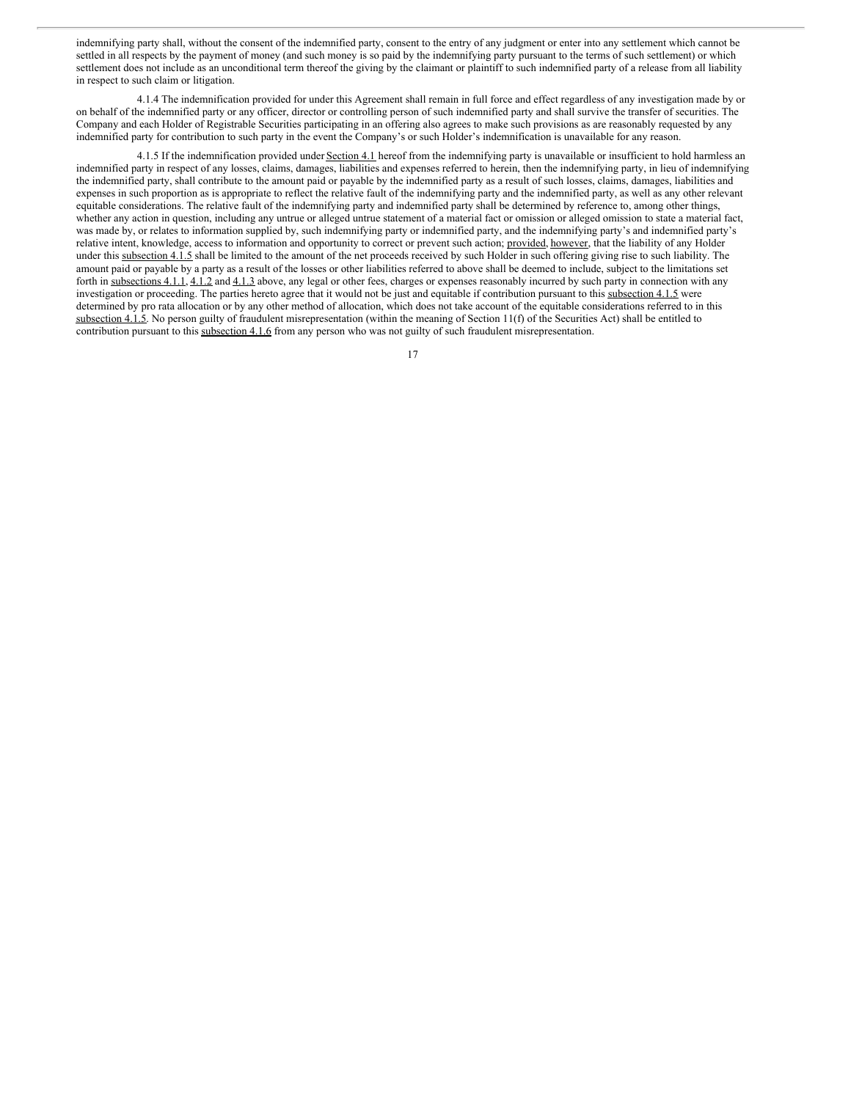indemnifying party shall, without the consent of the indemnified party, consent to the entry of any judgment or enter into any settlement which cannot be settled in all respects by the payment of money (and such money is so paid by the indemnifying party pursuant to the terms of such settlement) or which settlement does not include as an unconditional term thereof the giving by the claimant or plaintiff to such indemnified party of a release from all liability in respect to such claim or litigation.

4.1.4 The indemnification provided for under this Agreement shall remain in full force and effect regardless of any investigation made by or on behalf of the indemnified party or any officer, director or controlling person of such indemnified party and shall survive the transfer of securities. The Company and each Holder of Registrable Securities participating in an offering also agrees to make such provisions as are reasonably requested by any indemnified party for contribution to such party in the event the Company's or such Holder's indemnification is unavailable for any reason.

4.1.5 If the indemnification provided under Section 4.1 hereof from the indemnifying party is unavailable or insufficient to hold harmless an indemnified party in respect of any losses, claims, damages, liabilities and expenses referred to herein, then the indemnifying party, in lieu of indemnifying the indemnified party, shall contribute to the amount paid or payable by the indemnified party as a result of such losses, claims, damages, liabilities and expenses in such proportion as is appropriate to reflect the relative fault of the indemnifying party and the indemnified party, as well as any other relevant equitable considerations. The relative fault of the indemnifying party and indemnified party shall be determined by reference to, among other things, whether any action in question, including any untrue or alleged untrue statement of a material fact or omission or alleged omission to state a material fact, was made by, or relates to information supplied by, such indemnifying party or indemnified party, and the indemnifying party's and indemnified party's relative intent, knowledge, access to information and opportunity to correct or prevent such action; provided, however, that the liability of any Holder under this subsection 4.1.5 shall be limited to the amount of the net proceeds received by such Holder in such offering giving rise to such liability. The amount paid or payable by a party as a result of the losses or other liabilities referred to above shall be deemed to include, subject to the limitations set forth in subsections 4.1.1, 4.1.2 and 4.1.3 above, any legal or other fees, charges or expenses reasonably incurred by such party in connection with any investigation or proceeding. The parties hereto agree that it would not be just and equitable if contribution pursuant to this subsection 4.1.5 were determined by pro rata allocation or by any other method of allocation, which does not take account of the equitable considerations referred to in this subsection 4.1.5. No person guilty of fraudulent misrepresentation (within the meaning of Section 11(f) of the Securities Act) shall be entitled to contribution pursuant to this subsection 4.1.6 from any person who was not guilty of such fraudulent misrepresentation.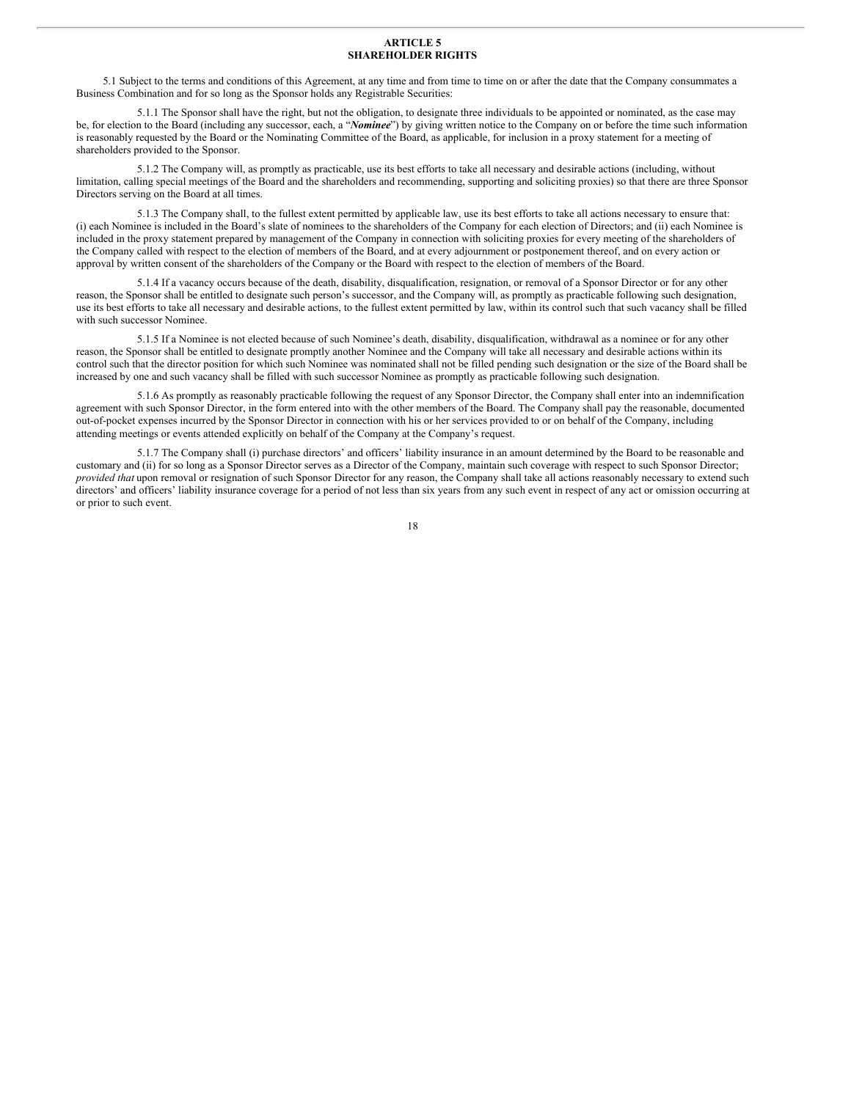### **ARTICLE 5 SHAREHOLDER RIGHTS**

5.1 Subject to the terms and conditions of this Agreement, at any time and from time to time on or after the date that the Company consummates a Business Combination and for so long as the Sponsor holds any Registrable Securities:

5.1.1 The Sponsor shall have the right, but not the obligation, to designate three individuals to be appointed or nominated, as the case may be, for election to the Board (including any successor, each, a "*Nominee*") by giving written notice to the Company on or before the time such information is reasonably requested by the Board or the Nominating Committee of the Board, as applicable, for inclusion in a proxy statement for a meeting of shareholders provided to the Sponsor.

5.1.2 The Company will, as promptly as practicable, use its best efforts to take all necessary and desirable actions (including, without limitation, calling special meetings of the Board and the shareholders and recommending, supporting and soliciting proxies) so that there are three Sponsor Directors serving on the Board at all times.

5.1.3 The Company shall, to the fullest extent permitted by applicable law, use its best efforts to take all actions necessary to ensure that: (i) each Nominee is included in the Board's slate of nominees to the shareholders of the Company for each election of Directors; and (ii) each Nominee is included in the proxy statement prepared by management of the Company in connection with soliciting proxies for every meeting of the shareholders of the Company called with respect to the election of members of the Board, and at every adjournment or postponement thereof, and on every action or approval by written consent of the shareholders of the Company or the Board with respect to the election of members of the Board.

5.1.4 If a vacancy occurs because of the death, disability, disqualification, resignation, or removal of a Sponsor Director or for any other reason, the Sponsor shall be entitled to designate such person's successor, and the Company will, as promptly as practicable following such designation, use its best efforts to take all necessary and desirable actions, to the fullest extent permitted by law, within its control such that such vacancy shall be filled with such successor Nominee.

5.1.5 If a Nominee is not elected because of such Nominee's death, disability, disqualification, withdrawal as a nominee or for any other reason, the Sponsor shall be entitled to designate promptly another Nominee and the Company will take all necessary and desirable actions within its control such that the director position for which such Nominee was nominated shall not be filled pending such designation or the size of the Board shall be increased by one and such vacancy shall be filled with such successor Nominee as promptly as practicable following such designation.

5.1.6 As promptly as reasonably practicable following the request of any Sponsor Director, the Company shall enter into an indemnification agreement with such Sponsor Director, in the form entered into with the other members of the Board. The Company shall pay the reasonable, documented out-of-pocket expenses incurred by the Sponsor Director in connection with his or her services provided to or on behalf of the Company, including attending meetings or events attended explicitly on behalf of the Company at the Company's request.

5.1.7 The Company shall (i) purchase directors' and officers' liability insurance in an amount determined by the Board to be reasonable and customary and (ii) for so long as a Sponsor Director serves as a Director of the Company, maintain such coverage with respect to such Sponsor Director; *provided that* upon removal or resignation of such Sponsor Director for any reason, the Company shall take all actions reasonably necessary to extend such directors' and officers' liability insurance coverage for a period of not less than six years from any such event in respect of any act or omission occurring at or prior to such event.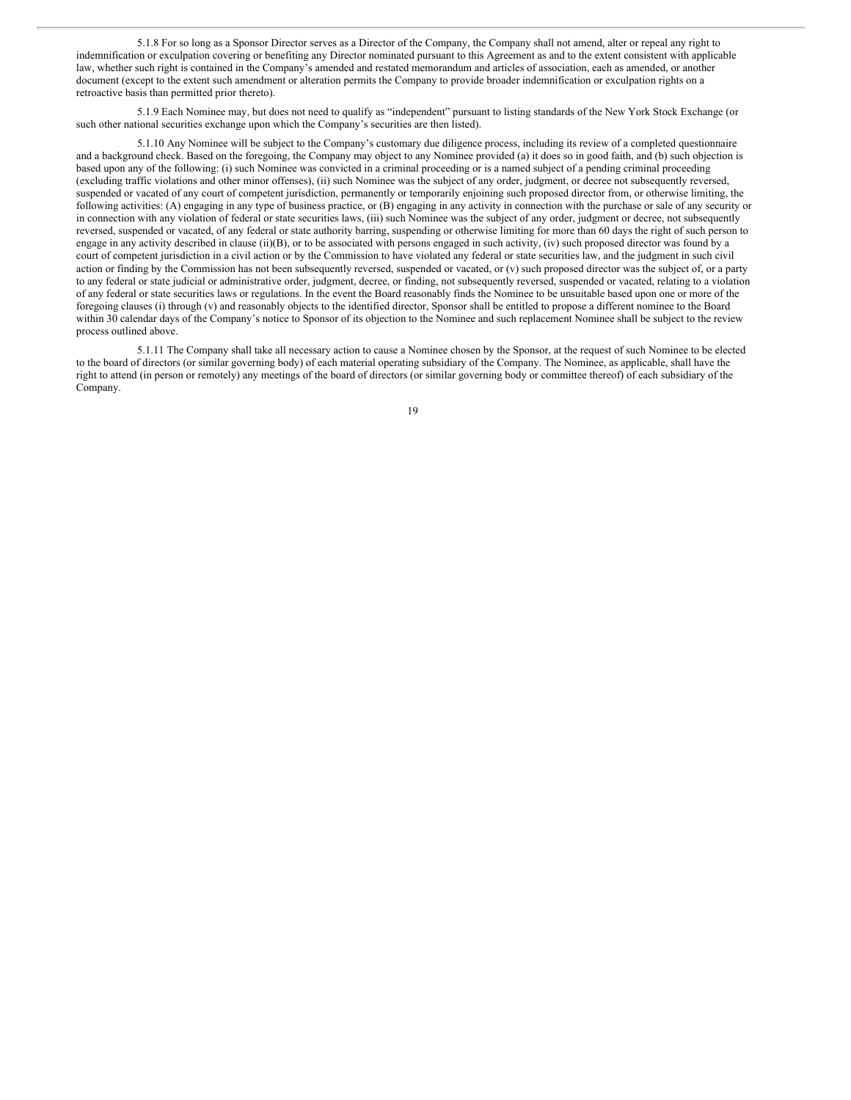5.1.8 For so long as a Sponsor Director serves as a Director of the Company, the Company shall not amend, alter or repeal any right to indemnification or exculpation covering or benefiting any Director nominated pursuant to this Agreement as and to the extent consistent with applicable law, whether such right is contained in the Company's amended and restated memorandum and articles of association, each as amended, or another document (except to the extent such amendment or alteration permits the Company to provide broader indemnification or exculpation rights on a retroactive basis than permitted prior thereto).

5.1.9 Each Nominee may, but does not need to qualify as "independent" pursuant to listing standards of the New York Stock Exchange (or such other national securities exchange upon which the Company's securities are then listed).

5.1.10 Any Nominee will be subject to the Company's customary due diligence process, including its review of a completed questionnaire and a background check. Based on the foregoing, the Company may object to any Nominee provided (a) it does so in good faith, and (b) such objection is based upon any of the following: (i) such Nominee was convicted in a criminal proceeding or is a named subject of a pending criminal proceeding (excluding traffic violations and other minor offenses), (ii) such Nominee was the subject of any order, judgment, or decree not subsequently reversed, suspended or vacated of any court of competent jurisdiction, permanently or temporarily enjoining such proposed director from, or otherwise limiting, the following activities: (A) engaging in any type of business practice, or (B) engaging in any activity in connection with the purchase or sale of any security or in connection with any violation of federal or state securities laws, (iii) such Nominee was the subject of any order, judgment or decree, not subsequently reversed, suspended or vacated, of any federal or state authority barring, suspending or otherwise limiting for more than 60 days the right of such person to engage in any activity described in clause (ii)(B), or to be associated with persons engaged in such activity, (iv) such proposed director was found by a court of competent jurisdiction in a civil action or by the Commission to have violated any federal or state securities law, and the judgment in such civil action or finding by the Commission has not been subsequently reversed, suspended or vacated, or (v) such proposed director was the subject of, or a party to any federal or state judicial or administrative order, judgment, decree, or finding, not subsequently reversed, suspended or vacated, relating to a violation of any federal or state securities laws or regulations. In the event the Board reasonably finds the Nominee to be unsuitable based upon one or more of the foregoing clauses (i) through (v) and reasonably objects to the identified director, Sponsor shall be entitled to propose a different nominee to the Board within 30 calendar days of the Company's notice to Sponsor of its objection to the Nominee and such replacement Nominee shall be subject to the review process outlined above.

5.1.11 The Company shall take all necessary action to cause a Nominee chosen by the Sponsor, at the request of such Nominee to be elected to the board of directors (or similar governing body) of each material operating subsidiary of the Company. The Nominee, as applicable, shall have the right to attend (in person or remotely) any meetings of the board of directors (or similar governing body or committee thereof) of each subsidiary of the Company.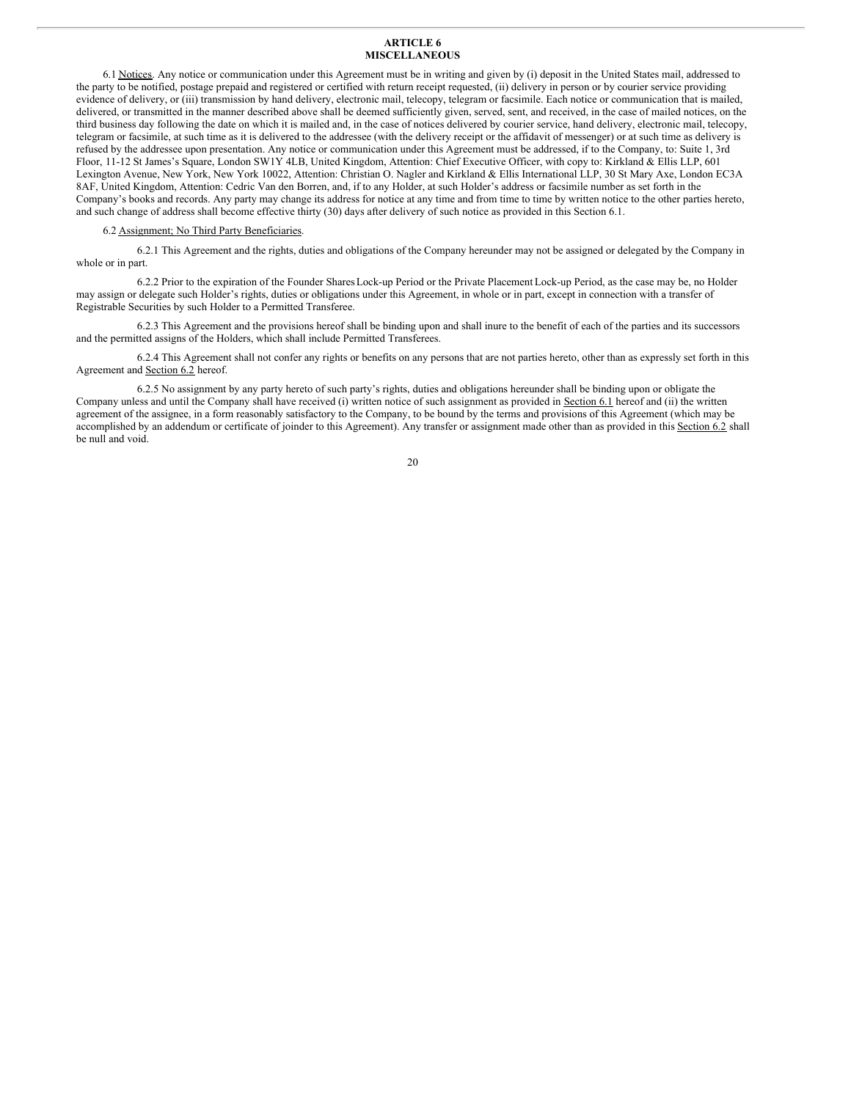### **ARTICLE 6 MISCELLANEOUS**

6.1 Notices. Any notice or communication under this Agreement must be in writing and given by (i) deposit in the United States mail, addressed to the party to be notified, postage prepaid and registered or certified with return receipt requested, (ii) delivery in person or by courier service providing evidence of delivery, or (iii) transmission by hand delivery, electronic mail, telecopy, telegram or facsimile. Each notice or communication that is mailed, delivered, or transmitted in the manner described above shall be deemed sufficiently given, served, sent, and received, in the case of mailed notices, on the third business day following the date on which it is mailed and, in the case of notices delivered by courier service, hand delivery, electronic mail, telecopy, telegram or facsimile, at such time as it is delivered to the addressee (with the delivery receipt or the affidavit of messenger) or at such time as delivery is refused by the addressee upon presentation. Any notice or communication under this Agreement must be addressed, if to the Company, to: Suite 1, 3rd Floor, 11-12 St James's Square, London SW1Y 4LB, United Kingdom, Attention: Chief Executive Officer, with copy to: Kirkland & Ellis LLP, 601 Lexington Avenue, New York, New York 10022, Attention: Christian O. Nagler and Kirkland & Ellis International LLP, 30 St Mary Axe, London EC3A 8AF, United Kingdom, Attention: Cedric Van den Borren, and, if to any Holder, at such Holder's address or facsimile number as set forth in the Company's books and records. Any party may change its address for notice at any time and from time to time by written notice to the other parties hereto, and such change of address shall become effective thirty (30) days after delivery of such notice as provided in this Section 6.1.

### 6.2 Assignment; No Third Party Beneficiaries.

6.2.1 This Agreement and the rights, duties and obligations of the Company hereunder may not be assigned or delegated by the Company in whole or in part.

6.2.2 Prior to the expiration of the Founder SharesLock-up Period or the Private Placement Lock-up Period, as the case may be, no Holder may assign or delegate such Holder's rights, duties or obligations under this Agreement, in whole or in part, except in connection with a transfer of Registrable Securities by such Holder to a Permitted Transferee.

6.2.3 This Agreement and the provisions hereof shall be binding upon and shall inure to the benefit of each of the parties and its successors and the permitted assigns of the Holders, which shall include Permitted Transferees.

6.2.4 This Agreement shall not confer any rights or benefits on any persons that are not parties hereto, other than as expressly set forth in this Agreement and Section 6.2 hereof.

6.2.5 No assignment by any party hereto of such party's rights, duties and obligations hereunder shall be binding upon or obligate the Company unless and until the Company shall have received (i) written notice of such assignment as provided in Section 6.1 hereof and (ii) the written agreement of the assignee, in a form reasonably satisfactory to the Company, to be bound by the terms and provisions of this Agreement (which may be accomplished by an addendum or certificate of joinder to this Agreement). Any transfer or assignment made other than as provided in this Section 6.2 shall be null and void.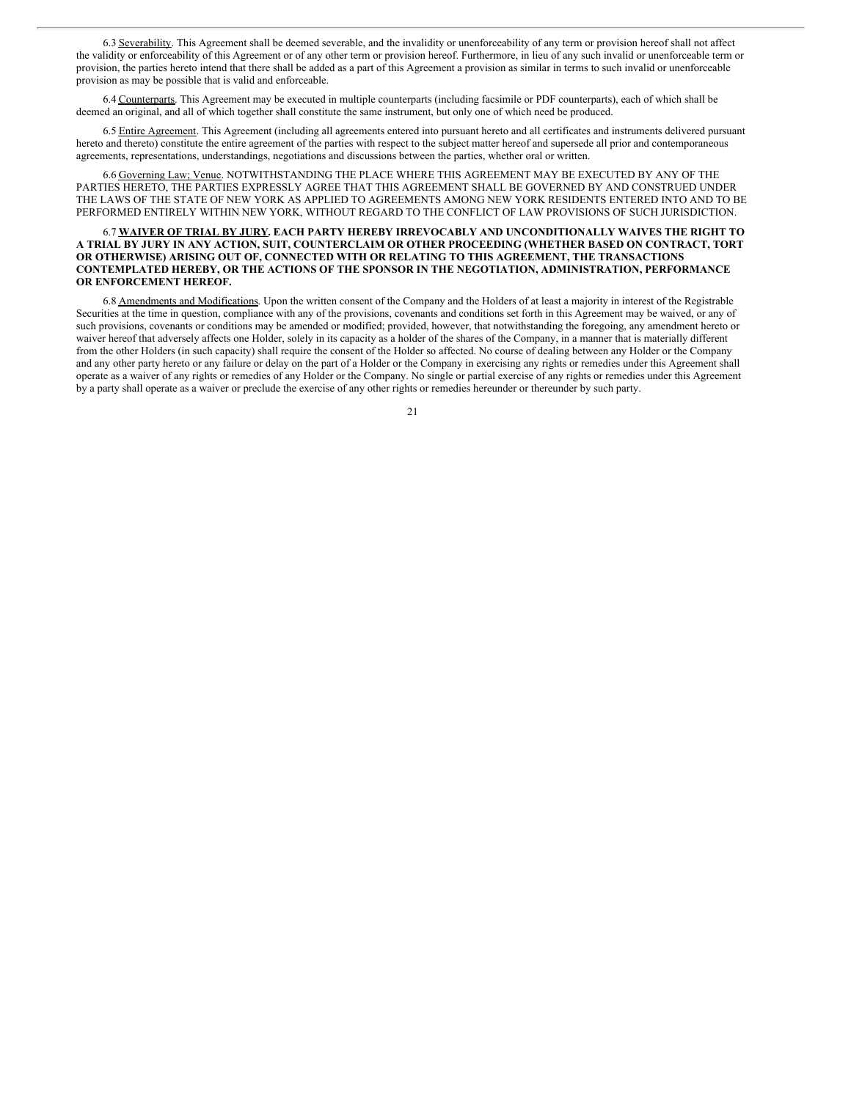6.3 Severability. This Agreement shall be deemed severable, and the invalidity or unenforceability of any term or provision hereof shall not affect the validity or enforceability of this Agreement or of any other term or provision hereof. Furthermore, in lieu of any such invalid or unenforceable term or provision, the parties hereto intend that there shall be added as a part of this Agreement a provision as similar in terms to such invalid or unenforceable provision as may be possible that is valid and enforceable.

6.4 Counterparts. This Agreement may be executed in multiple counterparts (including facsimile or PDF counterparts), each of which shall be deemed an original, and all of which together shall constitute the same instrument, but only one of which need be produced.

6.5 Entire Agreement. This Agreement (including all agreements entered into pursuant hereto and all certificates and instruments delivered pursuant hereto and thereto) constitute the entire agreement of the parties with respect to the subject matter hereof and supersede all prior and contemporaneous agreements, representations, understandings, negotiations and discussions between the parties, whether oral or written.

6.6 Governing Law; Venue. NOTWITHSTANDING THE PLACE WHERE THIS AGREEMENT MAY BE EXECUTED BY ANY OF THE PARTIES HERETO, THE PARTIES EXPRESSLY AGREE THAT THIS AGREEMENT SHALL BE GOVERNED BY AND CONSTRUED UNDER THE LAWS OF THE STATE OF NEW YORK AS APPLIED TO AGREEMENTS AMONG NEW YORK RESIDENTS ENTERED INTO AND TO BE PERFORMED ENTIRELY WITHIN NEW YORK, WITHOUT REGARD TO THE CONFLICT OF LAW PROVISIONS OF SUCH JURISDICTION.

### 6.7 **WAIVER OF TRIAL BY JURY. EACH PARTY HEREBY IRREVOCABLY AND UNCONDITIONALLY WAIVES THE RIGHT TO A TRIAL BY JURY IN ANY ACTION, SUIT, COUNTERCLAIM OR OTHER PROCEEDING (WHETHER BASED ON CONTRACT, TORT OR OTHERWISE) ARISING OUT OF, CONNECTED WITH OR RELATING TO THIS AGREEMENT, THE TRANSACTIONS CONTEMPLATED HEREBY, OR THE ACTIONS OF THE SPONSOR IN THE NEGOTIATION, ADMINISTRATION, PERFORMANCE OR ENFORCEMENT HEREOF.**

6.8 Amendments and Modifications. Upon the written consent of the Company and the Holders of at least a majority in interest of the Registrable Securities at the time in question, compliance with any of the provisions, covenants and conditions set forth in this Agreement may be waived, or any of such provisions, covenants or conditions may be amended or modified; provided, however, that notwithstanding the foregoing, any amendment hereto or waiver hereof that adversely affects one Holder, solely in its capacity as a holder of the shares of the Company, in a manner that is materially different from the other Holders (in such capacity) shall require the consent of the Holder so affected. No course of dealing between any Holder or the Company and any other party hereto or any failure or delay on the part of a Holder or the Company in exercising any rights or remedies under this Agreement shall operate as a waiver of any rights or remedies of any Holder or the Company. No single or partial exercise of any rights or remedies under this Agreement by a party shall operate as a waiver or preclude the exercise of any other rights or remedies hereunder or thereunder by such party.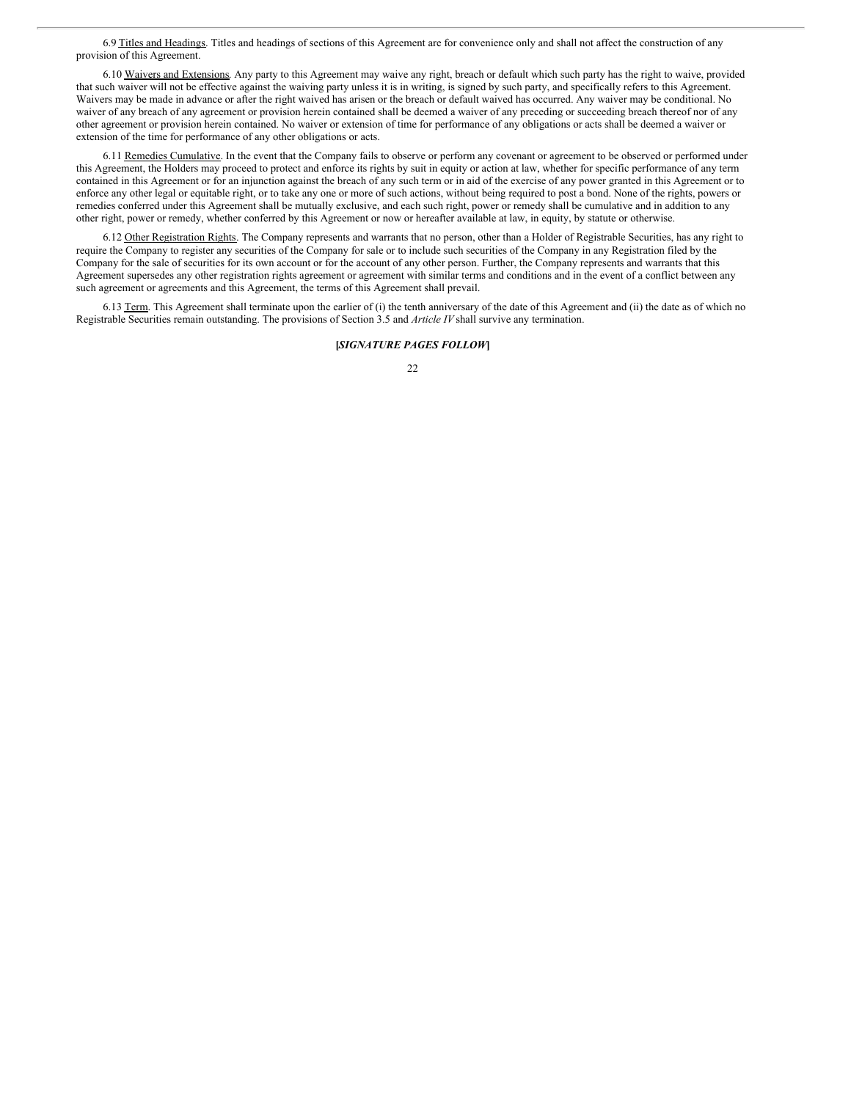6.9 Titles and Headings. Titles and headings of sections of this Agreement are for convenience only and shall not affect the construction of any provision of this Agreement.

6.10 Waivers and Extensions. Any party to this Agreement may waive any right, breach or default which such party has the right to waive, provided that such waiver will not be effective against the waiving party unless it is in writing, is signed by such party, and specifically refers to this Agreement. Waivers may be made in advance or after the right waived has arisen or the breach or default waived has occurred. Any waiver may be conditional. No waiver of any breach of any agreement or provision herein contained shall be deemed a waiver of any preceding or succeeding breach thereof nor of any other agreement or provision herein contained. No waiver or extension of time for performance of any obligations or acts shall be deemed a waiver or extension of the time for performance of any other obligations or acts.

6.11 Remedies Cumulative. In the event that the Company fails to observe or perform any covenant or agreement to be observed or performed under this Agreement, the Holders may proceed to protect and enforce its rights by suit in equity or action at law, whether for specific performance of any term contained in this Agreement or for an injunction against the breach of any such term or in aid of the exercise of any power granted in this Agreement or to enforce any other legal or equitable right, or to take any one or more of such actions, without being required to post a bond. None of the rights, powers or remedies conferred under this Agreement shall be mutually exclusive, and each such right, power or remedy shall be cumulative and in addition to any other right, power or remedy, whether conferred by this Agreement or now or hereafter available at law, in equity, by statute or otherwise.

6.12 Other Registration Rights. The Company represents and warrants that no person, other than a Holder of Registrable Securities, has any right to require the Company to register any securities of the Company for sale or to include such securities of the Company in any Registration filed by the Company for the sale of securities for its own account or for the account of any other person. Further, the Company represents and warrants that this Agreement supersedes any other registration rights agreement or agreement with similar terms and conditions and in the event of a conflict between any such agreement or agreements and this Agreement, the terms of this Agreement shall prevail.

6.13 Term. This Agreement shall terminate upon the earlier of (i) the tenth anniversary of the date of this Agreement and (ii) the date as of which no Registrable Securities remain outstanding. The provisions of Section 3.5 and *Article IV* shall survive any termination.

### **[***SIGNATURE PAGES FOLLOW***]**

<sup>22</sup>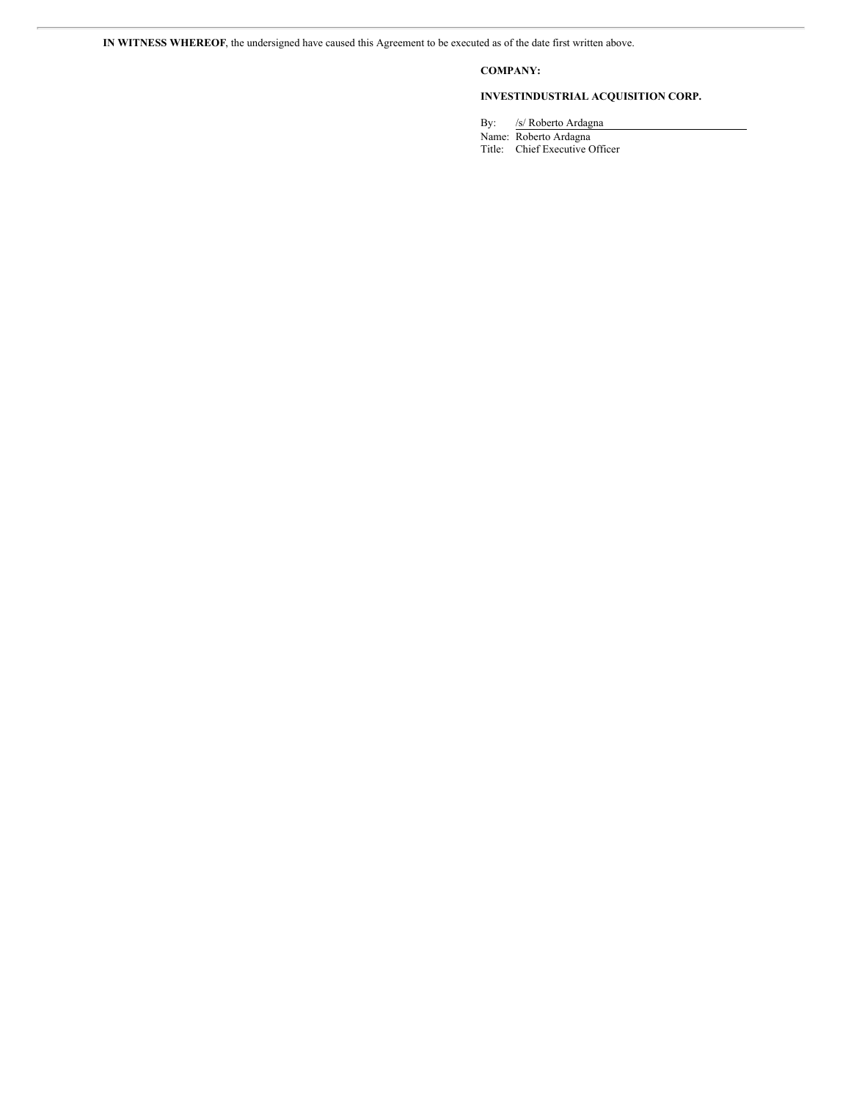# **COMPANY:**

# **INVESTINDUSTRIAL ACQUISITION CORP.**

By: /s/ Roberto Ardagna

Name: Roberto Ardagna Title: Chief Executive Officer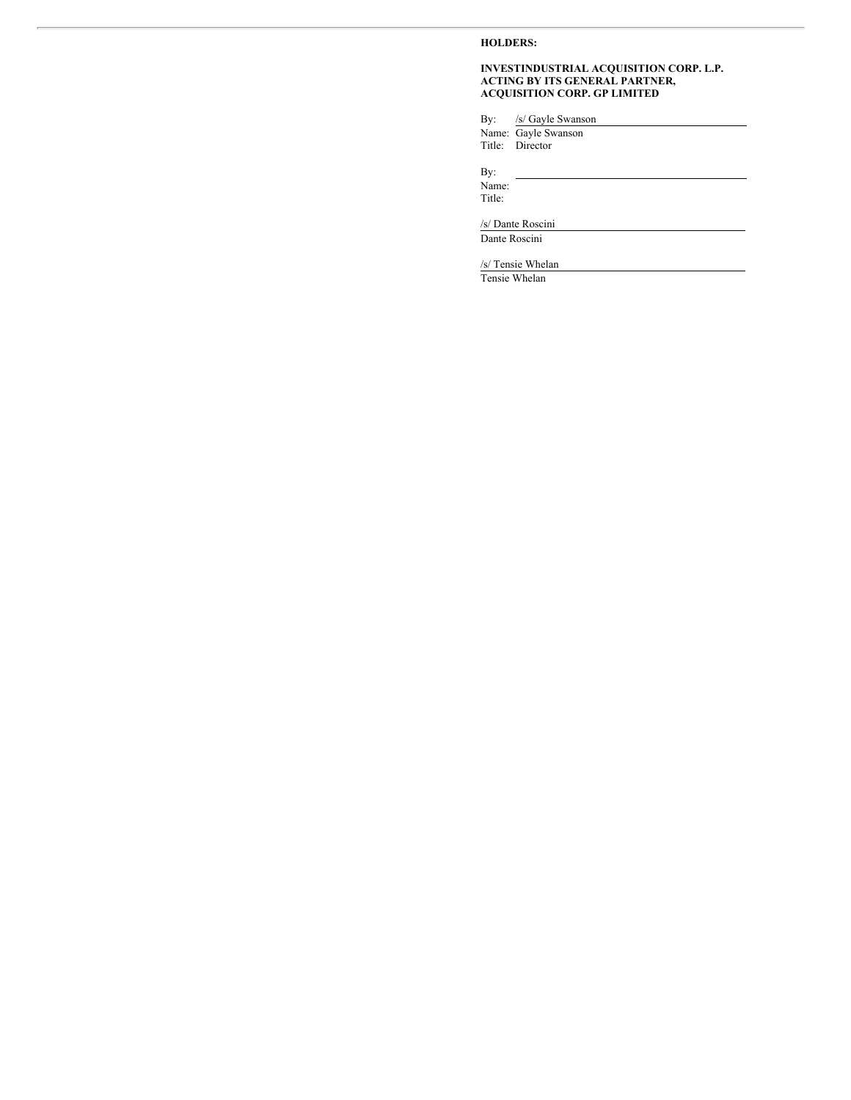# **HOLDERS:**

## **INVESTINDUSTRIAL ACQUISITION CORP. L.P. ACTING BY ITS GENERAL PARTNER, ACQUISITION CORP. GP LIMITED**

By: /s/ Gayle Swanson

Name: Gayle Swanson Title: Director

By:

Name: Title:

/s/ Dante Roscini

Dante Roscini

/s/ Tensie Whelan

Tensie Whelan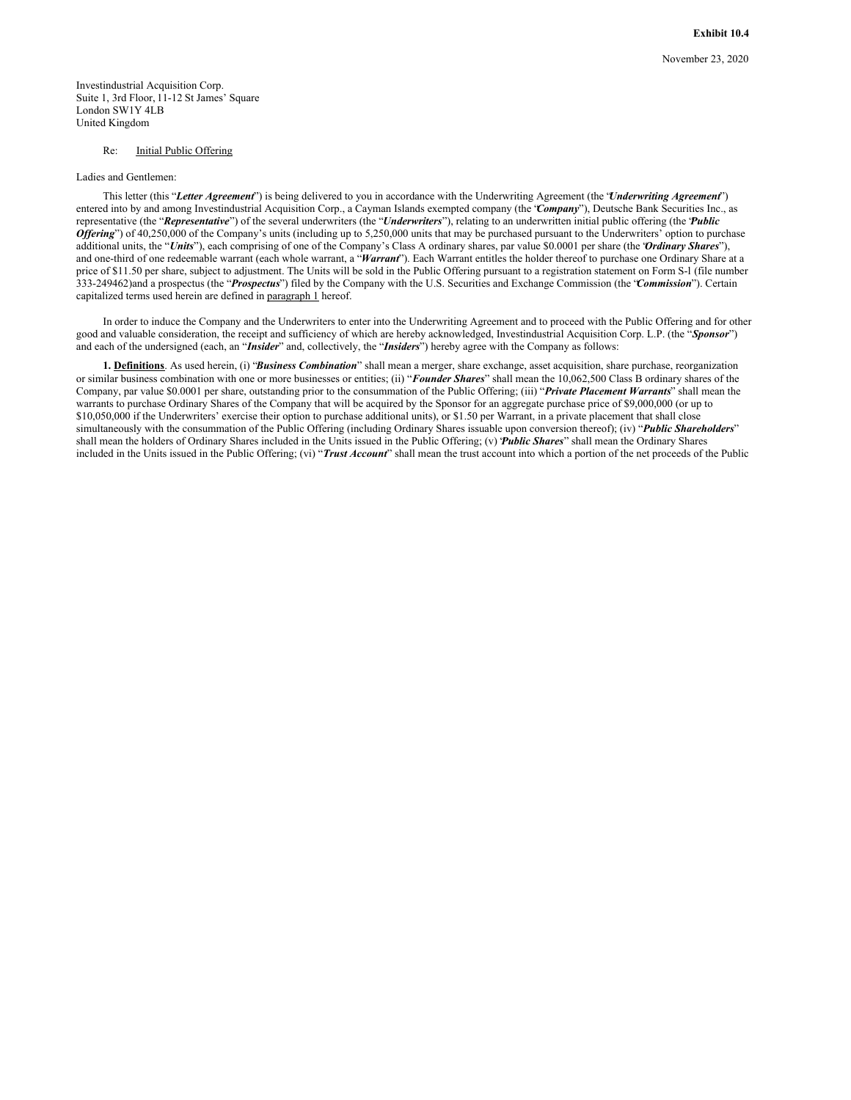**Exhibit 10.4**

Investindustrial Acquisition Corp. Suite 1, 3rd Floor, 11-12 St James' Square London SW1Y 4LB United Kingdom

### Re: Initial Public Offering

### Ladies and Gentlemen:

This letter (this "*Letter Agreement*") is being delivered to you in accordance with the Underwriting Agreement (the "*Underwriting Agreement*") entered into by and among Investindustrial Acquisition Corp., a Cayman Islands exempted company (the "*Company*"), Deutsche Bank Securities Inc., as representative (the "*Representative*") of the several underwriters (the "*Underwriters*"), relating to an underwritten initial public offering (the "*Public Of ering*") of 40,250,000 of the Company's units (including up to 5,250,000 units that may be purchased pursuant to the Underwriters' option to purchase additional units, the "*Units*"), each comprising of one of the Company's Class A ordinary shares, par value \$0.0001 per share (the "*Ordinary Shares*"), and one-third of one redeemable warrant (each whole warrant, a "Warrant"). Each Warrant entitles the holder thereof to purchase one Ordinary Share at a price of \$11.50 per share, subject to adjustment. The Units will be sold in the Public Offering pursuant to a registration statement on Form S-l (file number 333-249462)and a prospectus (the "*Prospectus*") filed by the Company with the U.S. Securities and Exchange Commission (the "*Commission*"). Certain capitalized terms used herein are defined in paragraph 1 hereof.

In order to induce the Company and the Underwriters to enter into the Underwriting Agreement and to proceed with the Public Offering and for other good and valuable consideration, the receipt and sufficiency of which are hereby acknowledged, Investindustrial Acquisition Corp. L.P. (the "*Sponsor*") and each of the undersigned (each, an "*Insider*" and, collectively, the "*Insiders*") hereby agree with the Company as follows:

**1. Definitions**. As used herein, (i) "*Business Combination*" shall mean a merger, share exchange, asset acquisition, share purchase, reorganization or similar business combination with one or more businesses or entities; (ii) "*Founder Shares*" shall mean the 10,062,500 Class B ordinary shares of the Company, par value \$0.0001 per share, outstanding prior to the consummation of the Public Offering; (iii) "*Private Placement Warrants*" shall mean the warrants to purchase Ordinary Shares of the Company that will be acquired by the Sponsor for an aggregate purchase price of \$9,000,000 (or up to \$10,050,000 if the Underwriters' exercise their option to purchase additional units), or \$1.50 per Warrant, in a private placement that shall close simultaneously with the consummation of the Public Offering (including Ordinary Shares issuable upon conversion thereof); (iv) "*Public Shareholders*" shall mean the holders of Ordinary Shares included in the Units issued in the Public Offering; (v) "*Public Shares*" shall mean the Ordinary Shares included in the Units issued in the Public Offering; (vi) "*Trust Account*" shall mean the trust account into which a portion of the net proceeds of the Public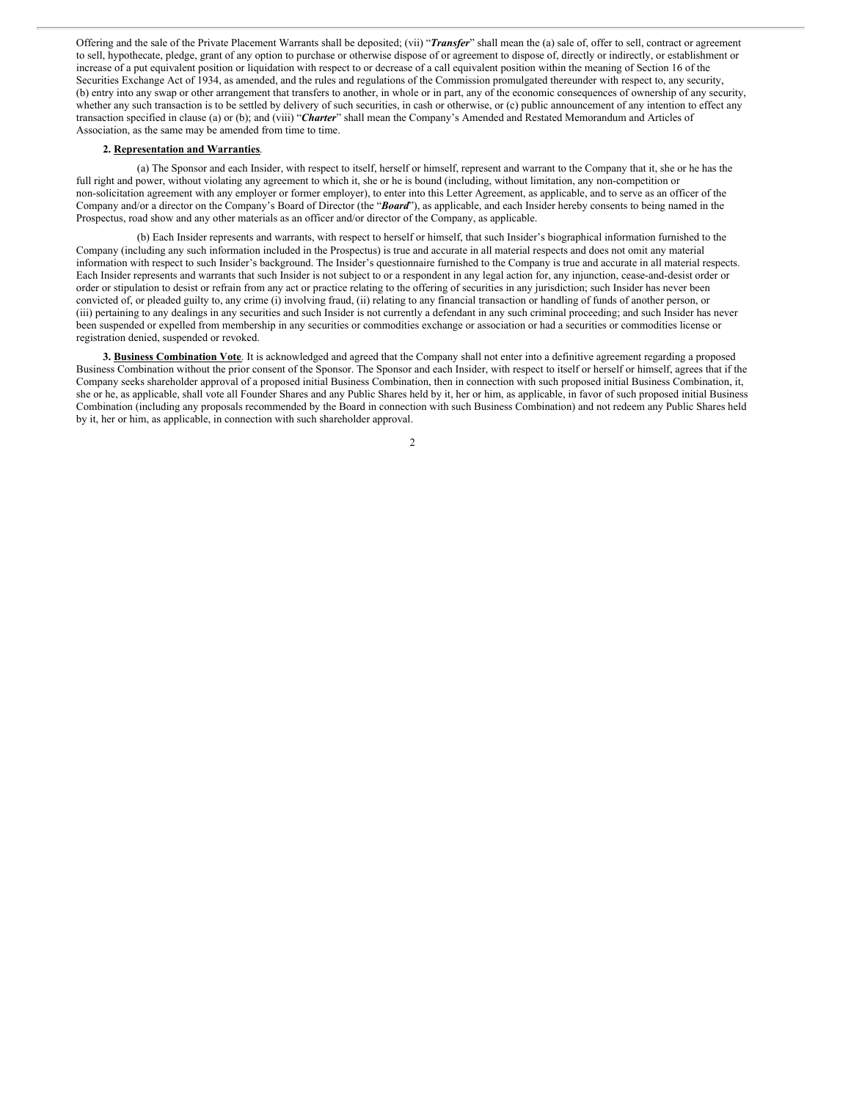Offering and the sale of the Private Placement Warrants shall be deposited; (vii) "*Transfer*" shall mean the (a) sale of, offer to sell, contract or agreement to sell, hypothecate, pledge, grant of any option to purchase or otherwise dispose of or agreement to dispose of, directly or indirectly, or establishment or increase of a put equivalent position or liquidation with respect to or decrease of a call equivalent position within the meaning of Section 16 of the Securities Exchange Act of 1934, as amended, and the rules and regulations of the Commission promulgated thereunder with respect to, any security, (b) entry into any swap or other arrangement that transfers to another, in whole or in part, any of the economic consequences of ownership of any security, whether any such transaction is to be settled by delivery of such securities, in cash or otherwise, or (c) public announcement of any intention to effect any transaction specified in clause (a) or (b); and (viii) "*Charter*" shall mean the Company's Amended and Restated Memorandum and Articles of Association, as the same may be amended from time to time.

### **2. Representation and Warranties**.

(a) The Sponsor and each Insider, with respect to itself, herself or himself, represent and warrant to the Company that it, she or he has the full right and power, without violating any agreement to which it, she or he is bound (including, without limitation, any non-competition or non-solicitation agreement with any employer or former employer), to enter into this Letter Agreement, as applicable, and to serve as an officer of the Company and/or a director on the Company's Board of Director (the "*Board*"), as applicable, and each Insider hereby consents to being named in the Prospectus, road show and any other materials as an officer and/or director of the Company, as applicable.

(b) Each Insider represents and warrants, with respect to herself or himself, that such Insider's biographical information furnished to the Company (including any such information included in the Prospectus) is true and accurate in all material respects and does not omit any material information with respect to such Insider's background. The Insider's questionnaire furnished to the Company is true and accurate in all material respects. Each Insider represents and warrants that such Insider is not subject to or a respondent in any legal action for, any injunction, cease-and-desist order or order or stipulation to desist or refrain from any act or practice relating to the offering of securities in any jurisdiction; such Insider has never been convicted of, or pleaded guilty to, any crime (i) involving fraud, (ii) relating to any financial transaction or handling of funds of another person, or (iii) pertaining to any dealings in any securities and such Insider is not currently a defendant in any such criminal proceeding; and such Insider has never been suspended or expelled from membership in any securities or commodities exchange or association or had a securities or commodities license or registration denied, suspended or revoked.

**3. Business Combination Vote**. It is acknowledged and agreed that the Company shall not enter into a definitive agreement regarding a proposed Business Combination without the prior consent of the Sponsor. The Sponsor and each Insider, with respect to itself or herself or himself, agrees that if the Company seeks shareholder approval of a proposed initial Business Combination, then in connection with such proposed initial Business Combination, it, she or he, as applicable, shall vote all Founder Shares and any Public Shares held by it, her or him, as applicable, in favor of such proposed initial Business Combination (including any proposals recommended by the Board in connection with such Business Combination) and not redeem any Public Shares held by it, her or him, as applicable, in connection with such shareholder approval.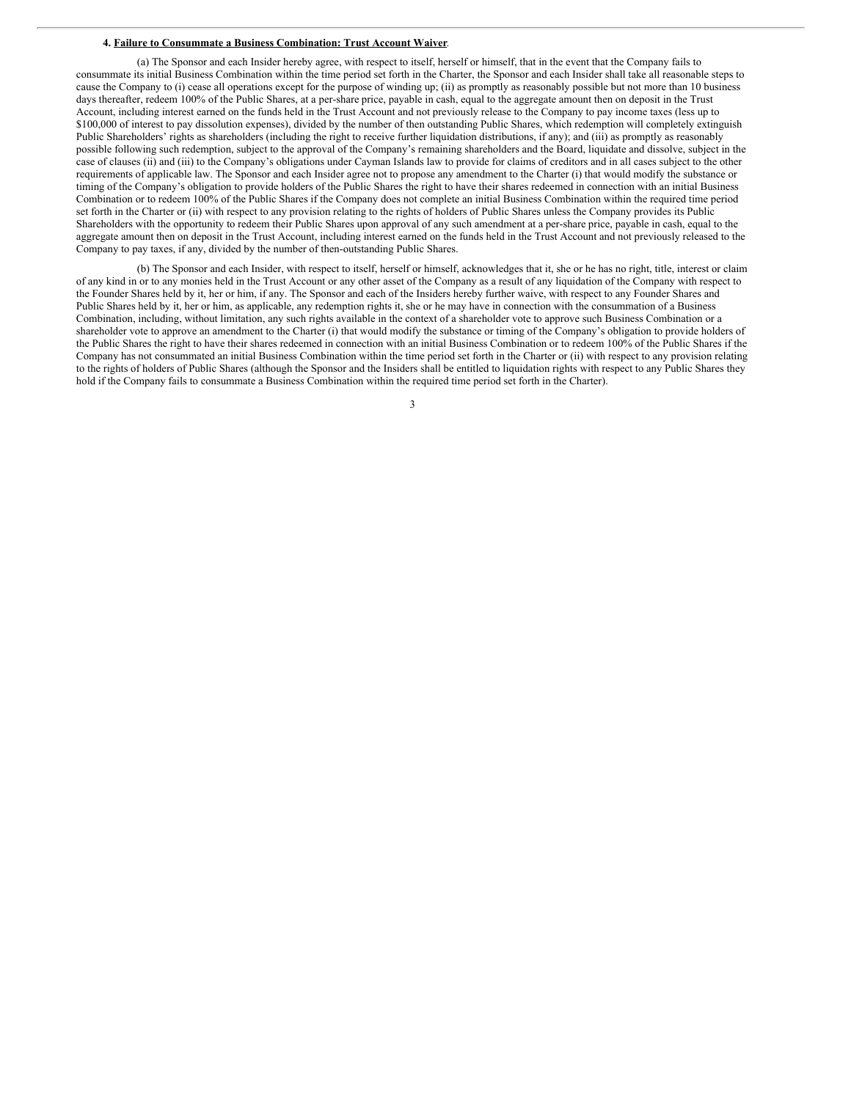### **4. Failure to Consummate a Business Combination: Trust Account Waiver**.

(a) The Sponsor and each Insider hereby agree, with respect to itself, herself or himself, that in the event that the Company fails to consummate its initial Business Combination within the time period set forth in the Charter, the Sponsor and each Insider shall take all reasonable steps to cause the Company to (i) cease all operations except for the purpose of winding up; (ii) as promptly as reasonably possible but not more than 10 business days thereafter, redeem 100% of the Public Shares, at a per-share price, payable in cash, equal to the aggregate amount then on deposit in the Trust Account, including interest earned on the funds held in the Trust Account and not previously release to the Company to pay income taxes (less up to \$100,000 of interest to pay dissolution expenses), divided by the number of then outstanding Public Shares, which redemption will completely extinguish Public Shareholders' rights as shareholders (including the right to receive further liquidation distributions, if any); and (iii) as promptly as reasonably possible following such redemption, subject to the approval of the Company's remaining shareholders and the Board, liquidate and dissolve, subject in the case of clauses (ii) and (iii) to the Company's obligations under Cayman Islands law to provide for claims of creditors and in all cases subject to the other requirements of applicable law. The Sponsor and each Insider agree not to propose any amendment to the Charter (i) that would modify the substance or timing of the Company's obligation to provide holders of the Public Shares the right to have their shares redeemed in connection with an initial Business Combination or to redeem 100% of the Public Shares if the Company does not complete an initial Business Combination within the required time period set forth in the Charter or (ii) with respect to any provision relating to the rights of holders of Public Shares unless the Company provides its Public Shareholders with the opportunity to redeem their Public Shares upon approval of any such amendment at a per-share price, payable in cash, equal to the aggregate amount then on deposit in the Trust Account, including interest earned on the funds held in the Trust Account and not previously released to the Company to pay taxes, if any, divided by the number of then-outstanding Public Shares.

(b) The Sponsor and each Insider, with respect to itself, herself or himself, acknowledges that it, she or he has no right, title, interest or claim of any kind in or to any monies held in the Trust Account or any other asset of the Company as a result of any liquidation of the Company with respect to the Founder Shares held by it, her or him, if any. The Sponsor and each of the Insiders hereby further waive, with respect to any Founder Shares and Public Shares held by it, her or him, as applicable, any redemption rights it, she or he may have in connection with the consummation of a Business Combination, including, without limitation, any such rights available in the context of a shareholder vote to approve such Business Combination or a shareholder vote to approve an amendment to the Charter (i) that would modify the substance or timing of the Company's obligation to provide holders of the Public Shares the right to have their shares redeemed in connection with an initial Business Combination or to redeem 100% of the Public Shares if the Company has not consummated an initial Business Combination within the time period set forth in the Charter or (ii) with respect to any provision relating to the rights of holders of Public Shares (although the Sponsor and the Insiders shall be entitled to liquidation rights with respect to any Public Shares they hold if the Company fails to consummate a Business Combination within the required time period set forth in the Charter).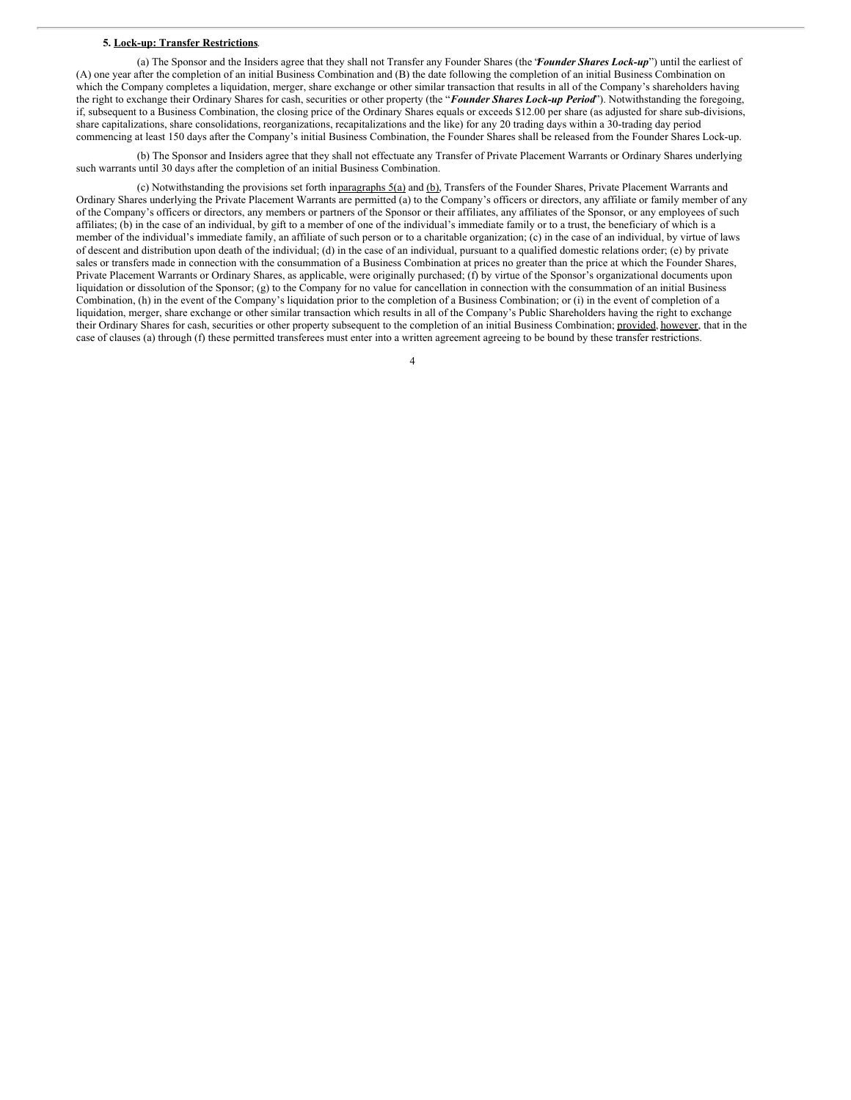### **5. Lock-up: Transfer Restrictions**.

(a) The Sponsor and the Insiders agree that they shall not Transfer any Founder Shares (the "*Founder Shares Lock-up*") until the earliest of (A) one year after the completion of an initial Business Combination and (B) the date following the completion of an initial Business Combination on which the Company completes a liquidation, merger, share exchange or other similar transaction that results in all of the Company's shareholders having the right to exchange their Ordinary Shares for cash, securities or other property (the "*Founder Shares Lock-up Period*"). Notwithstanding the foregoing, if, subsequent to a Business Combination, the closing price of the Ordinary Shares equals or exceeds \$12.00 per share (as adjusted for share sub-divisions, share capitalizations, share consolidations, reorganizations, recapitalizations and the like) for any 20 trading days within a 30-trading day period commencing at least 150 days after the Company's initial Business Combination, the Founder Shares shall be released from the Founder Shares Lock-up.

(b) The Sponsor and Insiders agree that they shall not effectuate any Transfer of Private Placement Warrants or Ordinary Shares underlying such warrants until 30 days after the completion of an initial Business Combination.

(c) Notwithstanding the provisions set forth in $\frac{1}{2}$  and  $\frac{1}{2}$  and  $\frac{1}{2}$ . Transfers of the Founder Shares, Private Placement Warrants and Ordinary Shares underlying the Private Placement Warrants are permitted (a) to the Company's officers or directors, any affiliate or family member of any of the Company's officers or directors, any members or partners of the Sponsor or their affiliates, any affiliates of the Sponsor, or any employees of such affiliates; (b) in the case of an individual, by gift to a member of one of the individual's immediate family or to a trust, the beneficiary of which is a member of the individual's immediate family, an affiliate of such person or to a charitable organization; (c) in the case of an individual, by virtue of laws of descent and distribution upon death of the individual; (d) in the case of an individual, pursuant to a qualified domestic relations order; (e) by private sales or transfers made in connection with the consummation of a Business Combination at prices no greater than the price at which the Founder Shares, Private Placement Warrants or Ordinary Shares, as applicable, were originally purchased; (f) by virtue of the Sponsor's organizational documents upon liquidation or dissolution of the Sponsor; (g) to the Company for no value for cancellation in connection with the consummation of an initial Business Combination, (h) in the event of the Company's liquidation prior to the completion of a Business Combination; or (i) in the event of completion of a liquidation, merger, share exchange or other similar transaction which results in all of the Company's Public Shareholders having the right to exchange their Ordinary Shares for cash, securities or other property subsequent to the completion of an initial Business Combination; provided, however, that in the case of clauses (a) through (f) these permitted transferees must enter into a written agreement agreeing to be bound by these transfer restrictions.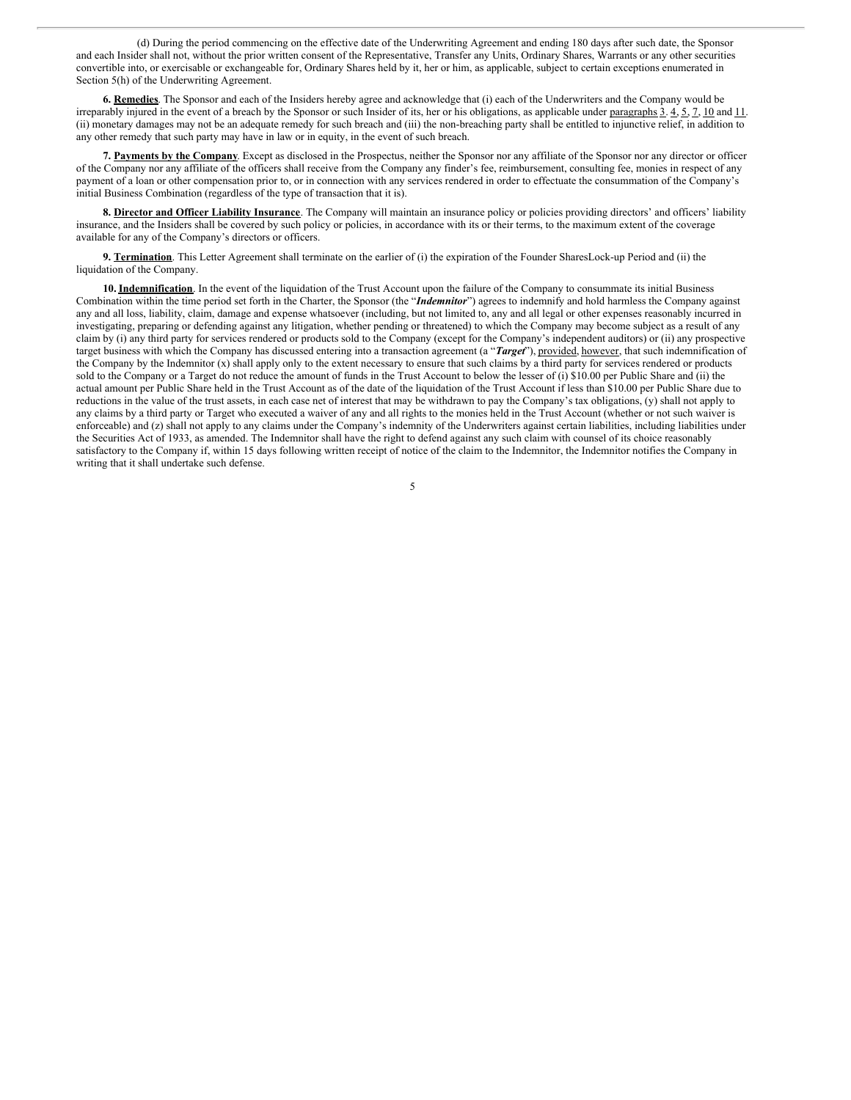(d) During the period commencing on the effective date of the Underwriting Agreement and ending 180 days after such date, the Sponsor and each Insider shall not, without the prior written consent of the Representative, Transfer any Units, Ordinary Shares, Warrants or any other securities convertible into, or exercisable or exchangeable for, Ordinary Shares held by it, her or him, as applicable, subject to certain exceptions enumerated in Section 5(h) of the Underwriting Agreement.

**6. Remedies**. The Sponsor and each of the Insiders hereby agree and acknowledge that (i) each of the Underwriters and the Company would be irreparably injured in the event of a breach by the Sponsor or such Insider of its, her or his obligations, as applicable under paragraphs  $\overline{3}$ .  $4$ ,  $\overline{5}$ ,  $\overline{7}$ ,  $\overline{10}$  and  $\overline{11}$ . (ii) monetary damages may not be an adequate remedy for such breach and (iii) the non-breaching party shall be entitled to injunctive relief, in addition to any other remedy that such party may have in law or in equity, in the event of such breach.

**7. Payments by the Company**. Except as disclosed in the Prospectus, neither the Sponsor nor any affiliate of the Sponsor nor any director or officer of the Company nor any affiliate of the officers shall receive from the Company any finder's fee, reimbursement, consulting fee, monies in respect of any payment of a loan or other compensation prior to, or in connection with any services rendered in order to effectuate the consummation of the Company's initial Business Combination (regardless of the type of transaction that it is).

**8. Director and Officer Liability Insurance**. The Company will maintain an insurance policy or policies providing directors' and officers' liability insurance, and the Insiders shall be covered by such policy or policies, in accordance with its or their terms, to the maximum extent of the coverage available for any of the Company's directors or officers.

**9. Termination**. This Letter Agreement shall terminate on the earlier of (i) the expiration of the Founder SharesLock-up Period and (ii) the liquidation of the Company.

**10. Indemnification**. In the event of the liquidation of the Trust Account upon the failure of the Company to consummate its initial Business Combination within the time period set forth in the Charter, the Sponsor (the "*Indemnitor*") agrees to indemnify and hold harmless the Company against any and all loss, liability, claim, damage and expense whatsoever (including, but not limited to, any and all legal or other expenses reasonably incurred in investigating, preparing or defending against any litigation, whether pending or threatened) to which the Company may become subject as a result of any claim by (i) any third party for services rendered or products sold to the Company (except for the Company's independent auditors) or (ii) any prospective target business with which the Company has discussed entering into a transaction agreement (a "*Target*"), provided, however, that such indemnification of the Company by the Indemnitor  $(x)$  shall apply only to the extent necessary to ensure that such claims by a third party for services rendered or products sold to the Company or a Target do not reduce the amount of funds in the Trust Account to below the lesser of (i) \$10.00 per Public Share and (ii) the actual amount per Public Share held in the Trust Account as of the date of the liquidation of the Trust Account if less than \$10.00 per Public Share due to reductions in the value of the trust assets, in each case net of interest that may be withdrawn to pay the Company's tax obligations, (y) shall not apply to any claims by a third party or Target who executed a waiver of any and all rights to the monies held in the Trust Account (whether or not such waiver is enforceable) and (z) shall not apply to any claims under the Company's indemnity of the Underwriters against certain liabilities, including liabilities under the Securities Act of 1933, as amended. The Indemnitor shall have the right to defend against any such claim with counsel of its choice reasonably satisfactory to the Company if, within 15 days following written receipt of notice of the claim to the Indemnitor, the Indemnitor notifies the Company in writing that it shall undertake such defense.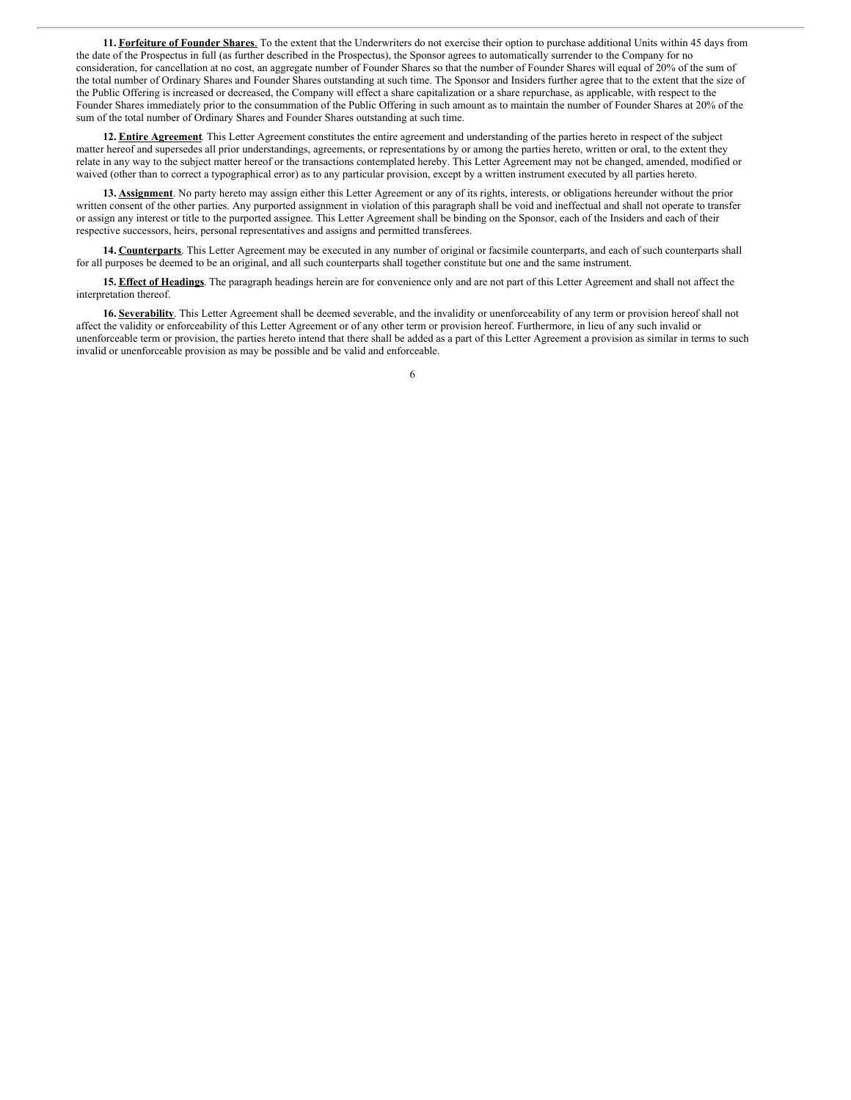**11. Forfeiture of Founder Shares**. To the extent that the Underwriters do not exercise their option to purchase additional Units within 45 days from the date of the Prospectus in full (as further described in the Prospectus), the Sponsor agrees to automatically surrender to the Company for no consideration, for cancellation at no cost, an aggregate number of Founder Shares so that the number of Founder Shares will equal of 20% of the sum of the total number of Ordinary Shares and Founder Shares outstanding at such time. The Sponsor and Insiders further agree that to the extent that the size of the Public Offering is increased or decreased, the Company will effect a share capitalization or a share repurchase, as applicable, with respect to the Founder Shares immediately prior to the consummation of the Public Offering in such amount as to maintain the number of Founder Shares at 20% of the sum of the total number of Ordinary Shares and Founder Shares outstanding at such time.

**12. Entire Agreement**. This Letter Agreement constitutes the entire agreement and understanding of the parties hereto in respect of the subject matter hereof and supersedes all prior understandings, agreements, or representations by or among the parties hereto, written or oral, to the extent they relate in any way to the subject matter hereof or the transactions contemplated hereby. This Letter Agreement may not be changed, amended, modified or waived (other than to correct a typographical error) as to any particular provision, except by a written instrument executed by all parties hereto.

**13. Assignment**. No party hereto may assign either this Letter Agreement or any of its rights, interests, or obligations hereunder without the prior written consent of the other parties. Any purported assignment in violation of this paragraph shall be void and ineffectual and shall not operate to transfer or assign any interest or title to the purported assignee. This Letter Agreement shall be binding on the Sponsor, each of the Insiders and each of their respective successors, heirs, personal representatives and assigns and permitted transferees.

**14. Counterparts**. This Letter Agreement may be executed in any number of original or facsimile counterparts, and each of such counterparts shall for all purposes be deemed to be an original, and all such counterparts shall together constitute but one and the same instrument.

**15. Effect of Headings**. The paragraph headings herein are for convenience only and are not part of this Letter Agreement and shall not affect the interpretation thereof.

**16. Severability**. This Letter Agreement shall be deemed severable, and the invalidity or unenforceability of any term or provision hereof shall not affect the validity or enforceability of this Letter Agreement or of any other term or provision hereof. Furthermore, in lieu of any such invalid or unenforceable term or provision, the parties hereto intend that there shall be added as a part of this Letter Agreement a provision as similar in terms to such invalid or unenforceable provision as may be possible and be valid and enforceable.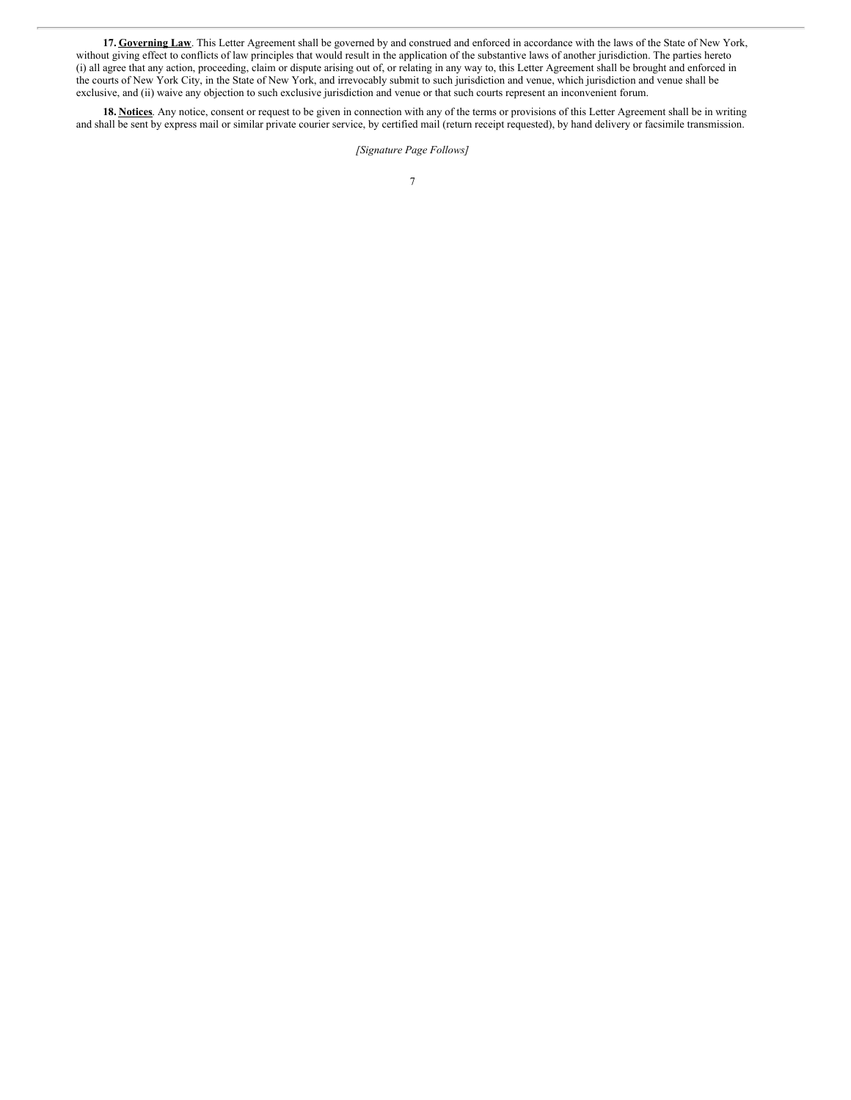**17. Governing Law**. This Letter Agreement shall be governed by and construed and enforced in accordance with the laws of the State of New York, without giving effect to conflicts of law principles that would result in the application of the substantive laws of another jurisdiction. The parties hereto (i) all agree that any action, proceeding, claim or dispute arising out of, or relating in any way to, this Letter Agreement shall be brought and enforced in the courts of New York City, in the State of New York, and irrevocably submit to such jurisdiction and venue, which jurisdiction and venue shall be exclusive, and (ii) waive any objection to such exclusive jurisdiction and venue or that such courts represent an inconvenient forum.

**18. Notices**. Any notice, consent or request to be given in connection with any of the terms or provisions of this Letter Agreement shall be in writing and shall be sent by express mail or similar private courier service, by certified mail (return receipt requested), by hand delivery or facsimile transmission.

*[Signature Page Follows]*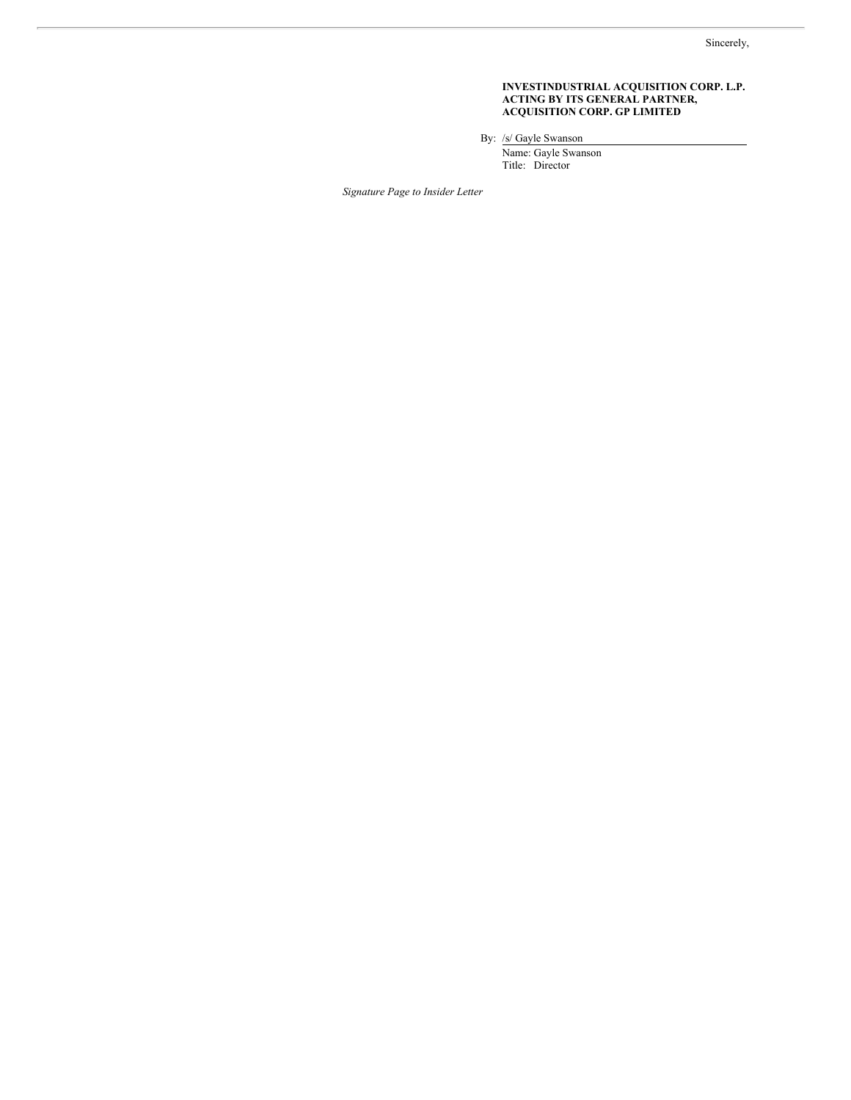### **INVESTINDUSTRIAL ACQUISITION CORP. L.P. ACTING BY ITS GENERAL PARTNER, ACQUISITION CORP. GP LIMITED**

By: /s/ Gayle Swanson

Name: Gayle Swanson Title: Director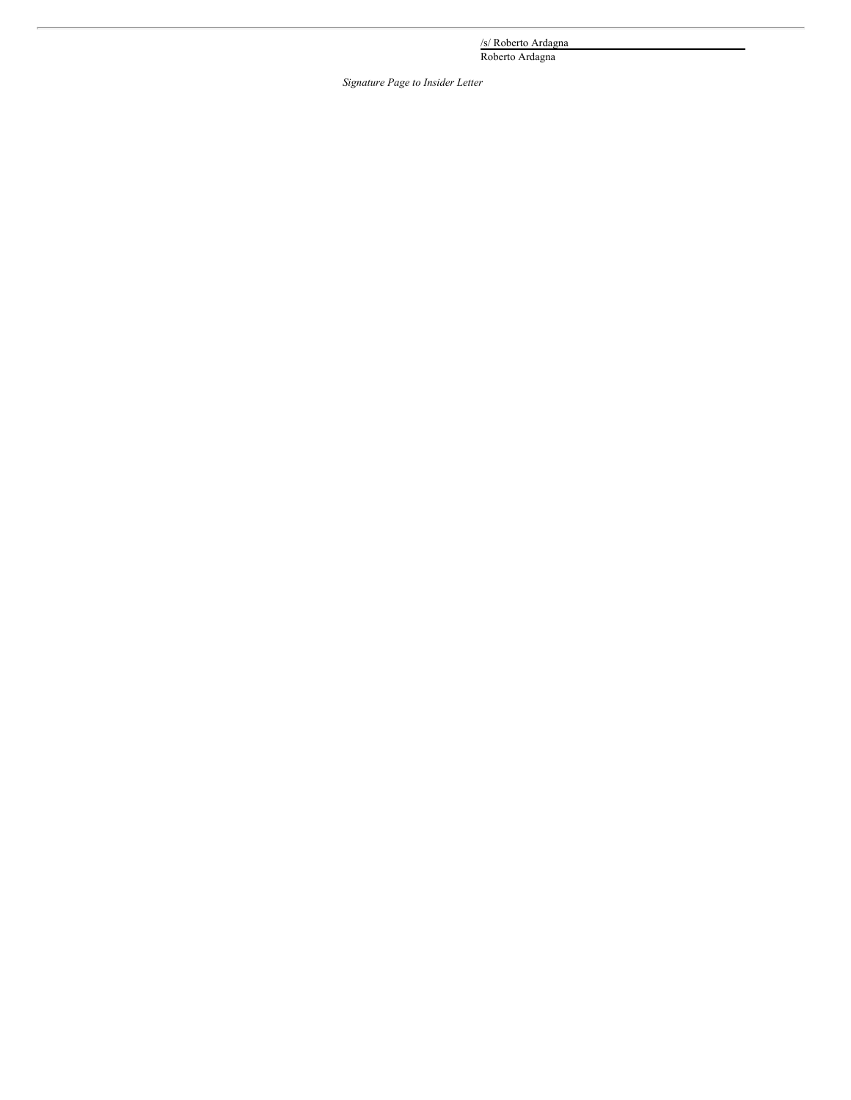/s/ Roberto Ardagna

Roberto Ardagna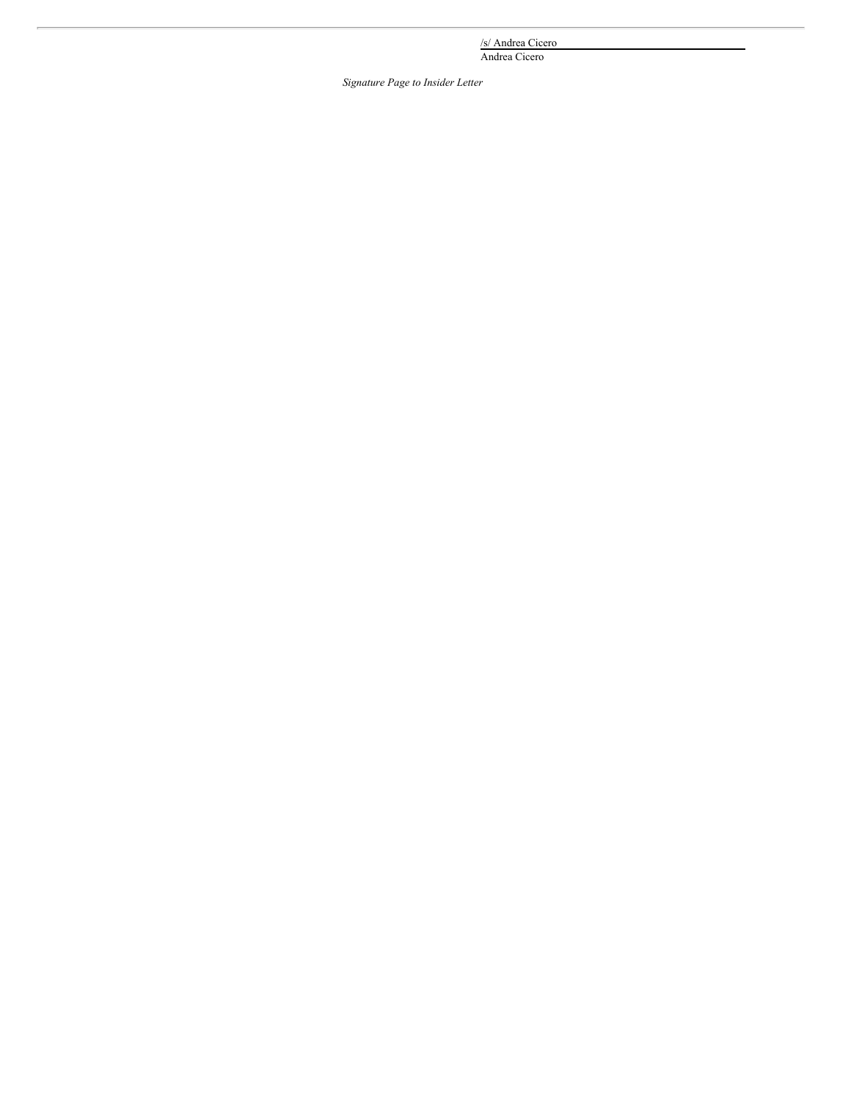/s/ Andrea Cicero

Andrea Cicero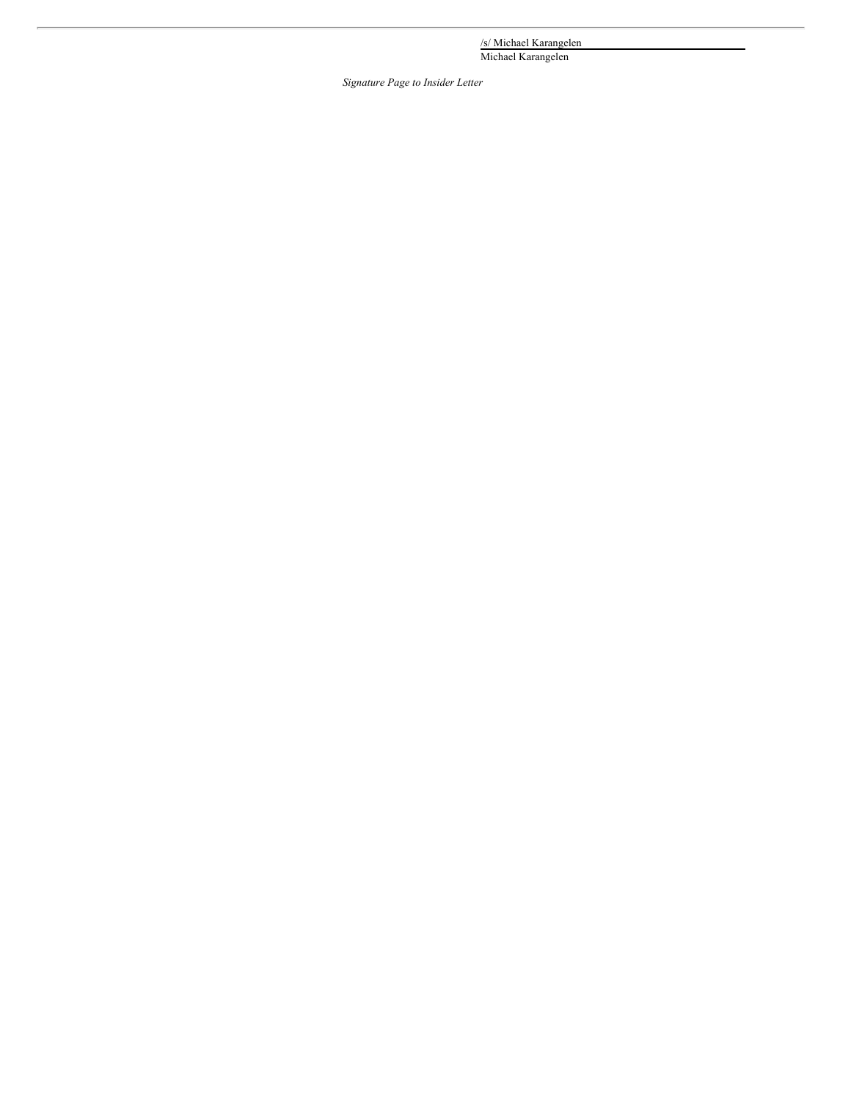/s/ Michael Karangelen

Michael Karangelen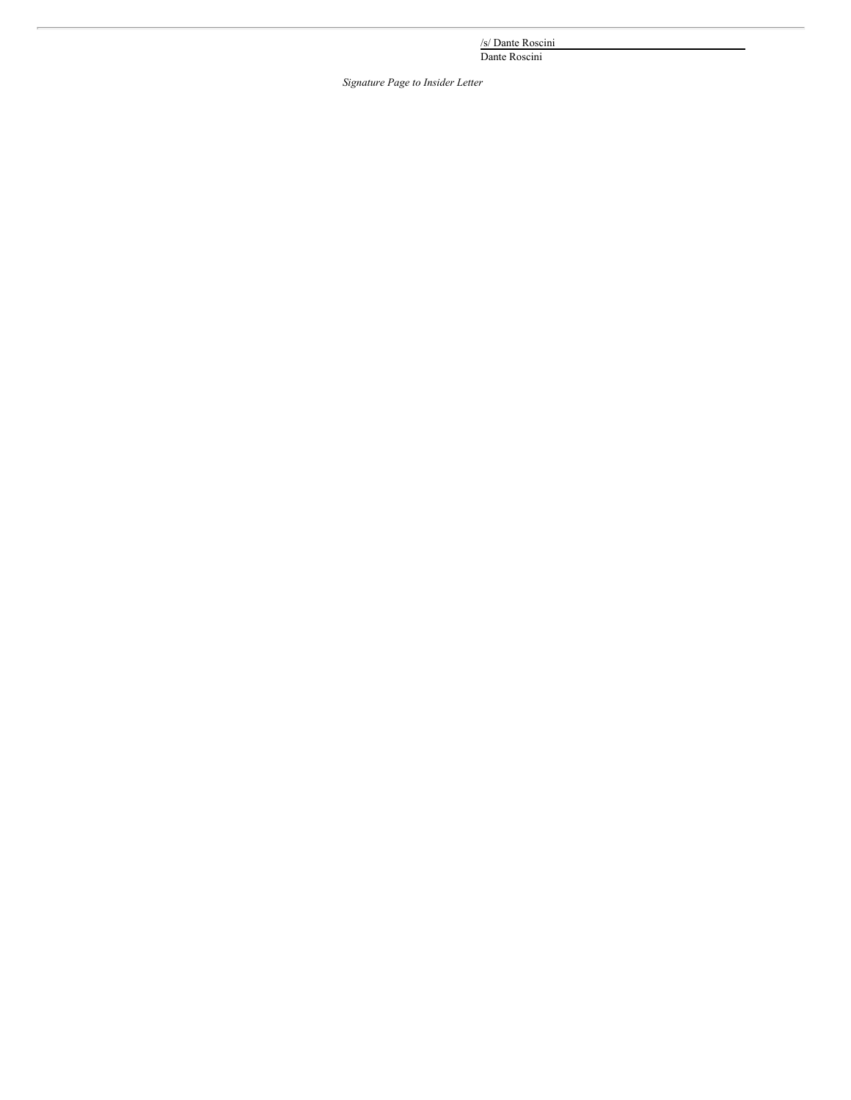/s/ Dante Roscini

Dante Roscini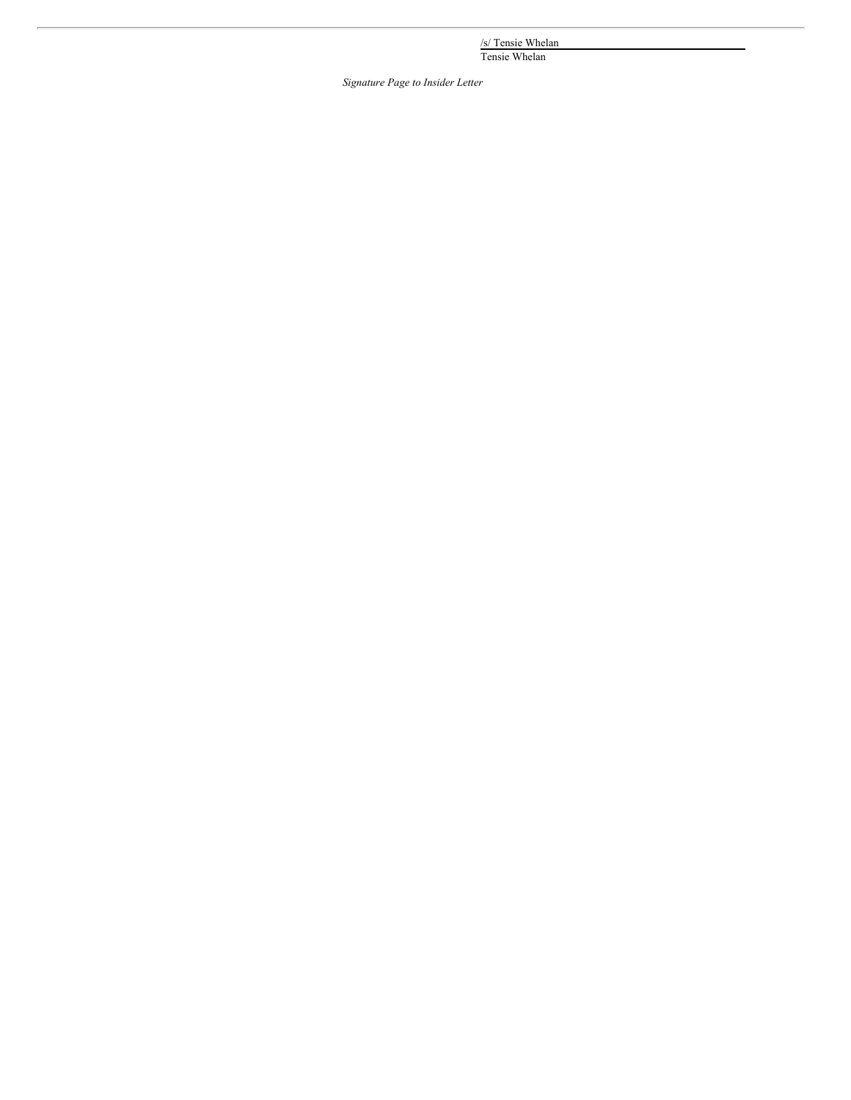/s/ Tensie Whelan

Tensie Whelan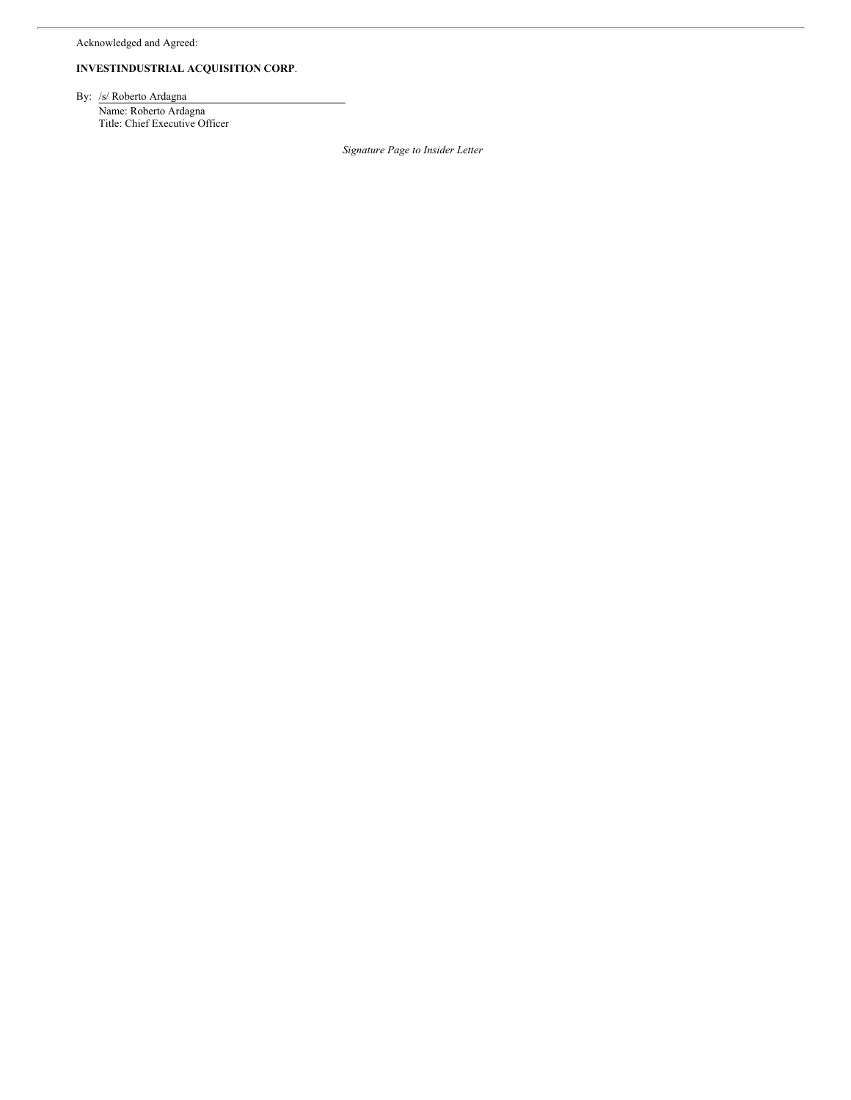Acknowledged and Agreed:

# **INVESTINDUSTRIAL ACQUISITION CORP**.

By: /s/ Roberto Ardagna

Name: Roberto Ardagna Title: Chief Executive Officer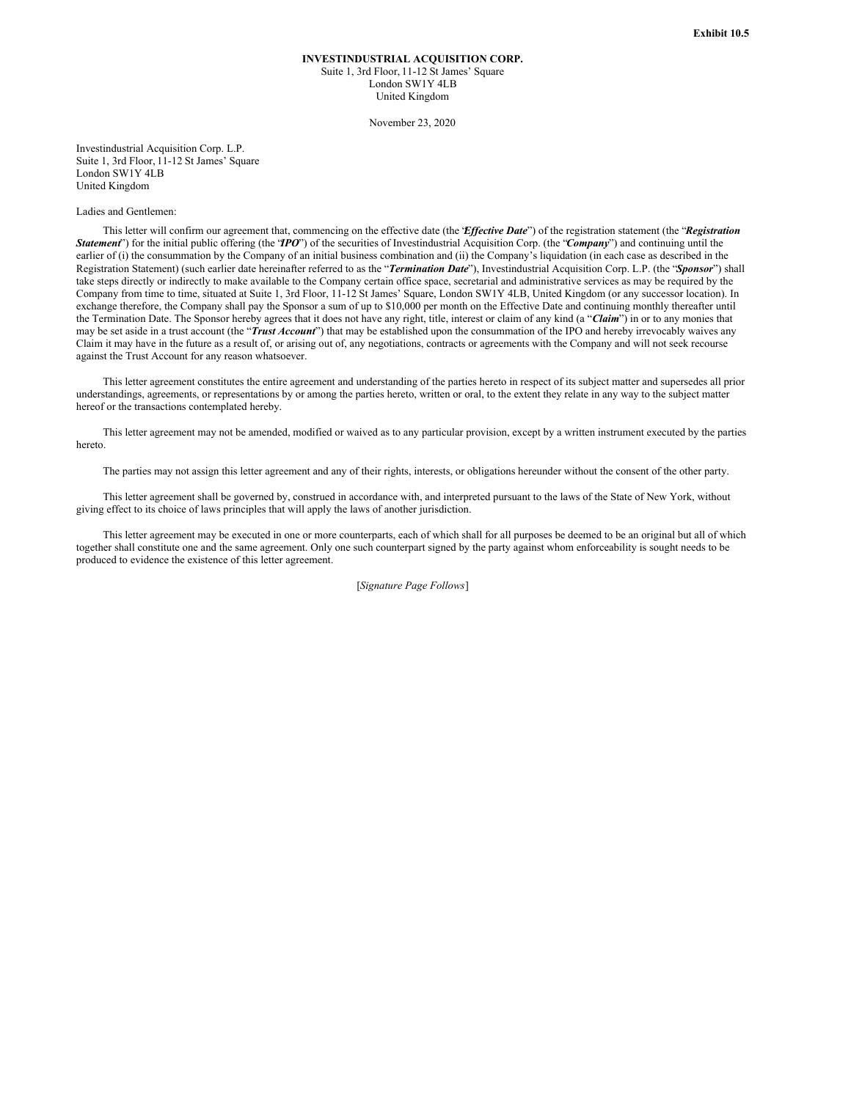### **INVESTINDUSTRIAL ACQUISITION CORP.** Suite 1, 3rd Floor, 11-12 St James' Square London SW1Y 4LB United Kingdom

November 23, 2020

Investindustrial Acquisition Corp. L.P. Suite 1, 3rd Floor, 11-12 St James' Square London SW1Y 4LB United Kingdom

### Ladies and Gentlemen:

This letter will confirm our agreement that, commencing on the effective date (the *'Effective Date'*) of the registration statement (the *'Registration Statement*") for the initial public offering (the '*IPO*") of the securities of Investindustrial Acquisition Corp. (the '*Company*") and continuing until the earlier of (i) the consummation by the Company of an initial business combination and (ii) the Company's liquidation (in each case as described in the Registration Statement) (such earlier date hereinafter referred to as the "*Termination Date*"), Investindustrial Acquisition Corp. L.P. (the "*Sponsor*") shall take steps directly or indirectly to make available to the Company certain office space, secretarial and administrative services as may be required by the Company from time to time, situated at Suite 1, 3rd Floor, 11-12 St James' Square, London SW1Y 4LB, United Kingdom (or any successor location). In exchange therefore, the Company shall pay the Sponsor a sum of up to \$10,000 per month on the Effective Date and continuing monthly thereafter until the Termination Date. The Sponsor hereby agrees that it does not have any right, title, interest or claim of any kind (a "*Claim*") in or to any monies that may be set aside in a trust account (the "*Trust Account*") that may be established upon the consummation of the IPO and hereby irrevocably waives any Claim it may have in the future as a result of, or arising out of, any negotiations, contracts or agreements with the Company and will not seek recourse against the Trust Account for any reason whatsoever.

This letter agreement constitutes the entire agreement and understanding of the parties hereto in respect of its subject matter and supersedes all prior understandings, agreements, or representations by or among the parties hereto, written or oral, to the extent they relate in any way to the subject matter hereof or the transactions contemplated hereby.

This letter agreement may not be amended, modified or waived as to any particular provision, except by a written instrument executed by the parties hereto.

The parties may not assign this letter agreement and any of their rights, interests, or obligations hereunder without the consent of the other party.

This letter agreement shall be governed by, construed in accordance with, and interpreted pursuant to the laws of the State of New York, without giving effect to its choice of laws principles that will apply the laws of another jurisdiction.

This letter agreement may be executed in one or more counterparts, each of which shall for all purposes be deemed to be an original but all of which together shall constitute one and the same agreement. Only one such counterpart signed by the party against whom enforceability is sought needs to be produced to evidence the existence of this letter agreement.

[*Signature Page Follows*]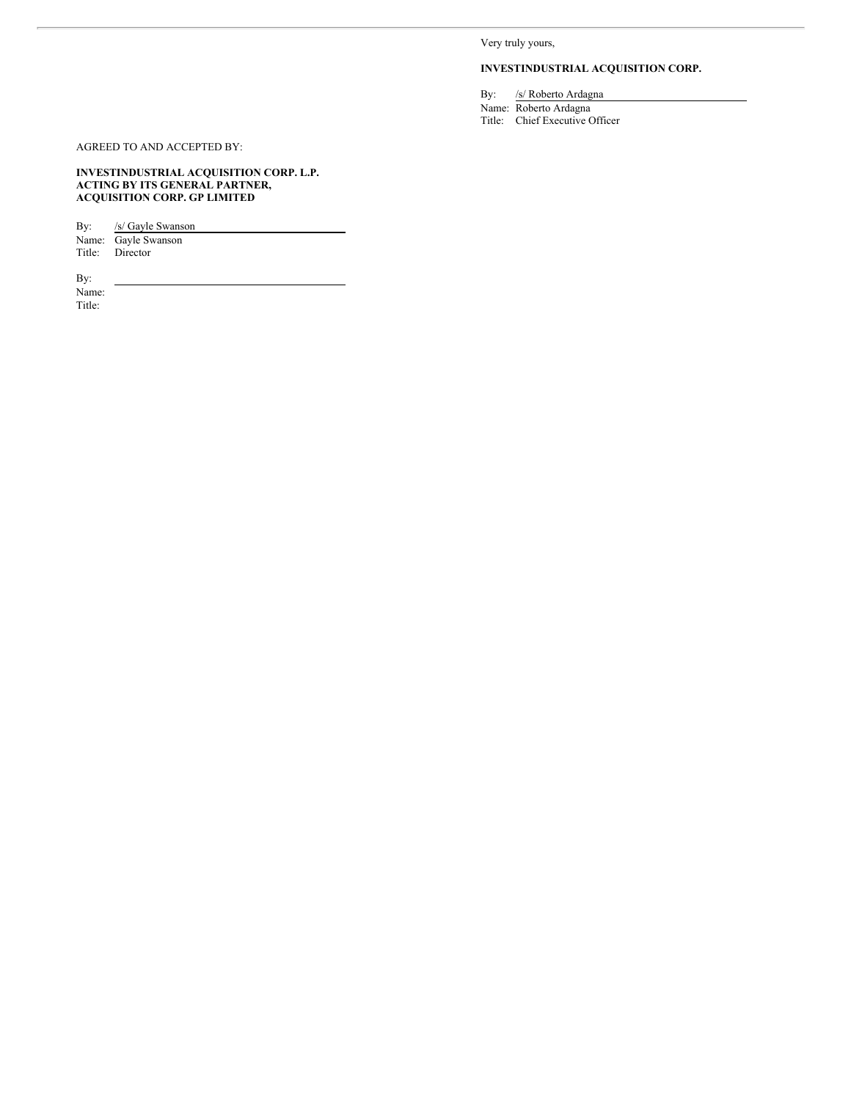Very truly yours,

# **INVESTINDUSTRIAL ACQUISITION CORP.**

By: /s/ Roberto Ardagna

Name: Roberto Ardagna Title: Chief Executive Officer

AGREED TO AND ACCEPTED BY:

**INVESTINDUSTRIAL ACQUISITION CORP. L.P. ACTING BY ITS GENERAL PARTNER, ACQUISITION CORP. GP LIMITED**

By: /s/ Gayle Swanson Name: Gayle Swanson Title: Director

By: Name:

Title: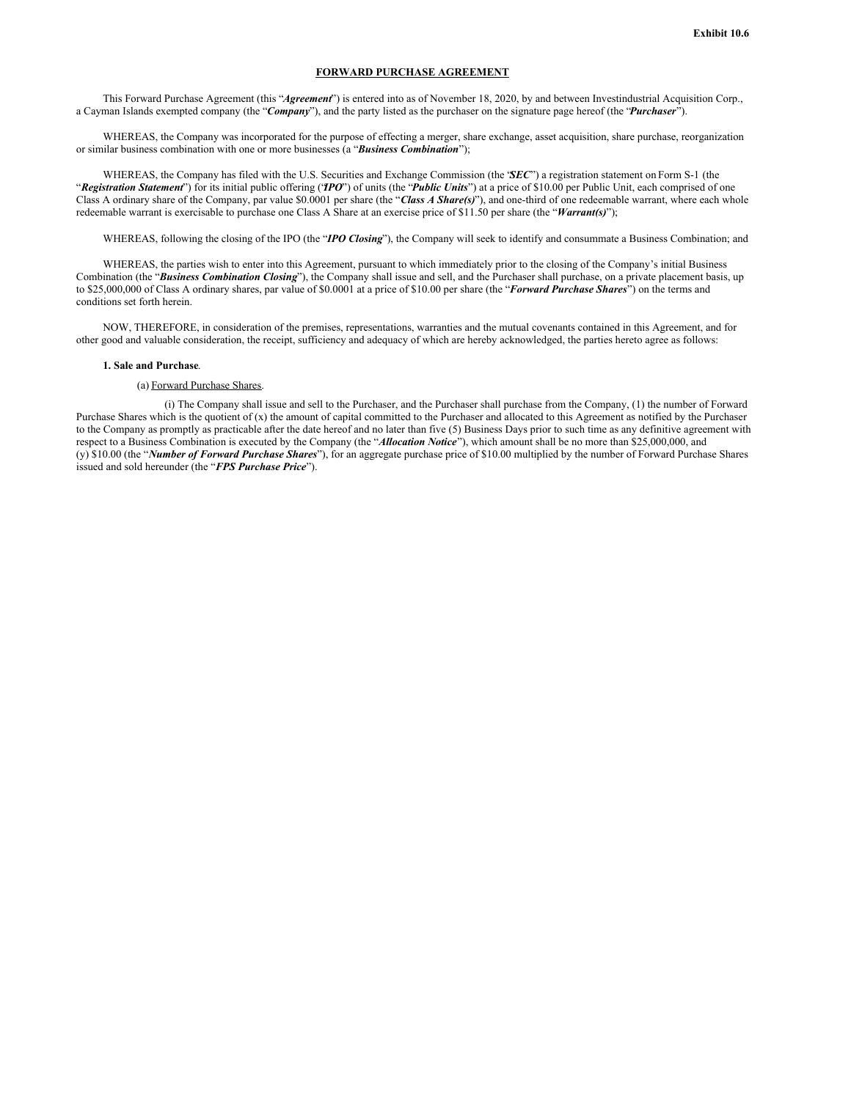## **FORWARD PURCHASE AGREEMENT**

This Forward Purchase Agreement (this "*Agreement*") is entered into as of November 18, 2020, by and between Investindustrial Acquisition Corp., a Cayman Islands exempted company (the "*Company*"), and the party listed as the purchaser on the signature page hereof (the "*Purchaser*").

WHEREAS, the Company was incorporated for the purpose of effecting a merger, share exchange, asset acquisition, share purchase, reorganization or similar business combination with one or more businesses (a "*Business Combination*");

WHEREAS, the Company has filed with the U.S. Securities and Exchange Commission (the "*SEC*") a registration statement on Form S-1 (the "*Registration Statement*") for its initial public offering ("*IPO*") of units (the "*Public Units*") at a price of \$10.00 per Public Unit, each comprised of one Class A ordinary share of the Company, par value \$0.0001 per share (the "*Class A Share(s)*"), and one-third of one redeemable warrant, where each whole redeemable warrant is exercisable to purchase one Class A Share at an exercise price of \$11.50 per share (the "*Warrant(s)*");

WHEREAS, following the closing of the IPO (the "*IPO Closing*"), the Company will seek to identify and consummate a Business Combination; and

WHEREAS, the parties wish to enter into this Agreement, pursuant to which immediately prior to the closing of the Company's initial Business Combination (the "*Business Combination Closing*"), the Company shall issue and sell, and the Purchaser shall purchase, on a private placement basis, up to \$25,000,000 of Class A ordinary shares, par value of \$0.0001 at a price of \$10.00 per share (the "*Forward Purchase Shares*") on the terms and conditions set forth herein.

NOW, THEREFORE, in consideration of the premises, representations, warranties and the mutual covenants contained in this Agreement, and for other good and valuable consideration, the receipt, sufficiency and adequacy of which are hereby acknowledged, the parties hereto agree as follows:

## **1. Sale and Purchase**.

#### (a) Forward Purchase Shares.

(i) The Company shall issue and sell to the Purchaser, and the Purchaser shall purchase from the Company, (1) the number of Forward Purchase Shares which is the quotient of (x) the amount of capital committed to the Purchaser and allocated to this Agreement as notified by the Purchaser to the Company as promptly as practicable after the date hereof and no later than five (5) Business Days prior to such time as any definitive agreement with respect to a Business Combination is executed by the Company (the "*Allocation Notice*"), which amount shall be no more than \$25,000,000, and (y) \$10.00 (the "*Number of Forward Purchase Shares*"), for an aggregate purchase price of \$10.00 multiplied by the number of Forward Purchase Shares issued and sold hereunder (the "*FPS Purchase Price*").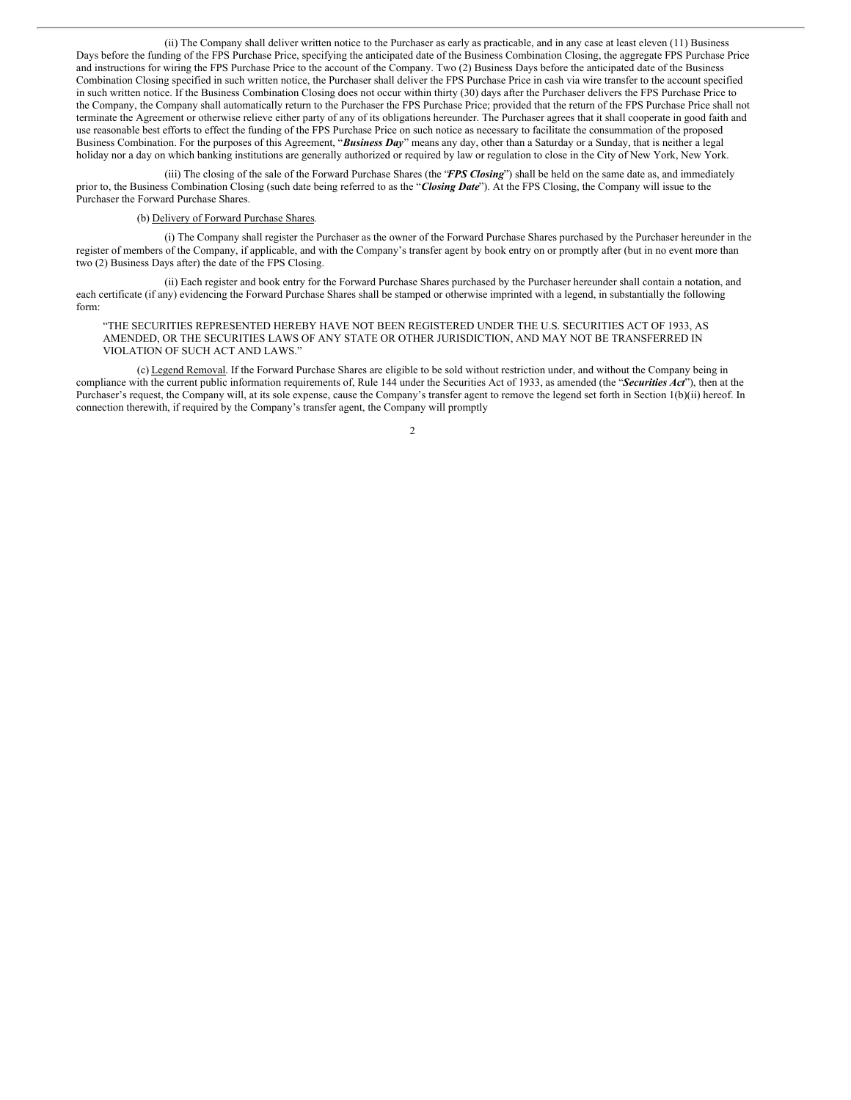(ii) The Company shall deliver written notice to the Purchaser as early as practicable, and in any case at least eleven (11) Business Days before the funding of the FPS Purchase Price, specifying the anticipated date of the Business Combination Closing, the aggregate FPS Purchase Price and instructions for wiring the FPS Purchase Price to the account of the Company. Two (2) Business Days before the anticipated date of the Business Combination Closing specified in such written notice, the Purchaser shall deliver the FPS Purchase Price in cash via wire transfer to the account specified in such written notice. If the Business Combination Closing does not occur within thirty (30) days after the Purchaser delivers the FPS Purchase Price to the Company, the Company shall automatically return to the Purchaser the FPS Purchase Price; provided that the return of the FPS Purchase Price shall not terminate the Agreement or otherwise relieve either party of any of its obligations hereunder. The Purchaser agrees that it shall cooperate in good faith and use reasonable best efforts to effect the funding of the FPS Purchase Price on such notice as necessary to facilitate the consummation of the proposed Business Combination. For the purposes of this Agreement, "*Business Day*" means any day, other than a Saturday or a Sunday, that is neither a legal holiday nor a day on which banking institutions are generally authorized or required by law or regulation to close in the City of New York, New York.

(iii) The closing of the sale of the Forward Purchase Shares (the "*FPS Closing*") shall be held on the same date as, and immediately prior to, the Business Combination Closing (such date being referred to as the "*Closing Date*"). At the FPS Closing, the Company will issue to the Purchaser the Forward Purchase Shares.

## (b) Delivery of Forward Purchase Shares.

(i) The Company shall register the Purchaser as the owner of the Forward Purchase Shares purchased by the Purchaser hereunder in the register of members of the Company, if applicable, and with the Company's transfer agent by book entry on or promptly after (but in no event more than two (2) Business Days after) the date of the FPS Closing.

(ii) Each register and book entry for the Forward Purchase Shares purchased by the Purchaser hereunder shall contain a notation, and each certificate (if any) evidencing the Forward Purchase Shares shall be stamped or otherwise imprinted with a legend, in substantially the following form:

## "THE SECURITIES REPRESENTED HEREBY HAVE NOT BEEN REGISTERED UNDER THE U.S. SECURITIES ACT OF 1933, AS AMENDED, OR THE SECURITIES LAWS OF ANY STATE OR OTHER JURISDICTION, AND MAY NOT BE TRANSFERRED IN VIOLATION OF SUCH ACT AND LAWS."

(c) Legend Removal. If the Forward Purchase Shares are eligible to be sold without restriction under, and without the Company being in compliance with the current public information requirements of, Rule 144 under the Securities Act of 1933, as amended (the "*Securities Act*"), then at the Purchaser's request, the Company will, at its sole expense, cause the Company's transfer agent to remove the legend set forth in Section 1(b)(ii) hereof. In connection therewith, if required by the Company's transfer agent, the Company will promptly

#### $\overline{2}$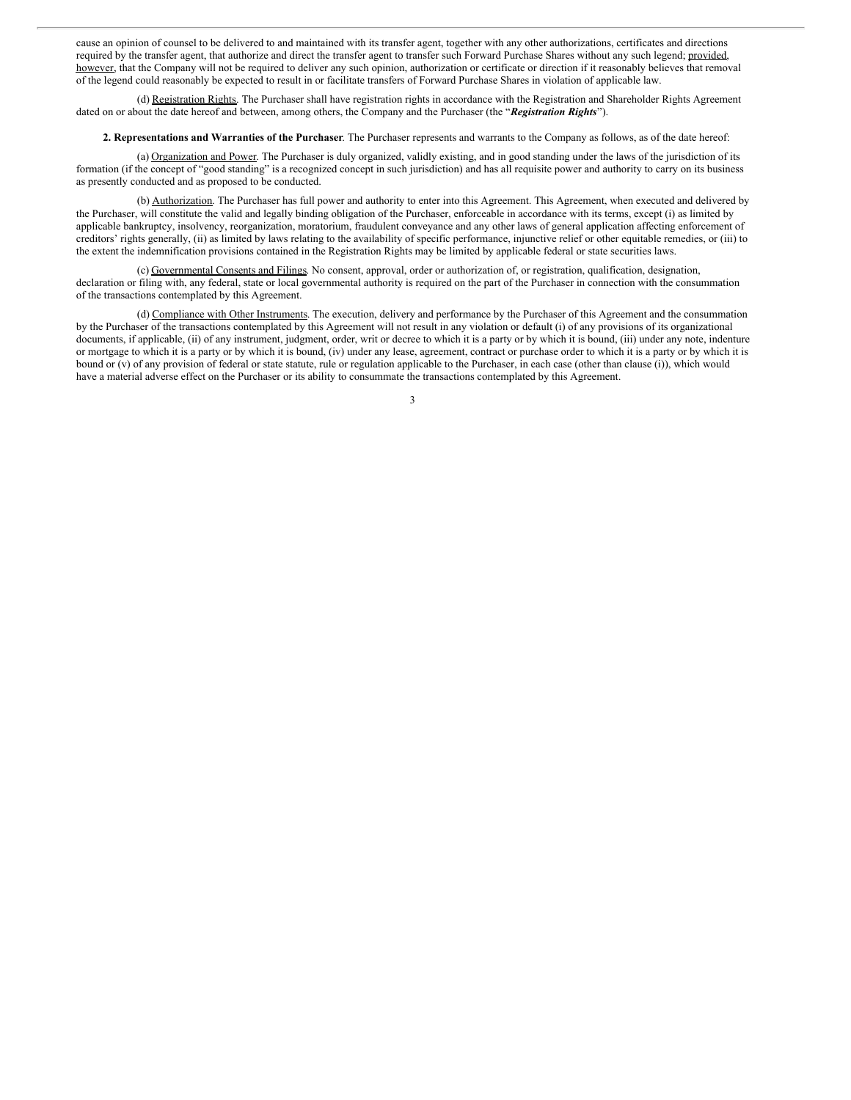cause an opinion of counsel to be delivered to and maintained with its transfer agent, together with any other authorizations, certificates and directions required by the transfer agent, that authorize and direct the transfer agent to transfer such Forward Purchase Shares without any such legend; provided, however, that the Company will not be required to deliver any such opinion, authorization or certificate or direction if it reasonably believes that removal of the legend could reasonably be expected to result in or facilitate transfers of Forward Purchase Shares in violation of applicable law.

(d) Registration Rights. The Purchaser shall have registration rights in accordance with the Registration and Shareholder Rights Agreement dated on or about the date hereof and between, among others, the Company and the Purchaser (the "*Registration Rights*").

#### **2. Representations and Warranties of the Purchaser**. The Purchaser represents and warrants to the Company as follows, as of the date hereof:

(a) Organization and Power. The Purchaser is duly organized, validly existing, and in good standing under the laws of the jurisdiction of its formation (if the concept of "good standing" is a recognized concept in such jurisdiction) and has all requisite power and authority to carry on its business as presently conducted and as proposed to be conducted.

(b) Authorization. The Purchaser has full power and authority to enter into this Agreement. This Agreement, when executed and delivered by the Purchaser, will constitute the valid and legally binding obligation of the Purchaser, enforceable in accordance with its terms, except (i) as limited by applicable bankruptcy, insolvency, reorganization, moratorium, fraudulent conveyance and any other laws of general application affecting enforcement of creditors' rights generally, (ii) as limited by laws relating to the availability of specific performance, injunctive relief or other equitable remedies, or (iii) to the extent the indemnification provisions contained in the Registration Rights may be limited by applicable federal or state securities laws.

(c) Governmental Consents and Filings. No consent, approval, order or authorization of, or registration, qualification, designation, declaration or filing with, any federal, state or local governmental authority is required on the part of the Purchaser in connection with the consummation of the transactions contemplated by this Agreement.

(d) Compliance with Other Instruments. The execution, delivery and performance by the Purchaser of this Agreement and the consummation by the Purchaser of the transactions contemplated by this Agreement will not result in any violation or default (i) of any provisions of its organizational documents, if applicable, (ii) of any instrument, judgment, order, writ or decree to which it is a party or by which it is bound, (iii) under any note, indenture or mortgage to which it is a party or by which it is bound, (iv) under any lease, agreement, contract or purchase order to which it is a party or by which it is bound or (v) of any provision of federal or state statute, rule or regulation applicable to the Purchaser, in each case (other than clause (i)), which would have a material adverse effect on the Purchaser or its ability to consummate the transactions contemplated by this Agreement.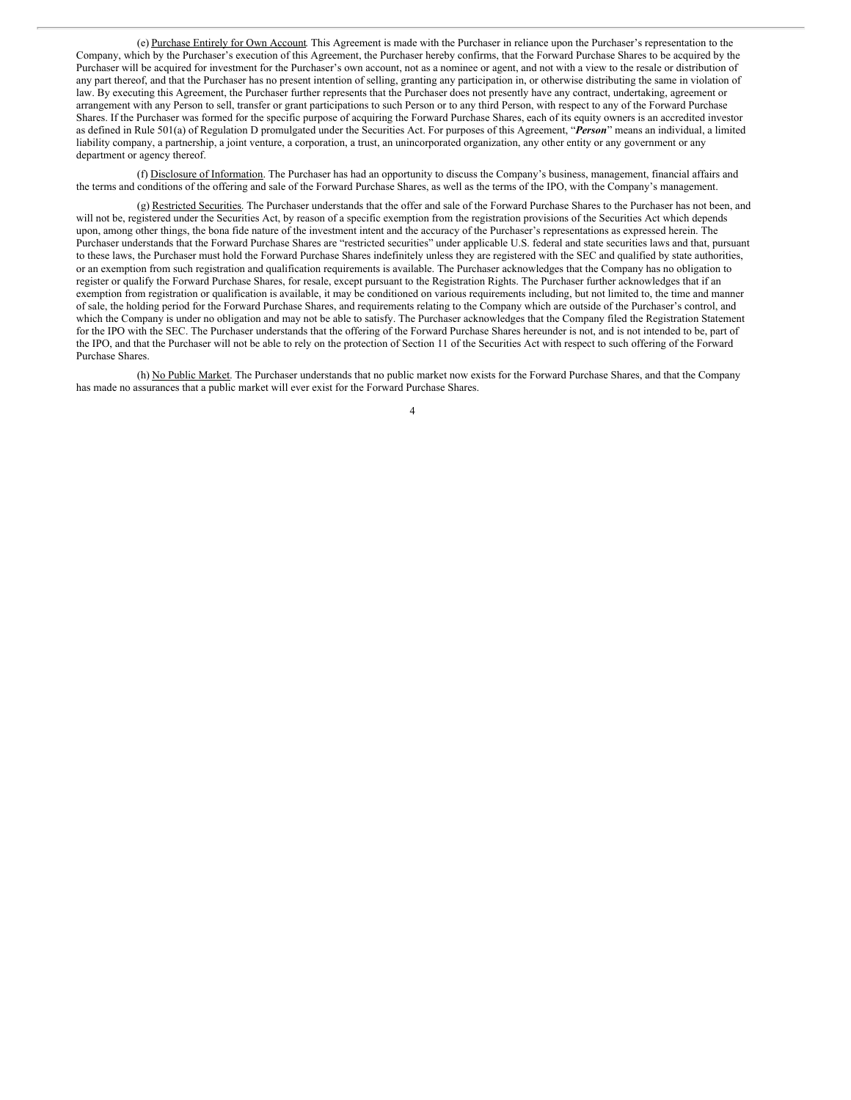(e) Purchase Entirely for Own Account. This Agreement is made with the Purchaser in reliance upon the Purchaser's representation to the Company, which by the Purchaser's execution of this Agreement, the Purchaser hereby confirms, that the Forward Purchase Shares to be acquired by the Purchaser will be acquired for investment for the Purchaser's own account, not as a nominee or agent, and not with a view to the resale or distribution of any part thereof, and that the Purchaser has no present intention of selling, granting any participation in, or otherwise distributing the same in violation of law. By executing this Agreement, the Purchaser further represents that the Purchaser does not presently have any contract, undertaking, agreement or arrangement with any Person to sell, transfer or grant participations to such Person or to any third Person, with respect to any of the Forward Purchase Shares. If the Purchaser was formed for the specific purpose of acquiring the Forward Purchase Shares, each of its equity owners is an accredited investor as defined in Rule 501(a) of Regulation D promulgated under the Securities Act. For purposes of this Agreement, "*Person*" means an individual, a limited liability company, a partnership, a joint venture, a corporation, a trust, an unincorporated organization, any other entity or any government or any department or agency thereof.

(f) Disclosure of Information. The Purchaser has had an opportunity to discuss the Company's business, management, financial affairs and the terms and conditions of the offering and sale of the Forward Purchase Shares, as well as the terms of the IPO, with the Company's management.

(g) Restricted Securities. The Purchaser understands that the offer and sale of the Forward Purchase Shares to the Purchaser has not been, and will not be, registered under the Securities Act, by reason of a specific exemption from the registration provisions of the Securities Act which depends upon, among other things, the bona fide nature of the investment intent and the accuracy of the Purchaser's representations as expressed herein. The Purchaser understands that the Forward Purchase Shares are "restricted securities" under applicable U.S. federal and state securities laws and that, pursuant to these laws, the Purchaser must hold the Forward Purchase Shares indefinitely unless they are registered with the SEC and qualified by state authorities, or an exemption from such registration and qualification requirements is available. The Purchaser acknowledges that the Company has no obligation to register or qualify the Forward Purchase Shares, for resale, except pursuant to the Registration Rights. The Purchaser further acknowledges that if an exemption from registration or qualification is available, it may be conditioned on various requirements including, but not limited to, the time and manner of sale, the holding period for the Forward Purchase Shares, and requirements relating to the Company which are outside of the Purchaser's control, and which the Company is under no obligation and may not be able to satisfy. The Purchaser acknowledges that the Company filed the Registration Statement for the IPO with the SEC. The Purchaser understands that the offering of the Forward Purchase Shares hereunder is not, and is not intended to be, part of the IPO, and that the Purchaser will not be able to rely on the protection of Section 11 of the Securities Act with respect to such offering of the Forward Purchase Shares.

(h) No Public Market. The Purchaser understands that no public market now exists for the Forward Purchase Shares, and that the Company has made no assurances that a public market will ever exist for the Forward Purchase Shares.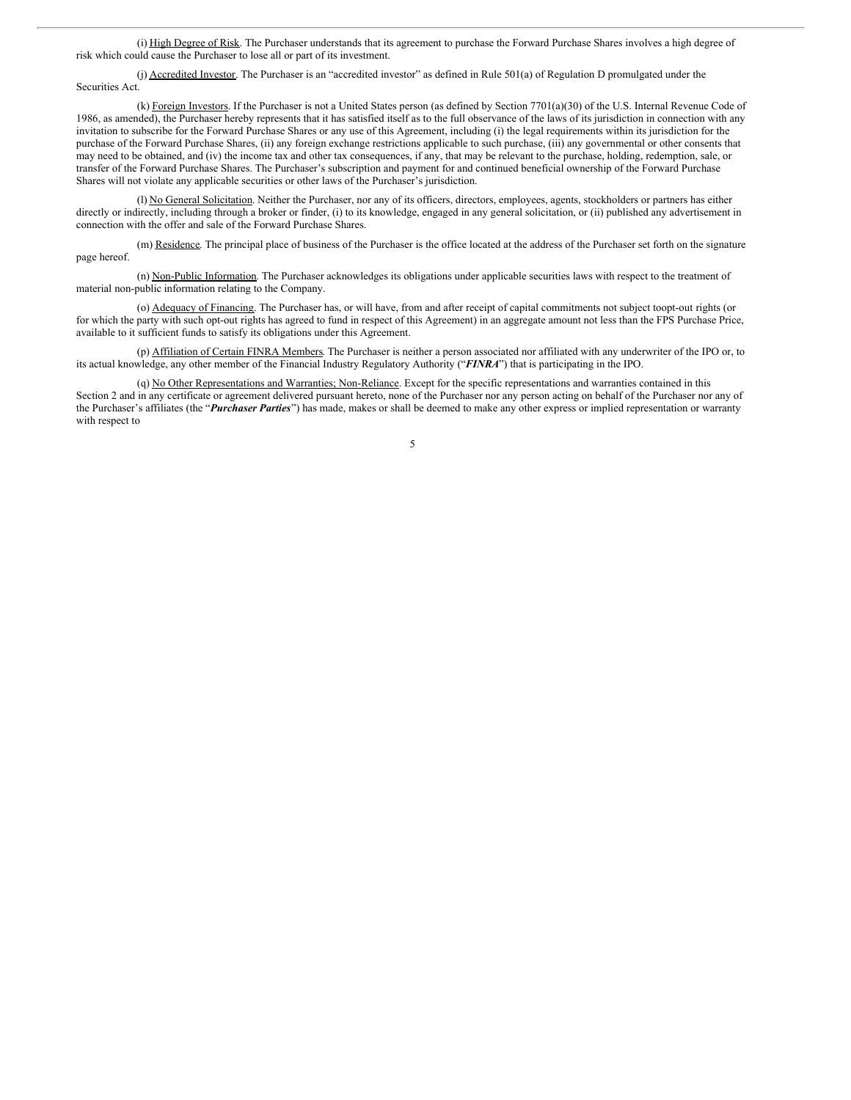(i) High Degree of Risk. The Purchaser understands that its agreement to purchase the Forward Purchase Shares involves a high degree of risk which could cause the Purchaser to lose all or part of its investment.

(j) Accredited Investor. The Purchaser is an "accredited investor" as defined in Rule 501(a) of Regulation D promulgated under the Securities Act.

(k) Foreign Investors. If the Purchaser is not a United States person (as defined by Section 7701(a)(30) of the U.S. Internal Revenue Code of 1986, as amended), the Purchaser hereby represents that it has satisfied itself as to the full observance of the laws of its jurisdiction in connection with any invitation to subscribe for the Forward Purchase Shares or any use of this Agreement, including (i) the legal requirements within its jurisdiction for the purchase of the Forward Purchase Shares, (ii) any foreign exchange restrictions applicable to such purchase, (iii) any governmental or other consents that may need to be obtained, and (iv) the income tax and other tax consequences, if any, that may be relevant to the purchase, holding, redemption, sale, or transfer of the Forward Purchase Shares. The Purchaser's subscription and payment for and continued beneficial ownership of the Forward Purchase Shares will not violate any applicable securities or other laws of the Purchaser's jurisdiction.

(l) No General Solicitation. Neither the Purchaser, nor any of its officers, directors, employees, agents, stockholders or partners has either directly or indirectly, including through a broker or finder, (i) to its knowledge, engaged in any general solicitation, or (ii) published any advertisement in connection with the offer and sale of the Forward Purchase Shares.

(m) Residence. The principal place of business of the Purchaser is the office located at the address of the Purchaser set forth on the signature page hereof.

(n) Non-Public Information. The Purchaser acknowledges its obligations under applicable securities laws with respect to the treatment of material non-public information relating to the Company.

(o) Adequacy of Financing. The Purchaser has, or will have, from and after receipt of capital commitments not subject toopt-out rights (or for which the party with such opt-out rights has agreed to fund in respect of this Agreement) in an aggregate amount not less than the FPS Purchase Price, available to it sufficient funds to satisfy its obligations under this Agreement.

(p) Affiliation of Certain FINRA Members. The Purchaser is neither a person associated nor affiliated with any underwriter of the IPO or, to its actual knowledge, any other member of the Financial Industry Regulatory Authority ("*FINRA*") that is participating in the IPO.

(q) No Other Representations and Warranties; Non-Reliance. Except for the specific representations and warranties contained in this Section 2 and in any certificate or agreement delivered pursuant hereto, none of the Purchaser nor any person acting on behalf of the Purchaser nor any of the Purchaser's affiliates (the "*Purchaser Parties*") has made, makes or shall be deemed to make any other express or implied representation or warranty with respect to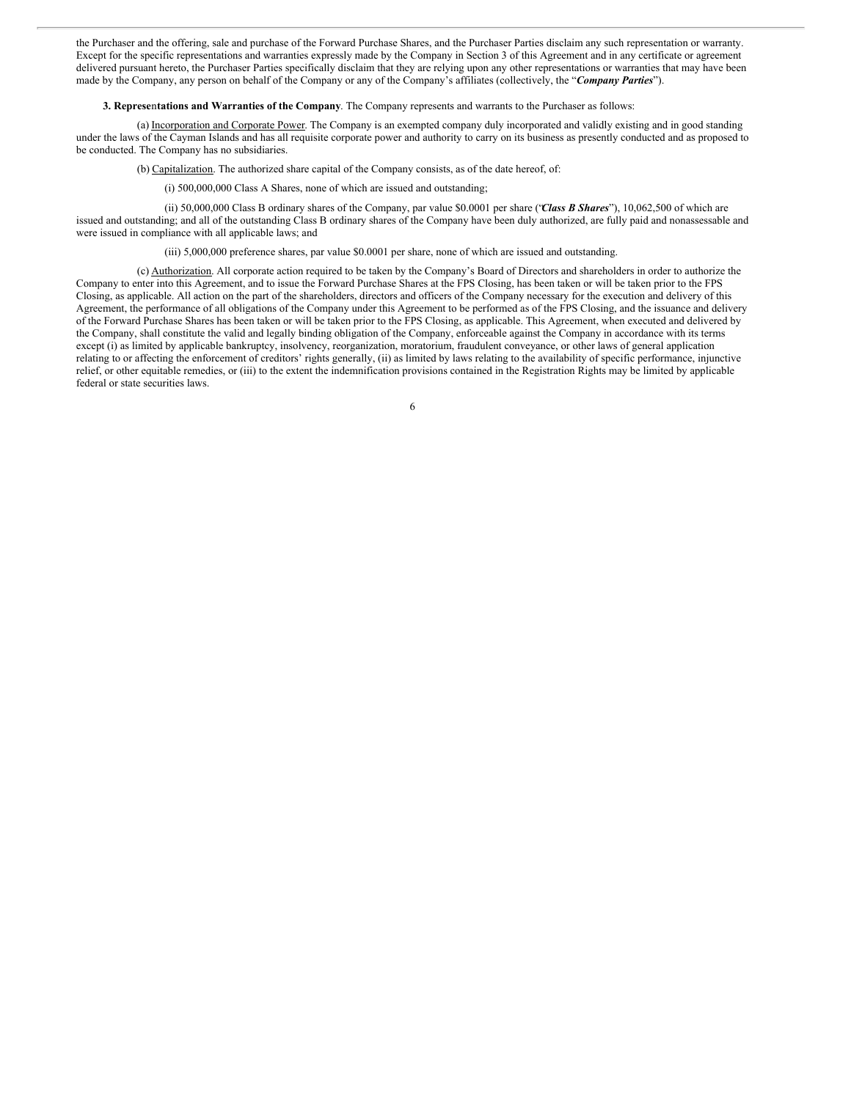the Purchaser and the offering, sale and purchase of the Forward Purchase Shares, and the Purchaser Parties disclaim any such representation or warranty. Except for the specific representations and warranties expressly made by the Company in Section 3 of this Agreement and in any certificate or agreement delivered pursuant hereto, the Purchaser Parties specifically disclaim that they are relying upon any other representations or warranties that may have been made by the Company, any person on behalf of the Company or any of the Company's affiliates (collectively, the "*Company Parties*").

**3. Represe**n**tations and Warranties of the Company**. The Company represents and warrants to the Purchaser as follows:

(a) Incorporation and Corporate Power. The Company is an exempted company duly incorporated and validly existing and in good standing under the laws of the Cayman Islands and has all requisite corporate power and authority to carry on its business as presently conducted and as proposed to be conducted. The Company has no subsidiaries.

(b) Capitalization. The authorized share capital of the Company consists, as of the date hereof, of:

(i) 500,000,000 Class A Shares, none of which are issued and outstanding;

(ii) 50,000,000 Class B ordinary shares of the Company, par value \$0.0001 per share ("*Class B Shares*"), 10,062,500 of which are issued and outstanding; and all of the outstanding Class B ordinary shares of the Company have been duly authorized, are fully paid and nonassessable and were issued in compliance with all applicable laws; and

(iii) 5,000,000 preference shares, par value \$0.0001 per share, none of which are issued and outstanding.

(c) Authorization. All corporate action required to be taken by the Company's Board of Directors and shareholders in order to authorize the Company to enter into this Agreement, and to issue the Forward Purchase Shares at the FPS Closing, has been taken or will be taken prior to the FPS Closing, as applicable. All action on the part of the shareholders, directors and officers of the Company necessary for the execution and delivery of this Agreement, the performance of all obligations of the Company under this Agreement to be performed as of the FPS Closing, and the issuance and delivery of the Forward Purchase Shares has been taken or will be taken prior to the FPS Closing, as applicable. This Agreement, when executed and delivered by the Company, shall constitute the valid and legally binding obligation of the Company, enforceable against the Company in accordance with its terms except (i) as limited by applicable bankruptcy, insolvency, reorganization, moratorium, fraudulent conveyance, or other laws of general application relating to or affecting the enforcement of creditors' rights generally, (ii) as limited by laws relating to the availability of specific performance, injunctive relief, or other equitable remedies, or (iii) to the extent the indemnification provisions contained in the Registration Rights may be limited by applicable federal or state securities laws.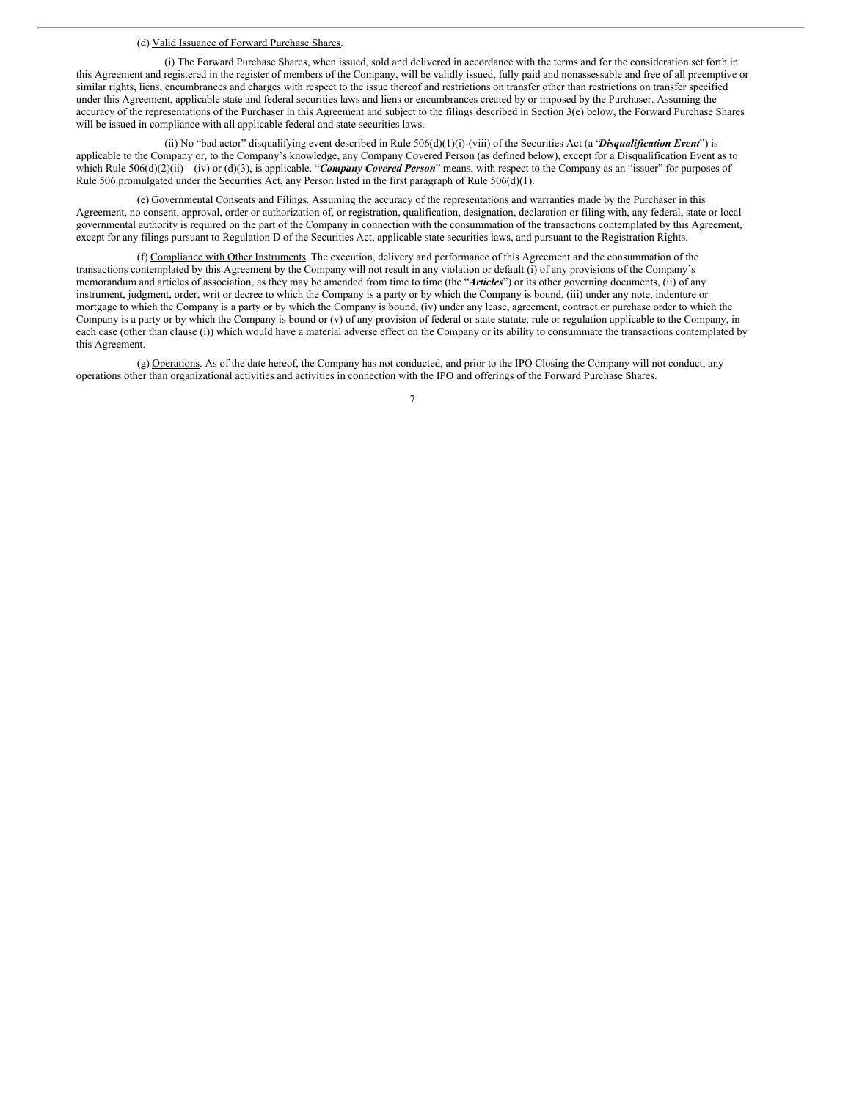#### (d) Valid Issuance of Forward Purchase Shares.

(i) The Forward Purchase Shares, when issued, sold and delivered in accordance with the terms and for the consideration set forth in this Agreement and registered in the register of members of the Company, will be validly issued, fully paid and nonassessable and free of all preemptive or similar rights, liens, encumbrances and charges with respect to the issue thereof and restrictions on transfer other than restrictions on transfer specified under this Agreement, applicable state and federal securities laws and liens or encumbrances created by or imposed by the Purchaser. Assuming the accuracy of the representations of the Purchaser in this Agreement and subject to the filings described in Section 3(e) below, the Forward Purchase Shares will be issued in compliance with all applicable federal and state securities laws.

(ii) No "bad actor" disqualifying event described in Rule 506(d)(1)(i)-(viii) of the Securities Act (a "*Disqualification Event*") is applicable to the Company or, to the Company's knowledge, any Company Covered Person (as defined below), except for a Disqualification Event as to which Rule 506(d)(2)(ii)—(iv) or (d)(3), is applicable. "*Company Covered Person*" means, with respect to the Company as an "issuer" for purposes of Rule 506 promulgated under the Securities Act, any Person listed in the first paragraph of Rule 506(d)(1).

(e) Governmental Consents and Filings. Assuming the accuracy of the representations and warranties made by the Purchaser in this Agreement, no consent, approval, order or authorization of, or registration, qualification, designation, declaration or filing with, any federal, state or local governmental authority is required on the part of the Company in connection with the consummation of the transactions contemplated by this Agreement, except for any filings pursuant to Regulation D of the Securities Act, applicable state securities laws, and pursuant to the Registration Rights.

(f) Compliance with Other Instruments. The execution, delivery and performance of this Agreement and the consummation of the transactions contemplated by this Agreement by the Company will not result in any violation or default (i) of any provisions of the Company's memorandum and articles of association, as they may be amended from time to time (the "*Articles*") or its other governing documents, (ii) of any instrument, judgment, order, writ or decree to which the Company is a party or by which the Company is bound, (iii) under any note, indenture or mortgage to which the Company is a party or by which the Company is bound, (iv) under any lease, agreement, contract or purchase order to which the Company is a party or by which the Company is bound or (v) of any provision of federal or state statute, rule or regulation applicable to the Company, in each case (other than clause (i)) which would have a material adverse effect on the Company or its ability to consummate the transactions contemplated by this Agreement.

(g) Operations. As of the date hereof, the Company has not conducted, and prior to the IPO Closing the Company will not conduct, any operations other than organizational activities and activities in connection with the IPO and offerings of the Forward Purchase Shares.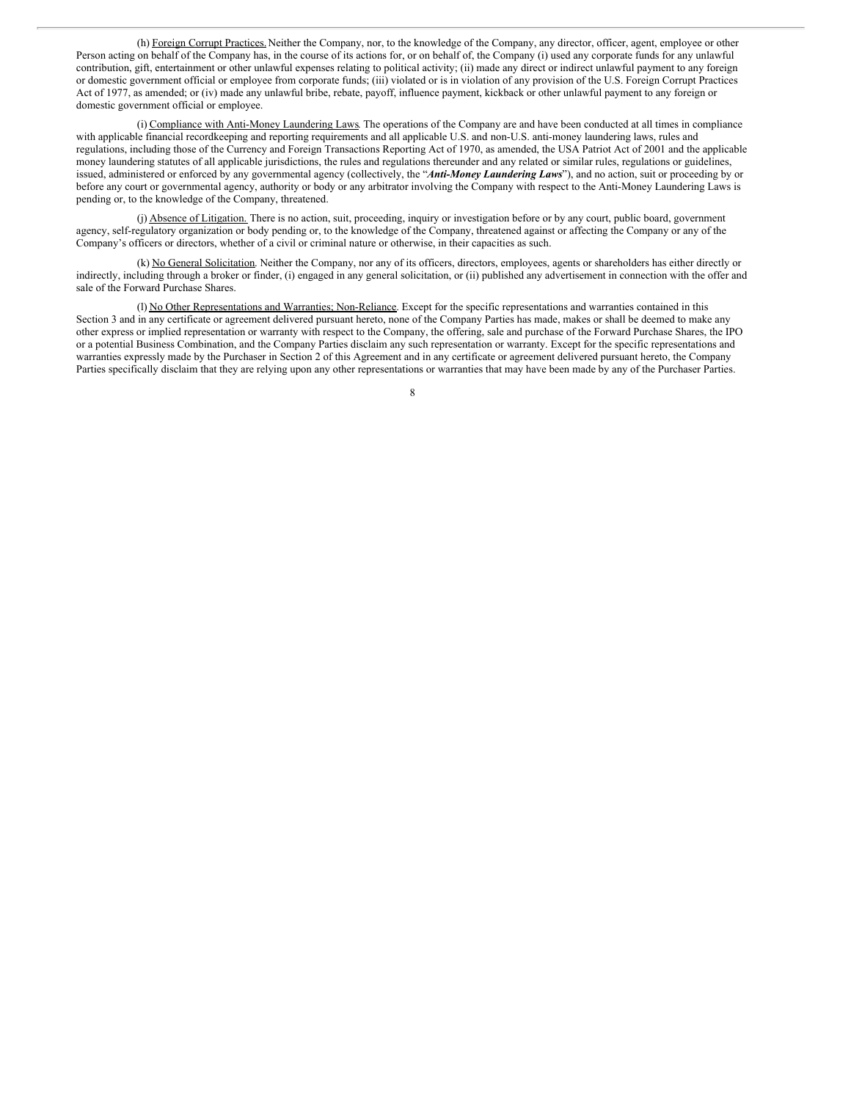(h) Foreign Corrupt Practices. Neither the Company, nor, to the knowledge of the Company, any director, officer, agent, employee or other Person acting on behalf of the Company has, in the course of its actions for, or on behalf of, the Company (i) used any corporate funds for any unlawful contribution, gift, entertainment or other unlawful expenses relating to political activity; (ii) made any direct or indirect unlawful payment to any foreign or domestic government official or employee from corporate funds; (iii) violated or is in violation of any provision of the U.S. Foreign Corrupt Practices Act of 1977, as amended; or (iv) made any unlawful bribe, rebate, payoff, influence payment, kickback or other unlawful payment to any foreign or domestic government official or employee.

(i) Compliance with Anti-Money Laundering Laws. The operations of the Company are and have been conducted at all times in compliance with applicable financial recordkeeping and reporting requirements and all applicable U.S. and non-U.S. anti-money laundering laws, rules and regulations, including those of the Currency and Foreign Transactions Reporting Act of 1970, as amended, the USA Patriot Act of 2001 and the applicable money laundering statutes of all applicable jurisdictions, the rules and regulations thereunder and any related or similar rules, regulations or guidelines, issued, administered or enforced by any governmental agency (collectively, the "*Anti-Money Laundering Laws*"), and no action, suit or proceeding by or before any court or governmental agency, authority or body or any arbitrator involving the Company with respect to the Anti-Money Laundering Laws is pending or, to the knowledge of the Company, threatened.

(j) Absence of Litigation. There is no action, suit, proceeding, inquiry or investigation before or by any court, public board, government agency, self-regulatory organization or body pending or, to the knowledge of the Company, threatened against or affecting the Company or any of the Company's officers or directors, whether of a civil or criminal nature or otherwise, in their capacities as such.

(k) No General Solicitation. Neither the Company, nor any of its officers, directors, employees, agents or shareholders has either directly or indirectly, including through a broker or finder, (i) engaged in any general solicitation, or (ii) published any advertisement in connection with the offer and sale of the Forward Purchase Shares.

(l) No Other Representations and Warranties; Non-Reliance. Except for the specific representations and warranties contained in this Section 3 and in any certificate or agreement delivered pursuant hereto, none of the Company Parties has made, makes or shall be deemed to make any other express or implied representation or warranty with respect to the Company, the offering, sale and purchase of the Forward Purchase Shares, the IPO or a potential Business Combination, and the Company Parties disclaim any such representation or warranty. Except for the specific representations and warranties expressly made by the Purchaser in Section 2 of this Agreement and in any certificate or agreement delivered pursuant hereto, the Company Parties specifically disclaim that they are relying upon any other representations or warranties that may have been made by any of the Purchaser Parties.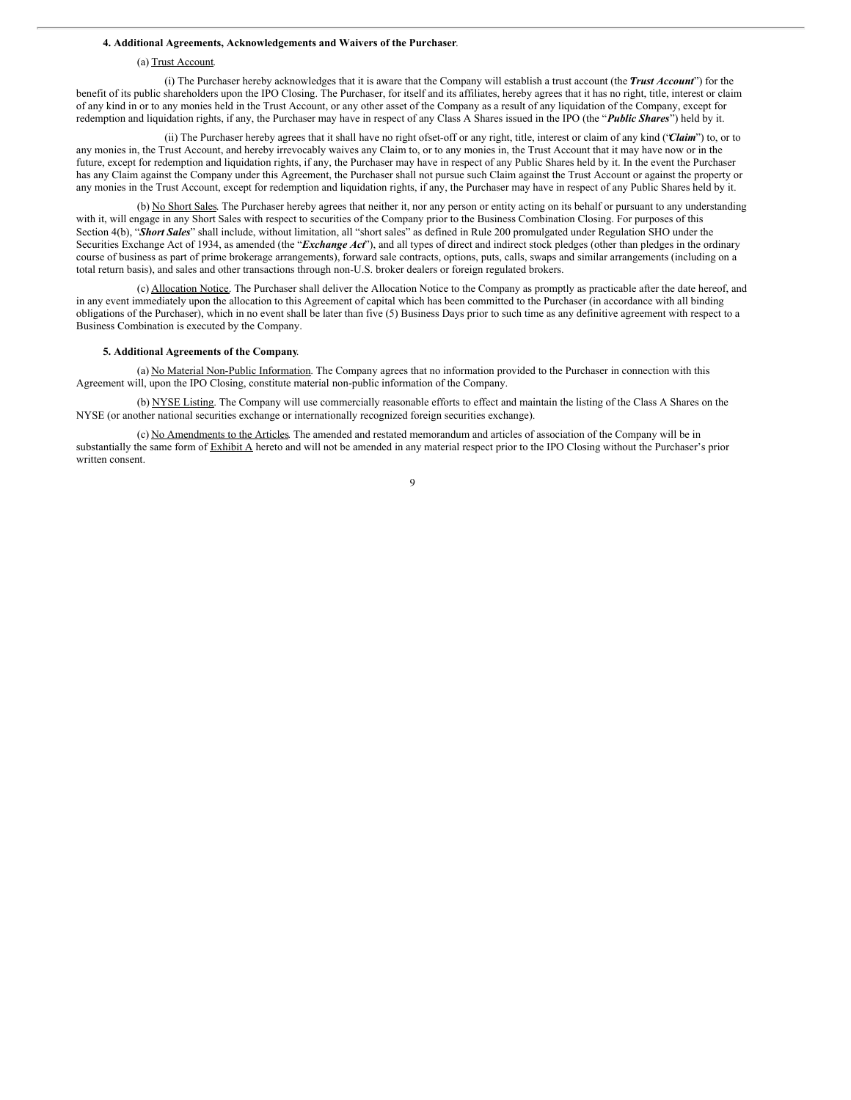## **4. Additional Agreements, Acknowledgements and Waivers of the Purchaser**.

## (a) Trust Account.

(i) The Purchaser hereby acknowledges that it is aware that the Company will establish a trust account (the *Trust Account*") for the benefit of its public shareholders upon the IPO Closing. The Purchaser, for itself and its affiliates, hereby agrees that it has no right, title, interest or claim of any kind in or to any monies held in the Trust Account, or any other asset of the Company as a result of any liquidation of the Company, except for redemption and liquidation rights, if any, the Purchaser may have in respect of any Class A Shares issued in the IPO (the "*Public Shares*") held by it.

(ii) The Purchaser hereby agrees that it shall have no right ofset-off or any right, title, interest or claim of any kind ("*Claim*") to, or to any monies in, the Trust Account, and hereby irrevocably waives any Claim to, or to any monies in, the Trust Account that it may have now or in the future, except for redemption and liquidation rights, if any, the Purchaser may have in respect of any Public Shares held by it. In the event the Purchaser has any Claim against the Company under this Agreement, the Purchaser shall not pursue such Claim against the Trust Account or against the property or any monies in the Trust Account, except for redemption and liquidation rights, if any, the Purchaser may have in respect of any Public Shares held by it.

(b) No Short Sales. The Purchaser hereby agrees that neither it, nor any person or entity acting on its behalf or pursuant to any understanding with it, will engage in any Short Sales with respect to securities of the Company prior to the Business Combination Closing. For purposes of this Section 4(b), "*Short Sales*" shall include, without limitation, all "short sales" as defined in Rule 200 promulgated under Regulation SHO under the Securities Exchange Act of 1934, as amended (the "*Exchange Act*"), and all types of direct and indirect stock pledges (other than pledges in the ordinary course of business as part of prime brokerage arrangements), forward sale contracts, options, puts, calls, swaps and similar arrangements (including on a total return basis), and sales and other transactions through non-U.S. broker dealers or foreign regulated brokers.

(c) Allocation Notice. The Purchaser shall deliver the Allocation Notice to the Company as promptly as practicable after the date hereof, and in any event immediately upon the allocation to this Agreement of capital which has been committed to the Purchaser (in accordance with all binding obligations of the Purchaser), which in no event shall be later than five (5) Business Days prior to such time as any definitive agreement with respect to a Business Combination is executed by the Company.

## **5. Additional Agreements of the Company**.

(a) No Material Non-Public Information. The Company agrees that no information provided to the Purchaser in connection with this Agreement will, upon the IPO Closing, constitute material non-public information of the Company.

(b) NYSE Listing. The Company will use commercially reasonable efforts to effect and maintain the listing of the Class A Shares on the NYSE (or another national securities exchange or internationally recognized foreign securities exchange).

(c) No Amendments to the Articles. The amended and restated memorandum and articles of association of the Company will be in substantially the same form of Exhibit A hereto and will not be amended in any material respect prior to the IPO Closing without the Purchaser's prior written consent.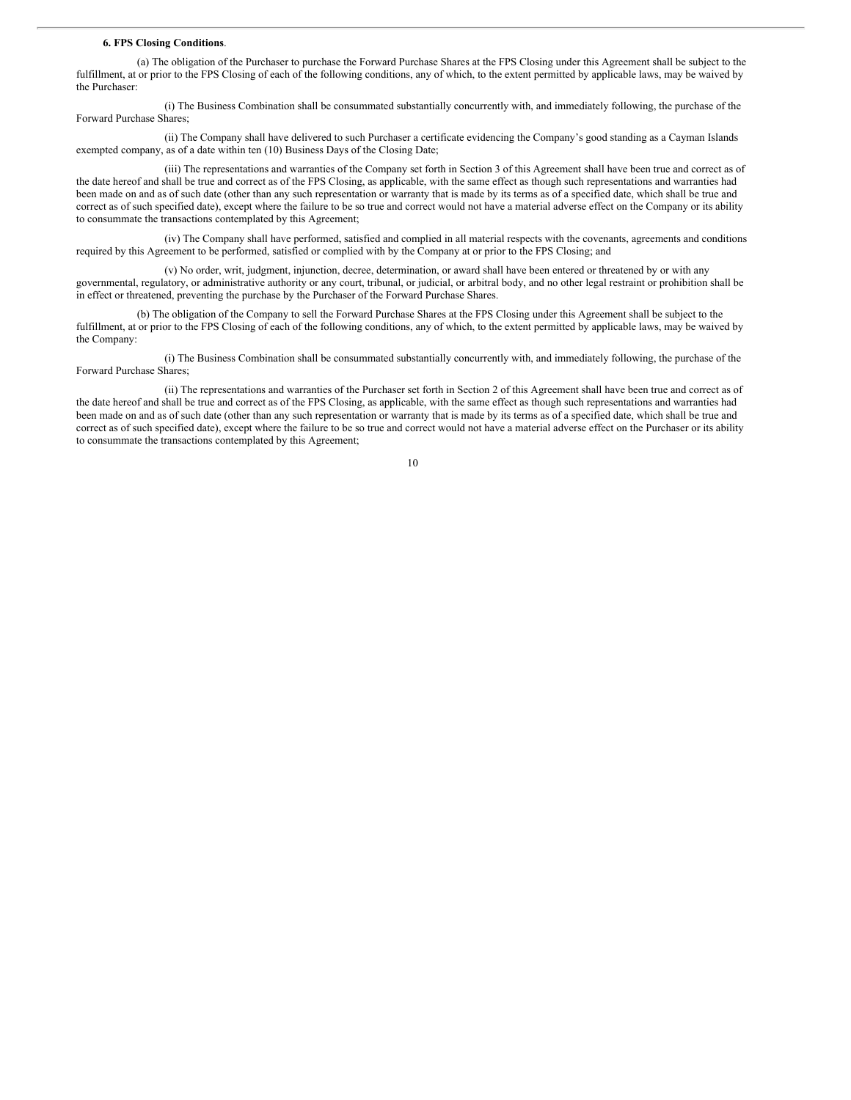#### **6. FPS Closing Conditions**.

(a) The obligation of the Purchaser to purchase the Forward Purchase Shares at the FPS Closing under this Agreement shall be subject to the fulfillment, at or prior to the FPS Closing of each of the following conditions, any of which, to the extent permitted by applicable laws, may be waived by the Purchaser:

(i) The Business Combination shall be consummated substantially concurrently with, and immediately following, the purchase of the Forward Purchase Shares;

(ii) The Company shall have delivered to such Purchaser a certificate evidencing the Company's good standing as a Cayman Islands exempted company, as of a date within ten (10) Business Days of the Closing Date;

(iii) The representations and warranties of the Company set forth in Section 3 of this Agreement shall have been true and correct as of the date hereof and shall be true and correct as of the FPS Closing, as applicable, with the same effect as though such representations and warranties had been made on and as of such date (other than any such representation or warranty that is made by its terms as of a specified date, which shall be true and correct as of such specified date), except where the failure to be so true and correct would not have a material adverse effect on the Company or its ability to consummate the transactions contemplated by this Agreement;

(iv) The Company shall have performed, satisfied and complied in all material respects with the covenants, agreements and conditions required by this Agreement to be performed, satisfied or complied with by the Company at or prior to the FPS Closing; and

(v) No order, writ, judgment, injunction, decree, determination, or award shall have been entered or threatened by or with any governmental, regulatory, or administrative authority or any court, tribunal, or judicial, or arbitral body, and no other legal restraint or prohibition shall be in effect or threatened, preventing the purchase by the Purchaser of the Forward Purchase Shares.

(b) The obligation of the Company to sell the Forward Purchase Shares at the FPS Closing under this Agreement shall be subject to the fulfillment, at or prior to the FPS Closing of each of the following conditions, any of which, to the extent permitted by applicable laws, may be waived by the Company:

(i) The Business Combination shall be consummated substantially concurrently with, and immediately following, the purchase of the Forward Purchase Shares;

(ii) The representations and warranties of the Purchaser set forth in Section 2 of this Agreement shall have been true and correct as of the date hereof and shall be true and correct as of the FPS Closing, as applicable, with the same effect as though such representations and warranties had been made on and as of such date (other than any such representation or warranty that is made by its terms as of a specified date, which shall be true and correct as of such specified date), except where the failure to be so true and correct would not have a material adverse effect on the Purchaser or its ability to consummate the transactions contemplated by this Agreement;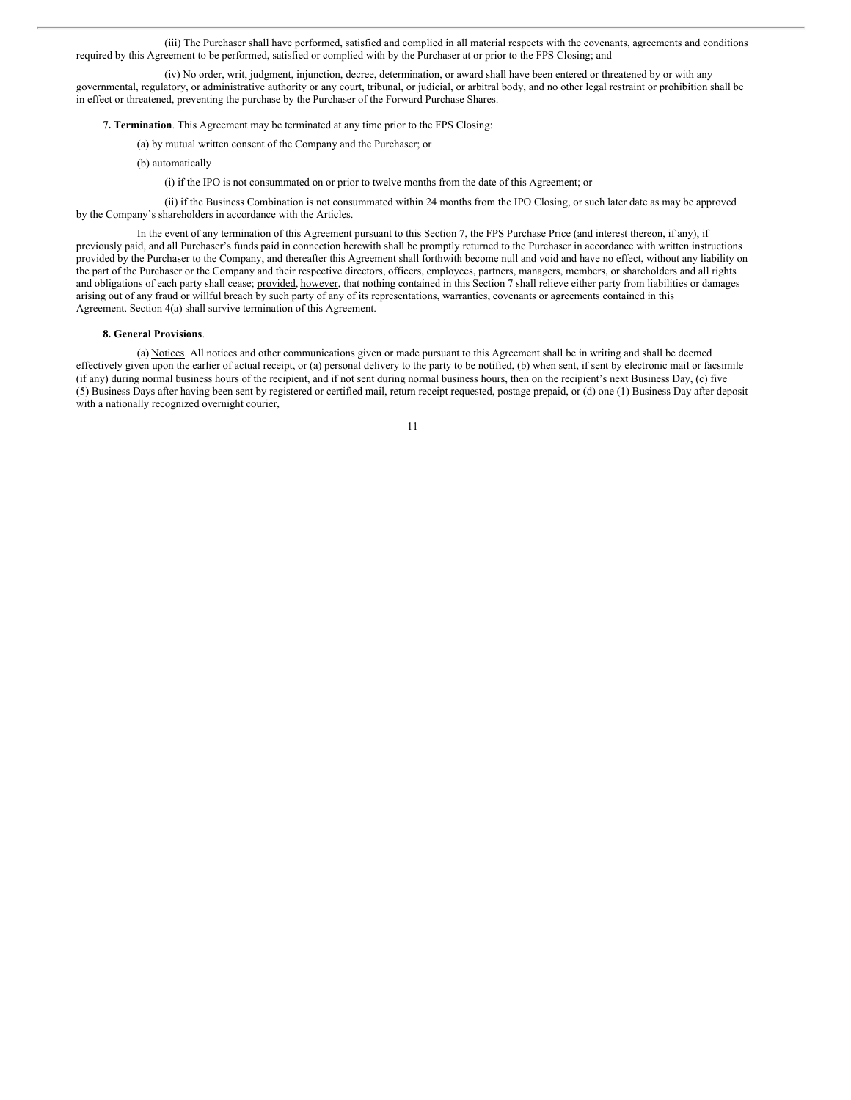(iii) The Purchaser shall have performed, satisfied and complied in all material respects with the covenants, agreements and conditions required by this Agreement to be performed, satisfied or complied with by the Purchaser at or prior to the FPS Closing; and

(iv) No order, writ, judgment, injunction, decree, determination, or award shall have been entered or threatened by or with any governmental, regulatory, or administrative authority or any court, tribunal, or judicial, or arbitral body, and no other legal restraint or prohibition shall be in effect or threatened, preventing the purchase by the Purchaser of the Forward Purchase Shares.

**7. Termination**. This Agreement may be terminated at any time prior to the FPS Closing:

(a) by mutual written consent of the Company and the Purchaser; or

(b) automatically

(i) if the IPO is not consummated on or prior to twelve months from the date of this Agreement; or

(ii) if the Business Combination is not consummated within 24 months from the IPO Closing, or such later date as may be approved by the Company's shareholders in accordance with the Articles.

In the event of any termination of this Agreement pursuant to this Section 7, the FPS Purchase Price (and interest thereon, if any), if previously paid, and all Purchaser's funds paid in connection herewith shall be promptly returned to the Purchaser in accordance with written instructions provided by the Purchaser to the Company, and thereafter this Agreement shall forthwith become null and void and have no effect, without any liability on the part of the Purchaser or the Company and their respective directors, officers, employees, partners, managers, members, or shareholders and all rights and obligations of each party shall cease; provided, however, that nothing contained in this Section 7 shall relieve either party from liabilities or damages arising out of any fraud or willful breach by such party of any of its representations, warranties, covenants or agreements contained in this Agreement. Section 4(a) shall survive termination of this Agreement.

#### **8. General Provisions**.

(a) Notices. All notices and other communications given or made pursuant to this Agreement shall be in writing and shall be deemed effectively given upon the earlier of actual receipt, or (a) personal delivery to the party to be notified, (b) when sent, if sent by electronic mail or facsimile (if any) during normal business hours of the recipient, and if not sent during normal business hours, then on the recipient's next Business Day, (c) five (5) Business Days after having been sent by registered or certified mail, return receipt requested, postage prepaid, or (d) one (1) Business Day after deposit with a nationally recognized overnight courier,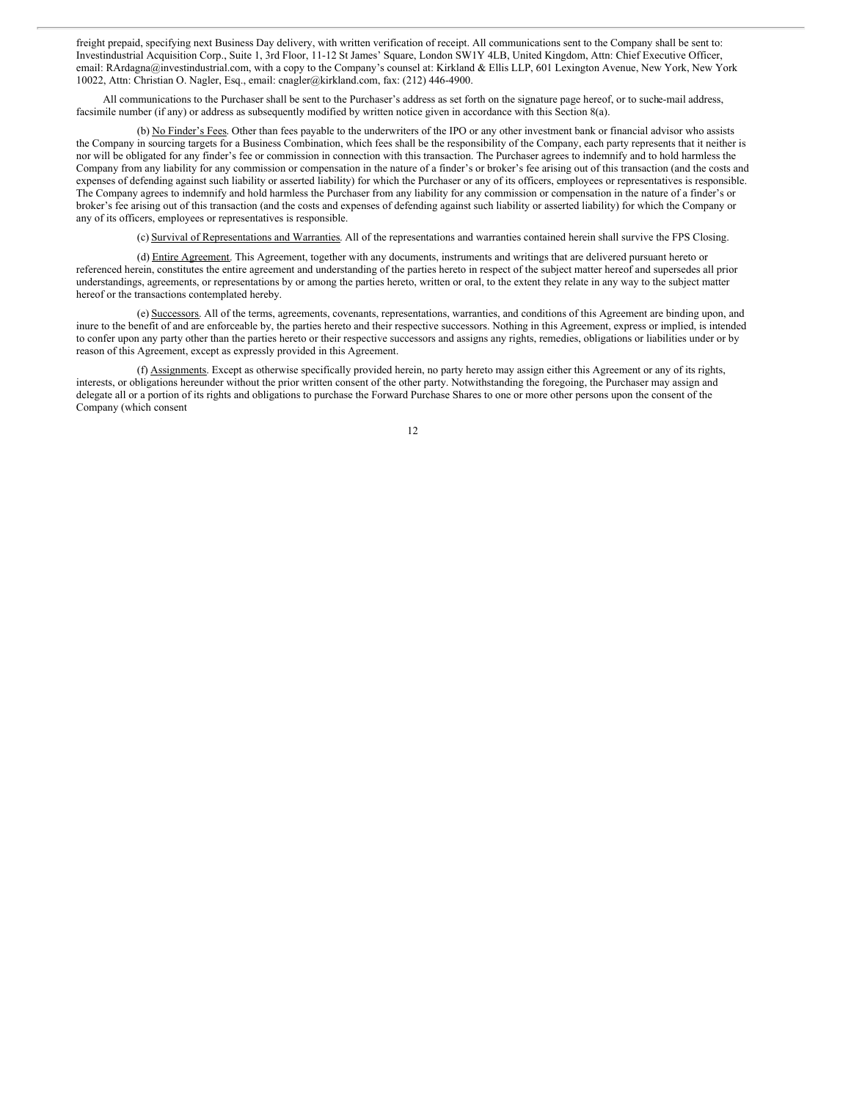freight prepaid, specifying next Business Day delivery, with written verification of receipt. All communications sent to the Company shall be sent to: Investindustrial Acquisition Corp., Suite 1, 3rd Floor, 11-12 St James' Square, London SW1Y 4LB, United Kingdom, Attn: Chief Executive Officer, email: RArdagna@investindustrial.com, with a copy to the Company's counsel at: Kirkland & Ellis LLP, 601 Lexington Avenue, New York, New York 10022, Attn: Christian O. Nagler, Esq., email: cnagler@kirkland.com, fax: (212) 446-4900.

All communications to the Purchaser shall be sent to the Purchaser's address as set forth on the signature page hereof, or to suche-mail address, facsimile number (if any) or address as subsequently modified by written notice given in accordance with this Section 8(a).

(b) No Finder's Fees. Other than fees payable to the underwriters of the IPO or any other investment bank or financial advisor who assists the Company in sourcing targets for a Business Combination, which fees shall be the responsibility of the Company, each party represents that it neither is nor will be obligated for any finder's fee or commission in connection with this transaction. The Purchaser agrees to indemnify and to hold harmless the Company from any liability for any commission or compensation in the nature of a finder's or broker's fee arising out of this transaction (and the costs and expenses of defending against such liability or asserted liability) for which the Purchaser or any of its officers, employees or representatives is responsible. The Company agrees to indemnify and hold harmless the Purchaser from any liability for any commission or compensation in the nature of a finder's or broker's fee arising out of this transaction (and the costs and expenses of defending against such liability or asserted liability) for which the Company or any of its officers, employees or representatives is responsible.

(c) Survival of Representations and Warranties. All of the representations and warranties contained herein shall survive the FPS Closing.

(d) Entire Agreement. This Agreement, together with any documents, instruments and writings that are delivered pursuant hereto or referenced herein, constitutes the entire agreement and understanding of the parties hereto in respect of the subject matter hereof and supersedes all prior understandings, agreements, or representations by or among the parties hereto, written or oral, to the extent they relate in any way to the subject matter hereof or the transactions contemplated hereby.

(e) Successors. All of the terms, agreements, covenants, representations, warranties, and conditions of this Agreement are binding upon, and inure to the benefit of and are enforceable by, the parties hereto and their respective successors. Nothing in this Agreement, express or implied, is intended to confer upon any party other than the parties hereto or their respective successors and assigns any rights, remedies, obligations or liabilities under or by reason of this Agreement, except as expressly provided in this Agreement.

(f) Assignments. Except as otherwise specifically provided herein, no party hereto may assign either this Agreement or any of its rights, interests, or obligations hereunder without the prior written consent of the other party. Notwithstanding the foregoing, the Purchaser may assign and delegate all or a portion of its rights and obligations to purchase the Forward Purchase Shares to one or more other persons upon the consent of the Company (which consent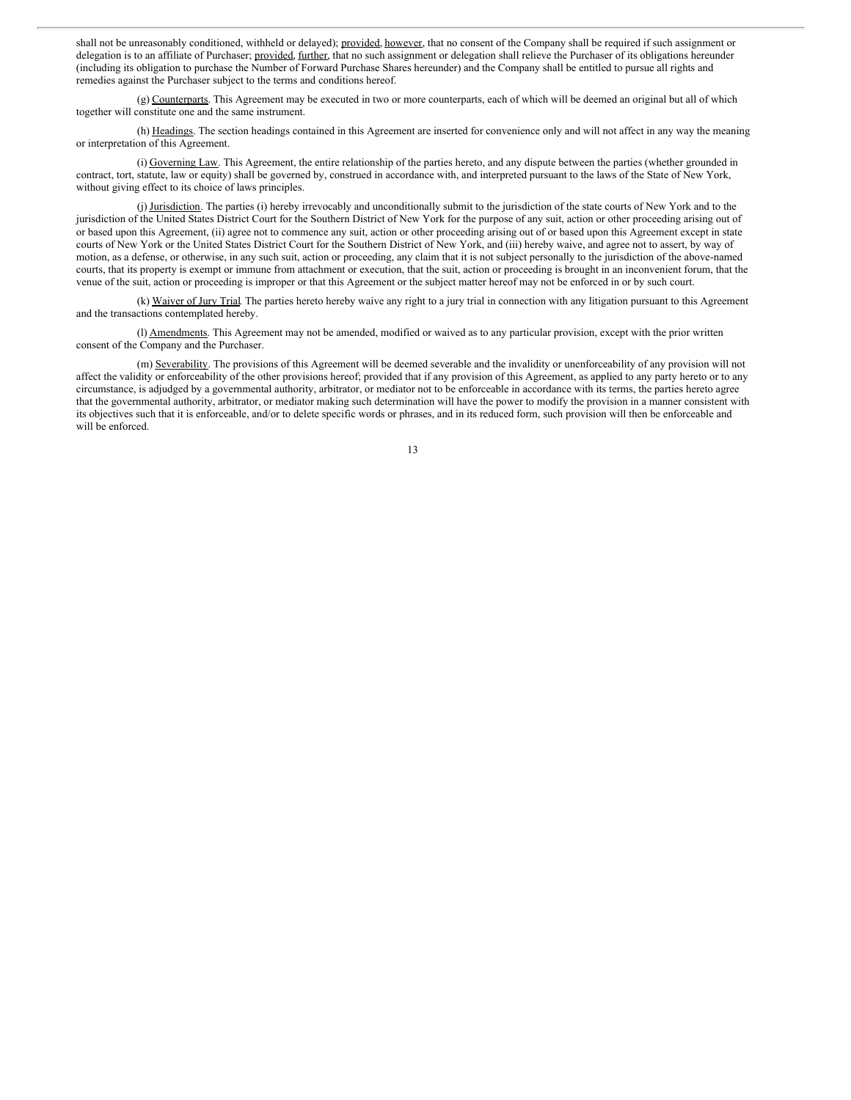shall not be unreasonably conditioned, withheld or delayed); provided, however, that no consent of the Company shall be required if such assignment or delegation is to an affiliate of Purchaser; provided, further, that no such assignment or delegation shall relieve the Purchaser of its obligations hereunder (including its obligation to purchase the Number of Forward Purchase Shares hereunder) and the Company shall be entitled to pursue all rights and remedies against the Purchaser subject to the terms and conditions hereof.

(g) Counterparts. This Agreement may be executed in two or more counterparts, each of which will be deemed an original but all of which together will constitute one and the same instrument.

(h) Headings. The section headings contained in this Agreement are inserted for convenience only and will not affect in any way the meaning or interpretation of this Agreement.

(i) Governing Law. This Agreement, the entire relationship of the parties hereto, and any dispute between the parties (whether grounded in contract, tort, statute, law or equity) shall be governed by, construed in accordance with, and interpreted pursuant to the laws of the State of New York, without giving effect to its choice of laws principles.

(j) Jurisdiction. The parties (i) hereby irrevocably and unconditionally submit to the jurisdiction of the state courts of New York and to the jurisdiction of the United States District Court for the Southern District of New York for the purpose of any suit, action or other proceeding arising out of or based upon this Agreement, (ii) agree not to commence any suit, action or other proceeding arising out of or based upon this Agreement except in state courts of New York or the United States District Court for the Southern District of New York, and (iii) hereby waive, and agree not to assert, by way of motion, as a defense, or otherwise, in any such suit, action or proceeding, any claim that it is not subject personally to the jurisdiction of the above-named courts, that its property is exempt or immune from attachment or execution, that the suit, action or proceeding is brought in an inconvenient forum, that the venue of the suit, action or proceeding is improper or that this Agreement or the subject matter hereof may not be enforced in or by such court.

(k) Waiver of Jury Trial. The parties hereto hereby waive any right to a jury trial in connection with any litigation pursuant to this Agreement and the transactions contemplated hereby.

(l) Amendments. This Agreement may not be amended, modified or waived as to any particular provision, except with the prior written consent of the Company and the Purchaser.

(m) Severability. The provisions of this Agreement will be deemed severable and the invalidity or unenforceability of any provision will not affect the validity or enforceability of the other provisions hereof; provided that if any provision of this Agreement, as applied to any party hereto or to any circumstance, is adjudged by a governmental authority, arbitrator, or mediator not to be enforceable in accordance with its terms, the parties hereto agree that the governmental authority, arbitrator, or mediator making such determination will have the power to modify the provision in a manner consistent with its objectives such that it is enforceable, and/or to delete specific words or phrases, and in its reduced form, such provision will then be enforceable and will be enforced.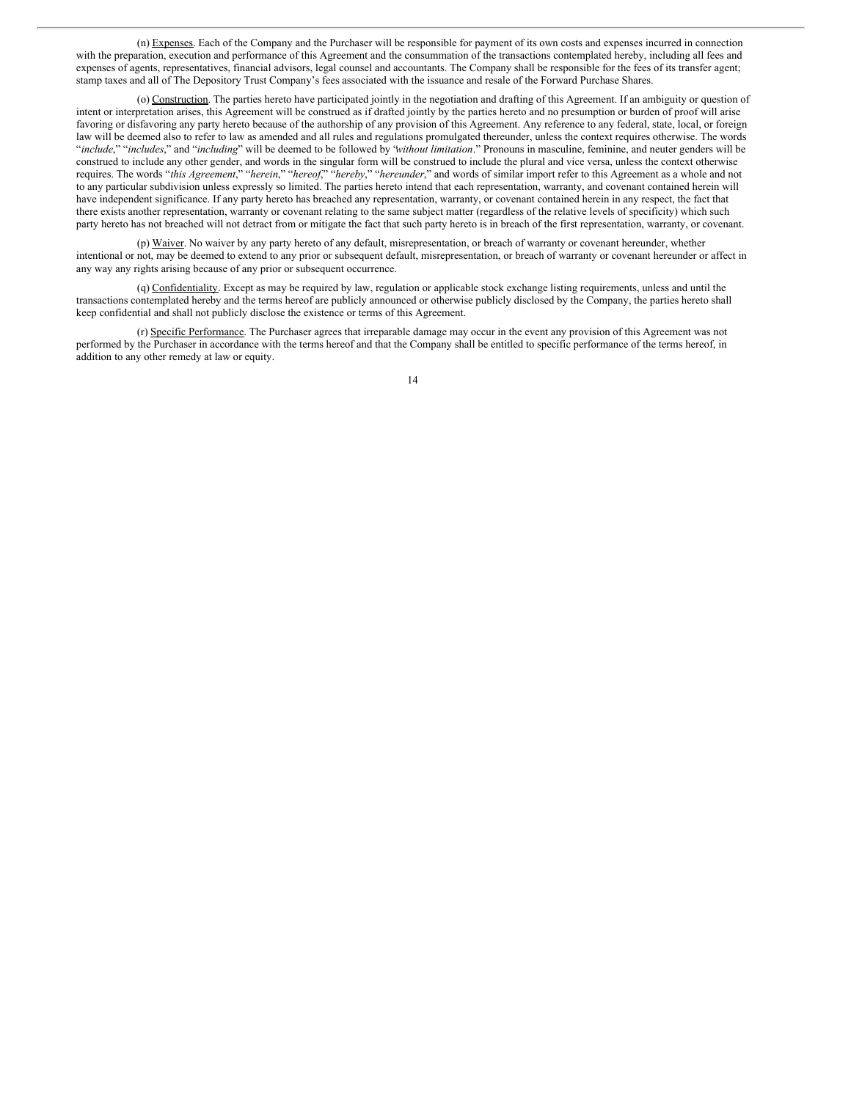(n) Expenses. Each of the Company and the Purchaser will be responsible for payment of its own costs and expenses incurred in connection with the preparation, execution and performance of this Agreement and the consummation of the transactions contemplated hereby, including all fees and expenses of agents, representatives, financial advisors, legal counsel and accountants. The Company shall be responsible for the fees of its transfer agent; stamp taxes and all of The Depository Trust Company's fees associated with the issuance and resale of the Forward Purchase Shares.

(o) Construction. The parties hereto have participated jointly in the negotiation and drafting of this Agreement. If an ambiguity or question of intent or interpretation arises, this Agreement will be construed as if drafted jointly by the parties hereto and no presumption or burden of proof will arise favoring or disfavoring any party hereto because of the authorship of any provision of this Agreement. Any reference to any federal, state, local, or foreign law will be deemed also to refer to law as amended and all rules and regulations promulgated thereunder, unless the context requires otherwise. The words "*include*," "*includes*," and "*including*" will be deemed to be followed by "*without limitation*." Pronouns in masculine, feminine, and neuter genders will be construed to include any other gender, and words in the singular form will be construed to include the plural and vice versa, unless the context otherwise requires. The words "*this Agreement*," "*herein*," "*hereof*," "*hereby*," "*hereunder*," and words of similar import refer to this Agreement as a whole and not to any particular subdivision unless expressly so limited. The parties hereto intend that each representation, warranty, and covenant contained herein will have independent significance. If any party hereto has breached any representation, warranty, or covenant contained herein in any respect, the fact that there exists another representation, warranty or covenant relating to the same subject matter (regardless of the relative levels of specificity) which such party hereto has not breached will not detract from or mitigate the fact that such party hereto is in breach of the first representation, warranty, or covenant.

(p) Waiver. No waiver by any party hereto of any default, misrepresentation, or breach of warranty or covenant hereunder, whether intentional or not, may be deemed to extend to any prior or subsequent default, misrepresentation, or breach of warranty or covenant hereunder or affect in any way any rights arising because of any prior or subsequent occurrence.

(q) Confidentiality. Except as may be required by law, regulation or applicable stock exchange listing requirements, unless and until the transactions contemplated hereby and the terms hereof are publicly announced or otherwise publicly disclosed by the Company, the parties hereto shall keep confidential and shall not publicly disclose the existence or terms of this Agreement.

(r) Specific Performance. The Purchaser agrees that irreparable damage may occur in the event any provision of this Agreement was not performed by the Purchaser in accordance with the terms hereof and that the Company shall be entitled to specific performance of the terms hereof, in addition to any other remedy at law or equity.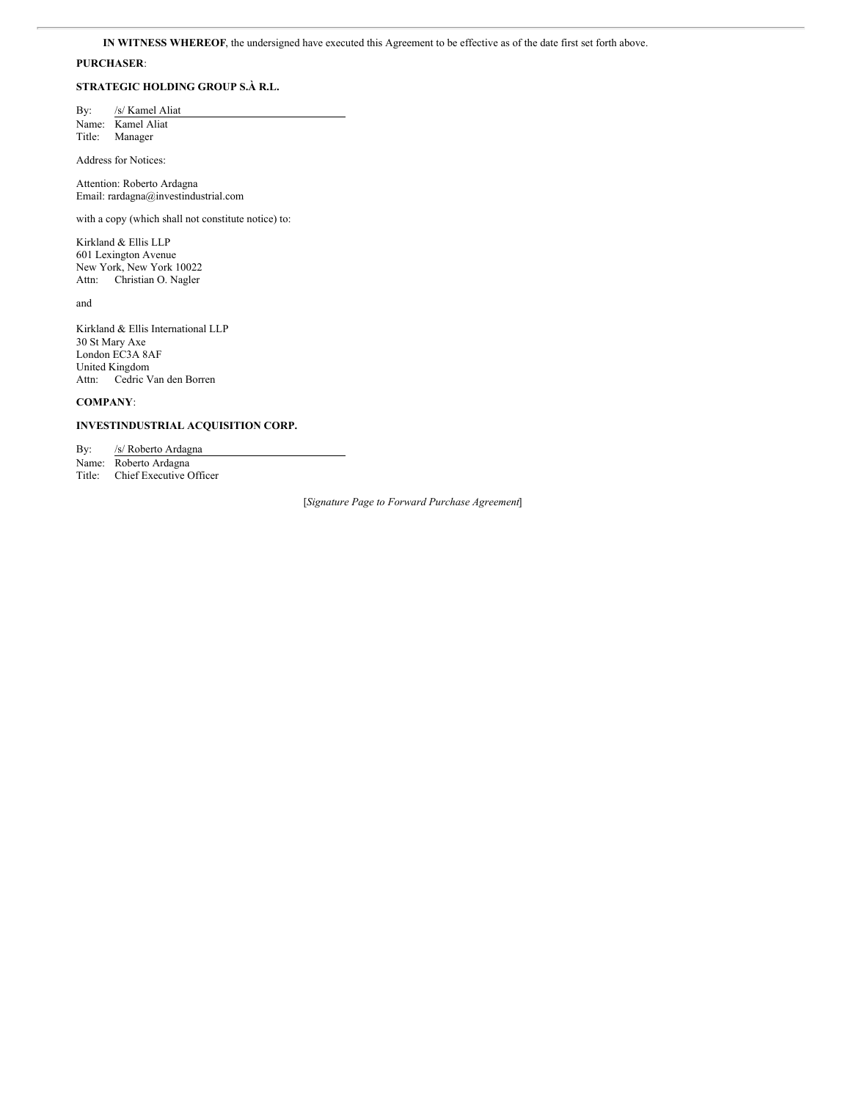# **PURCHASER**:

# **STRATEGIC HOLDING GROUP S.À R.L.**

By: /s/ Kamel Aliat Name: Kamel Aliat Title: Manager

Address for Notices:

Attention: Roberto Ardagna Email: rardagna@investindustrial.com

with a copy (which shall not constitute notice) to:

Kirkland & Ellis LLP 601 Lexington Avenue New York, New York 10022 Attn: Christian O. Nagler

and

Kirkland & Ellis International LLP 30 St Mary Axe London EC3A 8AF United Kingdom Attn: Cedric Van den Borren

# **COMPANY**:

**INVESTINDUSTRIAL ACQUISITION CORP.**

By: /s/ Roberto Ardagna Name: Roberto Ardagna Title: Chief Executive Officer

[*Signature Page to Forward Purchase Agreement*]